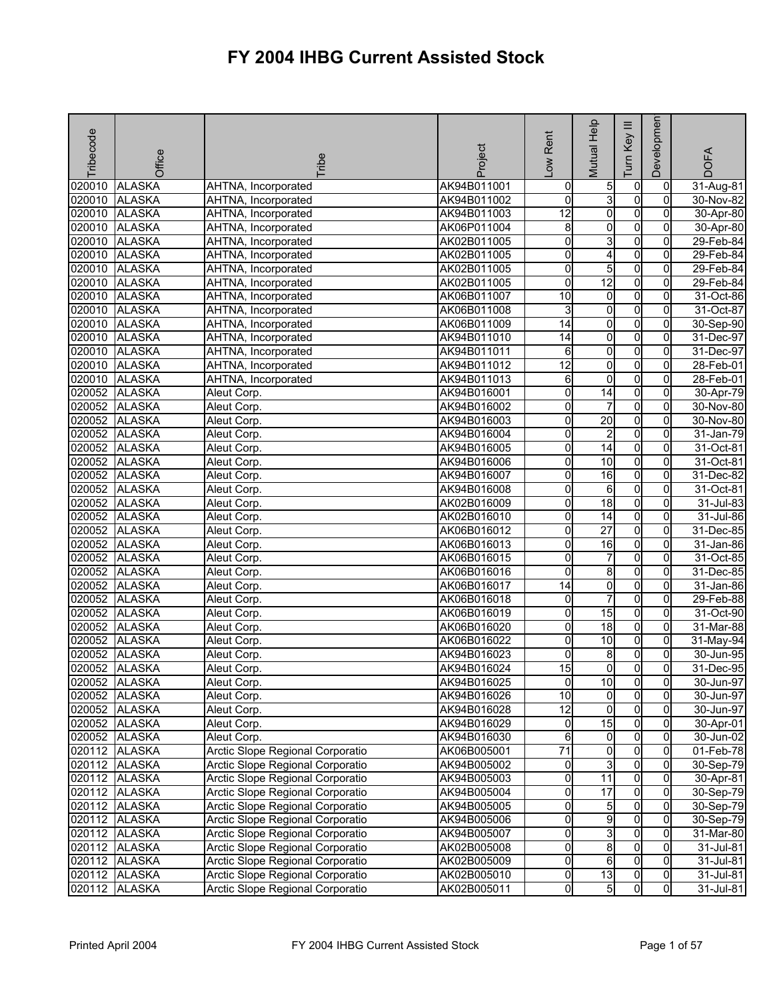| Tribecode | Office        | <b>Fribe</b>                     | Project     | -ow Rent        | <b>Mutual Help</b>      | Ξ<br>Key<br><b>E</b> | Developmen              | <b>DOFA</b>   |
|-----------|---------------|----------------------------------|-------------|-----------------|-------------------------|----------------------|-------------------------|---------------|
| 020010    | <b>ALASKA</b> | AHTNA, Incorporated              | AK94B011001 | $\overline{0}$  | 5                       | 0                    | 0                       | 31-Aug-81     |
| 020010    | <b>ALASKA</b> | AHTNA, Incorporated              | AK94B011002 | $\overline{0}$  | 3                       | $\overline{0}$       | $\overline{0}$          | 30-Nov-82     |
| 020010    | <b>ALASKA</b> | AHTNA, Incorporated              | AK94B011003 | 12              | $\overline{0}$          | $\overline{0}$       | $\overline{0}$          | 30-Apr-80     |
| 020010    | <b>ALASKA</b> | AHTNA, Incorporated              | AK06P011004 | $\overline{8}$  | 0                       | $\overline{0}$       | $\overline{0}$          | 30-Apr-80     |
| 020010    | <b>ALASKA</b> | AHTNA, Incorporated              | AK02B011005 | 0               | 3                       | $\overline{0}$       | $\overline{0}$          | 29-Feb-84     |
| 020010    | <b>ALASKA</b> | AHTNA, Incorporated              | AK02B011005 | 0               | 4                       | $\overline{0}$       | $\overline{0}$          | 29-Feb-84     |
| 020010    | <b>ALASKA</b> | AHTNA, Incorporated              | AK02B011005 | O               | 5                       | $\overline{0}$       | $\overline{0}$          | 29-Feb-84     |
| 020010    | <b>ALASKA</b> | AHTNA, Incorporated              | AK02B011005 | 0               | 12                      | $\overline{0}$       | $\overline{0}$          | 29-Feb-84     |
| 020010    | <b>ALASKA</b> | AHTNA, Incorporated              | AK06B011007 | 10              | 0                       | $\overline{0}$       | $\overline{0}$          | 31-Oct-86     |
| 020010    | <b>ALASKA</b> | AHTNA, Incorporated              | AK06B011008 | 3               | $\overline{0}$          | $\overline{0}$       | $\overline{0}$          | 31-Oct-87     |
| 020010    | <b>ALASKA</b> | AHTNA, Incorporated              | AK06B011009 | 14              | $\overline{\mathbf{0}}$ | $\overline{0}$       | $\overline{0}$          | 30-Sep-90     |
| 020010    | <b>ALASKA</b> | AHTNA, Incorporated              | AK94B011010 | 14              | $\overline{0}$          | $\overline{0}$       | $\overline{0}$          | 31-Dec-97     |
| 020010    | <b>ALASKA</b> | AHTNA, Incorporated              | AK94B011011 | $\overline{6}$  | $\overline{0}$          | $\overline{0}$       | $\overline{0}$          | 31-Dec-97     |
| 020010    | <b>ALASKA</b> | AHTNA, Incorporated              | AK94B011012 | $\overline{12}$ | O                       | $\overline{0}$       | 0                       | 28-Feb-01     |
| 020010    | <b>ALASKA</b> | AHTNA, Incorporated              | AK94B011013 | 6               | $\mathbf 0$             | $\overline{0}$       | $\overline{0}$          | 28-Feb-01     |
| 020052    | <b>ALASKA</b> | Aleut Corp.                      | AK94B016001 | 0               | 14                      | $\overline{0}$       | $\overline{0}$          | 30-Apr-79     |
| 020052    | <b>ALASKA</b> | Aleut Corp.                      | AK94B016002 | 0               | $\overline{7}$          | $\overline{0}$       | $\overline{0}$          | 30-Nov-80     |
| 020052    | <b>ALASKA</b> | Aleut Corp.                      | AK94B016003 | O               | 20                      | $\overline{0}$       | $\overline{0}$          | 30-Nov-80     |
| 020052    | <b>ALASKA</b> | Aleut Corp.                      | AK94B016004 | 0               | $\overline{2}$          | $\overline{0}$       | $\overline{0}$          | 31-Jan-79     |
| 020052    | <b>ALASKA</b> | Aleut Corp.                      | AK94B016005 | 0               | $\overline{14}$         | $\overline{0}$       | $\overline{0}$          | 31-Oct-81     |
| 020052    | <b>ALASKA</b> | Aleut Corp.                      | AK94B016006 | 0               | 10                      | $\overline{0}$       | $\overline{0}$          | 31-Oct-81     |
| 020052    | <b>ALASKA</b> | Aleut Corp.                      | AK94B016007 | 0               | 16                      | $\overline{0}$       | $\overline{0}$          | 31-Dec-82     |
| 020052    | <b>ALASKA</b> | Aleut Corp.                      | AK94B016008 | 0               | 6                       | $\overline{0}$       | $\overline{0}$          | 31-Oct-81     |
| 020052    | <b>ALASKA</b> | Aleut Corp.                      | AK02B016009 | 0               | $\overline{18}$         | $\overline{0}$       | $\overline{\mathbf{0}}$ | $31 -$ Jul-83 |
| 020052    | <b>ALASKA</b> | Aleut Corp.                      | AK02B016010 | 0               | 14                      | $\overline{0}$       | $\overline{0}$          | 31-Jul-86     |
| 020052    | <b>ALASKA</b> | Aleut Corp.                      | AK06B016012 | 0               | $\overline{27}$         | $\overline{0}$       | $\overline{0}$          | 31-Dec-85     |
| 020052    | <b>ALASKA</b> | Aleut Corp.                      | AK06B016013 | 0               | 16                      | $\overline{0}$       | $\overline{0}$          | 31-Jan-86     |
| 020052    | <b>ALASKA</b> | Aleut Corp.                      | AK06B016015 | 0               | $\overline{7}$          | $\overline{0}$       | $\overline{0}$          | 31-Oct-85     |
| 020052    | <b>ALASKA</b> | Aleut Corp.                      | AK06B016016 | 0               | 8                       | $\overline{0}$       | $\overline{0}$          | 31-Dec-85     |
| 020052    | <b>ALASKA</b> | Aleut Corp.                      | AK06B016017 | 14              | $\overline{0}$          | $\overline{0}$       | $\overline{0}$          | 31-Jan-86     |
| 020052    | <b>ALASKA</b> | Aleut Corp.                      | AK06B016018 | 0               | $\overline{7}$          | $\overline{0}$       | $\overline{0}$          | 29-Feb-88     |
| 020052    | <b>ALASKA</b> | Aleut Corp.                      | AK06B016019 | 0               | 15                      | $\overline{0}$       | $\overline{0}$          | 31-Oct-90     |
| 020052    | <b>ALASKA</b> | Aleut Corp.                      | AK06B016020 | 0               | 18                      | $\overline{0}$       | $\overline{0}$          | 31-Mar-88     |
| 020052    | <b>ALASKA</b> | Aleut Corp.                      | AK06B016022 | 0               | 10                      | $\overline{0}$       | $\overline{0}$          | 31-May-94     |
| 020052    | <b>ALASKA</b> | Aleut Corp.                      | AK94B016023 | 0               | 8                       | $\overline{0}$       | $\overline{0}$          | 30-Jun-95     |
| 020052    | <b>ALASKA</b> | Aleut Corp.                      | AK94B016024 | 15              | $\overline{\mathbf{0}}$ | $\overline{0}$       | $\overline{0}$          | 31-Dec-95     |
|           | 020052 ALASKA | Aleut Corp.                      | AK94B016025 | $\overline{0}$  | 10                      | $\overline{0}$       | $\overline{0}$          | 30-Jun-97     |
|           | 020052 ALASKA | Aleut Corp.                      | AK94B016026 | 10              | $\overline{0}$          | $\overline{0}$       | $\overline{0}$          | 30-Jun-97     |
|           | 020052 ALASKA | Aleut Corp.                      | AK94B016028 | 12              | $\overline{0}$          | $\overline{0}$       | $\overline{0}$          | 30-Jun-97     |
|           | 020052 ALASKA | Aleut Corp.                      | AK94B016029 | 0               | 15                      | $\overline{0}$       | $\mathbf{0}$            | 30-Apr-01     |
|           | 020052 ALASKA | Aleut Corp.                      | AK94B016030 | 6               | $\overline{0}$          | $\overline{0}$       | $\overline{0}$          | 30-Jun-02     |
|           | 020112 ALASKA | Arctic Slope Regional Corporatio | AK06B005001 | $\overline{71}$ | $\overline{0}$          | $\overline{0}$       | $\overline{0}$          | 01-Feb-78     |
|           | 020112 ALASKA | Arctic Slope Regional Corporatio | AK94B005002 | 0               | 3                       | $\overline{0}$       | $\overline{0}$          | 30-Sep-79     |
|           | 020112 ALASKA | Arctic Slope Regional Corporatio | AK94B005003 | O               | $\overline{11}$         | $\overline{0}$       | $\overline{0}$          | 30-Apr-81     |
|           | 020112 ALASKA | Arctic Slope Regional Corporatio | AK94B005004 | 0               | 17                      | $\overline{0}$       | $\overline{0}$          | 30-Sep-79     |
|           | 020112 ALASKA | Arctic Slope Regional Corporatio | AK94B005005 | 0               | 5                       | $\overline{0}$       | $\overline{0}$          | 30-Sep-79     |
|           | 020112 ALASKA | Arctic Slope Regional Corporatio | AK94B005006 | 0               | $\overline{9}$          | $\overline{0}$       | $\overline{0}$          | 30-Sep-79     |
|           | 020112 ALASKA | Arctic Slope Regional Corporatio | AK94B005007 | 0               | ω                       | $\overline{0}$       | $\overline{0}$          | 31-Mar-80     |
|           | 020112 ALASKA | Arctic Slope Regional Corporatio | AK02B005008 | 0               | $\infty$                | $\overline{0}$       | $\overline{0}$          | 31-Jul-81     |
|           | 020112 ALASKA | Arctic Slope Regional Corporatio | AK02B005009 | O               | $6\overline{6}$         | $\overline{0}$       | $\overline{0}$          | 31-Jul-81     |
|           | 020112 ALASKA | Arctic Slope Regional Corporatio | AK02B005010 | 0               | 13                      | 0                    | $\overline{0}$          | 31-Jul-81     |
|           | 020112 ALASKA | Arctic Slope Regional Corporatio | AK02B005011 | O               | 5                       | $\overline{0}$       | $\overline{0}$          | 31-Jul-81     |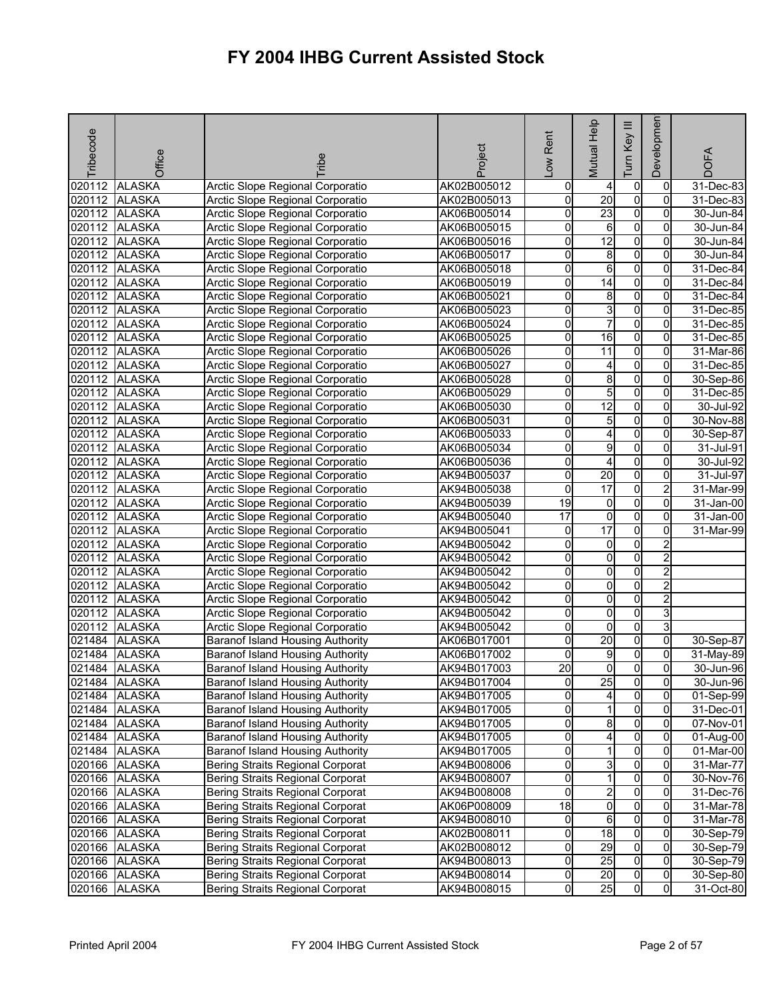| Tribecode | Office        | <b>Tribe</b>                            | Project     | Rent<br>Low         | Mutual Help             | Ξ<br>Key<br>Tum | Developmen     | <b>DOFA</b>  |
|-----------|---------------|-----------------------------------------|-------------|---------------------|-------------------------|-----------------|----------------|--------------|
| 020112    | <b>ALASKA</b> | Arctic Slope Regional Corporatio        | AK02B005012 | $\mathsf{O}\xspace$ | 4                       | $\overline{0}$  | 0              | 31-Dec-83    |
| 020112    | <b>ALASKA</b> | Arctic Slope Regional Corporatio        | AK02B005013 | 0                   | $\overline{20}$         | $\overline{0}$  | $\Omega$       | $31$ -Dec-83 |
| 020112    | <b>ALASKA</b> | Arctic Slope Regional Corporatio        | AK06B005014 | 0                   | 23                      | $\overline{0}$  | $\overline{0}$ | 30-Jun-84    |
| 020112    | <b>ALASKA</b> | Arctic Slope Regional Corporatio        | AK06B005015 | 0                   | 6                       | 0               | 0              | 30-Jun-84    |
| 020112    | <b>ALASKA</b> | Arctic Slope Regional Corporatio        | AK06B005016 | 0                   | $\overline{12}$         | $\overline{0}$  | 0              | 30-Jun-84    |
| 020112    | <b>ALASKA</b> | Arctic Slope Regional Corporatio        | AK06B005017 | 0                   | 8                       | $\overline{0}$  | 0              | 30-Jun-84    |
| 020112    | <b>ALASKA</b> | Arctic Slope Regional Corporatio        | AK06B005018 | 0                   | 6                       | $\overline{0}$  | 0              | 31-Dec-84    |
| 020112    | <b>ALASKA</b> | Arctic Slope Regional Corporatio        | AK06B005019 | 0                   | $\overline{14}$         | $\overline{0}$  | $\mathbf 0$    | 31-Dec-84    |
| 020112    | <b>ALASKA</b> | Arctic Slope Regional Corporatio        | AK06B005021 | 0                   | 8                       | O               | $\overline{0}$ | 31-Dec-84    |
| 020112    | <b>ALASKA</b> | Arctic Slope Regional Corporatio        | AK06B005023 | 0                   | 3                       | $\overline{0}$  | 0              | 31-Dec-85    |
| 020112    | <b>ALASKA</b> | Arctic Slope Regional Corporatio        | AK06B005024 | 0                   | $\overline{7}$          | $\overline{0}$  | 0              | 31-Dec-85    |
| 020112    | <b>ALASKA</b> | Arctic Slope Regional Corporatio        | AK06B005025 | 0                   | 16                      | $\overline{0}$  | 0              | 31-Dec-85    |
| 020112    | <b>ALASKA</b> | Arctic Slope Regional Corporatio        | AK06B005026 | 0                   | 11                      | 0               | $\mathbf 0$    | 31-Mar-86    |
| 020112    | <b>ALASKA</b> | Arctic Slope Regional Corporatio        | AK06B005027 | 0                   | 4                       | $\overline{0}$  | $\Omega$       | 31-Dec-85    |
| 020112    | <b>ALASKA</b> | Arctic Slope Regional Corporatio        | AK06B005028 | 0                   | 8                       | O               | 0              | 30-Sep-86    |
| 020112    | <b>ALASKA</b> | Arctic Slope Regional Corporatio        | AK06B005029 | 0                   | 5                       | $\overline{0}$  | 0              | 31-Dec-85    |
| 020112    | <b>ALASKA</b> | Arctic Slope Regional Corporatio        | AK06B005030 | Ō                   | $\overline{12}$         | $\overline{0}$  | 0              | 30-Jul-92    |
| 020112    | <b>ALASKA</b> | Arctic Slope Regional Corporatio        | AK06B005031 | 0                   | 5                       | $\overline{0}$  | 0              | 30-Nov-88    |
| 020112    | <b>ALASKA</b> | Arctic Slope Regional Corporatio        | AK06B005033 | 0                   | 4                       | O               | $\mathbf 0$    | 30-Sep-87    |
| 020112    | <b>ALASKA</b> | Arctic Slope Regional Corporatio        | AK06B005034 | 0                   | 9                       | O               | 0              | 31-Jul-91    |
| 020112    | <b>ALASKA</b> | Arctic Slope Regional Corporatio        | AK06B005036 | 0                   | 4                       | $\overline{0}$  | 0              | 30-Jul-92    |
| 020112    | <b>ALASKA</b> | <b>Arctic Slope Regional Corporatio</b> | AK94B005037 | 0                   | 20                      | $\overline{0}$  | 0              | 31-Jul-97    |
| 020112    | <b>ALASKA</b> | Arctic Slope Regional Corporatio        | AK94B005038 | 0                   | 17                      | $\overline{0}$  | $\overline{c}$ | $31$ -Mar-99 |
| 020112    | <b>ALASKA</b> | Arctic Slope Regional Corporatio        | AK94B005039 | $\overline{19}$     | 0                       | $\overline{0}$  | 0              | 31-Jan-00    |
| 020112    | <b>ALASKA</b> | Arctic Slope Regional Corporatio        | AK94B005040 | 17                  | o                       | $\overline{0}$  | $\Omega$       | 31-Jan-00    |
| 020112    | <b>ALASKA</b> | Arctic Slope Regional Corporatio        | AK94B005041 | 0                   | 17                      | O               | $\overline{0}$ | 31-Mar-99    |
| 020112    | <b>ALASKA</b> | Arctic Slope Regional Corporatio        | AK94B005042 | 0                   | 0                       | $\overline{0}$  | $\overline{a}$ |              |
| 020112    | <b>ALASKA</b> | Arctic Slope Regional Corporatio        | AK94B005042 | 0                   | $\overline{\mathbf{0}}$ | $\overline{0}$  | $\overline{a}$ |              |
| 020112    | <b>ALASKA</b> | Arctic Slope Regional Corporatio        | AK94B005042 | 0                   | 0                       | 0               | $\overline{2}$ |              |
| 020112    | <b>ALASKA</b> | Arctic Slope Regional Corporatio        | AK94B005042 | 0                   | 0                       | 0               | $\overline{2}$ |              |
| 020112    | <b>ALASKA</b> | Arctic Slope Regional Corporatio        | AK94B005042 | 0                   | o                       | O               | 2              |              |
| 020112    | <b>ALASKA</b> | Arctic Slope Regional Corporatio        | AK94B005042 | 0                   | 0                       | $\overline{0}$  | ω              |              |
| 020112    | <b>ALASKA</b> | Arctic Slope Regional Corporatio        | AK94B005042 | 0                   | $\mathbf 0$             | $\overline{0}$  | 3              |              |
| 021484    | <b>ALASKA</b> | <b>Baranof Island Housing Authority</b> | AK06B017001 | 0                   | 20                      | $\overline{0}$  | $\overline{0}$ | 30-Sep-87    |
| 021484    | <b>ALASKA</b> | <b>Baranof Island Housing Authority</b> | AK06B017002 | 0                   | 9                       | $\overline{0}$  | $\overline{0}$ | 31-May-89    |
| 021484    | <b>ALASKA</b> | <b>Baranof Island Housing Authority</b> | AK94B017003 | $\overline{20}$     | $\overline{\mathbf{0}}$ | O               | $\overline{0}$ | 30-Jun-96    |
|           | 021484 ALASKA | <b>Baranof Island Housing Authority</b> | AK94B017004 | 이                   | 25                      | $\overline{0}$  | 01             | 30-Jun-96    |
|           | 021484 ALASKA | Baranof Island Housing Authority        | AK94B017005 | 0                   | 4                       | $\overline{0}$  | $\mathbf{0}$   | 01-Sep-99    |
|           | 021484 ALASKA | Baranof Island Housing Authority        | AK94B017005 | 0                   | 1                       | $\overline{0}$  | $\overline{0}$ | 31-Dec-01    |
|           | 021484 ALASKA | <b>Baranof Island Housing Authority</b> | AK94B017005 | 0                   | 8                       | $\overline{0}$  | $\overline{0}$ | 07-Nov-01    |
| 021484    | <b>ALASKA</b> | <b>Baranof Island Housing Authority</b> | AK94B017005 | 0                   | 4                       | 0               | 0              | 01-Aug-00    |
| 021484    | <b>ALASKA</b> | <b>Baranof Island Housing Authority</b> | AK94B017005 | 0                   | 1                       | $\overline{0}$  | $\overline{0}$ | 01-Mar-00    |
|           | 020166 ALASKA | <b>Bering Straits Regional Corporat</b> | AK94B008006 | 0                   | ω                       | $\overline{0}$  | 0              | 31-Mar-77    |
|           | 020166 ALASKA | Bering Straits Regional Corporat        | AK94B008007 | 0                   | 1                       | $\overline{0}$  | $\mathbf{0}$   | 30-Nov-76    |
|           | 020166 ALASKA | <b>Bering Straits Regional Corporat</b> | AK94B008008 | $\mathsf{O}\xspace$ | $\overline{2}$          | $\overline{0}$  | $\mathbf{0}$   | 31-Dec-76    |
|           | 020166 ALASKA | Bering Straits Regional Corporat        | AK06P008009 | 18                  | o                       | 0               | 0              | 31-Mar-78    |
|           | 020166 ALASKA | <b>Bering Straits Regional Corporat</b> | AK94B008010 | 0                   | 6                       | $\overline{0}$  | 0              | 31-Mar-78    |
|           | 020166 ALASKA | <b>Bering Straits Regional Corporat</b> | AK02B008011 | 0                   | $\overline{18}$         | $\overline{0}$  | $\mathbf{0}$   | 30-Sep-79    |
|           | 020166 ALASKA | Bering Straits Regional Corporat        | AK02B008012 | 0                   | 29                      | $\overline{0}$  | 0              | 30-Sep-79    |
|           | 020166 ALASKA | Bering Straits Regional Corporat        | AK94B008013 | $\mathsf{O}\xspace$ | 25                      | $\overline{0}$  | $\mathbf{0}$   | 30-Sep-79    |
|           | 020166 ALASKA | Bering Straits Regional Corporat        | AK94B008014 | 0                   | 20                      | $\overline{0}$  | $\overline{0}$ | 30-Sep-80    |
|           | 020166 ALASKA | Bering Straits Regional Corporat        | AK94B008015 | 0                   | 25                      | $\mathsf{o}$    | $\overline{0}$ | 31-Oct-80    |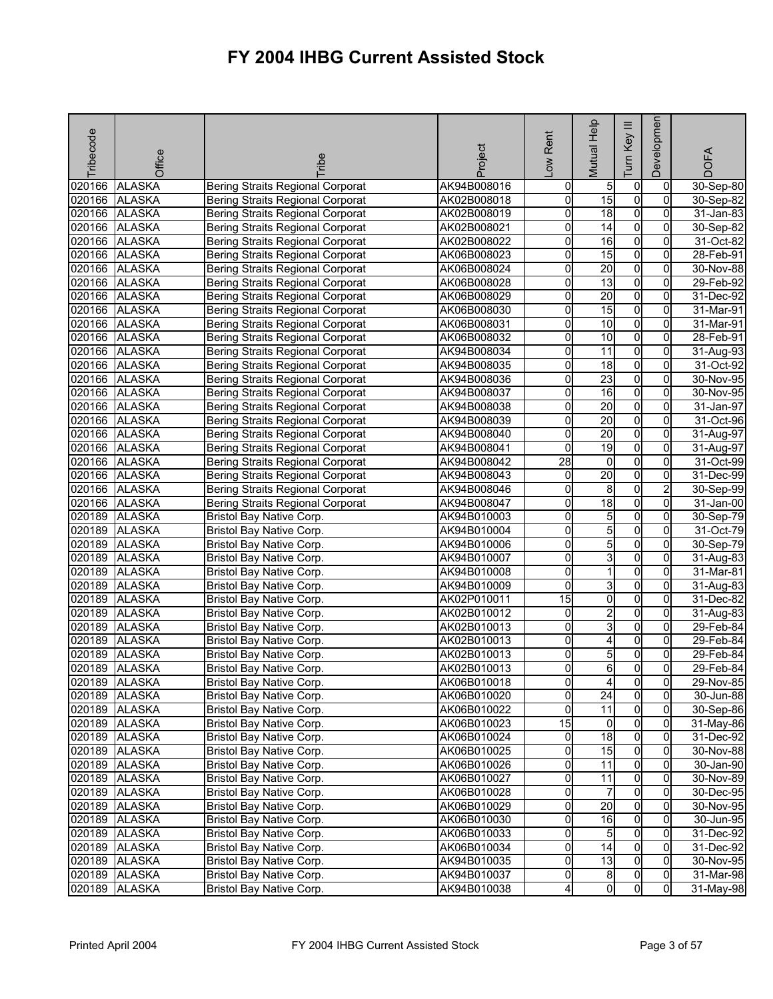| Tribecode | Office        | ribe                                    | Project     | Rent<br>Low         | Mutual Help     | Ξ<br>Key<br>Tum | Developmen     | <b>DOFA</b> |
|-----------|---------------|-----------------------------------------|-------------|---------------------|-----------------|-----------------|----------------|-------------|
| 020166    | <b>ALASKA</b> | <b>Bering Straits Regional Corporat</b> | AK94B008016 | $\mathsf{O}\xspace$ | 5               | $\overline{0}$  | 0              | 30-Sep-80   |
| 020166    | <b>ALASKA</b> | <b>Bering Straits Regional Corporat</b> | AK02B008018 | 0                   | 15              | $\overline{0}$  | $\Omega$       | 30-Sep-82   |
| 020166    | <b>ALASKA</b> | Bering Straits Regional Corporat        | AK02B008019 | 0                   | 18              | $\overline{0}$  | $\overline{0}$ | 31-Jan-83   |
| 020166    | <b>ALASKA</b> | <b>Bering Straits Regional Corporat</b> | AK02B008021 | 0                   | 14              | 0               | 0              | 30-Sep-82   |
| 020166    | <b>ALASKA</b> | <b>Bering Straits Regional Corporat</b> | AK02B008022 | 0                   | 16              | $\overline{0}$  | 0              | 31-Oct-82   |
| 020166    | <b>ALASKA</b> | <b>Bering Straits Regional Corporat</b> | AK06B008023 | 0                   | 15              | $\overline{0}$  | 0              | 28-Feb-91   |
| 020166    | <b>ALASKA</b> | <b>Bering Straits Regional Corporat</b> | AK06B008024 | 0                   | 20              | $\overline{0}$  | 0              | 30-Nov-88   |
| 020166    | <b>ALASKA</b> | <b>Bering Straits Regional Corporat</b> | AK06B008028 | 0                   | $\overline{13}$ | $\overline{0}$  | $\Omega$       | 29-Feb-92   |
| 020166    | <b>ALASKA</b> | <b>Bering Straits Regional Corporat</b> | AK06B008029 | 0                   | $\overline{20}$ | $\overline{0}$  | $\overline{0}$ | 31-Dec-92   |
| 020166    | <b>ALASKA</b> | <b>Bering Straits Regional Corporat</b> | AK06B008030 | 0                   | 15              | $\overline{0}$  | 0              | 31-Mar-91   |
| 020166    | <b>ALASKA</b> | <b>Bering Straits Regional Corporat</b> | AK06B008031 | 0                   | 10              | $\overline{0}$  | 0              | 31-Mar-91   |
| 020166    | <b>ALASKA</b> | <b>Bering Straits Regional Corporat</b> | AK06B008032 | 0                   | 10              | $\overline{0}$  | 0              | 28-Feb-91   |
| 020166    | <b>ALASKA</b> | <b>Bering Straits Regional Corporat</b> | AK94B008034 | 0                   | $\overline{11}$ | 0               | $\mathbf 0$    | 31-Aug-93   |
| 020166    | <b>ALASKA</b> | <b>Bering Straits Regional Corporat</b> | AK94B008035 | 0                   | 18              | 0               | $\Omega$       | 31-Oct-92   |
| 020166    | <b>ALASKA</b> | <b>Bering Straits Regional Corporat</b> | AK94B008036 | 0                   | $\overline{23}$ | O               | 0              | 30-Nov-95   |
| 020166    | <b>ALASKA</b> | <b>Bering Straits Regional Corporat</b> | AK94B008037 | 0                   | $\overline{16}$ | $\overline{0}$  | 0              | 30-Nov-95   |
| 020166    | <b>ALASKA</b> | <b>Bering Straits Regional Corporat</b> | AK94B008038 | 0                   | 20              | $\overline{0}$  | 0              | 31-Jan-97   |
| 020166    | <b>ALASKA</b> | <b>Bering Straits Regional Corporat</b> | AK94B008039 | 0                   | 20              | $\overline{0}$  | 0              | 31-Oct-96   |
| 020166    | <b>ALASKA</b> | <b>Bering Straits Regional Corporat</b> | AK94B008040 | 0                   | 20              | $\overline{0}$  | $\Omega$       | 31-Aug-97   |
| 020166    | <b>ALASKA</b> | <b>Bering Straits Regional Corporat</b> | AK94B008041 | 0                   | 19              | O               | $\overline{0}$ | 31-Aug-97   |
| 020166    | <b>ALASKA</b> | <b>Bering Straits Regional Corporat</b> | AK94B008042 | 28                  | 0               | $\overline{0}$  | 0              | 31-Oct-99   |
| 020166    | <b>ALASKA</b> | <b>Bering Straits Regional Corporat</b> | AK94B008043 | 0                   | 20              | $\overline{0}$  | 0              | 31-Dec-99   |
| 020166    | <b>ALASKA</b> | <b>Bering Straits Regional Corporat</b> | AK94B008046 | 0                   | 8               | $\overline{0}$  | $\overline{c}$ | 30-Sep-99   |
| 020166    | <b>ALASKA</b> | <b>Bering Straits Regional Corporat</b> | AK94B008047 | Ō                   | 18              | $\overline{0}$  | 0              | 31-Jan-00   |
| 020189    | <b>ALASKA</b> | Bristol Bay Native Corp.                | AK94B010003 | 0                   | 5               | $\overline{0}$  | $\Omega$       | 30-Sep-79   |
| 020189    | <b>ALASKA</b> | Bristol Bay Native Corp.                | AK94B010004 | 0                   | 5               | O               | 0              | 31-Oct-79   |
| 020189    | <b>ALASKA</b> | Bristol Bay Native Corp.                | AK94B010006 | 0                   | 5               | $\overline{0}$  | 0              | 30-Sep-79   |
| 020189    | <b>ALASKA</b> | <b>Bristol Bay Native Corp.</b>         | AK94B010007 | 0                   | 3               | $\overline{0}$  | 0              | 31-Aug-83   |
| 020189    | <b>ALASKA</b> | Bristol Bay Native Corp.                | AK94B010008 | 0                   | 1               | 0               | 0              | 31-Mar-81   |
| 020189    | <b>ALASKA</b> | Bristol Bay Native Corp.                | AK94B010009 | 0                   | ω               | 0               | 0              | 31-Aug-83   |
| 020189    | <b>ALASKA</b> | Bristol Bay Native Corp.                | AK02P010011 | 15                  | o               | O               | 0              | 31-Dec-82   |
| 020189    | <b>ALASKA</b> | Bristol Bay Native Corp.                | AK02B010012 | 0                   | $\overline{2}$  | $\overline{0}$  | 0              | 31-Aug-83   |
| 020189    | <b>ALASKA</b> | Bristol Bay Native Corp.                | AK02B010013 | 0                   | 3               | $\overline{0}$  | 0              | 29-Feb-84   |
| 020189    | <b>ALASKA</b> | Bristol Bay Native Corp.                | AK02B010013 | 0                   | 4               | $\overline{0}$  | $\overline{0}$ | 29-Feb-84   |
| 020189    | <b>ALASKA</b> | Bristol Bay Native Corp.                | AK02B010013 | 0                   | 5               | O               | 0              | 29-Feb-84   |
| 020189    | <b>ALASKA</b> | Bristol Bay Native Corp.                | AK02B010013 | 0                   | 6               | $\mathsf{o}$    | $\Omega$       | 29-Feb-84   |
|           | 020189 ALASKA | <b>Bristol Bay Native Corp.</b>         | AK06B010018 | 0                   | 41              | $\mathbf{0}$    | 01             | 29-Nov-85   |
|           | 020189 ALASKA | Bristol Bay Native Corp.                | AK06B010020 | 0                   | $\overline{24}$ | $\overline{0}$  | $\Omega$       | 30-Jun-88   |
|           | 020189 ALASKA | Bristol Bay Native Corp.                | AK06B010022 | 0                   | $\overline{11}$ | $\overline{0}$  | $\overline{0}$ | 30-Sep-86   |
|           | 020189 ALASKA | Bristol Bay Native Corp.                | AK06B010023 | $\overline{15}$     | $\overline{0}$  | $\overline{0}$  | $\overline{0}$ | 31-May-86   |
|           | 020189 ALASKA | Bristol Bay Native Corp.                | AK06B010024 | 0                   | 18              | $\overline{0}$  | 0              | 31-Dec-92   |
|           | 020189 ALASKA | Bristol Bay Native Corp.                | AK06B010025 | o                   | 15              | $\overline{0}$  | $\overline{0}$ | 30-Nov-88   |
|           | 020189 ALASKA | Bristol Bay Native Corp.                | AK06B010026 | 0                   | 11              | $\overline{0}$  | $\overline{0}$ | 30-Jan-90   |
|           | 020189 ALASKA | Bristol Bay Native Corp.                | AK06B010027 | 0                   | 11              | $\overline{0}$  | 0              | 30-Nov-89   |
|           | 020189 ALASKA | Bristol Bay Native Corp.                | AK06B010028 | $\mathsf{O}\xspace$ | $\overline{7}$  | $\overline{0}$  | $\overline{0}$ | 30-Dec-95   |
|           | 020189 ALASKA | Bristol Bay Native Corp.                | AK06B010029 | 0                   | 20              | 0               | 0              | 30-Nov-95   |
|           | 020189 ALASKA | Bristol Bay Native Corp.                | AK06B010030 | 0                   | 16              | 0               | $\mathbf{0}$   | 30-Jun-95   |
|           | 020189 ALASKA | Bristol Bay Native Corp.                | AK06B010033 | 0                   | $5\overline{)}$ | $\overline{0}$  | 0l             | 31-Dec-92   |
|           | 020189 ALASKA | Bristol Bay Native Corp.                | AK06B010034 | 0                   | 14              | $\overline{0}$  | $\mathbf{0}$   | 31-Dec-92   |
|           | 020189 ALASKA | Bristol Bay Native Corp.                | AK94B010035 | 0                   | 13              | $\overline{0}$  | $\mathbf{0}$   | 30-Nov-95   |
|           | 020189 ALASKA | Bristol Bay Native Corp.                | AK94B010037 | 0                   | 8               | $\overline{0}$  | $\overline{0}$ | 31-Mar-98   |
| 020189    | <b>ALASKA</b> | Bristol Bay Native Corp.                | AK94B010038 | 4                   | $\overline{0}$  | 0               | $\overline{0}$ | 31-May-98   |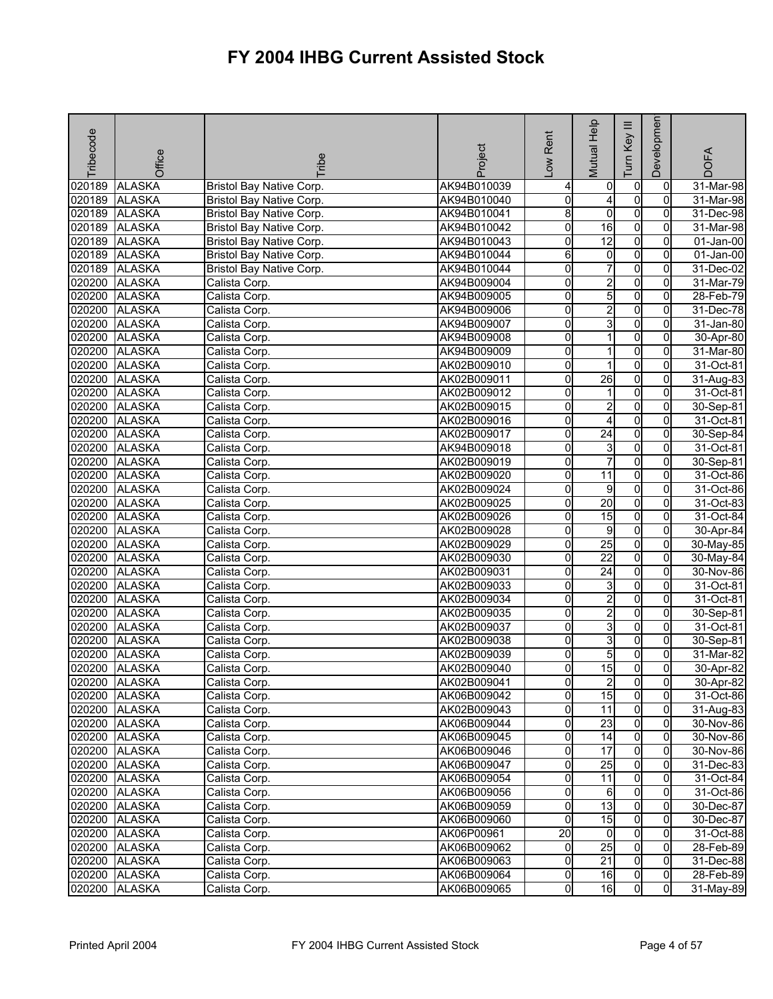| Tribecode     | Office        | <b>Fribe</b>                    | Project     | -ow Rent            | Mutual Help     | Ξ<br>Key<br>E  | Developmen     | <b>DOFA</b> |
|---------------|---------------|---------------------------------|-------------|---------------------|-----------------|----------------|----------------|-------------|
| 020189        | <b>ALASKA</b> | Bristol Bay Native Corp.        | AK94B010039 | 4                   | 0               | $\overline{0}$ | 0              | 31-Mar-98   |
| 020189        | <b>ALASKA</b> | <b>Bristol Bay Native Corp.</b> | AK94B010040 | o                   | 4               | $\overline{0}$ | $\Omega$       | $31-Mar-98$ |
| 020189        | <b>ALASKA</b> | Bristol Bay Native Corp.        | AK94B010041 | 8                   | $\overline{0}$  | $\overline{0}$ | $\overline{0}$ | 31-Dec-98   |
| 020189        | <b>ALASKA</b> | Bristol Bay Native Corp.        | AK94B010042 | 0                   | 16              | $\overline{0}$ | 0              | 31-Mar-98   |
| 020189        | <b>ALASKA</b> | <b>Bristol Bay Native Corp.</b> | AK94B010043 | 0                   | 12              | $\overline{0}$ | 0              | 01-Jan-00   |
| 020189        | <b>ALASKA</b> | Bristol Bay Native Corp.        | AK94B010044 | 6                   | $\overline{0}$  | $\overline{0}$ | $\overline{0}$ | 01-Jan-00   |
| 020189        | <b>ALASKA</b> | Bristol Bay Native Corp.        | AK94B010044 | Ō                   | $\overline{7}$  | $\overline{0}$ | 0              | 31-Dec-02   |
| 020200        | <b>ALASKA</b> | Calista Corp.                   | AK94B009004 | o                   | $\overline{2}$  | $\overline{0}$ | $\overline{0}$ | 31-Mar-79   |
| 020200        | <b>ALASKA</b> | Calista Corp.                   | AK94B009005 | 0                   | 5               | $\overline{0}$ | 0              | 28-Feb-79   |
| 020200        | <b>ALASKA</b> | Calista Corp.                   | AK94B009006 | 0                   | $\overline{2}$  | $\overline{0}$ | 0              | 31-Dec-78   |
| 020200        | <b>ALASKA</b> | Calista Corp.                   | AK94B009007 | o                   | 3               | $\overline{0}$ | 0              | 31-Jan-80   |
| 020200        | <b>ALASKA</b> | Calista Corp.                   | AK94B009008 | 0                   | 1               | 0              | 0              | 30-Apr-80   |
| 020200        | <b>ALASKA</b> | Calista Corp.                   | AK94B009009 | 0                   |                 | 0              | 0              | 31-Mar-80   |
| 020200        | <b>ALASKA</b> | Calista Corp.                   | AK02B009010 | 0                   | 1               | 0              | 0              | 31-Oct-81   |
| 020200        | <b>ALASKA</b> | Calista Corp.                   | AK02B009011 | 0                   | $\overline{26}$ | $\overline{0}$ | 0              | 31-Aug-83   |
| 020200        | <b>ALASKA</b> | Calista Corp.                   | AK02B009012 | 0                   | 1               | $\overline{0}$ | 0              | 31-Oct-81   |
| 020200        | <b>ALASKA</b> | Calista Corp.                   | AK02B009015 | 0                   | $\overline{2}$  | $\overline{0}$ | $\overline{0}$ | 30-Sep-81   |
| 020200        | <b>ALASKA</b> | Calista Corp.                   | AK02B009016 | 0                   | 4               | $\overline{0}$ | 0              | 31-Oct-81   |
| 020200 ALASKA |               | Calista Corp.                   | AK02B009017 | o                   | $\overline{24}$ | $\overline{0}$ | $\overline{0}$ | 30-Sep-84   |
| 020200        | <b>ALASKA</b> | Calista Corp.                   | AK94B009018 | 0                   | 3               | O              | $\overline{0}$ | 31-Oct-81   |
| 020200        | <b>ALASKA</b> | Calista Corp.                   | AK02B009019 | 0                   | 7               | $\overline{0}$ | 0              | 30-Sep-81   |
| 020200        | <b>ALASKA</b> | Calista Corp.                   | AK02B009020 | 0                   | 11              | $\overline{0}$ | 0              | 31-Oct-86   |
| 020200        | <b>ALASKA</b> | Calista Corp.                   | AK02B009024 | 0                   | 9               | O              | 0              | 31-Oct-86   |
| 020200        | <b>ALASKA</b> | Calista Corp.                   | AK02B009025 | 0                   | $\overline{20}$ | $\overline{0}$ | 0              | 31-Oct-83   |
| 020200        | <b>ALASKA</b> | Calista Corp.                   | AK02B009026 | 0                   | 15              | O              | $\Omega$       | 31-Oct-84   |
| 020200        | <b>ALASKA</b> | Calista Corp.                   | AK02B009028 | 0                   | 9               | $\overline{0}$ | 0              | 30-Apr-84   |
| 020200        | <b>ALASKA</b> | Calista Corp.                   | AK02B009029 | 0                   | $\overline{25}$ | $\overline{0}$ | 0              | 30-May-85   |
| 020200        | <b>ALASKA</b> | Calista Corp.                   | AK02B009030 | 0                   | $\overline{22}$ | $\overline{0}$ | $\overline{0}$ | 30-May-84   |
| 020200        | <b>ALASKA</b> | Calista Corp.                   | AK02B009031 | 0                   | $\overline{24}$ | $\overline{0}$ | 0              | 30-Nov-86   |
| 020200        | <b>ALASKA</b> | Calista Corp.                   | AK02B009033 | 0                   | ω               | 0              | $\Omega$       | 31-Oct-81   |
| 020200        | <b>ALASKA</b> | Calista Corp.                   | AK02B009034 | 0                   | $\overline{2}$  | $\overline{0}$ | $\overline{0}$ | 31-Oct-81   |
| 020200        | <b>ALASKA</b> | Calista Corp.                   | AK02B009035 | 0                   | $\overline{2}$  | $\overline{0}$ | 0              | 30-Sep-81   |
| 020200        | <b>ALASKA</b> | Calista Corp.                   | AK02B009037 | 0                   | ω               | $\overline{0}$ | $\overline{0}$ | 31-Oct-81   |
| 020200        | <b>ALASKA</b> | Calista Corp.                   | AK02B009038 | 0                   | $\overline{3}$  | 0              | 0              | 30-Sep-81   |
| 020200        | <b>ALASKA</b> | Calista Corp.                   | AK02B009039 | 0                   | 5               | 0              | 0              | 31-Mar-82   |
| 020200        | <b>ALASKA</b> | Calista Corp.                   | AK02B009040 | 0                   | 15              | $\mathsf{o}$   | $\overline{0}$ | 30-Apr-82   |
|               | 020200 ALASKA | Calista Corp.                   | AK02B009041 | 이                   | $\mathbf{z}$    | 01             | 01             | 30-Apr-82   |
|               | 020200 ALASKA | Calista Corp.                   | AK06B009042 | 0                   | 15              | $\overline{0}$ | $\mathbf{0}$   | 31-Oct-86   |
|               | 020200 ALASKA | Calista Corp.                   | AK02B009043 | 0                   | 11              | $\overline{0}$ | $\mathbf{0}$   | 31-Aug-83   |
|               | 020200 ALASKA | Calista Corp.                   | AK06B009044 | 0                   | 23              | $\overline{0}$ | $\overline{0}$ | 30-Nov-86   |
|               | 020200 ALASKA | Calista Corp.                   | AK06B009045 | 0                   | 14              | 0              | 0              | 30-Nov-86   |
|               | 020200 ALASKA | Calista Corp.                   | AK06B009046 | 0                   | 17              | $\overline{0}$ | $\mathbf{0}$   | 30-Nov-86   |
|               | 020200 ALASKA | Calista Corp.                   | AK06B009047 | 0                   | 25              | $\overline{0}$ | $\Omega$       | 31-Dec-83   |
|               | 020200 ALASKA | Calista Corp.                   | AK06B009054 | $\mathsf{O}\xspace$ | 11              | $\overline{0}$ | $\overline{0}$ | 31-Oct-84   |
|               | 020200 ALASKA | Calista Corp.                   | AK06B009056 | $\mathsf{O}\xspace$ | 6               | $\overline{0}$ | $\overline{0}$ | 31-Oct-86   |
|               | 020200 ALASKA | Calista Corp.                   | AK06B009059 | 0                   | 13              | $\overline{0}$ | 0              | 30-Dec-87   |
|               | 020200 ALASKA | Calista Corp.                   | AK06B009060 | $\mathbf 0$         | 15              | $\overline{0}$ | $\Omega$       | 30-Dec-87   |
|               | 020200 ALASKA | Calista Corp.                   | AK06P00961  | $\overline{20}$     | $\overline{0}$  | 0              | 0              | 31-Oct-88   |
|               | 020200 ALASKA | Calista Corp.                   | AK06B009062 | 0                   | 25              | $\overline{0}$ | 0              | 28-Feb-89   |
|               | 020200 ALASKA | Calista Corp.                   | AK06B009063 | 0                   | 21              | $\overline{0}$ | $\mathbf{0}$   | 31-Dec-88   |
|               | 020200 ALASKA | Calista Corp.                   | AK06B009064 | 0                   | 16              | 0              | $\overline{0}$ | 28-Feb-89   |
|               | 020200 ALASKA | Calista Corp.                   | AK06B009065 | 0                   | 16              | 0              | $\overline{0}$ | 31-May-89   |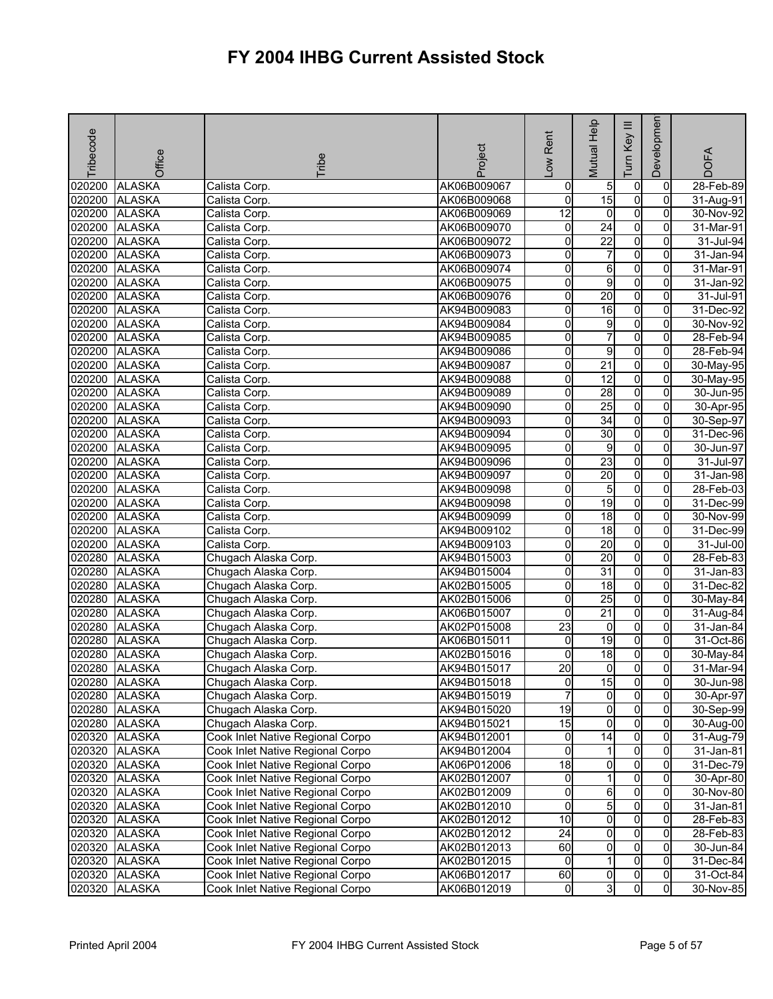| Tribecode | Office        | Tribe                            | Project     | Rent<br>$\sum_{i=1}^{n}$ | Mutual Help     | Ξ<br>Tum Key   | Developmen     | <b>DOFA</b>   |
|-----------|---------------|----------------------------------|-------------|--------------------------|-----------------|----------------|----------------|---------------|
| 020200    | <b>ALASKA</b> | Calista Corp.                    | AK06B009067 | 0                        | 5               | 0              | 0              | 28-Feb-89     |
| 020200    | <b>ALASKA</b> | Calista Corp.                    | AK06B009068 | o                        | 15              | $\overline{0}$ | $\overline{0}$ | 31-Aug-91     |
| 020200    | <b>ALASKA</b> | Calista Corp.                    | AK06B009069 | 12                       | 0               | $\overline{0}$ | 0              | 30-Nov-92     |
| 020200    | <b>ALASKA</b> | Calista Corp.                    | AK06B009070 | 0                        | $\overline{24}$ | $\overline{0}$ | 0              | 31-Mar-91     |
| 020200    | <b>ALASKA</b> | Calista Corp.                    | AK06B009072 | 0                        | $\overline{22}$ | $\overline{0}$ | 0              | $31$ -Jul-94  |
| 020200    | <b>ALASKA</b> | Calista Corp.                    | AK06B009073 | 0                        | $\overline{7}$  | O              | 0              | 31-Jan-94     |
| 020200    | <b>ALASKA</b> | Calista Corp.                    | AK06B009074 | 0                        | 6               | $\overline{0}$ | 0              | 31-Mar-91     |
| 020200    | <b>ALASKA</b> | Calista Corp.                    | AK06B009075 | Ō                        | g               | $\overline{0}$ | $\overline{0}$ | 31-Jan-92     |
| 020200    | <b>ALASKA</b> | Calista Corp.                    | AK06B009076 | 0                        | 20              | $\overline{0}$ | 0              | 31-Jul-91     |
| 020200    | <b>ALASKA</b> | Calista Corp.                    | AK94B009083 | 0                        | 16              | $\overline{0}$ | 0              | 31-Dec-92     |
| 020200    | <b>ALASKA</b> | Calista Corp.                    | AK94B009084 | 0                        | 9               | $\overline{0}$ | 0              | 30-Nov-92     |
| 020200    | <b>ALASKA</b> | Calista Corp.                    | AK94B009085 | 0                        | 7               | $\overline{0}$ | 0              | 28-Feb-94     |
|           | 020200 ALASKA | Calista Corp.                    | AK94B009086 | 0                        | 9               | 0              | $\Omega$       | 28-Feb-94     |
|           | 020200 ALASKA | Calista Corp.                    | AK94B009087 | 0                        | $\overline{21}$ | $\overline{0}$ | $\overline{0}$ | 30-May-95     |
| 020200    | <b>ALASKA</b> | Calista Corp.                    | AK94B009088 | 0                        | 12              | $\overline{0}$ | 0              | $30$ -May-95  |
| 020200    | <b>ALASKA</b> | Calista Corp.                    | AK94B009089 | 0                        | 28              | $\overline{0}$ | $\overline{0}$ | 30-Jun-95     |
| 020200    | <b>ALASKA</b> | Calista Corp.                    | AK94B009090 | 0                        | 25              | $\overline{0}$ | 0              | 30-Apr-95     |
| 020200    | <b>ALASKA</b> | Calista Corp.                    | AK94B009093 | 0                        | $\overline{34}$ | $\overline{0}$ | 0              | 30-Sep-97     |
| 020200    | <b>ALASKA</b> | Calista Corp.                    | AK94B009094 | 0                        | 30              | $\overline{0}$ | $\overline{0}$ | 31-Dec-96     |
| 020200    | <b>ALASKA</b> | Calista Corp.                    | AK94B009095 | 0                        | 9               | 0              | 0              | 30-Jun-97     |
| 020200    | <b>ALASKA</b> | Calista Corp.                    | AK94B009096 | 0                        | 23              | 0              | 0              | 31-Jul-97     |
| 020200    | <b>ALASKA</b> | Calista Corp.                    | AK94B009097 | 0                        | 20              | $\overline{0}$ | 0              | 31-Jan-98     |
| 020200    | <b>ALASKA</b> | Calista Corp.                    | AK94B009098 | 0                        | 5               | $\overline{0}$ | 0              | 28-Feb-03     |
| 020200    | <b>ALASKA</b> | Calista Corp.                    | AK94B009098 | 0                        | 19              | $\overline{0}$ | $\Omega$       | 31-Dec-99     |
| 020200    | <b>ALASKA</b> | Calista Corp.                    | AK94B009099 | 0                        | 18              | $\overline{0}$ | $\overline{0}$ | 30-Nov-99     |
| 020200    | <b>ALASKA</b> | Calista Corp.                    | AK94B009102 | 0                        | 18              | $\overline{0}$ | $\Omega$       | 31-Dec-99     |
| 020200    | <b>ALASKA</b> | Calista Corp.                    | AK94B009103 | 0                        | 20              | $\overline{0}$ | $\overline{0}$ | 31-Jul-00     |
| 020280    | <b>ALASKA</b> | Chugach Alaska Corp.             | AK94B015003 | 0                        | 20              | $\overline{0}$ | $\mathbf{0}$   | 28-Feb-83     |
| 020280    | <b>ALASKA</b> | Chugach Alaska Corp.             | AK94B015004 | 0                        | $\overline{31}$ | 0              | $\mathbf 0$    | 31-Jan-83     |
| 020280    | <b>ALASKA</b> | Chugach Alaska Corp.             | AK02B015005 | 0                        | 18              | $\overline{0}$ | $\Omega$       | 31-Dec-82     |
| 020280    | <b>ALASKA</b> | Chugach Alaska Corp.             | AK02B015006 | 0                        | $\overline{25}$ | O              | 0              | 30-May-84     |
| 020280    | <b>ALASKA</b> | Chugach Alaska Corp.             | AK06B015007 | 0                        | $\overline{21}$ | $\overline{0}$ | 0              | 31-Aug-84     |
| 020280    | <b>ALASKA</b> | Chugach Alaska Corp.             | AK02P015008 | 23                       | $\overline{0}$  | $\overline{0}$ | 0              | 31-Jan-84     |
| 020280    | <b>ALASKA</b> | Chugach Alaska Corp.             | AK06B015011 | 0                        | 19              | $\overline{0}$ | 0              | 31-Oct-86     |
| 020280    | <b>ALASKA</b> | Chugach Alaska Corp.             | AK02B015016 | 0                        | 18              | O              | 0              | $30 - May-84$ |
| 020280    | <b>ALASKA</b> | Chugach Alaska Corp.             | AK94B015017 | $\overline{20}$          | $\overline{0}$  | 0l             | Οl             | 31-Mar-94     |
|           | 020280 ALASKA | Chugach Alaska Corp.             | AK94B015018 | 0                        | 15              | $\overline{0}$ | $\overline{0}$ | 30-Jun-98     |
|           | 020280 ALASKA | Chugach Alaska Corp.             | AK94B015019 | 7                        | $\overline{0}$  | $\overline{0}$ | 0              | 30-Apr-97     |
|           | 020280 ALASKA | Chugach Alaska Corp.             | AK94B015020 | $\overline{19}$          | $\overline{0}$  | $\overline{0}$ | $\overline{0}$ | 30-Sep-99     |
|           | 020280 ALASKA | Chugach Alaska Corp.             | AK94B015021 | 15                       | 0               | $\overline{0}$ | 0              | 30-Aug-00     |
|           | 020320 ALASKA | Cook Inlet Native Regional Corpo | AK94B012001 | 0                        | $\overline{14}$ | $\overline{0}$ | $\overline{0}$ | 31-Aug-79     |
|           | 020320 ALASKA | Cook Inlet Native Regional Corpo | AK94B012004 | 0                        | 1               | 0              | 0              | 31-Jan-81     |
|           | 020320 ALASKA | Cook Inlet Native Regional Corpo | AK06P012006 | $\frac{1}{8}$            | 0               | $\overline{0}$ | $\mathbf{0}$   | 31-Dec-79     |
|           | 020320 ALASKA | Cook Inlet Native Regional Corpo | AK02B012007 | $\mathsf{O}\xspace$      | 1               | $\overline{0}$ | 0              | 30-Apr-80     |
|           | 020320 ALASKA | Cook Inlet Native Regional Corpo | AK02B012009 | 0                        | $6 \,$          | $\overline{0}$ | $\overline{0}$ | 30-Nov-80     |
|           | 020320 ALASKA | Cook Inlet Native Regional Corpo | AK02B012010 | 0                        | 5               | $\overline{0}$ | 0              | 31-Jan-81     |
|           | 020320 ALASKA | Cook Inlet Native Regional Corpo | AK02B012012 | 10                       | $\overline{0}$  | $\overline{0}$ | $\overline{0}$ | 28-Feb-83     |
|           | 020320 ALASKA | Cook Inlet Native Regional Corpo | AK02B012012 | 24                       | $\overline{0}$  | $\overline{0}$ | 0              | 28-Feb-83     |
|           | 020320 ALASKA | Cook Inlet Native Regional Corpo | AK02B012013 | 60                       | 0               | $\overline{0}$ | 0              | 30-Jun-84     |
|           | 020320 ALASKA | Cook Inlet Native Regional Corpo | AK02B012015 | 0                        | 1               | $\overline{0}$ | $\overline{0}$ | 31-Dec-84     |
|           | 020320 ALASKA | Cook Inlet Native Regional Corpo | AK06B012017 | 60                       | 0               | $\overline{0}$ | $\overline{0}$ | 31-Oct-84     |
|           | 020320 ALASKA | Cook Inlet Native Regional Corpo | AK06B012019 | $\overline{0}$           | ω               | $\overline{0}$ | $\overline{0}$ | 30-Nov-85     |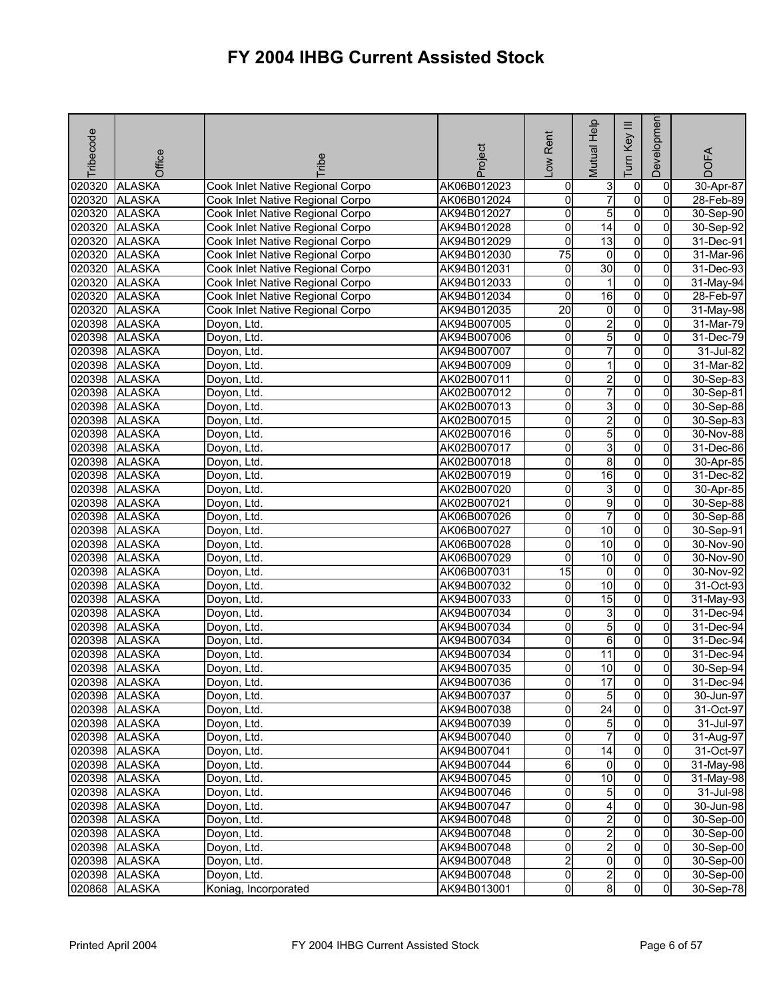| Tribecode | Office        | ribe                             | Project     | Rent<br>Low         | Mutual Help             | Ξ<br>Key<br>E  | Developmen     | <b>DOFA</b> |
|-----------|---------------|----------------------------------|-------------|---------------------|-------------------------|----------------|----------------|-------------|
| 020320    | <b>ALASKA</b> | Cook Inlet Native Regional Corpo | AK06B012023 | 0                   | 3                       | $\overline{0}$ | 0              | 30-Apr-87   |
| 020320    | <b>ALASKA</b> | Cook Inlet Native Regional Corpo | AK06B012024 | 0                   | $\overline{7}$          | $\overline{0}$ | $\Omega$       | 28-Feb-89   |
| 020320    | <b>ALASKA</b> | Cook Inlet Native Regional Corpo | AK94B012027 | 0                   | 5                       | $\overline{0}$ | $\overline{0}$ | 30-Sep-90   |
| 020320    | <b>ALASKA</b> | Cook Inlet Native Regional Corpo | AK94B012028 | 0                   | $\overline{14}$         | 0              | 0              | 30-Sep-92   |
| 020320    | <b>ALASKA</b> | Cook Inlet Native Regional Corpo | AK94B012029 | 0                   | 13                      | $\overline{0}$ | 0              | 31-Dec-91   |
| 020320    | <b>ALASKA</b> | Cook Inlet Native Regional Corpo | AK94B012030 | 75                  | $\overline{0}$          | $\overline{0}$ | 0              | 31-Mar-96   |
| 020320    | <b>ALASKA</b> | Cook Inlet Native Regional Corpo | AK94B012031 | 0                   | 30                      | $\overline{0}$ | 0              | 31-Dec-93   |
| 020320    | <b>ALASKA</b> | Cook Inlet Native Regional Corpo | AK94B012033 | 0                   | 1                       | ō              | 0              | 31-May-94   |
| 020320    | <b>ALASKA</b> | Cook Inlet Native Regional Corpo | AK94B012034 | 0                   | $\overline{16}$         | $\overline{0}$ | $\overline{0}$ | 28-Feb-97   |
| 020320    | <b>ALASKA</b> | Cook Inlet Native Regional Corpo | AK94B012035 | $\overline{20}$     | 0                       | $\overline{0}$ | 0              | 31-May-98   |
| 020398    | <b>ALASKA</b> | Doyon, Ltd.                      | AK94B007005 | 0                   | $\overline{2}$          | $\overline{0}$ | $\overline{0}$ | 31-Mar-79   |
| 020398    | <b>ALASKA</b> | Doyon, Ltd.                      | AK94B007006 | o                   | 5                       | $\overline{0}$ | $\overline{0}$ | 31-Dec-79   |
| 020398    | <b>ALASKA</b> | Doyon, Ltd.                      | AK94B007007 | 0                   | $\overline{7}$          | 0              | $\mathbf 0$    | 31-Jul-82   |
| 020398    | <b>ALASKA</b> | Doyon, Ltd.                      | AK94B007009 | 0                   | 1                       | $\overline{0}$ | $\Omega$       | 31-Mar-82   |
| 020398    | <b>ALASKA</b> | Doyon, Ltd.                      | AK02B007011 | 0                   | $\overline{c}$          | O              | 0              | 30-Sep-83   |
| 020398    | <b>ALASKA</b> | Doyon, Ltd.                      | AK02B007012 | 0                   | 7                       | $\overline{0}$ | 0              | 30-Sep-81   |
| 020398    | <b>ALASKA</b> | Doyon, Ltd.                      | AK02B007013 | $\overline{0}$      | 3                       | $\overline{0}$ | 0              | 30-Sep-88   |
| 020398    | <b>ALASKA</b> | Doyon, Ltd.                      | AK02B007015 | 0                   | $\overline{2}$          | $\overline{0}$ | 0              | 30-Sep-83   |
| 020398    | <b>ALASKA</b> | Doyon, Ltd.                      | AK02B007016 | 0                   | 5                       | ō              | $\Omega$       | 30-Nov-88   |
| 020398    | <b>ALASKA</b> | Doyon, Ltd.                      | AK02B007017 | 0                   | 3                       | O              | $\overline{0}$ | 31-Dec-86   |
| 020398    | <b>ALASKA</b> | Doyon, Ltd.                      | AK02B007018 | 0                   | 8                       | $\overline{0}$ | 0              | 30-Apr-85   |
| 020398    | <b>ALASKA</b> | Doyon, Ltd.                      | AK02B007019 | 0                   | 16                      | $\overline{0}$ | 0              | 31-Dec-82   |
| 020398    | <b>ALASKA</b> | Doyon, Ltd.                      | AK02B007020 | 0                   | ω                       | $\overline{0}$ | 0              | 30-Apr-85   |
| 020398    | <b>ALASKA</b> | Doyon, Ltd.                      | AK02B007021 | Ō                   | 9                       | $\overline{0}$ | 0              | 30-Sep-88   |
| 020398    | <b>ALASKA</b> | Doyon, Ltd.                      | AK06B007026 | 0                   | $\overline{7}$          | $\overline{0}$ | $\Omega$       | 30-Sep-88   |
| 020398    | <b>ALASKA</b> | Doyon, Ltd.                      | AK06B007027 | 0                   | $\overline{10}$         | O              | 0              | 30-Sep-91   |
| 020398    | <b>ALASKA</b> | Doyon, Ltd.                      | AK06B007028 | 0                   | 10                      | $\overline{0}$ | 0              | 30-Nov-90   |
| 020398    | <b>ALASKA</b> | Doyon, Ltd.                      | AK06B007029 | 0                   | 10                      | $\overline{0}$ | 0              | 30-Nov-90   |
| 020398    | <b>ALASKA</b> | Doyon, Ltd.                      | AK06B007031 | 15                  | $\overline{0}$          | 0              | 0              | 30-Nov-92   |
| 020398    | <b>ALASKA</b> | Doyon, Ltd.                      | AK94B007032 | 0                   | 10                      | 0              | 0              | 31-Oct-93   |
| 020398    | <b>ALASKA</b> | Doyon, Ltd.                      | AK94B007033 | 0                   | 15                      | O              | 0              | 31-May-93   |
| 020398    | <b>ALASKA</b> | Doyon, Ltd.                      | AK94B007034 | 0                   | 3                       | $\overline{0}$ | 0              | 31-Dec-94   |
| 020398    | <b>ALASKA</b> | Doyon, Ltd.                      | AK94B007034 | 0                   | 5                       | $\overline{0}$ | 0              | 31-Dec-94   |
| 020398    | <b>ALASKA</b> | Doyon, Ltd.                      | AK94B007034 | 0                   | 6                       | $\overline{0}$ | $\overline{0}$ | 31-Dec-94   |
| 020398    | <b>ALASKA</b> | Doyon, Ltd.                      | AK94B007034 | 0                   | 11                      | $\overline{0}$ | 0              | 31-Dec-94   |
| 020398    | <b>ALASKA</b> | Doyon, Ltd.                      | AK94B007035 | 0                   | $\overline{10}$         | $\mathbf{0}$   | $\Omega$       | 30-Sep-94   |
|           | 020398 ALASKA | Doyon, Ltd.                      | AK94B007036 | 0                   | 17                      | 01             | 01             | 31-Dec-94   |
|           | 020398 ALASKA | Doyon, Ltd.                      | AK94B007037 | 0                   | 5                       | $\overline{0}$ | $\Omega$       | 30-Jun-97   |
|           | 020398 ALASKA | Doyon, Ltd.                      | AK94B007038 | 0                   | 24                      | $\overline{0}$ | $\overline{0}$ | 31-Oct-97   |
|           | 020398 ALASKA | Doyon, Ltd.                      | AK94B007039 | 0                   | 5                       | $\overline{0}$ | 0              | 31-Jul-97   |
|           | 020398 ALASKA | Doyon, Ltd.                      | AK94B007040 | 0                   | 7                       | $\overline{0}$ | $\Omega$       | 31-Aug-97   |
|           | 020398 ALASKA | Doyon, Ltd.                      | AK94B007041 | o                   | $\overline{14}$         | $\overline{0}$ | $\Omega$       | 31-Oct-97   |
|           | 020398 ALASKA | Doyon, Ltd.                      | AK94B007044 | 6                   | $\overline{0}$          | $\overline{0}$ | 0              | 31-May-98   |
|           | 020398 ALASKA | Doyon, Ltd.                      | AK94B007045 | 0                   | $\overline{10}$         | $\overline{0}$ | $\overline{0}$ | 31-May-98   |
|           | 020398 ALASKA | Doyon, Ltd.                      | AK94B007046 | $\mathsf{O}\xspace$ | $5\overline{)}$         | $\overline{0}$ | $\mathbf{0}$   | 31-Jul-98   |
|           | 020398 ALASKA | Doyon, Ltd.                      | AK94B007047 | 0                   | 4                       | 0              | $\overline{0}$ | 30-Jun-98   |
|           | 020398 ALASKA | Doyon, Ltd.                      | AK94B007048 | 0                   | $\overline{2}$          | $\overline{0}$ | 0              | 30-Sep-00   |
|           | 020398 ALASKA | Doyon, Ltd.                      | AK94B007048 | 0                   | 2                       | $\overline{0}$ | $\Omega$       | 30-Sep-00   |
|           | 020398 ALASKA | Doyon, Ltd.                      | AK94B007048 | 0                   | 2                       | $\overline{0}$ | $\mathbf{0}$   | 30-Sep-00   |
|           | 020398 ALASKA | Doyon, Ltd.                      | AK94B007048 | $\overline{2}$      | $\overline{0}$          | $\overline{0}$ | $\overline{0}$ | 30-Sep-00   |
|           | 020398 ALASKA | Doyon, Ltd.                      | AK94B007048 | 0                   | $\overline{\mathbf{c}}$ | $\overline{0}$ | $\overline{0}$ | 30-Sep-00   |
|           | 020868 ALASKA | Koniag, Incorporated             | AK94B013001 | $\overline{0}$      | 8                       | $\mathbf{0}$   | $\overline{0}$ | 30-Sep-78   |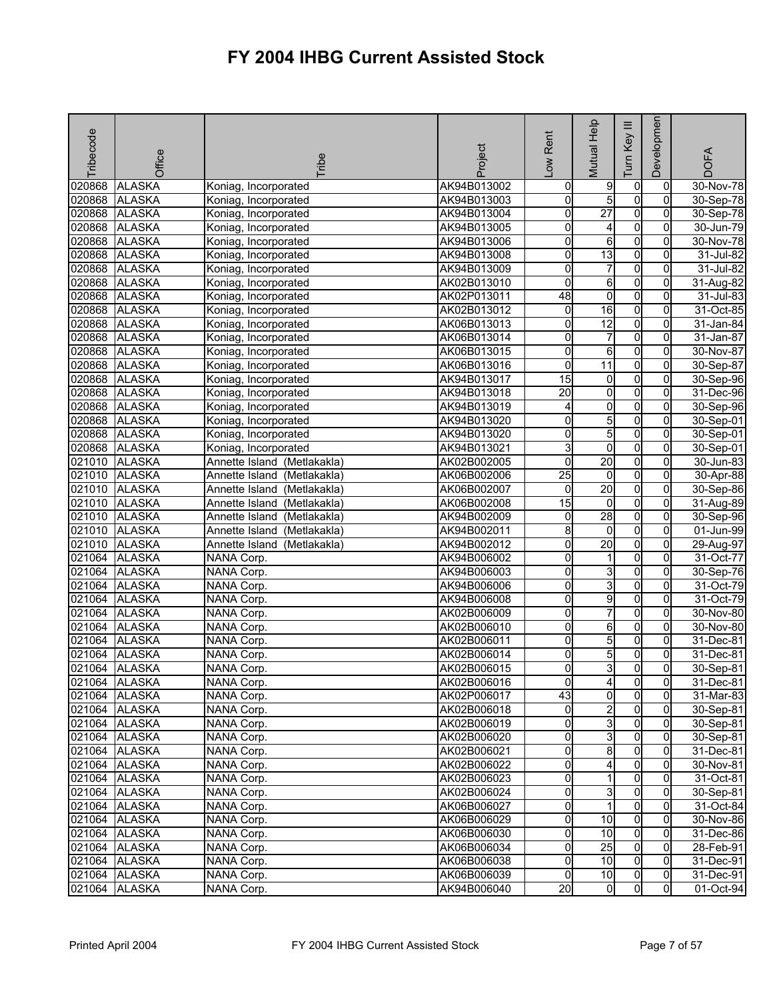| Tribecode | Office        | <b>Fribe</b>                                | Project     | -ow Rent        | Mutual Help             | $\equiv$<br>Key<br>lum | Developmen     | <b>DOFA</b>  |
|-----------|---------------|---------------------------------------------|-------------|-----------------|-------------------------|------------------------|----------------|--------------|
| 020868    | <b>ALASKA</b> | Koniag, Incorporated                        | AK94B013002 | 0               | 9                       | 0                      | 0              | 30-Nov-78    |
| 020868    | <b>ALASKA</b> | Koniag, Incorporated                        | AK94B013003 | o               | 5                       | $\overline{0}$         | $\mathbf 0$    | 30-Sep-78    |
| 020868    | <b>ALASKA</b> | Koniag, Incorporated                        | AK94B013004 | 0               | $\overline{27}$         | $\overline{0}$         | $\overline{0}$ | 30-Sep-78    |
| 020868    | <b>ALASKA</b> | Koniag, Incorporated                        | AK94B013005 | 0               | 4                       | $\overline{0}$         | 0              | 30-Jun-79    |
| 020868    | <b>ALASKA</b> | Koniag, Incorporated                        | AK94B013006 | 0               | 6                       | $\overline{0}$         | 0              | 30-Nov-78    |
| 020868    | <b>ALASKA</b> | Koniag, Incorporated                        | AK94B013008 | 0               | 13                      | $\overline{0}$         | 0              | 31-Jul-82    |
| 020868    | <b>ALASKA</b> | Koniag, Incorporated                        | AK94B013009 | 0               | $\overline{7}$          | $\overline{0}$         | $\mathbf 0$    | 31-Jul-82    |
| 020868    | <b>ALASKA</b> | Koniag, Incorporated                        | AK02B013010 | $\overline{0}$  | 6                       | $\overline{0}$         | $\Omega$       | 31-Aug-82    |
| 020868    | <b>ALASKA</b> | Koniag, Incorporated                        | AK02P013011 | 48              | 0                       | 0                      | 0              | 31-Jul-83    |
| 020868    | <b>ALASKA</b> | Koniag, Incorporated                        | AK02B013012 | 0               | $\overline{16}$         | $\overline{0}$         | 0              | 31-Oct-85    |
| 020868    | <b>ALASKA</b> | Koniag, Incorporated                        | AK06B013013 | $\overline{0}$  | 12                      | $\overline{0}$         | 0              | 31-Jan-84    |
| 020868    | <b>ALASKA</b> | Koniag, Incorporated                        | AK06B013014 | 0               | 7                       | O                      | 0              | 31-Jan-87    |
| 020868    | <b>ALASKA</b> | Koniag, Incorporated                        | AK06B013015 | 0               | 6                       | 0                      | 0              | 30-Nov-87    |
| 020868    | <b>ALASKA</b> | Koniag, Incorporated                        | AK06B013016 | 0               | 11                      | 0                      | 0              | 30-Sep-87    |
| 020868    | <b>ALASKA</b> | Koniag, Incorporated                        | AK94B013017 | $\overline{15}$ | 0                       | $\overline{0}$         | 0              | 30-Sep-96    |
| 020868    | <b>ALASKA</b> | Koniag, Incorporated                        | AK94B013018 | 20              | 0                       | $\overline{0}$         | 0              | 31-Dec-96    |
| 020868    | <b>ALASKA</b> | Koniag, Incorporated                        | AK94B013019 | 4               | $\overline{\mathbf{0}}$ | $\overline{0}$         | $\overline{0}$ | 30-Sep-96    |
| 020868    | <b>ALASKA</b> | Koniag, Incorporated                        | AK94B013020 | 0               | 5                       | $\overline{0}$         | 0              | 30-Sep-01    |
| 020868    | <b>ALASKA</b> | Koniag, Incorporated                        | AK94B013020 | $\overline{0}$  | 5                       | $\overline{0}$         | $\overline{0}$ | 30-Sep-01    |
| 020868    | <b>ALASKA</b> | Koniag, Incorporated                        | AK94B013021 | 3               | 0                       | $\overline{0}$         | $\overline{0}$ | 30-Sep-01    |
| 021010    | <b>ALASKA</b> | Annette Island (Metlakakla)                 | AK02B002005 | 0               | 20                      | $\overline{0}$         | 0              | 30-Jun-83    |
| 021010    | <b>ALASKA</b> | $\overline{M}$ etlakakla)<br>Annette Island | AK06B002006 | 25              | $\mathbf 0$             | $\overline{0}$         | 0              | 30-Apr-88    |
| 021010    | <b>ALASKA</b> | Annette Island<br>(Metlakakla)              | AK06B002007 | 0               | 20                      | O                      | 0              | 30-Sep-86    |
| 021010    | <b>ALASKA</b> | (Metlakakla)<br>Annette Island              | AK06B002008 | 15              | 0                       | O                      | 0              | 31-Aug-89    |
| 021010    | <b>ALASKA</b> | Annette Island<br>(Metlakakla)              | AK94B002009 | 0               | 28                      | O                      | $\overline{0}$ | 30-Sep-96    |
| 021010    | <b>ALASKA</b> | Annette Island<br>(Metlakakla)              | AK94B002011 | 8               | 0                       | $\overline{0}$         | 0              | 01-Jun-99    |
| 021010    | <b>ALASKA</b> | Annette Island<br>(Metlakakla)              | AK94B002012 | 0               | $\overline{20}$         | $\overline{0}$         | 0              | 29-Aug-97    |
| 021064    | <b>ALASKA</b> | NANA Corp.                                  | AK94B006002 | 0               | 1                       | $\overline{0}$         | 0              | 31-Oct-77    |
| 021064    | <b>ALASKA</b> | NANA Corp.                                  | AK94B006003 | 0               | 3                       | 0                      | 0              | 30-Sep-76    |
| 021064    | <b>ALASKA</b> | <b>NANA Corp.</b>                           | AK94B006006 | 0               | 3                       | 0                      | $\Omega$       | 31-Oct-79    |
| 021064    | <b>ALASKA</b> | NANA Corp.                                  | AK94B006008 | 0               | 9                       | O                      | $\overline{0}$ | 31-Oct-79    |
| 021064    | <b>ALASKA</b> | NANA Corp.                                  | AK02B006009 | 0               | $\overline{7}$          | $\overline{0}$         | 0              | 30-Nov-80    |
| 021064    | <b>ALASKA</b> | NANA Corp.                                  | AK02B006010 | 0               | 6                       | $\overline{0}$         | 0              | 30-Nov-80    |
| 021064    | <b>ALASKA</b> | NANA Corp.                                  | AK02B006011 | 0               | 5                       | O                      | $\overline{0}$ | 31-Dec-81    |
| 021064    | <b>ALASKA</b> | NANA Corp.                                  | AK02B006014 | 0               | 5                       | 0                      | 0              | $31$ -Dec-81 |
| 021064    | <b>ALASKA</b> | NANA Corp.                                  | AK02B006015 | 0               | 3                       | 0                      | $\overline{0}$ | 30-Sep-81    |
|           | 021064 ALASKA | NANA Corp.                                  | AK02B006016 | 0               | 41                      | $\mathbf{0}$           | 01             | 31-Dec-81    |
|           | 021064 ALASKA | NANA Corp.                                  | AK02P006017 | 43              | O                       | $\overline{0}$         | $\mathbf{0}$   | 31-Mar-83    |
|           | 021064 ALASKA | NANA Corp.                                  | AK02B006018 | 0               | $\overline{2}$          | $\overline{0}$         | $\mathbf{0}$   | 30-Sep-81    |
|           | 021064 ALASKA | NANA Corp.                                  | AK02B006019 | 0               | 3                       | 0                      | $\overline{0}$ | 30-Sep-81    |
|           | 021064 ALASKA | NANA Corp.                                  | AK02B006020 | 0               | 3                       | 0                      | $\Omega$       | 30-Sep-81    |
|           | 021064 ALASKA | NANA Corp.                                  | AK02B006021 | 0               | 8                       | $\overline{0}$         | $\mathbf{0}$   | 31-Dec-81    |
|           | 021064 ALASKA | NANA Corp.                                  | AK02B006022 | 0               | 4                       | $\overline{0}$         | $\Omega$       | 30-Nov-81    |
|           | 021064 ALASKA | NANA Corp.                                  | AK02B006023 | 0               | 1                       | $\overline{0}$         | $\overline{0}$ | 31-Oct-81    |
|           | 021064 ALASKA | NANA Corp.                                  | AK02B006024 | o               | 3                       | $\overline{0}$         | $\overline{0}$ | 30-Sep-81    |
|           | 021064 ALASKA | NANA Corp.                                  | AK06B006027 | 0               | 1                       | $\mathbf 0$            | 0              | 31-Oct-84    |
|           | 021064 ALASKA | NANA Corp.                                  | AK06B006029 | 0               | 10                      | $\overline{0}$         | $\mathbf{0}$   | 30-Nov-86    |
| 021064    | <b>ALASKA</b> | NANA Corp.                                  | AK06B006030 | 0               | 10                      | 0                      | 0              | 31-Dec-86    |
| 021064    | <b>ALASKA</b> | NANA Corp.                                  | AK06B006034 | 0               | 25                      | $\overline{0}$         | 0              | 28-Feb-91    |
| 021064    | <b>ALASKA</b> | NANA Corp.                                  | AK06B006038 | 0               | 10                      | $\overline{0}$         | $\mathbf{0}$   | 31-Dec-91    |
| 021064    | <b>ALASKA</b> | NANA Corp.                                  | AK06B006039 | $\Omega$        | 10                      | 0                      | $\overline{0}$ | 31-Dec-91    |
| 021064    | <b>ALASKA</b> | NANA Corp.                                  | AK94B006040 | $\overline{20}$ | $\mathbf{0}$            | 0                      | $\overline{0}$ | 01-Oct-94    |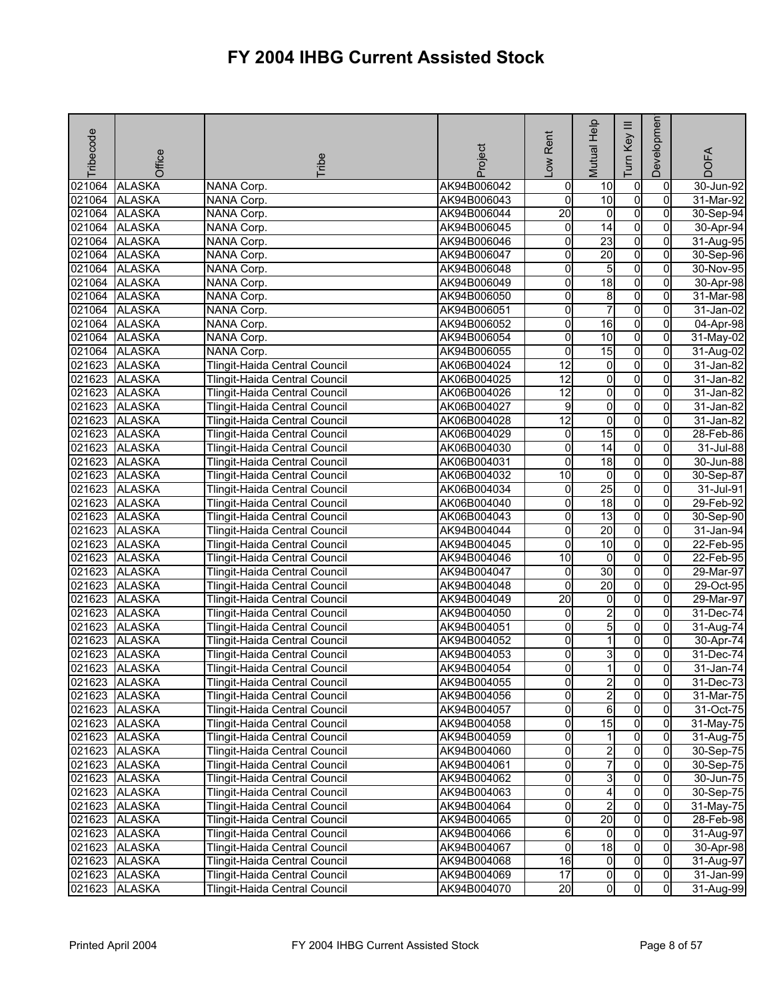| Tribecode | Office                         | Tribe                                                          | Project     | Rent<br>$\sum_{i=1}^{n}$ | Mutual Help                  | Ξ<br>Tum Key     | Developmen          | <b>DOFA</b>                |
|-----------|--------------------------------|----------------------------------------------------------------|-------------|--------------------------|------------------------------|------------------|---------------------|----------------------------|
| 021064    | <b>ALASKA</b>                  | <b>NANA Corp.</b>                                              | AK94B006042 | o                        | 10                           | $\pmb{0}$        | $\mathbf 0$         | $30$ -Jun-92               |
| 021064    | <b>ALASKA</b>                  | NANA Corp.                                                     | AK94B006043 | 0                        | 10                           | $\overline{0}$   | $\Omega$            | 31-Mar-92                  |
| 021064    | <b>ALASKA</b>                  | NANA Corp.                                                     | AK94B006044 | $\overline{20}$          | $\overline{0}$               | $\overline{0}$   | 0                   | 30-Sep-94                  |
| 021064    | <b>ALASKA</b>                  | NANA Corp.                                                     | AK94B006045 | 0                        | 14                           | $\overline{0}$   | 0                   | 30-Apr-94                  |
| 021064    | <b>ALASKA</b>                  | NANA Corp.                                                     | AK94B006046 | 0                        | 23                           | $\overline{0}$   | $\mathbf{0}$        | 31-Aug-95                  |
| 021064    | <b>ALASKA</b>                  | NANA Corp.                                                     | AK94B006047 | 0                        | 20                           | $\overline{0}$   | 0                   | 30-Sep-96                  |
| 021064    | <b>ALASKA</b>                  | NANA Corp.                                                     | AK94B006048 | 0                        | 5                            | $\overline{0}$   | 0                   | 30-Nov-95                  |
| 021064    | <b>ALASKA</b>                  | NANA Corp.                                                     | AK94B006049 | 0                        | 18                           | $\overline{0}$   | $\overline{0}$      | 30-Apr-98                  |
| 021064    | <b>ALASKA</b>                  | NANA Corp.                                                     | AK94B006050 | 0                        | 8                            | $\pmb{0}$        | 0                   | 31-Mar-98                  |
| 021064    | <b>ALASKA</b>                  | NANA Corp.                                                     | AK94B006051 | 0                        | 7                            | $\mathbf 0$      | $\Omega$            | 31-Jan-02                  |
| 021064    | <b>ALASKA</b>                  | NANA Corp.                                                     | AK94B006052 | 0                        | 16                           | $\overline{0}$   | 0                   | 04-Apr-98                  |
| 021064    | <b>ALASKA</b>                  | NANA Corp.                                                     | AK94B006054 | 0                        | 10                           | o                | 0                   | 31-May-02                  |
|           | 021064 ALASKA                  | NANA Corp.                                                     | AK94B006055 | $\overline{0}$           | 15                           | $\overline{0}$   | $\Omega$            | 31-Aug-02                  |
|           | 021623 ALASKA                  | Tlingit-Haida Central Council                                  | AK06B004024 | $\overline{12}$          | $\overline{0}$               | $\overline{0}$   | $\overline{0}$      | 31-Jan-82                  |
| 021623    | <b>ALASKA</b>                  | Tlingit-Haida Central Council                                  | AK06B004025 | $\overline{12}$          | $\overline{\mathbf{0}}$      | $\overline{0}$   | 0                   | 31-Jan-82                  |
| 021623    | <b>ALASKA</b>                  | Tlingit-Haida Central Council                                  | AK06B004026 | $\overline{12}$          | $\overline{\mathbf{0}}$      | $\overline{0}$   | 0                   | 31-Jan-82                  |
| 021623    | <b>ALASKA</b>                  | Tlingit-Haida Central Council                                  | AK06B004027 | 9                        | $\overline{\mathbf{0}}$      | $\overline{0}$   | 0                   | 31-Jan-82                  |
| 021623    | <b>ALASKA</b>                  | Tlingit-Haida Central Council                                  | AK06B004028 | $\overline{12}$          | $\overline{\mathbf{0}}$      | $\overline{0}$   | 0                   | 31-Jan-82                  |
| 021623    | <b>ALASKA</b>                  | Tlingit-Haida Central Council                                  | AK06B004029 | o                        | 15                           | $\overline{0}$   | $\overline{0}$      | 28-Feb-86                  |
| 021623    | <b>ALASKA</b>                  | Tlingit-Haida Central Council                                  | AK06B004030 | 0                        | $\overline{14}$              | $\overline{0}$   | 0                   | 31-Jul-88                  |
| 021623    | <b>ALASKA</b>                  | Tlingit-Haida Central Council                                  | AK06B004031 | 0                        | 18                           | $\overline{0}$   | 0                   | 30-Jun-88                  |
| 021623    | <b>ALASKA</b>                  | Tlingit-Haida Central Council                                  | AK06B004032 | 10                       | $\overline{0}$               | $\overline{0}$   | $\overline{0}$      | 30-Sep-87                  |
| 021623    | <b>ALASKA</b>                  | Tlingit-Haida Central Council                                  | AK06B004034 | 0                        | 25                           | o                | 0                   | 31-Jul-91                  |
| 021623    | <b>ALASKA</b>                  | Tlingit-Haida Central Council                                  | AK06B004040 | 0                        | 18                           | $\overline{0}$   | $\Omega$            | 29-Feb-92                  |
| 021623    | <b>ALASKA</b>                  | Tlingit-Haida Central Council                                  | AK06B004043 | 0                        | $\overline{13}$              | $\overline{0}$   | $\overline{0}$      | 30-Sep-90                  |
| 021623    | <b>ALASKA</b>                  | Tlingit-Haida Central Council                                  | AK94B004044 | 0                        | 20                           | $\overline{0}$   | $\Omega$            | 31-Jan-94                  |
| 021623    | <b>ALASKA</b>                  | Tlingit-Haida Central Council                                  | AK94B004045 | 0                        | 10                           | $\overline{0}$   | 0                   | 22-Feb-95                  |
| 021623    | <b>ALASKA</b>                  | Tlingit-Haida Central Council                                  | AK94B004046 | $\overline{10}$          | $\overline{0}$               | $\overline{0}$   | $\overline{0}$      | 22-Feb-95                  |
| 021623    | <b>ALASKA</b>                  | Tlingit-Haida Central Council                                  | AK94B004047 | 0                        | 30                           | $\overline{0}$   | $\Omega$            | 29-Mar-97                  |
| 021623    | <b>ALASKA</b>                  | Tlingit-Haida Central Council                                  | AK94B004048 | 0                        | 20                           | $\overline{0}$   | $\Omega$            | 29-Oct-95                  |
| 021623    | <b>ALASKA</b>                  | Tlingit-Haida Central Council                                  | AK94B004049 | $\overline{20}$          | $\overline{0}$               | $\overline{0}$   | 0                   | 29-Mar-97                  |
| 021623    | <b>ALASKA</b>                  | Tlingit-Haida Central Council                                  | AK94B004050 | 0                        | $\overline{2}$               | $\overline{0}$   | 0                   | 31-Dec-74                  |
| 021623    | <b>ALASKA</b>                  | Tlingit-Haida Central Council                                  | AK94B004051 | 0                        | 5                            | $\overline{0}$   | 0                   | 31-Aug-74                  |
| 021623    | <b>ALASKA</b>                  | Tlingit-Haida Central Council                                  | AK94B004052 | 0                        | 1                            | $\mathbf 0$      | 0                   | 30-Apr-74                  |
| 021623    | <b>ALASKA</b>                  | Tlingit-Haida Central Council                                  | AK94B004053 | 0                        | 3                            | 0                | $\Omega$            | $31 - Dec-74$              |
| 021623    | <b>ALASKA</b>                  | Tlingit-Haida Central Council                                  | AK94B004054 | 0                        | 1                            | $\overline{0}$   | Οl                  | 31-Jan-74                  |
|           | 021623 ALASKA                  | Tlingit-Haida Central Council                                  | AK94B004055 | 이                        |                              | $\mathbf{0}$     | $\overline{0}$      | 31-Dec-73                  |
|           | 021623 ALASKA                  | Tlingit-Haida Central Council                                  | AK94B004056 | 0                        | 2<br>$\overline{\mathbf{c}}$ | ō                | $\mathbf{0}$        | 31-Mar-75                  |
|           | 021623 ALASKA                  | Tlingit-Haida Central Council                                  | AK94B004057 | 0                        | 6                            | $\overline{0}$   | 01                  | 31-Oct-75                  |
|           | 021623 ALASKA                  | <b>Tlingit-Haida Central Council</b>                           | AK94B004058 | 0                        | 15                           | $\mathbf 0$      | 0                   | 31-May-75                  |
|           | 021623 ALASKA                  | Tlingit-Haida Central Council                                  | AK94B004059 | 0                        | 1                            | o                | $\mathbf{0}$        | $31$ -Aug- $\overline{75}$ |
|           | 021623 ALASKA                  | Tlingit-Haida Central Council                                  | AK94B004060 | 0                        | $\overline{\mathbf{c}}$      | $\overline{0}$   | 0                   | 30-Sep-75                  |
|           | 021623 ALASKA                  |                                                                |             | 0                        | 7                            | $\overline{0}$   | $\mathbf{0}$        |                            |
|           |                                | Tlingit-Haida Central Council                                  | AK94B004061 | 0                        | ω                            | o                | $\mathbf{0}$        | 30-Sep-75                  |
|           | 021623 ALASKA<br>021623 ALASKA | Tlingit-Haida Central Council                                  | AK94B004062 |                          |                              |                  |                     | 30-Jun-75                  |
|           | 021623 ALASKA                  | Tlingit-Haida Central Council<br>Tlingit-Haida Central Council | AK94B004063 | 0<br>0                   | 4<br>$\overline{a}$          | 0<br>$\mathbf 0$ | $\overline{0}$<br>0 | $30-$ Sep-75<br>31-May-75  |
|           |                                |                                                                | AK94B004064 |                          | 20                           |                  |                     |                            |
|           | 021623 ALASKA                  | Tlingit-Haida Central Council                                  | AK94B004065 | 0                        |                              | $\overline{0}$   | $\overline{0}$      | 28-Feb-98                  |
|           | 021623 ALASKA                  | Tlingit-Haida Central Council                                  | AK94B004066 | 6                        | $\overline{0}$               | $\mathbf 0$      | $\mathbf{0}$        | 31-Aug-97                  |
|           | 021623 ALASKA                  | Tlingit-Haida Central Council                                  | AK94B004067 | 0                        | 18                           | o                | $\overline{0}$      | 30-Apr-98                  |
|           | 021623 ALASKA                  | Tlingit-Haida Central Council                                  | AK94B004068 | 16                       | $\overline{0}$               | o                | $\overline{0}$      | 31-Aug-97                  |
|           | 021623 ALASKA                  | Tlingit-Haida Central Council                                  | AK94B004069 | 17                       | $\overline{0}$               | $\mathbf 0$      | $\overline{0}$      | 31-Jan-99                  |
|           | 021623 ALASKA                  | Tlingit-Haida Central Council                                  | AK94B004070 | $\overline{20}$          | $\overline{0}$               | $\overline{0}$   | $\overline{0}$      | 31-Aug-99                  |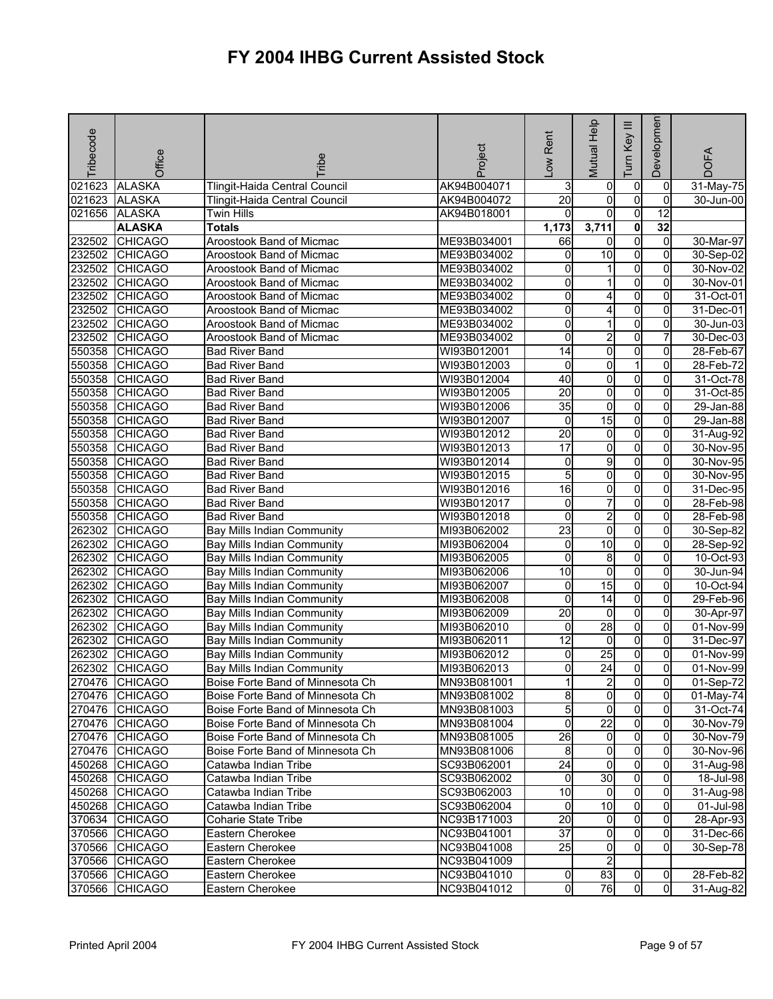| <b>Tribecode</b> | Office         | <b>Fribe</b>                      | Project     | -ow Rent                | Mutual Help                    | Ξ<br>Key<br>Tum            | Developmen                       | <b>DOFA</b>   |
|------------------|----------------|-----------------------------------|-------------|-------------------------|--------------------------------|----------------------------|----------------------------------|---------------|
| 021623           | <b>ALASKA</b>  | Tlingit-Haida Central Council     | AK94B004071 | 3                       | 0                              | $\pmb{0}$                  | 0                                | 31-May-75     |
| 021623           | <b>ALASKA</b>  | Tlingit-Haida Central Council     | AK94B004072 | $\overline{20}$         | 0                              | o                          | $\Omega$                         | $30 - Jun-00$ |
| 021656           | <b>ALASKA</b>  | <b>Twin Hills</b>                 | AK94B018001 | $\Omega$                | $\overline{0}$                 | $\overline{0}$             | $\overline{12}$                  |               |
|                  | <b>ALASKA</b>  | <b>Totals</b>                     |             | 1,173                   | 3,711                          | $\overline{\mathbf{0}}$    | 32                               |               |
| 232502           | <b>CHICAGO</b> | Aroostook Band of Micmac          | ME93B034001 | 66                      | 0                              | $\overline{0}$             | $\mathbf 0$                      | 30-Mar-97     |
| 232502           | <b>CHICAGO</b> | Aroostook Band of Micmac          | ME93B034002 | 0                       | 10                             | $\overline{0}$             | 0                                | 30-Sep-02     |
| 232502           | <b>CHICAGO</b> | Aroostook Band of Micmac          | ME93B034002 | 0                       |                                | $\mathbf 0$                | 0                                | 30-Nov-02     |
| 232502           | <b>CHICAGO</b> | Aroostook Band of Micmac          | ME93B034002 | 0                       |                                | $\overline{0}$             | 0                                | 30-Nov-01     |
| 232502           | <b>CHICAGO</b> | Aroostook Band of Micmac          | ME93B034002 | 0                       | 4                              | $\overline{0}$             | $\overline{0}$                   | 31-Oct-01     |
| 232502           | <b>CHICAGO</b> | Aroostook Band of Micmac          | ME93B034002 | 0                       | 4                              | o                          | 0                                | 31-Dec-01     |
| 232502           | <b>CHICAGO</b> | Aroostook Band of Micmac          | ME93B034002 | 0                       |                                | o                          | 0                                | 30-Jun-03     |
| 232502           | <b>CHICAGO</b> | Aroostook Band of Micmac          | ME93B034002 | 0                       | $\overline{\mathbf{c}}$        | $\overline{0}$             | 7                                | 30-Dec-03     |
| 550358           | <b>CHICAGO</b> | <b>Bad River Band</b>             | WI93B012001 | 14                      | ō                              | $\overline{0}$             | 0                                | 28-Feb-67     |
| 550358           | <b>CHICAGO</b> | <b>Bad River Band</b>             | WI93B012003 | 0                       | $\overline{0}$                 | $\mathbf{1}$               | $\Omega$                         | 28-Feb-72     |
| 550358           | <b>CHICAGO</b> | <b>Bad River Band</b>             | WI93B012004 | 40                      | 0                              | $\overline{0}$             | 0                                | 31-Oct-78     |
| 550358           | <b>CHICAGO</b> | <b>Bad River Band</b>             | WI93B012005 | 20                      | 0                              | $\overline{0}$             | 0                                | 31-Oct-85     |
| 550358           | <b>CHICAGO</b> | <b>Bad River Band</b>             | WI93B012006 | 35                      | $\overline{\mathbf{0}}$        | $\overline{0}$             | 0                                | 29-Jan-88     |
| 550358           | <b>CHICAGO</b> | <b>Bad River Band</b>             | WI93B012007 | $\mathbf 0$             | 15                             | $\pmb{0}$                  | 0                                | 29-Jan-88     |
| 550358           | <b>CHICAGO</b> | <b>Bad River Band</b>             | WI93B012012 | $\overline{20}$         | 0                              | $\overline{0}$             | 0                                | 31-Aug-92     |
| 550358           | <b>CHICAGO</b> | <b>Bad River Band</b>             | WI93B012013 | $\overline{17}$         | $\overline{0}$                 | $\overline{0}$             | $\overline{0}$                   | 30-Nov-95     |
| 550358           | <b>CHICAGO</b> | <b>Bad River Band</b>             | WI93B012014 | 0                       | 9                              | $\mathbf 0$                | 0                                | 30-Nov-95     |
| 550358           | <b>CHICAGO</b> | <b>Bad River Band</b>             | WI93B012015 | 5                       | $\overline{0}$                 | $\mathbf 0$                | 0                                | 30-Nov-95     |
| 550358           | <b>CHICAGO</b> | <b>Bad River Band</b>             | WI93B012016 | $\overline{16}$         | $\overline{0}$                 | $\overline{0}$             | $\overline{0}$                   | 31-Dec-95     |
| 550358           | <b>CHICAGO</b> | <b>Bad River Band</b>             | WI93B012017 | 0                       | $\overline{7}$                 | o                          | 0                                | 28-Feb-98     |
| 550358           | <b>CHICAGO</b> | <b>Bad River Band</b>             | WI93B012018 | 0                       | $\overline{2}$                 | $\overline{0}$             | $\Omega$                         | 28-Feb-98     |
| 262302           | <b>CHICAGO</b> | <b>Bay Mills Indian Community</b> | MI93B062002 | 23                      | 0                              | $\overline{0}$             | 0                                | 30-Sep-82     |
| 262302           | <b>CHICAGO</b> | Bay Mills Indian Community        | MI93B062004 | 0                       | $\overline{10}$                | $\overline{0}$             | $\mathbf{0}$                     | 28-Sep-92     |
| 262302           | <b>CHICAGO</b> | Bay Mills Indian Community        | MI93B062005 | 0                       | 8                              | $\overline{0}$             | $\mathbf{0}$                     | 10-Oct-93     |
| 262302           | <b>CHICAGO</b> | Bay Mills Indian Community        | MI93B062006 | 10                      | $\overline{0}$                 | $\overline{0}$             | 0                                | 30-Jun-94     |
| 262302           | <b>CHICAGO</b> | Bay Mills Indian Community        | MI93B062007 | 0                       | 15                             | $\overline{0}$             | 0                                | 10-Oct-94     |
| 262302           | <b>CHICAGO</b> | <b>Bay Mills Indian Community</b> | MI93B062008 | 0                       | $\overline{14}$                | $\overline{0}$             | $\overline{0}$                   | 29-Feb-96     |
| 262302           | <b>CHICAGO</b> | <b>Bay Mills Indian Community</b> | MI93B062009 | $\overline{20}$         | $\overline{0}$                 | $\pmb{0}$                  | 0                                | 30-Apr-97     |
| 262302           | <b>CHICAGO</b> | <b>Bay Mills Indian Community</b> | MI93B062010 | 0                       | 28                             | $\overline{0}$             | 0                                | 01-Nov-99     |
| 262302           | <b>CHICAGO</b> | Bay Mills Indian Community        | MI93B062011 | $\overline{12}$         | $\mathbf 0$                    | $\overline{0}$             | $\overline{0}$                   | 31-Dec-97     |
| 262302           | <b>CHICAGO</b> | <b>Bay Mills Indian Community</b> | MI93B062012 | 0                       | $\overline{25}$                | 0                          | 0                                | 01-Nov-99     |
| 262302           | <b>CHICAGO</b> | <b>Bay Mills Indian Community</b> | MI93B062013 | 0                       | $\overline{24}$                | $\overline{0}$             | $\overline{0}$                   | 01-Nov-99     |
|                  | 270476 CHICAGO | Boise Forte Band of Minnesota Ch  | MN93B081001 | 11                      | $\mathbf{2}$                   | $\mathbf{0}$               | 01                               | 01-Sep-72     |
|                  | 270476 CHICAGO | Boise Forte Band of Minnesota Ch  | MN93B081002 | 8                       | $\overline{0}$                 | $\overline{0}$             | $\mathbf{0}$                     | 01-May-74     |
|                  | 270476 CHICAGO | Boise Forte Band of Minnesota Ch  | MN93B081003 | 5                       | $\overline{0}$                 | $\overline{0}$             | $\overline{0}$                   | 31-Oct-74     |
|                  | 270476 CHICAGO | Boise Forte Band of Minnesota Ch  | MN93B081004 | $\overline{\mathbf{0}}$ | $\overline{22}$                | $\overline{0}$             | $\overline{0}$                   | 30-Nov-79     |
|                  | 270476 CHICAGO | Boise Forte Band of Minnesota Ch  | MN93B081005 | 26                      | $\overline{0}$                 | $\mathbf 0$                | 0                                | 30-Nov-79     |
|                  | 270476 CHICAGO | Boise Forte Band of Minnesota Ch  | MN93B081006 | 8                       | $\overline{\mathbf{0}}$        | $\overline{0}$             | $\overline{0}$                   | 30-Nov-96     |
|                  | 450268 CHICAGO | Catawba Indian Tribe              | SC93B062001 | $\overline{24}$         | $\overline{0}$                 | $\overline{0}$             | 0                                | 31-Aug-98     |
|                  | 450268 CHICAGO | Catawba Indian Tribe              | SC93B062002 | 0                       | 30                             | $\overline{0}$             | $\overline{0}$                   | 18-Jul-98     |
|                  | 450268 CHICAGO | Catawba Indian Tribe              | SC93B062003 | 10<br>0                 | $\overline{0}$<br>10           | $\overline{0}$             | $\overline{0}$<br>$\Omega$       | 31-Aug-98     |
| 450268           | <b>CHICAGO</b> | Catawba Indian Tribe              | SC93B062004 |                         |                                | 0                          |                                  | 01-Jul-98     |
| 370634           | <b>CHICAGO</b> | Coharie State Tribe               | NC93B171003 | 20                      | $\mathbf{0}$<br>$\overline{0}$ | $\mathbf 0$<br>$\mathbf 0$ | 0<br>$\mathbf{0}$                | 28-Apr-93     |
| 370566           | <b>CHICAGO</b> | Eastern Cherokee                  | NC93B041001 | 37<br>$\overline{25}$   |                                | $\Omega$                   | $\mathbf{0}$                     | 31-Dec-66     |
| 370566           | <b>CHICAGO</b> | Eastern Cherokee                  | NC93B041008 |                         | 0                              |                            |                                  | 30-Sep-78     |
| 370566           | <b>CHICAGO</b> | Eastern Cherokee                  | NC93B041009 |                         | $\overline{2}$<br>83           |                            |                                  |               |
| 370566<br>370566 | <b>CHICAGO</b> | Eastern Cherokee                  | NC93B041010 | 0<br>0                  | 76                             | 0<br>0                     | $\overline{0}$<br>$\overline{0}$ | 28-Feb-82     |
|                  | <b>CHICAGO</b> | Eastern Cherokee                  | NC93B041012 |                         |                                |                            |                                  | 31-Aug-82     |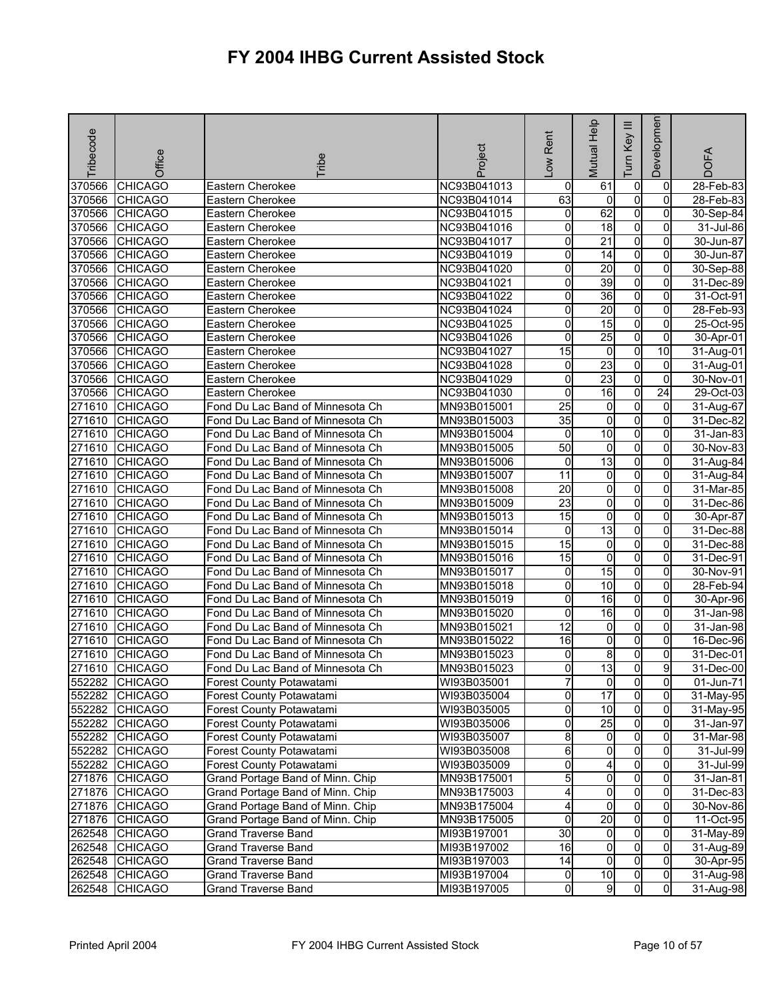| Tribecode | Office         | <b>Fribe</b>                     | Project     | Low Rent        | Mutual Help     | Ξ<br>Key<br>Tum | Developmen      | <b>DOFA</b>  |
|-----------|----------------|----------------------------------|-------------|-----------------|-----------------|-----------------|-----------------|--------------|
| 370566    | <b>CHICAGO</b> | Eastern Cherokee                 | NC93B041013 | 0               | 61              | 0               | 0               | 28-Feb-83    |
| 370566    | <b>CHICAGO</b> | Eastern Cherokee                 | NC93B041014 | 63              | 0               | $\overline{0}$  | $\mathbf 0$     | 28-Feb-83    |
| 370566    | <b>CHICAGO</b> | Eastern Cherokee                 | NC93B041015 | 0               | 62              | $\overline{0}$  | 0               | 30-Sep-84    |
| 370566    | <b>CHICAGO</b> | Eastern Cherokee                 | NC93B041016 | 0               | $\overline{18}$ | $\overline{0}$  | 0               | 31-Jul-86    |
| 370566    | <b>CHICAGO</b> | Eastern Cherokee                 | NC93B041017 | 0               | $\overline{21}$ | $\overline{0}$  | $\overline{0}$  | 30-Jun-87    |
| 370566    | <b>CHICAGO</b> | Eastern Cherokee                 | NC93B041019 | 0               | 14              | $\overline{0}$  | 0               | 30-Jun-87    |
| 370566    | <b>CHICAGO</b> | Eastern Cherokee                 | NC93B041020 | 0               | $\overline{20}$ | $\overline{0}$  | 0               | 30-Sep-88    |
| 370566    | <b>CHICAGO</b> | Eastern Cherokee                 | NC93B041021 | 0               | 39              | $\overline{0}$  | $\overline{0}$  | 31-Dec-89    |
| 370566    | <b>CHICAGO</b> | Eastern Cherokee                 | NC93B041022 | 0               | 36              | $\overline{0}$  | 0               | 31-Oct-91    |
| 370566    | <b>CHICAGO</b> | Eastern Cherokee                 | NC93B041024 | 0               | $\overline{20}$ | $\overline{0}$  | $\overline{0}$  | 28-Feb-93    |
| 370566    | <b>CHICAGO</b> | Eastern Cherokee                 | NC93B041025 | 0               | 15              | $\overline{0}$  | 0               | 25-Oct-95    |
| 370566    | <b>CHICAGO</b> | Eastern Cherokee                 | NC93B041026 | 0               | $\overline{25}$ | $\overline{0}$  | 0               | 30-Apr-01    |
| 370566    | <b>CHICAGO</b> | Eastern Cherokee                 | NC93B041027 | 15              | 0               | $\overline{0}$  | 10              | 31-Aug-01    |
| 370566    | <b>CHICAGO</b> | Eastern Cherokee                 | NC93B041028 | 0               | 23              | $\overline{0}$  | 0               | 31-Aug-01    |
| 370566    | <b>CHICAGO</b> | Eastern Cherokee                 | NC93B041029 | 0               | $\overline{23}$ | $\overline{0}$  | $\overline{0}$  | 30-Nov-01    |
| 370566    | <b>CHICAGO</b> | Eastern Cherokee                 | NC93B041030 | 0               | $\overline{16}$ | $\overline{0}$  | $\overline{24}$ | $29-Oct-03$  |
| 271610    | <b>CHICAGO</b> | Fond Du Lac Band of Minnesota Ch | MN93B015001 | $\overline{25}$ | $\overline{0}$  | $\overline{0}$  | $\overline{0}$  | 31-Aug-67    |
| 271610    | <b>CHICAGO</b> | Fond Du Lac Band of Minnesota Ch | MN93B015003 | $\overline{35}$ | 0               | $\overline{0}$  | 0               | 31-Dec-82    |
| 271610    | <b>CHICAGO</b> | Fond Du Lac Band of Minnesota Ch | MN93B015004 | 0               | 10              | $\overline{0}$  | $\overline{0}$  | 31-Jan-83    |
| 271610    | <b>CHICAGO</b> | Fond Du Lac Band of Minnesota Ch | MN93B015005 | 50              | 0               | $\overline{0}$  | $\mathbf{0}$    | 30-Nov-83    |
| 271610    | <b>CHICAGO</b> | Fond Du Lac Band of Minnesota Ch | MN93B015006 | 0               | 13              | $\overline{0}$  | 0               | 31-Aug-84    |
| 271610    | <b>CHICAGO</b> | Fond Du Lac Band of Minnesota Ch | MN93B015007 | 11              | 0               | $\overline{0}$  | $\overline{0}$  | 31-Aug-84    |
| 271610    | <b>CHICAGO</b> | Fond Du Lac Band of Minnesota Ch | MN93B015008 | $\overline{20}$ | 0               | $\overline{0}$  | 0               | 31-Mar-85    |
| 271610    | <b>CHICAGO</b> | Fond Du Lac Band of Minnesota Ch | MN93B015009 | 23              | 0               | $\overline{0}$  | 0               | 31-Dec-86    |
| 271610    | <b>CHICAGO</b> | Fond Du Lac Band of Minnesota Ch | MN93B015013 | 15              | 0               | $\overline{0}$  | $\Omega$        | 30-Apr-87    |
| 271610    | <b>CHICAGO</b> | Fond Du Lac Band of Minnesota Ch | MN93B015014 | 0               | $\overline{13}$ | $\overline{0}$  | 0               | $31$ -Dec-88 |
| 271610    | <b>CHICAGO</b> | Fond Du Lac Band of Minnesota Ch | MN93B015015 | 15              | 0               | $\overline{0}$  | 0               | 31-Dec-88    |
| 271610    | <b>CHICAGO</b> | Fond Du Lac Band of Minnesota Ch | MN93B015016 | 15              | $\overline{0}$  | $\overline{0}$  | 0               | 31-Dec-91    |
| 271610    | <b>CHICAGO</b> | Fond Du Lac Band of Minnesota Ch | MN93B015017 | 0               | 15              | $\overline{0}$  | 0               | 30-Nov-91    |
| 271610    | <b>CHICAGO</b> | Fond Du Lac Band of Minnesota Ch | MN93B015018 | 0               | 10              | 0               | $\Omega$        | 28-Feb-94    |
| 271610    | <b>CHICAGO</b> | Fond Du Lac Band of Minnesota Ch | MN93B015019 | 0               | 16              | $\overline{0}$  | $\mathbf{0}$    | 30-Apr-96    |
| 271610    | <b>CHICAGO</b> | Fond Du Lac Band of Minnesota Ch | MN93B015020 | 0               | 16              | $\overline{0}$  | 0               | 31-Jan-98    |
| 271610    | <b>CHICAGO</b> | Fond Du Lac Band of Minnesota Ch | MN93B015021 | $\overline{12}$ | 0               | $\overline{0}$  | 0               | 31-Jan-98    |
| 271610    | <b>CHICAGO</b> | Fond Du Lac Band of Minnesota Ch | MN93B015022 | 16              | 0               | O               | 0               | 16-Dec-96    |
| 271610    | <b>CHICAGO</b> | Fond Du Lac Band of Minnesota Ch | MN93B015023 | 0               | 8               | 0               | 0               | 31-Dec-01    |
| 271610    | <b>CHICAGO</b> | Fond Du Lac Band of Minnesota Ch | MN93B015023 | 0               | $\overline{13}$ | 0               | 9               | 31-Dec-00    |
|           | 552282 CHICAGO | Forest County Potawatami         | WI93B035001 | 7               | 01              | 01              | $\overline{0}$  | 01-Jun-71    |
|           | 552282 CHICAGO | Forest County Potawatami         | WI93B035004 | 0               | 17              | $\overline{0}$  | $\overline{0}$  | 31-May-95    |
|           | 552282 CHICAGO | Forest County Potawatami         | WI93B035005 | 0               | 10              | $\overline{0}$  | $\mathbf{0}$    | 31-May-95    |
|           | 552282 CHICAGO | Forest County Potawatami         | WI93B035006 | 0               | 25              | $\overline{0}$  | 0               | 31-Jan-97    |
|           | 552282 CHICAGO | Forest County Potawatami         | WI93B035007 | 8               | 0               | $\overline{0}$  | $\Omega$        | 31-Mar-98    |
| 552282    | <b>CHICAGO</b> | Forest County Potawatami         | WI93B035008 | 6               | $\overline{0}$  | $\overline{0}$  | $\Omega$        | 31-Jul-99    |
|           | 552282 CHICAGO | Forest County Potawatami         | WI93B035009 | 0               | 4               | $\overline{0}$  | $\Omega$        | 31-Jul-99    |
|           | 271876 CHICAGO | Grand Portage Band of Minn. Chip | MN93B175001 | 5               | $\overline{0}$  | $\overline{0}$  | 0               | 31-Jan-81    |
|           | 271876 CHICAGO | Grand Portage Band of Minn. Chip | MN93B175003 | 4               | $\overline{0}$  | $\overline{0}$  | $\overline{0}$  | 31-Dec-83    |
|           | 271876 CHICAGO | Grand Portage Band of Minn. Chip | MN93B175004 | 4               | 0               | $\overline{0}$  | 0               | 30-Nov-86    |
|           | 271876 CHICAGO | Grand Portage Band of Minn. Chip | MN93B175005 | $\mathbf 0$     | 20              | $\overline{0}$  | $\Omega$        | 11-Oct-95    |
| 262548    | <b>CHICAGO</b> | <b>Grand Traverse Band</b>       | MI93B197001 | $\overline{30}$ | $\overline{0}$  | $\overline{0}$  | 0               | 31-May-89    |
| 262548    | <b>CHICAGO</b> | <b>Grand Traverse Band</b>       | MI93B197002 | 16              | $\overline{0}$  | $\overline{0}$  | $\mathbf{0}$    | 31-Aug-89    |
|           | 262548 CHICAGO | <b>Grand Traverse Band</b>       | MI93B197003 | 14              | $\overline{0}$  | $\overline{0}$  | $\mathbf{0}$    | 30-Apr-95    |
| 262548    | <b>CHICAGO</b> | <b>Grand Traverse Band</b>       | MI93B197004 | 0               | 10              | $\overline{0}$  | $\overline{0}$  | 31-Aug-98    |
| 262548    | <b>CHICAGO</b> | <b>Grand Traverse Band</b>       | MI93B197005 | 0               | 9               | 0               | $\overline{0}$  | 31-Aug-98    |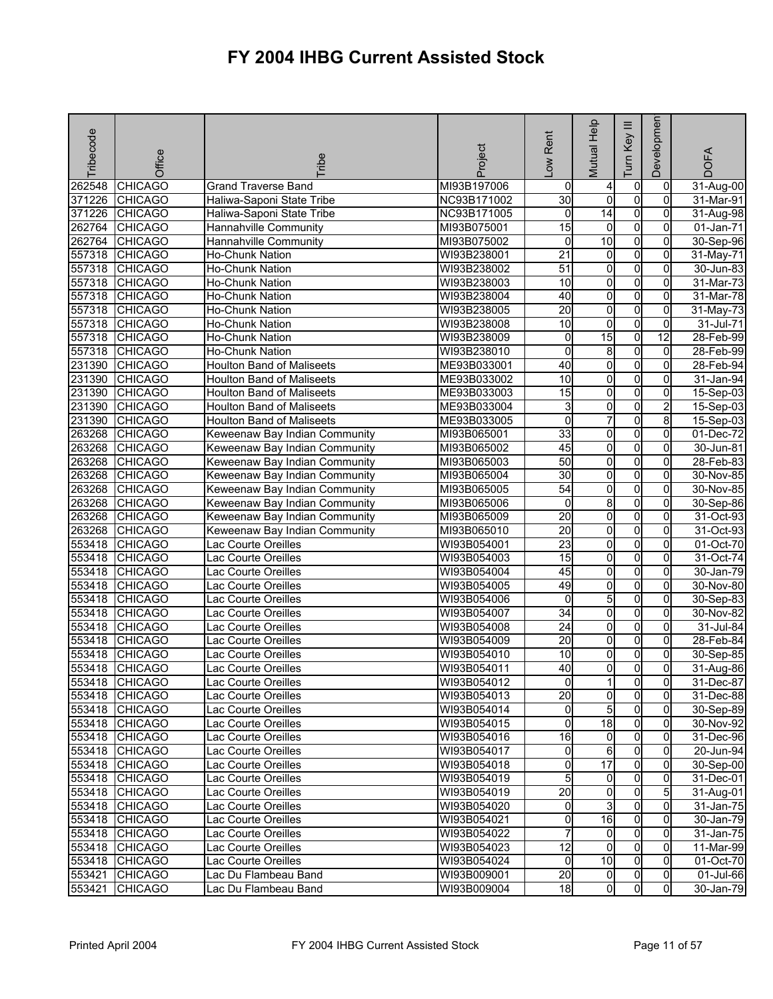| Tribecode | Office         | <b>Fribe</b>                     | Project     | Rent<br>$\sum_{i=1}^{n}$ | Mutual Help             | Ξ<br>Key<br>Tum | Developmen     | <b>DOFA</b>             |
|-----------|----------------|----------------------------------|-------------|--------------------------|-------------------------|-----------------|----------------|-------------------------|
| 262548    | <b>CHICAGO</b> | <b>Grand Traverse Band</b>       | MI93B197006 | 0                        | 4                       | $\pmb{0}$       | 0              | 31-Aug-00               |
| 371226    | <b>CHICAGO</b> | Haliwa-Saponi State Tribe        | NC93B171002 | $\overline{30}$          | $\mathbf 0$             | o               | 0              | 31-Mar-91               |
| 371226    | <b>CHICAGO</b> | Haliwa-Saponi State Tribe        | NC93B171005 | 0                        | $\overline{14}$         | $\overline{0}$  | $\overline{0}$ | 31-Aug-98               |
| 262764    | <b>CHICAGO</b> | Hannahville Community            | MI93B075001 | 15                       | 0                       | $\overline{0}$  | 0              | 01-Jan-71               |
| 262764    | <b>CHICAGO</b> | Hannahville Community            | MI93B075002 | 0                        | 10                      | $\overline{0}$  | 0              | 30-Sep-96               |
| 557318    | <b>CHICAGO</b> | Ho-Chunk Nation                  | WI93B238001 | $\overline{21}$          | $\overline{\mathbf{0}}$ | $\overline{0}$  | $\overline{0}$ | 31-May-71               |
| 557318    | <b>CHICAGO</b> | Ho-Chunk Nation                  | WI93B238002 | 51                       | $\overline{0}$          | $\mathbf 0$     | 0              | 30-Jun-83               |
| 557318    | <b>CHICAGO</b> | Ho-Chunk Nation                  | WI93B238003 | 10                       | $\mathbf 0$             | $\overline{0}$  | 0              | 31-Mar-73               |
| 557318    | <b>CHICAGO</b> | Ho-Chunk Nation                  | WI93B238004 | 40                       | $\overline{0}$          | $\overline{0}$  | $\overline{0}$ | 31-Mar-78               |
| 557318    | <b>CHICAGO</b> | Ho-Chunk Nation                  | WI93B238005 | $\overline{20}$          | o                       | o               | 0              | 31-May-73               |
| 557318    | <b>CHICAGO</b> | Ho-Chunk Nation                  | WI93B238008 | 10                       | $\overline{\mathbf{0}}$ | o               | $\mathbf 0$    | 31-Jul-71               |
| 557318    | <b>CHICAGO</b> | Ho-Chunk Nation                  | WI93B238009 | 0                        | 15                      | $\overline{0}$  | 12             | 28-Feb-99               |
| 557318    | <b>CHICAGO</b> | Ho-Chunk Nation                  | WI93B238010 | 0                        | 8                       | $\overline{0}$  | $\Omega$       | 28-Feb-99               |
| 231390    | <b>CHICAGO</b> | <b>Houlton Band of Maliseets</b> | ME93B033001 | 40                       | O                       | $\overline{0}$  | $\Omega$       | 28-Feb-94               |
| 231390    | <b>CHICAGO</b> | <b>Houlton Band of Maliseets</b> | ME93B033002 | 10                       | 0                       | $\overline{0}$  | 0              | 31-Jan-94               |
| 231390    | <b>CHICAGO</b> | <b>Houlton Band of Maliseets</b> | ME93B033003 | $\overline{15}$          | 0                       | $\overline{0}$  | 0              | 15-Sep-03               |
| 231390    | <b>CHICAGO</b> | <b>Houlton Band of Maliseets</b> | ME93B033004 | 3                        | $\overline{\mathbf{0}}$ | $\overline{0}$  | $\overline{a}$ | 15-Sep-03               |
| 231390    | <b>CHICAGO</b> | <b>Houlton Band of Maliseets</b> | ME93B033005 | $\overline{0}$           | 7                       | o               | 8              | 15-Sep-03               |
| 263268    | <b>CHICAGO</b> | Keweenaw Bay Indian Community    | MI93B065001 | 33                       | 0                       | $\overline{0}$  | 0              | $\overline{01}$ -Dec-72 |
| 263268    | <b>CHICAGO</b> | Keweenaw Bay Indian Community    | MI93B065002 | 45                       | $\overline{\mathbf{0}}$ | $\overline{0}$  | $\overline{0}$ | 30-Jun-81               |
| 263268    | <b>CHICAGO</b> | Keweenaw Bay Indian Community    | MI93B065003 | 50                       | 0                       | $\mathbf 0$     | 0              | 28-Feb-83               |
| 263268    | <b>CHICAGO</b> | Keweenaw Bay Indian Community    | MI93B065004 | 30                       | $\overline{0}$          | $\overline{0}$  | 0              | 30-Nov-85               |
| 263268    | <b>CHICAGO</b> | Keweenaw Bay Indian Community    | MI93B065005 | 54                       | $\overline{0}$          | $\overline{0}$  | $\overline{0}$ | 30-Nov-85               |
| 263268    | <b>CHICAGO</b> | Keweenaw Bay Indian Community    | MI93B065006 | $\mathbf 0$              | 8                       | o               | $\mathbf 0$    | 30-Sep-86               |
| 263268    | <b>CHICAGO</b> | Keweenaw Bay Indian Community    | MI93B065009 | 20                       | $\overline{\mathbf{0}}$ | $\overline{0}$  | $\Omega$       | 31-Oct-93               |
| 263268    | <b>CHICAGO</b> | Keweenaw Bay Indian Community    | MI93B065010 | $\overline{20}$          | 0                       | $\overline{0}$  | 0              | 31-Oct-93               |
| 553418    | <b>CHICAGO</b> | Lac Courte Oreilles              | WI93B054001 | $\overline{23}$          | 0                       | $\overline{0}$  | 0              | 01-Oct-70               |
| 553418    | <b>CHICAGO</b> | Lac Courte Oreilles              | WI93B054003 | $\overline{15}$          | $\overline{\mathbf{0}}$ | $\overline{0}$  | 0              | 31-Oct-74               |
| 553418    | <b>CHICAGO</b> | Lac Courte Oreilles              | WI93B054004 | 45                       | 0                       | $\overline{0}$  | 0              | 30-Jan-79               |
| 553418    | <b>CHICAGO</b> | Lac Courte Oreilles              | WI93B054005 | 49                       | 0                       | 0               | 0              | 30-Nov-80               |
| 553418    | <b>CHICAGO</b> | Lac Courte Oreilles              | WI93B054006 | o                        | 5                       | $\overline{0}$  | 0              | 30-Sep-83               |
| 553418    | <b>CHICAGO</b> | Lac Courte Oreilles              | WI93B054007 | $\overline{34}$          | $\overline{0}$          | o               | 0              | 30-Nov-82               |
| 553418    | <b>CHICAGO</b> | Lac Courte Oreilles              | WI93B054008 | 24                       | 0                       | $\overline{0}$  | $\Omega$       | 31-Jul-84               |
| 553418    | <b>CHICAGO</b> | Lac Courte Oreilles              | WI93B054009 | $\overline{20}$          | $\overline{0}$          | $\overline{0}$  | $\overline{0}$ | 28-Feb-84               |
| 553418    | <b>CHICAGO</b> | Lac Courte Oreilles              | WI93B054010 | 10                       | 0                       | $\mathbf 0$     | 0              | 30-Sep-85               |
| 553418    | <b>CHICAGO</b> | Lac Courte Oreilles              | WI93B054011 | 40                       | $\mathbf 0$             | $\overline{0}$  | $\overline{0}$ | 31-Aug-86               |
|           | 553418 CHICAGO | Lac Courte Oreilles              | WI93B054012 | 01                       | 11                      | $\mathbf{0}$    | 01             | 31-Dec-87               |
|           | 553418 CHICAGO | Lac Courte Oreilles              | WI93B054013 | 20                       | 0                       | $\overline{0}$  | $\mathbf{0}$   | 31-Dec-88               |
|           | 553418 CHICAGO | Lac Courte Oreilles              | WI93B054014 | 0                        | 5                       | o               | $\mathbf{0}$   | 30-Sep-89               |
| 553418    | <b>CHICAGO</b> | Lac Courte Oreilles              | WI93B054015 | $\overline{0}$           | 18                      | $\mathbf 0$     | $\overline{0}$ | 30-Nov-92               |
|           | 553418 CHICAGO | Lac Courte Oreilles              | WI93B054016 | 16                       | 0                       | $\mathbf 0$     | $\overline{0}$ | 31-Dec-96               |
|           | 553418 CHICAGO | Lac Courte Oreilles              | WI93B054017 | 0                        | $6 \,$                  | $\mathbf 0$     | $\overline{0}$ | 20-Jun-94               |
| 553418    | <b>CHICAGO</b> | Lac Courte Oreilles              | WI93B054018 | 0                        | $\overline{17}$         | 0               | $\overline{0}$ | 30-Sep-00               |
|           | 553418 CHICAGO | Lac Courte Oreilles              | WI93B054019 | 5                        | $\overline{0}$          | $\overline{0}$  | $\overline{0}$ | 31-Dec-01               |
|           | 553418 CHICAGO | Lac Courte Oreilles              | WI93B054019 | $\overline{20}$          | $\overline{0}$          | $\overline{0}$  | 5              | 31-Aug-01               |
| 553418    | <b>CHICAGO</b> | Lac Courte Oreilles              | WI93B054020 | 0                        | 3                       | 0               | $\overline{0}$ | $\overline{31}$ -Jan-75 |
| 553418    | <b>CHICAGO</b> | Lac Courte Oreilles              | WI93B054021 | 0                        | 16                      | $\mathbf 0$     | 0              | 30-Jan-79               |
| 553418    | <b>CHICAGO</b> | Lac Courte Oreilles              | WI93B054022 |                          | $\mathbf{0}$            | $\overline{0}$  | $\Omega$       | 31-Jan-75               |
| 553418    | <b>CHICAGO</b> | Lac Courte Oreilles              | WI93B054023 | $\overline{12}$          | 0                       | $\mathbf 0$     | 0              | 11-Mar-99               |
| 553418    | <b>CHICAGO</b> | Lac Courte Oreilles              | WI93B054024 | 0                        | 10                      | o               | $\overline{0}$ | 01-Oct-70               |
| 553421    | <b>CHICAGO</b> | Lac Du Flambeau Band             | WI93B009001 | $\overline{20}$          | $\overline{0}$          | 0               | $\overline{0}$ | 01-Jul-66               |
| 553421    | <b>CHICAGO</b> | Lac Du Flambeau Band             | WI93B009004 | $\overline{18}$          | 0                       | 0               | $\overline{0}$ | 30-Jan-79               |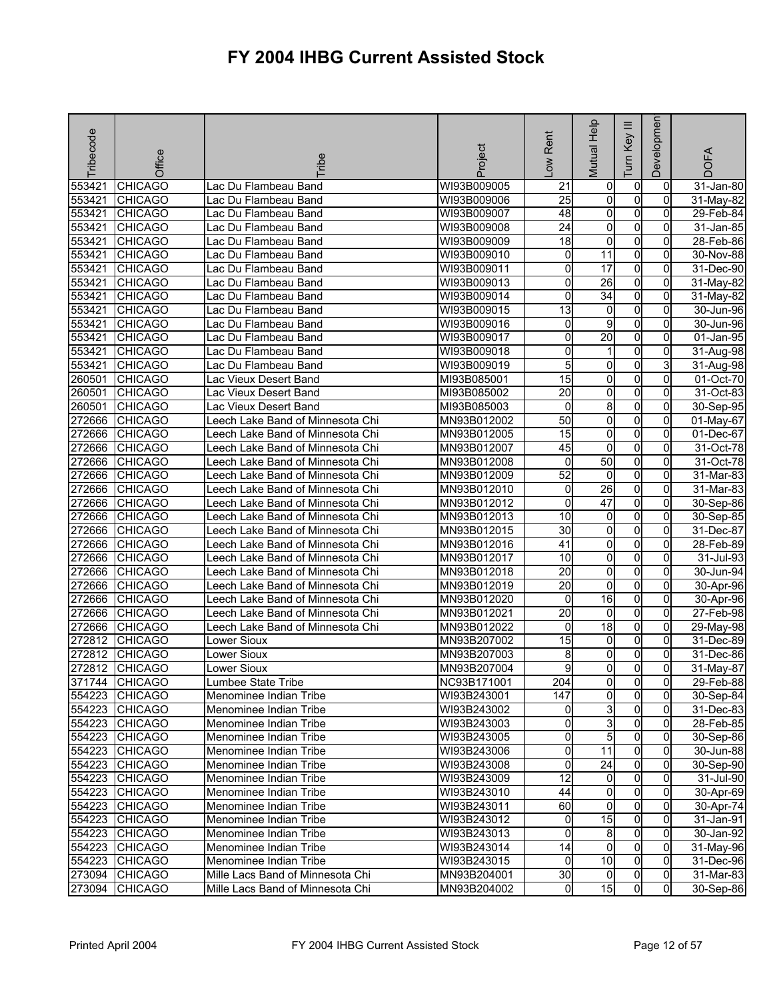| Tribecode | Office                           | <b>Tribe</b>                     | Project     | Rent<br>$\sum_{i=1}^{n}$ | Mutual Help          | Ξ<br>Tum Key                   | Developmen     | <b>DOFA</b>  |
|-----------|----------------------------------|----------------------------------|-------------|--------------------------|----------------------|--------------------------------|----------------|--------------|
| 553421    | <b>CHICAGO</b>                   | Lac Du Flambeau Band             | WI93B009005 | $\overline{21}$          | 0                    | 0                              | 0              | 31-Jan-80    |
| 553421    | <b>CHICAGO</b>                   | Lac Du Flambeau Band             | WI93B009006 | $\overline{25}$          | 0                    | $\overline{0}$                 | 0              | 31-May-82    |
| 553421    | <b>CHICAGO</b>                   | Lac Du Flambeau Band             | WI93B009007 | 48                       | 0                    | $\overline{0}$                 | 0              | 29-Feb-84    |
| 553421    | <b>CHICAGO</b>                   | Lac Du Flambeau Band             | WI93B009008 | $\overline{24}$          | 0                    | $\overline{0}$                 | 0              | 31-Jan-85    |
| 553421    | <b>CHICAGO</b>                   | Lac Du Flambeau Band             | WI93B009009 | $\overline{18}$          | 0                    | $\overline{0}$                 | 0              | 28-Feb-86    |
| 553421    | <b>CHICAGO</b>                   | Lac Du Flambeau Band             | WI93B009010 | 0                        | 11                   | $\overline{0}$                 | 0              | 30-Nov-88    |
| 553421    | <b>CHICAGO</b>                   | Lac Du Flambeau Band             | WI93B009011 | 0                        | $\overline{17}$      | $\overline{0}$                 | 0              | 31-Dec-90    |
| 553421    | <b>CHICAGO</b>                   | Lac Du Flambeau Band             | WI93B009013 | Ō                        | 26                   | $\overline{0}$                 | 0              | 31-May-82    |
| 553421    | <b>CHICAGO</b>                   | Lac Du Flambeau Band             | WI93B009014 | 0                        | $\overline{34}$      | $\overline{0}$                 | 0              | 31-May-82    |
| 553421    | <b>CHICAGO</b>                   | Lac Du Flambeau Band             | WI93B009015 | $\overline{13}$          | 0                    | $\overline{0}$                 | $\Omega$       | 30-Jun-96    |
| 553421    | <b>CHICAGO</b>                   | Lac Du Flambeau Band             | WI93B009016 | 0                        | 9                    | $\overline{0}$                 | 0              | 30-Jun-96    |
| 553421    | <b>CHICAGO</b>                   | Lac Du Flambeau Band             | WI93B009017 | 0                        | $\overline{20}$      | $\overline{0}$                 | 0              | 01-Jan-95    |
| 553421    | <b>CHICAGO</b>                   | Lac Du Flambeau Band             | WI93B009018 | 0                        | 1                    | $\overline{0}$                 | $\Omega$       | 31-Aug-98    |
| 553421    | <b>CHICAGO</b>                   | Lac Du Flambeau Band             | WI93B009019 | 5                        | 0                    | $\overline{0}$                 | 3              | 31-Aug-98    |
| 260501    | <b>CHICAGO</b>                   | Lac Vieux Desert Band            | MI93B085001 | $\overline{15}$          | 0                    | $\overline{0}$                 | 0              | 01-Oct-70    |
| 260501    | <b>CHICAGO</b>                   | Lac Vieux Desert Band            | MI93B085002 | $\overline{20}$          | 0                    | $\overline{0}$                 | 0              | 31-Oct-83    |
| 260501    | <b>CHICAGO</b>                   | Lac Vieux Desert Band            | MI93B085003 | $\mathbf 0$              | 8                    | $\overline{0}$                 | 0              | 30-Sep-95    |
| 272666    | <b>CHICAGO</b>                   | Leech Lake Band of Minnesota Chi | MN93B012002 | 50                       | 0                    | $\overline{0}$                 | 0              | 01-May-67    |
| 272666    | <b>CHICAGO</b>                   | Leech Lake Band of Minnesota Chi | MN93B012005 | 15                       | o                    | $\overline{0}$                 | 0              | 01-Dec-67    |
| 272666    | <b>CHICAGO</b>                   | Leech Lake Band of Minnesota Chi | MN93B012007 | 45                       | 0                    | 0                              | 0              | 31-Oct-78    |
| 272666    | <b>CHICAGO</b>                   | Leech Lake Band of Minnesota Chi | MN93B012008 | 0                        | 50                   | $\overline{0}$                 | 0              | 31-Oct-78    |
| 272666    | <b>CHICAGO</b>                   | Leech Lake Band of Minnesota Chi | MN93B012009 | 52                       | $\overline{0}$       | $\overline{0}$                 | 0              | 31-Mar-83    |
| 272666    | <b>CHICAGO</b>                   | Leech Lake Band of Minnesota Chi | MN93B012010 | 0                        | 26                   | $\overline{0}$                 | 0              | 31-Mar-83    |
| 272666    | <b>CHICAGO</b>                   | Leech Lake Band of Minnesota Chi | MN93B012012 | 0                        | 47                   | $\mathsf{o}$                   | $\mathbf 0$    | 30-Sep-86    |
| 272666    | <b>CHICAGO</b>                   | Leech Lake Band of Minnesota Chi | MN93B012013 | 10                       | 0                    | $\overline{0}$                 | $\overline{0}$ | 30-Sep-85    |
| 272666    | <b>CHICAGO</b>                   | Leech Lake Band of Minnesota Chi | MN93B012015 | 30                       | 0                    | $\overline{0}$                 | 0              | 31-Dec-87    |
| 272666    | <b>CHICAGO</b>                   | eech Lake Band of Minnesota Chi  | MN93B012016 | 41                       | 0                    | $\overline{0}$                 | 0              | 28-Feb-89    |
| 272666    | <b>CHICAGO</b>                   | Leech Lake Band of Minnesota Chi | MN93B012017 | 10                       | 0                    | $\overline{0}$                 | 0              | 31-Jul-93    |
| 272666    | <b>CHICAGO</b>                   | Leech Lake Band of Minnesota Chi | MN93B012018 | 20                       | 0                    | $\overline{0}$                 | $\mathbf 0$    | 30-Jun-94    |
| 272666    | <b>CHICAGO</b>                   | Leech Lake Band of Minnesota Chi | MN93B012019 | $\overline{20}$          | 0                    | $\overline{0}$                 | $\Omega$       | 30-Apr-96    |
| 272666    | <b>CHICAGO</b>                   | Leech Lake Band of Minnesota Chi | MN93B012020 | 0                        | $\overline{16}$      | 0                              | 0              | 30-Apr-96    |
| 272666    | <b>CHICAGO</b>                   |                                  |             | $\overline{20}$          | 0                    | $\overline{0}$                 | 0              | 27-Feb-98    |
|           |                                  | Leech Lake Band of Minnesota Chi | MN93B012021 |                          | 18                   | $\overline{0}$                 | 0              |              |
| 272666    | <b>CHICAGO</b>                   | Leech Lake Band of Minnesota Chi | MN93B012022 | 0                        |                      |                                |                | 29-May-98    |
| 272812    | <b>CHICAGO</b>                   | Lower Sioux                      | MN93B207002 | 15                       | 0                    | $\overline{0}$                 | 0              | 31-Dec-89    |
| 272812    | <b>CHICAGO</b>                   | Lower Sioux                      | MN93B207003 | 8                        | 0                    | 0                              | $\Omega$       | $31$ -Dec-86 |
| 272812    | <b>CHICAGO</b>                   | Lower Sioux                      | MN93B207004 | 9                        | 0                    | $\mathsf{o}$                   | Οl             | 31-May-87    |
|           | 371744 CHICAGO<br>554223 CHICAGO | Lumbee State Tribe               | NC93B171001 | 204                      | 01<br>$\overline{0}$ | $\mathbf{0}$<br>$\overline{0}$ | 0              | 29-Feb-88    |
|           |                                  | Menominee Indian Tribe           | WI93B243001 | 147                      |                      |                                | $\mathbf{0}$   | 30-Sep-84    |
| 554223    | <b>CHICAGO</b>                   | Menominee Indian Tribe           | WI93B243002 | 0                        | 3                    | $\overline{0}$                 | $\overline{0}$ | 31-Dec-83    |
| 554223    | <b>CHICAGO</b>                   | Menominee Indian Tribe           | WI93B243003 | 0                        | $\overline{3}$       | $\overline{0}$                 | 0              | 28-Feb-85    |
|           | 554223 CHICAGO                   | Menominee Indian Tribe           | WI93B243005 | o                        | 5                    | $\overline{0}$                 | $\overline{0}$ | 30-Sep-86    |
| 554223    | <b>CHICAGO</b>                   | Menominee Indian Tribe           | WI93B243006 | 0                        | 11                   | $\overline{0}$                 | 0              | 30-Jun-88    |
|           | 554223 CHICAGO                   | Menominee Indian Tribe           | WI93B243008 | 0                        | $\overline{24}$      | $\overline{0}$                 | 0              | 30-Sep-90    |
| 554223    | <b>CHICAGO</b>                   | Menominee Indian Tribe           | WI93B243009 | $\overline{12}$          | $\overline{0}$       | $\overline{0}$                 | 0              | 31-Jul-90    |
| 554223    | <b>CHICAGO</b>                   | Menominee Indian Tribe           | WI93B243010 | 44                       | 0                    | $\overline{0}$                 | 0              | 30-Apr-69    |
| 554223    | <b>CHICAGO</b>                   | Menominee Indian Tribe           | WI93B243011 | 60                       | 0                    | $\overline{0}$                 | $\Omega$       | 30-Apr-74    |
| 554223    | <b>CHICAGO</b>                   | Menominee Indian Tribe           | WI93B243012 | 0                        | 15                   | $\overline{0}$                 | $\overline{0}$ | 31-Jan-91    |
| 554223    | <b>CHICAGO</b>                   | Menominee Indian Tribe           | WI93B243013 | 0                        | 8                    | $\overline{0}$                 | 0              | 30-Jan-92    |
| 554223    | <b>CHICAGO</b>                   | Menominee Indian Tribe           | WI93B243014 | 14                       | $\overline{0}$       | $\overline{0}$                 | $\overline{0}$ | 31-May-96    |
| 554223    | CHICAGO                          | Menominee Indian Tribe           | WI93B243015 | 0                        | 10                   | $\overline{0}$                 | $\overline{0}$ | 31-Dec-96    |
| 273094    | <b>CHICAGO</b>                   | Mille Lacs Band of Minnesota Chi | MN93B204001 | 30                       | $\overline{0}$       | $\overline{0}$                 | $\overline{0}$ | 31-Mar-83    |
| 273094    | <b>CHICAGO</b>                   | Mille Lacs Band of Minnesota Chi | MN93B204002 | $\overline{0}$           | 15                   | $\overline{0}$                 | $\overline{0}$ | 30-Sep-86    |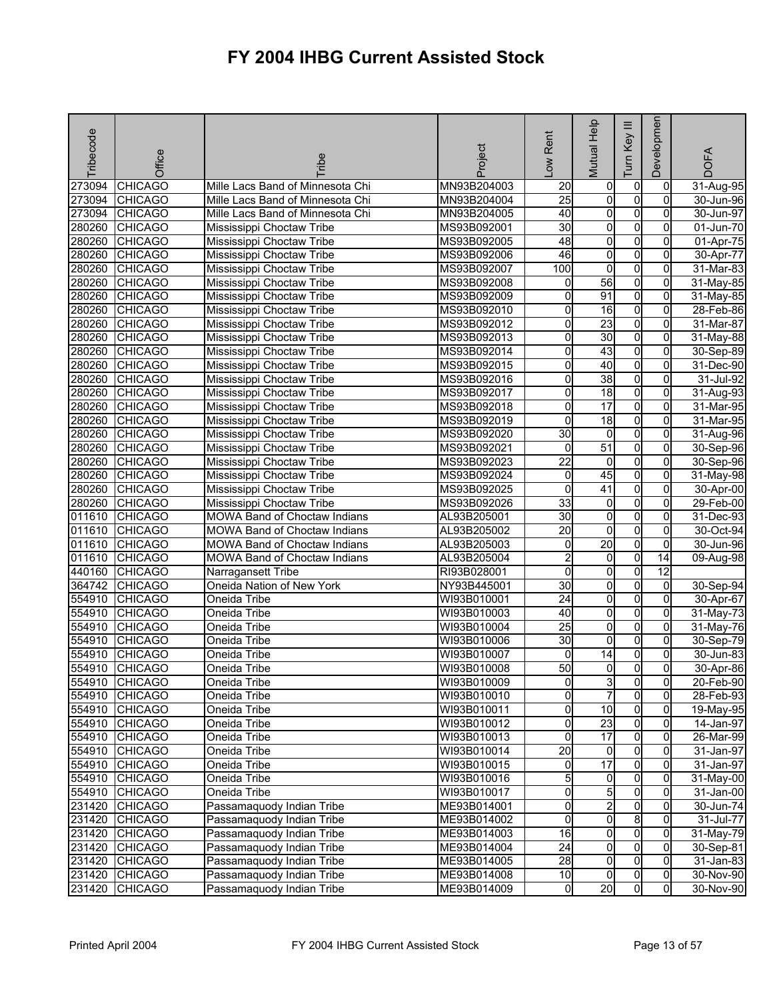| Tribecode | Office         | <b>Fribe</b>                        | Project     | -ow Rent        | Mutual Help             | Ξ<br>Key<br><b>Tum</b> | Developmen              | <b>DOFA</b>   |
|-----------|----------------|-------------------------------------|-------------|-----------------|-------------------------|------------------------|-------------------------|---------------|
| 273094    | <b>CHICAGO</b> | Mille Lacs Band of Minnesota Chi    | MN93B204003 | 20              | $\overline{0}$          | $\overline{0}$         | $\overline{0}$          | 31-Aug-95     |
| 273094    | <b>CHICAGO</b> | Mille Lacs Band of Minnesota Chi    | MN93B204004 | $\overline{25}$ | $\overline{0}$          | $\overline{0}$         | $\overline{\mathbf{0}}$ | 30-Jun-96     |
| 273094    | <b>CHICAGO</b> | Mille Lacs Band of Minnesota Chi    | MN93B204005 | 40              | $\overline{0}$          | $\overline{0}$         | $\overline{0}$          | 30-Jun-97     |
| 280260    | <b>CHICAGO</b> | Mississippi Choctaw Tribe           | MS93B092001 | 30              | $\overline{0}$          | $\overline{0}$         | $\overline{0}$          | 01-Jun-70     |
| 280260    | <b>CHICAGO</b> | Mississippi Choctaw Tribe           | MS93B092005 | 48              | $\overline{0}$          | $\overline{0}$         | $\overline{0}$          | 01-Apr-75     |
| 280260    | <b>CHICAGO</b> | Mississippi Choctaw Tribe           | MS93B092006 | 46              | $\overline{0}$          | $\overline{0}$         | $\overline{0}$          | 30-Apr-77     |
| 280260    | <b>CHICAGO</b> | Mississippi Choctaw Tribe           | MS93B092007 | 100             | $\overline{0}$          | $\overline{0}$         | $\overline{0}$          | 31-Mar-83     |
| 280260    | <b>CHICAGO</b> | Mississippi Choctaw Tribe           | MS93B092008 | 0               | 56                      | $\overline{0}$         | $\overline{0}$          | $31$ -May-85  |
| 280260    | <b>CHICAGO</b> | Mississippi Choctaw Tribe           | MS93B092009 | 0               | 91                      | $\overline{0}$         | $\overline{0}$          | 31-May-85     |
| 280260    | <b>CHICAGO</b> | Mississippi Choctaw Tribe           | MS93B092010 | 0               | 16                      | $\overline{0}$         | $\overline{0}$          | 28-Feb-86     |
| 280260    | <b>CHICAGO</b> | Mississippi Choctaw Tribe           | MS93B092012 | 0               | 23                      | $\overline{0}$         | $\overline{0}$          | 31-Mar-87     |
| 280260    | <b>CHICAGO</b> | Mississippi Choctaw Tribe           | MS93B092013 | 0               | 30                      | $\overline{0}$         | $\overline{0}$          | 31-May-88     |
| 280260    | <b>CHICAGO</b> | Mississippi Choctaw Tribe           | MS93B092014 | 0               | 43                      | $\overline{0}$         | 0                       | 30-Sep-89     |
| 280260    | <b>CHICAGO</b> | Mississippi Choctaw Tribe           | MS93B092015 | 0               | 40                      | $\overline{0}$         | $\overline{0}$          | 31-Dec-90     |
| 280260    | <b>CHICAGO</b> | Mississippi Choctaw Tribe           | MS93B092016 | 0               | 38                      | $\overline{0}$         | $\overline{0}$          | 31-Jul-92     |
| 280260    | <b>CHICAGO</b> | Mississippi Choctaw Tribe           | MS93B092017 | 0               | $\overline{18}$         | $\overline{0}$         | $\overline{0}$          | 31-Aug-93     |
| 280260    | <b>CHICAGO</b> | Mississippi Choctaw Tribe           | MS93B092018 | $\overline{0}$  | 17                      | $\overline{0}$         | $\overline{0}$          | 31-Mar-95     |
| 280260    | <b>CHICAGO</b> | Mississippi Choctaw Tribe           | MS93B092019 | 0               | 18                      | $\overline{0}$         | $\overline{0}$          | $31$ -Mar-95  |
| 280260    | <b>CHICAGO</b> | Mississippi Choctaw Tribe           | MS93B092020 | 30              | $\overline{0}$          | $\overline{0}$         | $\overline{0}$          | 31-Aug-96     |
| 280260    | <b>CHICAGO</b> | Mississippi Choctaw Tribe           | MS93B092021 | 0               | $\overline{51}$         | $\overline{0}$         | $\overline{0}$          | 30-Sep-96     |
| 280260    | <b>CHICAGO</b> | Mississippi Choctaw Tribe           | MS93B092023 | $\overline{22}$ | $\overline{0}$          | $\overline{0}$         | $\overline{0}$          | 30-Sep-96     |
| 280260    | <b>CHICAGO</b> | Mississippi Choctaw Tribe           | MS93B092024 | 0               | 45                      | $\overline{0}$         | $\overline{0}$          | 31-May-98     |
| 280260    | <b>CHICAGO</b> | Mississippi Choctaw Tribe           | MS93B092025 | 0               | 41                      | $\overline{0}$         | $\overline{0}$          | 30-Apr-00     |
| 280260    | <b>CHICAGO</b> | Mississippi Choctaw Tribe           | MS93B092026 | 33              | $\overline{0}$          | $\overline{0}$         | $\overline{\mathbf{0}}$ | 29-Feb-00     |
| 011610    | <b>CHICAGO</b> | MOWA Band of Choctaw Indians        | AL93B205001 | 30              | $\overline{0}$          | $\overline{0}$         | $\overline{0}$          | $31 - Dec-93$ |
| 011610    | <b>CHICAGO</b> | MOWA Band of Choctaw Indians        | AL93B205002 | $\overline{20}$ | $\overline{0}$          | $\overline{0}$         | 0                       | 30-Oct-94     |
| 011610    | <b>CHICAGO</b> | <b>MOWA Band of Choctaw Indians</b> | AL93B205003 | 0               | 20                      | $\overline{0}$         | 0                       | 30-Jun-96     |
| 011610    | <b>CHICAGO</b> | <b>MOWA Band of Choctaw Indians</b> | AL93B205004 | $\overline{2}$  | $\overline{0}$          | $\overline{0}$         | 14                      | 09-Aug-98     |
| 440160    | <b>CHICAGO</b> | Narragansett Tribe                  | RI93B028001 | 0               | $\overline{0}$          | $\overline{0}$         | $\overline{12}$         |               |
| 364742    | <b>CHICAGO</b> | Oneida Nation of New York           | NY93B445001 | 30              | $\overline{0}$          | $\overline{0}$         | $\overline{0}$          | 30-Sep-94     |
| 554910    | <b>CHICAGO</b> | Oneida Tribe                        | WI93B010001 | $\overline{24}$ | $\overline{\mathbf{0}}$ | $\overline{0}$         | $\overline{0}$          | 30-Apr-67     |
| 554910    | <b>CHICAGO</b> | Oneida Tribe                        | WI93B010003 | 40              | $\overline{0}$          | $\overline{0}$         | $\overline{0}$          | 31-May-73     |
| 554910    | <b>CHICAGO</b> | Oneida Tribe                        | WI93B010004 | $\overline{25}$ | $\overline{0}$          | $\overline{0}$         | $\overline{0}$          | 31-May-76     |
| 554910    | <b>CHICAGO</b> | Oneida Tribe                        | WI93B010006 | 30              | $\overline{0}$          | $\overline{0}$         | $\overline{0}$          | 30-Sep-79     |
| 554910    | <b>CHICAGO</b> | Oneida Tribe                        | WI93B010007 | 0               | 14                      | $\overline{0}$         | $\overline{\mathbf{0}}$ | 30-Jun-83     |
| 554910    | <b>CHICAGO</b> | Oneida Tribe                        | WI93B010008 | 50              | $\overline{0}$          | $\overline{0}$         | $\overline{0}$          | 30-Apr-86     |
|           | 554910 CHICAGO | Oneida Tribe                        | WI93B010009 | 01              | 3                       | $\overline{0}$         | 0                       | 20-Feb-90     |
|           | 554910 CHICAGO | Oneida Tribe                        | WI93B010010 | 0               | $\overline{7}$          | $\overline{0}$         | $\overline{0}$          | 28-Feb-93     |
|           | 554910 CHICAGO | Oneida Tribe                        | WI93B010011 | $\mathsf{o}$    | 10                      | $\overline{0}$         | $\overline{0}$          | 19-May-95     |
|           | 554910 CHICAGO | Oneida Tribe                        | WI93B010012 | O               | 23                      | $\overline{0}$         | $\overline{0}$          | 14-Jan-97     |
|           | 554910 CHICAGO | Oneida Tribe                        | WI93B010013 | 0               | 17                      | $\overline{0}$         | $\overline{0}$          | 26-Mar-99     |
|           | 554910 CHICAGO | Oneida Tribe                        | WI93B010014 | 20              | $\overline{0}$          | $\overline{0}$         | $\overline{0}$          | 31-Jan-97     |
|           | 554910 CHICAGO | Oneida Tribe                        | WI93B010015 | 0               | $\overline{17}$         | $\overline{0}$         | $\mathbf{0}$            | 31-Jan-97     |
|           | 554910 CHICAGO | Oneida Tribe                        | WI93B010016 | $5\overline{)}$ | $\overline{0}$          | $\overline{0}$         | $\overline{0}$          | 31-May-00     |
|           | 554910 CHICAGO | Oneida Tribe                        | WI93B010017 | O               | $\overline{5}$          | $\overline{0}$         | $\overline{0}$          | 31-Jan-00     |
|           | 231420 CHICAGO | Passamaquody Indian Tribe           | ME93B014001 | 0               | $\overline{2}$          | $\overline{0}$         | $\overline{0}$          | 30-Jun-74     |
| 231420    | <b>CHICAGO</b> | Passamaquody Indian Tribe           | ME93B014002 | 0               | 0                       | 8                      | $\overline{0}$          | 31-Jul-77     |
| 231420    | <b>CHICAGO</b> | Passamaquody Indian Tribe           | ME93B014003 | 16              | $\overline{0}$          | $\overline{0}$         | $\overline{0}$          | 31-May-79     |
|           | 231420 CHICAGO | Passamaquody Indian Tribe           | ME93B014004 | 24              | $\overline{0}$          | $\overline{0}$         | $\overline{0}$          | 30-Sep-81     |
| 231420    | <b>CHICAGO</b> | Passamaquody Indian Tribe           | ME93B014005 | 28              | $\overline{0}$          | $\overline{0}$         | $\overline{0}$          | 31-Jan-83     |
| 231420    | <b>CHICAGO</b> | Passamaquody Indian Tribe           | ME93B014008 | 10              | $\overline{0}$          | $\overline{0}$         | $\overline{0}$          | 30-Nov-90     |
| 231420    | <b>CHICAGO</b> | Passamaquody Indian Tribe           | ME93B014009 | 0               | 20                      | $\overline{0}$         | $\overline{0}$          | 30-Nov-90     |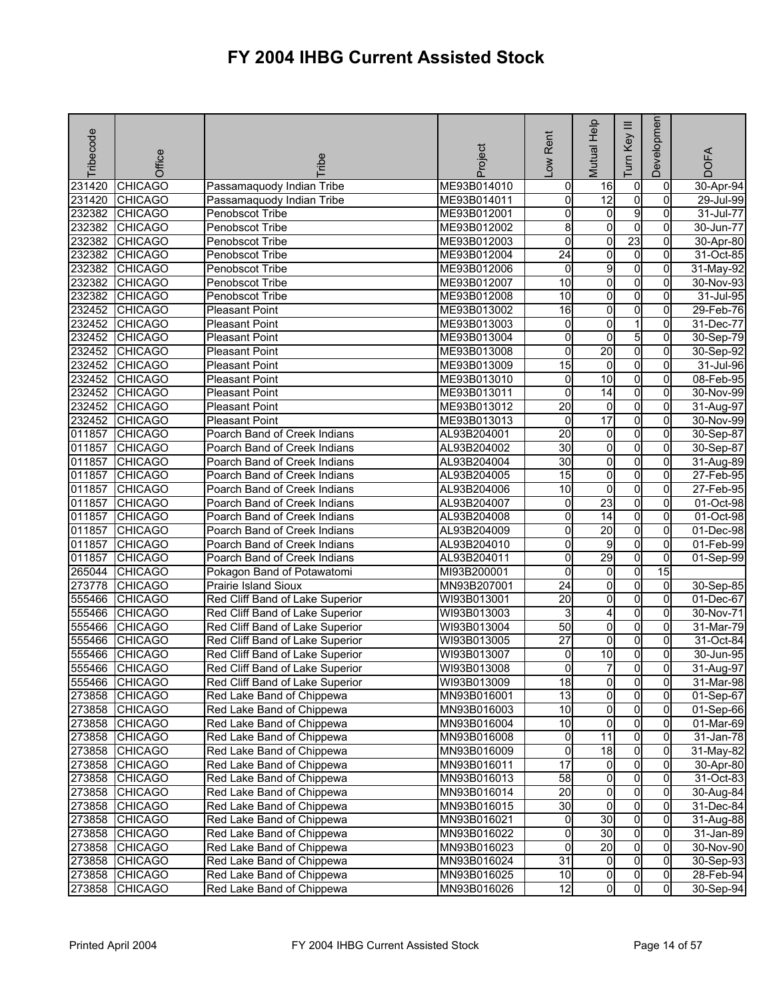| <b>Tribecode</b> | Office                           | <b>Fribe</b>                                           | Project                    | Rent<br>$\sum_{i=1}^{\infty}$ | Mutual Help                      | Ξ<br>Key<br>Tum  | Developmen          | <b>DOFA</b>            |
|------------------|----------------------------------|--------------------------------------------------------|----------------------------|-------------------------------|----------------------------------|------------------|---------------------|------------------------|
| 231420           | <b>CHICAGO</b>                   | Passamaquody Indian Tribe                              | ME93B014010                | 0                             | 16                               | 0                | 0                   | 30-Apr-94              |
| 231420           | <b>CHICAGO</b>                   | Passamaquody Indian Tribe                              | ME93B014011                | 0                             | $\overline{12}$                  | $\mathbf 0$      | $\Omega$            | 29-Jul-99              |
| 232382           | <b>CHICAGO</b>                   | Penobscot Tribe                                        | ME93B012001                | 0                             | $\overline{0}$                   | $\overline{9}$   | 0                   | 31-Jul-77              |
| 232382           | <b>CHICAGO</b>                   | Penobscot Tribe                                        | ME93B012002                | 8                             | 0                                | $\mathbf 0$      | 0                   | 30-Jun-77              |
| 232382           | <b>CHICAGO</b>                   | Penobscot Tribe                                        | ME93B012003                | 0                             | 0                                | 23               | 0                   | 30-Apr-80              |
| 232382           | <b>CHICAGO</b>                   | Penobscot Tribe                                        | ME93B012004                | $\overline{24}$               | o                                | $\overline{0}$   | 0                   | 31-Oct-85              |
| 232382           | <b>CHICAGO</b>                   | Penobscot Tribe                                        | ME93B012006                | 0                             | 9                                | $\mathbf 0$      | 0                   | 31-May-92              |
| 232382           | <b>CHICAGO</b>                   | Penobscot Tribe                                        | ME93B012007                | 10                            | 0                                | $\overline{0}$   | 0                   | $30-Nov-93$            |
| 232382           | <b>CHICAGO</b>                   | Penobscot Tribe                                        | ME93B012008                | $\overline{10}$               | $\overline{0}$                   | $\overline{0}$   | $\overline{0}$      | 31-Jul-95              |
| 232452           | <b>CHICAGO</b>                   | <b>Pleasant Point</b>                                  | ME93B013002                | $\overline{16}$               | 0                                | o                | 0                   | 29-Feb-76              |
| 232452           | <b>CHICAGO</b>                   | <b>Pleasant Point</b>                                  | ME93B013003                | 0                             | $\overline{0}$                   | $\mathbf{1}$     | 0                   | 31-Dec-77              |
| 232452           | <b>CHICAGO</b>                   | <b>Pleasant Point</b>                                  | ME93B013004                | 0                             | 0                                | 5                | $\overline{0}$      | 30-Sep-79              |
| 232452           | <b>CHICAGO</b>                   | <b>Pleasant Point</b>                                  | ME93B013008                | 0                             | 20                               | $\overline{0}$   | $\Omega$            | 30-Sep-92              |
| 232452           | <b>CHICAGO</b>                   | <b>Pleasant Point</b>                                  | ME93B013009                | 15                            | $\overline{0}$                   | $\overline{0}$   | $\overline{0}$      | 31-Jul-96              |
| 232452           | <b>CHICAGO</b>                   | Pleasant Point                                         | ME93B013010                | 0                             | $\overline{10}$                  | $\overline{0}$   | 0                   | 08-Feb-95              |
| 232452           | <b>CHICAGO</b>                   | <b>Pleasant Point</b>                                  | ME93B013011                | 0                             | $\overline{14}$                  | $\overline{0}$   | 0                   | 30-Nov-99              |
| 232452           | <b>CHICAGO</b>                   | <b>Pleasant Point</b>                                  | ME93B013012                | $\overline{20}$               | $\overline{0}$                   | $\overline{0}$   | 0                   | 31-Aug-97              |
| 232452           | <b>CHICAGO</b>                   | <b>Pleasant Point</b>                                  | ME93B013013                | 0                             | 17                               | $\pmb{0}$        | 0                   | 30-Nov-99              |
| 011857           | <b>CHICAGO</b>                   | Poarch Band of Creek Indians                           | AL93B204001                | $\overline{20}$               | $\overline{0}$                   | o                | 0                   | 30-Sep-87              |
| 011857           | <b>CHICAGO</b>                   | Poarch Band of Creek Indians                           | AL93B204002                | 30                            | $\overline{0}$                   | $\overline{0}$   | $\overline{0}$      | 30-Sep-87              |
| 011857           | <b>CHICAGO</b>                   | Poarch Band of Creek Indians                           | AL93B204004                | 30                            | 0                                | $\mathbf 0$      | 0                   | 31-Aug-89              |
| 011857           | <b>CHICAGO</b>                   | Poarch Band of Creek Indians                           | AL93B204005                | 15                            | $\overline{0}$                   | $\overline{0}$   | 0                   | 27-Feb-95              |
| 011857           | <b>CHICAGO</b>                   | Poarch Band of Creek Indians                           | AL93B204006                | $\overline{10}$               | $\overline{0}$                   | $\overline{0}$   | $\overline{0}$      | 27-Feb-95              |
| 011857           | <b>CHICAGO</b>                   | Poarch Band of Creek Indians                           | AL93B204007                | 0                             | 23                               | O                | 0                   | 01-Oct-98              |
| 011857           | <b>CHICAGO</b>                   | Poarch Band of Creek Indians                           | AL93B204008                | 0                             | $\overline{14}$                  | $\overline{0}$   | $\Omega$            | 01-Oct-98              |
| 011857           | <b>CHICAGO</b>                   | Poarch Band of Creek Indians                           | AL93B204009                | 0                             | 20                               | $\overline{0}$   | 0                   | 01-Dec-98              |
| 011857           | <b>CHICAGO</b>                   | Poarch Band of Creek Indians                           | AL93B204010                | 0                             | 9                                | $\overline{0}$   | 0                   | 01-Feb-99              |
| 011857           | <b>CHICAGO</b>                   | Poarch Band of Creek Indians                           | AL93B204011                | 0                             | 29                               | $\overline{0}$   | $\overline{0}$      | 01-Sep-99              |
| 265044           | <b>CHICAGO</b>                   | Pokagon Band of Potawatomi                             | MI93B200001                | 0                             | 0                                | $\overline{0}$   | 15                  |                        |
| 273778           | <b>CHICAGO</b>                   | <b>Prairie Island Sioux</b>                            | MN93B207001                | $\overline{24}$               | 0                                | 0                | 0                   | 30-Sep-85              |
| 555466           | <b>CHICAGO</b>                   | Red Cliff Band of Lake Superior                        | WI93B013001                | $\overline{20}$               | 0                                | $\overline{0}$   | 0                   | 01-Dec-67              |
| 555466           | <b>CHICAGO</b>                   | Red Cliff Band of Lake Superior                        | WI93B013003                | 3                             | 4                                | $\pmb{0}$        | 0                   | 30-Nov-71              |
| 555466           | <b>CHICAGO</b>                   | Red Cliff Band of Lake Superior                        | WI93B013004                | 50                            | $\overline{0}$                   | O                | 0                   | 31-Mar-79              |
| 555466           | <b>CHICAGO</b>                   | Red Cliff Band of Lake Superior                        | WI93B013005                | $\overline{27}$               | $\overline{0}$                   | $\overline{0}$   | $\mathbf{0}$        | 31-Oct-84              |
| 555466           | <b>CHICAGO</b>                   | Red Cliff Band of Lake Superior                        | WI93B013007                | 0                             | $\overline{10}$                  | 0                | 0                   | 30-Jun-95              |
| 555466           | <b>CHICAGO</b>                   | Red Cliff Band of Lake Superior                        | WI93B013008                | 0                             | 7                                | $\overline{0}$   | $\overline{0}$      | 31-Aug-97              |
|                  | 555466 CHICAGO                   | Red Cliff Band of Lake Superior                        | WI93B013009                | 18                            | $\overline{0}$                   | $\overline{0}$   | 01                  | 31-Mar-98              |
|                  | 273858 CHICAGO                   | Red Lake Band of Chippewa                              | MN93B016001                | 13                            | $\overline{0}$                   | $\overline{0}$   | $\mathbf{0}$        | 01-Sep-67              |
|                  | 273858 CHICAGO                   | Red Lake Band of Chippewa                              | MN93B016003                | 10                            | $\overline{0}$                   | o                | $\overline{0}$      | 01-Sep-66              |
|                  | 273858 CHICAGO                   | Red Lake Band of Chippewa                              | MN93B016004                | $\overline{10}$               | $\overline{0}$                   | $\overline{0}$   | $\overline{0}$      | 01-Mar-69              |
|                  | 273858 CHICAGO                   | Red Lake Band of Chippewa                              | MN93B016008                | 0                             | 11                               | $\mathbf 0$      | 0                   | 31-Jan-78              |
|                  | 273858 CHICAGO                   | Red Lake Band of Chippewa                              | MN93B016009                | 0                             | $\overline{18}$                  | $\overline{0}$   | $\overline{0}$      | 31-May-82              |
| 273858           | <b>CHICAGO</b>                   | Red Lake Band of Chippewa                              | MN93B016011                | 17                            | $\overline{0}$                   | $\mathbf 0$      | 0                   | 30-Apr-80              |
|                  | 273858 CHICAGO                   | Red Lake Band of Chippewa                              | MN93B016013                | 58                            | $\overline{0}$                   | $\overline{0}$   | $\overline{0}$      | 31-Oct-83              |
|                  | 273858 CHICAGO                   | Red Lake Band of Chippewa                              | MN93B016014                | $\overline{20}$<br>30         | $\overline{0}$<br>$\overline{0}$ | $\overline{0}$   | $\overline{0}$<br>0 | 30-Aug-84              |
| 273858           | 273858 CHICAGO<br><b>CHICAGO</b> | Red Lake Band of Chippewa                              | MN93B016015<br>MN93B016021 | 0                             | 30                               | 0<br>$\mathbf 0$ | 0                   | 31-Dec-84              |
|                  | <b>CHICAGO</b>                   | Red Lake Band of Chippewa<br>Red Lake Band of Chippewa |                            | 0                             | 30                               | $\overline{0}$   | $\mathbf{0}$        | 31-Aug-88              |
| 273858<br>273858 | <b>CHICAGO</b>                   |                                                        | MN93B016022                | 0                             | 20                               | $\mathbf 0$      | 0                   | 31-Jan-89<br>30-Nov-90 |
| 273858           | <b>CHICAGO</b>                   | Red Lake Band of Chippewa<br>Red Lake Band of Chippewa | MN93B016023<br>MN93B016024 | $\overline{31}$               | $\overline{0}$                   | o                | $\overline{0}$      | 30-Sep-93              |
| 273858           | <b>CHICAGO</b>                   | Red Lake Band of Chippewa                              | MN93B016025                | 10                            | $\overline{0}$                   | $\mathbf 0$      | $\overline{0}$      | 28-Feb-94              |
| 273858           | <b>CHICAGO</b>                   | Red Lake Band of Chippewa                              | MN93B016026                | 12                            | 0                                | 0                | $\overline{0}$      | 30-Sep-94              |
|                  |                                  |                                                        |                            |                               |                                  |                  |                     |                        |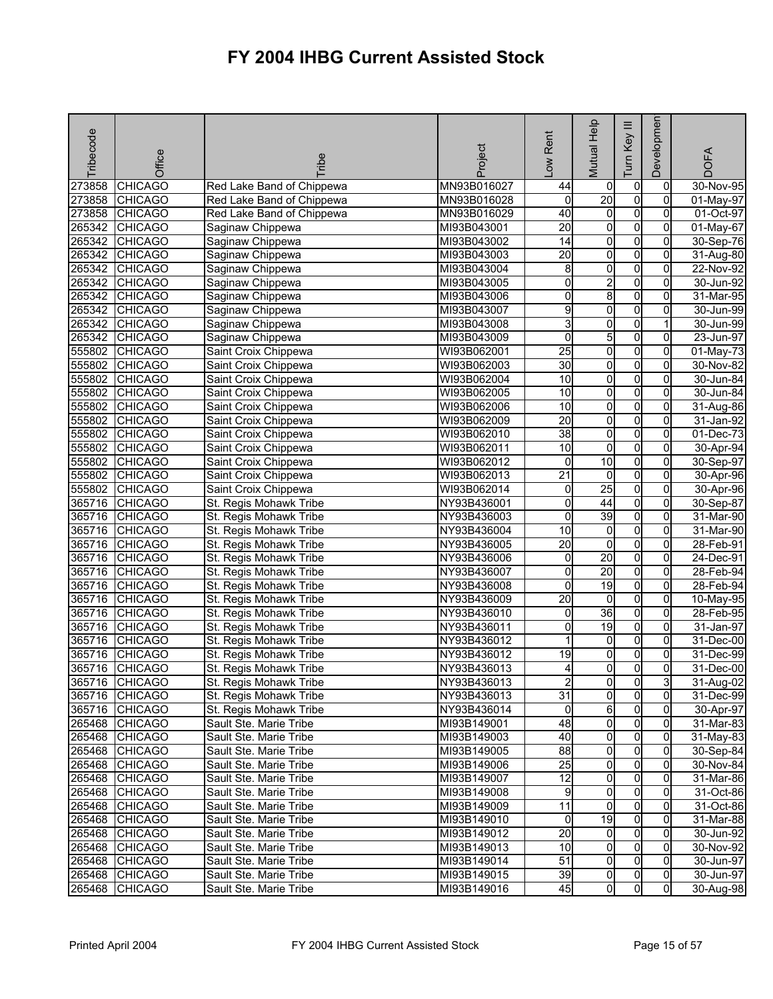| Tribecode | Office                           | <b>Tribe</b>                                     | Project                    | Rent<br>$\sqrt{2}$              | Mutual Help                      | Ξ<br>Key<br>Tum                  | Developmen          | <b>DOFA</b>            |
|-----------|----------------------------------|--------------------------------------------------|----------------------------|---------------------------------|----------------------------------|----------------------------------|---------------------|------------------------|
| 273858    | <b>CHICAGO</b>                   | Red Lake Band of Chippewa                        | MN93B016027                | 44                              | 0                                | $\pmb{0}$                        | 0                   | 30-Nov-95              |
| 273858    | <b>CHICAGO</b>                   | Red Lake Band of Chippewa                        | MN93B016028                | 0                               | 20                               | o                                | 0                   | 01-May-97              |
| 273858    | <b>CHICAGO</b>                   | Red Lake Band of Chippewa                        | MN93B016029                | 40                              | $\overline{0}$                   | $\overline{0}$                   | $\overline{0}$      | 01-Oct-97              |
| 265342    | <b>CHICAGO</b>                   | Saginaw Chippewa                                 | MI93B043001                | 20                              | 0                                | $\overline{0}$                   | 0                   | 01-May-67              |
| 265342    | <b>CHICAGO</b>                   | Saginaw Chippewa                                 | MI93B043002                | $\overline{14}$                 | $\overline{0}$                   | $\overline{0}$                   | 0                   | 30-Sep-76              |
| 265342    | <b>CHICAGO</b>                   | Saginaw Chippewa                                 | MI93B043003                | $\overline{20}$                 | O                                | $\overline{0}$                   | 0                   | 31-Aug-80              |
| 265342    | <b>CHICAGO</b>                   | Saginaw Chippewa                                 | MI93B043004                | 8                               | $\overline{0}$                   | o                                | 0                   | 22-Nov-92              |
| 265342    | <b>CHICAGO</b>                   | Saginaw Chippewa                                 | MI93B043005                | 0                               | $\overline{\mathbf{c}}$          | $\overline{0}$                   | 0                   | 30-Jun-92              |
| 265342    | <b>CHICAGO</b>                   | Saginaw Chippewa                                 | MI93B043006                | 0                               | 8                                | $\overline{0}$                   | $\overline{0}$      | 31-Mar-95              |
| 265342    | <b>CHICAGO</b>                   | Saginaw Chippewa                                 | MI93B043007                | 9                               | o                                | o                                | 0                   | 30-Jun-99              |
| 265342    | <b>CHICAGO</b>                   | Saginaw Chippewa                                 | MI93B043008                | 3                               | $\overline{\mathbf{0}}$          | o                                |                     | 30-Jun-99              |
| 265342    | <b>CHICAGO</b>                   | Saginaw Chippewa                                 | MI93B043009                | 0                               | 5                                | $\overline{0}$                   | 0                   | 23-Jun-97              |
| 555802    | <b>CHICAGO</b>                   | Saint Croix Chippewa                             | WI93B062001                | 25                              | 0                                | $\overline{0}$                   | 0                   | $01$ -May-73           |
| 555802    | <b>CHICAGO</b>                   | Saint Croix Chippewa                             | WI93B062003                | 30                              | O                                | $\overline{0}$                   | $\overline{0}$      | 30-Nov-82              |
| 555802    | <b>CHICAGO</b>                   | Saint Croix Chippewa                             | WI93B062004                | 10                              | 0                                | $\overline{0}$                   | 0                   | 30-Jun-84              |
| 555802    | <b>CHICAGO</b>                   | Saint Croix Chippewa                             | WI93B062005                | 10                              | o                                | $\overline{0}$                   | 0                   | 30-Jun-84              |
| 555802    | <b>CHICAGO</b>                   | Saint Croix Chippewa                             | WI93B062006                | 10                              | O                                | $\overline{0}$                   | 0                   | 31-Aug-86              |
| 555802    | <b>CHICAGO</b>                   | Saint Croix Chippewa                             | WI93B062009                | $\overline{20}$                 | $\overline{0}$                   | O                                | 0                   | 31-Jan-92              |
| 555802    | <b>CHICAGO</b>                   | Saint Croix Chippewa                             | WI93B062010                | 38                              | o                                | $\overline{0}$                   | 0                   | $01$ -Dec-73           |
| 555802    | <b>CHICAGO</b>                   | Saint Croix Chippewa                             | WI93B062011                | $\overline{10}$                 | $\overline{\mathbf{0}}$          | $\overline{0}$                   | 0                   | 30-Apr-94              |
| 555802    | <b>CHICAGO</b>                   | Saint Croix Chippewa                             | WI93B062012                | 0                               | 10                               | $\mathbf 0$                      | 0                   | 30-Sep-97              |
| 555802    | <b>CHICAGO</b>                   | Saint Croix Chippewa                             | WI93B062013                | $\overline{21}$                 | $\overline{0}$                   | $\overline{0}$                   | 0                   | 30-Apr-96              |
| 555802    | <b>CHICAGO</b>                   | Saint Croix Chippewa                             | WI93B062014                | $\mathsf{O}\xspace$             | 25                               | $\overline{0}$                   | 0                   | 30-Apr-96              |
| 365716    | <b>CHICAGO</b>                   | St. Regis Mohawk Tribe                           | NY93B436001                | $\overline{0}$                  | 44                               | $\overline{0}$                   | 0                   | 30-Sep-87              |
| 365716    | <b>CHICAGO</b>                   | St. Regis Mohawk Tribe                           | NY93B436003                | 0                               | 39                               | $\overline{0}$                   | $\Omega$            | 31-Mar-90              |
| 365716    | <b>CHICAGO</b>                   | St. Regis Mohawk Tribe                           | NY93B436004                | 10                              | 0                                | $\overline{0}$                   | 0                   | 31-Mar-90              |
| 365716    | <b>CHICAGO</b>                   | St. Regis Mohawk Tribe                           | NY93B436005                | $\overline{20}$                 | o                                | $\overline{0}$                   | 0                   | 28-Feb-91              |
| 365716    | <b>CHICAGO</b>                   | St. Regis Mohawk Tribe                           | NY93B436006                | 0                               | 20                               | $\overline{0}$                   | 0                   | 24-Dec-91              |
| 365716    | <b>CHICAGO</b>                   | St. Regis Mohawk Tribe                           | NY93B436007                | 0                               | 20                               | $\overline{0}$                   | 0                   | 28-Feb-94              |
| 365716    | <b>CHICAGO</b>                   | St. Regis Mohawk Tribe                           | NY93B436008                | 0                               | 19                               | $\overline{0}$                   | 0                   | 28-Feb-94              |
| 365716    | <b>CHICAGO</b>                   | St. Regis Mohawk Tribe                           | NY93B436009                | 20                              | o                                | $\overline{0}$                   | 0                   | 10-May-95              |
| 365716    | <b>CHICAGO</b>                   | St. Regis Mohawk Tribe                           | NY93B436010                | 0                               | 36                               | O                                | 0                   | 28-Feb-95              |
| 365716    | <b>CHICAGO</b>                   | St. Regis Mohawk Tribe                           | NY93B436011                | 0                               | 19                               | o                                | 0                   | 31-Jan-97              |
| 365716    | <b>CHICAGO</b>                   | St. Regis Mohawk Tribe                           | NY93B436012                | 1                               | $\overline{0}$                   | $\overline{0}$                   | $\overline{0}$      | 31-Dec-00              |
| 365716    | <b>CHICAGO</b>                   | St. Regis Mohawk Tribe                           | NY93B436012                | 19                              | $\mathsf{O}\xspace$              | o                                | 0                   | 31-Dec-99              |
| 365716    | <b>CHICAGO</b>                   | St. Regis Mohawk Tribe                           | NY93B436013                | 4                               | $\overline{0}$                   | $\overline{0}$                   | $\overline{0}$      | $31 - Dec-00$          |
|           | 365716 CHICAGO                   | St. Regis Mohawk Tribe                           | NY93B436013                | $\mathbf{z}$<br>$\overline{31}$ | 0I                               | $\mathbf{0}$                     | 3                   | 31-Aug-02              |
|           | 365716 CHICAGO                   | St. Regis Mohawk Tribe                           | NY93B436013                |                                 | $\overline{0}$                   | $\overline{0}$                   | $\overline{0}$      | 31-Dec-99              |
|           | 365716 CHICAGO                   | St. Regis Mohawk Tribe                           | NY93B436014                | 0                               | 6                                | $\overline{0}$                   | $\overline{0}$      | 30-Apr-97              |
|           | 265468 CHICAGO                   | Sault Ste. Marie Tribe                           | MI93B149001                | 48                              | $\overline{0}$                   | $\overline{0}$                   | $\overline{0}$      | 31-Mar-83              |
|           | 265468 CHICAGO                   | Sault Ste. Marie Tribe                           | MI93B149003                | 40                              | 0                                | $\mathbf 0$                      | 0                   | 31-May-83              |
|           | 265468 CHICAGO                   | Sault Ste. Marie Tribe                           | MI93B149005                | 88                              | $\overline{0}$                   | $\overline{0}$                   | $\overline{0}$      | 30-Sep-84              |
|           | 265468 CHICAGO                   | Sault Ste. Marie Tribe                           | MI93B149006                | 25                              | $\overline{0}$                   | $\overline{0}$                   | $\mathbf{0}$        | 30-Nov-84              |
|           | 265468 CHICAGO<br>265468 CHICAGO | Sault Ste. Marie Tribe                           | MI93B149007                | 12                              | $\overline{0}$<br>$\overline{0}$ | $\overline{0}$<br>$\overline{0}$ | 0<br>$\overline{0}$ | 31-Mar-86              |
|           |                                  | Sault Ste. Marie Tribe<br>Sault Ste. Marie Tribe | MI93B149008                | 9<br>11                         | 0                                | 0                                | $\overline{0}$      | 31-Oct-86              |
| 265468    | 265468 CHICAGO<br><b>CHICAGO</b> | Sault Ste. Marie Tribe                           | MI93B149009                | 0                               | 19                               | $\overline{0}$                   | 0                   | 31-Oct-86              |
|           | 265468 CHICAGO                   | Sault Ste. Marie Tribe                           | MI93B149010<br>MI93B149012 | $\overline{20}$                 | $\overline{0}$                   | $\overline{0}$                   | $\mathbf{0}$        | 31-Mar-88              |
|           | 265468 CHICAGO                   |                                                  |                            | 10                              | $\overline{0}$                   | $\mathbf 0$                      | $\mathbf{0}$        | 30-Jun-92<br>30-Nov-92 |
| 265468    | <b>CHICAGO</b>                   | Sault Ste. Marie Tribe<br>Sault Ste. Marie Tribe | MI93B149013<br>MI93B149014 | $\overline{51}$                 | $\overline{0}$                   | $\overline{0}$                   | $\mathbf{0}$        | 30-Jun-97              |
|           | 265468 CHICAGO                   | Sault Ste. Marie Tribe                           | MI93B149015                | 39                              | 0l                               | $\overline{0}$                   | $\overline{0}$      | 30-Jun-97              |
|           | 265468 CHICAGO                   | Sault Ste. Marie Tribe                           | MI93B149016                | 45                              | 0                                | $\overline{0}$                   | $\overline{0}$      | 30-Aug-98              |
|           |                                  |                                                  |                            |                                 |                                  |                                  |                     |                        |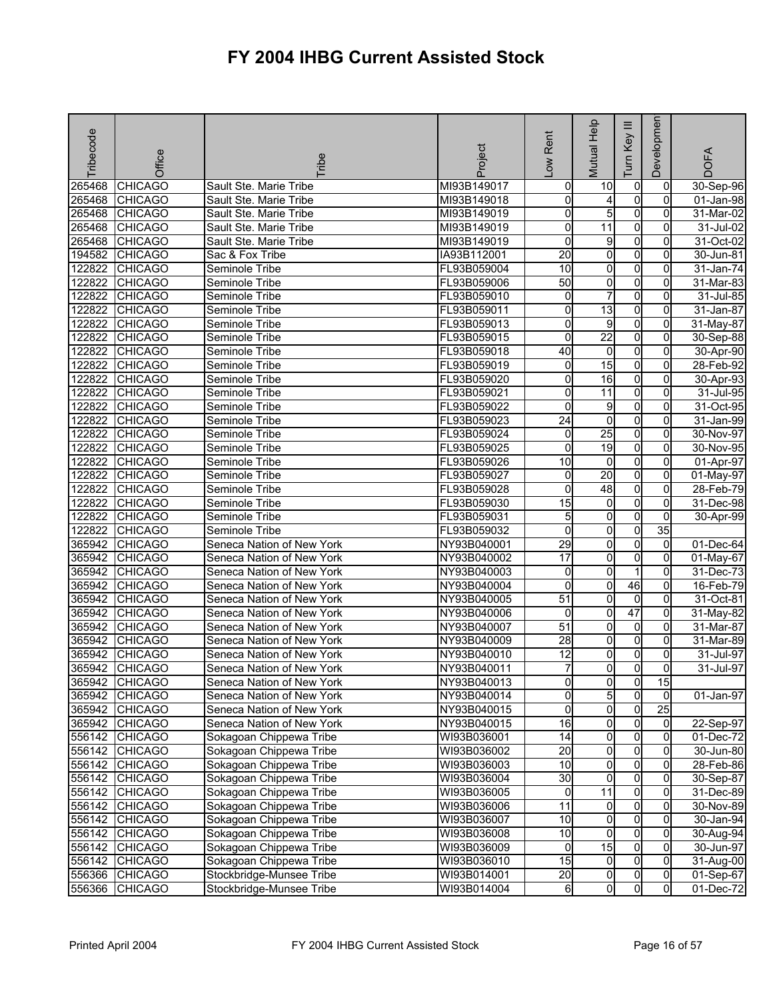| Tribecode | Office         | <b>Fribe</b>              | Project     | -ow Rent        | Mutual Help             | Ξ<br>Key<br>Tum | Developmen     | <b>DOFA</b>             |
|-----------|----------------|---------------------------|-------------|-----------------|-------------------------|-----------------|----------------|-------------------------|
| 265468    | <b>CHICAGO</b> | Sault Ste. Marie Tribe    | MI93B149017 | 0               | 10                      | $\overline{0}$  | 0              | 30-Sep-96               |
| 265468    | <b>CHICAGO</b> | Sault Ste. Marie Tribe    | MI93B149018 | 0               | 4                       | $\overline{0}$  | $\Omega$       | 01-Jan-98               |
| 265468    | <b>CHICAGO</b> | Sault Ste. Marie Tribe    | MI93B149019 | 0               | 5                       | $\overline{0}$  | $\Omega$       | $31$ -Mar-02            |
| 265468    | <b>CHICAGO</b> | Sault Ste. Marie Tribe    | MI93B149019 | 0               | 11                      | $\overline{0}$  | 0              | 31-Jul-02               |
| 265468    | <b>CHICAGO</b> | Sault Ste. Marie Tribe    | MI93B149019 | 0               | 9                       | $\overline{0}$  | $\overline{0}$ | 31-Oct-02               |
| 194582    | <b>CHICAGO</b> | Sac & Fox Tribe           | IA93B112001 | $\overline{20}$ | o                       | $\overline{0}$  | 0              | 30-Jun-81               |
| 122822    | <b>CHICAGO</b> | Seminole Tribe            | FL93B059004 | 10              | 0                       | $\overline{0}$  | 0              | 31-Jan-74               |
| 122822    | <b>CHICAGO</b> | Seminole Tribe            | FL93B059006 | $\overline{50}$ | 0                       | $\overline{0}$  | $\Omega$       | 31-Mar-83               |
| 122822    | <b>CHICAGO</b> | Seminole Tribe            | FL93B059010 | 0               | $\overline{7}$          | $\overline{0}$  | $\overline{0}$ | 31-Jul-85               |
| 122822    | <b>CHICAGO</b> | Seminole Tribe            | FL93B059011 | 0               | $\overline{13}$         | $\overline{0}$  | 0              | 31-Jan-87               |
| 122822    | <b>CHICAGO</b> | Seminole Tribe            | FL93B059013 | 0               | 9                       | $\overline{0}$  | 0              | 31-May-87               |
| 122822    | <b>CHICAGO</b> | Seminole Tribe            | FL93B059015 | 0               | $\overline{22}$         | $\overline{0}$  | $\mathbf{0}$   | 30-Sep-88               |
| 122822    | <b>CHICAGO</b> | Seminole Tribe            | FL93B059018 | 40              | $\mathbf 0$             | $\overline{0}$  | 0              | 30-Apr-90               |
| 122822    | <b>CHICAGO</b> | Seminole Tribe            | FL93B059019 | 0               | 15                      | $\overline{0}$  | $\Omega$       | 28-Feb-92               |
| 122822    | <b>CHICAGO</b> | Seminole Tribe            | FL93B059020 | 0               | 16                      | O               | 0              | 30-Apr-93               |
| 122822    | <b>CHICAGO</b> | Seminole Tribe            | FL93B059021 | 0               | 11                      | $\overline{0}$  | $\overline{0}$ | 31-Jul-95               |
| 122822    | <b>CHICAGO</b> | Seminole Tribe            | FL93B059022 | 0               | 9                       | $\overline{0}$  | 0              | 31-Oct-95               |
| 122822    | <b>CHICAGO</b> | Seminole Tribe            | FL93B059023 | $\overline{24}$ | $\mathbf 0$             | $\overline{0}$  | 0              | 31-Jan-99               |
| 122822    | <b>CHICAGO</b> | Seminole Tribe            | FL93B059024 | 0               | 25                      | O               | $\Omega$       | 30-Nov-97               |
| 122822    | <b>CHICAGO</b> | Seminole Tribe            | FL93B059025 | 0               | 19                      | $\overline{0}$  | $\overline{0}$ | 30-Nov-95               |
| 122822    | <b>CHICAGO</b> | Seminole Tribe            | FL93B059026 | 10              | $\mathbf 0$             | $\overline{0}$  | 0              | 01-Apr-97               |
| 122822    | <b>CHICAGO</b> | Seminole Tribe            | FL93B059027 | 0               | 20                      | $\overline{0}$  | 0              | 01-May-97               |
| 122822    | <b>CHICAGO</b> | Seminole Tribe            | FL93B059028 | 0               | $\overline{48}$         | $\overline{0}$  | $\overline{0}$ | 28-Feb-79               |
| 122822    | <b>CHICAGO</b> | Seminole Tribe            | FL93B059030 | 15              | 0                       | $\overline{0}$  | 0              | 31-Dec-98               |
| 122822    | <b>CHICAGO</b> | Seminole Tribe            | FL93B059031 | $\overline{5}$  | 0                       | $\overline{0}$  | $\Omega$       | 30-Apr-99               |
| 122822    | <b>CHICAGO</b> | Seminole Tribe            | FL93B059032 | 0               | 0                       | O               | 35             |                         |
| 365942    | <b>CHICAGO</b> | Seneca Nation of New York | NY93B040001 | 29              | 0                       | $\overline{0}$  | $\overline{0}$ | 01-Dec-64               |
| 365942    | <b>CHICAGO</b> | Seneca Nation of New York | NY93B040002 | 17              | $\overline{\mathbf{0}}$ | $\overline{0}$  | $\overline{0}$ | 01-May-67               |
| 365942    | <b>CHICAGO</b> | Seneca Nation of New York | NY93B040003 | 0               | 0                       | 1               | 0              | 31-Dec-73               |
| 365942    | <b>CHICAGO</b> | Seneca Nation of New York | NY93B040004 | 0               | 0                       | 46              | 0              | 16-Feb-79               |
| 365942    | <b>CHICAGO</b> | Seneca Nation of New York | NY93B040005 | 51              | 0                       | $\overline{0}$  | 0              | 31-Oct-81               |
| 365942    | <b>CHICAGO</b> | Seneca Nation of New York | NY93B040006 | 0               | 0                       | 47              | 0              | 31-May-82               |
| 365942    | <b>CHICAGO</b> | Seneca Nation of New York | NY93B040007 | $\overline{51}$ | 0                       | $\overline{0}$  | 0              | 31-Mar-87               |
| 365942    | <b>CHICAGO</b> | Seneca Nation of New York | NY93B040009 | $\overline{28}$ | $\overline{0}$          | $\overline{0}$  | $\overline{0}$ | $31-Mar-89$             |
| 365942    | <b>CHICAGO</b> | Seneca Nation of New York | NY93B040010 | $\overline{12}$ | 0                       | $\overline{0}$  | 0              | 31-Jul-97               |
| 365942    | <b>CHICAGO</b> | Seneca Nation of New York | NY93B040011 | $\overline{7}$  | 0                       | $\mathsf{o}$    | $\Omega$       | 31-Jul-97               |
|           | 365942 CHICAGO | Seneca Nation of New York | NY93B040013 | 0               | 01                      | $\overline{0}$  | 15             |                         |
|           | 365942 CHICAGO | Seneca Nation of New York | NY93B040014 | 0               | 5                       | $\overline{0}$  | $\Omega$       | $01$ -Jan-97            |
|           | 365942 CHICAGO | Seneca Nation of New York | NY93B040015 | $\pmb{0}$       | $\overline{0}$          | $\overline{0}$  | 25             |                         |
|           | 365942 CHICAGO | Seneca Nation of New York | NY93B040015 | 16              | $\overline{0}$          | $\overline{0}$  | $\overline{0}$ | 22-Sep-97               |
|           | 556142 CHICAGO | Sokagoan Chippewa Tribe   | WI93B036001 | 14              | $\overline{0}$          | $\overline{0}$  | 0              | 01-Dec-72               |
| 556142    | <b>CHICAGO</b> | Sokagoan Chippewa Tribe   | WI93B036002 | $\overline{20}$ | $\overline{\mathbf{0}}$ | $\overline{0}$  | $\overline{0}$ | 30-Jun-80               |
|           | 556142 CHICAGO | Sokagoan Chippewa Tribe   | WI93B036003 | 10              | $\overline{0}$          | $\overline{0}$  | 0              | 28-Feb-86               |
|           | 556142 CHICAGO | Sokagoan Chippewa Tribe   | WI93B036004 | 30              | $\overline{0}$          | $\overline{0}$  | 0              | 30-Sep-87               |
| 556142    | <b>CHICAGO</b> | Sokagoan Chippewa Tribe   | WI93B036005 | $\overline{0}$  | 11                      | $\overline{0}$  | $\overline{0}$ | 31-Dec-89               |
|           | 556142 CHICAGO | Sokagoan Chippewa Tribe   | WI93B036006 | 11              | $\overline{0}$          | 0               | 0              | 30-Nov-89               |
|           | 556142 CHICAGO | Sokagoan Chippewa Tribe   | WI93B036007 | 10              | $\overline{0}$          | $\overline{0}$  | 0              | 30-Jan-94               |
| 556142    | <b>CHICAGO</b> | Sokagoan Chippewa Tribe   | WI93B036008 | $\overline{10}$ | $\overline{0}$          | $\overline{0}$  | $\mathbf{0}$   | 30-Aug-94               |
| 556142    | <b>CHICAGO</b> | Sokagoan Chippewa Tribe   | WI93B036009 | 0               | 15                      | $\overline{0}$  | 0              | 30-Jun-97               |
| 556142    | <b>CHICAGO</b> | Sokagoan Chippewa Tribe   | WI93B036010 | 15              | $\overline{0}$          | $\overline{0}$  | $\overline{0}$ | 31-Aug-00               |
| 556366    | <b>CHICAGO</b> | Stockbridge-Munsee Tribe  | WI93B014001 | $\overline{20}$ | $\overline{0}$          | $\overline{0}$  | $\overline{0}$ | $\overline{01}$ -Sep-67 |
| 556366    | <b>CHICAGO</b> | Stockbridge-Munsee Tribe  | WI93B014004 | 6               | 0                       | 0               | $\overline{0}$ | 01-Dec-72               |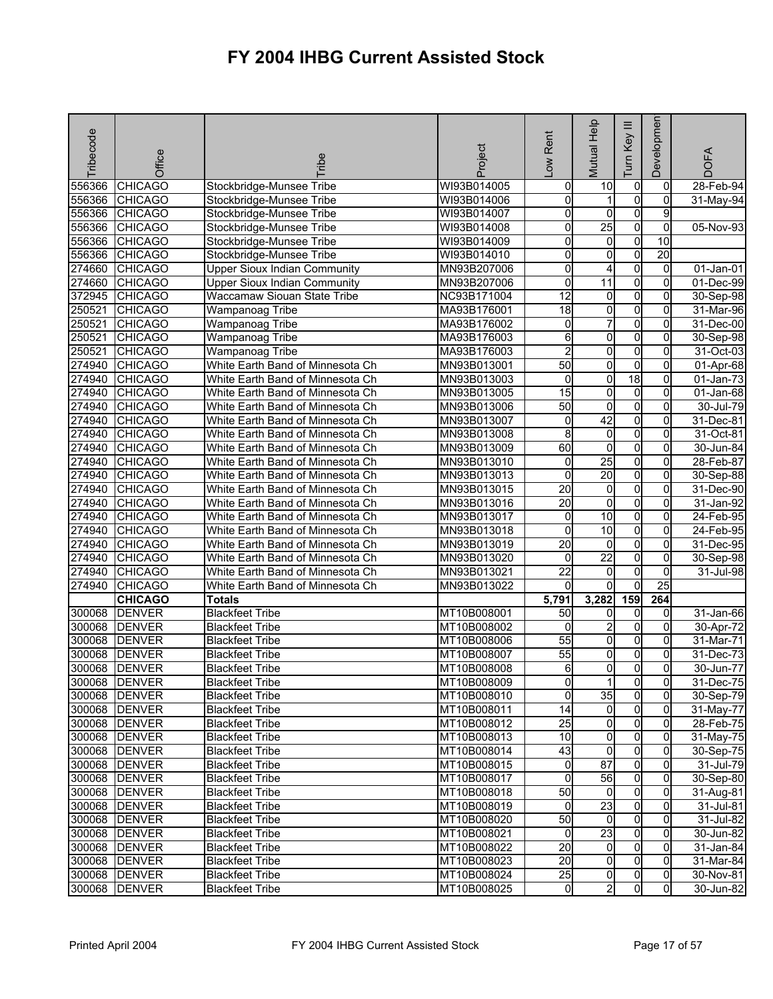| Tribecode | Office                         | <b>Fribe</b>                                     | Project                    | Low Rent        | Mutual Help             | Ξ<br>Key<br>Tum | Developmen      | <b>DOFA</b>  |
|-----------|--------------------------------|--------------------------------------------------|----------------------------|-----------------|-------------------------|-----------------|-----------------|--------------|
| 556366    | <b>CHICAGO</b>                 | Stockbridge-Munsee Tribe                         | WI93B014005                | 0               | 10                      | $\overline{0}$  | $\mathbf 0$     | $28$ -Feb-94 |
| 556366    | <b>CHICAGO</b>                 | Stockbridge-Munsee Tribe                         | WI93B014006                | 0               | 1                       | $\overline{0}$  | $\mathbf 0$     | 31-May-94    |
| 556366    | <b>CHICAGO</b>                 | Stockbridge-Munsee Tribe                         | WI93B014007                | 0               | 0                       | $\overline{0}$  | 9               |              |
| 556366    | <b>CHICAGO</b>                 | Stockbridge-Munsee Tribe                         | WI93B014008                | 0               | $\overline{25}$         | $\overline{0}$  | 0               | $05-Nov-93$  |
| 556366    | <b>CHICAGO</b>                 | Stockbridge-Munsee Tribe                         | WI93B014009                | 0               | 0                       | $\overline{0}$  | 10              |              |
| 556366    | <b>CHICAGO</b>                 | Stockbridge-Munsee Tribe                         | WI93B014010                | 0               | 0                       | $\overline{0}$  | 20              |              |
| 274660    | <b>CHICAGO</b>                 | <b>Upper Sioux Indian Community</b>              | MN93B207006                | 0               | 4                       | $\overline{0}$  | $\mathbf 0$     | 01-Jan-01    |
| 274660    | <b>CHICAGO</b>                 | <b>Upper Sioux Indian Community</b>              | MN93B207006                | $\overline{0}$  | $\overline{11}$         | $\overline{0}$  | $\overline{0}$  | 01-Dec-99    |
| 372945    | <b>CHICAGO</b>                 | Waccamaw Siouan State Tribe                      | NC93B171004                | $\overline{12}$ | 0                       | 0               | 0               | 30-Sep-98    |
| 250521    | <b>CHICAGO</b>                 | Wampanoag Tribe                                  | MA93B176001                | $\overline{18}$ | 0                       | $\overline{0}$  | 0               | 31-Mar-96    |
| 250521    | <b>CHICAGO</b>                 | Wampanoag Tribe                                  | MA93B176002                | 0               | 7                       | $\overline{0}$  | 0               | 31-Dec-00    |
| 250521    | <b>CHICAGO</b>                 | Wampanoag Tribe                                  | MA93B176003                | 6               | 0                       | $\overline{0}$  | 0               | 30-Sep-98    |
| 250521    | <b>CHICAGO</b>                 | Wampanoag Tribe                                  | MA93B176003                | $\overline{2}$  | 0                       | $\overline{0}$  | $\Omega$        | 31-Oct-03    |
| 274940    | <b>CHICAGO</b>                 | White Earth Band of Minnesota Ch                 | MN93B013001                | 50              | 0                       | $\overline{0}$  | 0               | 01-Apr-68    |
| 274940    | <b>CHICAGO</b>                 | White Earth Band of Minnesota Ch                 | MN93B013003                | 0               | 0                       | 18              | 0               | 01-Jan-73    |
| 274940    | <b>CHICAGO</b>                 | White Earth Band of Minnesota Ch                 | MN93B013005                | $\overline{15}$ | 0                       | $\overline{0}$  | $\Omega$        | 01-Jan-68    |
| 274940    | <b>CHICAGO</b>                 | White Earth Band of Minnesota Ch                 | MN93B013006                | $\overline{50}$ | 0                       | $\overline{0}$  | 0               | 30-Jul-79    |
| 274940    | <b>CHICAGO</b>                 | White Earth Band of Minnesota Ch                 | MN93B013007                | 0               | 42                      | $\overline{0}$  | 0               | 31-Dec-81    |
| 274940    | <b>CHICAGO</b>                 | White Earth Band of Minnesota Ch                 | MN93B013008                | 8               | $\overline{0}$          | $\overline{0}$  | $\Omega$        | 31-Oct-81    |
| 274940    | <b>CHICAGO</b>                 | White Earth Band of Minnesota Ch                 | MN93B013009                | 60              | 0                       | O               | 0               | 30-Jun-84    |
| 274940    | <b>CHICAGO</b>                 | White Earth Band of Minnesota Ch                 | MN93B013010                | 0               | $\overline{25}$         | $\overline{0}$  | 0               | 28-Feb-87    |
| 274940    | <b>CHICAGO</b>                 | White Earth Band of Minnesota Ch                 | MN93B013013                | 0               | 20                      | $\overline{0}$  | 0               | 30-Sep-88    |
| 274940    | <b>CHICAGO</b>                 | White Earth Band of Minnesota Ch                 | MN93B013015                | $\overline{20}$ | 0                       | O               | 0               | 31-Dec-90    |
| 274940    | <b>CHICAGO</b>                 | White Earth Band of Minnesota Ch                 | MN93B013016                | $\overline{20}$ | 0                       | $\overline{0}$  | $\Omega$        | 31-Jan-92    |
| 274940    | <b>CHICAGO</b>                 | White Earth Band of Minnesota Ch                 | MN93B013017                | $\overline{0}$  | 10                      | O               | $\Omega$        | 24-Feb-95    |
| 274940    | <b>CHICAGO</b>                 | White Earth Band of Minnesota Ch                 | MN93B013018                | 0               | $\overline{10}$         | $\overline{0}$  | 0               | 24-Feb-95    |
| 274940    | <b>CHICAGO</b>                 | White Earth Band of Minnesota Ch                 | MN93B013019                | 20              | 0                       | $\overline{0}$  | 0               | 31-Dec-95    |
| 274940    | <b>CHICAGO</b>                 | White Earth Band of Minnesota Ch                 | MN93B013020                | 0               | $\overline{22}$         | $\overline{0}$  | 0               | 30-Sep-98    |
| 274940    | <b>CHICAGO</b>                 | White Earth Band of Minnesota Ch                 | MN93B013021                | $\overline{22}$ | 0                       | 0               | 0               | 31-Jul-98    |
| 274940    | <b>CHICAGO</b>                 | White Earth Band of Minnesota Ch                 | MN93B013022                | 0               | $\Omega$                | $\overline{0}$  | $\overline{25}$ |              |
|           | <b>CHICAGO</b>                 | <b>Totals</b>                                    |                            | 5,791           | 3,282                   | 159             | 264             |              |
| 300068    | <b>DENVER</b>                  | <b>Blackfeet Tribe</b>                           | MT10B008001                | $\overline{50}$ | 0                       | 0               | 0               | 31-Jan-66    |
| 300068    | <b>DENVER</b>                  | <b>Blackfeet Tribe</b>                           | MT10B008002                | 0               | $\overline{\mathbf{c}}$ | $\overline{0}$  | 0               | 30-Apr-72    |
| 300068    | <b>DENVER</b>                  | <b>Blackfeet Tribe</b>                           | MT10B008006                | $\overline{55}$ | 0                       | O               | 0               | 31-Mar-71    |
| 300068    | <b>DENVER</b>                  | <b>Blackfeet Tribe</b>                           | MT10B008007                | 55              | 0                       | 0               | 0               | 31-Dec-73    |
| 300068    | <b>DENVER</b>                  | <b>Blackfeet Tribe</b>                           | MT10B008008                | 6               | 0                       | 0               | 0               | 30-Jun-77    |
|           | 300068 DENVER                  | <b>Blackfeet Tribe</b>                           | MT10B008009                | $\overline{0}$  | 11                      | $\mathbf{0}$    | 01              | 31-Dec-75    |
|           | 300068 DENVER                  | <b>Blackfeet Tribe</b>                           | MT10B008010                | 0               | 35                      | $\overline{0}$  | $\mathbf{0}$    | 30-Sep-79    |
|           | 300068 DENVER                  | <b>Blackfeet Tribe</b>                           | MT10B008011                | 14              | $\overline{0}$          | $\overline{0}$  | $\mathbf{0}$    | 31-May-77    |
|           | 300068 DENVER                  | <b>Blackfeet Tribe</b>                           | MT10B008012                | $\overline{25}$ | 0                       | $\overline{0}$  | 0               | 28-Feb-75    |
|           | 300068 DENVER                  | <b>Blackfeet Tribe</b>                           | MT10B008013                | 10              | 0                       | 0               | $\Omega$        | 31-May-75    |
|           | 300068 DENVER                  | <b>Blackfeet Tribe</b>                           | MT10B008014                | 43              | 0                       | $\overline{0}$  | $\Omega$        | 30-Sep-75    |
|           | 300068 DENVER                  | <b>Blackfeet Tribe</b>                           | MT10B008015                | 0               | $\overline{87}$         | $\overline{0}$  | $\Omega$        | 31-Jul-79    |
|           | 300068 DENVER                  | <b>Blackfeet Tribe</b>                           | MT10B008017                | 0               | 56                      | $\overline{0}$  | $\overline{0}$  | 30-Sep-80    |
|           | 300068 DENVER                  | <b>Blackfeet Tribe</b>                           | MT10B008018                | 50              | $\overline{0}$          | $\overline{0}$  | 0               | 31-Aug-81    |
|           | 300068 DENVER                  | <b>Blackfeet Tribe</b>                           | MT10B008019                | 0               | 23                      | $\overline{0}$  | $\Omega$        | 31-Jul-81    |
|           | 300068 DENVER                  | <b>Blackfeet Tribe</b>                           | MT10B008020                | 50              | $\overline{0}$          | $\overline{0}$  | $\Omega$        | 31-Jul-82    |
|           | 300068 DENVER                  | <b>Blackfeet Tribe</b>                           | MT10B008021                | 0               | 23                      | 0               | 0               | 30-Jun-82    |
|           | 300068 DENVER                  | <b>Blackfeet Tribe</b>                           | MT10B008022                | 20              | 0                       | $\overline{0}$  | $\Omega$        | 31-Jan-84    |
|           | 300068 DENVER                  | <b>Blackfeet Tribe</b>                           | MT10B008023                | $\overline{20}$ | $\overline{0}$          | $\overline{0}$  | 0               | 31-Mar-84    |
|           | 300068 DENVER<br>300068 DENVER | <b>Blackfeet Tribe</b><br><b>Blackfeet Tribe</b> | MT10B008024<br>MT10B008025 | $\overline{25}$ | 0<br>$\overline{c}$     | 0<br>0          | 0               | 30-Nov-81    |
|           |                                |                                                  |                            | $\overline{0}$  |                         |                 | $\overline{0}$  | 30-Jun-82    |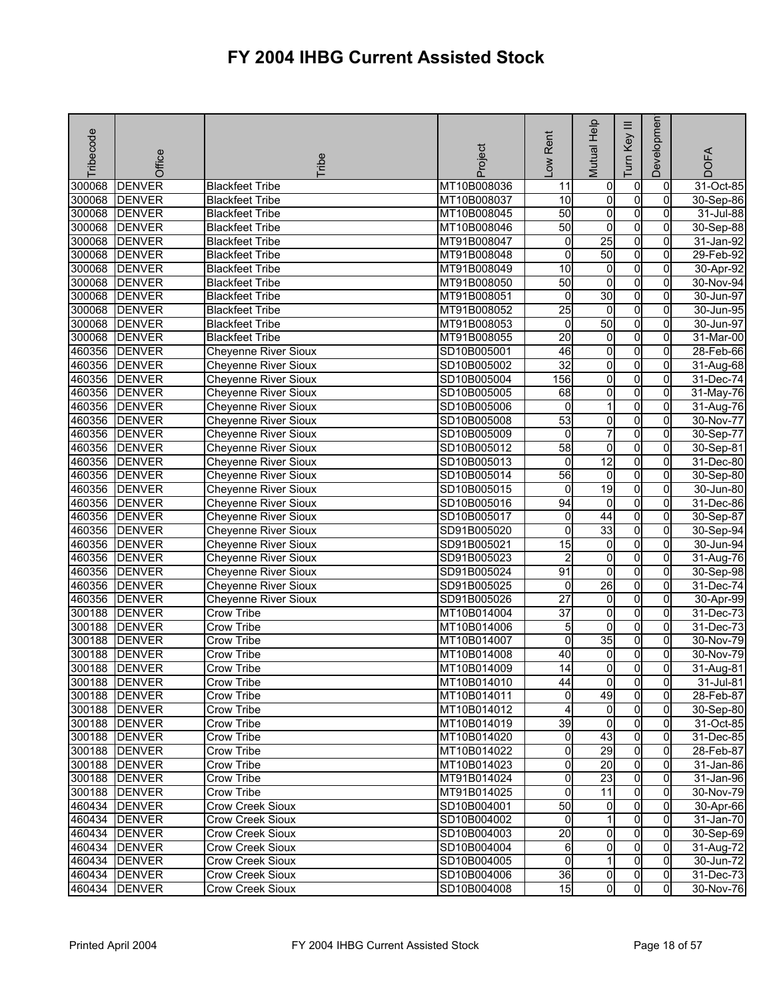| Tribecode | Office        | <b>Tribe</b>                | Project     | -ow Rent            | Mutual Help             | $\equiv$<br>Tum Key | Developmen     | <b>DOFA</b>             |
|-----------|---------------|-----------------------------|-------------|---------------------|-------------------------|---------------------|----------------|-------------------------|
| 300068    | <b>DENVER</b> | <b>Blackfeet Tribe</b>      | MT10B008036 | 11                  | 0                       | 0                   | $\mathbf 0$    | $\overline{31}$ -Oct-85 |
| 300068    | <b>DENVER</b> | <b>Blackfeet Tribe</b>      | MT10B008037 | 10                  | 0                       | $\overline{0}$      | $\mathbf 0$    | 30-Sep-86               |
| 300068    | <b>DENVER</b> | <b>Blackfeet Tribe</b>      | MT10B008045 | 50                  | $\overline{0}$          | $\overline{0}$      | 0              | 31-Jul-88               |
| 300068    | <b>DENVER</b> | <b>Blackfeet Tribe</b>      | MT10B008046 | 50                  | 0                       | $\overline{0}$      | 0              | 30-Sep-88               |
| 300068    | <b>DENVER</b> | <b>Blackfeet Tribe</b>      | MT91B008047 | 0                   | 25                      | $\overline{0}$      | 0              | 31-Jan-92               |
| 300068    | <b>DENVER</b> | <b>Blackfeet Tribe</b>      | MT91B008048 | 0                   | 50                      | $\overline{0}$      | $\overline{0}$ | 29-Feb-92               |
| 300068    | <b>DENVER</b> | <b>Blackfeet Tribe</b>      | MT91B008049 | 10                  | $\pmb{0}$               | $\overline{0}$      | 0              | 30-Apr-92               |
| 300068    | <b>DENVER</b> | <b>Blackfeet Tribe</b>      | MT91B008050 | 50                  | o                       | $\overline{0}$      | 0              | 30-Nov-94               |
| 300068    | <b>DENVER</b> | <b>Blackfeet Tribe</b>      | MT91B008051 | 0                   | 30                      | $\overline{0}$      | 0              | 30-Jun-97               |
| 300068    | <b>DENVER</b> | <b>Blackfeet Tribe</b>      | MT91B008052 | $\overline{25}$     | $\mathbf 0$             | $\overline{0}$      | 0              | 30-Jun-95               |
| 300068    | <b>DENVER</b> | <b>Blackfeet Tribe</b>      | MT91B008053 | 0                   | 50                      | $\overline{0}$      | 0              | 30-Jun-97               |
| 300068    | <b>DENVER</b> | <b>Blackfeet Tribe</b>      | MT91B008055 | $\overline{20}$     | $\overline{0}$          | O                   | 0              | 31-Mar-00               |
| 460356    | <b>DENVER</b> | Cheyenne River Sioux        | SD10B005001 | 46                  | 0                       | 0                   | 0              | 28-Feb-66               |
| 460356    | <b>DENVER</b> | <b>Cheyenne River Sioux</b> | SD10B005002 | $\overline{32}$     | O                       | 0                   | 0              | 31-Aug-68               |
| 460356    | <b>DENVER</b> | <b>Cheyenne River Sioux</b> | SD10B005004 | 156                 | 0                       | $\overline{0}$      | 0              | 31-Dec-74               |
| 460356    | <b>DENVER</b> | <b>Cheyenne River Sioux</b> | SD10B005005 | 68                  | 0                       | $\overline{0}$      | 0              | $31$ -May-76            |
| 460356    | <b>DENVER</b> | Cheyenne River Sioux        | SD10B005006 | 0                   | 1                       | $\overline{0}$      | $\overline{0}$ | 31-Aug-76               |
| 460356    | <b>DENVER</b> | <b>Cheyenne River Sioux</b> | SD10B005008 | 53                  | 0                       | $\overline{0}$      | 0              | 30-Nov-77               |
| 460356    | <b>DENVER</b> | Cheyenne River Sioux        | SD10B005009 | $\overline{0}$      | $\overline{7}$          | $\overline{0}$      | $\overline{0}$ | 30-Sep-77               |
| 460356    | <b>DENVER</b> | <b>Cheyenne River Sioux</b> | SD10B005012 | 58                  | 0                       | O                   | $\overline{0}$ | 30-Sep-81               |
| 460356    | <b>DENVER</b> | <b>Cheyenne River Sioux</b> | SD10B005013 | 0                   | 12                      | $\overline{0}$      | 0              | 31-Dec-80               |
| 460356    | <b>DENVER</b> | Cheyenne River Sioux        | SD10B005014 | 56                  | $\mathbf 0$             | $\overline{0}$      | 0              | 30-Sep-80               |
| 460356    | <b>DENVER</b> | <b>Cheyenne River Sioux</b> | SD10B005015 | 0                   | 19                      | O                   | 0              | 30-Jun-80               |
|           | 460356 DENVER | <b>Cheyenne River Sioux</b> | SD10B005016 | 94                  | 0                       | $\overline{0}$      | 0              | 31-Dec-86               |
| 460356    | <b>DENVER</b> | <b>Cheyenne River Sioux</b> | SD10B005017 | 0                   | $\overline{44}$         | O                   | $\overline{0}$ | 30-Sep-87               |
| 460356    | <b>DENVER</b> | <b>Cheyenne River Sioux</b> | SD91B005020 | 0                   | 33                      | $\overline{0}$      | 0              | 30-Sep-94               |
| 460356    | <b>DENVER</b> | Cheyenne River Sioux        | SD91B005021 | 15                  | 0                       | $\overline{0}$      | 0              | 30-Jun-94               |
| 460356    | <b>DENVER</b> | Cheyenne River Sioux        | SD91B005023 | $\overline{c}$      | $\overline{\mathbf{0}}$ | $\overline{0}$      | 0              | 31-Aug-76               |
| 460356    | <b>DENVER</b> | <b>Cheyenne River Sioux</b> | SD91B005024 | 91                  | 0                       | $\overline{0}$      | 0              | 30-Sep-98               |
| 460356    | <b>DENVER</b> | <b>Cheyenne River Sioux</b> | SD91B005025 | 0                   | 26                      | 0                   | $\Omega$       | 31-Dec-74               |
| 460356    | <b>DENVER</b> | <b>Cheyenne River Sioux</b> | SD91B005026 | $\overline{27}$     | $\overline{0}$          | $\overline{0}$      | $\overline{0}$ | 30-Apr-99               |
| 300188    | <b>DENVER</b> | Crow Tribe                  | MT10B014004 | $\overline{37}$     | 0                       | $\overline{0}$      | 0              | 31-Dec-73               |
| 300188    | <b>DENVER</b> | Crow Tribe                  | MT10B014006 | 5                   | $\overline{\mathbf{0}}$ | $\overline{0}$      | 0              | 31-Dec-73               |
| 300188    | <b>DENVER</b> | Crow Tribe                  | MT10B014007 | 0                   | 35                      | O                   | 0              | 30-Nov-79               |
| 300188    | <b>DENVER</b> | Crow Tribe                  | MT10B014008 | 40                  | 0                       | 0                   | 0              | 30-Nov-79               |
| 300188    | <b>DENVER</b> | Crow Tribe                  | MT10B014009 | $\overline{14}$     | 0                       | 0                   | $\mathbf 0$    | 31-Aug-81               |
|           | 300188 DENVER | Crow Tribe                  | MT10B014010 | 44                  | 01                      | $\mathbf{0}$        | 01             | 31-Jul-81               |
|           | 300188 DENVER | Crow Tribe                  | MT10B014011 | $\mathbf 0$         | 49                      | $\overline{0}$      | $\mathbf{0}$   | 28-Feb-87               |
|           | 300188 DENVER | Crow Tribe                  | MT10B014012 | 4                   | $\overline{0}$          | $\overline{0}$      | 0              | 30-Sep-80               |
|           | 300188 DENVER | Crow Tribe                  | MT10B014019 | $\overline{39}$     | $\overline{0}$          | $\overline{0}$      | $\overline{0}$ | 31-Oct-85               |
|           | 300188 DENVER | Crow Tribe                  | MT10B014020 | 0                   | 43                      | 0                   | $\Omega$       | 31-Dec-85               |
|           | 300188 DENVER | Crow Tribe                  | MT10B014022 | 0                   | 29                      | $\overline{0}$      | $\Omega$       | 28-Feb-87               |
|           | 300188 DENVER | Crow Tribe                  | MT10B014023 | 0                   | $\overline{20}$         | $\overline{0}$      | $\Omega$       | 31-Jan-86               |
|           | 300188 DENVER | Crow Tribe                  | MT91B014024 | $\mathsf{O}\xspace$ | 23                      | $\overline{0}$      | $\overline{0}$ | 31-Jan-96               |
|           | 300188 DENVER | Crow Tribe                  | MT91B014025 | o                   | $\overline{11}$         | $\overline{0}$      | $\mathbf{0}$   | 30-Nov-79               |
|           | 460434 DENVER | Crow Creek Sioux            | SD10B004001 | 50                  | 0                       | $\overline{0}$      | $\Omega$       | 30-Apr-66               |
|           | 460434 DENVER | Crow Creek Sioux            | SD10B004002 | $\Omega$            | 1                       | $\overline{0}$      | $\Omega$       | 31-Jan-70               |
| 460434    | <b>DENVER</b> | <b>Crow Creek Sioux</b>     | SD10B004003 | $\overline{20}$     | 0                       | $\overline{0}$      | 0              | 30-Sep-69               |
| 460434    | <b>DENVER</b> | Crow Creek Sioux            | SD10B004004 | 6                   | 0                       | $\overline{0}$      | 0              | 31-Aug-72               |
| 460434    | <b>DENVER</b> | Crow Creek Sioux            | SD10B004005 | $\mathbf 0$         | 1                       | $\overline{0}$      | $\mathbf{0}$   | 30-Jun-72               |
|           | 460434 DENVER | Crow Creek Sioux            | SD10B004006 | 36                  | 0                       | 0                   | $\overline{0}$ | 31-Dec-73               |
| 460434    | <b>DENVER</b> | Crow Creek Sioux            | SD10B004008 | 15                  | 0                       | 0                   | $\overline{0}$ | 30-Nov-76               |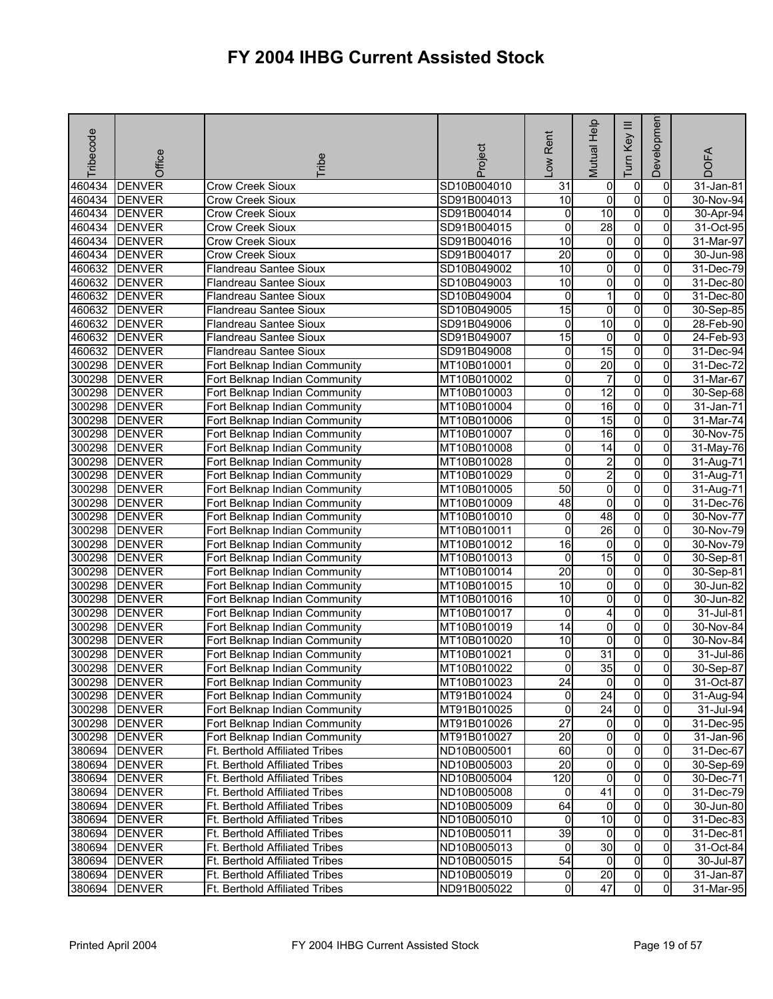| Tribecode | Office        | <b>Tribe</b>                   | Project     | -ow Rent        | Mutual Help             | Ξ<br>Key<br>Tum | Developmen     | <b>DOFA</b>  |
|-----------|---------------|--------------------------------|-------------|-----------------|-------------------------|-----------------|----------------|--------------|
| 460434    | <b>DENVER</b> | Crow Creek Sioux               | SD10B004010 | 31              | $\overline{0}$          | $\mathbf 0$     | 0              | 31-Jan-81    |
| 460434    | <b>DENVER</b> | Crow Creek Sioux               | SD91B004013 | $\overline{10}$ | $\mathbf 0$             | o               | $\mathbf 0$    | 30-Nov-94    |
| 460434    | <b>DENVER</b> | Crow Creek Sioux               | SD91B004014 | 0               | $\overline{10}$         | $\overline{0}$  | 0              | 30-Apr-94    |
| 460434    | <b>DENVER</b> | Crow Creek Sioux               | SD91B004015 | 0               | 28                      | O               | 0              | 31-Oct-95    |
| 460434    | <b>DENVER</b> | <b>Crow Creek Sioux</b>        | SD91B004016 | 10              | $\overline{0}$          | $\mathbf 0$     | 0              | 31-Mar-97    |
| 460434    | <b>DENVER</b> | <b>Crow Creek Sioux</b>        | SD91B004017 | $\overline{20}$ | $\overline{0}$          | $\overline{0}$  | 0              | 30-Jun-98    |
| 460632    | <b>DENVER</b> | Flandreau Santee Sioux         | SD10B049002 | 10              | 0                       | o               | 0              | $31$ -Dec-79 |
| 460632    | <b>DENVER</b> | Flandreau Santee Sioux         | SD10B049003 | 10              | $\overline{0}$          | $\overline{0}$  | 0              | 31-Dec-80    |
| 460632    | <b>DENVER</b> | Flandreau Santee Sioux         | SD10B049004 | 0               | 1                       | $\overline{0}$  | 0              | 31-Dec-80    |
| 460632    | <b>DENVER</b> | Flandreau Santee Sioux         | SD10B049005 | $\overline{15}$ | 0                       | o               | 0              | 30-Sep-85    |
| 460632    | <b>DENVER</b> | Flandreau Santee Sioux         | SD91B049006 | 0               | 10                      | $\overline{0}$  | 0              | 28-Feb-90    |
| 460632    | <b>DENVER</b> | Flandreau Santee Sioux         | SD91B049007 | 15              | $\overline{0}$          | 0               | 0              | 24-Feb-93    |
| 460632    | <b>DENVER</b> | <b>Flandreau Santee Sioux</b>  | SD91B049008 | 0               | 15                      | 0               | 0              | 31-Dec-94    |
| 300298    | <b>DENVER</b> | Fort Belknap Indian Community  | MT10B010001 | 0               | 20                      | $\overline{0}$  | 0              | 31-Dec-72    |
| 300298    | <b>DENVER</b> | Fort Belknap Indian Community  | MT10B010002 | 0               | 7                       | $\pmb{0}$       | 0              | 31-Mar-67    |
| 300298    | <b>DENVER</b> | Fort Belknap Indian Community  | MT10B010003 | 0               | $\overline{12}$         | $\mathbf 0$     | 0              | 30-Sep-68    |
| 300298    | <b>DENVER</b> | Fort Belknap Indian Community  | MT10B010004 | 0               | 16                      | $\overline{0}$  | $\overline{0}$ | 31-Jan-71    |
| 300298    | <b>DENVER</b> | Fort Belknap Indian Community  | MT10B010006 | 0               | 15                      | O               | 0              | 31-Mar-74    |
| 300298    | <b>DENVER</b> | Fort Belknap Indian Community  | MT10B010007 | 0               | $\overline{16}$         | $\overline{0}$  | 0              | 30-Nov-75    |
| 300298    | <b>DENVER</b> | Fort Belknap Indian Community  | MT10B010008 | 0               | 14                      | $\overline{0}$  | 0              | 31-May-76    |
| 300298    | <b>DENVER</b> | Fort Belknap Indian Community  | MT10B010028 | 0               | 2                       | $\overline{0}$  | 0              | 31-Aug-71    |
| 300298    | <b>DENVER</b> | Fort Belknap Indian Community  | MT10B010029 | 0               | $\overline{2}$          | $\mathbf 0$     | 0              | 31-Aug-71    |
| 300298    | <b>DENVER</b> | Fort Belknap Indian Community  | MT10B010005 | $\overline{50}$ | $\overline{\mathbf{0}}$ | $\overline{0}$  | 0              | 31-Aug-71    |
| 300298    | <b>DENVER</b> | Fort Belknap Indian Community  | MT10B010009 | 48              | 0                       | O               | 0              | $31$ -Dec-76 |
| 300298    | <b>DENVER</b> | Fort Belknap Indian Community  | MT10B010010 | 0               | 48                      | $\overline{0}$  | 0              | 30-Nov-77    |
| 300298    | <b>DENVER</b> | Fort Belknap Indian Community  | MT10B010011 | 0               | 26                      | $\overline{0}$  | 0              | 30-Nov-79    |
| 300298    | <b>DENVER</b> | Fort Belknap Indian Community  | MT10B010012 | 16              | $\mathbf 0$             | O               | 0              | 30-Nov-79    |
| 300298    | <b>DENVER</b> | Fort Belknap Indian Community  | MT10B010013 | $\mathbf 0$     | 15                      | $\overline{0}$  | $\overline{0}$ | 30-Sep-81    |
| 300298    | <b>DENVER</b> | Fort Belknap Indian Community  | MT10B010014 | 20              | 0                       | 0               | 0              | 30-Sep-81    |
| 300298    | <b>DENVER</b> | Fort Belknap Indian Community  | MT10B010015 | 10              | O                       | $\overline{0}$  | $\Omega$       | 30-Jun-82    |
| 300298    | <b>DENVER</b> | Fort Belknap Indian Community  | MT10B010016 | 10              | $\overline{0}$          | $\overline{0}$  | $\overline{0}$ | 30-Jun-82    |
| 300298    | <b>DENVER</b> | Fort Belknap Indian Community  | MT10B010017 | 0               | 4                       | o               | 0              | 31-Jul-81    |
| 300298    | <b>DENVER</b> | Fort Belknap Indian Community  | MT10B010019 | 14              | $\overline{0}$          | o               | 0              | 30-Nov-84    |
| 300298    | <b>DENVER</b> | Fort Belknap Indian Community  | MT10B010020 | 10              | 0                       | o               | $\mathbf{0}$   | 30-Nov-84    |
| 300298    | <b>DENVER</b> | Fort Belknap Indian Community  | MT10B010021 | 0               | 31                      | 0               | 0              | 31-Jul-86    |
| 300298    | <b>DENVER</b> | Fort Belknap Indian Community  | MT10B010022 | 0               | 35                      | $\overline{0}$  | $\mathbf 0$    | 30-Sep-87    |
|           | 300298 DENVER | Fort Belknap Indian Community  | MT10B010023 | 24              | 01                      | $\mathbf{0}$    | 01             | 31-Oct-87    |
|           | 300298 DENVER | Fort Belknap Indian Community  | MT91B010024 | 0               | 24                      | $\overline{0}$  | $\overline{0}$ | 31-Aug-94    |
|           | 300298 DENVER | Fort Belknap Indian Community  | MT91B010025 | 0               | 24                      | $\mathbf 0$     | $\mathbf{0}$   | 31-Jul-94    |
|           | 300298 DENVER | Fort Belknap Indian Community  | MT91B010026 | $\overline{27}$ | $\overline{0}$          | 0               | 0              | 31-Dec-95    |
|           | 300298 DENVER | Fort Belknap Indian Community  | MT91B010027 | 20              | 0                       | 0               | $\Omega$       | 31-Jan-96    |
|           | 380694 DENVER | Ft. Berthold Affiliated Tribes | ND10B005001 | 60              | $\overline{0}$          | $\overline{0}$  | $\mathbf{0}$   | 31-Dec-67    |
|           | 380694 DENVER | Ft. Berthold Affiliated Tribes | ND10B005003 | $\overline{20}$ | 0                       | $\mathbf 0$     | $\Omega$       | 30-Sep-69    |
|           | 380694 DENVER | Ft. Berthold Affiliated Tribes | ND10B005004 | 120             | $\overline{0}$          | $\mathbf 0$     | 0              | 30-Dec-71    |
|           | 380694 DENVER | Ft. Berthold Affiliated Tribes | ND10B005008 | 0               | 41                      | $\mathbf 0$     | $\overline{0}$ | 31-Dec-79    |
|           | 380694 DENVER | Ft. Berthold Affiliated Tribes | ND10B005009 | 64              | $\overline{0}$          | $\mathbf 0$     | 0              | 30-Jun-80    |
|           | 380694 DENVER | Ft. Berthold Affiliated Tribes | ND10B005010 | 0               | 10                      | $\mathbf 0$     | $\mathbf{0}$   | 31-Dec-83    |
|           | 380694 DENVER | Ft. Berthold Affiliated Tribes | ND10B005011 | 39              | $\overline{0}$          | $\overline{0}$  | 0              | 31-Dec-81    |
|           | 380694 DENVER | Ft. Berthold Affiliated Tribes | ND10B005013 | 0               | 30                      | $\mathbf 0$     | $\overline{0}$ | 31-Oct-84    |
|           | 380694 DENVER | Ft. Berthold Affiliated Tribes | ND10B005015 | 54              | $\overline{0}$          | o               | 0              | 30-Jul-87    |
| 380694    | DENVER        | Ft. Berthold Affiliated Tribes | ND10B005019 | 0               | $\overline{20}$         | 0               | $\overline{0}$ | 31-Jan-87    |
| 380694    | <b>DENVER</b> | Ft. Berthold Affiliated Tribes | ND91B005022 | 0               | 47                      | $\overline{0}$  | $\overline{0}$ | 31-Mar-95    |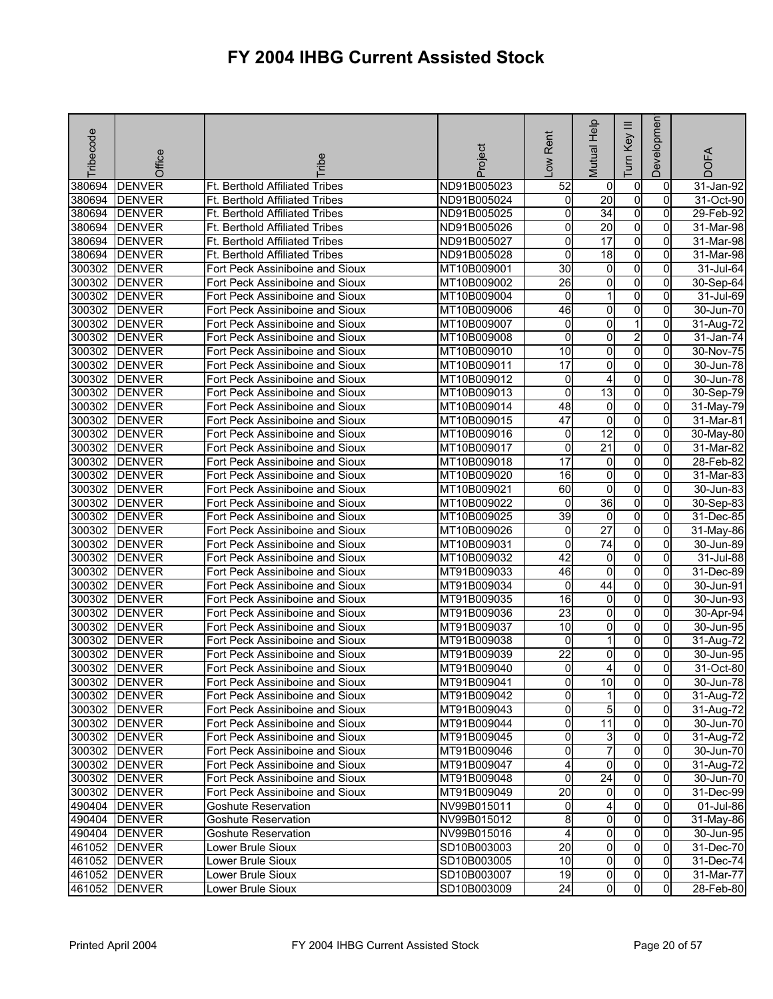| Tribecode | Office        | <b>Tribe</b>                    | Project     | -ow Rent            | Mutual Help     | Ξ<br>Key<br>lum | Developmen     | <b>DOFA</b>             |
|-----------|---------------|---------------------------------|-------------|---------------------|-----------------|-----------------|----------------|-------------------------|
| 380694    | <b>DENVER</b> | Ft. Berthold Affiliated Tribes  | ND91B005023 | 52                  | 0               | 0               | $\mathbf 0$    | 31-Jan-92               |
| 380694    | <b>DENVER</b> | Ft. Berthold Affiliated Tribes  | ND91B005024 | 0                   | $\overline{20}$ | $\overline{0}$  | $\mathbf 0$    | 31-Oct-90               |
| 380694    | <b>DENVER</b> | Ft. Berthold Affiliated Tribes  | ND91B005025 | 0                   | $\overline{34}$ | $\overline{0}$  | 0              | 29-Feb-92               |
| 380694    | <b>DENVER</b> | Ft. Berthold Affiliated Tribes  | ND91B005026 | 0                   | 20              | $\overline{0}$  | 0              | 31-Mar-98               |
| 380694    | <b>DENVER</b> | Ft. Berthold Affiliated Tribes  | ND91B005027 | 0                   | $\overline{17}$ | $\overline{0}$  | 0              | 31-Mar-98               |
| 380694    | <b>DENVER</b> | Ft. Berthold Affiliated Tribes  | ND91B005028 | 0                   | 18              | $\overline{0}$  | 0              | 31-Mar-98               |
| 300302    | <b>DENVER</b> | Fort Peck Assiniboine and Sioux | MT10B009001 | $\overline{30}$     | 0               | $\overline{0}$  | $\mathbf 0$    | 31-Jul-64               |
| 300302    | <b>DENVER</b> | Fort Peck Assiniboine and Sioux | MT10B009002 | $\overline{26}$     | 0               | $\overline{0}$  | $\Omega$       | 30-Sep-64               |
| 300302    | <b>DENVER</b> | Fort Peck Assiniboine and Sioux | MT10B009004 | 0                   | 1               | 0               | 0              | 31-Jul-69               |
| 300302    | <b>DENVER</b> | Fort Peck Assiniboine and Sioux | MT10B009006 | 46                  | 0               | $\overline{0}$  | 0              | 30-Jun-70               |
| 300302    | <b>DENVER</b> | Fort Peck Assiniboine and Sioux | MT10B009007 | 0                   | 0               | 1               | 0              | 31-Aug-72               |
| 300302    | <b>DENVER</b> | Fort Peck Assiniboine and Sioux | MT10B009008 | 0                   | 0               | $\overline{2}$  | 0              | 31-Jan-74               |
| 300302    | <b>DENVER</b> | Fort Peck Assiniboine and Sioux | MT10B009010 | 10                  | 0               | $\overline{0}$  | $\Omega$       | 30-Nov-75               |
| 300302    | <b>DENVER</b> | Fort Peck Assiniboine and Sioux | MT10B009011 | 17                  | 0               | $\overline{0}$  | 0              | 30-Jun-78               |
| 300302    | <b>DENVER</b> | Fort Peck Assiniboine and Sioux | MT10B009012 | 0                   | 4               | $\overline{0}$  | 0              | 30-Jun-78               |
| 300302    | <b>DENVER</b> | Fort Peck Assiniboine and Sioux | MT10B009013 | 0                   | $\overline{13}$ | $\overline{0}$  | 0              | 30-Sep-79               |
| 300302    | <b>DENVER</b> | Fort Peck Assiniboine and Sioux | MT10B009014 | 48                  | 0               | $\overline{0}$  | 0              | 31-May-79               |
| 300302    | <b>DENVER</b> | Fort Peck Assiniboine and Sioux | MT10B009015 | 47                  | 0               | $\overline{0}$  | 0              | 31-Mar-81               |
| 300302    | <b>DENVER</b> | Fort Peck Assiniboine and Sioux | MT10B009016 | $\mathsf{O}\xspace$ | 12              | $\overline{0}$  | 0              | 30-May-80               |
| 300302    | <b>DENVER</b> | Fort Peck Assiniboine and Sioux | MT10B009017 | 0                   | $\overline{21}$ | O               | 0              | 31-Mar-82               |
| 300302    | <b>DENVER</b> | Fort Peck Assiniboine and Sioux | MT10B009018 | 17                  | 0               | $\overline{0}$  | 0              | 28-Feb-82               |
| 300302    | <b>DENVER</b> | Fort Peck Assiniboine and Sioux | MT10B009020 | 16                  | 0               | $\overline{0}$  | 0              | $31$ -Mar-83            |
| 300302    | <b>DENVER</b> | Fort Peck Assiniboine and Sioux | MT10B009021 | 60                  | 0               | 0               | 0              | 30-Jun-83               |
| 300302    | <b>DENVER</b> | Fort Peck Assiniboine and Sioux | MT10B009022 | 0                   | 36              | $\overline{0}$  | 0              | 30-Sep-83               |
| 300302    | <b>DENVER</b> | Fort Peck Assiniboine and Sioux | MT10B009025 | 39                  | 0               | $\overline{0}$  | $\Omega$       | 31-Dec-85               |
| 300302    | <b>DENVER</b> | Fort Peck Assiniboine and Sioux | MT10B009026 | 0                   | $\overline{27}$ | $\overline{0}$  | 0              | 31-May-86               |
| 300302    | <b>DENVER</b> | Fort Peck Assiniboine and Sioux | MT10B009031 | 0                   | $\overline{74}$ | $\overline{0}$  | $\Omega$       | 30-Jun-89               |
| 300302    | <b>DENVER</b> | Fort Peck Assiniboine and Sioux | MT10B009032 | 42                  | 0               | $\overline{0}$  | 0              | 31-Jul-88               |
| 300302    | <b>DENVER</b> | Fort Peck Assiniboine and Sioux | MT91B009033 | 46                  | 0               | 0               | 0              | 31-Dec-89               |
| 300302    | <b>DENVER</b> | Fort Peck Assiniboine and Sioux | MT91B009034 | 0                   | 44              | 0               | $\Omega$       | 30-Jun-91               |
| 300302    | <b>DENVER</b> | Fort Peck Assiniboine and Sioux | MT91B009035 | 16                  | 0               | $\overline{0}$  | 0              | 30-Jun-93               |
| 300302    | <b>DENVER</b> | Fort Peck Assiniboine and Sioux | MT91B009036 | $\overline{23}$     | 0               | $\overline{0}$  | 0              | 30-Apr-94               |
| 300302    | <b>DENVER</b> | Fort Peck Assiniboine and Sioux | MT91B009037 | 10                  | 0               | $\overline{0}$  | 0              | 30-Jun-95               |
| 300302    | <b>DENVER</b> | Fort Peck Assiniboine and Sioux | MT91B009038 | 0                   | 1               | 0               | 0              | 31-Aug-72               |
| 300302    | <b>DENVER</b> | Fort Peck Assiniboine and Sioux | MT91B009039 | 22                  | 0               | 0               | 0              | 30-Jun-95               |
| 300302    | <b>DENVER</b> | Fort Peck Assiniboine and Sioux | MT91B009040 | 0                   | 4               | 0               | $\Omega$       | 31-Oct-80               |
|           | 300302 DENVER | Fort Peck Assiniboine and Sioux | MT91B009041 | 01                  | 10              | $\mathbf{0}$    | 01             | 30-Jun-78               |
|           | 300302 DENVER | Fort Peck Assiniboine and Sioux | MT91B009042 | 0                   | 1               | $\overline{0}$  | 0l             | 31-Aug-72               |
|           | 300302 DENVER | Fort Peck Assiniboine and Sioux | MT91B009043 | 0                   | 5               | $\overline{0}$  | $\mathbf{0}$   | 31-Aug-72               |
|           | 300302 DENVER | Fort Peck Assiniboine and Sioux | MT91B009044 | 0                   | $\overline{11}$ | $\overline{0}$  | $\overline{0}$ | 30-Jun-70               |
|           | 300302 DENVER | Fort Peck Assiniboine and Sioux | MT91B009045 | 0                   | 3               | 0               | $\Omega$       | $\overline{3}$ 1-Aug-72 |
|           | 300302 DENVER | Fort Peck Assiniboine and Sioux | MT91B009046 | 0                   | $\overline{7}$  | $\overline{0}$  | $\Omega$       | 30-Jun-70               |
|           | 300302 DENVER | Fort Peck Assiniboine and Sioux | MT91B009047 | 4                   | 0               | $\overline{0}$  | $\Omega$       | 31-Aug-72               |
|           | 300302 DENVER | Fort Peck Assiniboine and Sioux | MT91B009048 | 0                   | 24              | $\overline{0}$  | $\overline{0}$ | 30-Jun-70               |
|           | 300302 DENVER | Fort Peck Assiniboine and Sioux | MT91B009049 | $\overline{20}$     | $\overline{0}$  | $\overline{0}$  | $\mathbf{0}$   | 31-Dec-99               |
|           | 490404 DENVER | <b>Goshute Reservation</b>      | NV99B015011 | 0                   | 4               | $\mathbf 0$     | $\Omega$       | 01-Jul-86               |
|           | 490404 DENVER | Goshute Reservation             | NV99B015012 | $\overline{8}$      | 0               | $\overline{0}$  | $\mathbf{0}$   | 31-May-86               |
|           | 490404 DENVER | <b>Goshute Reservation</b>      | NV99B015016 | 4                   | 0               | $\overline{0}$  | 0              | 30-Jun-95               |
|           | 461052 DENVER | Lower Brule Sioux               | SD10B003003 | 20                  | 0               | $\overline{0}$  | 0              | 31-Dec-70               |
|           | 461052 DENVER | Lower Brule Sioux               | SD10B003005 | $\overline{10}$     | $\overline{0}$  | $\overline{0}$  | $\mathbf{0}$   | 31-Dec-74               |
|           | 461052 DENVER | Lower Brule Sioux               | SD10B003007 | 19                  | 0               | 0               | $\overline{0}$ | 31-Mar-77               |
|           | 461052 DENVER | Lower Brule Sioux               | SD10B003009 | 24                  | 0               | 0               | $\overline{0}$ | 28-Feb-80               |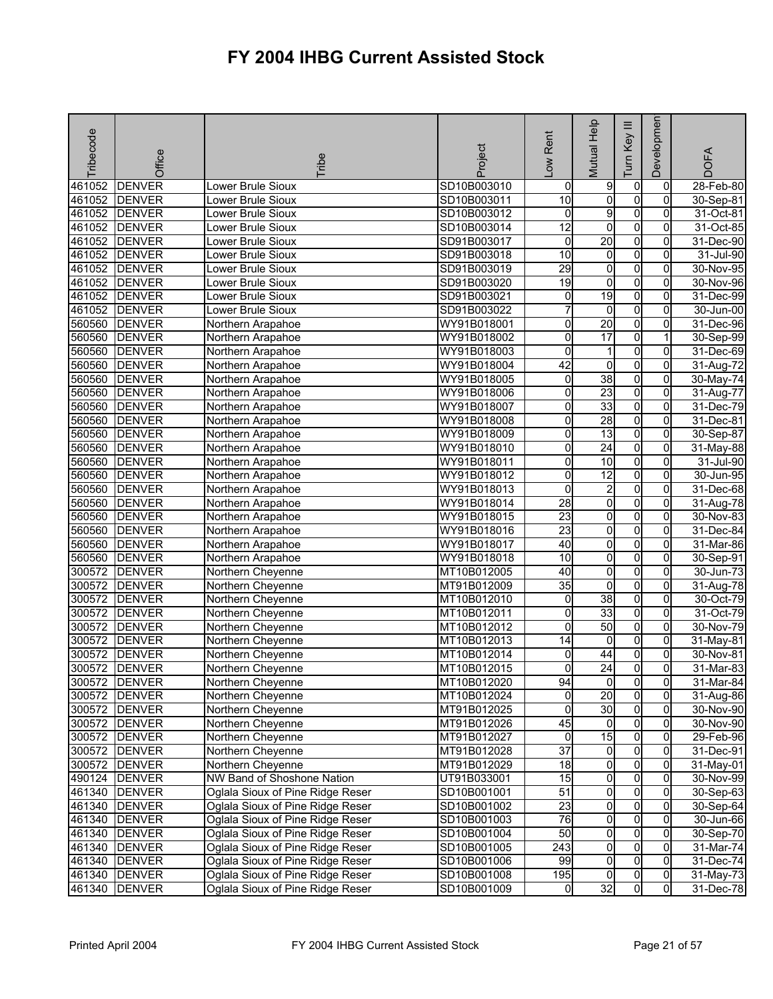| <b>DENVER</b><br>SD10B003010<br>$\mathbf 0$<br>461052<br>Lower Brule Sioux<br>9<br>$\mathbf 0$<br>$28$ -Feb-80<br>0<br>10<br>o<br>o<br>461052<br><b>DENVER</b><br>SD10B003011<br>$\mathbf 0$<br>30-Sep-81<br>Lower Brule Sioux<br>9<br>$\overline{0}$<br>461052<br>0<br>0<br><b>DENVER</b><br>SD10B003012<br>31-Oct-81<br>Lower Brule Sioux<br>12<br>0<br>O<br>461052<br><b>DENVER</b><br>SD10B003014<br>0<br>31-Oct-85<br>Lower Brule Sioux<br>20<br>$\overline{0}$<br>461052<br><b>DENVER</b><br>SD91B003017<br>0<br>31-Dec-90<br>Lower Brule Sioux<br>0<br>$\overline{0}$<br>461052<br>$\overline{10}$<br>$\overline{0}$<br>0<br><b>DENVER</b><br>31-Jul-90<br>Lower Brule Sioux<br>SD91B003018<br>461052<br>29<br>0<br>o<br>0<br><b>DENVER</b><br>SD91B003019<br>30-Nov-95<br>Lower Brule Sioux<br>O<br>$\overline{0}$<br>461052<br>19<br>$\overline{0}$<br><b>DENVER</b><br>SD91B003020<br>30-Nov-96<br>Lower Brule Sioux<br>19<br>$\overline{0}$<br>461052<br>0<br>$\overline{0}$<br><b>DENVER</b><br>Lower Brule Sioux<br>SD91B003021<br>31-Dec-99<br>o<br>461052<br>7<br>$\mathbf 0$<br><b>DENVER</b><br>Lower Brule Sioux<br>0<br>30-Jun-00<br>SD91B003022<br>20<br>$\overline{0}$<br><b>DENVER</b><br>0<br>0<br>560560<br>WY91B018001<br>31-Dec-96<br>Northern Arapahoe<br>$\overline{0}$<br>17<br><b>DENVER</b><br>0<br>560560<br>WY91B018002<br>30-Sep-99<br>Northern Arapahoe<br>560560<br><b>DENVER</b><br>0<br>0<br>WY91B018003<br>0<br>31-Dec-69<br>Northern Arapahoe<br>1<br>42<br>$\overline{0}$<br>560560<br><b>DENVER</b><br>WY91B018004<br>0<br>$\overline{0}$<br>Northern Arapahoe<br>31-Aug-72<br>38<br>560560<br>0<br>$\overline{0}$<br>$\overline{0}$<br><b>DENVER</b><br>Northern Arapahoe<br>WY91B018005<br>30-May-74<br>23<br>O<br>560560<br><b>DENVER</b><br>0<br>0<br>Northern Arapahoe<br>WY91B018006<br>31-Aug-77<br>33<br>$\overline{0}$<br>0<br>$\overline{0}$<br>560560<br><b>DENVER</b><br>Northern Arapahoe<br>WY91B018007<br>31-Dec-79<br>28<br>0<br>o<br>$\overline{0}$<br>560560<br><b>DENVER</b><br>WY91B018008<br>31-Dec-81<br>Northern Arapahoe<br>$\overline{0}$<br>0<br>13<br>$\overline{0}$<br>560560<br><b>DENVER</b><br>WY91B018009<br>30-Sep-87<br>Northern Arapahoe<br>$\overline{0}$<br>560560<br>0<br>$\overline{24}$<br>$\overline{0}$<br><b>DENVER</b><br>WY91B018010<br>31-May-88<br>Northern Arapahoe<br>10<br>$\overline{0}$<br>560560<br>0<br><b>DENVER</b><br>WY91B018011<br>0<br>$31 -$ Jul-90<br>Northern Arapahoe<br>$\overline{12}$<br>$\overline{0}$<br>560560<br><b>DENVER</b><br>0<br>0<br>WY91B018012<br>30-Jun-95<br>Northern Arapahoe<br>$\overline{2}$<br>$\overline{0}$<br>560560<br>0<br>0<br>31-Dec-68<br><b>DENVER</b><br>WY91B018013<br>Northern Arapahoe<br>o<br>o<br>560560<br><b>DENVER</b><br>$\overline{28}$<br>0<br>WY91B018014<br>31-Aug-78<br>Northern Arapahoe<br>$\overline{0}$<br>23<br>0<br>$\overline{0}$<br>560560<br><b>DENVER</b><br>WY91B018015<br>30-Nov-83<br>Northern Arapahoe<br>560560<br>$\overline{23}$<br>$\overline{0}$<br>$\overline{0}$<br>0<br><b>DENVER</b><br>WY91B018016<br>31-Dec-84<br>Northern Arapahoe<br>O<br>0<br>560560<br><b>DENVER</b><br>40<br>0<br>Northern Arapahoe<br>WY91B018017<br>31-Mar-86<br>$\overline{0}$<br>$\overline{0}$<br>$\overline{10}$<br>$\overline{0}$<br>560560<br><b>DENVER</b><br>Northern Arapahoe<br>WY91B018018<br>30-Sep-91<br>40<br>o<br>$\overline{0}$<br>300572<br><b>DENVER</b><br>MT10B012005<br>0<br>Northern Cheyenne<br>30-Jun-73<br>0<br>35<br>O<br>300572<br><b>DENVER</b><br>MT91B012009<br>0<br>31-Aug-78<br>Northern Cheyenne<br>38<br>$\overline{0}$<br>300572<br>0<br>$\overline{0}$<br>30-Oct-79<br><b>DENVER</b><br>Northern Cheyenne<br>MT10B012010<br>33<br>o<br>300572<br>0<br>0<br><b>DENVER</b><br>Northern Cheyenne<br>MT10B012011<br>31-Oct-79<br>50<br>$\overline{0}$<br><b>DENVER</b><br>0<br>0<br>300572<br>MT10B012012<br>30-Nov-79<br>Northern Cheyenne<br>$\overline{0}$<br>$\overline{14}$<br>$\overline{0}$<br>$\overline{0}$<br>300572<br><b>DENVER</b><br>MT10B012013<br>Northern Cheyenne<br>31-May-81<br>0<br>300572<br><b>DENVER</b><br>MT10B012014<br>0<br>0<br>Northern Cheyenne<br>44<br>30-Nov-81<br>$\overline{24}$<br>$\overline{0}$<br>$\mathbf 0$<br>300572<br><b>DENVER</b><br>0<br>31-Mar-83<br>Northern Cheyenne<br>MT10B012015<br>300572 DENVER<br>Northern Cheyenne<br>MT10B012020<br>94<br>$\overline{0}$<br>31-Mar-84<br>$\overline{0}$<br>$\overline{0}$<br>$\overline{0}$<br>20<br>$\overline{0}$<br>0<br>300572 DENVER<br>Northern Cheyenne<br>MT10B012024<br>31-Aug-86<br>30<br>$\overline{0}$<br>300572 DENVER<br>0<br>$\overline{0}$<br>Northern Cheyenne<br>MT91B012025<br>30-Nov-90<br>45<br>$\mathbf 0$<br>300572 DENVER<br>MT91B012026<br>$\overline{0}$<br>$\overline{0}$<br>Northern Cheyenne<br>30-Nov-90<br>$\overline{0}$<br>0<br>15<br>300572 DENVER<br>Northern Cheyenne<br>0<br>29-Feb-96<br>MT91B012027<br>$\overline{37}$<br>$\overline{0}$<br>$\overline{0}$<br>$\overline{0}$<br>300572 DENVER<br>Northern Cheyenne<br>MT91B012028<br>31-Dec-91<br>$\overline{0}$<br>$\overline{0}$<br>300572 DENVER<br>Northern Cheyenne<br>18<br>$\mathbf{0}$<br>MT91B012029<br>31-May-01<br>$\overline{0}$<br>o<br>NW Band of Shoshone Nation<br>$\overline{15}$<br>490124 DENVER<br>$\overline{0}$<br>UT91B033001<br>30-Nov-99<br>51<br>$\overline{0}$<br>$\overline{0}$<br>Oglala Sioux of Pine Ridge Reser<br>$\overline{0}$<br>461340 DENVER<br>SD10B001001<br>30-Sep-63<br>23<br>$\overline{0}$<br>$\mathbf 0$<br>Oglala Sioux of Pine Ridge Reser<br>0<br>461340 DENVER<br>SD10B001002<br>30-Sep-64<br>76<br>ō<br>$\overline{0}$<br>461340 DENVER<br>Oglala Sioux of Pine Ridge Reser<br>SD10B001003<br>$\mathbf{0}$<br>30-Jun-66<br>$\overline{0}$<br>50<br>$\overline{0}$<br>461340 DENVER<br>Oglala Sioux of Pine Ridge Reser<br>SD10B001004<br>0<br>30-Sep-70<br>$\overline{0}$<br>$\overline{0}$<br>461340 DENVER<br>Oglala Sioux of Pine Ridge Reser<br>243<br>$\mathbf{0}$<br>31-Mar-74<br>SD10B001005<br>$\overline{0}$<br>o<br>99<br>461340 DENVER<br>Oglala Sioux of Pine Ridge Reser<br>$\overline{0}$<br>SD10B001006<br>31-Dec-74<br>461340 DENVER<br>Oglala Sioux of Pine Ridge Reser<br>195<br>$\overline{0}$<br>$\overline{0}$<br>SD10B001008<br>0<br>31-May-73<br>$\overline{0}$ | Tribecode | Office        | <b>Tribe</b>                     | Project     | -ow Rent | Mutual Help | $\equiv$<br>Key<br>Tum | Developmen     | <b>DOFA</b> |
|---------------------------------------------------------------------------------------------------------------------------------------------------------------------------------------------------------------------------------------------------------------------------------------------------------------------------------------------------------------------------------------------------------------------------------------------------------------------------------------------------------------------------------------------------------------------------------------------------------------------------------------------------------------------------------------------------------------------------------------------------------------------------------------------------------------------------------------------------------------------------------------------------------------------------------------------------------------------------------------------------------------------------------------------------------------------------------------------------------------------------------------------------------------------------------------------------------------------------------------------------------------------------------------------------------------------------------------------------------------------------------------------------------------------------------------------------------------------------------------------------------------------------------------------------------------------------------------------------------------------------------------------------------------------------------------------------------------------------------------------------------------------------------------------------------------------------------------------------------------------------------------------------------------------------------------------------------------------------------------------------------------------------------------------------------------------------------------------------------------------------------------------------------------------------------------------------------------------------------------------------------------------------------------------------------------------------------------------------------------------------------------------------------------------------------------------------------------------------------------------------------------------------------------------------------------------------------------------------------------------------------------------------------------------------------------------------------------------------------------------------------------------------------------------------------------------------------------------------------------------------------------------------------------------------------------------------------------------------------------------------------------------------------------------------------------------------------------------------------------------------------------------------------------------------------------------------------------------------------------------------------------------------------------------------------------------------------------------------------------------------------------------------------------------------------------------------------------------------------------------------------------------------------------------------------------------------------------------------------------------------------------------------------------------------------------------------------------------------------------------------------------------------------------------------------------------------------------------------------------------------------------------------------------------------------------------------------------------------------------------------------------------------------------------------------------------------------------------------------------------------------------------------------------------------------------------------------------------------------------------------------------------------------------------------------------------------------------------------------------------------------------------------------------------------------------------------------------------------------------------------------------------------------------------------------------------------------------------------------------------------------------------------------------------------------------------------------------------------------------------------------------------------------------------------------------------------------------------------------------------------------------------------------------------------------------------------------------------------------------------------------------------------------------------------------------------------------------------------------------------------------------------------------------------------------------------------------------------------------------------------------------------------------------------------------------------------------------------------------------------------------------------------------------------------------------------------------------------------------------------------------------------------------------------------------------------------------------------------------------------------------------------------------------------------------------------------------------------------------------------------------------------------------------------------------------------------------------------------------------------------------------------------------------------------------------------------------------------------------------------------------------------------------------------------------------------------------------------------------------------------------------------------------------------------------------------------------------------------------------------------------------------------------------------------------------------|-----------|---------------|----------------------------------|-------------|----------|-------------|------------------------|----------------|-------------|
|                                                                                                                                                                                                                                                                                                                                                                                                                                                                                                                                                                                                                                                                                                                                                                                                                                                                                                                                                                                                                                                                                                                                                                                                                                                                                                                                                                                                                                                                                                                                                                                                                                                                                                                                                                                                                                                                                                                                                                                                                                                                                                                                                                                                                                                                                                                                                                                                                                                                                                                                                                                                                                                                                                                                                                                                                                                                                                                                                                                                                                                                                                                                                                                                                                                                                                                                                                                                                                                                                                                                                                                                                                                                                                                                                                                                                                                                                                                                                                                                                                                                                                                                                                                                                                                                                                                                                                                                                                                                                                                                                                                                                                                                                                                                                                                                                                                                                                                                                                                                                                                                                                                                                                                                                                                                                                                                                                                                                                                                                                                                                                                                                                                                                                                                                                                                                                                                                                                                                                                                                                                                                                                                                                                                                                                                                                                     |           |               |                                  |             |          |             |                        |                |             |
|                                                                                                                                                                                                                                                                                                                                                                                                                                                                                                                                                                                                                                                                                                                                                                                                                                                                                                                                                                                                                                                                                                                                                                                                                                                                                                                                                                                                                                                                                                                                                                                                                                                                                                                                                                                                                                                                                                                                                                                                                                                                                                                                                                                                                                                                                                                                                                                                                                                                                                                                                                                                                                                                                                                                                                                                                                                                                                                                                                                                                                                                                                                                                                                                                                                                                                                                                                                                                                                                                                                                                                                                                                                                                                                                                                                                                                                                                                                                                                                                                                                                                                                                                                                                                                                                                                                                                                                                                                                                                                                                                                                                                                                                                                                                                                                                                                                                                                                                                                                                                                                                                                                                                                                                                                                                                                                                                                                                                                                                                                                                                                                                                                                                                                                                                                                                                                                                                                                                                                                                                                                                                                                                                                                                                                                                                                                     |           |               |                                  |             |          |             |                        |                |             |
|                                                                                                                                                                                                                                                                                                                                                                                                                                                                                                                                                                                                                                                                                                                                                                                                                                                                                                                                                                                                                                                                                                                                                                                                                                                                                                                                                                                                                                                                                                                                                                                                                                                                                                                                                                                                                                                                                                                                                                                                                                                                                                                                                                                                                                                                                                                                                                                                                                                                                                                                                                                                                                                                                                                                                                                                                                                                                                                                                                                                                                                                                                                                                                                                                                                                                                                                                                                                                                                                                                                                                                                                                                                                                                                                                                                                                                                                                                                                                                                                                                                                                                                                                                                                                                                                                                                                                                                                                                                                                                                                                                                                                                                                                                                                                                                                                                                                                                                                                                                                                                                                                                                                                                                                                                                                                                                                                                                                                                                                                                                                                                                                                                                                                                                                                                                                                                                                                                                                                                                                                                                                                                                                                                                                                                                                                                                     |           |               |                                  |             |          |             |                        |                |             |
|                                                                                                                                                                                                                                                                                                                                                                                                                                                                                                                                                                                                                                                                                                                                                                                                                                                                                                                                                                                                                                                                                                                                                                                                                                                                                                                                                                                                                                                                                                                                                                                                                                                                                                                                                                                                                                                                                                                                                                                                                                                                                                                                                                                                                                                                                                                                                                                                                                                                                                                                                                                                                                                                                                                                                                                                                                                                                                                                                                                                                                                                                                                                                                                                                                                                                                                                                                                                                                                                                                                                                                                                                                                                                                                                                                                                                                                                                                                                                                                                                                                                                                                                                                                                                                                                                                                                                                                                                                                                                                                                                                                                                                                                                                                                                                                                                                                                                                                                                                                                                                                                                                                                                                                                                                                                                                                                                                                                                                                                                                                                                                                                                                                                                                                                                                                                                                                                                                                                                                                                                                                                                                                                                                                                                                                                                                                     |           |               |                                  |             |          |             |                        |                |             |
|                                                                                                                                                                                                                                                                                                                                                                                                                                                                                                                                                                                                                                                                                                                                                                                                                                                                                                                                                                                                                                                                                                                                                                                                                                                                                                                                                                                                                                                                                                                                                                                                                                                                                                                                                                                                                                                                                                                                                                                                                                                                                                                                                                                                                                                                                                                                                                                                                                                                                                                                                                                                                                                                                                                                                                                                                                                                                                                                                                                                                                                                                                                                                                                                                                                                                                                                                                                                                                                                                                                                                                                                                                                                                                                                                                                                                                                                                                                                                                                                                                                                                                                                                                                                                                                                                                                                                                                                                                                                                                                                                                                                                                                                                                                                                                                                                                                                                                                                                                                                                                                                                                                                                                                                                                                                                                                                                                                                                                                                                                                                                                                                                                                                                                                                                                                                                                                                                                                                                                                                                                                                                                                                                                                                                                                                                                                     |           |               |                                  |             |          |             |                        |                |             |
|                                                                                                                                                                                                                                                                                                                                                                                                                                                                                                                                                                                                                                                                                                                                                                                                                                                                                                                                                                                                                                                                                                                                                                                                                                                                                                                                                                                                                                                                                                                                                                                                                                                                                                                                                                                                                                                                                                                                                                                                                                                                                                                                                                                                                                                                                                                                                                                                                                                                                                                                                                                                                                                                                                                                                                                                                                                                                                                                                                                                                                                                                                                                                                                                                                                                                                                                                                                                                                                                                                                                                                                                                                                                                                                                                                                                                                                                                                                                                                                                                                                                                                                                                                                                                                                                                                                                                                                                                                                                                                                                                                                                                                                                                                                                                                                                                                                                                                                                                                                                                                                                                                                                                                                                                                                                                                                                                                                                                                                                                                                                                                                                                                                                                                                                                                                                                                                                                                                                                                                                                                                                                                                                                                                                                                                                                                                     |           |               |                                  |             |          |             |                        |                |             |
|                                                                                                                                                                                                                                                                                                                                                                                                                                                                                                                                                                                                                                                                                                                                                                                                                                                                                                                                                                                                                                                                                                                                                                                                                                                                                                                                                                                                                                                                                                                                                                                                                                                                                                                                                                                                                                                                                                                                                                                                                                                                                                                                                                                                                                                                                                                                                                                                                                                                                                                                                                                                                                                                                                                                                                                                                                                                                                                                                                                                                                                                                                                                                                                                                                                                                                                                                                                                                                                                                                                                                                                                                                                                                                                                                                                                                                                                                                                                                                                                                                                                                                                                                                                                                                                                                                                                                                                                                                                                                                                                                                                                                                                                                                                                                                                                                                                                                                                                                                                                                                                                                                                                                                                                                                                                                                                                                                                                                                                                                                                                                                                                                                                                                                                                                                                                                                                                                                                                                                                                                                                                                                                                                                                                                                                                                                                     |           |               |                                  |             |          |             |                        |                |             |
|                                                                                                                                                                                                                                                                                                                                                                                                                                                                                                                                                                                                                                                                                                                                                                                                                                                                                                                                                                                                                                                                                                                                                                                                                                                                                                                                                                                                                                                                                                                                                                                                                                                                                                                                                                                                                                                                                                                                                                                                                                                                                                                                                                                                                                                                                                                                                                                                                                                                                                                                                                                                                                                                                                                                                                                                                                                                                                                                                                                                                                                                                                                                                                                                                                                                                                                                                                                                                                                                                                                                                                                                                                                                                                                                                                                                                                                                                                                                                                                                                                                                                                                                                                                                                                                                                                                                                                                                                                                                                                                                                                                                                                                                                                                                                                                                                                                                                                                                                                                                                                                                                                                                                                                                                                                                                                                                                                                                                                                                                                                                                                                                                                                                                                                                                                                                                                                                                                                                                                                                                                                                                                                                                                                                                                                                                                                     |           |               |                                  |             |          |             |                        |                |             |
|                                                                                                                                                                                                                                                                                                                                                                                                                                                                                                                                                                                                                                                                                                                                                                                                                                                                                                                                                                                                                                                                                                                                                                                                                                                                                                                                                                                                                                                                                                                                                                                                                                                                                                                                                                                                                                                                                                                                                                                                                                                                                                                                                                                                                                                                                                                                                                                                                                                                                                                                                                                                                                                                                                                                                                                                                                                                                                                                                                                                                                                                                                                                                                                                                                                                                                                                                                                                                                                                                                                                                                                                                                                                                                                                                                                                                                                                                                                                                                                                                                                                                                                                                                                                                                                                                                                                                                                                                                                                                                                                                                                                                                                                                                                                                                                                                                                                                                                                                                                                                                                                                                                                                                                                                                                                                                                                                                                                                                                                                                                                                                                                                                                                                                                                                                                                                                                                                                                                                                                                                                                                                                                                                                                                                                                                                                                     |           |               |                                  |             |          |             |                        |                |             |
|                                                                                                                                                                                                                                                                                                                                                                                                                                                                                                                                                                                                                                                                                                                                                                                                                                                                                                                                                                                                                                                                                                                                                                                                                                                                                                                                                                                                                                                                                                                                                                                                                                                                                                                                                                                                                                                                                                                                                                                                                                                                                                                                                                                                                                                                                                                                                                                                                                                                                                                                                                                                                                                                                                                                                                                                                                                                                                                                                                                                                                                                                                                                                                                                                                                                                                                                                                                                                                                                                                                                                                                                                                                                                                                                                                                                                                                                                                                                                                                                                                                                                                                                                                                                                                                                                                                                                                                                                                                                                                                                                                                                                                                                                                                                                                                                                                                                                                                                                                                                                                                                                                                                                                                                                                                                                                                                                                                                                                                                                                                                                                                                                                                                                                                                                                                                                                                                                                                                                                                                                                                                                                                                                                                                                                                                                                                     |           |               |                                  |             |          |             |                        |                |             |
|                                                                                                                                                                                                                                                                                                                                                                                                                                                                                                                                                                                                                                                                                                                                                                                                                                                                                                                                                                                                                                                                                                                                                                                                                                                                                                                                                                                                                                                                                                                                                                                                                                                                                                                                                                                                                                                                                                                                                                                                                                                                                                                                                                                                                                                                                                                                                                                                                                                                                                                                                                                                                                                                                                                                                                                                                                                                                                                                                                                                                                                                                                                                                                                                                                                                                                                                                                                                                                                                                                                                                                                                                                                                                                                                                                                                                                                                                                                                                                                                                                                                                                                                                                                                                                                                                                                                                                                                                                                                                                                                                                                                                                                                                                                                                                                                                                                                                                                                                                                                                                                                                                                                                                                                                                                                                                                                                                                                                                                                                                                                                                                                                                                                                                                                                                                                                                                                                                                                                                                                                                                                                                                                                                                                                                                                                                                     |           |               |                                  |             |          |             |                        |                |             |
|                                                                                                                                                                                                                                                                                                                                                                                                                                                                                                                                                                                                                                                                                                                                                                                                                                                                                                                                                                                                                                                                                                                                                                                                                                                                                                                                                                                                                                                                                                                                                                                                                                                                                                                                                                                                                                                                                                                                                                                                                                                                                                                                                                                                                                                                                                                                                                                                                                                                                                                                                                                                                                                                                                                                                                                                                                                                                                                                                                                                                                                                                                                                                                                                                                                                                                                                                                                                                                                                                                                                                                                                                                                                                                                                                                                                                                                                                                                                                                                                                                                                                                                                                                                                                                                                                                                                                                                                                                                                                                                                                                                                                                                                                                                                                                                                                                                                                                                                                                                                                                                                                                                                                                                                                                                                                                                                                                                                                                                                                                                                                                                                                                                                                                                                                                                                                                                                                                                                                                                                                                                                                                                                                                                                                                                                                                                     |           |               |                                  |             |          |             |                        |                |             |
|                                                                                                                                                                                                                                                                                                                                                                                                                                                                                                                                                                                                                                                                                                                                                                                                                                                                                                                                                                                                                                                                                                                                                                                                                                                                                                                                                                                                                                                                                                                                                                                                                                                                                                                                                                                                                                                                                                                                                                                                                                                                                                                                                                                                                                                                                                                                                                                                                                                                                                                                                                                                                                                                                                                                                                                                                                                                                                                                                                                                                                                                                                                                                                                                                                                                                                                                                                                                                                                                                                                                                                                                                                                                                                                                                                                                                                                                                                                                                                                                                                                                                                                                                                                                                                                                                                                                                                                                                                                                                                                                                                                                                                                                                                                                                                                                                                                                                                                                                                                                                                                                                                                                                                                                                                                                                                                                                                                                                                                                                                                                                                                                                                                                                                                                                                                                                                                                                                                                                                                                                                                                                                                                                                                                                                                                                                                     |           |               |                                  |             |          |             |                        |                |             |
|                                                                                                                                                                                                                                                                                                                                                                                                                                                                                                                                                                                                                                                                                                                                                                                                                                                                                                                                                                                                                                                                                                                                                                                                                                                                                                                                                                                                                                                                                                                                                                                                                                                                                                                                                                                                                                                                                                                                                                                                                                                                                                                                                                                                                                                                                                                                                                                                                                                                                                                                                                                                                                                                                                                                                                                                                                                                                                                                                                                                                                                                                                                                                                                                                                                                                                                                                                                                                                                                                                                                                                                                                                                                                                                                                                                                                                                                                                                                                                                                                                                                                                                                                                                                                                                                                                                                                                                                                                                                                                                                                                                                                                                                                                                                                                                                                                                                                                                                                                                                                                                                                                                                                                                                                                                                                                                                                                                                                                                                                                                                                                                                                                                                                                                                                                                                                                                                                                                                                                                                                                                                                                                                                                                                                                                                                                                     |           |               |                                  |             |          |             |                        |                |             |
|                                                                                                                                                                                                                                                                                                                                                                                                                                                                                                                                                                                                                                                                                                                                                                                                                                                                                                                                                                                                                                                                                                                                                                                                                                                                                                                                                                                                                                                                                                                                                                                                                                                                                                                                                                                                                                                                                                                                                                                                                                                                                                                                                                                                                                                                                                                                                                                                                                                                                                                                                                                                                                                                                                                                                                                                                                                                                                                                                                                                                                                                                                                                                                                                                                                                                                                                                                                                                                                                                                                                                                                                                                                                                                                                                                                                                                                                                                                                                                                                                                                                                                                                                                                                                                                                                                                                                                                                                                                                                                                                                                                                                                                                                                                                                                                                                                                                                                                                                                                                                                                                                                                                                                                                                                                                                                                                                                                                                                                                                                                                                                                                                                                                                                                                                                                                                                                                                                                                                                                                                                                                                                                                                                                                                                                                                                                     |           |               |                                  |             |          |             |                        |                |             |
|                                                                                                                                                                                                                                                                                                                                                                                                                                                                                                                                                                                                                                                                                                                                                                                                                                                                                                                                                                                                                                                                                                                                                                                                                                                                                                                                                                                                                                                                                                                                                                                                                                                                                                                                                                                                                                                                                                                                                                                                                                                                                                                                                                                                                                                                                                                                                                                                                                                                                                                                                                                                                                                                                                                                                                                                                                                                                                                                                                                                                                                                                                                                                                                                                                                                                                                                                                                                                                                                                                                                                                                                                                                                                                                                                                                                                                                                                                                                                                                                                                                                                                                                                                                                                                                                                                                                                                                                                                                                                                                                                                                                                                                                                                                                                                                                                                                                                                                                                                                                                                                                                                                                                                                                                                                                                                                                                                                                                                                                                                                                                                                                                                                                                                                                                                                                                                                                                                                                                                                                                                                                                                                                                                                                                                                                                                                     |           |               |                                  |             |          |             |                        |                |             |
|                                                                                                                                                                                                                                                                                                                                                                                                                                                                                                                                                                                                                                                                                                                                                                                                                                                                                                                                                                                                                                                                                                                                                                                                                                                                                                                                                                                                                                                                                                                                                                                                                                                                                                                                                                                                                                                                                                                                                                                                                                                                                                                                                                                                                                                                                                                                                                                                                                                                                                                                                                                                                                                                                                                                                                                                                                                                                                                                                                                                                                                                                                                                                                                                                                                                                                                                                                                                                                                                                                                                                                                                                                                                                                                                                                                                                                                                                                                                                                                                                                                                                                                                                                                                                                                                                                                                                                                                                                                                                                                                                                                                                                                                                                                                                                                                                                                                                                                                                                                                                                                                                                                                                                                                                                                                                                                                                                                                                                                                                                                                                                                                                                                                                                                                                                                                                                                                                                                                                                                                                                                                                                                                                                                                                                                                                                                     |           |               |                                  |             |          |             |                        |                |             |
|                                                                                                                                                                                                                                                                                                                                                                                                                                                                                                                                                                                                                                                                                                                                                                                                                                                                                                                                                                                                                                                                                                                                                                                                                                                                                                                                                                                                                                                                                                                                                                                                                                                                                                                                                                                                                                                                                                                                                                                                                                                                                                                                                                                                                                                                                                                                                                                                                                                                                                                                                                                                                                                                                                                                                                                                                                                                                                                                                                                                                                                                                                                                                                                                                                                                                                                                                                                                                                                                                                                                                                                                                                                                                                                                                                                                                                                                                                                                                                                                                                                                                                                                                                                                                                                                                                                                                                                                                                                                                                                                                                                                                                                                                                                                                                                                                                                                                                                                                                                                                                                                                                                                                                                                                                                                                                                                                                                                                                                                                                                                                                                                                                                                                                                                                                                                                                                                                                                                                                                                                                                                                                                                                                                                                                                                                                                     |           |               |                                  |             |          |             |                        |                |             |
|                                                                                                                                                                                                                                                                                                                                                                                                                                                                                                                                                                                                                                                                                                                                                                                                                                                                                                                                                                                                                                                                                                                                                                                                                                                                                                                                                                                                                                                                                                                                                                                                                                                                                                                                                                                                                                                                                                                                                                                                                                                                                                                                                                                                                                                                                                                                                                                                                                                                                                                                                                                                                                                                                                                                                                                                                                                                                                                                                                                                                                                                                                                                                                                                                                                                                                                                                                                                                                                                                                                                                                                                                                                                                                                                                                                                                                                                                                                                                                                                                                                                                                                                                                                                                                                                                                                                                                                                                                                                                                                                                                                                                                                                                                                                                                                                                                                                                                                                                                                                                                                                                                                                                                                                                                                                                                                                                                                                                                                                                                                                                                                                                                                                                                                                                                                                                                                                                                                                                                                                                                                                                                                                                                                                                                                                                                                     |           |               |                                  |             |          |             |                        |                |             |
|                                                                                                                                                                                                                                                                                                                                                                                                                                                                                                                                                                                                                                                                                                                                                                                                                                                                                                                                                                                                                                                                                                                                                                                                                                                                                                                                                                                                                                                                                                                                                                                                                                                                                                                                                                                                                                                                                                                                                                                                                                                                                                                                                                                                                                                                                                                                                                                                                                                                                                                                                                                                                                                                                                                                                                                                                                                                                                                                                                                                                                                                                                                                                                                                                                                                                                                                                                                                                                                                                                                                                                                                                                                                                                                                                                                                                                                                                                                                                                                                                                                                                                                                                                                                                                                                                                                                                                                                                                                                                                                                                                                                                                                                                                                                                                                                                                                                                                                                                                                                                                                                                                                                                                                                                                                                                                                                                                                                                                                                                                                                                                                                                                                                                                                                                                                                                                                                                                                                                                                                                                                                                                                                                                                                                                                                                                                     |           |               |                                  |             |          |             |                        |                |             |
|                                                                                                                                                                                                                                                                                                                                                                                                                                                                                                                                                                                                                                                                                                                                                                                                                                                                                                                                                                                                                                                                                                                                                                                                                                                                                                                                                                                                                                                                                                                                                                                                                                                                                                                                                                                                                                                                                                                                                                                                                                                                                                                                                                                                                                                                                                                                                                                                                                                                                                                                                                                                                                                                                                                                                                                                                                                                                                                                                                                                                                                                                                                                                                                                                                                                                                                                                                                                                                                                                                                                                                                                                                                                                                                                                                                                                                                                                                                                                                                                                                                                                                                                                                                                                                                                                                                                                                                                                                                                                                                                                                                                                                                                                                                                                                                                                                                                                                                                                                                                                                                                                                                                                                                                                                                                                                                                                                                                                                                                                                                                                                                                                                                                                                                                                                                                                                                                                                                                                                                                                                                                                                                                                                                                                                                                                                                     |           |               |                                  |             |          |             |                        |                |             |
|                                                                                                                                                                                                                                                                                                                                                                                                                                                                                                                                                                                                                                                                                                                                                                                                                                                                                                                                                                                                                                                                                                                                                                                                                                                                                                                                                                                                                                                                                                                                                                                                                                                                                                                                                                                                                                                                                                                                                                                                                                                                                                                                                                                                                                                                                                                                                                                                                                                                                                                                                                                                                                                                                                                                                                                                                                                                                                                                                                                                                                                                                                                                                                                                                                                                                                                                                                                                                                                                                                                                                                                                                                                                                                                                                                                                                                                                                                                                                                                                                                                                                                                                                                                                                                                                                                                                                                                                                                                                                                                                                                                                                                                                                                                                                                                                                                                                                                                                                                                                                                                                                                                                                                                                                                                                                                                                                                                                                                                                                                                                                                                                                                                                                                                                                                                                                                                                                                                                                                                                                                                                                                                                                                                                                                                                                                                     |           |               |                                  |             |          |             |                        |                |             |
|                                                                                                                                                                                                                                                                                                                                                                                                                                                                                                                                                                                                                                                                                                                                                                                                                                                                                                                                                                                                                                                                                                                                                                                                                                                                                                                                                                                                                                                                                                                                                                                                                                                                                                                                                                                                                                                                                                                                                                                                                                                                                                                                                                                                                                                                                                                                                                                                                                                                                                                                                                                                                                                                                                                                                                                                                                                                                                                                                                                                                                                                                                                                                                                                                                                                                                                                                                                                                                                                                                                                                                                                                                                                                                                                                                                                                                                                                                                                                                                                                                                                                                                                                                                                                                                                                                                                                                                                                                                                                                                                                                                                                                                                                                                                                                                                                                                                                                                                                                                                                                                                                                                                                                                                                                                                                                                                                                                                                                                                                                                                                                                                                                                                                                                                                                                                                                                                                                                                                                                                                                                                                                                                                                                                                                                                                                                     |           |               |                                  |             |          |             |                        |                |             |
|                                                                                                                                                                                                                                                                                                                                                                                                                                                                                                                                                                                                                                                                                                                                                                                                                                                                                                                                                                                                                                                                                                                                                                                                                                                                                                                                                                                                                                                                                                                                                                                                                                                                                                                                                                                                                                                                                                                                                                                                                                                                                                                                                                                                                                                                                                                                                                                                                                                                                                                                                                                                                                                                                                                                                                                                                                                                                                                                                                                                                                                                                                                                                                                                                                                                                                                                                                                                                                                                                                                                                                                                                                                                                                                                                                                                                                                                                                                                                                                                                                                                                                                                                                                                                                                                                                                                                                                                                                                                                                                                                                                                                                                                                                                                                                                                                                                                                                                                                                                                                                                                                                                                                                                                                                                                                                                                                                                                                                                                                                                                                                                                                                                                                                                                                                                                                                                                                                                                                                                                                                                                                                                                                                                                                                                                                                                     |           |               |                                  |             |          |             |                        |                |             |
|                                                                                                                                                                                                                                                                                                                                                                                                                                                                                                                                                                                                                                                                                                                                                                                                                                                                                                                                                                                                                                                                                                                                                                                                                                                                                                                                                                                                                                                                                                                                                                                                                                                                                                                                                                                                                                                                                                                                                                                                                                                                                                                                                                                                                                                                                                                                                                                                                                                                                                                                                                                                                                                                                                                                                                                                                                                                                                                                                                                                                                                                                                                                                                                                                                                                                                                                                                                                                                                                                                                                                                                                                                                                                                                                                                                                                                                                                                                                                                                                                                                                                                                                                                                                                                                                                                                                                                                                                                                                                                                                                                                                                                                                                                                                                                                                                                                                                                                                                                                                                                                                                                                                                                                                                                                                                                                                                                                                                                                                                                                                                                                                                                                                                                                                                                                                                                                                                                                                                                                                                                                                                                                                                                                                                                                                                                                     |           |               |                                  |             |          |             |                        |                |             |
|                                                                                                                                                                                                                                                                                                                                                                                                                                                                                                                                                                                                                                                                                                                                                                                                                                                                                                                                                                                                                                                                                                                                                                                                                                                                                                                                                                                                                                                                                                                                                                                                                                                                                                                                                                                                                                                                                                                                                                                                                                                                                                                                                                                                                                                                                                                                                                                                                                                                                                                                                                                                                                                                                                                                                                                                                                                                                                                                                                                                                                                                                                                                                                                                                                                                                                                                                                                                                                                                                                                                                                                                                                                                                                                                                                                                                                                                                                                                                                                                                                                                                                                                                                                                                                                                                                                                                                                                                                                                                                                                                                                                                                                                                                                                                                                                                                                                                                                                                                                                                                                                                                                                                                                                                                                                                                                                                                                                                                                                                                                                                                                                                                                                                                                                                                                                                                                                                                                                                                                                                                                                                                                                                                                                                                                                                                                     |           |               |                                  |             |          |             |                        |                |             |
|                                                                                                                                                                                                                                                                                                                                                                                                                                                                                                                                                                                                                                                                                                                                                                                                                                                                                                                                                                                                                                                                                                                                                                                                                                                                                                                                                                                                                                                                                                                                                                                                                                                                                                                                                                                                                                                                                                                                                                                                                                                                                                                                                                                                                                                                                                                                                                                                                                                                                                                                                                                                                                                                                                                                                                                                                                                                                                                                                                                                                                                                                                                                                                                                                                                                                                                                                                                                                                                                                                                                                                                                                                                                                                                                                                                                                                                                                                                                                                                                                                                                                                                                                                                                                                                                                                                                                                                                                                                                                                                                                                                                                                                                                                                                                                                                                                                                                                                                                                                                                                                                                                                                                                                                                                                                                                                                                                                                                                                                                                                                                                                                                                                                                                                                                                                                                                                                                                                                                                                                                                                                                                                                                                                                                                                                                                                     |           |               |                                  |             |          |             |                        |                |             |
|                                                                                                                                                                                                                                                                                                                                                                                                                                                                                                                                                                                                                                                                                                                                                                                                                                                                                                                                                                                                                                                                                                                                                                                                                                                                                                                                                                                                                                                                                                                                                                                                                                                                                                                                                                                                                                                                                                                                                                                                                                                                                                                                                                                                                                                                                                                                                                                                                                                                                                                                                                                                                                                                                                                                                                                                                                                                                                                                                                                                                                                                                                                                                                                                                                                                                                                                                                                                                                                                                                                                                                                                                                                                                                                                                                                                                                                                                                                                                                                                                                                                                                                                                                                                                                                                                                                                                                                                                                                                                                                                                                                                                                                                                                                                                                                                                                                                                                                                                                                                                                                                                                                                                                                                                                                                                                                                                                                                                                                                                                                                                                                                                                                                                                                                                                                                                                                                                                                                                                                                                                                                                                                                                                                                                                                                                                                     |           |               |                                  |             |          |             |                        |                |             |
|                                                                                                                                                                                                                                                                                                                                                                                                                                                                                                                                                                                                                                                                                                                                                                                                                                                                                                                                                                                                                                                                                                                                                                                                                                                                                                                                                                                                                                                                                                                                                                                                                                                                                                                                                                                                                                                                                                                                                                                                                                                                                                                                                                                                                                                                                                                                                                                                                                                                                                                                                                                                                                                                                                                                                                                                                                                                                                                                                                                                                                                                                                                                                                                                                                                                                                                                                                                                                                                                                                                                                                                                                                                                                                                                                                                                                                                                                                                                                                                                                                                                                                                                                                                                                                                                                                                                                                                                                                                                                                                                                                                                                                                                                                                                                                                                                                                                                                                                                                                                                                                                                                                                                                                                                                                                                                                                                                                                                                                                                                                                                                                                                                                                                                                                                                                                                                                                                                                                                                                                                                                                                                                                                                                                                                                                                                                     |           |               |                                  |             |          |             |                        |                |             |
|                                                                                                                                                                                                                                                                                                                                                                                                                                                                                                                                                                                                                                                                                                                                                                                                                                                                                                                                                                                                                                                                                                                                                                                                                                                                                                                                                                                                                                                                                                                                                                                                                                                                                                                                                                                                                                                                                                                                                                                                                                                                                                                                                                                                                                                                                                                                                                                                                                                                                                                                                                                                                                                                                                                                                                                                                                                                                                                                                                                                                                                                                                                                                                                                                                                                                                                                                                                                                                                                                                                                                                                                                                                                                                                                                                                                                                                                                                                                                                                                                                                                                                                                                                                                                                                                                                                                                                                                                                                                                                                                                                                                                                                                                                                                                                                                                                                                                                                                                                                                                                                                                                                                                                                                                                                                                                                                                                                                                                                                                                                                                                                                                                                                                                                                                                                                                                                                                                                                                                                                                                                                                                                                                                                                                                                                                                                     |           |               |                                  |             |          |             |                        |                |             |
|                                                                                                                                                                                                                                                                                                                                                                                                                                                                                                                                                                                                                                                                                                                                                                                                                                                                                                                                                                                                                                                                                                                                                                                                                                                                                                                                                                                                                                                                                                                                                                                                                                                                                                                                                                                                                                                                                                                                                                                                                                                                                                                                                                                                                                                                                                                                                                                                                                                                                                                                                                                                                                                                                                                                                                                                                                                                                                                                                                                                                                                                                                                                                                                                                                                                                                                                                                                                                                                                                                                                                                                                                                                                                                                                                                                                                                                                                                                                                                                                                                                                                                                                                                                                                                                                                                                                                                                                                                                                                                                                                                                                                                                                                                                                                                                                                                                                                                                                                                                                                                                                                                                                                                                                                                                                                                                                                                                                                                                                                                                                                                                                                                                                                                                                                                                                                                                                                                                                                                                                                                                                                                                                                                                                                                                                                                                     |           |               |                                  |             |          |             |                        |                |             |
|                                                                                                                                                                                                                                                                                                                                                                                                                                                                                                                                                                                                                                                                                                                                                                                                                                                                                                                                                                                                                                                                                                                                                                                                                                                                                                                                                                                                                                                                                                                                                                                                                                                                                                                                                                                                                                                                                                                                                                                                                                                                                                                                                                                                                                                                                                                                                                                                                                                                                                                                                                                                                                                                                                                                                                                                                                                                                                                                                                                                                                                                                                                                                                                                                                                                                                                                                                                                                                                                                                                                                                                                                                                                                                                                                                                                                                                                                                                                                                                                                                                                                                                                                                                                                                                                                                                                                                                                                                                                                                                                                                                                                                                                                                                                                                                                                                                                                                                                                                                                                                                                                                                                                                                                                                                                                                                                                                                                                                                                                                                                                                                                                                                                                                                                                                                                                                                                                                                                                                                                                                                                                                                                                                                                                                                                                                                     |           |               |                                  |             |          |             |                        |                |             |
|                                                                                                                                                                                                                                                                                                                                                                                                                                                                                                                                                                                                                                                                                                                                                                                                                                                                                                                                                                                                                                                                                                                                                                                                                                                                                                                                                                                                                                                                                                                                                                                                                                                                                                                                                                                                                                                                                                                                                                                                                                                                                                                                                                                                                                                                                                                                                                                                                                                                                                                                                                                                                                                                                                                                                                                                                                                                                                                                                                                                                                                                                                                                                                                                                                                                                                                                                                                                                                                                                                                                                                                                                                                                                                                                                                                                                                                                                                                                                                                                                                                                                                                                                                                                                                                                                                                                                                                                                                                                                                                                                                                                                                                                                                                                                                                                                                                                                                                                                                                                                                                                                                                                                                                                                                                                                                                                                                                                                                                                                                                                                                                                                                                                                                                                                                                                                                                                                                                                                                                                                                                                                                                                                                                                                                                                                                                     |           |               |                                  |             |          |             |                        |                |             |
|                                                                                                                                                                                                                                                                                                                                                                                                                                                                                                                                                                                                                                                                                                                                                                                                                                                                                                                                                                                                                                                                                                                                                                                                                                                                                                                                                                                                                                                                                                                                                                                                                                                                                                                                                                                                                                                                                                                                                                                                                                                                                                                                                                                                                                                                                                                                                                                                                                                                                                                                                                                                                                                                                                                                                                                                                                                                                                                                                                                                                                                                                                                                                                                                                                                                                                                                                                                                                                                                                                                                                                                                                                                                                                                                                                                                                                                                                                                                                                                                                                                                                                                                                                                                                                                                                                                                                                                                                                                                                                                                                                                                                                                                                                                                                                                                                                                                                                                                                                                                                                                                                                                                                                                                                                                                                                                                                                                                                                                                                                                                                                                                                                                                                                                                                                                                                                                                                                                                                                                                                                                                                                                                                                                                                                                                                                                     |           |               |                                  |             |          |             |                        |                |             |
|                                                                                                                                                                                                                                                                                                                                                                                                                                                                                                                                                                                                                                                                                                                                                                                                                                                                                                                                                                                                                                                                                                                                                                                                                                                                                                                                                                                                                                                                                                                                                                                                                                                                                                                                                                                                                                                                                                                                                                                                                                                                                                                                                                                                                                                                                                                                                                                                                                                                                                                                                                                                                                                                                                                                                                                                                                                                                                                                                                                                                                                                                                                                                                                                                                                                                                                                                                                                                                                                                                                                                                                                                                                                                                                                                                                                                                                                                                                                                                                                                                                                                                                                                                                                                                                                                                                                                                                                                                                                                                                                                                                                                                                                                                                                                                                                                                                                                                                                                                                                                                                                                                                                                                                                                                                                                                                                                                                                                                                                                                                                                                                                                                                                                                                                                                                                                                                                                                                                                                                                                                                                                                                                                                                                                                                                                                                     |           |               |                                  |             |          |             |                        |                |             |
|                                                                                                                                                                                                                                                                                                                                                                                                                                                                                                                                                                                                                                                                                                                                                                                                                                                                                                                                                                                                                                                                                                                                                                                                                                                                                                                                                                                                                                                                                                                                                                                                                                                                                                                                                                                                                                                                                                                                                                                                                                                                                                                                                                                                                                                                                                                                                                                                                                                                                                                                                                                                                                                                                                                                                                                                                                                                                                                                                                                                                                                                                                                                                                                                                                                                                                                                                                                                                                                                                                                                                                                                                                                                                                                                                                                                                                                                                                                                                                                                                                                                                                                                                                                                                                                                                                                                                                                                                                                                                                                                                                                                                                                                                                                                                                                                                                                                                                                                                                                                                                                                                                                                                                                                                                                                                                                                                                                                                                                                                                                                                                                                                                                                                                                                                                                                                                                                                                                                                                                                                                                                                                                                                                                                                                                                                                                     |           |               |                                  |             |          |             |                        |                |             |
|                                                                                                                                                                                                                                                                                                                                                                                                                                                                                                                                                                                                                                                                                                                                                                                                                                                                                                                                                                                                                                                                                                                                                                                                                                                                                                                                                                                                                                                                                                                                                                                                                                                                                                                                                                                                                                                                                                                                                                                                                                                                                                                                                                                                                                                                                                                                                                                                                                                                                                                                                                                                                                                                                                                                                                                                                                                                                                                                                                                                                                                                                                                                                                                                                                                                                                                                                                                                                                                                                                                                                                                                                                                                                                                                                                                                                                                                                                                                                                                                                                                                                                                                                                                                                                                                                                                                                                                                                                                                                                                                                                                                                                                                                                                                                                                                                                                                                                                                                                                                                                                                                                                                                                                                                                                                                                                                                                                                                                                                                                                                                                                                                                                                                                                                                                                                                                                                                                                                                                                                                                                                                                                                                                                                                                                                                                                     |           |               |                                  |             |          |             |                        |                |             |
|                                                                                                                                                                                                                                                                                                                                                                                                                                                                                                                                                                                                                                                                                                                                                                                                                                                                                                                                                                                                                                                                                                                                                                                                                                                                                                                                                                                                                                                                                                                                                                                                                                                                                                                                                                                                                                                                                                                                                                                                                                                                                                                                                                                                                                                                                                                                                                                                                                                                                                                                                                                                                                                                                                                                                                                                                                                                                                                                                                                                                                                                                                                                                                                                                                                                                                                                                                                                                                                                                                                                                                                                                                                                                                                                                                                                                                                                                                                                                                                                                                                                                                                                                                                                                                                                                                                                                                                                                                                                                                                                                                                                                                                                                                                                                                                                                                                                                                                                                                                                                                                                                                                                                                                                                                                                                                                                                                                                                                                                                                                                                                                                                                                                                                                                                                                                                                                                                                                                                                                                                                                                                                                                                                                                                                                                                                                     |           |               |                                  |             |          |             |                        |                |             |
|                                                                                                                                                                                                                                                                                                                                                                                                                                                                                                                                                                                                                                                                                                                                                                                                                                                                                                                                                                                                                                                                                                                                                                                                                                                                                                                                                                                                                                                                                                                                                                                                                                                                                                                                                                                                                                                                                                                                                                                                                                                                                                                                                                                                                                                                                                                                                                                                                                                                                                                                                                                                                                                                                                                                                                                                                                                                                                                                                                                                                                                                                                                                                                                                                                                                                                                                                                                                                                                                                                                                                                                                                                                                                                                                                                                                                                                                                                                                                                                                                                                                                                                                                                                                                                                                                                                                                                                                                                                                                                                                                                                                                                                                                                                                                                                                                                                                                                                                                                                                                                                                                                                                                                                                                                                                                                                                                                                                                                                                                                                                                                                                                                                                                                                                                                                                                                                                                                                                                                                                                                                                                                                                                                                                                                                                                                                     |           |               |                                  |             |          |             |                        |                |             |
|                                                                                                                                                                                                                                                                                                                                                                                                                                                                                                                                                                                                                                                                                                                                                                                                                                                                                                                                                                                                                                                                                                                                                                                                                                                                                                                                                                                                                                                                                                                                                                                                                                                                                                                                                                                                                                                                                                                                                                                                                                                                                                                                                                                                                                                                                                                                                                                                                                                                                                                                                                                                                                                                                                                                                                                                                                                                                                                                                                                                                                                                                                                                                                                                                                                                                                                                                                                                                                                                                                                                                                                                                                                                                                                                                                                                                                                                                                                                                                                                                                                                                                                                                                                                                                                                                                                                                                                                                                                                                                                                                                                                                                                                                                                                                                                                                                                                                                                                                                                                                                                                                                                                                                                                                                                                                                                                                                                                                                                                                                                                                                                                                                                                                                                                                                                                                                                                                                                                                                                                                                                                                                                                                                                                                                                                                                                     |           |               |                                  |             |          |             |                        |                |             |
|                                                                                                                                                                                                                                                                                                                                                                                                                                                                                                                                                                                                                                                                                                                                                                                                                                                                                                                                                                                                                                                                                                                                                                                                                                                                                                                                                                                                                                                                                                                                                                                                                                                                                                                                                                                                                                                                                                                                                                                                                                                                                                                                                                                                                                                                                                                                                                                                                                                                                                                                                                                                                                                                                                                                                                                                                                                                                                                                                                                                                                                                                                                                                                                                                                                                                                                                                                                                                                                                                                                                                                                                                                                                                                                                                                                                                                                                                                                                                                                                                                                                                                                                                                                                                                                                                                                                                                                                                                                                                                                                                                                                                                                                                                                                                                                                                                                                                                                                                                                                                                                                                                                                                                                                                                                                                                                                                                                                                                                                                                                                                                                                                                                                                                                                                                                                                                                                                                                                                                                                                                                                                                                                                                                                                                                                                                                     |           |               |                                  |             |          |             |                        |                |             |
|                                                                                                                                                                                                                                                                                                                                                                                                                                                                                                                                                                                                                                                                                                                                                                                                                                                                                                                                                                                                                                                                                                                                                                                                                                                                                                                                                                                                                                                                                                                                                                                                                                                                                                                                                                                                                                                                                                                                                                                                                                                                                                                                                                                                                                                                                                                                                                                                                                                                                                                                                                                                                                                                                                                                                                                                                                                                                                                                                                                                                                                                                                                                                                                                                                                                                                                                                                                                                                                                                                                                                                                                                                                                                                                                                                                                                                                                                                                                                                                                                                                                                                                                                                                                                                                                                                                                                                                                                                                                                                                                                                                                                                                                                                                                                                                                                                                                                                                                                                                                                                                                                                                                                                                                                                                                                                                                                                                                                                                                                                                                                                                                                                                                                                                                                                                                                                                                                                                                                                                                                                                                                                                                                                                                                                                                                                                     |           |               |                                  |             |          |             |                        |                |             |
|                                                                                                                                                                                                                                                                                                                                                                                                                                                                                                                                                                                                                                                                                                                                                                                                                                                                                                                                                                                                                                                                                                                                                                                                                                                                                                                                                                                                                                                                                                                                                                                                                                                                                                                                                                                                                                                                                                                                                                                                                                                                                                                                                                                                                                                                                                                                                                                                                                                                                                                                                                                                                                                                                                                                                                                                                                                                                                                                                                                                                                                                                                                                                                                                                                                                                                                                                                                                                                                                                                                                                                                                                                                                                                                                                                                                                                                                                                                                                                                                                                                                                                                                                                                                                                                                                                                                                                                                                                                                                                                                                                                                                                                                                                                                                                                                                                                                                                                                                                                                                                                                                                                                                                                                                                                                                                                                                                                                                                                                                                                                                                                                                                                                                                                                                                                                                                                                                                                                                                                                                                                                                                                                                                                                                                                                                                                     |           |               |                                  |             |          |             |                        |                |             |
|                                                                                                                                                                                                                                                                                                                                                                                                                                                                                                                                                                                                                                                                                                                                                                                                                                                                                                                                                                                                                                                                                                                                                                                                                                                                                                                                                                                                                                                                                                                                                                                                                                                                                                                                                                                                                                                                                                                                                                                                                                                                                                                                                                                                                                                                                                                                                                                                                                                                                                                                                                                                                                                                                                                                                                                                                                                                                                                                                                                                                                                                                                                                                                                                                                                                                                                                                                                                                                                                                                                                                                                                                                                                                                                                                                                                                                                                                                                                                                                                                                                                                                                                                                                                                                                                                                                                                                                                                                                                                                                                                                                                                                                                                                                                                                                                                                                                                                                                                                                                                                                                                                                                                                                                                                                                                                                                                                                                                                                                                                                                                                                                                                                                                                                                                                                                                                                                                                                                                                                                                                                                                                                                                                                                                                                                                                                     |           |               |                                  |             |          |             |                        |                |             |
|                                                                                                                                                                                                                                                                                                                                                                                                                                                                                                                                                                                                                                                                                                                                                                                                                                                                                                                                                                                                                                                                                                                                                                                                                                                                                                                                                                                                                                                                                                                                                                                                                                                                                                                                                                                                                                                                                                                                                                                                                                                                                                                                                                                                                                                                                                                                                                                                                                                                                                                                                                                                                                                                                                                                                                                                                                                                                                                                                                                                                                                                                                                                                                                                                                                                                                                                                                                                                                                                                                                                                                                                                                                                                                                                                                                                                                                                                                                                                                                                                                                                                                                                                                                                                                                                                                                                                                                                                                                                                                                                                                                                                                                                                                                                                                                                                                                                                                                                                                                                                                                                                                                                                                                                                                                                                                                                                                                                                                                                                                                                                                                                                                                                                                                                                                                                                                                                                                                                                                                                                                                                                                                                                                                                                                                                                                                     |           |               |                                  |             |          |             |                        |                |             |
|                                                                                                                                                                                                                                                                                                                                                                                                                                                                                                                                                                                                                                                                                                                                                                                                                                                                                                                                                                                                                                                                                                                                                                                                                                                                                                                                                                                                                                                                                                                                                                                                                                                                                                                                                                                                                                                                                                                                                                                                                                                                                                                                                                                                                                                                                                                                                                                                                                                                                                                                                                                                                                                                                                                                                                                                                                                                                                                                                                                                                                                                                                                                                                                                                                                                                                                                                                                                                                                                                                                                                                                                                                                                                                                                                                                                                                                                                                                                                                                                                                                                                                                                                                                                                                                                                                                                                                                                                                                                                                                                                                                                                                                                                                                                                                                                                                                                                                                                                                                                                                                                                                                                                                                                                                                                                                                                                                                                                                                                                                                                                                                                                                                                                                                                                                                                                                                                                                                                                                                                                                                                                                                                                                                                                                                                                                                     |           |               |                                  |             |          |             |                        |                |             |
|                                                                                                                                                                                                                                                                                                                                                                                                                                                                                                                                                                                                                                                                                                                                                                                                                                                                                                                                                                                                                                                                                                                                                                                                                                                                                                                                                                                                                                                                                                                                                                                                                                                                                                                                                                                                                                                                                                                                                                                                                                                                                                                                                                                                                                                                                                                                                                                                                                                                                                                                                                                                                                                                                                                                                                                                                                                                                                                                                                                                                                                                                                                                                                                                                                                                                                                                                                                                                                                                                                                                                                                                                                                                                                                                                                                                                                                                                                                                                                                                                                                                                                                                                                                                                                                                                                                                                                                                                                                                                                                                                                                                                                                                                                                                                                                                                                                                                                                                                                                                                                                                                                                                                                                                                                                                                                                                                                                                                                                                                                                                                                                                                                                                                                                                                                                                                                                                                                                                                                                                                                                                                                                                                                                                                                                                                                                     |           |               |                                  |             |          |             |                        |                |             |
|                                                                                                                                                                                                                                                                                                                                                                                                                                                                                                                                                                                                                                                                                                                                                                                                                                                                                                                                                                                                                                                                                                                                                                                                                                                                                                                                                                                                                                                                                                                                                                                                                                                                                                                                                                                                                                                                                                                                                                                                                                                                                                                                                                                                                                                                                                                                                                                                                                                                                                                                                                                                                                                                                                                                                                                                                                                                                                                                                                                                                                                                                                                                                                                                                                                                                                                                                                                                                                                                                                                                                                                                                                                                                                                                                                                                                                                                                                                                                                                                                                                                                                                                                                                                                                                                                                                                                                                                                                                                                                                                                                                                                                                                                                                                                                                                                                                                                                                                                                                                                                                                                                                                                                                                                                                                                                                                                                                                                                                                                                                                                                                                                                                                                                                                                                                                                                                                                                                                                                                                                                                                                                                                                                                                                                                                                                                     |           |               |                                  |             |          |             |                        |                |             |
|                                                                                                                                                                                                                                                                                                                                                                                                                                                                                                                                                                                                                                                                                                                                                                                                                                                                                                                                                                                                                                                                                                                                                                                                                                                                                                                                                                                                                                                                                                                                                                                                                                                                                                                                                                                                                                                                                                                                                                                                                                                                                                                                                                                                                                                                                                                                                                                                                                                                                                                                                                                                                                                                                                                                                                                                                                                                                                                                                                                                                                                                                                                                                                                                                                                                                                                                                                                                                                                                                                                                                                                                                                                                                                                                                                                                                                                                                                                                                                                                                                                                                                                                                                                                                                                                                                                                                                                                                                                                                                                                                                                                                                                                                                                                                                                                                                                                                                                                                                                                                                                                                                                                                                                                                                                                                                                                                                                                                                                                                                                                                                                                                                                                                                                                                                                                                                                                                                                                                                                                                                                                                                                                                                                                                                                                                                                     |           |               |                                  |             |          |             |                        |                |             |
|                                                                                                                                                                                                                                                                                                                                                                                                                                                                                                                                                                                                                                                                                                                                                                                                                                                                                                                                                                                                                                                                                                                                                                                                                                                                                                                                                                                                                                                                                                                                                                                                                                                                                                                                                                                                                                                                                                                                                                                                                                                                                                                                                                                                                                                                                                                                                                                                                                                                                                                                                                                                                                                                                                                                                                                                                                                                                                                                                                                                                                                                                                                                                                                                                                                                                                                                                                                                                                                                                                                                                                                                                                                                                                                                                                                                                                                                                                                                                                                                                                                                                                                                                                                                                                                                                                                                                                                                                                                                                                                                                                                                                                                                                                                                                                                                                                                                                                                                                                                                                                                                                                                                                                                                                                                                                                                                                                                                                                                                                                                                                                                                                                                                                                                                                                                                                                                                                                                                                                                                                                                                                                                                                                                                                                                                                                                     |           |               |                                  |             |          |             |                        |                |             |
|                                                                                                                                                                                                                                                                                                                                                                                                                                                                                                                                                                                                                                                                                                                                                                                                                                                                                                                                                                                                                                                                                                                                                                                                                                                                                                                                                                                                                                                                                                                                                                                                                                                                                                                                                                                                                                                                                                                                                                                                                                                                                                                                                                                                                                                                                                                                                                                                                                                                                                                                                                                                                                                                                                                                                                                                                                                                                                                                                                                                                                                                                                                                                                                                                                                                                                                                                                                                                                                                                                                                                                                                                                                                                                                                                                                                                                                                                                                                                                                                                                                                                                                                                                                                                                                                                                                                                                                                                                                                                                                                                                                                                                                                                                                                                                                                                                                                                                                                                                                                                                                                                                                                                                                                                                                                                                                                                                                                                                                                                                                                                                                                                                                                                                                                                                                                                                                                                                                                                                                                                                                                                                                                                                                                                                                                                                                     |           |               |                                  |             |          |             |                        |                |             |
|                                                                                                                                                                                                                                                                                                                                                                                                                                                                                                                                                                                                                                                                                                                                                                                                                                                                                                                                                                                                                                                                                                                                                                                                                                                                                                                                                                                                                                                                                                                                                                                                                                                                                                                                                                                                                                                                                                                                                                                                                                                                                                                                                                                                                                                                                                                                                                                                                                                                                                                                                                                                                                                                                                                                                                                                                                                                                                                                                                                                                                                                                                                                                                                                                                                                                                                                                                                                                                                                                                                                                                                                                                                                                                                                                                                                                                                                                                                                                                                                                                                                                                                                                                                                                                                                                                                                                                                                                                                                                                                                                                                                                                                                                                                                                                                                                                                                                                                                                                                                                                                                                                                                                                                                                                                                                                                                                                                                                                                                                                                                                                                                                                                                                                                                                                                                                                                                                                                                                                                                                                                                                                                                                                                                                                                                                                                     | 461340    | <b>DENVER</b> | Oglala Sioux of Pine Ridge Reser | SD10B001009 | 0        | 32          |                        | $\overline{0}$ | 31-Dec-78   |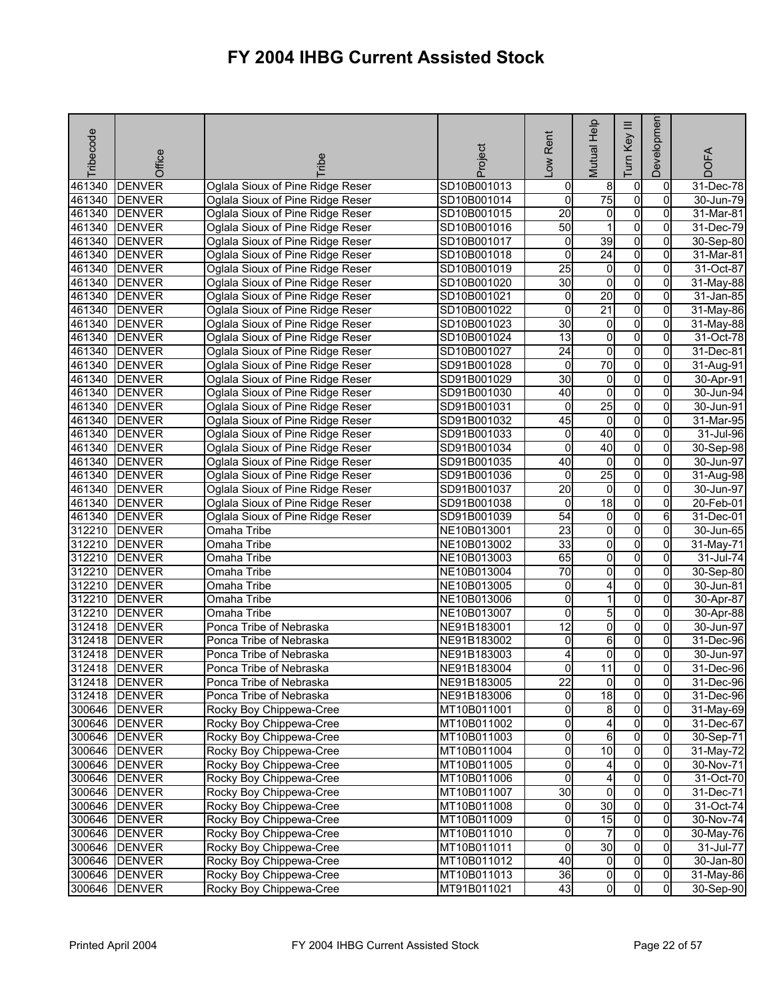| Tribecode | Office                         | <b>Tribe</b>                                       | Project                    | -ow Rent        | Mutual Help             | Key III<br><b>Tum</b>            | Developmen        | <b>DOFA</b>             |
|-----------|--------------------------------|----------------------------------------------------|----------------------------|-----------------|-------------------------|----------------------------------|-------------------|-------------------------|
| 461340    | <b>DENVER</b>                  | Oglala Sioux of Pine Ridge Reser                   | SD10B001013                |                 |                         | $\overline{0}$                   | 0                 |                         |
| 461340    | <b>DENVER</b>                  | Oglala Sioux of Pine Ridge Reser                   | SD10B001014                | 0<br>0          | 8<br>75                 | $\overline{0}$                   | 0                 | 31-Dec-78<br>30-Jun-79  |
| 461340    | <b>DENVER</b>                  | Oglala Sioux of Pine Ridge Reser                   | SD10B001015                | 20              | $\overline{\mathbf{0}}$ | $\overline{0}$                   | $\Omega$          | 31-Mar-81               |
| 461340    | <b>DENVER</b>                  | Oglala Sioux of Pine Ridge Reser                   | SD10B001016                | 50              | $\mathbf 1$             | 0                                | $\overline{0}$    | 31-Dec-79               |
| 461340    | <b>DENVER</b>                  | Oglala Sioux of Pine Ridge Reser                   | SD10B001017                | 0               | 39                      | $\overline{0}$                   | 0                 | 30-Sep-80               |
| 461340    | <b>DENVER</b>                  | Oglala Sioux of Pine Ridge Reser                   | SD10B001018                | 0               | 24                      | $\overline{0}$                   | $\overline{0}$    | 31-Mar-81               |
| 461340    | <b>DENVER</b>                  | Oglala Sioux of Pine Ridge Reser                   | SD10B001019                | $\overline{25}$ | $\overline{0}$          | $\overline{0}$                   | 0                 | 31-Oct-87               |
| 461340    | <b>DENVER</b>                  | Oglala Sioux of Pine Ridge Reser                   | SD10B001020                | 30              | $\mathbf 0$             | $\overline{0}$                   | 0                 | 31-May-88               |
| 461340    | <b>DENVER</b>                  | Oglala Sioux of Pine Ridge Reser                   | SD10B001021                | $\pmb{0}$       | $\overline{20}$         | $\overline{0}$                   | $\overline{0}$    | 31-Jan-85               |
| 461340    | <b>DENVER</b>                  | Oglala Sioux of Pine Ridge Reser                   | SD10B001022                | 0               | $\overline{21}$         | $\overline{0}$                   | $\overline{0}$    | 31-May-86               |
| 461340    | <b>DENVER</b>                  | Oglala Sioux of Pine Ridge Reser                   | SD10B001023                | $\overline{30}$ | $\overline{0}$          | $\overline{0}$                   | 0                 | 31-May-88               |
| 461340    | <b>DENVER</b>                  | Oglala Sioux of Pine Ridge Reser                   | SD10B001024                | 13              | $\overline{\mathbf{0}}$ | $\overline{0}$                   | 0                 | 31-Oct-78               |
| 461340    | <b>DENVER</b>                  | Oglala Sioux of Pine Ridge Reser                   | SD10B001027                | $\overline{24}$ | 0                       | $\overline{0}$                   | 0                 | 31-Dec-81               |
| 461340    | <b>DENVER</b>                  | Oglala Sioux of Pine Ridge Reser                   | SD91B001028                | 0               | 70                      | 0                                | $\Omega$          | 31-Aug-91               |
| 461340    | <b>DENVER</b>                  | Oglala Sioux of Pine Ridge Reser                   | SD91B001029                | $\overline{30}$ | $\overline{0}$          | $\overline{0}$                   | $\overline{0}$    | 30-Apr-91               |
| 461340    | <b>DENVER</b>                  | Oglala Sioux of Pine Ridge Reser                   | SD91B001030                | 40              | o                       | $\overline{0}$                   | 0                 | 30-Jun-94               |
| 461340    | <b>DENVER</b>                  | Oglala Sioux of Pine Ridge Reser                   | SD91B001031                | 0               | 25                      | $\overline{0}$                   | $\overline{0}$    | 30-Jun-91               |
| 461340    | <b>DENVER</b>                  | Oglala Sioux of Pine Ridge Reser                   | SD91B001032                | 45              | $\overline{0}$          | O                                | 0                 | 31-Mar-95               |
| 461340    | <b>DENVER</b>                  | Oglala Sioux of Pine Ridge Reser                   | SD91B001033                | 0               | 40                      | $\overline{0}$                   | 0                 | 31-Jul-96               |
| 461340    | <b>DENVER</b>                  | Oglala Sioux of Pine Ridge Reser                   | SD91B001034                | 0               | 40                      | $\overline{0}$                   | $\overline{0}$    | 30-Sep-98               |
| 461340    | <b>DENVER</b>                  | Oglala Sioux of Pine Ridge Reser                   | SD91B001035                | 40              | $\mathbf 0$             | 0                                | 0                 | 30-Jun-97               |
| 461340    | <b>DENVER</b>                  | Oglala Sioux of Pine Ridge Reser                   | SD91B001036                | 0               | 25                      | $\overline{0}$                   | 0                 | 31-Aug-98               |
| 461340    | <b>DENVER</b>                  | Oglala Sioux of Pine Ridge Reser                   | SD91B001037                | 20              | $\overline{0}$          | $\overline{0}$                   | 0                 | 30-Jun-97               |
| 461340    | <b>DENVER</b>                  | Oglala Sioux of Pine Ridge Reser                   | SD91B001038                | $\mathbf 0$     | 18                      | $\overline{0}$                   | 0                 | 20-Feb-01               |
| 461340    | <b>DENVER</b>                  | Oglala Sioux of Pine Ridge Reser                   | SD91B001039                | $\overline{54}$ | 0                       | O                                | 6                 | 31-Dec-01               |
| 312210    | <b>DENVER</b>                  | Omaha Tribe                                        | NE10B013001                | 23              | $\overline{\mathbf{0}}$ | $\overline{0}$                   | 0                 | 30-Jun-65               |
| 312210    | <b>DENVER</b>                  | Omaha Tribe                                        | NE10B013002                | 33              | 0                       | $\overline{0}$                   | 0                 | 31-May-71               |
| 312210    | <b>DENVER</b>                  | Omaha Tribe                                        | NE10B013003                | 65              | $\overline{\mathbf{0}}$ | $\overline{0}$                   | 0                 | 31-Jul-74               |
| 312210    | <b>DENVER</b>                  | Omaha Tribe                                        | NE10B013004                | 70              | $\overline{0}$          | $\overline{0}$                   | $\overline{0}$    | 30-Sep-80               |
| 312210    | <b>DENVER</b>                  | Omaha Tribe                                        | NE10B013005                | 0               | 4                       | O                                | 0                 | 30-Jun-81               |
| 312210    | <b>DENVER</b>                  | Omaha Tribe                                        | NE10B013006                | 0               | 1                       | $\overline{0}$                   | $\Omega$          | 30-Apr-87               |
| 312210    | <b>DENVER</b>                  | Omaha Tribe                                        | NE10B013007                | 0               | 5                       | O                                | 0                 | 30-Apr-88               |
| 312418    | <b>DENVER</b>                  | Ponca Tribe of Nebraska                            | NE91B183001                | $\overline{12}$ | o                       | $\overline{0}$                   | 0                 | 30-Jun-97               |
| 312418    | <b>DENVER</b>                  | Ponca Tribe of Nebraska                            | NE91B183002                | 0               | 6                       | $\overline{0}$                   | 0                 | 31-Dec-96               |
| 312418    | <b>DENVER</b>                  | Ponca Tribe of Nebraska                            | NE91B183003                | 4               | 0                       | $\overline{0}$                   | 0                 | 30-Jun-97               |
| 312418    | <b>DENVER</b>                  | Ponca Tribe of Nebraska                            | NE91B183004                | 0               | $\overline{11}$         | 0                                | 0                 | 31-Dec-96               |
|           | 312418 DENVER                  | Ponca Tribe of Nebraska                            | NE91B183005                | 22              | 01                      | $\overline{0}$                   | 01                | 31-Dec-96               |
|           | 312418 DENVER                  | Ponca Tribe of Nebraska                            | NE91B183006                | 0               | 18                      | $\overline{0}$                   | 0                 | 31-Dec-96               |
|           | 300646 DENVER                  | Rocky Boy Chippewa-Cree                            | MT10B011001                | 0               | 8                       | $\overline{0}$                   | 0                 | $31-May-69$             |
|           | 300646 DENVER                  | Rocky Boy Chippewa-Cree                            | MT10B011002                | $\overline{0}$  | $\overline{4}$          | $\overline{0}$                   | $\overline{0}$    | 31-Dec-67               |
|           | 300646 DENVER                  | Rocky Boy Chippewa-Cree                            | MT10B011003                | o               | 6                       | $\overline{0}$                   | 0                 | 30-Sep-71               |
|           | 300646 DENVER                  | Rocky Boy Chippewa-Cree                            | MT10B011004                | o               | 10                      | $\overline{0}$                   | $\mathbf{0}$      | $\overline{3}$ 1-May-72 |
|           | 300646 DENVER                  | Rocky Boy Chippewa-Cree                            | MT10B011005                | 0               | 4                       | $\overline{0}$                   | 0                 | 30-Nov-71               |
|           | 300646 DENVER                  | Rocky Boy Chippewa-Cree                            | MT10B011006                | 0               | 4                       | $\overline{0}$                   | 0                 | 31-Oct-70               |
|           | 300646 DENVER                  | Rocky Boy Chippewa-Cree                            | MT10B011007                | 30              | $\overline{0}$          | $\overline{0}$                   | $\overline{0}$    | 31-Dec-71               |
|           | 300646 DENVER                  | Rocky Boy Chippewa-Cree                            | MT10B011008                | $\overline{0}$  | 30                      | $\overline{0}$                   | $\overline{0}$    | 31-Oct-74               |
|           | 300646 DENVER                  | Rocky Boy Chippewa-Cree                            | MT10B011009                | o               | 15                      | $\overline{0}$                   | 0                 | 30-Nov-74               |
|           | 300646 DENVER                  | Rocky Boy Chippewa-Cree                            | MT10B011010                | o               | $\overline{7}$<br>30    | $\overline{0}$                   | $\overline{0}$    | 30-May-76               |
|           | 300646 DENVER                  | Rocky Boy Chippewa-Cree                            | MT10B011011                | 0               | $\overline{0}$          | $\overline{0}$<br>$\overline{0}$ | $\mathbf{0}$<br>0 | 31-Jul-77               |
|           | 300646 DENVER<br>300646 DENVER | Rocky Boy Chippewa-Cree<br>Rocky Boy Chippewa-Cree | MT10B011012<br>MT10B011013 | 40<br>36        | $\overline{0}$          | $\overline{0}$                   | $\overline{0}$    | 30-Jan-80<br>31-May-86  |
|           | 300646 DENVER                  | Rocky Boy Chippewa-Cree                            | MT91B011021                | 43              | $\overline{0}$          | $\overline{0}$                   | $\overline{0}$    | 30-Sep-90               |
|           |                                |                                                    |                            |                 |                         |                                  |                   |                         |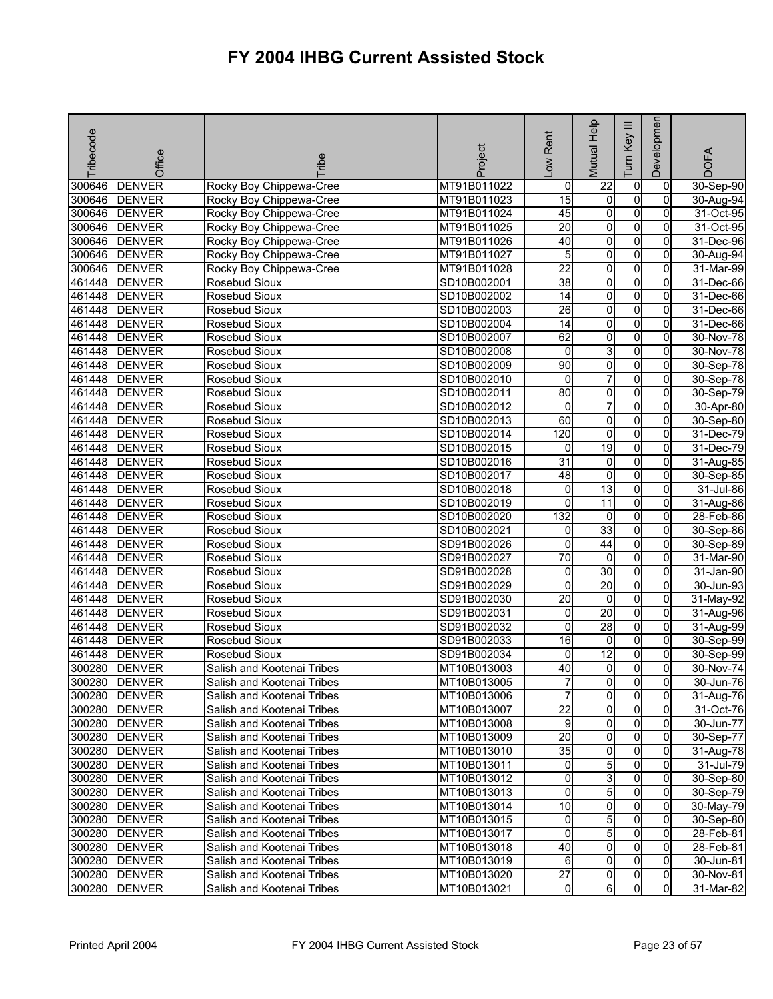| Tribecode | Office        | <b>Tribe</b>                                             | Project                    | -ow Rent            | Mutual Help             | $\equiv$<br>Key<br>Tum | Developmen                       | <b>DOFA</b> |
|-----------|---------------|----------------------------------------------------------|----------------------------|---------------------|-------------------------|------------------------|----------------------------------|-------------|
| 300646    | <b>DENVER</b> | Rocky Boy Chippewa-Cree                                  | MT91B011022                | 0                   | $\overline{22}$         | 0                      | 0                                | 30-Sep-90   |
| 300646    | <b>DENVER</b> | Rocky Boy Chippewa-Cree                                  | MT91B011023                | 15                  | o                       | $\overline{0}$         | $\Omega$                         | 30-Aug-94   |
| 300646    | <b>DENVER</b> | Rocky Boy Chippewa-Cree                                  | MT91B011024                | 45                  | $\overline{0}$          | $\overline{0}$         | 0                                | 31-Oct-95   |
| 300646    | <b>DENVER</b> | Rocky Boy Chippewa-Cree                                  | MT91B011025                | $\overline{20}$     | 0                       | $\overline{0}$         | 0                                | 31-Oct-95   |
| 300646    | <b>DENVER</b> | Rocky Boy Chippewa-Cree                                  | MT91B011026                | 40                  | 0                       | $\overline{0}$         | 0                                | 31-Dec-96   |
| 300646    | <b>DENVER</b> | Rocky Boy Chippewa-Cree                                  | MT91B011027                | 5                   | $\overline{\mathbf{0}}$ | $\overline{0}$         | $\overline{0}$                   | 30-Aug-94   |
| 300646    | <b>DENVER</b> | Rocky Boy Chippewa-Cree                                  | MT91B011028                | $\overline{22}$     | 0                       | $\overline{0}$         | 0                                | 31-Mar-99   |
| 461448    | <b>DENVER</b> | Rosebud Sioux                                            | SD10B002001                | 38                  | $\overline{\mathbf{0}}$ | $\overline{0}$         | 0                                | 31-Dec-66   |
| 461448    | <b>DENVER</b> | Rosebud Sioux                                            | SD10B002002                | $\overline{14}$     | 0                       | 0                      | 0                                | 31-Dec-66   |
| 461448    | <b>DENVER</b> | Rosebud Sioux                                            | SD10B002003                | $\overline{26}$     | 0                       | $\overline{0}$         | 0                                | 31-Dec-66   |
| 461448    | <b>DENVER</b> | Rosebud Sioux                                            | SD10B002004                | $\overline{14}$     | o                       | $\overline{0}$         | 0                                | 31-Dec-66   |
| 461448    | <b>DENVER</b> | Rosebud Sioux                                            | SD10B002007                | 62                  | 0                       | 0                      | 0                                | 30-Nov-78   |
| 461448    | <b>DENVER</b> | Rosebud Sioux                                            | SD10B002008                | 0                   | 3                       | 0                      | 0                                | 30-Nov-78   |
| 461448    | <b>DENVER</b> | Rosebud Sioux                                            | SD10B002009                | 90                  | 0                       | 0                      | 0                                | 30-Sep-78   |
| 461448    | <b>DENVER</b> | Rosebud Sioux                                            | SD10B002010                | 0                   | 7                       | $\overline{0}$         | 0                                | 30-Sep-78   |
| 461448    | <b>DENVER</b> | <b>Rosebud Sioux</b>                                     | SD10B002011                | 80                  | 0                       | $\overline{0}$         | 0                                | 30-Sep-79   |
| 461448    | <b>DENVER</b> | Rosebud Sioux                                            | SD10B002012                | 0                   | 7                       | $\overline{0}$         | $\overline{0}$                   | 30-Apr-80   |
| 461448    | <b>DENVER</b> | Rosebud Sioux                                            | SD10B002013                | 60                  | $\overline{0}$          | $\overline{0}$         | 0                                | 30-Sep-80   |
| 461448    | <b>DENVER</b> | Rosebud Sioux                                            | SD10B002014                | 120                 | o                       | $\overline{0}$         | $\overline{0}$                   | 31-Dec-79   |
| 461448    | <b>DENVER</b> | Rosebud Sioux                                            | SD10B002015                | 0                   | $\overline{19}$         | $\overline{0}$         | $\overline{0}$                   | 31-Dec-79   |
| 461448    | <b>DENVER</b> | <b>Rosebud Sioux</b>                                     | SD10B002016                | 31                  | 0                       | $\overline{0}$         | 0                                | 31-Aug-85   |
| 461448    | <b>DENVER</b> | Rosebud Sioux                                            | SD10B002017                | 48                  | 0                       | $\overline{0}$         | 0                                | 30-Sep-85   |
| 461448    | <b>DENVER</b> | Rosebud Sioux                                            | SD10B002018                | 0                   | 13                      | O                      | 0                                | 31-Jul-86   |
| 461448    | <b>DENVER</b> | Rosebud Sioux                                            | SD10B002019                | 0                   | $\overline{11}$         | O                      | 0                                | 31-Aug-86   |
| 461448    | <b>DENVER</b> | Rosebud Sioux                                            | SD10B002020                | 132                 | $\mathbf 0$             | O                      | 0                                | 28-Feb-86   |
| 461448    | <b>DENVER</b> | Rosebud Sioux                                            | SD10B002021                | 0                   | 33                      | $\overline{0}$         | 0                                | 30-Sep-86   |
| 461448    | <b>DENVER</b> | <b>Rosebud Sioux</b>                                     | SD91B002026                | 0                   | $\overline{44}$         | $\overline{0}$         | 0                                | 30-Sep-89   |
| 461448    | <b>DENVER</b> | Rosebud Sioux                                            | SD91B002027                | 70                  | $\overline{0}$          | $\overline{0}$         | 0                                | 31-Mar-90   |
| 461448    | <b>DENVER</b> | Rosebud Sioux                                            | SD91B002028                | 0                   | 30                      | $\overline{0}$         | 0                                | 31-Jan-90   |
| 461448    | <b>DENVER</b> | Rosebud Sioux                                            | SD91B002029                | 0                   | 20                      | 0                      | $\Omega$                         | 30-Jun-93   |
| 461448    | <b>DENVER</b> | Rosebud Sioux                                            | SD91B002030                | $\overline{20}$     | $\overline{0}$          | $\overline{0}$         | $\overline{0}$                   | 31-May-92   |
| 461448    | <b>DENVER</b> | Rosebud Sioux                                            | SD91B002031                | 0                   | 20                      | $\overline{0}$         | 0                                | 31-Aug-96   |
| 461448    | <b>DENVER</b> | Rosebud Sioux                                            | SD91B002032                | 0                   | 28                      | $\overline{0}$         | 0                                | 31-Aug-99   |
| 461448    | <b>DENVER</b> | Rosebud Sioux                                            | SD91B002033                | 16                  | 0                       | O                      | 0                                | 30-Sep-99   |
| 461448    | <b>DENVER</b> | Rosebud Sioux                                            | SD91B002034                | 0                   | $\overline{12}$         | 0                      | 0                                | 30-Sep-99   |
| 300280    | <b>DENVER</b> | Salish and Kootenai Tribes                               | MT10B013003                | 40                  | 0                       | 0                      | $\mathbf 0$                      | 30-Nov-74   |
|           | 300280 DENVER | Salish and Kootenai Tribes                               | MT10B013005                | 7                   | 01                      | $\mathbf{0}$           | $\overline{0}$                   | 30-Jun-76   |
|           | 300280 DENVER | Salish and Kootenai Tribes                               | MT10B013006                | $\overline{7}$      | $\overline{0}$          | $\overline{0}$         | $\overline{0}$                   | 31-Aug-76   |
|           | 300280 DENVER | Salish and Kootenai Tribes                               | MT10B013007                | $\overline{22}$     | $\overline{0}$          | $\overline{0}$         | $\overline{0}$                   | 31-Oct-76   |
|           | 300280 DENVER | Salish and Kootenai Tribes                               | MT10B013008                | 9                   | 0                       | $\overline{0}$         | 0                                | 30-Jun-77   |
|           | 300280 DENVER | Salish and Kootenai Tribes                               | MT10B013009                | $\overline{20}$     | 0                       | 0                      | $\Omega$                         | 30-Sep-77   |
|           | 300280 DENVER | Salish and Kootenai Tribes                               | MT10B013010                | 35                  | $\overline{0}$          | $\overline{0}$         | $\Omega$                         | 31-Aug-78   |
|           | 300280 DENVER | Salish and Kootenai Tribes                               | MT10B013011                | 0                   | $5\overline{)}$         | $\overline{0}$         | $\Omega$                         | 31-Jul-79   |
|           | 300280 DENVER | Salish and Kootenai Tribes                               | MT10B013012                | $\mathsf{O}\xspace$ | 3                       | $\overline{0}$         | $\overline{0}$                   | 30-Sep-80   |
|           | 300280 DENVER | Salish and Kootenai Tribes                               | MT10B013013                | o                   | 5                       | $\overline{0}$         | $\mathbf{0}$                     | 30-Sep-79   |
|           | 300280 DENVER | Salish and Kootenai Tribes                               | MT10B013014                | 10                  | 0                       | $\overline{0}$         | 0                                | 30-May-79   |
|           | 300280 DENVER | Salish and Kootenai Tribes                               | MT10B013015                | 0                   | 5                       | $\overline{0}$         | $\mathbf{0}$                     | 30-Sep-80   |
|           | 300280 DENVER | Salish and Kootenai Tribes                               | MT10B013017                | 0                   | $5\overline{)}$         | $\overline{0}$         | 0                                | 28-Feb-81   |
|           | 300280 DENVER | Salish and Kootenai Tribes                               | MT10B013018                | 40                  | 0                       | $\overline{0}$         | $\mathbf{0}$                     | 28-Feb-81   |
|           | 300280 DENVER | Salish and Kootenai Tribes                               | MT10B013019                | 6                   | $\overline{0}$          | $\overline{0}$         | $\mathbf{0}$                     | 30-Jun-81   |
|           | 300280 DENVER | Salish and Kootenai Tribes<br>Salish and Kootenai Tribes | MT10B013020<br>MT10B013021 | $\overline{27}$     | 0<br>$6 \,$             | 0<br>0                 | $\overline{0}$<br>$\overline{0}$ | 30-Nov-81   |
|           | 300280 DENVER |                                                          |                            | $\overline{0}$      |                         |                        |                                  | 31-Mar-82   |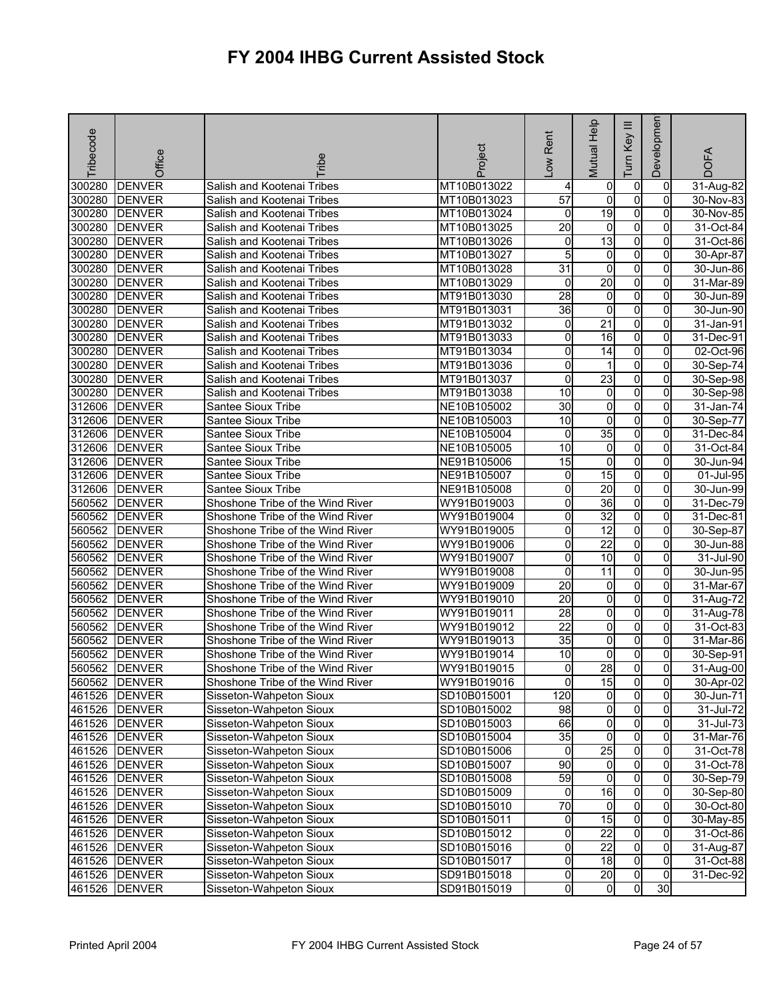| Tribecode | Office        | ribe                             | Project     | Low Rent            | Mutual Help     | Ξ<br>Key<br>Tum | Developmen     | <b>DOFA</b>             |
|-----------|---------------|----------------------------------|-------------|---------------------|-----------------|-----------------|----------------|-------------------------|
| 300280    | <b>DENVER</b> | Salish and Kootenai Tribes       | MT10B013022 | 4                   | 0               | $\overline{0}$  | 0              | 31-Aug-82               |
| 300280    | <b>DENVER</b> | Salish and Kootenai Tribes       | MT10B013023 | $\overline{57}$     | $\mathbf 0$     | $\overline{0}$  | $\Omega$       | 30-Nov-83               |
| 300280    | <b>DENVER</b> | Salish and Kootenai Tribes       | MT10B013024 | 0                   | $\overline{19}$ | $\overline{0}$  | 0              | 30-Nov-85               |
| 300280    | <b>DENVER</b> | Salish and Kootenai Tribes       | MT10B013025 | 20                  | 0               | $\overline{0}$  | 0              | 31-Oct-84               |
| 300280    | <b>DENVER</b> | Salish and Kootenai Tribes       | MT10B013026 | 0                   | 13              | $\overline{0}$  | 0              | 31-Oct-86               |
| 300280    | <b>DENVER</b> | Salish and Kootenai Tribes       | MT10B013027 | 5                   | $\overline{0}$  | $\overline{0}$  | 0              | 30-Apr-87               |
| 300280    | <b>DENVER</b> | Salish and Kootenai Tribes       | MT10B013028 | $\overline{31}$     | 0               | $\overline{0}$  | 0              | 30-Jun-86               |
| 300280    | <b>DENVER</b> | Salish and Kootenai Tribes       | MT10B013029 | $\mathbf 0$         | 20              | $\overline{0}$  | $\overline{0}$ | 31-Mar-89               |
| 300280    | <b>DENVER</b> | Salish and Kootenai Tribes       | MT91B013030 | $\overline{28}$     | 0               | $\overline{0}$  | 0              | 30-Jun-89               |
| 300280    | <b>DENVER</b> | Salish and Kootenai Tribes       | MT91B013031 | $\overline{36}$     | 0               | $\overline{0}$  | 0              | 30-Jun-90               |
| 300280    | <b>DENVER</b> | Salish and Kootenai Tribes       | MT91B013032 | $\mathbf 0$         | $\overline{21}$ | $\overline{0}$  | 0              | 31-Jan-91               |
| 300280    | <b>DENVER</b> | Salish and Kootenai Tribes       | MT91B013033 | 0                   | $\overline{16}$ | $\overline{0}$  | 0              | 31-Dec-91               |
| 300280    | <b>DENVER</b> | Salish and Kootenai Tribes       | MT91B013034 | 0                   | $\overline{14}$ | $\overline{0}$  | $\Omega$       | 02-Oct-96               |
| 300280    | <b>DENVER</b> | Salish and Kootenai Tribes       | MT91B013036 | 0                   | 1               | 0               | 0              | 30-Sep-74               |
| 300280    | <b>DENVER</b> | Salish and Kootenai Tribes       | MT91B013037 | 0                   | 23              | $\overline{0}$  | 0              | 30-Sep-98               |
| 300280    | <b>DENVER</b> | Salish and Kootenai Tribes       | MT91B013038 | 10                  | 0               | $\overline{0}$  | 0              | 30-Sep-98               |
| 312606    | <b>DENVER</b> | Santee Sioux Tribe               | NE10B105002 | $\overline{30}$     | $\overline{0}$  | $\overline{0}$  | $\overline{0}$ | 31-Jan-74               |
| 312606    | <b>DENVER</b> | Santee Sioux Tribe               | NE10B105003 | 10                  | 0               | $\overline{0}$  | 0              | 30-Sep-77               |
| 312606    | <b>DENVER</b> | Santee Sioux Tribe               | NE10B105004 | o                   | 35              | $\overline{0}$  | $\overline{0}$ | 31-Dec-84               |
| 312606    | <b>DENVER</b> | Santee Sioux Tribe               | NE10B105005 | 10                  | 0               | $\overline{0}$  | 0              | 31-Oct-84               |
| 312606    | <b>DENVER</b> | Santee Sioux Tribe               | NE91B105006 | 15                  | 0               | $\overline{0}$  | 0              | 30-Jun-94               |
| 312606    | <b>DENVER</b> | Santee Sioux Tribe               | NE91B105007 | 0                   | 15              | $\overline{0}$  | $\overline{0}$ | 01-Jul-95               |
| 312606    | <b>DENVER</b> | Santee Sioux Tribe               | NE91B105008 | 0                   | 20              | O               | 0              | 30-Jun-99               |
| 560562    | <b>DENVER</b> | Shoshone Tribe of the Wind River | WY91B019003 | 0                   | 36              | $\overline{0}$  | $\Omega$       | 31-Dec-79               |
| 560562    | <b>DENVER</b> | Shoshone Tribe of the Wind River | WY91B019004 | 0                   | $\overline{32}$ | $\overline{0}$  | $\Omega$       | 31-Dec-81               |
| 560562    | <b>DENVER</b> | Shoshone Tribe of the Wind River | WY91B019005 | 0                   | $\overline{12}$ | $\overline{0}$  | 0              | 30-Sep-87               |
| 560562    | <b>DENVER</b> | Shoshone Tribe of the Wind River | WY91B019006 | 0                   | $\overline{22}$ | $\overline{0}$  | $\Omega$       | 30-Jun-88               |
| 560562    | <b>DENVER</b> | Shoshone Tribe of the Wind River | WY91B019007 | 0                   | $\overline{10}$ | $\overline{0}$  | 0              | 31-Jul-90               |
| 560562    | <b>DENVER</b> | Shoshone Tribe of the Wind River | WY91B019008 | 0                   | 11              | $\overline{0}$  | 0              | 30-Jun-95               |
| 560562    | <b>DENVER</b> | Shoshone Tribe of the Wind River | WY91B019009 | 20                  | 0               | 0               | $\Omega$       | 31-Mar-67               |
| 560562    | <b>DENVER</b> | Shoshone Tribe of the Wind River | WY91B019010 | $\overline{20}$     | $\overline{0}$  | $\overline{0}$  | $\overline{0}$ | 31-Aug-72               |
| 560562    | <b>DENVER</b> | Shoshone Tribe of the Wind River | WY91B019011 | 28                  | 0               | $\overline{0}$  | 0              | 31-Aug-78               |
| 560562    | <b>DENVER</b> | Shoshone Tribe of the Wind River | WY91B019012 | $\overline{22}$     | $\overline{0}$  | $\overline{0}$  | $\overline{0}$ | 31-Oct-83               |
| 560562    | <b>DENVER</b> | Shoshone Tribe of the Wind River | WY91B019013 | $\overline{35}$     | 0               | $\overline{0}$  | 0              | 31-Mar-86               |
| 560562    | <b>DENVER</b> | Shoshone Tribe of the Wind River | WY91B019014 | 10                  | 0               | $\overline{0}$  | 0              | 30-Sep-91               |
| 560562    | <b>DENVER</b> | Shoshone Tribe of the Wind River | WY91B019015 | 0                   | 28              | $\mathsf{o}$    | $\overline{0}$ | $\overline{31}$ -Aug-00 |
|           | 560562 DENVER | Shoshone Tribe of the Wind River | WY91B019016 | 0                   | 15              | $\overline{0}$  | $\overline{0}$ | 30-Apr-02               |
|           | 461526 DENVER | Sisseton-Wahpeton Sioux          | SD10B015001 | 120                 | ō               | $\overline{0}$  | $\overline{0}$ | 30-Jun-71               |
|           | 461526 DENVER | Sisseton-Wahpeton Sioux          | SD10B015002 | 98                  | $\overline{0}$  | $\overline{0}$  | 0              | 31-Jul-72               |
|           | 461526 DENVER | Sisseton-Wahpeton Sioux          | SD10B015003 | 66                  | $\overline{0}$  | $\overline{0}$  | $\overline{0}$ | 31-Jul-73               |
|           | 461526 DENVER | Sisseton-Wahpeton Sioux          | SD10B015004 | 35                  | 0               | O               | 0              | 31-Mar-76               |
|           | 461526 DENVER | Sisseton-Wahpeton Sioux          | SD10B015006 | 0                   | 25              | $\overline{0}$  | 0              | 31-Oct-78               |
|           | 461526 DENVER | Sisseton-Wahpeton Sioux          | SD10B015007 | 90                  | $\overline{0}$  | $\overline{0}$  | 0              | 31-Oct-78               |
|           | 461526 DENVER | Sisseton-Wahpeton Sioux          | SD10B015008 | 59                  | $\overline{0}$  | $\overline{0}$  | $\overline{0}$ | 30-Sep-79               |
|           | 461526 DENVER | Sisseton-Wahpeton Sioux          | SD10B015009 | $\overline{0}$      | 16              | $\overline{0}$  | $\overline{0}$ | 30-Sep-80               |
|           | 461526 DENVER | Sisseton-Wahpeton Sioux          | SD10B015010 | 70                  | $\overline{0}$  | $\overline{0}$  | 0              | 30-Oct-80               |
|           | 461526 DENVER | Sisseton-Wahpeton Sioux          | SD10B015011 | 0                   | 15              | $\overline{0}$  | $\mathbf{0}$   | 30-May-85               |
| 461526    | <b>DENVER</b> | Sisseton-Wahpeton Sioux          | SD10B015012 | 0                   | $\overline{22}$ | $\overline{0}$  | 0              | 31-Oct-86               |
|           | 461526 DENVER | Sisseton-Wahpeton Sioux          | SD10B015016 | $\mathsf{O}\xspace$ | 22              | $\overline{0}$  | $\mathbf{0}$   | 31-Aug-87               |
|           | 461526 DENVER | Sisseton-Wahpeton Sioux          | SD10B015017 | $\mathsf{O}\xspace$ | 18              | $\overline{0}$  | $\overline{0}$ | 31-Oct-88               |
|           | 461526 DENVER | Sisseton-Wahpeton Sioux          | SD91B015018 | 0                   | $\overline{20}$ | $\overline{0}$  | 0              | 31-Dec-92               |
| 461526    | <b>DENVER</b> | Sisseton-Wahpeton Sioux          | SD91B015019 | 0                   | 0               | $\overline{0}$  | 30             |                         |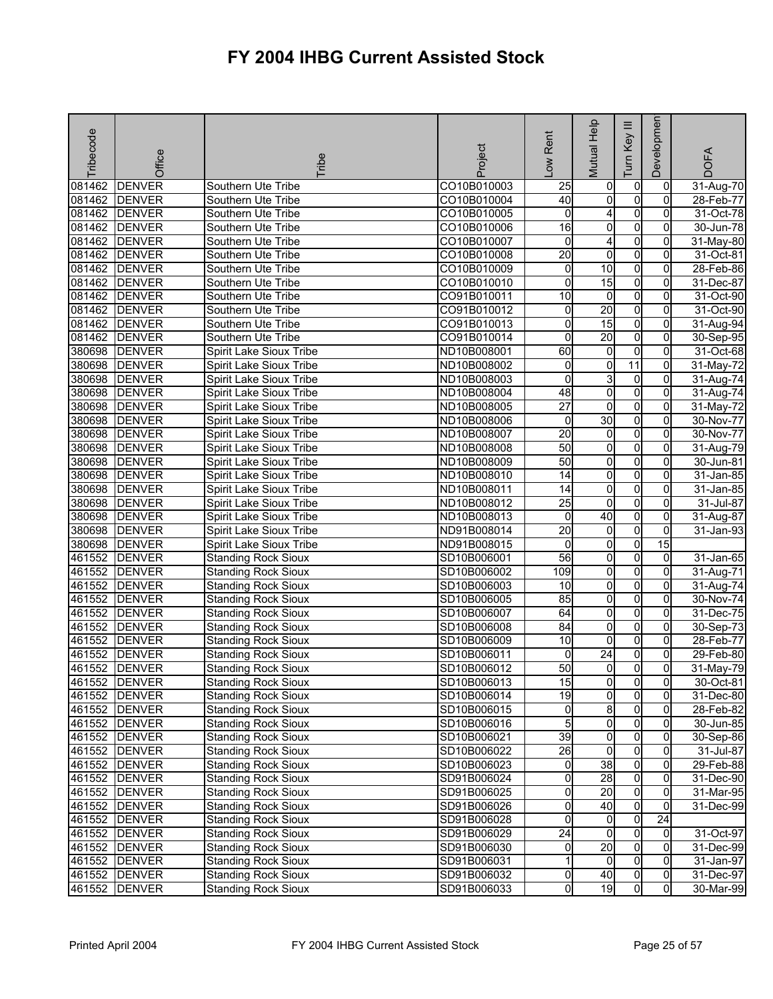| Tribecode | Office        | <b>Tribe</b>               | Project     | -ow Rent            | Mutual Help             | Ξ<br>Tum Key   | Developmen     | <b>DOFA</b>   |
|-----------|---------------|----------------------------|-------------|---------------------|-------------------------|----------------|----------------|---------------|
| 081462    | <b>DENVER</b> | Southern Ute Tribe         | CO10B010003 | 25                  | 0                       | $\overline{0}$ | $\overline{0}$ | 31-Aug-70     |
|           | 081462 DENVER | Southern Ute Tribe         | CO10B010004 | 40                  | 0                       | $\overline{0}$ | 0              | 28-Feb-77     |
| 081462    | <b>DENVER</b> | Southern Ute Tribe         | CO10B010005 | o                   | 4                       | $\overline{0}$ | $\overline{0}$ | 31-Oct-78     |
|           | 081462 DENVER | Southern Ute Tribe         | CO10B010006 | 16                  | O                       | $\overline{0}$ | 0              | 30-Jun-78     |
|           | 081462 DENVER | Southern Ute Tribe         | CO10B010007 | 0                   | 4                       | $\overline{0}$ | $\mathbf{0}$   | 31-May-80     |
| 081462    | <b>DENVER</b> | Southern Ute Tribe         | CO10B010008 | 20                  | ō                       | $\overline{0}$ | $\overline{0}$ | 31-Oct-81     |
|           | 081462 DENVER | Southern Ute Tribe         | CO10B010009 | 0                   | 10                      | $\overline{0}$ | 0              | 28-Feb-86     |
| 081462    | <b>DENVER</b> | Southern Ute Tribe         | CO10B010010 | $\overline{0}$      | 15                      | $\overline{0}$ | 0              | 31-Dec-87     |
|           | 081462 DENVER | Southern Ute Tribe         | CO91B010011 | $\overline{10}$     | $\overline{0}$          | $\overline{0}$ | $\overline{0}$ | 31-Oct-90     |
| 081462    | <b>DENVER</b> | Southern Ute Tribe         | CO91B010012 | 0                   | 20                      | $\overline{0}$ | 0              | 31-Oct-90     |
|           | 081462 DENVER | Southern Ute Tribe         | CO91B010013 | 0                   | 15                      | $\overline{0}$ | $\overline{0}$ | 31-Aug-94     |
|           | 081462 DENVER | Southern Ute Tribe         | CO91B010014 | 0                   | 20                      | $\overline{0}$ | $\overline{0}$ | $30-$ Sep-95  |
|           | 380698 DENVER | Spirit Lake Sioux Tribe    | ND10B008001 | 60                  | $\mathbf 0$             | $\overline{0}$ | 0              | 31-Oct-68     |
|           | 380698 DENVER | Spirit Lake Sioux Tribe    | ND10B008002 | 0                   | O                       | 11             | $\overline{0}$ | 31-May-72     |
|           | 380698 DENVER | Spirit Lake Sioux Tribe    | ND10B008003 | 0                   | 3                       | $\overline{0}$ | $\mathbf{0}$   | 31-Aug-74     |
|           | 380698 DENVER | Spirit Lake Sioux Tribe    | ND10B008004 | 48                  | 0                       | $\overline{0}$ | $\overline{0}$ | 31-Aug-74     |
| 380698    | <b>DENVER</b> | Spirit Lake Sioux Tribe    | ND10B008005 | $\overline{27}$     | ō                       | $\overline{0}$ | $\overline{0}$ | 31-May-72     |
|           | 380698 DENVER | Spirit Lake Sioux Tribe    | ND10B008006 | 0                   | 30                      | $\overline{0}$ | $\overline{0}$ | 30-Nov-77     |
|           | 380698 DENVER | Spirit Lake Sioux Tribe    | ND10B008007 | 20                  | $\overline{0}$          | $\overline{0}$ | 0              | 30-Nov-77     |
| 380698    | <b>DENVER</b> | Spirit Lake Sioux Tribe    | ND10B008008 | 50                  | $\overline{\mathbf{0}}$ | $\overline{0}$ | $\overline{0}$ | 31-Aug-79     |
| 380698    | <b>DENVER</b> | Spirit Lake Sioux Tribe    | ND10B008009 | 50                  | $\overline{0}$          | $\overline{0}$ | 0              | 30-Jun-81     |
| 380698    | <b>DENVER</b> | Spirit Lake Sioux Tribe    | ND10B008010 | 14                  | $\overline{0}$          | $\overline{0}$ | $\mathbf{0}$   | 31-Jan-85     |
| 380698    | <b>DENVER</b> | Spirit Lake Sioux Tribe    | ND10B008011 | $\overline{14}$     | $\overline{0}$          | $\overline{0}$ | $\overline{0}$ | $31 - Jan-85$ |
| 380698    | <b>DENVER</b> | Spirit Lake Sioux Tribe    | ND10B008012 | $\overline{25}$     | o                       | $\overline{0}$ | 0              | 31-Jul-87     |
|           | 380698 DENVER | Spirit Lake Sioux Tribe    | ND10B008013 | o                   | 40                      | $\overline{0}$ | $\overline{0}$ | 31-Aug-87     |
|           | 380698 DENVER | Spirit Lake Sioux Tribe    | ND91B008014 | $\overline{20}$     | 0                       | $\overline{0}$ | $\Omega$       | 31-Jan-93     |
|           | 380698 DENVER | Spirit Lake Sioux Tribe    | ND91B008015 | 0                   | 0                       | $\overline{0}$ | 15             |               |
| 461552    | <b>DENVER</b> | <b>Standing Rock Sioux</b> | SD10B006001 | 56                  | $\overline{0}$          | $\overline{0}$ | $\mathbf 0$    | 31-Jan-65     |
|           | 461552 DENVER | <b>Standing Rock Sioux</b> | SD10B006002 | 109                 | $\overline{0}$          | $\overline{0}$ | $\overline{0}$ | 31-Aug-71     |
| 461552    | <b>DENVER</b> | <b>Standing Rock Sioux</b> | SD10B006003 | 10                  | 0                       | $\overline{0}$ | 0              | 31-Aug-74     |
| 461552    | <b>DENVER</b> | <b>Standing Rock Sioux</b> | SD10B006005 | 85                  | $\overline{\mathbf{0}}$ | $\overline{0}$ | $\overline{0}$ | 30-Nov-74     |
| 461552    | <b>DENVER</b> | <b>Standing Rock Sioux</b> | SD10B006007 | 64                  | $\overline{0}$          | $\overline{0}$ | $\overline{0}$ | 31-Dec-75     |
| 461552    | <b>DENVER</b> | <b>Standing Rock Sioux</b> | SD10B006008 | 84                  | $\overline{\mathbf{0}}$ | $\overline{0}$ | 0              | 30-Sep-73     |
| 461552    | <b>DENVER</b> | <b>Standing Rock Sioux</b> | SD10B006009 | $\overline{10}$     | $\overline{0}$          | $\overline{0}$ | $\overline{0}$ | 28-Feb-77     |
| 461552    | <b>DENVER</b> | <b>Standing Rock Sioux</b> | SD10B006011 | $\mathbf 0$         | $\overline{24}$         | $\overline{0}$ | 0              | 29-Feb-80     |
| 461552    | <b>DENVER</b> | <b>Standing Rock Sioux</b> | SD10B006012 | 50                  | $\overline{0}$          | $\overline{0}$ | $\overline{0}$ | 31-May-79     |
|           | 461552 DENVER | <b>Standing Rock Sioux</b> | SD10B006013 | 15                  | 01                      | $\overline{0}$ | 01             | 30-Oct-81     |
|           | 461552 DENVER | <b>Standing Rock Sioux</b> | SD10B006014 | 19                  | 0                       | $\overline{0}$ | $\Omega$       | 31-Dec-80     |
|           | 461552 DENVER | <b>Standing Rock Sioux</b> | SD10B006015 | 0                   | 8                       | $\overline{0}$ | $\overline{0}$ | 28-Feb-82     |
|           | 461552 DENVER | <b>Standing Rock Sioux</b> | SD10B006016 | 5                   | $\overline{0}$          | $\overline{0}$ | $\overline{0}$ | 30-Jun-85     |
|           | 461552 DENVER | <b>Standing Rock Sioux</b> | SD10B006021 | 39                  | 0                       | $\overline{0}$ | 0              | 30-Sep-86     |
|           | 461552 DENVER | <b>Standing Rock Sioux</b> | SD10B006022 | $\overline{26}$     | $\overline{0}$          | $\overline{0}$ | $\overline{0}$ | 31-Jul-87     |
|           | 461552 DENVER | <b>Standing Rock Sioux</b> | SD10B006023 | 0                   | 38                      | $\overline{0}$ | $\mathbf{0}$   | 29-Feb-88     |
|           | 461552 DENVER | <b>Standing Rock Sioux</b> | SD91B006024 | 0                   | 28                      | $\overline{0}$ | 0              | 31-Dec-90     |
|           | 461552 DENVER | <b>Standing Rock Sioux</b> | SD91B006025 | $\mathsf{O}\xspace$ | 20                      | $\overline{0}$ | $\overline{0}$ | 31-Mar-95     |
|           | 461552 DENVER | <b>Standing Rock Sioux</b> | SD91B006026 | 0                   | 40                      | 0              | 0              | 31-Dec-99     |
|           | 461552 DENVER | <b>Standing Rock Sioux</b> | SD91B006028 | 0                   | 0                       | $\overline{0}$ | 24             |               |
|           | 461552 DENVER | <b>Standing Rock Sioux</b> | SD91B006029 | $\overline{24}$     | $\overline{0}$          | $\overline{0}$ | $\overline{0}$ | 31-Oct-97     |
|           | 461552 DENVER | <b>Standing Rock Sioux</b> | SD91B006030 | 0                   | 20                      | $\overline{0}$ | $\overline{0}$ | 31-Dec-99     |
|           | 461552 DENVER | <b>Standing Rock Sioux</b> | SD91B006031 | 1                   | $\overline{0}$          | $\overline{0}$ | $\overline{0}$ | 31-Jan-97     |
|           | 461552 DENVER | <b>Standing Rock Sioux</b> | SD91B006032 | $\mathsf{O}\xspace$ | 40                      | $\overline{0}$ | $\overline{0}$ | 31-Dec-97     |
|           | 461552 DENVER | <b>Standing Rock Sioux</b> | SD91B006033 | $\overline{0}$      | 19                      | 0              | $\overline{0}$ | 30-Mar-99     |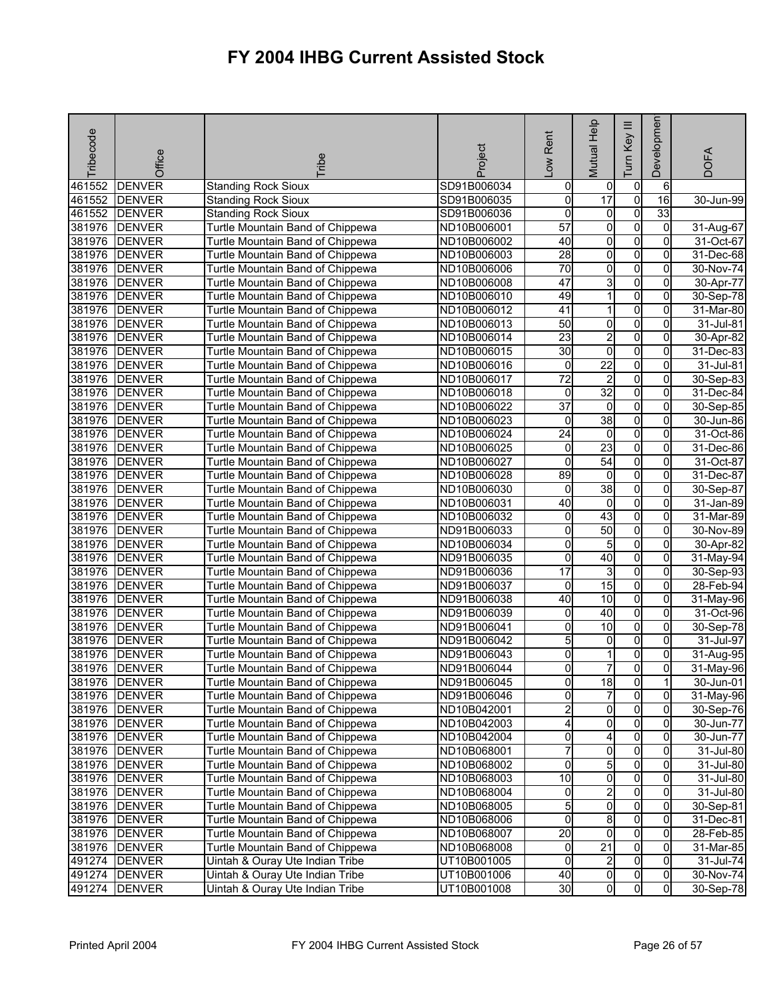| <b>Tribecode</b> | Office          | <b>Fribe</b>                            | Project     | -ow Rent        | Mutual Help             | Ξ<br>Key<br>lum | Developmen     | <b>DOFA</b>             |
|------------------|-----------------|-----------------------------------------|-------------|-----------------|-------------------------|-----------------|----------------|-------------------------|
| 461552           | <b>DENVER</b>   | <b>Standing Rock Sioux</b>              | SD91B006034 | 0               | 0                       | $\pmb{0}$       | 6              |                         |
| 461552           | <b>DENVER</b>   | <b>Standing Rock Sioux</b>              | SD91B006035 | 0               | 17                      | o               | $\overline{6}$ | $30 - Jun-99$           |
| 461552           | <b>DENVER</b>   | <b>Standing Rock Sioux</b>              | SD91B006036 | 0               | $\overline{0}$          | $\overline{0}$  | 33             |                         |
| 381976           | <b>DENVER</b>   | Turtle Mountain Band of Chippewa        | ND10B006001 | 57              | 0                       | $\overline{0}$  | 0              | 31-Aug-67               |
| 381976           | <b>DENVER</b>   | Turtle Mountain Band of Chippewa        | ND10B006002 | 40              | 0                       | $\overline{0}$  | 0              | 31-Oct-67               |
| 381976           | <b>DENVER</b>   | Turtle Mountain Band of Chippewa        | ND10B006003 | 28              | $\overline{\mathbf{0}}$ | $\overline{0}$  | 0              | 31-Dec-68               |
| 381976           | <b>DENVER</b>   | Turtle Mountain Band of Chippewa        | ND10B006006 | 70              | $\overline{0}$          | o               | 0              | 30-Nov-74               |
| 381976           | <b>DENVER</b>   | Turtle Mountain Band of Chippewa        | ND10B006008 | 47              | ვ                       | $\overline{0}$  | 0              | 30-Apr-77               |
| 381976           | <b>DENVER</b>   | Turtle Mountain Band of Chippewa        | ND10B006010 | 49              | 1                       | $\overline{0}$  | $\overline{0}$ | 30-Sep-78               |
| 381976           | <b>DENVER</b>   | Turtle Mountain Band of Chippewa        | ND10B006012 | $\overline{41}$ | 1                       | o               | 0              | 31-Mar-80               |
| 381976           | <b>DENVER</b>   | Turtle Mountain Band of Chippewa        | ND10B006013 | 50              | 0                       | o               | 0              | $\overline{3}$ 1-Jul-81 |
| 381976           | <b>DENVER</b>   | Turtle Mountain Band of Chippewa        | ND10B006014 | 23              | $\overline{2}$          | $\overline{0}$  | 0              | 30-Apr-82               |
| 381976           | <b>DENVER</b>   | Turtle Mountain Band of Chippewa        | ND10B006015 | 30              | o                       | $\overline{0}$  | $\mathbf 0$    | 31-Dec-83               |
| 381976           | <b>DENVER</b>   | Turtle Mountain Band of Chippewa        | ND10B006016 | 0               | $\overline{22}$         | $\overline{0}$  | 0              | 31-Jul-81               |
| 381976           | <b>DENVER</b>   | Turtle Mountain Band of Chippewa        | ND10B006017 | $\overline{72}$ | $\overline{2}$          | $\overline{0}$  | 0              | 30-Sep-83               |
| 381976           | <b>DENVER</b>   | Turtle Mountain Band of Chippewa        | ND10B006018 | 0               | $\overline{32}$         | $\overline{0}$  | 0              | 31-Dec-84               |
| 381976           | <b>DENVER</b>   | Turtle Mountain Band of Chippewa        | ND10B006022 | $\overline{37}$ | $\overline{0}$          | $\overline{0}$  | 0              | 30-Sep-85               |
| 381976           | <b>DENVER</b>   | Turtle Mountain Band of Chippewa        | ND10B006023 | 0               | 38                      | $\pmb{0}$       | 0              | 30-Jun-86               |
| 381976           | <b>DENVER</b>   | Turtle Mountain Band of Chippewa        | ND10B006024 | $\overline{24}$ | $\mathbf 0$             | o               | 0              | 31-Oct-86               |
| 381976           | <b>DENVER</b>   | Turtle Mountain Band of Chippewa        | ND10B006025 | 0               | 23                      | $\overline{0}$  | $\overline{0}$ | 31-Dec-86               |
| 381976           | <b>DENVER</b>   | <b>Turtle Mountain Band of Chippewa</b> | ND10B006027 | 0               | 54                      | $\mathbf 0$     | 0              | 31-Oct-87               |
| 381976           | <b>DENVER</b>   | Turtle Mountain Band of Chippewa        | ND10B006028 | 89              | $\overline{0}$          | $\overline{0}$  | 0              | 31-Dec-87               |
| 381976           | <b>DENVER</b>   | Turtle Mountain Band of Chippewa        | ND10B006030 | 0               | 38                      | $\overline{0}$  | $\overline{0}$ | 30-Sep-87               |
| 381976           | <b>DENVER</b>   | Turtle Mountain Band of Chippewa        | ND10B006031 | 40              | $\mathbf 0$             | o               | 0              | 31-Jan-89               |
| 381976           | <b>DENVER</b>   | Turtle Mountain Band of Chippewa        | ND10B006032 | 0               | 43                      | $\overline{0}$  | 0              | 31-Mar-89               |
| 381976           | <b>DENVER</b>   | Turtle Mountain Band of Chippewa        | ND91B006033 | 0               | $\overline{50}$         | $\overline{0}$  | 0              | 30-Nov-89               |
| 381976           | <b>DENVER</b>   | Turtle Mountain Band of Chippewa        | ND10B006034 | 0               | 5                       | $\overline{0}$  | 0              | 30-Apr-82               |
| 381976           | <b>DENVER</b>   | Turtle Mountain Band of Chippewa        | ND91B006035 | 0               | 40                      | $\overline{0}$  | $\overline{0}$ | 31-May-94               |
| 381976           | <b>DENVER</b>   | Turtle Mountain Band of Chippewa        | ND91B006036 | $\overline{17}$ | 3                       | $\overline{0}$  | 0              | 30-Sep-93               |
| 381976           | <b>DENVER</b>   | Turtle Mountain Band of Chippewa        | ND91B006037 | 0               | 15                      | $\overline{0}$  | 0              | 28-Feb-94               |
| 381976           | <b>DENVER</b>   | Turtle Mountain Band of Chippewa        | ND91B006038 | 40              | 10                      | $\overline{0}$  | 0              | 31-May-96               |
| 381976           | <b>DENVER</b>   | <b>Turtle Mountain Band of Chippewa</b> | ND91B006039 | 0               | $\overline{40}$         | O               | 0              | 31-Oct-96               |
| 381976           | <b>DENVER</b>   | Turtle Mountain Band of Chippewa        | ND91B006041 | 0               | 10                      | $\overline{0}$  | 0              | 30-Sep-78               |
| 381976           | <b>DENVER</b>   | Turtle Mountain Band of Chippewa        | ND91B006042 | 5               | $\overline{0}$          | $\overline{0}$  | $\overline{0}$ | 31-Jul-97               |
| 381976           | <b>DENVER</b>   | Turtle Mountain Band of Chippewa        | ND91B006043 | 0               |                         | 0               | 0              | 31-Aug-95               |
| 381976           | <b>DENVER</b>   | Turtle Mountain Band of Chippewa        | ND91B006044 | 0               | 7                       | $\overline{0}$  | $\overline{0}$ | 31-May-96               |
|                  | 381976 DENVER   | Turtle Mountain Band of Chippewa        | ND91B006045 | ΟI              | 18                      | $\overline{0}$  | 11             | 30-Jun-01               |
|                  | 381976 DENVER   | Turtle Mountain Band of Chippewa        | ND91B006046 | 0               | 7                       | $\overline{0}$  | 0              | 31-May-96               |
|                  | 381976 DENVER   | Turtle Mountain Band of Chippewa        | ND10B042001 | $\overline{c}$  | $\overline{0}$          | o               | $\overline{0}$ | 30-Sep-76               |
|                  | 381976 DENVER   | Turtle Mountain Band of Chippewa        | ND10B042003 | 4               | 0                       | $\overline{0}$  | $\overline{0}$ | 30-Jun-77               |
|                  | 381976   DENVER | Turtle Mountain Band of Chippewa        | ND10B042004 | 0               | 4                       | $\mathbf 0$     | 0              | 30-Jun-77               |
|                  | 381976 DENVER   | Turtle Mountain Band of Chippewa        | ND10B068001 | $\overline{7}$  | $\overline{\mathbf{0}}$ | o               | $\Omega$       | 31-Jul-80               |
|                  | 381976 DENVER   | Turtle Mountain Band of Chippewa        | ND10B068002 | 0               | 5                       | $\mathbf 0$     | 0              | 31-Jul-80               |
|                  | 381976 DENVER   | Turtle Mountain Band of Chippewa        | ND10B068003 | $\overline{10}$ | $\overline{0}$          | o               | $\overline{0}$ | 31-Jul-80               |
|                  | 381976 DENVER   | Turtle Mountain Band of Chippewa        | ND10B068004 | 0               | $\overline{2}$          | o               | $\mathbf{0}$   | 31-Jul-80               |
|                  | 381976 DENVER   | Turtle Mountain Band of Chippewa        | ND10B068005 | 5               | 0                       | 0               | 0              | 30-Sep-81               |
|                  | 381976 DENVER   | Turtle Mountain Band of Chippewa        | ND10B068006 | 0               | 8                       | $\mathbf 0$     | 0              | 31-Dec-81               |
|                  | 381976 DENVER   | Turtle Mountain Band of Chippewa        | ND10B068007 | $\overline{20}$ | 0                       | $\overline{0}$  | $\mathbf{0}$   | 28-Feb-85               |
|                  | 381976 DENVER   | Turtle Mountain Band of Chippewa        | ND10B068008 | 0               | $\overline{21}$         | $\mathbf 0$     | 0              | 31-Mar-85               |
|                  | 491274 DENVER   | Uintah & Ouray Ute Indian Tribe         | UT10B001005 | 0               | $\mathbf{p}$            | o               | 0              | 31-Jul-74               |
|                  | 491274 DENVER   | Uintah & Ouray Ute Indian Tribe         | UT10B001006 | 40              | $\overline{0}$          | $\mathbf 0$     | $\overline{0}$ | 30-Nov-74               |
|                  | 491274 DENVER   | Uintah & Ouray Ute Indian Tribe         | UT10B001008 | 30              | 0                       | 0               | $\overline{0}$ | $\overline{30}$ -Sep-78 |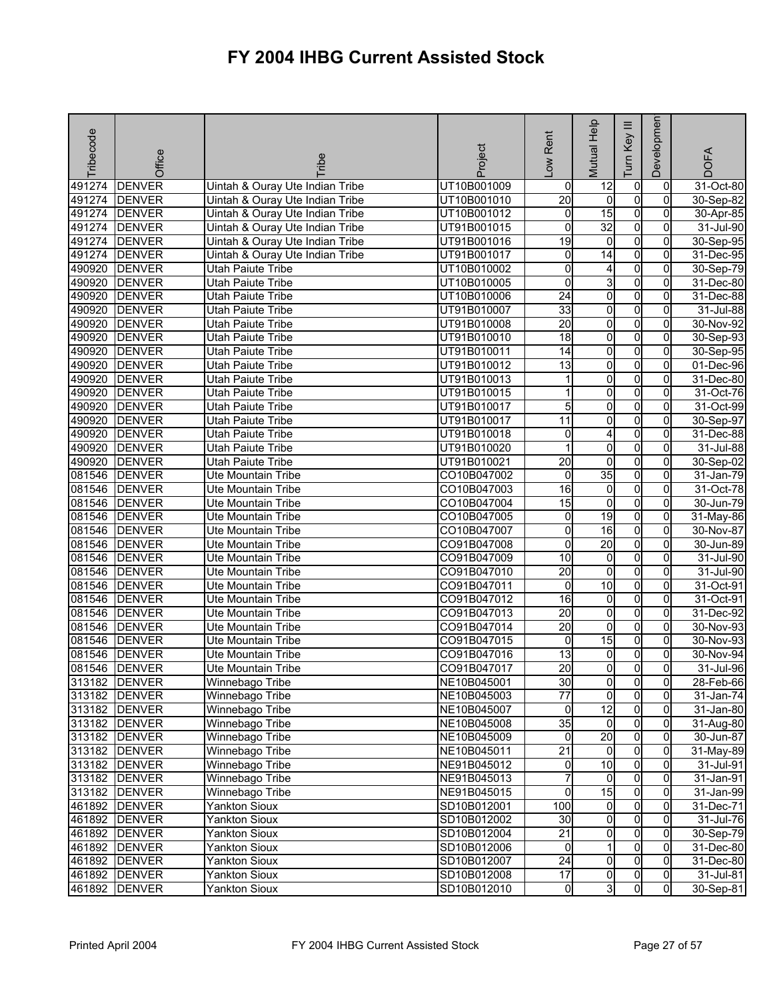| Tribecode | Office                         | <b>Tribe</b>                    | Project                    | -ow Rent             | Mutual Help         | Ξ<br>Key<br>Tum                  | Developmen          | <b>DOFA</b>  |
|-----------|--------------------------------|---------------------------------|----------------------------|----------------------|---------------------|----------------------------------|---------------------|--------------|
| 491274    | <b>DENVER</b>                  | Uintah & Ouray Ute Indian Tribe | UT10B001009                | 0                    | 12                  | $\overline{0}$                   | 0                   | 31-Oct-80    |
| 491274    | <b>DENVER</b>                  | Uintah & Ouray Ute Indian Tribe | UT10B001010                | $\overline{20}$      | $\mathbf 0$         | $\overline{0}$                   | 0                   | 30-Sep-82    |
| 491274    | <b>DENVER</b>                  | Uintah & Ouray Ute Indian Tribe | UT10B001012                | o                    | $\overline{15}$     | $\overline{0}$                   | $\Omega$            | 30-Apr-85    |
| 491274    | <b>DENVER</b>                  | Uintah & Ouray Ute Indian Tribe | UT91B001015                | 0                    | $\overline{32}$     | 0                                | 0                   | 31-Jul-90    |
| 491274    | <b>DENVER</b>                  | Uintah & Ouray Ute Indian Tribe | UT91B001016                | 19                   | 0                   | $\overline{0}$                   | 0                   | 30-Sep-95    |
| 491274    | <b>DENVER</b>                  | Uintah & Ouray Ute Indian Tribe | UT91B001017                | 0                    | 14                  | $\overline{0}$                   | 0                   | 31-Dec-95    |
| 490920    | <b>DENVER</b>                  | Utah Paiute Tribe               | UT10B010002                | 0                    | 4                   | $\overline{0}$                   | 0                   | 30-Sep-79    |
| 490920    | <b>DENVER</b>                  | Utah Paiute Tribe               | UT10B010005                | 0                    | ω                   | $\overline{0}$                   | 0                   | 31-Dec-80    |
| 490920    | <b>DENVER</b>                  | Utah Paiute Tribe               | UT10B010006                | $\overline{24}$      | $\overline{0}$      | $\overline{0}$                   | $\overline{0}$      | 31-Dec-88    |
| 490920    | <b>DENVER</b>                  | Utah Paiute Tribe               | UT91B010007                | 33                   | 0                   | $\overline{0}$                   | 0                   | 31-Jul-88    |
| 490920    | <b>DENVER</b>                  | Utah Paiute Tribe               | UT91B010008                | $\overline{20}$      | $\overline{0}$      | $\overline{0}$                   | $\overline{0}$      | 30-Nov-92    |
| 490920    | <b>DENVER</b>                  | Utah Paiute Tribe               | UT91B010010                | $\overline{18}$      | $\overline{0}$      | $\overline{0}$                   | $\overline{0}$      | 30-Sep-93    |
| 490920    | <b>DENVER</b>                  | <b>Utah Paiute Tribe</b>        | UT91B010011                | 14                   | 0                   | $\overline{0}$                   | 0                   | 30-Sep-95    |
| 490920    | <b>DENVER</b>                  | <b>Utah Paiute Tribe</b>        | UT91B010012                | 13                   | $\overline{0}$      | $\overline{0}$                   | $\overline{0}$      | 01-Dec-96    |
| 490920    | <b>DENVER</b>                  | Utah Paiute Tribe               | UT91B010013                |                      | 0                   | O                                | $\mathbf{0}$        | 31-Dec-80    |
| 490920    | <b>DENVER</b>                  | Utah Paiute Tribe               | UT91B010015                | 1                    | 0                   | $\overline{0}$                   | 0                   | 31-Oct-76    |
| 490920    | <b>DENVER</b>                  | Utah Paiute Tribe               | UT91B010017                | 5                    | o                   | $\overline{0}$                   | 0                   | 31-Oct-99    |
| 490920    | <b>DENVER</b>                  | Utah Paiute Tribe               | UT91B010017                | $\overline{11}$      | 0                   | $\overline{0}$                   | 0                   | 30-Sep-97    |
| 490920    | <b>DENVER</b>                  | Utah Paiute Tribe               | UT91B010018                | 0                    | 4                   | $\overline{0}$                   | $\Omega$            | 31-Dec-88    |
| 490920    | <b>DENVER</b>                  | <b>Utah Paiute Tribe</b>        | UT91B010020                | 1                    | $\overline{0}$      | $\overline{0}$                   | $\overline{0}$      | 31-Jul-88    |
| 490920    | <b>DENVER</b>                  | Utah Paiute Tribe               | UT91B010021                | $\overline{20}$      | 0                   | $\overline{0}$                   | 0                   | 30-Sep-02    |
| 081546    | <b>DENVER</b>                  | <b>Ute Mountain Tribe</b>       | CO10B047002                | 0                    | 35                  | $\overline{0}$                   | 0                   | 31-Jan-79    |
| 081546    | <b>DENVER</b>                  | Ute Mountain Tribe              | CO10B047003                | 16                   | $\overline{0}$      | $\overline{0}$                   | $\overline{0}$      | 31-Oct-78    |
| 081546    | <b>DENVER</b>                  | Ute Mountain Tribe              | CO10B047004                | 15                   | o                   | $\overline{0}$                   | 0                   | 30-Jun-79    |
| 081546    | <b>DENVER</b>                  | Ute Mountain Tribe              | CO10B047005                | o                    | 19                  | $\overline{0}$                   | $\overline{0}$      | $31$ -May-86 |
| 081546    | <b>DENVER</b>                  | Ute Mountain Tribe              | CO10B047007                | 0                    | 16                  | O                                | 0                   | 30-Nov-87    |
| 081546    | <b>DENVER</b>                  | Ute Mountain Tribe              | CO91B047008                | 0                    | $\overline{20}$     | $\overline{0}$                   | 0                   | 30-Jun-89    |
| 081546    | <b>DENVER</b>                  | Ute Mountain Tribe              | CO91B047009                | 10                   | $\overline{0}$      | $\overline{0}$                   | 0                   | 31-Jul-90    |
| 081546    | <b>DENVER</b>                  | Ute Mountain Tribe              | CO91B047010                | $\overline{20}$      | $\overline{0}$      | O                                | 0                   | 31-Jul-90    |
| 081546    | <b>DENVER</b>                  | Ute Mountain Tribe              | CO91B047011                | $\mathbf 0$          | 10                  | $\overline{0}$                   | 0                   | 31-Oct-91    |
| 081546    | <b>DENVER</b>                  | Ute Mountain Tribe              | CO91B047012                | 16                   | 0                   | $\overline{0}$                   | 0                   | 31-Oct-91    |
| 081546    | <b>DENVER</b>                  | Ute Mountain Tribe              | CO91B047013                | $\overline{20}$      | 0                   | $\overline{0}$                   | 0                   | 31-Dec-92    |
| 081546    | <b>DENVER</b>                  | <b>Ute Mountain Tribe</b>       | CO91B047014                | $\overline{20}$      | 0                   | $\overline{0}$                   | 0                   | 30-Nov-93    |
| 081546    | <b>DENVER</b>                  | Ute Mountain Tribe              | CO91B047015                | $\mathbf 0$          | 15                  | $\overline{0}$                   | $\overline{0}$      | 30-Nov-93    |
| 081546    | <b>DENVER</b>                  | Ute Mountain Tribe              | CO91B047016                | $\overline{13}$      | 0                   | $\overline{0}$                   | 0                   | 30-Nov-94    |
| 081546    | <b>DENVER</b>                  | Ute Mountain Tribe              | CO91B047017                | 20                   | $\overline{0}$      | $\mathsf{o}$                     | $\overline{0}$      | 31-Jul-96    |
|           | 313182 DENVER                  | Winnebago Tribe                 | NE10B045001                | 30                   | 0                   | $\overline{0}$                   | 01                  | 28-Feb-66    |
|           | 313182 DENVER                  | Winnebago Tribe                 | NE10B045003                | $\overline{77}$      | 0                   | $\overline{0}$                   | $\Omega$            | 31-Jan-74    |
|           | 313182 DENVER                  | Winnebago Tribe                 | NE10B045007                | 0                    | 12                  | $\overline{0}$                   | $\overline{0}$      | 31-Jan-80    |
|           | 313182 DENVER                  | Winnebago Tribe                 | NE10B045008                | 35                   | $\overline{0}$      | $\overline{0}$                   | $\overline{0}$      | 31-Aug-80    |
|           | 313182 DENVER                  | Winnebago Tribe                 | NE10B045009                | 0                    | $\overline{20}$     | $\overline{0}$                   | 0                   | 30-Jun-87    |
|           | 313182 DENVER                  | Winnebago Tribe                 | NE10B045011                | $\overline{21}$      | $\overline{0}$      | $\overline{0}$                   | $\overline{0}$      | 31-May-89    |
|           | 313182 DENVER                  | Winnebago Tribe                 | NE91B045012                | 0                    | $\overline{10}$     | $\overline{0}$                   | 0                   | 31-Jul-91    |
|           | 313182 DENVER                  | Winnebago Tribe                 | NE91B045013                | 7                    | $\overline{0}$      | $\overline{0}$<br>$\overline{0}$ | $\overline{0}$      | 31-Jan-91    |
|           | 313182 DENVER                  | Winnebago Tribe                 | NE91B045015                | $\overline{0}$       | 15                  |                                  | $\mathbf{0}$        | 31-Jan-99    |
|           | 461892 DENVER                  | <b>Yankton Sioux</b>            | SD10B012001                | 100<br>30            | $\overline{0}$<br>0 | 0                                | $\overline{0}$<br>0 | 31-Dec-71    |
|           | 461892 DENVER                  | <b>Yankton Sioux</b>            | SD10B012002                |                      |                     | $\overline{0}$                   |                     | 31-Jul-76    |
|           | 461892 DENVER                  | <b>Yankton Sioux</b>            | SD10B012004                | 21                   | $\overline{0}$      | $\overline{0}$                   | $\mathbf{0}$        | 30-Sep-79    |
|           | 461892 DENVER<br>461892 DENVER | Yankton Sioux                   | SD10B012006<br>SD10B012007 | 0<br>$\overline{24}$ | 1<br>$\overline{0}$ | $\overline{0}$<br>$\overline{0}$ | 0<br>$\overline{0}$ | 31-Dec-80    |
|           | 461892 DENVER                  | Yankton Sioux                   | SD10B012008                | $\overline{17}$      | $\overline{0}$      | $\overline{0}$                   | $\overline{0}$      | 31-Dec-80    |
|           |                                | Yankton Sioux                   |                            |                      | 3                   | 0                                | $\overline{0}$      | 31-Jul-81    |
|           | 461892 DENVER                  | Yankton Sioux                   | SD10B012010                | $\overline{0}$       |                     |                                  |                     | 30-Sep-81    |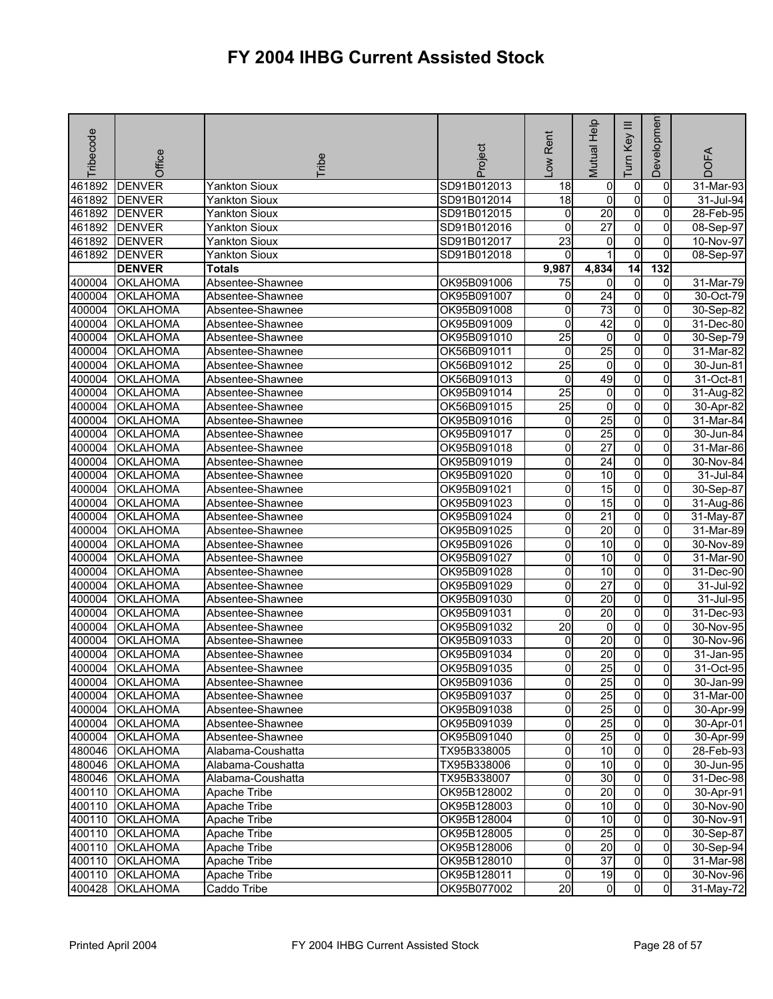| <b>Tribecode</b> | Office          | <b>Tribe</b>         | Project     | -ow Rent                | Mutual Help     | Ξ<br>Key<br>Tum     | Developmen     | <b>DOFA</b> |
|------------------|-----------------|----------------------|-------------|-------------------------|-----------------|---------------------|----------------|-------------|
| 461892           | <b>DENVER</b>   | <b>Yankton Sioux</b> | SD91B012013 | 18                      | 0               | 0                   | 0              | 31-Mar-93   |
| 461892           | <b>DENVER</b>   | <b>Yankton Sioux</b> | SD91B012014 | $\overline{18}$         | $\overline{0}$  | O                   | $\mathbf 0$    | 31-Jul-94   |
| 461892           | <b>DENVER</b>   | <b>Yankton Sioux</b> | SD91B012015 | 0                       | 20              | $\overline{0}$      | $\overline{0}$ | 28-Feb-95   |
| 461892           | <b>DENVER</b>   | Yankton Sioux        | SD91B012016 | 0                       | $\overline{27}$ | 0                   | 0              | 08-Sep-97   |
| 461892           | <b>DENVER</b>   | Yankton Sioux        | SD91B012017 | $\overline{23}$         | 0               | $\mathbf 0$         | 0              | 10-Nov-97   |
| 461892           | <b>DENVER</b>   | <b>Yankton Sioux</b> | SD91B012018 | $\Omega$                |                 | $\mathbf 0$         | $\overline{0}$ | 08-Sep-97   |
|                  | <b>DENVER</b>   | <b>Totals</b>        |             | 9,987                   | 4,834           | 14                  | 132            |             |
| 400004           | <b>OKLAHOMA</b> | Absentee-Shawnee     | OK95B091006 | 75                      | $\overline{0}$  | $\pmb{0}$           | $\overline{0}$ | 31-Mar-79   |
| 400004           | <b>OKLAHOMA</b> | Absentee-Shawnee     | OK95B091007 | 0                       | 24              | $\pmb{0}$           | 0              | 30-Oct-79   |
| 400004           | <b>OKLAHOMA</b> | Absentee-Shawnee     | OK95B091008 | 0                       | $\overline{73}$ | $\pmb{0}$           | 0              | 30-Sep-82   |
| 400004           | <b>OKLAHOMA</b> | Absentee-Shawnee     | OK95B091009 | 0                       | 42              | O                   | $\overline{0}$ | 31-Dec-80   |
| 400004           | <b>OKLAHOMA</b> | Absentee-Shawnee     | OK95B091010 | $\overline{25}$         | $\overline{0}$  | $\mathbf 0$         | 0              | 30-Sep-79   |
| 400004           | <b>OKLAHOMA</b> | Absentee-Shawnee     | OK56B091011 | 0                       | 25              | 0                   | 0              | 31-Mar-82   |
| 400004           | <b>OKLAHOMA</b> | Absentee-Shawnee     | OK56B091012 | 25                      | $\overline{0}$  | $\overline{0}$      | 0              | 30-Jun-81   |
| 400004           | <b>OKLAHOMA</b> | Absentee-Shawnee     | OK56B091013 | 0                       | 49              | $\pmb{0}$           | 0              | 31-Oct-81   |
| 400004           | <b>OKLAHOMA</b> | Absentee-Shawnee     | OK95B091014 | 25                      | 0               | $\mathbf 0$         | 0              | 31-Aug-82   |
| 400004           | <b>OKLAHOMA</b> | Absentee-Shawnee     | OK56B091015 | $\overline{25}$         | $\overline{0}$  | O                   | 0              | 30-Apr-82   |
| 400004           | <b>OKLAHOMA</b> | Absentee-Shawnee     | OK95B091016 | 0                       | 25              | $\mathbf 0$         | 0              | 31-Mar-84   |
| 400004           | <b>OKLAHOMA</b> | Absentee-Shawnee     | OK95B091017 | 0                       | 25              | $\overline{0}$      | 0              | 30-Jun-84   |
| 400004           | <b>OKLAHOMA</b> | Absentee-Shawnee     | OK95B091018 | 0                       | $\overline{27}$ | $\overline{0}$      | 0              | 31-Mar-86   |
| 400004           | <b>OKLAHOMA</b> | Absentee-Shawnee     | OK95B091019 | 0                       | 24              | $\mathbf 0$         | 0              | 30-Nov-84   |
| 400004           | OKLAHOMA        | Absentee-Shawnee     | OK95B091020 | 0                       | 10              | O                   | $\overline{0}$ | 31-Jul-84   |
| 400004           | <b>OKLAHOMA</b> | Absentee-Shawnee     | OK95B091021 | 0                       | 15              | $\mathsf{O}\xspace$ | 0              | 30-Sep-87   |
| 400004           | <b>OKLAHOMA</b> | Absentee-Shawnee     | OK95B091023 | 0                       | 15              | $\mathsf{O}\xspace$ | 0              | 31-Aug-86   |
| 400004           | <b>OKLAHOMA</b> | Absentee-Shawnee     | OK95B091024 | 0                       | $\overline{21}$ | o                   | $\overline{0}$ | 31-May-87   |
| 400004           | <b>OKLAHOMA</b> | Absentee-Shawnee     | OK95B091025 | 0                       | $\overline{20}$ | $\overline{0}$      | 0              | 31-Mar-89   |
| 400004           | <b>OKLAHOMA</b> | Absentee-Shawnee     | OK95B091026 | 0                       | 10              | $\mathbf 0$         | 0              | 30-Nov-89   |
| 400004           | <b>OKLAHOMA</b> | Absentee-Shawnee     | OK95B091027 | 0                       | 10              | o                   | 0              | 31-Mar-90   |
| 400004           | <b>OKLAHOMA</b> | Absentee-Shawnee     | OK95B091028 | 0                       | 10              | 0                   | 0              | 31-Dec-90   |
| 400004           | <b>OKLAHOMA</b> | Absentee-Shawnee     | OK95B091029 | 0                       | $\overline{27}$ | $\overline{0}$      | $\Omega$       | 31-Jul-92   |
| 400004           | <b>OKLAHOMA</b> | Absentee-Shawnee     | OK95B091030 | 0                       | 20              | $\overline{0}$      | $\overline{0}$ | 31-Jul-95   |
| 400004           | <b>OKLAHOMA</b> | Absentee-Shawnee     | OK95B091031 | 0                       | $\overline{20}$ | $\mathbf 0$         | 0              | 31-Dec-93   |
| 400004           | <b>OKLAHOMA</b> | Absentee-Shawnee     | OK95B091032 | 20                      | $\overline{0}$  | $\pmb{0}$           | 0              | 30-Nov-95   |
| 400004           | <b>OKLAHOMA</b> | Absentee-Shawnee     | OK95B091033 | 0                       | 20              | 0                   | 0              | 30-Nov-96   |
| 400004           | <b>OKLAHOMA</b> | Absentee-Shawnee     | OK95B091034 | 0                       | 20              | 0                   | 0              | 31-Jan-95   |
| 400004           | <b>OKLAHOMA</b> | Absentee-Shawnee     | OK95B091035 | $\overline{0}$          | 25              | $\mathbf 0$         | 0              | 31-Oct-95   |
|                  | 400004 OKLAHOMA | Absentee-Shawnee     | OK95B091036 | 이                       | 25              | <sub>0</sub>        | 01             | 30-Jan-99   |
|                  | 400004 OKLAHOMA | Absentee-Shawnee     | OK95B091037 | 0                       | 25              | $\overline{0}$      | $\mathbf{0}$   | 31-Mar-00   |
|                  | 400004 OKLAHOMA | Absentee-Shawnee     | OK95B091038 | 0                       | 25              | $\mathbf 0$         | 0              | 30-Apr-99   |
| 400004           | <b>OKLAHOMA</b> | Absentee-Shawnee     | OK95B091039 | 0                       | 25              | 0                   | $\overline{0}$ | 30-Apr-01   |
| 400004           | <b>OKLAHOMA</b> | Absentee-Shawnee     | OK95B091040 | 0                       | 25              | 0                   | 0              | 30-Apr-99   |
| 480046           | <b>OKLAHOMA</b> | Alabama-Coushatta    | TX95B338005 | 0                       | 10              | $\overline{0}$      | $\mathbf{0}$   | 28-Feb-93   |
| 480046           | <b>OKLAHOMA</b> | Alabama-Coushatta    | TX95B338006 | 0                       | 10              | $\mathbf 0$         | $\Omega$       | 30-Jun-95   |
|                  | 480046 OKLAHOMA | Alabama-Coushatta    | TX95B338007 | 0                       | 30              | $\mathbf 0$         | $\overline{0}$ | 31-Dec-98   |
|                  | 400110 OKLAHOMA | <b>Apache Tribe</b>  | OK95B128002 | $\overline{\mathbf{0}}$ | 20              | $\overline{0}$      | $\overline{0}$ | 30-Apr-91   |
|                  | 400110 OKLAHOMA | Apache Tribe         | OK95B128003 | 0                       | 10              | $\mathbf 0$         | 0              | 30-Nov-90   |
|                  | 400110 OKLAHOMA | Apache Tribe         | OK95B128004 | 0                       | 10              | $\mathbf 0$         | $\mathbf{0}$   | 30-Nov-91   |
| 400110           | <b>OKLAHOMA</b> | Apache Tribe         | OK95B128005 | 0                       | 25              | $\overline{0}$      | 0              | 30-Sep-87   |
|                  | 400110 OKLAHOMA | Apache Tribe         | OK95B128006 | 0                       | 20              | $\overline{0}$      | 0              | 30-Sep-94   |
| 400110           | <b>OKLAHOMA</b> | Apache Tribe         | OK95B128010 | 0                       | $\overline{37}$ | $\mathbf 0$         | $\overline{0}$ | 31-Mar-98   |
| 400110           | <b>OKLAHOMA</b> | Apache Tribe         | OK95B128011 | 0                       | 19              | 0                   | $\overline{0}$ | 30-Nov-96   |
| 400428           | <b>OKLAHOMA</b> | Caddo Tribe          | OK95B077002 | $\overline{20}$         | $\mathbf{0}$    | $\overline{0}$      | $\overline{0}$ | 31-May-72   |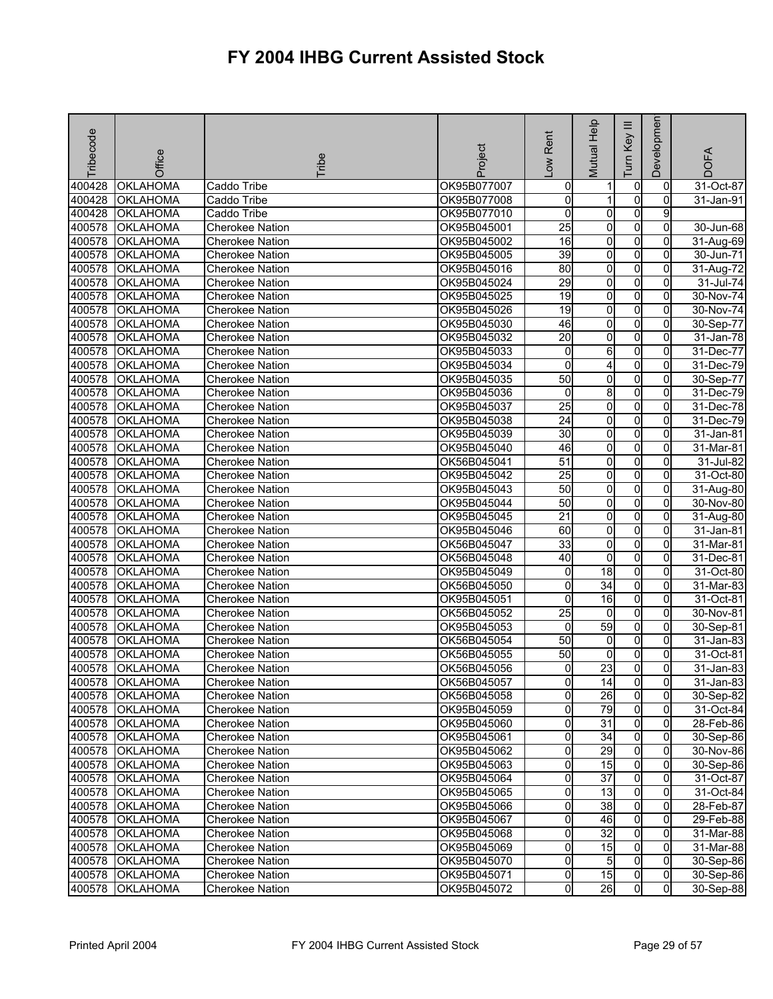| Tribecode | Office          | <b>Tribe</b>           | Project     | -ow Rent        | Mutual Help             | Ξ<br>Key<br>Tum | Developmen     | <b>DOFA</b> |
|-----------|-----------------|------------------------|-------------|-----------------|-------------------------|-----------------|----------------|-------------|
| 400428    | <b>OKLAHOMA</b> | Caddo Tribe            | OK95B077007 | 0               |                         | 0               | 0              | 31-Oct-87   |
| 400428    | <b>OKLAHOMA</b> | Caddo Tribe            | OK95B077008 | o               | 1                       | $\mathbf 0$     | $\Omega$       | 31-Jan-91   |
| 400428    | <b>OKLAHOMA</b> | Caddo Tribe            | OK95B077010 | 0               | $\overline{0}$          | $\overline{0}$  | 9              |             |
| 400578    | <b>OKLAHOMA</b> | <b>Cherokee Nation</b> | OK95B045001 | 25              | 0                       | 0               | 0              | 30-Jun-68   |
| 400578    | <b>OKLAHOMA</b> | Cherokee Nation        | OK95B045002 | 16              | $\overline{0}$          | $\mathbf 0$     | 0              | 31-Aug-69   |
| 400578    | <b>OKLAHOMA</b> | <b>Cherokee Nation</b> | OK95B045005 | 39              | $\overline{0}$          | $\overline{0}$  | $\overline{0}$ | 30-Jun-71   |
| 400578    | <b>OKLAHOMA</b> | <b>Cherokee Nation</b> | OK95B045016 | 80              | $\overline{0}$          | $\mathbf 0$     | 0              | 31-Aug-72   |
| 400578    | <b>OKLAHOMA</b> | <b>Cherokee Nation</b> | OK95B045024 | 29              | $\overline{\mathbf{0}}$ | $\overline{0}$  | $\overline{0}$ | 31-Jul-74   |
| 400578    | <b>OKLAHOMA</b> | <b>Cherokee Nation</b> | OK95B045025 | 19              | 0                       | $\overline{0}$  | 0              | 30-Nov-74   |
| 400578    | <b>OKLAHOMA</b> | <b>Cherokee Nation</b> | OK95B045026 | 19              | 0                       | o               | 0              | 30-Nov-74   |
| 400578    | OKLAHOMA        | Cherokee Nation        | OK95B045030 | 46              | $\overline{\mathbf{0}}$ | O               | $\overline{0}$ | 30-Sep-77   |
| 400578    | <b>OKLAHOMA</b> | <b>Cherokee Nation</b> | OK95B045032 | $\overline{20}$ | 0                       | $\mathbf 0$     | 0              | 31-Jan-78   |
| 400578    | <b>OKLAHOMA</b> | <b>Cherokee Nation</b> | OK95B045033 | 0               | 6                       | 0               | 0              | 31-Dec-77   |
| 400578    | <b>OKLAHOMA</b> | <b>Cherokee Nation</b> | OK95B045034 | 0               | 4                       | $\overline{0}$  | $\overline{0}$ | 31-Dec-79   |
| 400578    | <b>OKLAHOMA</b> | <b>Cherokee Nation</b> | OK95B045035 | 50              | 0                       | $\pmb{0}$       | 0              | 30-Sep-77   |
| 400578    | <b>OKLAHOMA</b> | <b>Cherokee Nation</b> | OK95B045036 | 0               | 8                       | $\mathbf 0$     | $\overline{0}$ | 31-Dec-79   |
| 400578    | OKLAHOMA        | <b>Cherokee Nation</b> | OK95B045037 | $\overline{25}$ | $\overline{0}$          | O               | $\overline{0}$ | 31-Dec-78   |
| 400578    | <b>OKLAHOMA</b> | <b>Cherokee Nation</b> | OK95B045038 | $\overline{24}$ | 0                       | O               | 0              | 31-Dec-79   |
| 400578    | <b>OKLAHOMA</b> | <b>Cherokee Nation</b> | OK95B045039 | 30              | $\overline{\mathbf{0}}$ | $\overline{0}$  | $\overline{0}$ | 31-Jan-81   |
| 400578    | <b>OKLAHOMA</b> | <b>Cherokee Nation</b> | OK95B045040 | 46              | $\overline{0}$          | $\overline{0}$  | $\mathbf{0}$   | 31-Mar-81   |
| 400578    | <b>OKLAHOMA</b> | <b>Cherokee Nation</b> | OK56B045041 | 51              | $\overline{0}$          | $\mathbf 0$     | 0              | 31-Jul-82   |
| 400578    | <b>OKLAHOMA</b> | <b>Cherokee Nation</b> | OK95B045042 | 25              | $\overline{0}$          | $\mathbf 0$     | $\overline{0}$ | 31-Oct-80   |
| 400578    | <b>OKLAHOMA</b> | <b>Cherokee Nation</b> | OK95B045043 | 50              | 0                       | 0               | 0              | 31-Aug-80   |
| 400578    | <b>OKLAHOMA</b> | <b>Cherokee Nation</b> | OK95B045044 | 50              | 0                       | $\mathbf 0$     | 0              | 30-Nov-80   |
| 400578    | <b>OKLAHOMA</b> | <b>Cherokee Nation</b> | OK95B045045 | $\overline{21}$ | o                       | o               | $\overline{0}$ | 31-Aug-80   |
| 400578    | <b>OKLAHOMA</b> | <b>Cherokee Nation</b> | OK95B045046 | 60              | 0                       | $\pmb{0}$       | 0              | 31-Jan-81   |
| 400578    | <b>OKLAHOMA</b> | Cherokee Nation        | OK56B045047 | 33              | 0                       | $\mathbf 0$     | $\overline{0}$ | 31-Mar-81   |
| 400578    | <b>OKLAHOMA</b> | <b>Cherokee Nation</b> | OK56B045048 | $\overline{40}$ | $\overline{0}$          | o               | $\overline{0}$ | 31-Dec-81   |
| 400578    | <b>OKLAHOMA</b> | <b>Cherokee Nation</b> | OK95B045049 | 0               | 18                      | 0               | 0              | 31-Oct-80   |
| 400578    | <b>OKLAHOMA</b> | <b>Cherokee Nation</b> | OK56B045050 | 0               | 34                      | $\overline{0}$  | $\Omega$       | 31-Mar-83   |
| 400578    | <b>OKLAHOMA</b> | <b>Cherokee Nation</b> | OK95B045051 | 0               | 16                      | $\overline{0}$  | $\overline{0}$ | 31-Oct-81   |
| 400578    | <b>OKLAHOMA</b> | <b>Cherokee Nation</b> | OK56B045052 | $\overline{25}$ | 0                       | $\mathbf 0$     | 0              | 30-Nov-81   |
| 400578    | <b>OKLAHOMA</b> | <b>Cherokee Nation</b> | OK95B045053 | 0               | 59                      | o               | 0              | 30-Sep-81   |
| 400578    | <b>OKLAHOMA</b> | <b>Cherokee Nation</b> | OK56B045054 | 50              | 0                       | 0               | 0              | 31-Jan-83   |
| 400578    | <b>OKLAHOMA</b> | <b>Cherokee Nation</b> | OK56B045055 | 50              | 0                       | 0               | 0              | 31-Oct-81   |
| 400578    | <b>OKLAHOMA</b> | <b>Cherokee Nation</b> | OK56B045056 | 0               | $\overline{23}$         | $\mathbf 0$     | 0              | 31-Jan-83   |
|           | 400578 OKLAHOMA | <b>Cherokee Nation</b> | OK56B045057 | ΟI              | 14                      | $\mathbf{0}$    | 01             | 31-Jan-83   |
|           | 400578 OKLAHOMA | <b>Cherokee Nation</b> | OK56B045058 | o               | 26                      | $\overline{0}$  | $\overline{0}$ | 30-Sep-82   |
|           | 400578 OKLAHOMA | <b>Cherokee Nation</b> | OK95B045059 | 0               | 79                      | $\mathbf 0$     | $\mathbf{0}$   | 31-Oct-84   |
| 400578    | <b>OKLAHOMA</b> | <b>Cherokee Nation</b> | OK95B045060 | 0               | $\overline{31}$         | 0               | 0              | 28-Feb-86   |
| 400578    | <b>OKLAHOMA</b> | <b>Cherokee Nation</b> | OK95B045061 | 0               | 34                      | 0               | $\Omega$       | 30-Sep-86   |
| 400578    | <b>OKLAHOMA</b> | <b>Cherokee Nation</b> | OK95B045062 | 0               | 29                      | $\overline{0}$  | $\mathbf{0}$   | 30-Nov-86   |
|           | 400578 OKLAHOMA | <b>Cherokee Nation</b> | OK95B045063 | 0               | 15                      | $\mathbf 0$     | $\Omega$       | 30-Sep-86   |
|           | 400578 OKLAHOMA | <b>Cherokee Nation</b> | OK95B045064 | 0               | $\overline{37}$         | $\mathbf 0$     | $\overline{0}$ | 31-Oct-87   |
|           | 400578 OKLAHOMA | <b>Cherokee Nation</b> | OK95B045065 | $\overline{0}$  | 13                      | $\overline{0}$  | $\overline{0}$ | 31-Oct-84   |
|           | 400578 OKLAHOMA | <b>Cherokee Nation</b> | OK95B045066 | 0               | 38                      | $\mathbf 0$     | 0              | 28-Feb-87   |
|           | 400578 OKLAHOMA | <b>Cherokee Nation</b> | OK95B045067 | 0               | 46                      | $\mathbf 0$     | $\mathbf{0}$   | 29-Feb-88   |
| 400578    | <b>OKLAHOMA</b> | <b>Cherokee Nation</b> | OK95B045068 | 0               | 32                      | $\overline{0}$  | 0              | 31-Mar-88   |
|           | 400578 OKLAHOMA | <b>Cherokee Nation</b> | OK95B045069 | 0               | 15                      | $\overline{0}$  | 0              | 31-Mar-88   |
| 400578    | <b>OKLAHOMA</b> | <b>Cherokee Nation</b> | OK95B045070 | 0               | $5\overline{)}$         | $\mathbf 0$     | $\mathbf{0}$   | 30-Sep-86   |
| 400578    | <b>OKLAHOMA</b> | Cherokee Nation        | OK95B045071 | 0               | 15                      | 0               | $\overline{0}$ | 30-Sep-86   |
| 400578    | <b>OKLAHOMA</b> | <b>Cherokee Nation</b> | OK95B045072 | $\overline{0}$  | 26                      | $\overline{0}$  | $\overline{0}$ | 30-Sep-88   |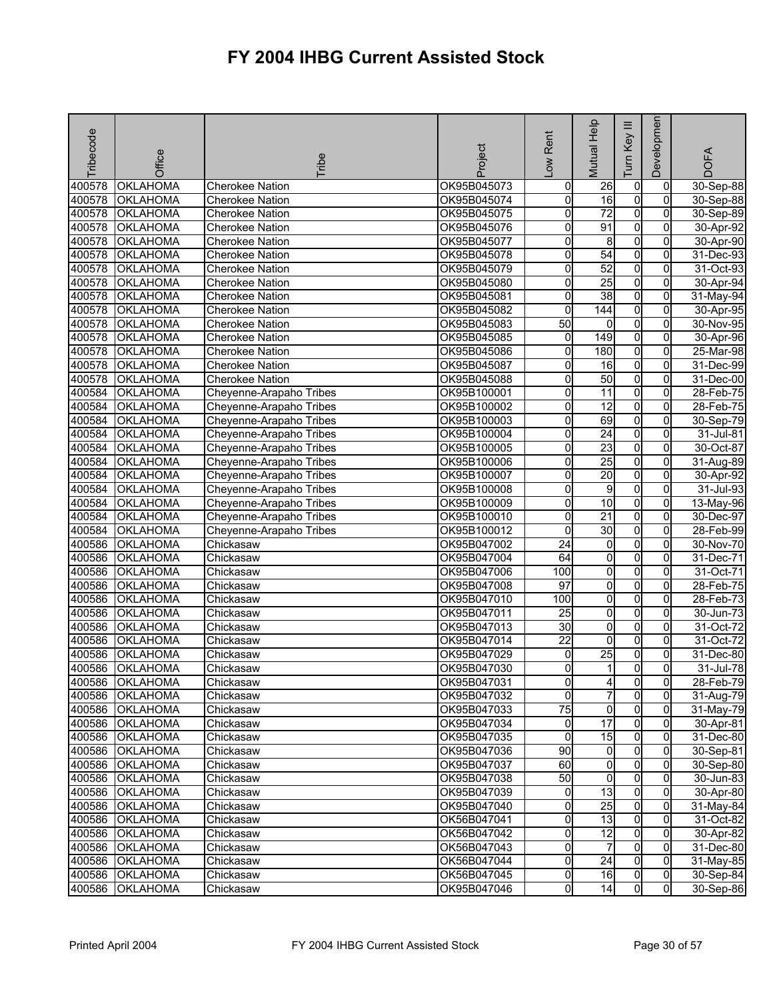| Tribecode | Office          | <b>Tribe</b>            | Project     | -ow Rent        | Mutual Help             | $\equiv$<br>Key<br>Tum | Developmen     | <b>DOFA</b> |
|-----------|-----------------|-------------------------|-------------|-----------------|-------------------------|------------------------|----------------|-------------|
| 400578    | <b>OKLAHOMA</b> | <b>Cherokee Nation</b>  | OK95B045073 | 0               | 26                      | 0                      | 0              | 30-Sep-88   |
| 400578    | <b>OKLAHOMA</b> | <b>Cherokee Nation</b>  | OK95B045074 | 0               | $\overline{6}$          | $\overline{0}$         | $\Omega$       | 30-Sep-88   |
| 400578    | <b>OKLAHOMA</b> | <b>Cherokee Nation</b>  | OK95B045075 | 0               | $\overline{72}$         | O                      | $\overline{0}$ | 30-Sep-89   |
| 400578    | <b>OKLAHOMA</b> | <b>Cherokee Nation</b>  | OK95B045076 | 0               | 91                      | $\overline{0}$         | 0              | 30-Apr-92   |
| 400578    | <b>OKLAHOMA</b> | <b>Cherokee Nation</b>  | OK95B045077 | 0               | 8                       | 0                      | 0              | 30-Apr-90   |
| 400578    | OKLAHOMA        | <b>Cherokee Nation</b>  | OK95B045078 | 0               | 54                      | $\overline{0}$         | $\overline{0}$ | 31-Dec-93   |
| 400578    | <b>OKLAHOMA</b> | <b>Cherokee Nation</b>  | OK95B045079 | 0               | 52                      | $\overline{0}$         | 0              | 31-Oct-93   |
| 400578    | <b>OKLAHOMA</b> | <b>Cherokee Nation</b>  | OK95B045080 | 0               | $\overline{25}$         | $\overline{0}$         | $\Omega$       | 30-Apr-94   |
| 400578    | OKLAHOMA        | <b>Cherokee Nation</b>  | OK95B045081 | 0               | $\overline{38}$         | $\overline{0}$         | $\mathbf{0}$   | 31-May-94   |
| 400578    | <b>OKLAHOMA</b> | <b>Cherokee Nation</b>  | OK95B045082 | 0               | $\overline{144}$        | $\overline{0}$         | 0              | 30-Apr-95   |
| 400578    | OKLAHOMA        | <b>Cherokee Nation</b>  | OK95B045083 | 50              | 0                       | $\overline{0}$         | 0              | 30-Nov-95   |
| 400578    | <b>OKLAHOMA</b> | <b>Cherokee Nation</b>  | OK95B045085 | 0               | $\overline{149}$        | 0                      | 0              | 30-Apr-96   |
| 400578    | <b>OKLAHOMA</b> | <b>Cherokee Nation</b>  | OK95B045086 | 0               | 180                     | 0                      | $\Omega$       | 25-Mar-98   |
| 400578    | <b>OKLAHOMA</b> | <b>Cherokee Nation</b>  | OK95B045087 | 0               | 16                      | 0                      | 0              | 31-Dec-99   |
| 400578    | <b>OKLAHOMA</b> | <b>Cherokee Nation</b>  | OK95B045088 | 0               | 50                      | $\overline{0}$         | 0              | 31-Dec-00   |
| 400584    | <b>OKLAHOMA</b> | Cheyenne-Arapaho Tribes | OK95B100001 | 0               | $\overline{11}$         | $\overline{0}$         | $\Omega$       | 28-Feb-75   |
| 400584    | OKLAHOMA        | Cheyenne-Arapaho Tribes | OK95B100002 | 0               | 12                      | $\overline{0}$         | 0              | 28-Feb-75   |
| 400584    | <b>OKLAHOMA</b> | Cheyenne-Arapaho Tribes | OK95B100003 | 0               | 69                      | $\overline{0}$         | 0              | 30-Sep-79   |
| 400584    | <b>OKLAHOMA</b> | Cheyenne-Arapaho Tribes | OK95B100004 | 0               | $\overline{24}$         | $\overline{0}$         | $\Omega$       | 31-Jul-81   |
| 400584    | OKLAHOMA        | Cheyenne-Arapaho Tribes | OK95B100005 | 0               | $\overline{23}$         | O                      | 0              | 30-Oct-87   |
| 400584    | <b>OKLAHOMA</b> | Cheyenne-Arapaho Tribes | OK95B100006 | 0               | 25                      | $\overline{0}$         | 0              | 31-Aug-89   |
| 400584    | <b>OKLAHOMA</b> | Cheyenne-Arapaho Tribes | OK95B100007 | 0               | 20                      | $\overline{0}$         | 0              | 30-Apr-92   |
| 400584    | OKLAHOMA        | Cheyenne-Arapaho Tribes | OK95B100008 | 0               | 9                       | O                      | 0              | 31-Jul-93   |
| 400584    | <b>OKLAHOMA</b> | Cheyenne-Arapaho Tribes | OK95B100009 | 0               | $\overline{10}$         | $\overline{0}$         | 0              | 13-May-96   |
| 400584    | <b>OKLAHOMA</b> | Cheyenne-Arapaho Tribes | OK95B100010 | 0               | $\overline{21}$         | O                      | $\overline{0}$ | 30-Dec-97   |
| 400584    | OKLAHOMA        | Cheyenne-Arapaho Tribes | OK95B100012 | 0               | $\overline{30}$         | $\overline{0}$         | 0              | 28-Feb-99   |
| 400586    | OKLAHOMA        | Chickasaw               | OK95B047002 | 24              | 0                       | $\overline{0}$         | 0              | 30-Nov-70   |
| 400586    | OKLAHOMA        | Chickasaw               | OK95B047004 | 64              | $\overline{\mathbf{0}}$ | $\overline{0}$         | 0              | 31-Dec-71   |
| 400586    | <b>OKLAHOMA</b> | Chickasaw               | OK95B047006 | 100             | 0                       | 0                      | 0              | 31-Oct-71   |
| 400586    | <b>OKLAHOMA</b> | Chickasaw               | OK95B047008 | $\overline{97}$ | ō                       | 0                      | $\Omega$       | 28-Feb-75   |
| 400586    | OKLAHOMA        | Chickasaw               | OK95B047010 | 100             | $\overline{0}$          | $\overline{0}$         | $\overline{0}$ | 28-Feb-73   |
| 400586    | <b>OKLAHOMA</b> | Chickasaw               | OK95B047011 | $\overline{25}$ | 0                       | $\overline{0}$         | 0              | 30-Jun-73   |
| 400586    | OKLAHOMA        | Chickasaw               | OK95B047013 | 30              | o                       | $\overline{0}$         | 0              | 31-Oct-72   |
| 400586    | OKLAHOMA        | Chickasaw               | OK95B047014 | $\overline{22}$ | 0                       | O                      | 0              | 31-Oct-72   |
| 400586    | <b>OKLAHOMA</b> | Chickasaw               | OK95B047029 | 0               | $\overline{25}$         | 0                      | 0              | 31-Dec-80   |
| 400586    | OKLAHOMA        | Chickasaw               | OK95B047030 | 0               | 1                       | 0                      | <sub>0</sub>   | 31-Jul-78   |
|           | 400586 OKLAHOMA | Chickasaw               | OK95B047031 | 0               | 41                      | $\mathbf{0}$           | $\overline{0}$ | 28-Feb-79   |
|           | 400586 OKLAHOMA | Chickasaw               | OK95B047032 | 0               | 7                       | $\overline{0}$         | $\mathbf{0}$   | 31-Aug-79   |
| 400586    | <b>OKLAHOMA</b> | Chickasaw               | OK95B047033 | 75              | $\overline{0}$          | $\overline{0}$         | $\mathbf{0}$   | 31-May-79   |
| 400586    | <b>OKLAHOMA</b> | Chickasaw               | OK95B047034 | 0               | $\overline{17}$         | $\overline{0}$         | $\overline{0}$ | 30-Apr-81   |
|           | 400586 OKLAHOMA | Chickasaw               | OK95B047035 | 0               | 15                      | 0                      | $\Omega$       | 31-Dec-80   |
| 400586    | <b>OKLAHOMA</b> | Chickasaw               | OK95B047036 | $\overline{90}$ | $\overline{0}$          | $\overline{0}$         | $\Omega$       | 30-Sep-81   |
| 400586    | <b>OKLAHOMA</b> | Chickasaw               | OK95B047037 | 60              | 0                       | $\overline{0}$         | $\Omega$       | 30-Sep-80   |
|           | 400586 OKLAHOMA | Chickasaw               | OK95B047038 | 50              | $\overline{0}$          | $\overline{0}$         | 0              | 30-Jun-83   |
|           | 400586 OKLAHOMA | Chickasaw               | OK95B047039 | $\overline{0}$  | 13                      | $\overline{0}$         | $\mathbf{0}$   | 30-Apr-80   |
|           | 400586 OKLAHOMA | Chickasaw               | OK95B047040 | 0               | 25                      | $\overline{0}$         | 0              | 31-May-84   |
| 400586    | <b>OKLAHOMA</b> | Chickasaw               | OK56B047041 | 0               | 13                      | $\overline{0}$         | $\Omega$       | 31-Oct-82   |
| 400586    | <b>OKLAHOMA</b> | Chickasaw               | OK56B047042 | 0               | 12                      | 0                      | 0              | 30-Apr-82   |
| 400586    | <b>OKLAHOMA</b> | Chickasaw               | OK56B047043 | 0               | 7                       | $\overline{0}$         | $\Omega$       | 31-Dec-80   |
| 400586    | <b>OKLAHOMA</b> | Chickasaw               | OK56B047044 | 0               | 24                      | $\overline{0}$         | $\mathbf{0}$   | 31-May-85   |
| 400586    | <b>OKLAHOMA</b> | Chickasaw               | OK56B047045 | 0               | 16                      | 0                      | $\overline{0}$ | 30-Sep-84   |
| 400586    | <b>OKLAHOMA</b> | Chickasaw               | OK95B047046 | 0               | 14                      | 0                      | $\overline{0}$ | 30-Sep-86   |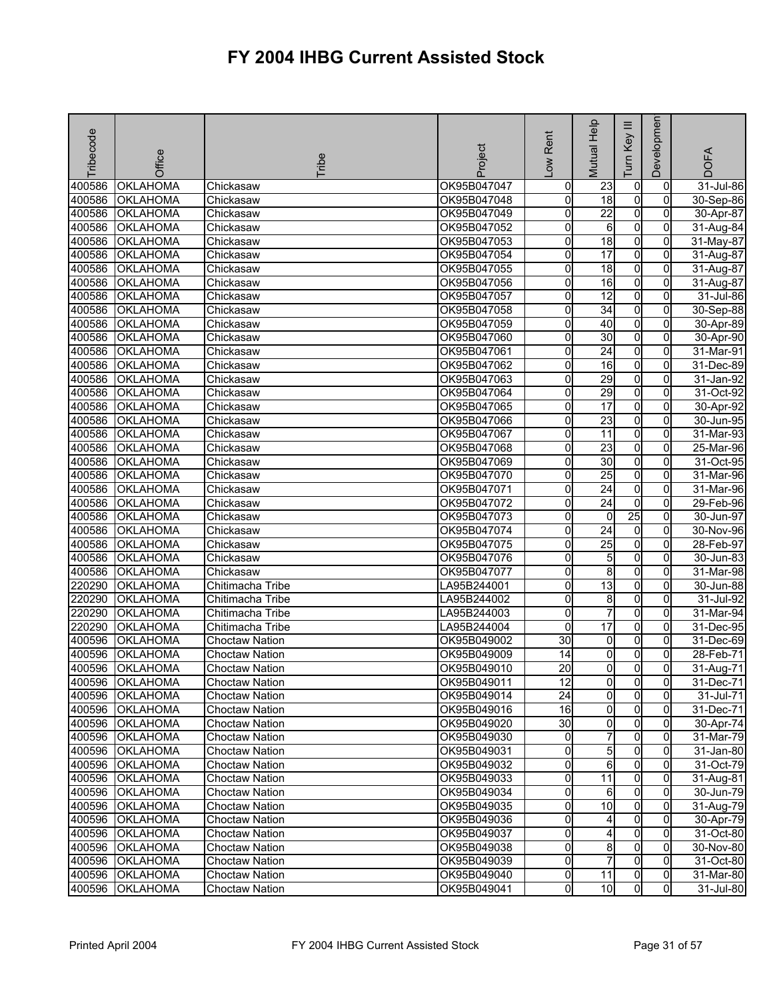| <b>Tribecode</b> | Office          | Tribe                 | Project     | -ow Rent        | Mutual Help     | $\equiv$<br>Key<br>Tum | Developmen     | <b>DOFA</b>  |
|------------------|-----------------|-----------------------|-------------|-----------------|-----------------|------------------------|----------------|--------------|
| 400586           | <b>OKLAHOMA</b> | Chickasaw             | OK95B047047 | 0               | 23              | 0                      | 0              | $31$ -Jul-86 |
| 400586           | <b>OKLAHOMA</b> | Chickasaw             | OK95B047048 | 0               | $\overline{18}$ | o                      | 0              | 30-Sep-86    |
| 400586           | <b>OKLAHOMA</b> | Chickasaw             | OK95B047049 | 0               | 22              | $\overline{0}$         | $\overline{0}$ | 30-Apr-87    |
| 400586           | <b>OKLAHOMA</b> | Chickasaw             | OK95B047052 | 0               | 6               | 0                      | $\overline{0}$ | 31-Aug-84    |
| 400586           | <b>OKLAHOMA</b> | Chickasaw             | OK95B047053 | 0               | 18              | $\mathbf 0$            | 0              | 31-May-87    |
| 400586           | <b>OKLAHOMA</b> | Chickasaw             | OK95B047054 | 0               | 17              | $\overline{0}$         | $\overline{0}$ | 31-Aug-87    |
| 400586           | <b>OKLAHOMA</b> | Chickasaw             | OK95B047055 | 0               | $\overline{18}$ | $\mathbf 0$            | 0              | 31-Aug-87    |
| 400586           | <b>OKLAHOMA</b> | Chickasaw             | OK95B047056 | 0               | 16              | $\overline{0}$         | 0              | 31-Aug-87    |
| 400586           | <b>OKLAHOMA</b> | Chickasaw             | OK95B047057 | 0               | 12              | $\overline{0}$         | 0              | 31-Jul-86    |
| 400586           | <b>OKLAHOMA</b> | Chickasaw             | OK95B047058 | 0               | 34              | $\pmb{0}$              | $\overline{0}$ | 30-Sep-88    |
| 400586           | OKLAHOMA        | Chickasaw             | OK95B047059 | 0               | 40              | o                      | 0              | 30-Apr-89    |
| 400586           | <b>OKLAHOMA</b> | Chickasaw             | OK95B047060 | 0               | 30              | $\mathbf 0$            | 0              | 30-Apr-90    |
| 400586           | <b>OKLAHOMA</b> | Chickasaw             | OK95B047061 | 0               | 24              | 0                      | 0              | 31-Mar-91    |
| 400586           | <b>OKLAHOMA</b> | Chickasaw             | OK95B047062 | 0               | 16              | $\overline{0}$         | $\overline{0}$ | 31-Dec-89    |
| 400586           | <b>OKLAHOMA</b> | Chickasaw             | OK95B047063 | 0               | 29              | $\overline{0}$         | 0              | 31-Jan-92    |
| 400586           | <b>OKLAHOMA</b> | Chickasaw             | OK95B047064 | 0               | 29              | $\mathbf 0$            | 0              | 31-Oct-92    |
| 400586           | <b>OKLAHOMA</b> | Chickasaw             | OK95B047065 | 0               | 17              | $\mathbf 0$            | $\mathbf{0}$   | 30-Apr-92    |
| 400586           | <b>OKLAHOMA</b> | Chickasaw             | OK95B047066 | 0               | 23              | $\mathbf 0$            | 0              | 30-Jun-95    |
| 400586           | <b>OKLAHOMA</b> | Chickasaw             | OK95B047067 | 0               | 11              | $\overline{0}$         | $\overline{0}$ | 31-Mar-93    |
| 400586           | <b>OKLAHOMA</b> | Chickasaw             | OK95B047068 | 0               | 23              | $\overline{0}$         | $\mathbf{0}$   | 25-Mar-96    |
| 400586           | <b>OKLAHOMA</b> | Chickasaw             | OK95B047069 | 0               | 30              | $\mathbf 0$            | 0              | 31-Oct-95    |
| 400586           | <b>OKLAHOMA</b> | Chickasaw             | OK95B047070 | 0               | 25              | $\mathbf 0$            | $\overline{0}$ | 31-Mar-96    |
| 400586           | OKLAHOMA        | Chickasaw             | OK95B047071 | 0               | $\overline{24}$ | 0                      | 0              | 31-Mar-96    |
| 400586           | <b>OKLAHOMA</b> | Chickasaw             | OK95B047072 | 0               | 24              | $\mathbf 0$            | 0              | 29-Feb-96    |
| 400586           | <b>OKLAHOMA</b> | Chickasaw             | OK95B047073 | 0               | 0               | $\overline{25}$        | 0              | 30-Jun-97    |
| 400586           | <b>OKLAHOMA</b> | Chickasaw             | OK95B047074 | 0               | $\overline{24}$ | 0                      | 0              | 30-Nov-96    |
| 400586           | <b>OKLAHOMA</b> | Chickasaw             | OK95B047075 | 0               | $\overline{25}$ | $\mathbf 0$            | $\overline{0}$ | 28-Feb-97    |
| 400586           | <b>OKLAHOMA</b> | Chickasaw             | OK95B047076 | 0               | 5               | o                      | $\mathbf{0}$   | 30-Jun-83    |
| 400586           | <b>OKLAHOMA</b> | Chickasaw             | OK95B047077 | 0               | 8               | 0                      | 0              | 31-Mar-98    |
| 220290           | <b>OKLAHOMA</b> | Chitimacha Tribe      | LA95B244001 | 0               | 13              | 0                      | $\Omega$       | 30-Jun-88    |
| 220290           | <b>OKLAHOMA</b> | Chitimacha Tribe      | LA95B244002 | 0               | 8               | $\overline{0}$         | $\mathbf{0}$   | 31-Jul-92    |
| 220290           | <b>OKLAHOMA</b> | Chitimacha Tribe      | LA95B244003 | 0               | $\overline{7}$  | $\mathbf 0$            | 0              | 31-Mar-94    |
| 220290           | <b>OKLAHOMA</b> | Chitimacha Tribe      | LA95B244004 | 0               | 17              | $\mathbf 0$            | 0              | 31-Dec-95    |
| 400596           | <b>OKLAHOMA</b> | <b>Choctaw Nation</b> | OK95B049002 | $\overline{30}$ | 0               | 0                      | 0              | 31-Dec-69    |
| 400596           | <b>OKLAHOMA</b> | Choctaw Nation        | OK95B049009 | 14              | 0               | 0                      | $\overline{0}$ | 28-Feb-71    |
| 400596           | <b>OKLAHOMA</b> | <b>Choctaw Nation</b> | OK95B049010 | $\overline{20}$ | 0               | $\mathbf 0$            | 0              | 31-Aug-71    |
|                  | 400596 OKLAHOMA | <b>Choctaw Nation</b> | OK95B049011 | 12              | 01              | $\mathbf{0}$           | 01             | 31-Dec-71    |
|                  | 400596 OKLAHOMA | <b>Choctaw Nation</b> | OK95B049014 | 24              | $\overline{0}$  | $\overline{0}$         | $\mathbf{0}$   | 31-Jul-71    |
| 400596           | <b>OKLAHOMA</b> | <b>Choctaw Nation</b> | OK95B049016 | 16              | $\overline{0}$  | $\mathbf 0$            | $\mathbf{0}$   | 31-Dec-71    |
| 400596           | <b>OKLAHOMA</b> | <b>Choctaw Nation</b> | OK95B049020 | $\overline{30}$ | $\overline{0}$  | 0                      | $\overline{0}$ | 30-Apr-74    |
| 400596           | <b>OKLAHOMA</b> | Choctaw Nation        | OK95B049030 | 0               | 7               | 0                      | 0              | 31-Mar-79    |
| 400596           | <b>OKLAHOMA</b> | Choctaw Nation        | OK95B049031 | 0               | $5\overline{)}$ | $\mathbf 0$            | $\Omega$       | 31-Jan-80    |
| 400596           | <b>OKLAHOMA</b> | Choctaw Nation        | OK95B049032 | 0               | 6               | 0                      | $\Omega$       | 31-Oct-79    |
| 400596           | <b>OKLAHOMA</b> | <b>Choctaw Nation</b> | OK95B049033 | 0               | $\overline{11}$ | $\mathbf 0$            | $\overline{0}$ | 31-Aug-81    |
| 400596           | <b>OKLAHOMA</b> | <b>Choctaw Nation</b> | OK95B049034 | 0               | 6               | $\mathbf 0$            | $\mathbf{0}$   | 30-Jun-79    |
|                  | 400596 OKLAHOMA | Choctaw Nation        | OK95B049035 | 0               | 10              | 0                      | 0              | 31-Aug-79    |
| 400596           | <b>OKLAHOMA</b> | <b>Choctaw Nation</b> | OK95B049036 | 0               | 4               | $\mathbf 0$            | $\Omega$       | 30-Apr-79    |
| 400596           | <b>OKLAHOMA</b> | <b>Choctaw Nation</b> | OK95B049037 | 0               | 4               | 0                      | 0              | 31-Oct-80    |
| 400596           | <b>OKLAHOMA</b> | Choctaw Nation        | OK95B049038 | 0               | 8               | $\mathbf 0$            | 0              | 30-Nov-80    |
| 400596           | <b>OKLAHOMA</b> | <b>Choctaw Nation</b> | OK95B049039 | 0               | $\overline{7}$  | $\mathbf 0$            | $\mathbf{0}$   | 31-Oct-80    |
| 400596           | <b>OKLAHOMA</b> | <b>Choctaw Nation</b> | OK95B049040 | 0               | $\overline{11}$ | 0                      | $\overline{0}$ | 31-Mar-80    |
| 400596           | <b>OKLAHOMA</b> | Choctaw Nation        | OK95B049041 | 0               | 10              | $\overline{0}$         | $\overline{0}$ | 31-Jul-80    |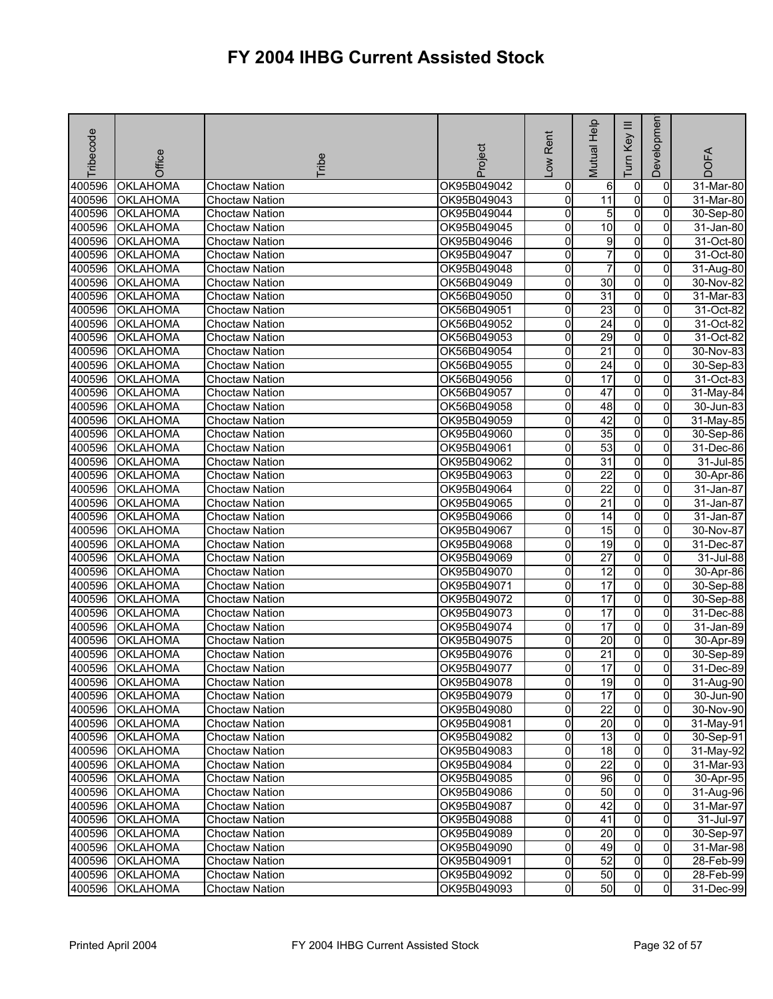| Tribecode | Office          | <b>Tribe</b>          | Project     | -ow Rent                | Mutual Help     | Ξ<br>Key<br>Tum | Developmen     | <b>DOFA</b> |
|-----------|-----------------|-----------------------|-------------|-------------------------|-----------------|-----------------|----------------|-------------|
| 400596    | OKLAHOMA        | <b>Choctaw Nation</b> | OK95B049042 | 0                       | 6               | 0               | 0              | 31-Mar-80   |
| 400596    | <b>OKLAHOMA</b> | <b>Choctaw Nation</b> | OK95B049043 | o                       | $\overline{11}$ | o               | $\Omega$       | $31-Mar-80$ |
| 400596    | <b>OKLAHOMA</b> | <b>Choctaw Nation</b> | OK95B049044 | 0                       | 5               | $\overline{0}$  | $\overline{0}$ | 30-Sep-80   |
| 400596    | <b>OKLAHOMA</b> | <b>Choctaw Nation</b> | OK95B049045 | 0                       | $\overline{10}$ | 0               | $\overline{0}$ | 31-Jan-80   |
| 400596    | <b>OKLAHOMA</b> | Choctaw Nation        | OK95B049046 | 0                       | 9               | 0               | 0              | 31-Oct-80   |
| 400596    | <b>OKLAHOMA</b> | <b>Choctaw Nation</b> | OK95B049047 | 0                       | 7               | O               | $\mathbf{0}$   | 31-Oct-80   |
| 400596    | <b>OKLAHOMA</b> | <b>Choctaw Nation</b> | OK95B049048 | 0                       | 7               | O               | 0              | 31-Aug-80   |
| 400596    | <b>OKLAHOMA</b> | <b>Choctaw Nation</b> | OK56B049049 | 0                       | $\overline{30}$ | $\overline{0}$  | $\overline{0}$ | 30-Nov-82   |
| 400596    | <b>OKLAHOMA</b> | <b>Choctaw Nation</b> | OK56B049050 | 0                       | 31              | $\overline{0}$  | 0              | 31-Mar-83   |
| 400596    | <b>OKLAHOMA</b> | <b>Choctaw Nation</b> | OK56B049051 | 0                       | 23              | o               | 0              | 31-Oct-82   |
| 400596    | OKLAHOMA        | <b>Choctaw Nation</b> | OK56B049052 | 0                       | $\overline{24}$ | O               | 0              | 31-Oct-82   |
| 400596    | <b>OKLAHOMA</b> | <b>Choctaw Nation</b> | OK56B049053 | 0                       | 29              | 0               | 0              | 31-Oct-82   |
| 400596    | <b>OKLAHOMA</b> | <b>Choctaw Nation</b> | OK56B049054 | 0                       | 21              | 0               | $\Omega$       | 30-Nov-83   |
| 400596    | <b>OKLAHOMA</b> | <b>Choctaw Nation</b> | OK56B049055 | 0                       | 24              | $\overline{0}$  | 0              | 30-Sep-83   |
| 400596    | <b>OKLAHOMA</b> | <b>Choctaw Nation</b> | OK56B049056 | 0                       | 17              | $\overline{0}$  | 0              | 31-Oct-83   |
| 400596    | <b>OKLAHOMA</b> | <b>Choctaw Nation</b> | OK56B049057 | 0                       | 47              | $\mathbf 0$     | 0              | 31-May-84   |
| 400596    | <b>OKLAHOMA</b> | <b>Choctaw Nation</b> | OK56B049058 | 0                       | $\overline{48}$ | $\overline{0}$  | $\overline{0}$ | 30-Jun-83   |
| 400596    | <b>OKLAHOMA</b> | <b>Choctaw Nation</b> | OK95B049059 | 0                       | $\overline{42}$ | O               | $\overline{0}$ | 31-May-85   |
| 400596    | <b>OKLAHOMA</b> | <b>Choctaw Nation</b> | OK95B049060 | 0                       | $\overline{35}$ | $\overline{0}$  | $\overline{0}$ | 30-Sep-86   |
| 400596    | <b>OKLAHOMA</b> | <b>Choctaw Nation</b> | OK95B049061 | 0                       | $\overline{53}$ | $\overline{0}$  | 0              | 31-Dec-86   |
| 400596    | <b>OKLAHOMA</b> | <b>Choctaw Nation</b> | OK95B049062 | 0                       | 31              | $\mathbf 0$     | 0              | 31-Jul-85   |
| 400596    | <b>OKLAHOMA</b> | <b>Choctaw Nation</b> | OK95B049063 | 0                       | $\overline{22}$ | $\mathbf 0$     | $\overline{0}$ | 30-Apr-86   |
| 400596    | OKLAHOMA        | <b>Choctaw Nation</b> | OK95B049064 | 0                       | $\overline{22}$ | 0               | 0              | 31-Jan-87   |
| 400596    | <b>OKLAHOMA</b> | <b>Choctaw Nation</b> | OK95B049065 | 0                       | 21              | 0               | 0              | 31-Jan-87   |
| 400596    | <b>OKLAHOMA</b> | <b>Choctaw Nation</b> | OK95B049066 | 0                       | 14              | o               | 0              | 31-Jan-87   |
| 400596    | <b>OKLAHOMA</b> | <b>Choctaw Nation</b> | OK95B049067 | 0                       | 15              | $\overline{0}$  | 0              | 30-Nov-87   |
| 400596    | OKLAHOMA        | <b>Choctaw Nation</b> | OK95B049068 | 0                       | 19              | $\mathbf 0$     | $\overline{0}$ | 31-Dec-87   |
| 400596    | <b>OKLAHOMA</b> | <b>Choctaw Nation</b> | OK95B049069 | 0                       | $\overline{27}$ | $\overline{0}$  | 0              | 31-Jul-88   |
| 400596    | <b>OKLAHOMA</b> | <b>Choctaw Nation</b> | OK95B049070 | 0                       | 12              | 0               | 0              | 30-Apr-86   |
| 400596    | <b>OKLAHOMA</b> | <b>Choctaw Nation</b> | OK95B049071 | 0                       | $\overline{17}$ | $\overline{0}$  | $\Omega$       | 30-Sep-88   |
| 400596    | <b>OKLAHOMA</b> | <b>Choctaw Nation</b> | OK95B049072 | 0                       | 17              | $\overline{0}$  | $\overline{0}$ | 30-Sep-88   |
| 400596    | <b>OKLAHOMA</b> | <b>Choctaw Nation</b> | OK95B049073 | 0                       | $\overline{17}$ | $\mathbf 0$     | 0              | 31-Dec-88   |
| 400596    | <b>OKLAHOMA</b> | <b>Choctaw Nation</b> | OK95B049074 | 0                       | 17              | $\mathbf 0$     | 0              | 31-Jan-89   |
| 400596    | <b>OKLAHOMA</b> | <b>Choctaw Nation</b> | OK95B049075 | 0                       | $\overline{20}$ | 0               | 0              | 30-Apr-89   |
| 400596    | <b>OKLAHOMA</b> | <b>Choctaw Nation</b> | OK95B049076 | 0                       | 21              | 0               | 0              | 30-Sep-89   |
| 400596    | <b>OKLAHOMA</b> | <b>Choctaw Nation</b> | OK95B049077 | 0                       | 17              | $\overline{0}$  | 0              | 31-Dec-89   |
|           | 400596 OKLAHOMA | Choctaw Nation        | OK95B049078 | 01                      | 19              | <sub>0</sub>    | $\overline{0}$ | 31-Aug-90   |
|           | 400596 OKLAHOMA | <b>Choctaw Nation</b> | OK95B049079 | 0                       | 17              | $\overline{0}$  | $\overline{0}$ | 30-Jun-90   |
|           | 400596 OKLAHOMA | <b>Choctaw Nation</b> | OK95B049080 | 0                       | $\overline{22}$ | $\mathbf 0$     | $\mathbf{0}$   | 30-Nov-90   |
| 400596    | <b>OKLAHOMA</b> | Choctaw Nation        | OK95B049081 | 0                       | $\overline{20}$ | 0               | 0              | 31-May-91   |
| 400596    | <b>OKLAHOMA</b> | Choctaw Nation        | OK95B049082 | 0                       | 13              | 0               | $\Omega$       | 30-Sep-91   |
| 400596    | <b>OKLAHOMA</b> | Choctaw Nation        | OK95B049083 | 0                       | 18              | $\overline{0}$  | $\overline{0}$ | 31-May-92   |
|           | 400596 OKLAHOMA | Choctaw Nation        | OK95B049084 | 0                       | $\overline{22}$ | $\mathbf 0$     | $\Omega$       | 31-Mar-93   |
|           | 400596 OKLAHOMA | <b>Choctaw Nation</b> | OK95B049085 | 0                       | 96              | $\mathbf 0$     | 0              | 30-Apr-95   |
|           | 400596 OKLAHOMA | <b>Choctaw Nation</b> | OK95B049086 | $\overline{\mathbf{0}}$ | 50              | $\overline{0}$  | $\overline{0}$ | 31-Aug-96   |
|           | 400596 OKLAHOMA | Choctaw Nation        | OK95B049087 | 0                       | 42              | $\mathbf 0$     | 0              | 31-Mar-97   |
| 400596    | <b>OKLAHOMA</b> | <b>Choctaw Nation</b> | OK95B049088 | 0                       | 41              | $\mathbf 0$     | $\Omega$       | 31-Jul-97   |
| 400596    | <b>OKLAHOMA</b> | Choctaw Nation        | OK95B049089 | 0                       | 20              | $\overline{0}$  | 0              | 30-Sep-97   |
|           | 400596 OKLAHOMA | Choctaw Nation        | OK95B049090 | 0                       | 49              | $\overline{0}$  | 0              | 31-Mar-98   |
| 400596    | <b>OKLAHOMA</b> | Choctaw Nation        | OK95B049091 | 0                       | 52              | o               | $\mathbf{0}$   | 28-Feb-99   |
| 400596    | <b>OKLAHOMA</b> | Choctaw Nation        | OK95B049092 | 0                       | 50              | 0               | $\overline{0}$ | 28-Feb-99   |
| 400596    | <b>OKLAHOMA</b> | Choctaw Nation        | OK95B049093 | 0                       | 50              | $\overline{0}$  | $\overline{0}$ | 31-Dec-99   |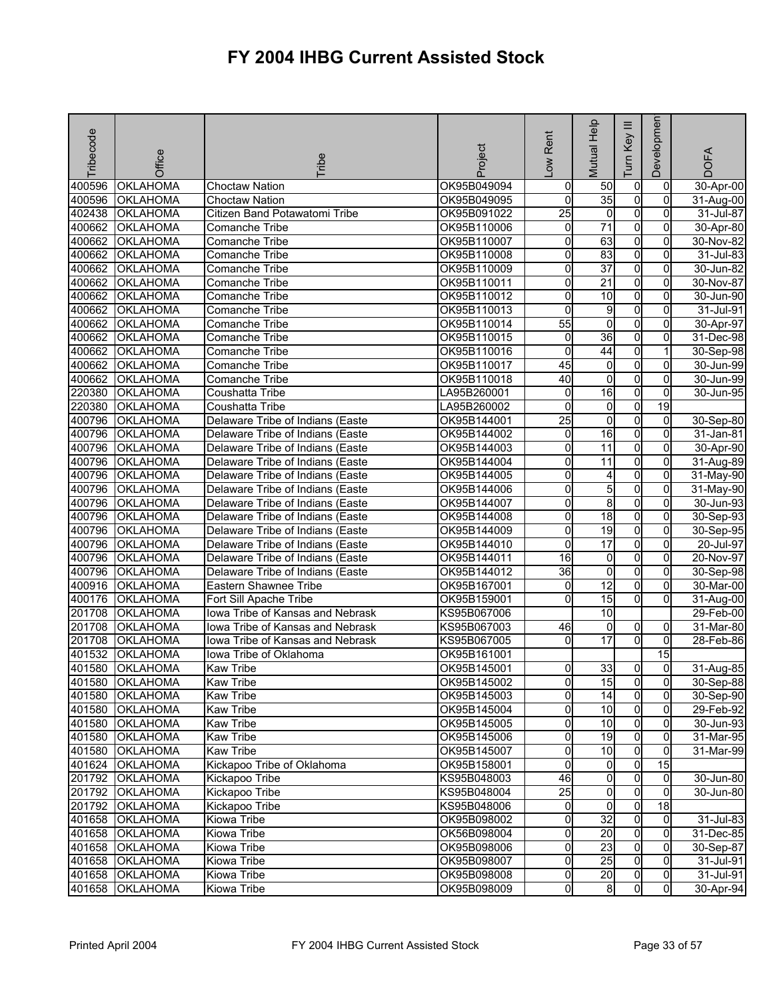| Tribecode | Office          | <b>Fribe</b>                            | Project     | -ow Rent            | Mutual Help     | Ξ<br>Key<br>Tum | Developmen      | <b>DOFA</b> |
|-----------|-----------------|-----------------------------------------|-------------|---------------------|-----------------|-----------------|-----------------|-------------|
| 400596    | <b>OKLAHOMA</b> | <b>Choctaw Nation</b>                   | OK95B049094 | 0                   | 50              | $\overline{0}$  | 0               | 30-Apr-00   |
| 400596    | <b>OKLAHOMA</b> | <b>Choctaw Nation</b>                   | OK95B049095 | 0                   | 35              | $\overline{0}$  | 0               | 31-Aug-00   |
| 402438    | <b>OKLAHOMA</b> | Citizen Band Potawatomi Tribe           | OK95B091022 | $\overline{25}$     | $\overline{0}$  | $\overline{0}$  | $\overline{0}$  | 31-Jul-87   |
| 400662    | <b>OKLAHOMA</b> | Comanche Tribe                          | OK95B110006 | 0                   | $\overline{71}$ | $\overline{0}$  | 0               | 30-Apr-80   |
| 400662    | <b>OKLAHOMA</b> | Comanche Tribe                          | OK95B110007 | 0                   | 63              | $\overline{0}$  | 0               | 30-Nov-82   |
| 400662    | OKLAHOMA        | Comanche Tribe                          | OK95B110008 | 0                   | 83              | $\overline{0}$  | 0               | 31-Jul-83   |
| 400662    | OKLAHOMA        | Comanche Tribe                          | OK95B110009 | 0                   | $\overline{37}$ | $\overline{0}$  | 0               | 30-Jun-82   |
| 400662    | <b>OKLAHOMA</b> | Comanche Tribe                          | OK95B110011 | 0                   | $\overline{21}$ | $\overline{0}$  | $\Omega$        | 30-Nov-87   |
| 400662    | OKLAHOMA        | Comanche Tribe                          | OK95B110012 | 0                   | 10              | $\overline{0}$  | $\overline{0}$  | 30-Jun-90   |
| 400662    | OKLAHOMA        | Comanche Tribe                          | OK95B110013 | 0                   | 9               | $\overline{0}$  | 0               | 31-Jul-91   |
| 400662    | OKLAHOMA        | Comanche Tribe                          | OK95B110014 | $\overline{55}$     | $\mathbf 0$     | $\overline{0}$  | $\overline{0}$  | 30-Apr-97   |
| 400662    | OKLAHOMA        | Comanche Tribe                          | OK95B110015 | 0                   | 36              | $\overline{0}$  | 0               | 31-Dec-98   |
| 400662    | <b>OKLAHOMA</b> | Comanche Tribe                          | OK95B110016 | 0                   | 44              | $\overline{0}$  |                 | 30-Sep-98   |
| 400662    | <b>OKLAHOMA</b> | Comanche Tribe                          | OK95B110017 | 45                  | $\overline{0}$  | $\overline{0}$  | $\Omega$        | 30-Jun-99   |
| 400662    | <b>OKLAHOMA</b> | Comanche Tribe                          | OK95B110018 | 40                  | 0               | O               | 0               | 30-Jun-99   |
| 220380    | <b>OKLAHOMA</b> | Coushatta Tribe                         | LA95B260001 | 0                   | $\overline{16}$ | $\overline{0}$  | 0               | 30-Jun-95   |
| 220380    | OKLAHOMA        | Coushatta Tribe                         | LA95B260002 | $\mathbf 0$         | $\overline{0}$  | $\overline{0}$  | 19              |             |
| 400796    | OKLAHOMA        | Delaware Tribe of Indians (Easte        | OK95B144001 | $\overline{25}$     | 0               | $\overline{0}$  | $\overline{0}$  | 30-Sep-80   |
| 400796    | <b>OKLAHOMA</b> | Delaware Tribe of Indians (Easte        | OK95B144002 | 0                   | $\overline{16}$ | $\overline{0}$  | $\Omega$        | 31-Jan-81   |
| 400796    | <b>OKLAHOMA</b> | Delaware Tribe of Indians (Easte        | OK95B144003 | 0                   | 11              | $\overline{0}$  | $\overline{0}$  | 30-Apr-90   |
| 400796    | <b>OKLAHOMA</b> | Delaware Tribe of Indians (Easte        | OK95B144004 | 0                   | 11              | $\overline{0}$  | 0               | 31-Aug-89   |
| 400796    | <b>OKLAHOMA</b> | Delaware Tribe of Indians (Easte        | OK95B144005 | 0                   | 4               | $\overline{0}$  | 0               | 31-May-90   |
| 400796    | OKLAHOMA        | Delaware Tribe of Indians (Easte        | OK95B144006 | 0                   | 5               | $\overline{0}$  | $\overline{0}$  | 31-May-90   |
| 400796    | <b>OKLAHOMA</b> | Delaware Tribe of Indians (Easte        | OK95B144007 | 0                   | 8               | $\overline{0}$  | 0               | 30-Jun-93   |
| 400796    | <b>OKLAHOMA</b> | Delaware Tribe of Indians (Easte        | OK95B144008 | 0                   | $\frac{1}{8}$   | $\overline{0}$  | $\Omega$        | 30-Sep-93   |
| 400796    | OKLAHOMA        | Delaware Tribe of Indians (Easte        | OK95B144009 | 0                   | 19              | O               | 0               | 30-Sep-95   |
| 400796    | OKLAHOMA        | Delaware Tribe of Indians (Easte        | OK95B144010 | 0                   | $\overline{17}$ | $\overline{0}$  | 0               | 20-Jul-97   |
| 400796    | OKLAHOMA        | Delaware Tribe of Indians (Easte        | OK95B144011 | 16                  | $\overline{0}$  | $\overline{0}$  | $\mathbf{0}$    | 20-Nov-97   |
| 400796    | <b>OKLAHOMA</b> | Delaware Tribe of Indians (Easte        | OK95B144012 | 36                  | 0               | $\overline{0}$  | 0               | 30-Sep-98   |
| 400916    | <b>OKLAHOMA</b> | Eastern Shawnee Tribe                   | OK95B167001 | 0                   | $\overline{12}$ | $\overline{0}$  | 0               | 30-Mar-00   |
| 400176    | OKLAHOMA        | Fort Sill Apache Tribe                  | OK95B159001 | 0                   | 15              | $\mathsf{o}$    | $\Omega$        | 31-Aug-00   |
| 201708    | OKLAHOMA        | Iowa Tribe of Kansas and Nebrask        | KS95B067006 |                     | 10              |                 |                 | 29-Feb-00   |
| 201708    | OKLAHOMA        | <b>Iowa Tribe of Kansas and Nebrask</b> | KS95B067003 | 46                  | 0               | $\overline{0}$  | 0               | 31-Mar-80   |
| 201708    | OKLAHOMA        | lowa Tribe of Kansas and Nebrask        | KS95B067005 | 0                   | 17              | $\overline{0}$  | $\overline{0}$  | 28-Feb-86   |
| 401532    | OKLAHOMA        | lowa Tribe of Oklahoma                  | OK95B161001 |                     |                 |                 | $\overline{15}$ |             |
| 401580    | <b>OKLAHOMA</b> | <b>Kaw Tribe</b>                        | OK95B145001 | 0                   | 33              | $\overline{0}$  | $\overline{0}$  | 31-Aug-85   |
|           | 401580 OKLAHOMA | <b>Kaw Tribe</b>                        | OK95B145002 | 0                   | 15              | $\overline{0}$  | 01              | 30-Sep-88   |
|           | 401580 OKLAHOMA | <b>Kaw Tribe</b>                        | OK95B145003 | 0                   | 14              | $\overline{0}$  | $\mathbf{0}$    | 30-Sep-90   |
| 401580    | <b>OKLAHOMA</b> | Kaw Tribe                               | OK95B145004 | $\mathsf{O}\xspace$ | 10              | $\overline{0}$  | $\overline{0}$  | 29-Feb-92   |
| 401580    | <b>OKLAHOMA</b> | <b>Kaw Tribe</b>                        | OK95B145005 | o                   | 10              | $\overline{0}$  | $\overline{0}$  | 30-Jun-93   |
| 401580    | <b>OKLAHOMA</b> | <b>Kaw Tribe</b>                        | OK95B145006 | 0                   | 19              | $\overline{0}$  | 0               | 31-Mar-95   |
| 401580    | <b>OKLAHOMA</b> | <b>Kaw Tribe</b>                        | OK95B145007 | o                   | 10              | $\overline{0}$  | $\Omega$        | 31-Mar-99   |
| 401624    | <b>OKLAHOMA</b> | Kickapoo Tribe of Oklahoma              | OK95B158001 | 0                   | $\overline{0}$  | $\overline{0}$  | 15              |             |
|           | 201792 OKLAHOMA | Kickapoo Tribe                          | KS95B048003 | 46                  | $\overline{0}$  | $\overline{0}$  | 0               | 30-Jun-80   |
| 201792    | <b>OKLAHOMA</b> | Kickapoo Tribe                          | KS95B048004 | $\overline{25}$     | $\overline{0}$  | $\overline{0}$  | $\overline{0}$  | 30-Jun-80   |
| 201792    | <b>OKLAHOMA</b> | Kickapoo Tribe                          | KS95B048006 | 0                   | $\overline{0}$  | $\overline{0}$  | 18              |             |
| 401658    | <b>OKLAHOMA</b> | <b>Kiowa Tribe</b>                      | OK95B098002 | 0                   | 32              | $\overline{0}$  | $\overline{0}$  | 31-Jul-83   |
| 401658    | <b>OKLAHOMA</b> | Kiowa Tribe                             | OK56B098004 | 0                   | 20              | $\overline{0}$  | 0               | 31-Dec-85   |
| 401658    | <b>OKLAHOMA</b> | Kiowa Tribe                             | OK95B098006 | 0                   | 23              | $\overline{0}$  | 0               | 30-Sep-87   |
| 401658    | <b>OKLAHOMA</b> | Kiowa Tribe                             | OK95B098007 | $\mathsf{O}\xspace$ | 25              | $\overline{0}$  | $\overline{0}$  | 31-Jul-91   |
| 401658    | <b>OKLAHOMA</b> | Kiowa Tribe                             | OK95B098008 | $\overline{0}$      | $\overline{20}$ | $\overline{0}$  | $\overline{0}$  | 31-Jul-91   |
| 401658    | <b>OKLAHOMA</b> | Kiowa Tribe                             | OK95B098009 | $\overline{0}$      | 8               | 0               | $\overline{0}$  | 30-Apr-94   |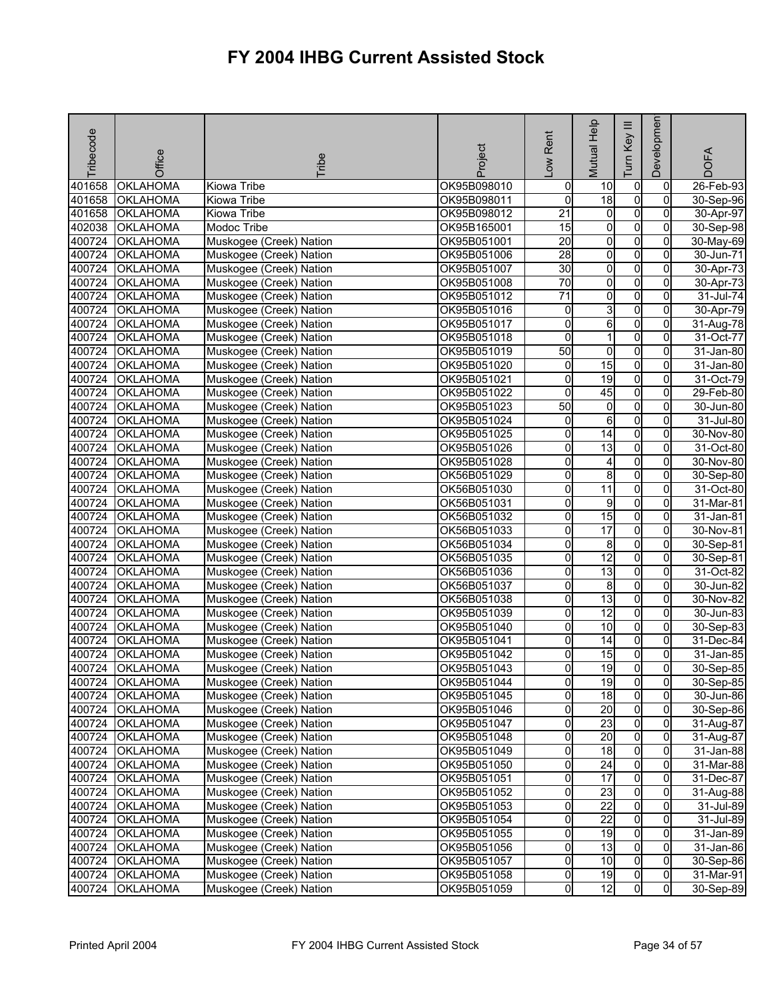| Tribecode        | Office                             | <b>Tribe</b>            | Project     | Low Rent                 | Mutual Help             | $\equiv$<br>Key<br>Tum           | Developmen                       | <b>DOFA</b>            |
|------------------|------------------------------------|-------------------------|-------------|--------------------------|-------------------------|----------------------------------|----------------------------------|------------------------|
| 401658           | <b>OKLAHOMA</b>                    | Kiowa Tribe             | OK95B098010 | 0                        | 10                      | $\overline{0}$                   | 0                                | 26-Feb-93              |
| 401658           | <b>OKLAHOMA</b>                    | Kiowa Tribe             | OK95B098011 | o                        | $\overline{18}$         | $\overline{0}$                   | $\Omega$                         | 30-Sep-96              |
| 401658           | <b>OKLAHOMA</b>                    | Kiowa Tribe             | OK95B098012 | $\overline{21}$          | $\overline{0}$          | $\overline{0}$                   | $\overline{0}$                   | 30-Apr-97              |
| 402038           | <b>OKLAHOMA</b>                    | Modoc Tribe             | OK95B165001 | 15                       | 0                       | $\overline{0}$                   | $\mathbf{0}$                     | 30-Sep-98              |
| 400724           | <b>OKLAHOMA</b>                    | Muskogee (Creek) Nation | OK95B051001 | 20                       | $\overline{0}$          | $\overline{0}$                   | 0                                | 30-May-69              |
| 400724           | OKLAHOMA                           | Muskogee (Creek) Nation | OK95B051006 | $\overline{28}$          | $\overline{0}$          | $\overline{0}$                   | $\overline{0}$                   | 30-Jun-71              |
| 400724           | <b>OKLAHOMA</b>                    | Muskogee (Creek) Nation | OK95B051007 | 30                       | o                       | $\overline{0}$                   | 0                                | 30-Apr-73              |
| 400724           | <b>OKLAHOMA</b>                    | Muskogee (Creek) Nation | OK95B051008 | 70                       | $\overline{\mathbf{0}}$ | $\overline{0}$                   | $\Omega$                         | 30-Apr-73              |
| 400724           | <b>OKLAHOMA</b>                    | Muskogee (Creek) Nation | OK95B051012 | $\overline{71}$          | $\overline{0}$          | $\overline{0}$                   | $\overline{0}$                   | 31-Jul-74              |
| 400724           | <b>OKLAHOMA</b>                    | Muskogee (Creek) Nation | OK95B051016 | 0                        | 3                       | $\overline{0}$                   | 0                                | 30-Apr-79              |
| 400724           | OKLAHOMA                           | Muskogee (Creek) Nation | OK95B051017 | o                        | 6                       | $\overline{0}$                   | $\overline{0}$                   | 31-Aug-78              |
| 400724           | <b>OKLAHOMA</b>                    | Muskogee (Creek) Nation | OK95B051018 | 0                        | 1                       | $\overline{0}$                   | 0                                | 31-Oct-77              |
| 400724           | <b>OKLAHOMA</b>                    | Muskogee (Creek) Nation | OK95B051019 | 50                       | 0                       | $\overline{0}$                   | $\Omega$                         | 31-Jan-80              |
| 400724           | <b>OKLAHOMA</b>                    | Muskogee (Creek) Nation | OK95B051020 | 0                        | 15                      | $\overline{0}$                   | $\Omega$                         | 31-Jan-80              |
| 400724           | <b>OKLAHOMA</b>                    | Muskogee (Creek) Nation | OK95B051021 | 0                        | $\overline{19}$         | $\overline{0}$                   | $\mathbf{0}$                     | 31-Oct-79              |
| 400724           | <b>OKLAHOMA</b>                    | Muskogee (Creek) Nation | OK95B051022 | 0                        | 45                      | $\overline{0}$                   | 0                                | 29-Feb-80              |
| 400724           | OKLAHOMA                           | Muskogee (Creek) Nation | OK95B051023 | 50                       | $\overline{0}$          | $\overline{0}$                   | $\overline{0}$                   | 30-Jun-80              |
| 400724           | <b>OKLAHOMA</b>                    | Muskogee (Creek) Nation | OK95B051024 | 0                        | 6                       | $\overline{0}$                   | 0                                | 31-Jul-80              |
| 400724           | <b>OKLAHOMA</b>                    | Muskogee (Creek) Nation | OK95B051025 | o                        | 14                      | $\overline{0}$                   | $\overline{0}$                   | 30-Nov-80              |
| 400724           | <b>OKLAHOMA</b>                    | Muskogee (Creek) Nation | OK95B051026 | 0                        | $\overline{13}$         | $\overline{0}$                   | $\overline{0}$                   | 31-Oct-80              |
| 400724           | <b>OKLAHOMA</b>                    | Muskogee (Creek) Nation | OK95B051028 | 0                        | 4                       | $\overline{0}$                   | 0                                | 30-Nov-80              |
| 400724           | <b>OKLAHOMA</b>                    | Muskogee (Creek) Nation | OK56B051029 | 0                        | 8                       | $\overline{0}$                   | 0                                | 30-Sep-80              |
| 400724           | <b>OKLAHOMA</b>                    | Muskogee (Creek) Nation | OK56B051030 | 0                        | 11                      | $\overline{0}$                   | 0                                | 31-Oct-80              |
| 400724           | <b>OKLAHOMA</b>                    | Muskogee (Creek) Nation | OK56B051031 | 0                        | 9                       | $\overline{0}$                   | 0                                | 31-Mar-81              |
| 400724           | <b>OKLAHOMA</b>                    | Muskogee (Creek) Nation | OK56B051032 | 0                        | 15                      | $\overline{0}$                   | $\overline{0}$                   | 31-Jan-81              |
| 400724           | <b>OKLAHOMA</b>                    | Muskogee (Creek) Nation | OK56B051033 | 0                        | $\overline{17}$         | $\overline{0}$                   | $\mathbf{0}$                     | 30-Nov-81              |
| 400724           | <b>OKLAHOMA</b>                    | Muskogee (Creek) Nation | OK56B051034 | 0                        | 8                       | $\overline{0}$                   | 0                                | 30-Sep-81              |
| 400724           | <b>OKLAHOMA</b>                    | Muskogee (Creek) Nation | OK56B051035 | 0                        | 12                      | $\overline{0}$                   | $\overline{0}$                   | 30-Sep-81              |
| 400724           | <b>OKLAHOMA</b>                    | Muskogee (Creek) Nation | OK56B051036 | 0                        | 13                      | $\overline{0}$                   | 0                                | 31-Oct-82              |
| 400724           | <b>OKLAHOMA</b>                    | Muskogee (Creek) Nation | OK56B051037 | 0                        | 8                       | 0                                | $\Omega$                         | 30-Jun-82              |
| 400724           | OKLAHOMA                           | Muskogee (Creek) Nation | OK56B051038 | 0                        | 13                      | $\overline{0}$                   | $\overline{0}$                   | 30-Nov-82              |
| 400724           | OKLAHOMA                           | Muskogee (Creek) Nation | OK95B051039 | 0                        | 12                      | $\overline{0}$                   | 0                                | 30-Jun-83              |
| 400724           | OKLAHOMA                           | Muskogee (Creek) Nation | OK95B051040 | 0                        | 10                      | $\overline{0}$                   | $\overline{0}$                   | $30 -$ Sep-83          |
| 400724           | OKLAHOMA                           | Muskogee (Creek) Nation | OK95B051041 | 0                        | 14                      | $\overline{0}$                   | $\overline{0}$                   | $31 - Dec-84$          |
| 400724           | <b>OKLAHOMA</b>                    | Muskogee (Creek) Nation | OK95B051042 | 0                        | 15                      | $\overline{0}$                   | 0                                | 31-Jan-85              |
| 400724           | <b>OKLAHOMA</b>                    | Muskogee (Creek) Nation | OK95B051043 | 0                        | $\overline{19}$         | 0l                               | $\overline{0}$                   | 30-Sep-85              |
|                  | 400724 OKLAHOMA                    | Muskogee (Creek) Nation | OK95B051044 | 이                        | 19                      | 0                                | $\overline{0}$                   | 30-Sep-85              |
|                  | 400724 OKLAHOMA                    | Muskogee (Creek) Nation | OK95B051045 | 0                        | 18                      | $\overline{0}$                   | $\overline{0}$                   | 30-Jun-86              |
|                  | 400724 OKLAHOMA                    | Muskogee (Creek) Nation | OK95B051046 | $\mathsf{O}\xspace$      | 20                      | $\overline{0}$                   | $\mathbf{0}$                     | $30-$ Sep-86           |
| 400724           | <b>OKLAHOMA</b>                    | Muskogee (Creek) Nation | OK95B051047 | o                        | 23                      | $\overline{0}$                   | $\overline{0}$                   | 31-Aug-87              |
|                  | 400724 OKLAHOMA                    | Muskogee (Creek) Nation | OK95B051048 | 0                        | 20                      | $\overline{0}$                   | 0                                | 31-Aug-87              |
| 400724           | <b>OKLAHOMA</b>                    | Muskogee (Creek) Nation | OK95B051049 | 0                        | 18                      | $\overline{0}$                   | $\overline{0}$                   | 31-Jan-88              |
| 400724           | <b>OKLAHOMA</b>                    | Muskogee (Creek) Nation | OK95B051050 | 0                        | $\overline{24}$         | $\overline{0}$                   | $\mathbf{0}$                     | $31-Mar-88$            |
|                  | 400724 OKLAHOMA                    | Muskogee (Creek) Nation | OK95B051051 | $\mathsf{O}\xspace$      | 17                      | $\overline{0}$                   | $\overline{0}$                   | 31-Dec-87              |
|                  | 400724 OKLAHOMA                    | Muskogee (Creek) Nation | OK95B051052 | 0                        | 23                      | $\overline{0}$                   | $\overline{0}$                   | 31-Aug-88              |
| 400724           | <b>OKLAHOMA</b>                    | Muskogee (Creek) Nation | OK95B051053 | 0                        | $\overline{22}$         | $\overline{0}$                   | 0                                | 31-Jul-89              |
| 400724           | <b>OKLAHOMA</b>                    | Muskogee (Creek) Nation | OK95B051054 | 0                        | $\overline{22}$         | $\overline{0}$                   | $\Omega$                         | 31-Jul-89              |
| 400724           | <b>OKLAHOMA</b>                    | Muskogee (Creek) Nation | OK95B051055 | 0                        | 19                      | $\overline{0}$                   | 0                                | 31-Jan-89              |
| 400724           | <b>OKLAHOMA</b>                    | Muskogee (Creek) Nation | OK95B051056 | $\mathsf{O}\xspace$      | 13                      | $\overline{0}$<br>$\overline{0}$ | 0                                | 31-Jan-86              |
| 400724           | <b>OKLAHOMA</b>                    | Muskogee (Creek) Nation | OK95B051057 | $\mathsf{O}\xspace$      | 10<br>19                |                                  | $\overline{0}$                   | 30-Sep-86              |
| 400724<br>400724 | <b>OKLAHOMA</b><br><b>OKLAHOMA</b> | Muskogee (Creek) Nation | OK95B051058 | $\mathsf{O}\xspace$<br>0 | 12                      | $\overline{0}$<br>0              | $\overline{0}$<br>$\overline{0}$ | 31-Mar-91<br>30-Sep-89 |
|                  |                                    | Muskogee (Creek) Nation | OK95B051059 |                          |                         |                                  |                                  |                        |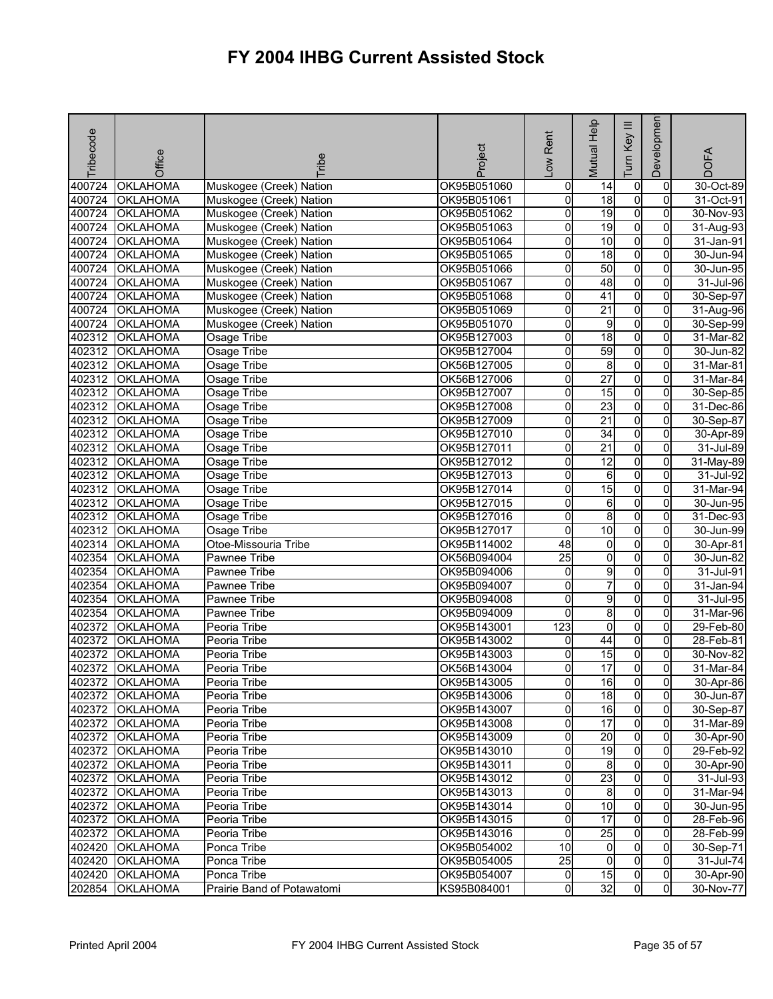| Tribecode | Office          | <b>Fribe</b>               | Project     | -ow Rent       | <b>Mutual Help</b> | Ξ<br>Key<br>Ium | Developmen     | <b>DOFA</b>             |
|-----------|-----------------|----------------------------|-------------|----------------|--------------------|-----------------|----------------|-------------------------|
| 400724    | <b>OKLAHOMA</b> | Muskogee (Creek) Nation    | OK95B051060 | $\overline{0}$ | 14                 | $\overline{0}$  | 0              | $\overline{30}$ -Oct-89 |
| 400724    | <b>OKLAHOMA</b> | Muskogee (Creek) Nation    | OK95B051061 | O              | $\overline{18}$    | $\overline{0}$  | $\overline{0}$ | 31-Oct-91               |
| 400724    | <b>OKLAHOMA</b> | Muskogee (Creek) Nation    | OK95B051062 | 0              | 19                 | $\overline{0}$  | $\overline{0}$ | 30-Nov-93               |
| 400724    | <b>OKLAHOMA</b> | Muskogee (Creek) Nation    | OK95B051063 | 0              | 19                 | $\overline{0}$  | $\overline{0}$ | 31-Aug-93               |
| 400724    | <b>OKLAHOMA</b> | Muskogee (Creek) Nation    | OK95B051064 | 0              | 10                 | $\overline{0}$  | $\overline{0}$ | 31-Jan-91               |
| 400724    | <b>OKLAHOMA</b> | Muskogee (Creek) Nation    | OK95B051065 | 0              | 18                 | $\overline{0}$  | $\overline{0}$ | 30-Jun-94               |
| 400724    | <b>OKLAHOMA</b> | Muskogee (Creek) Nation    | OK95B051066 | 0              | 50                 | $\overline{0}$  | $\overline{0}$ | 30-Jun-95               |
| 400724    | <b>OKLAHOMA</b> | Muskogee (Creek) Nation    | OK95B051067 | 0              | 48                 | $\overline{0}$  | $\overline{0}$ | 31-Jul-96               |
| 400724    | <b>OKLAHOMA</b> | Muskogee (Creek) Nation    | OK95B051068 | 0              | 41                 | $\overline{0}$  | $\overline{0}$ | 30-Sep-97               |
| 400724    | <b>OKLAHOMA</b> | Muskogee (Creek) Nation    | OK95B051069 | 0              | $\overline{21}$    | $\overline{0}$  | $\overline{0}$ | 31-Aug-96               |
| 400724    | <b>OKLAHOMA</b> | Muskogee (Creek) Nation    | OK95B051070 | 0              | 9                  | $\overline{0}$  | $\overline{0}$ | 30-Sep-99               |
| 402312    | <b>OKLAHOMA</b> | Osage Tribe                | OK95B127003 | 0              | 18                 | $\overline{0}$  | $\overline{0}$ | $31$ -Mar-82            |
| 402312    | <b>OKLAHOMA</b> | Osage Tribe                | OK95B127004 | 0              | 59                 | $\overline{0}$  | 0              | 30-Jun-82               |
| 402312    | <b>OKLAHOMA</b> | Osage Tribe                | OK56B127005 | 0              | 8                  | $\overline{0}$  | $\overline{0}$ | 31-Mar-81               |
| 402312    | <b>OKLAHOMA</b> | Osage Tribe                | OK56B127006 | 0              | $\overline{27}$    | $\overline{0}$  | $\overline{0}$ | 31-Mar-84               |
| 402312    | <b>OKLAHOMA</b> | Osage Tribe                | OK95B127007 | 0              | 15                 | $\overline{0}$  | $\overline{0}$ | 30-Sep-85               |
| 402312    | <b>OKLAHOMA</b> | Osage Tribe                | OK95B127008 | 0              | 23                 | $\overline{0}$  | $\overline{0}$ | 31-Dec-86               |
| 402312    | <b>OKLAHOMA</b> | Osage Tribe                | OK95B127009 | 0              | $\overline{21}$    | $\overline{0}$  | $\overline{0}$ | 30-Sep-87               |
| 402312    | <b>OKLAHOMA</b> | Osage Tribe                | OK95B127010 | 0              | $\overline{34}$    | $\overline{0}$  | $\overline{0}$ | 30-Apr-89               |
| 402312    | <b>OKLAHOMA</b> | Osage Tribe                | OK95B127011 | 0              | $\overline{21}$    | $\overline{0}$  | $\overline{0}$ | 31-Jul-89               |
| 402312    | <b>OKLAHOMA</b> | Osage Tribe                | OK95B127012 | 0              | 12                 | $\overline{0}$  | $\mathbf{0}$   | 31-May-89               |
| 402312    | <b>OKLAHOMA</b> | Osage Tribe                | OK95B127013 | 0              | 6                  | $\overline{0}$  | $\mathbf{0}$   | 31-Jul-92               |
| 402312    | <b>OKLAHOMA</b> | Osage Tribe                | OK95B127014 | 0              | 15                 | $\overline{0}$  | $\overline{0}$ | 31-Mar-94               |
| 402312    | <b>OKLAHOMA</b> | Osage Tribe                | OK95B127015 | $\overline{0}$ | $\sigma$           | $\overline{0}$  | $\overline{0}$ | 30-Jun-95               |
| 402312    | <b>OKLAHOMA</b> | Osage Tribe                | OK95B127016 | 0              | 8                  | $\overline{0}$  | $\overline{0}$ | 31-Dec-93               |
| 402312    | <b>OKLAHOMA</b> | Osage Tribe                | OK95B127017 | 0              | $\overline{10}$    | $\overline{0}$  | $\overline{0}$ | 30-Jun-99               |
| 402314    | <b>OKLAHOMA</b> | Otoe-Missouria Tribe       | OK95B114002 | 48             | $\overline{0}$     | $\overline{0}$  | $\overline{0}$ | 30-Apr-81               |
| 402354    | <b>OKLAHOMA</b> | Pawnee Tribe               | OK56B094004 | 25             | $\overline{0}$     | $\overline{0}$  | $\overline{0}$ | 30-Jun-82               |
| 402354    | <b>OKLAHOMA</b> | <b>Pawnee Tribe</b>        | OK95B094006 | 0              | 9                  | $\overline{0}$  | $\overline{0}$ | 31-Jul-91               |
| 402354    | <b>OKLAHOMA</b> | Pawnee Tribe               | OK95B094007 | 0              | $\overline{7}$     | $\overline{0}$  | $\overline{0}$ | 31-Jan-94               |
| 402354    | <b>OKLAHOMA</b> | Pawnee Tribe               | OK95B094008 | 0              | $\overline{9}$     | $\overline{0}$  | $\overline{0}$ | 31-Jul-95               |
| 402354    | <b>OKLAHOMA</b> | Pawnee Tribe               | OK95B094009 | 0              | 8                  | $\overline{0}$  | $\overline{0}$ | 31-Mar-96               |
| 402372    | <b>OKLAHOMA</b> | Peoria Tribe               | OK95B143001 | 123            | $\overline{0}$     | $\overline{0}$  | $\overline{0}$ | 29-Feb-80               |
| 402372    | <b>OKLAHOMA</b> | Peoria Tribe               | OK95B143002 | 0              | 44                 | $\overline{0}$  | $\overline{0}$ | 28-Feb-81               |
| 402372    | <b>OKLAHOMA</b> | Peoria Tribe               | OK95B143003 | 0              | 15                 | $\overline{0}$  | $\overline{0}$ | 30-Nov-82               |
| 402372    | <b>OKLAHOMA</b> | Peoria Tribe               | OK56B143004 | 0              | 17                 | $\overline{0}$  | $\overline{0}$ | $31-Mar-84$             |
|           | 402372 OKLAHOMA | Peoria Tribe               | OK95B143005 | 01             | 16                 | $\overline{0}$  | 0              | 30-Apr-86               |
|           | 402372 OKLAHOMA | Peoria Tribe               | OK95B143006 | 0              | 18                 | $\overline{0}$  | $\overline{0}$ | 30-Jun-87               |
|           | 402372 OKLAHOMA | Peoria Tribe               | OK95B143007 | 0              | 16                 | $\overline{0}$  | $\overline{0}$ | 30-Sep-87               |
|           | 402372 OKLAHOMA | Peoria Tribe               | OK95B143008 | 0              | $\overline{17}$    | $\overline{0}$  | $\overline{0}$ | 31-Mar-89               |
|           | 402372 OKLAHOMA | Peoria Tribe               | OK95B143009 | 0              | 20                 | $\overline{0}$  | $\overline{0}$ | 30-Apr-90               |
|           | 402372 OKLAHOMA | Peoria Tribe               | OK95B143010 | O              | 19                 | $\overline{0}$  | $\overline{0}$ | 29-Feb-92               |
|           | 402372 OKLAHOMA | Peoria Tribe               | OK95B143011 | 0              | 8                  | $\overline{0}$  | $\mathbf{0}$   | 30-Apr-90               |
|           | 402372 OKLAHOMA | Peoria Tribe               | OK95B143012 | 0              | 23                 | $\overline{0}$  | $\overline{0}$ | 31-Jul-93               |
|           | 402372 OKLAHOMA | Peoria Tribe               | OK95B143013 | 0              | $\infty$           | $\overline{0}$  | $\overline{0}$ | 31-Mar-94               |
| 402372    | <b>OKLAHOMA</b> | Peoria Tribe               | OK95B143014 | 0              | 10                 | $\overline{0}$  | 0              | 30-Jun-95               |
| 402372    | <b>OKLAHOMA</b> | Peoria Tribe               | OK95B143015 | 0              | 17                 | $\overline{0}$  | $\overline{0}$ | 28-Feb-96               |
| 402372    | <b>OKLAHOMA</b> | Peoria Tribe               | OK95B143016 | 0              | 25                 | $\overline{0}$  | $\overline{0}$ | 28-Feb-99               |
|           | 402420 OKLAHOMA | Ponca Tribe                | OK95B054002 | 10             | $\overline{0}$     | $\overline{0}$  | $\mathbf{0}$   | 30-Sep-71               |
| 402420    | <b>OKLAHOMA</b> | Ponca Tribe                | OK95B054005 | 25             | $\overline{0}$     | $\overline{0}$  | $\overline{0}$ | 31-Jul-74               |
| 402420    | <b>OKLAHOMA</b> | Ponca Tribe                | OK95B054007 | $\overline{0}$ | 15                 | $\overline{0}$  | $\overline{0}$ | 30-Apr-90               |
| 202854    | <b>OKLAHOMA</b> | Prairie Band of Potawatomi | KS95B084001 | 0              | 32                 | $\overline{0}$  | $\overline{0}$ | 30-Nov-77               |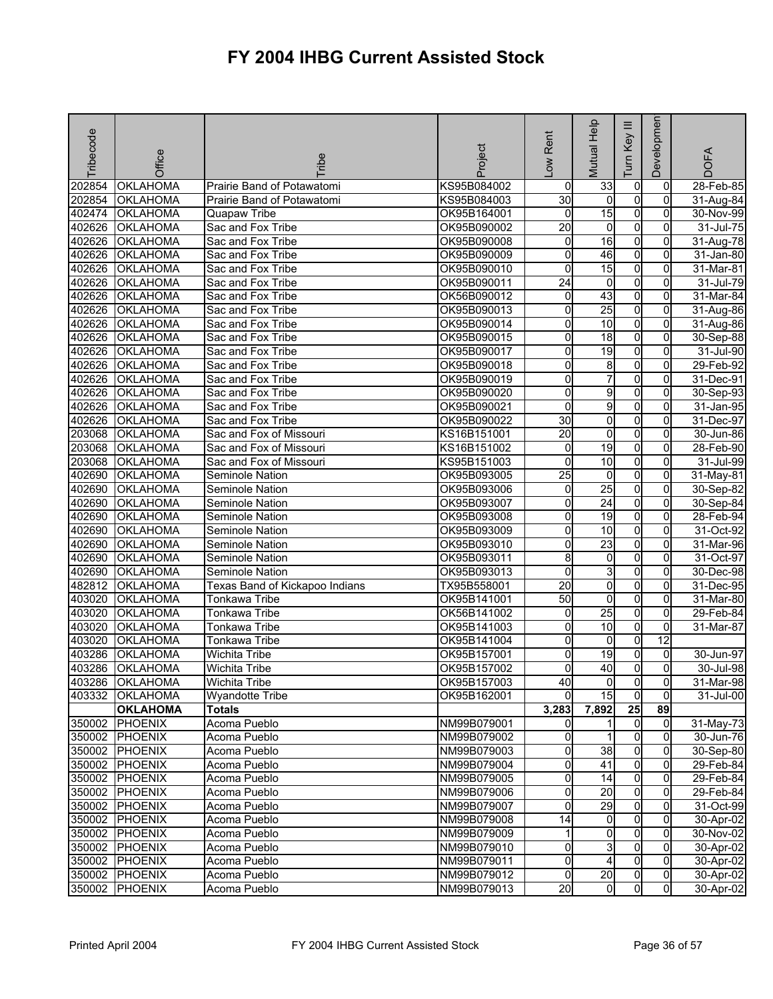| Tribecode | Office          | <b>Tribe</b>                   | Project     | -ow Rent                | Mutual Help     | Ξ<br>Key<br><b>Tum</b> | Developmen     | <b>DOFA</b> |
|-----------|-----------------|--------------------------------|-------------|-------------------------|-----------------|------------------------|----------------|-------------|
| 202854    | <b>OKLAHOMA</b> | Prairie Band of Potawatomi     | KS95B084002 | $\overline{0}$          | 33              | $\overline{0}$         | $\overline{0}$ | 28-Feb-85   |
| 202854    | <b>OKLAHOMA</b> | Prairie Band of Potawatomi     | KS95B084003 | 30                      | $\mathbf 0$     | $\overline{0}$         | $\overline{0}$ | 31-Aug-84   |
| 402474    | <b>OKLAHOMA</b> | Quapaw Tribe                   | OK95B164001 | $\overline{0}$          | 15              | $\overline{0}$         | $\overline{0}$ | 30-Nov-99   |
| 402626    | <b>OKLAHOMA</b> | Sac and Fox Tribe              | OK95B090002 | 20                      | 0               | $\overline{0}$         | 0              | 31-Jul-75   |
| 402626    | <b>OKLAHOMA</b> | Sac and Fox Tribe              | OK95B090008 | 0                       | 16              | $\overline{0}$         | 0              | 31-Aug-78   |
| 402626    | <b>OKLAHOMA</b> | Sac and Fox Tribe              | OK95B090009 | O                       | 46              | $\overline{0}$         | $\overline{0}$ | 31-Jan-80   |
| 402626    | <b>OKLAHOMA</b> | Sac and Fox Tribe              | OK95B090010 | 0                       | 15              | $\overline{0}$         | $\overline{0}$ | 31-Mar-81   |
| 402626    | <b>OKLAHOMA</b> | Sac and Fox Tribe              | OK95B090011 | $\overline{24}$         | 0               | $\overline{0}$         | 0              | 31-Jul-79   |
| 402626    | <b>OKLAHOMA</b> | Sac and Fox Tribe              | OK56B090012 | $\mathsf{o}$            | 43              | $\overline{0}$         | $\overline{0}$ | 31-Mar-84   |
| 402626    | <b>OKLAHOMA</b> | Sac and Fox Tribe              | OK95B090013 | O                       | $\overline{25}$ | $\overline{0}$         | $\overline{0}$ | 31-Aug-86   |
| 402626    | <b>OKLAHOMA</b> | Sac and Fox Tribe              | OK95B090014 | 0                       | 10              | $\overline{0}$         | $\overline{0}$ | 31-Aug-86   |
| 402626    | <b>OKLAHOMA</b> | Sac and Fox Tribe              | OK95B090015 | 0                       | 18              | $\overline{0}$         | $\overline{0}$ | 30-Sep-88   |
| 402626    | <b>OKLAHOMA</b> | Sac and Fox Tribe              | OK95B090017 | 0                       | 19              | $\overline{0}$         | O              | 31-Jul-90   |
| 402626    | <b>OKLAHOMA</b> | Sac and Fox Tribe              | OK95B090018 | 0                       | 8               | $\overline{0}$         | $\overline{0}$ | 29-Feb-92   |
| 402626    | <b>OKLAHOMA</b> | Sac and Fox Tribe              | OK95B090019 | 0                       | $\overline{7}$  | $\overline{0}$         | 0              | 31-Dec-91   |
| 402626    | <b>OKLAHOMA</b> | Sac and Fox Tribe              | OK95B090020 | 0                       | 9               | $\overline{0}$         | 0              | 30-Sep-93   |
| 402626    | <b>OKLAHOMA</b> | Sac and Fox Tribe              | OK95B090021 | $\overline{\mathbf{0}}$ | g               | $\overline{0}$         | $\overline{0}$ | 31-Jan-95   |
| 402626    | <b>OKLAHOMA</b> | Sac and Fox Tribe              | OK95B090022 | 30                      | $\overline{0}$  | $\overline{0}$         | $\overline{0}$ | 31-Dec-97   |
| 203068    | <b>OKLAHOMA</b> | Sac and Fox of Missouri        | KS16B151001 | $\overline{20}$         | 0               | $\overline{0}$         | 0              | 30-Jun-86   |
| 203068    | <b>OKLAHOMA</b> | Sac and Fox of Missouri        | KS16B151002 | $\overline{0}$          | $\overline{19}$ | $\overline{0}$         | $\overline{0}$ | 28-Feb-90   |
| 203068    | <b>OKLAHOMA</b> | Sac and Fox of Missouri        | KS95B151003 | 0                       | 10              | $\overline{0}$         | 0              | 31-Jul-99   |
| 402690    | <b>OKLAHOMA</b> | Seminole Nation                | OK95B093005 | 25                      | $\overline{0}$  | $\overline{0}$         | 0              | 31-May-81   |
| 402690    | <b>OKLAHOMA</b> | Seminole Nation                | OK95B093006 | $\overline{0}$          | 25              | $\overline{0}$         | $\overline{0}$ | 30-Sep-82   |
| 402690    | OKLAHOMA        | Seminole Nation                | OK95B093007 | 0                       | 24              | $\overline{0}$         | $\overline{0}$ | 30-Sep-84   |
| 402690    | <b>OKLAHOMA</b> | Seminole Nation                | OK95B093008 | 0                       | $\overline{19}$ | $\overline{0}$         | $\overline{0}$ | 28-Feb-94   |
| 402690    | <b>OKLAHOMA</b> | Seminole Nation                | OK95B093009 | 0                       | 10              | $\overline{0}$         | 0              | 31-Oct-92   |
| 402690    | <b>OKLAHOMA</b> | Seminole Nation                | OK95B093010 | 0                       | 23              | $\overline{0}$         | $\overline{0}$ | 31-Mar-96   |
| 402690    | <b>OKLAHOMA</b> | Seminole Nation                | OK95B093011 | 8                       | $\mathbf 0$     | $\overline{0}$         | $\overline{0}$ | 31-Oct-97   |
| 402690    | <b>OKLAHOMA</b> | Seminole Nation                | OK95B093013 | $\overline{0}$          | ω               | $\overline{0}$         | $\overline{0}$ | 30-Dec-98   |
| 482812    | <b>OKLAHOMA</b> | Texas Band of Kickapoo Indians | TX95B558001 | 20                      | 0               | $\overline{0}$         | 0              | 31-Dec-95   |
| 403020    | <b>OKLAHOMA</b> | Tonkawa Tribe                  | OK95B141001 | 50                      | $\overline{0}$  | $\overline{0}$         | $\overline{0}$ | 31-Mar-80   |
| 403020    | <b>OKLAHOMA</b> | Tonkawa Tribe                  | OK56B141002 | 0                       | $\overline{25}$ | $\overline{0}$         | 0              | 29-Feb-84   |
| 403020    | <b>OKLAHOMA</b> | Tonkawa Tribe                  | OK95B141003 | $\overline{0}$          | $\overline{10}$ | $\overline{0}$         | $\overline{0}$ | 31-Mar-87   |
| 403020    | <b>OKLAHOMA</b> | Tonkawa Tribe                  | OK95B141004 | 0                       | $\overline{0}$  | $\overline{0}$         | 12             |             |
| 403286    | <b>OKLAHOMA</b> | Wichita Tribe                  | OK95B157001 | 0                       | $\overline{19}$ | $\overline{0}$         | $\overline{0}$ | 30-Jun-97   |
| 403286    | <b>OKLAHOMA</b> | Wichita Tribe                  | OK95B157002 | $\mathbf 0$             | 40              | $\overline{0}$         | $\overline{0}$ | 30-Jul-98   |
|           | 403286 OKLAHOMA | Wichita Tribe                  | OK95B157003 | 40                      | 0               | $\overline{0}$         | $\overline{0}$ | 31-Mar-98   |
| 403332    | <b>OKLAHOMA</b> | <b>Wyandotte Tribe</b>         | OK95B162001 | $\Omega$                | 15              | $\overline{0}$         | $\overline{0}$ | 31-Jul-00   |
|           | <b>OKLAHOMA</b> | <b>Totals</b>                  |             | 3,283                   | 7,892           | 25                     | 89             |             |
| 350002    | PHOENIX         | Acoma Pueblo                   | NM99B079001 | 01                      |                 | $\overline{0}$         | $\overline{0}$ | 31-May-73   |
|           | 350002 PHOENIX  | Acoma Pueblo                   | NM99B079002 | 0                       |                 | $\overline{0}$         | 0              | 30-Jun-76   |
|           | 350002 PHOENIX  | Acoma Pueblo                   | NM99B079003 | 0                       | 38              | $\overline{0}$         | $\overline{0}$ | 30-Sep-80   |
|           | 350002 PHOENIX  | Acoma Pueblo                   | NM99B079004 | 0                       | 41              | $\overline{0}$         | $\mathbf{0}$   | 29-Feb-84   |
|           | 350002 PHOENIX  | Acoma Pueblo                   | NM99B079005 | $\mathsf{o}$            | 14              | $\overline{0}$         | $\overline{0}$ | 29-Feb-84   |
|           | 350002 PHOENIX  | Acoma Pueblo                   | NM99B079006 | $\overline{0}$          | 20              | $\overline{0}$         | $\overline{0}$ | 29-Feb-84   |
|           | 350002 PHOENIX  | Acoma Pueblo                   | NM99B079007 | $\overline{0}$          | 29              | $\overline{0}$         | 0              | 31-Oct-99   |
|           | 350002 PHOENIX  | Acoma Pueblo                   | NM99B079008 | 14                      | $\overline{0}$  | $\overline{0}$         | $\overline{0}$ | 30-Apr-02   |
| 350002    | <b>PHOENIX</b>  | Acoma Pueblo                   | NM99B079009 | $\mathbf{1}$            | $\overline{0}$  | $\overline{0}$         | $\overline{0}$ | 30-Nov-02   |
|           | 350002 PHOENIX  | Acoma Pueblo                   | NM99B079010 | 0                       | 3               | $\overline{0}$         | $\mathbf{0}$   | 30-Apr-02   |
|           | 350002 PHOENIX  | Acoma Pueblo                   | NM99B079011 | 0                       | 4               | $\overline{0}$         | $\overline{0}$ | 30-Apr-02   |
|           | 350002 PHOENIX  | Acoma Pueblo                   | NM99B079012 | $\overline{0}$          | $\overline{20}$ | $\overline{0}$         | $\overline{0}$ | 30-Apr-02   |
|           | 350002 PHOENIX  | Acoma Pueblo                   | NM99B079013 | 20                      | $\overline{0}$  | $\overline{0}$         | $\overline{0}$ | 30-Apr-02   |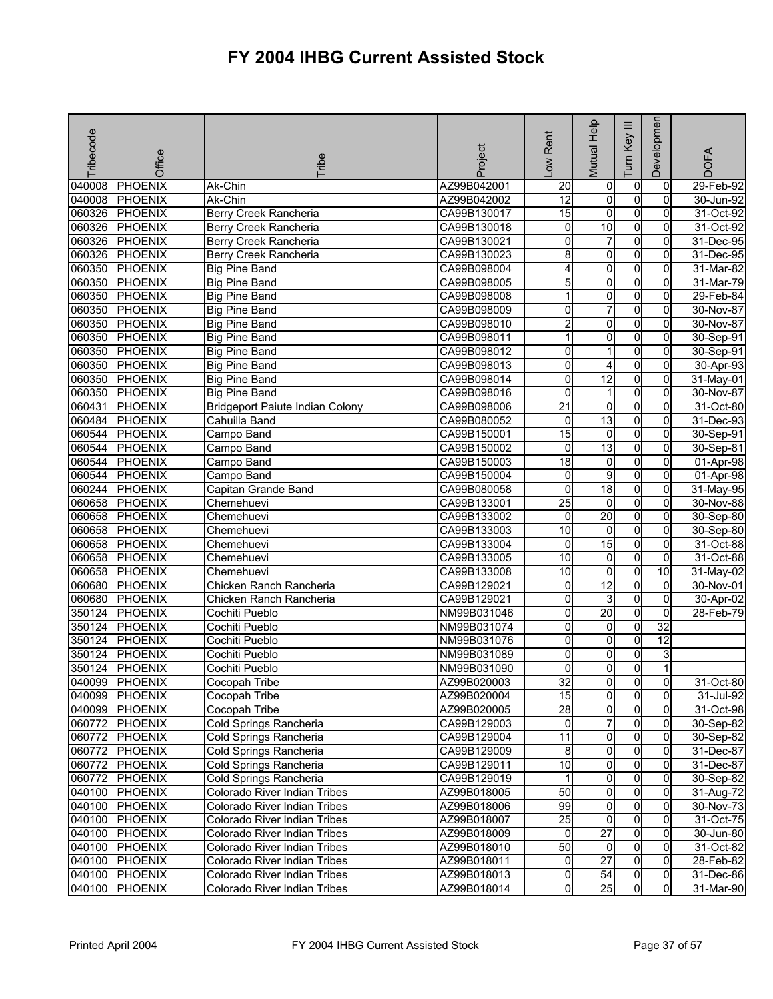| Tribecode | Office         | <b>Tribe</b>                           | Project     | -ow Rent        | Mutual Help             | Ξ<br>Key<br>Tum | Developmen      | <b>DOFA</b> |
|-----------|----------------|----------------------------------------|-------------|-----------------|-------------------------|-----------------|-----------------|-------------|
| 040008    | <b>PHOENIX</b> | Ak-Chin                                | AZ99B042001 | $\overline{20}$ | $\overline{0}$          | $\mathbf 0$     | 0               | 29-Feb-92   |
| 040008    | <b>PHOENIX</b> | Ak-Chin                                | AZ99B042002 | $\overline{12}$ | o                       | o               | $\mathbf 0$     | 30-Jun-92   |
| 060326    | PHOENIX        | <b>Berry Creek Rancheria</b>           | CA99B130017 | 15              | $\overline{0}$          | $\overline{0}$  | 0               | 31-Oct-92   |
| 060326    | <b>PHOENIX</b> | Berry Creek Rancheria                  | CA99B130018 | 0               | 10                      | $\mathbf 0$     | 0               | 31-Oct-92   |
| 060326    | <b>PHOENIX</b> | Berry Creek Rancheria                  | CA99B130021 | 0               | 7                       | 0               | 0               | 31-Dec-95   |
| 060326    | <b>PHOENIX</b> | Berry Creek Rancheria                  | CA99B130023 | 8               | $\overline{0}$          | $\overline{0}$  | $\overline{0}$  | 31-Dec-95   |
| 060350    | <b>PHOENIX</b> | <b>Big Pine Band</b>                   | CA99B098004 | 4               | 0                       | o               | 0               | 31-Mar-82   |
| 060350    | <b>PHOENIX</b> | <b>Big Pine Band</b>                   | CA99B098005 | 5               | $\overline{\mathbf{0}}$ | $\overline{0}$  | $\overline{0}$  | 31-Mar-79   |
| 060350    | <b>PHOENIX</b> | <b>Big Pine Band</b>                   | CA99B098008 | 1               | 0                       | o               | 0               | 29-Feb-84   |
| 060350    | <b>PHOENIX</b> | <b>Big Pine Band</b>                   | CA99B098009 | 0               | $\overline{7}$          | o               | 0               | 30-Nov-87   |
| 060350    | PHOENIX        | <b>Big Pine Band</b>                   | CA99B098010 | $\overline{2}$  | o                       | $\overline{0}$  | 0               | 30-Nov-87   |
| 060350    | <b>PHOENIX</b> | <b>Big Pine Band</b>                   | CA99B098011 | 1               | 0                       | 0               | 0               | 30-Sep-91   |
| 060350    | PHOENIX        | <b>Big Pine Band</b>                   | CA99B098012 | 0               |                         | 0               | 0               | 30-Sep-91   |
| 060350    | <b>PHOENIX</b> | <b>Big Pine Band</b>                   | CA99B098013 | 0               | 4                       | $\overline{0}$  | 0               | 30-Apr-93   |
| 060350    | <b>PHOENIX</b> | <b>Big Pine Band</b>                   | CA99B098014 | 0               | $\overline{12}$         | $\overline{0}$  | $\mathbf{0}$    | 31-May-01   |
| 060350    | PHOENIX        | <b>Big Pine Band</b>                   | CA99B098016 | 0               |                         | o               | 0               | 30-Nov-87   |
| 060431    | <b>PHOENIX</b> | <b>Bridgeport Paiute Indian Colony</b> | CA99B098006 | $\overline{21}$ | $\overline{0}$          | $\overline{0}$  | $\overline{0}$  | 31-Oct-80   |
| 060484    | <b>PHOENIX</b> | Cahuilla Band                          | CA99B080052 | 0               | 13                      | o               | 0               | 31-Dec-93   |
| 060544    | <b>PHOENIX</b> | Campo Band                             | CA99B150001 | 15              | $\overline{0}$          | $\overline{0}$  | $\overline{0}$  | 30-Sep-91   |
| 060544    | <b>PHOENIX</b> | Campo Band                             | CA99B150002 | 0               | 13                      | $\overline{0}$  | $\overline{0}$  | 30-Sep-81   |
| 060544    | <b>PHOENIX</b> | Campo Band                             | CA99B150003 | 18              | $\mathbf 0$             | $\overline{0}$  | 0               | 01-Apr-98   |
| 060544    | <b>PHOENIX</b> | Campo Band                             | CA99B150004 | 0               | 9                       | $\overline{0}$  | 0               | 01-Apr-98   |
| 060244    | <b>PHOENIX</b> | Capitan Grande Band                    | CA99B080058 | 0               | 18                      | $\overline{0}$  | 0               | 31-May-95   |
| 060658    | PHOENIX        | Chemehuevi                             | CA99B133001 | $\overline{25}$ | $\overline{0}$          | $\overline{0}$  | 0               | 30-Nov-88   |
| 060658    | <b>PHOENIX</b> | Chemehuevi                             | CA99B133002 | 0               | $\overline{20}$         | $\overline{0}$  | $\overline{0}$  | 30-Sep-80   |
| 060658    | <b>PHOENIX</b> | Chemehuevi                             | CA99B133003 | 10              | $\overline{0}$          | $\overline{0}$  | 0               | 30-Sep-80   |
| 060658    | <b>PHOENIX</b> | Chemehuevi                             | CA99B133004 | 0               | 15                      | o               | 0               | 31-Oct-88   |
| 060658    | PHOENIX        | Chemehuevi                             | CA99B133005 | $\overline{10}$ | $\overline{0}$          | o               | $\overline{0}$  | 31-Oct-88   |
| 060658    | <b>PHOENIX</b> | Chemehuevi                             | CA99B133008 | 10              | 0                       | $\overline{0}$  | 10              | 31-May-02   |
| 060680    | <b>PHOENIX</b> | Chicken Ranch Rancheria                | CA99B129021 | 0               | $\overline{12}$         | $\overline{0}$  | 0               | 30-Nov-01   |
| 060680    | <b>PHOENIX</b> | Chicken Ranch Rancheria                | CA99B129021 | 0               | 3                       | $\overline{0}$  | 0               | 30-Apr-02   |
| 350124    | <b>PHOENIX</b> | Cochiti Pueblo                         | NM99B031046 | 0               | 20                      | o               | $\overline{0}$  | 28-Feb-79   |
| 350124    | <b>PHOENIX</b> | Cochiti Pueblo                         | NM99B031074 | 0               | $\overline{0}$          | o               | 32              |             |
| 350124    | PHOENIX        | Cochiti Pueblo                         | NM99B031076 | 0               | 0                       | $\overline{0}$  | $\overline{12}$ |             |
| 350124    | PHOENIX        | Cochiti Pueblo                         | NM99B031089 | 0               | 0                       | 0               | 3               |             |
| 350124    | <b>PHOENIX</b> | Cochiti Pueblo                         | NM99B031090 | 0               | 0                       | $\mathbf 0$     |                 |             |
|           | 040099 PHOENIX | Cocopah Tribe                          | AZ99B020003 | 32              | $\overline{0}$          | 0               | $\overline{0}$  | 31-Oct-80   |
|           | 040099 PHOENIX | Cocopah Tribe                          | AZ99B020004 | 15              | $\overline{0}$          | $\overline{0}$  | $\overline{0}$  | 31-Jul-92   |
|           | 040099 PHOENIX | Cocopah Tribe                          | AZ99B020005 | 28              | $\overline{0}$          | o               | $\mathbf{0}$    | 31-Oct-98   |
|           | 060772 PHOENIX | Cold Springs Rancheria                 | CA99B129003 | $\mathbf 0$     | 7                       | 0               | 0               | 30-Sep-82   |
|           | 060772 PHOENIX | Cold Springs Rancheria                 | CA99B129004 | $\overline{11}$ | 0                       | 0               | 0               | 30-Sep-82   |
|           | 060772 PHOENIX | Cold Springs Rancheria                 | CA99B129009 | 8               | $\overline{0}$          | $\overline{0}$  | $\overline{0}$  | 31-Dec-87   |
|           | 060772 PHOENIX | Cold Springs Rancheria                 | CA99B129011 | $\overline{10}$ | $\overline{0}$          | $\mathbf 0$     | 0               | 31-Dec-87   |
|           | 060772 PHOENIX | Cold Springs Rancheria                 | CA99B129019 | 1               | $\overline{0}$          | o               | 0               | 30-Sep-82   |
|           | 040100 PHOENIX | Colorado River Indian Tribes           | AZ99B018005 | 50              | $\overline{0}$          | $\overline{0}$  | $\overline{0}$  | 31-Aug-72   |
|           | 040100 PHOENIX | <b>Colorado River Indian Tribes</b>    | AZ99B018006 | 99              | $\overline{0}$          | $\mathbf 0$     | 0               | 30-Nov-73   |
|           | 040100 PHOENIX | Colorado River Indian Tribes           | AZ99B018007 | 25              | $\overline{0}$          | ō               | $\overline{0}$  | 31-Oct-75   |
|           | 040100 PHOENIX | Colorado River Indian Tribes           | AZ99B018009 | 0               | $\overline{27}$         | $\overline{0}$  | 0               | 30-Jun-80   |
|           | 040100 PHOENIX | Colorado River Indian Tribes           | AZ99B018010 | 50              | $\overline{0}$          | $\overline{0}$  | 0               | 31-Oct-82   |
|           | 040100 PHOENIX | Colorado River Indian Tribes           | AZ99B018011 | $\overline{0}$  | $\overline{27}$         | o               | $\overline{0}$  | 28-Feb-82   |
|           | 040100 PHOENIX | Colorado River Indian Tribes           | AZ99B018013 | 0               | 54                      | 0               | $\overline{0}$  | 31-Dec-86   |
| 040100    | <b>PHOENIX</b> | Colorado River Indian Tribes           | AZ99B018014 | 0               | 25                      | $\overline{0}$  | $\overline{0}$  | 31-Mar-90   |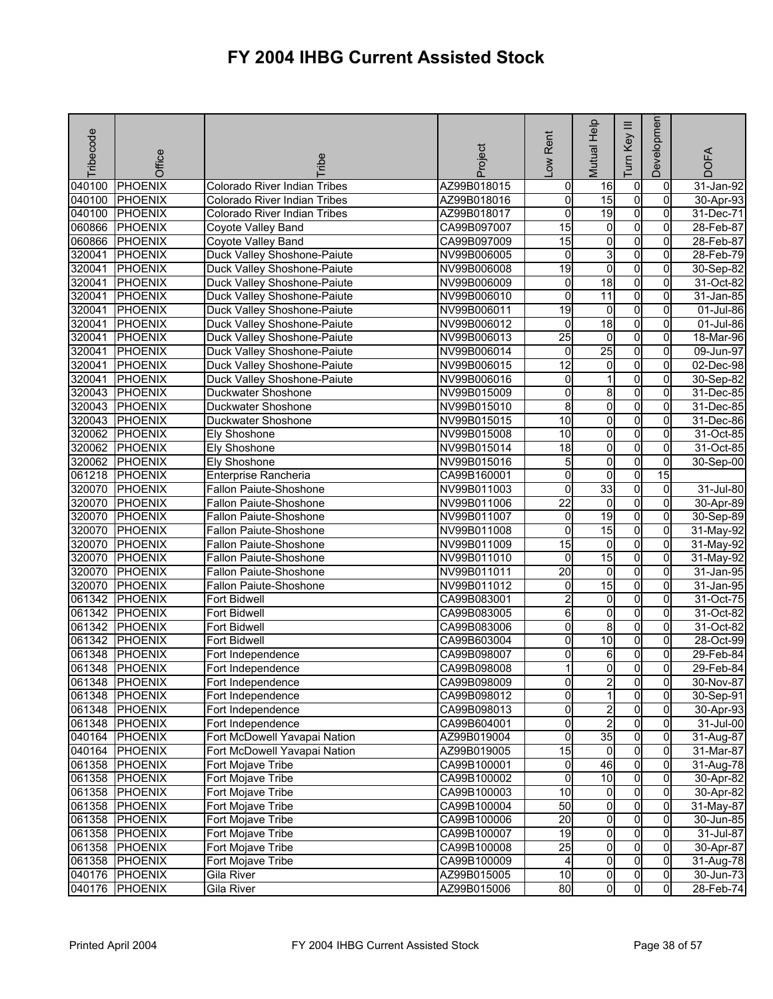| Tribecode | Office         | <b>Fribe</b>                  | Project     | Low Rent        | Mutual Help             | $\equiv$<br>Key<br>Tum | Developmen     | <b>DOFA</b>  |
|-----------|----------------|-------------------------------|-------------|-----------------|-------------------------|------------------------|----------------|--------------|
| 040100    | <b>PHOENIX</b> | Colorado River Indian Tribes  | AZ99B018015 | 0               | 16                      | $\overline{0}$         | 0              | $31$ -Jan-92 |
| 040100    | PHOENIX        | Colorado River Indian Tribes  | AZ99B018016 | o               | $\overline{15}$         | $\overline{0}$         | $\Omega$       | 30-Apr-93    |
| 040100    | PHOENIX        | Colorado River Indian Tribes  | AZ99B018017 | 0               | 19                      | $\overline{0}$         | $\overline{0}$ | 31-Dec-71    |
| 060866    | <b>PHOENIX</b> | Coyote Valley Band            | CA99B097007 | 15              | 0                       | $\overline{0}$         | 0              | 28-Feb-87    |
| 060866    | <b>PHOENIX</b> | Coyote Valley Band            | CA99B097009 | 15              | 0                       | $\overline{0}$         | 0              | 28-Feb-87    |
| 320041    | <b>PHOENIX</b> | Duck Valley Shoshone-Paiute   | NV99B006005 | $\mathbf 0$     | ω                       | $\overline{0}$         | $\overline{0}$ | 28-Feb-79    |
| 320041    | <b>PHOENIX</b> | Duck Valley Shoshone-Paiute   | NV99B006008 | 19              | $\overline{0}$          | $\overline{0}$         | 0              | 30-Sep-82    |
| 320041    | <b>PHOENIX</b> | Duck Valley Shoshone-Paiute   | NV99B006009 | o               | 18                      | $\overline{0}$         | $\overline{0}$ | 31-Oct-82    |
| 320041    | <b>PHOENIX</b> | Duck Valley Shoshone-Paiute   | NV99B006010 | Ō               | $\overline{11}$         | $\overline{0}$         | 0              | 31-Jan-85    |
| 320041    | <b>PHOENIX</b> | Duck Valley Shoshone-Paiute   | NV99B006011 | 19              | 0                       | $\overline{0}$         | 0              | 01-Jul-86    |
| 320041    | <b>PHOENIX</b> | Duck Valley Shoshone-Paiute   | NV99B006012 | 0               | 18                      | $\overline{0}$         | 0              | 01-Jul-86    |
| 320041    | <b>PHOENIX</b> | Duck Valley Shoshone-Paiute   | NV99B006013 | $\overline{25}$ | $\overline{0}$          | $\overline{0}$         | 0              | 18-Mar-96    |
| 320041    | PHOENIX        | Duck Valley Shoshone-Paiute   | NV99B006014 | 0               | $\overline{25}$         | 0                      | $\Omega$       | 09-Jun-97    |
| 320041    | <b>PHOENIX</b> | Duck Valley Shoshone-Paiute   | NV99B006015 | $\overline{12}$ | O                       | 0                      | 0              | 02-Dec-98    |
| 320041    | <b>PHOENIX</b> | Duck Valley Shoshone-Paiute   | NV99B006016 | 0               | 1                       | $\overline{0}$         | 0              | 30-Sep-82    |
| 320043    | PHOENIX        | Duckwater Shoshone            | NV99B015009 | 0               | 8                       | $\overline{0}$         | 0              | 31-Dec-85    |
| 320043    | <b>PHOENIX</b> | Duckwater Shoshone            | NV99B015010 | 8               | $\overline{\mathbf{0}}$ | $\overline{0}$         | $\overline{0}$ | 31-Dec-85    |
| 320043    | <b>PHOENIX</b> | Duckwater Shoshone            | NV99B015015 | 10              | $\overline{0}$          | $\overline{0}$         | 0              | 31-Dec-86    |
| 320062    | <b>PHOENIX</b> | Ely Shoshone                  | NV99B015008 | 10              | $\overline{\mathbf{0}}$ | $\overline{0}$         | $\Omega$       | 31-Oct-85    |
| 320062    | PHOENIX        | <b>Ely Shoshone</b>           | NV99B015014 | $\overline{18}$ | 0                       | $\overline{0}$         | 0              | 31-Oct-85    |
| 320062    | PHOENIX        | <b>Ely Shoshone</b>           | NV99B015016 | 5               | 0                       | $\overline{0}$         | 0              | 30-Sep-00    |
| 061218    | <b>PHOENIX</b> | Enterprise Rancheria          | CA99B160001 | 0               | 0                       | $\overline{0}$         | 15             |              |
| 320070    | <b>PHOENIX</b> | Fallon Paiute-Shoshone        | NV99B011003 | 0               | 33                      | $\overline{0}$         | 0              | 31-Jul-80    |
| 320070    | PHOENIX        | <b>Fallon Paiute-Shoshone</b> | NV99B011006 | $\overline{22}$ | $\mathbf 0$             | $\overline{0}$         | 0              | 30-Apr-89    |
| 320070    | PHOENIX        | Fallon Paiute-Shoshone        | NV99B011007 | $\overline{0}$  | 19                      | $\overline{0}$         | $\overline{0}$ | 30-Sep-89    |
| 320070    | PHOENIX        | Fallon Paiute-Shoshone        | NV99B011008 | 0               | 15                      | $\overline{0}$         | 0              | 31-May-92    |
| 320070    | <b>PHOENIX</b> | <b>Fallon Paiute-Shoshone</b> | NV99B011009 | 15              | 0                       | $\overline{0}$         | 0              | 31-May-92    |
| 320070    | <b>PHOENIX</b> | Fallon Paiute-Shoshone        | NV99B011010 | $\mathbf 0$     | 15                      | $\overline{0}$         | $\overline{0}$ | 31-May-92    |
| 320070    | <b>PHOENIX</b> | <b>Fallon Paiute-Shoshone</b> | NV99B011011 | 20              | 0                       | $\overline{0}$         | 0              | 31-Jan-95    |
| 320070    | <b>PHOENIX</b> | Fallon Paiute-Shoshone        | NV99B011012 | 0               | 15                      | 0                      | $\Omega$       | 31-Jan-95    |
| 061342    | PHOENIX        | Fort Bidwell                  | CA99B083001 | $\overline{2}$  | $\overline{0}$          | $\overline{0}$         | $\overline{0}$ | 31-Oct-75    |
| 061342    | PHOENIX        | Fort Bidwell                  | CA99B083005 | 6               | 0                       | $\overline{0}$         | 0              | 31-Oct-82    |
| 061342    | <b>PHOENIX</b> | Fort Bidwell                  | CA99B083006 | 0               | 8                       | $\overline{0}$         | 0              | 31-Oct-82    |
| 061342    | <b>PHOENIX</b> | Fort Bidwell                  | CA99B603004 | 0               | 10                      | O                      | 0              | 28-Oct-99    |
| 061348    | PHOENIX        | Fort Independence             | CA99B098007 | 0               | 6                       | 0                      | 0              | 29-Feb-84    |
| 061348    | PHOENIX        | Fort Independence             | CA99B098008 |                 | 0                       | 0                      | $\overline{0}$ | 29-Feb-84    |
|           | 061348 PHOENIX | Fort Independence             | CA99B098009 | 이               | $\mathbf{2}$            | $\mathbf{0}$           | $\overline{0}$ | 30-Nov-87    |
|           | 061348 PHOENIX | Fort Independence             | CA99B098012 | Ō               | 1                       | $\overline{0}$         | $\overline{0}$ | 30-Sep-91    |
|           | 061348 PHOENIX | Fort Independence             | CA99B098013 | 0               | $\overline{\mathbf{c}}$ | $\overline{0}$         | 0              | 30-Apr-93    |
|           | 061348 PHOENIX | Fort Independence             | CA99B604001 | o               | $\overline{2}$          | $\overline{0}$         | 0              | 31-Jul-00    |
|           | 040164 PHOENIX | Fort McDowell Yavapai Nation  | AZ99B019004 | o               | 35                      | 0                      | $\Omega$       | 31-Aug-87    |
|           | 040164 PHOENIX | Fort McDowell Yavapai Nation  | AZ99B019005 | $\overline{15}$ | $\overline{0}$          | $\overline{0}$         | $\mathbf{0}$   | 31-Mar-87    |
|           | 061358 PHOENIX | Fort Mojave Tribe             | CA99B100001 | 0               | 46                      | $\overline{0}$         | $\Omega$       | 31-Aug-78    |
|           | 061358 PHOENIX | Fort Mojave Tribe             | CA99B100002 | $\pmb{0}$       | 10                      | $\overline{0}$         | 0              | 30-Apr-82    |
|           | 061358 PHOENIX | Fort Mojave Tribe             | CA99B100003 | 10              | $\overline{0}$          | $\overline{0}$         | $\overline{0}$ | 30-Apr-82    |
|           | 061358 PHOENIX | Fort Mojave Tribe             | CA99B100004 | 50              | 0                       | $\overline{0}$         | 0              | 31-May-87    |
|           | 061358 PHOENIX | Fort Mojave Tribe             | CA99B100006 | 20              | $\overline{0}$          | $\overline{0}$         | $\mathbf{0}$   | 30-Jun-85    |
|           | 061358 PHOENIX | Fort Mojave Tribe             | CA99B100007 | $\overline{19}$ | $\overline{0}$          | $\overline{0}$         | 0              | 31-Jul-87    |
|           | 061358 PHOENIX | Fort Mojave Tribe             | CA99B100008 | $\overline{25}$ | $\overline{0}$          | $\overline{0}$         | $\overline{0}$ | 30-Apr-87    |
|           | 061358 PHOENIX | Fort Mojave Tribe             | CA99B100009 | 4               | $\overline{\mathbf{0}}$ | $\overline{0}$         | 0              | 31-Aug-78    |
|           | 040176 PHOENIX | Gila River                    | AZ99B015005 | $\overline{10}$ | 0                       | 0                      | 0              | 30-Jun-73    |
|           | 040176 PHOENIX | Gila River                    | AZ99B015006 | 80              | $\overline{0}$          | 0                      | $\overline{0}$ | 28-Feb-74    |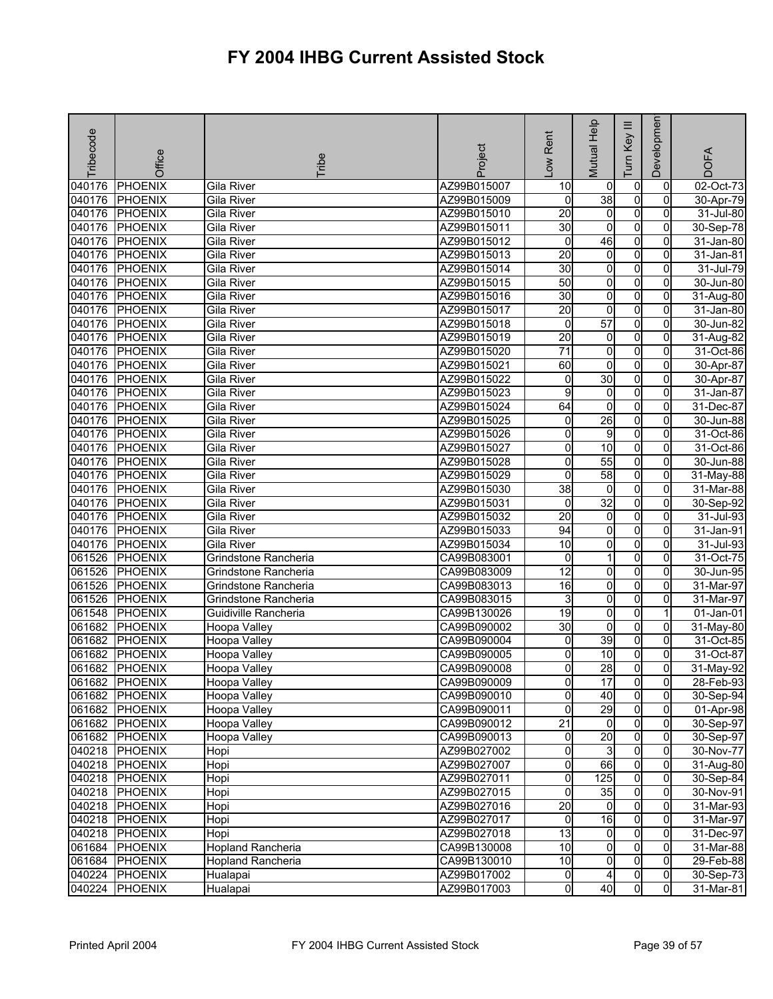| Tribecode | Office         | Tribe                    | Project     | -ow Rent        | Mutual Help     | Ξ<br>Tum Key   | Developmen     | <b>DOFA</b>             |
|-----------|----------------|--------------------------|-------------|-----------------|-----------------|----------------|----------------|-------------------------|
| 040176    | <b>PHOENIX</b> | Gila River               | AZ99B015007 | 10              | 0               | 0              | $\mathbf 0$    | $\overline{02}$ -Oct-73 |
| 040176    | <b>PHOENIX</b> | Gila River               | AZ99B015009 | o               | 38              | $\overline{0}$ | $\overline{0}$ | 30-Apr-79               |
| 040176    | <b>PHOENIX</b> | Gila River               | AZ99B015010 | $\overline{20}$ | $\overline{0}$  | $\overline{0}$ | 0              | 31-Jul-80               |
| 040176    | <b>PHOENIX</b> | <b>Gila River</b>        | AZ99B015011 | 30              | 0               | $\overline{0}$ | 0              | 30-Sep-78               |
| 040176    | <b>PHOENIX</b> | Gila River               | AZ99B015012 | $\mathbf 0$     | 46              | $\overline{0}$ | $\mathbf{0}$   | 31-Jan-80               |
| 040176    | <b>PHOENIX</b> | Gila River               | AZ99B015013 | $\overline{20}$ | $\overline{0}$  | $\overline{0}$ | $\overline{0}$ | 31-Jan-81               |
| 040176    | <b>PHOENIX</b> | Gila River               | AZ99B015014 | 30              | $\overline{0}$  | o              | 0              | 31-Jul-79               |
| 040176    | <b>PHOENIX</b> | Gila River               | AZ99B015015 | 50              | $\overline{0}$  | $\overline{0}$ | $\overline{0}$ | 30-Jun-80               |
| 040176    | <b>PHOENIX</b> | Gila River               | AZ99B015016 | 30              | $\overline{0}$  | $\pmb{0}$      | 0              | 31-Aug-80               |
| 040176    | <b>PHOENIX</b> | Gila River               | AZ99B015017 | $\overline{20}$ | 0               | O              | 0              | 31-Jan-80               |
| 040176    | <b>PHOENIX</b> | Gila River               | AZ99B015018 | 0               | 57              | $\overline{0}$ | $\overline{0}$ | 30-Jun-82               |
| 040176    | <b>PHOENIX</b> | Gila River               | AZ99B015019 | $\overline{20}$ | $\overline{0}$  | O              | 0              | 31-Aug-82               |
| 040176    | <b>PHOENIX</b> | Gila River               | AZ99B015020 | $\overline{71}$ | O               | $\overline{0}$ | $\Omega$       | 31-Oct-86               |
| 040176    | <b>PHOENIX</b> | <b>Gila River</b>        | AZ99B015021 | 60              | $\overline{0}$  | $\overline{0}$ | $\overline{0}$ | 30-Apr-87               |
| 040176    | <b>PHOENIX</b> | <b>Gila River</b>        | AZ99B015022 | 0               | 30              | $\overline{0}$ | 0              | 30-Apr-87               |
| 040176    | <b>PHOENIX</b> | Gila River               | AZ99B015023 | 9               | $\overline{0}$  | O              | $\overline{0}$ | 31-Jan-87               |
| 040176    | <b>PHOENIX</b> | Gila River               | AZ99B015024 | 64              | $\overline{0}$  | $\overline{0}$ | $\overline{0}$ | 31-Dec-87               |
| 040176    | <b>PHOENIX</b> | Gila River               | AZ99B015025 | 0               | 26              | $\overline{0}$ | 0              | 30-Jun-88               |
| 040176    | <b>PHOENIX</b> | <b>Gila River</b>        | AZ99B015026 | 0               | 9               | $\overline{0}$ | $\overline{0}$ | 31-Oct-86               |
| 040176    | <b>PHOENIX</b> | Gila River               | AZ99B015027 | 0               | $\overline{10}$ | $\pmb{0}$      | 0              | 31-Oct-86               |
| 040176    | <b>PHOENIX</b> | <b>Gila River</b>        | AZ99B015028 | 0               | 55              | $\overline{0}$ | 0              | 30-Jun-88               |
| 040176    | <b>PHOENIX</b> | <b>Gila River</b>        | AZ99B015029 | 0               | 58              | $\overline{0}$ | $\overline{0}$ | 31-May-88               |
| 040176    | <b>PHOENIX</b> | Gila River               | AZ99B015030 | $\overline{38}$ | $\overline{0}$  | $\pmb{0}$      | 0              | 31-Mar-88               |
| 040176    | <b>PHOENIX</b> | Gila River               | AZ99B015031 | 0               | $\overline{32}$ | $\overline{0}$ | $\Omega$       | 30-Sep-92               |
| 040176    | <b>PHOENIX</b> | Gila River               | AZ99B015032 | $\overline{20}$ | $\overline{0}$  | $\overline{0}$ | $\overline{0}$ | 31-Jul-93               |
| 040176    | <b>PHOENIX</b> | Gila River               | AZ99B015033 | 94              | 0               | $\overline{0}$ | 0              | 31-Jan-91               |
| 040176    | <b>PHOENIX</b> | Gila River               | AZ99B015034 | 10              | $\overline{0}$  | O              | 0              | 31-Jul-93               |
| 061526    | <b>PHOENIX</b> | Grindstone Rancheria     | CA99B083001 | $\mathbf 0$     | 1               | $\overline{0}$ | $\overline{0}$ | 31-Oct-75               |
| 061526    | <b>PHOENIX</b> | Grindstone Rancheria     | CA99B083009 | $\overline{12}$ | 0               | $\mathbf 0$    | 0              | 30-Jun-95               |
| 061526    | <b>PHOENIX</b> | Grindstone Rancheria     | CA99B083013 | 16              | $\overline{0}$  | $\overline{0}$ | $\overline{0}$ | 31-Mar-97               |
| 061526    | <b>PHOENIX</b> | Grindstone Rancheria     | CA99B083015 | ω               | $\overline{0}$  | $\overline{0}$ | 0              | 31-Mar-97               |
| 061548    | <b>PHOENIX</b> | Guidiville Rancheria     | CA99B130026 | $\overline{19}$ | $\overline{0}$  | $\overline{0}$ |                | 01-Jan-01               |
| 061682    | <b>PHOENIX</b> | Hoopa Valley             | CA99B090002 | 30              | $\overline{0}$  | $\overline{0}$ | $\overline{0}$ | 31-May-80               |
| 061682    | <b>PHOENIX</b> | Hoopa Valley             | CA99B090004 | 0               | 39              | $\mathbf 0$    | 0              | 31-Oct-85               |
| 061682    | <b>PHOENIX</b> | Hoopa Valley             | CA99B090005 | 0               | 10              | $\overline{0}$ | 0              | 31-Oct-87               |
| 061682    | <b>PHOENIX</b> | Hoopa Valley             | CA99B090008 | 0               | $\overline{28}$ | $\overline{0}$ | Οl             | 31-May-92               |
|           | 061682 PHOENIX | Hoopa Valley             | CA99B090009 | $\overline{0}$  | 17              | $\mathbf{0}$   | $\overline{0}$ | 28-Feb-93               |
|           | 061682 PHOENIX | Hoopa Valley             | CA99B090010 | 0               | 40              | $\overline{0}$ | 0              | 30-Sep-94               |
|           | 061682 PHOENIX | Hoopa Valley             | CA99B090011 | 0               | 29              | $\mathbf 0$    | $\mathbf{0}$   | 01-Apr-98               |
|           | 061682 PHOENIX | Hoopa Valley             | CA99B090012 | $\overline{21}$ | $\overline{0}$  | $\mathbf 0$    | 0              | 30-Sep-97               |
|           | 061682 PHOENIX | Hoopa Valley             | CA99B090013 | $\overline{0}$  | 20              | $\overline{0}$ | $\overline{0}$ | 30-Sep-97               |
|           | 040218 PHOENIX | Hopi                     | AZ99B027002 | 0               | 3               | $\overline{0}$ | 0              | 30-Nov-77               |
|           | 040218 PHOENIX | Hopi                     | AZ99B027007 | 0               | 66              | $\overline{0}$ | 0              | $\overline{31}$ -Aug-80 |
|           | 040218 PHOENIX | Hopi                     | AZ99B027011 | 0               | 125             | o              | $\mathbf{0}$   | 30-Sep-84               |
|           | 040218 PHOENIX | Hopi                     | AZ99B027015 | 0               | 35              | 0              | $\overline{0}$ | 30-Nov-91               |
|           | 040218 PHOENIX | Hopi                     | AZ99B027016 | 20              | $\overline{0}$  | 0              | 0              | 31-Mar-93               |
|           | 040218 PHOENIX | Hopi                     | AZ99B027017 | $\overline{0}$  | 16              | ō              | $\overline{0}$ | 31-Mar-97               |
|           | 040218 PHOENIX | Hopi                     | AZ99B027018 | $\overline{13}$ | $\overline{0}$  | $\mathbf 0$    | $\mathbf{0}$   | 31-Dec-97               |
|           | 061684 PHOENIX | <b>Hopland Rancheria</b> | CA99B130008 | 10              | 0               | $\mathbf 0$    | $\overline{0}$ | 31-Mar-88               |
|           | 061684 PHOENIX | <b>Hopland Rancheria</b> | CA99B130010 | 10              | $\overline{0}$  | $\mathbf 0$    | $\overline{0}$ | 29-Feb-88               |
|           | 040224 PHOENIX | Hualapai                 | AZ99B017002 | 0               | 4               | $\mathbf 0$    | $\overline{0}$ | 30-Sep-73               |
|           | 040224 PHOENIX | Hualapai                 | AZ99B017003 | $\overline{0}$  | 40              | $\overline{0}$ | ō              | 31-Mar-81               |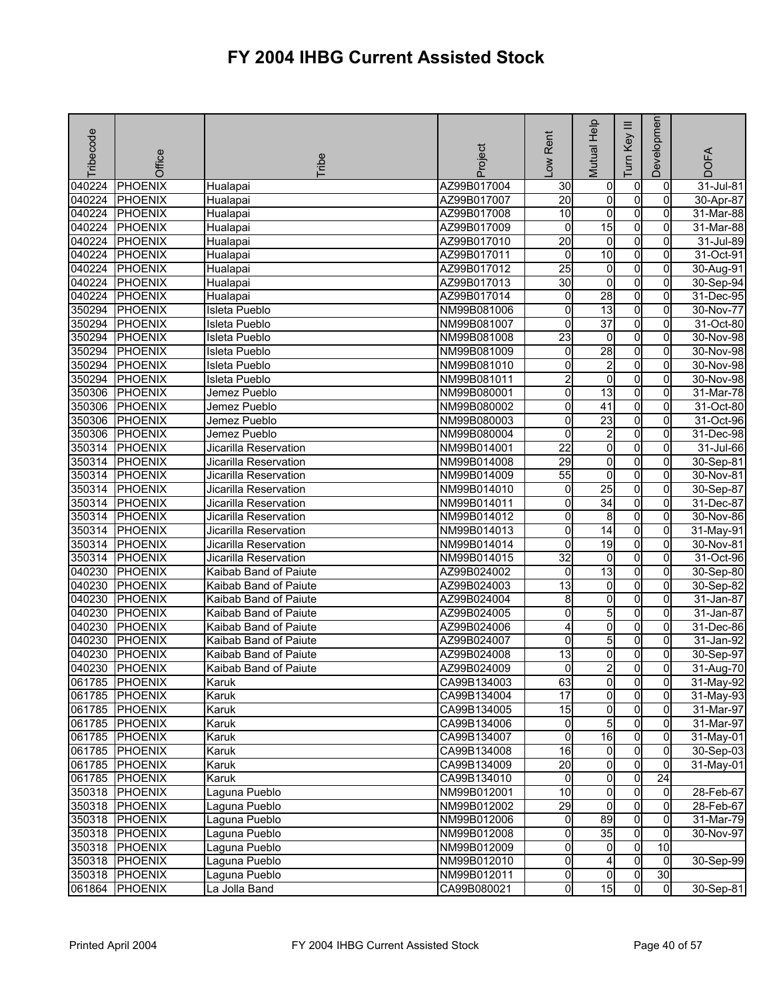| Tribecode | Office         | Tribe                 | Project     | Rent<br>$\sum_{i=1}^{n}$ | Mutual Help     | Ξ<br>Tum Key   | Developmen      | <b>DOFA</b> |
|-----------|----------------|-----------------------|-------------|--------------------------|-----------------|----------------|-----------------|-------------|
| 040224    | <b>PHOENIX</b> | Hualapai              | AZ99B017004 | 30                       | 0               | 0              | 0               | 31-Jul-81   |
| 040224    | <b>PHOENIX</b> | Hualapai              | AZ99B017007 | $\overline{20}$          | $\overline{0}$  | $\overline{0}$ | $\overline{0}$  | 30-Apr-87   |
| 040224    | PHOENIX        | Hualapai              | AZ99B017008 | 10                       | 0               | 0              | 0               | 31-Mar-88   |
| 040224    | <b>PHOENIX</b> | Hualapai              | AZ99B017009 | 0                        | 15              | $\overline{0}$ | 0               | 31-Mar-88   |
| 040224    | <b>PHOENIX</b> | Hualapai              | AZ99B017010 | 20                       | $\overline{0}$  | $\overline{0}$ | 0               | 31-Jul-89   |
| 040224    | <b>PHOENIX</b> | Hualapai              | AZ99B017011 | $\mathbf 0$              | 10              | $\overline{0}$ | 0               | 31-Oct-91   |
| 040224    | <b>PHOENIX</b> | Hualapai              | AZ99B017012 | $\overline{25}$          | 0               | $\overline{0}$ | 0               | 30-Aug-91   |
| 040224    | <b>PHOENIX</b> | Hualapai              | AZ99B017013 | 30                       | o               | $\overline{0}$ | $\overline{0}$  | 30-Sep-94   |
| 040224    | <b>PHOENIX</b> | Hualapai              | AZ99B017014 | 0                        | 28              | $\overline{0}$ | 0               | 31-Dec-95   |
| 350294    | <b>PHOENIX</b> | Isleta Pueblo         | NM99B081006 | 0                        | 13              | $\overline{0}$ | 0               | 30-Nov-77   |
| 350294    | <b>PHOENIX</b> | Isleta Pueblo         | NM99B081007 | 0                        | $\overline{37}$ | $\overline{0}$ | 0               | 31-Oct-80   |
| 350294    | <b>PHOENIX</b> | Isleta Pueblo         | NM99B081008 | $\overline{23}$          | 0               | $\overline{0}$ | 0               | 30-Nov-98   |
| 350294    | <b>PHOENIX</b> | Isleta Pueblo         | NM99B081009 | 0                        | 28              | 0              | $\Omega$        | 30-Nov-98   |
| 350294    | <b>PHOENIX</b> | <b>Isleta Pueblo</b>  | NM99B081010 | 0                        | $\overline{2}$  | $\overline{0}$ | $\mathbf{0}$    | 30-Nov-98   |
| 350294    | <b>PHOENIX</b> | Isleta Pueblo         | NM99B081011 | $\overline{c}$           | 0               | $\overline{0}$ | 0               | 30-Nov-98   |
| 350306    | <b>PHOENIX</b> | Jemez Pueblo          | NM99B080001 | 0                        | 13              | $\overline{0}$ | 0               | 31-Mar-78   |
| 350306    | <b>PHOENIX</b> | Jemez Pueblo          | NM99B080002 | 0                        | 41              | O              | 0               | 31-Oct-80   |
| 350306    | <b>PHOENIX</b> | Jemez Pueblo          | NM99B080003 | 0                        | 23              | $\overline{0}$ | 0               | 31-Oct-96   |
| 350306    | <b>PHOENIX</b> | Jemez Pueblo          | NM99B080004 | 0                        | $\overline{2}$  | $\overline{0}$ | 0               | 31-Dec-98   |
| 350314    | <b>PHOENIX</b> | Jicarilla Reservation | NM99B014001 | $\overline{22}$          | 0               | 0              | 0               | 31-Jul-66   |
| 350314    | <b>PHOENIX</b> | Jicarilla Reservation | NM99B014008 | 29                       | 0               | $\overline{0}$ | 0               | 30-Sep-81   |
| 350314    | <b>PHOENIX</b> | Jicarilla Reservation | NM99B014009 | 55                       | O               | $\overline{0}$ | 0               | 30-Nov-81   |
| 350314    | <b>PHOENIX</b> | Jicarilla Reservation | NM99B014010 | 0                        | $\overline{25}$ | $\overline{0}$ | 0               | 30-Sep-87   |
| 350314    | <b>PHOENIX</b> | Jicarilla Reservation | NM99B014011 | 0                        | $\overline{34}$ | O              | $\Omega$        | 31-Dec-87   |
| 350314    | PHOENIX        | Jicarilla Reservation | NM99B014012 | 0                        | 8               | $\overline{0}$ | $\overline{0}$  | 30-Nov-86   |
| 350314    | <b>PHOENIX</b> | Jicarilla Reservation | NM99B014013 | 0                        | $\overline{14}$ | $\overline{0}$ | 0               | 31-May-91   |
| 350314    | <b>PHOENIX</b> | Jicarilla Reservation | NM99B014014 | 0                        | 19              | $\overline{0}$ | $\overline{0}$  | 30-Nov-81   |
| 350314    | <b>PHOENIX</b> | Jicarilla Reservation | NM99B014015 | $\overline{32}$          | $\overline{0}$  | $\overline{0}$ | 0               | 31-Oct-96   |
| 040230    | <b>PHOENIX</b> | Kaibab Band of Paiute | AZ99B024002 | 0                        | 13              | $\overline{0}$ | 0               | 30-Sep-80   |
| 040230    | <b>PHOENIX</b> | Kaibab Band of Paiute | AZ99B024003 | 13                       | $\overline{0}$  | $\overline{0}$ | $\overline{0}$  | 30-Sep-82   |
| 040230    | PHOENIX        | Kaibab Band of Paiute | AZ99B024004 | 8                        | 0               | O              | 0               | 31-Jan-87   |
| 040230    | <b>PHOENIX</b> | Kaibab Band of Paiute | AZ99B024005 | 0                        | 5               | $\overline{0}$ | $\overline{0}$  | 31-Jan-87   |
| 040230    | <b>PHOENIX</b> | Kaibab Band of Paiute | AZ99B024006 | 4                        | o               | $\overline{0}$ | 0               | 31-Dec-86   |
| 040230    | <b>PHOENIX</b> | Kaibab Band of Paiute | AZ99B024007 | 0                        | 5               | $\overline{0}$ | 0               | 31-Jan-92   |
| 040230    | PHOENIX        | Kaibab Band of Paiute | AZ99B024008 | $\overline{13}$          | 0               | 0              | $\Omega$        | 30-Sep-97   |
| 040230    | PHOENIX        | Kaibab Band of Paiute | AZ99B024009 | 0                        | $\overline{c}$  | $\mathsf{o}$   | Οl              | 31-Aug-70   |
|           | 061785 PHOENIX | Karuk                 | CA99B134003 | 63                       | $\overline{0}$  | $\overline{0}$ | $\overline{0}$  | 31-May-92   |
|           | 061785 PHOENIX | Karuk                 | CA99B134004 | 17                       | $\overline{0}$  | $\overline{0}$ | $\mathbf{0}$    | 31-May-93   |
|           | 061785 PHOENIX | Karuk                 | CA99B134005 | 15                       | $\overline{0}$  | $\overline{0}$ | $\overline{0}$  | 31-Mar-97   |
|           | 061785 PHOENIX | Karuk                 | CA99B134006 | $\mathbf 0$              | 5               | $\overline{0}$ | 0               | 31-Mar-97   |
|           | 061785 PHOENIX | Karuk                 | CA99B134007 | o                        | 16              | $\overline{0}$ | $\overline{0}$  | $31-May-01$ |
|           | 061785 PHOENIX | Karuk                 | CA99B134008 | $\overline{16}$          | 0               | $\overline{0}$ | 0               | 30-Sep-03   |
|           | 061785 PHOENIX | Karuk                 | CA99B134009 | 20                       | 0               | $\overline{0}$ | $\overline{0}$  | 31-May-01   |
|           | 061785 PHOENIX | Karuk                 | CA99B134010 | $\mathbf 0$              | $\overline{0}$  | $\overline{0}$ | $\overline{24}$ |             |
|           | 350318 PHOENIX | Laguna Pueblo         | NM99B012001 | $\overline{10}$          | $\overline{0}$  | $\overline{0}$ | $\overline{0}$  | 28-Feb-67   |
|           | 350318 PHOENIX | Laguna Pueblo         | NM99B012002 | 29                       | 0               | $\overline{0}$ | 0               | 28-Feb-67   |
|           | 350318 PHOENIX | Laguna Pueblo         | NM99B012006 | $\overline{0}$           | 89              | $\overline{0}$ | $\overline{0}$  | 31-Mar-79   |
|           | 350318 PHOENIX | Laguna Pueblo         | NM99B012008 | 0                        | 35              | $\overline{0}$ | 0               | 30-Nov-97   |
|           | 350318 PHOENIX | Laguna Pueblo         | NM99B012009 | 0                        | 0               | $\overline{0}$ | 10              |             |
|           | 350318 PHOENIX | Laguna Pueblo         | NM99B012010 | $\overline{0}$           | 4               | $\overline{0}$ | $\overline{0}$  | 30-Sep-99   |
|           | 350318 PHOENIX | Laguna Pueblo         | NM99B012011 | 0                        | 0               | $\overline{0}$ | 30              |             |
|           | 061864 PHOENIX | La Jolla Band         | CA99B080021 | $\overline{0}$           | 15              | $\overline{0}$ | $\overline{0}$  | 30-Sep-81   |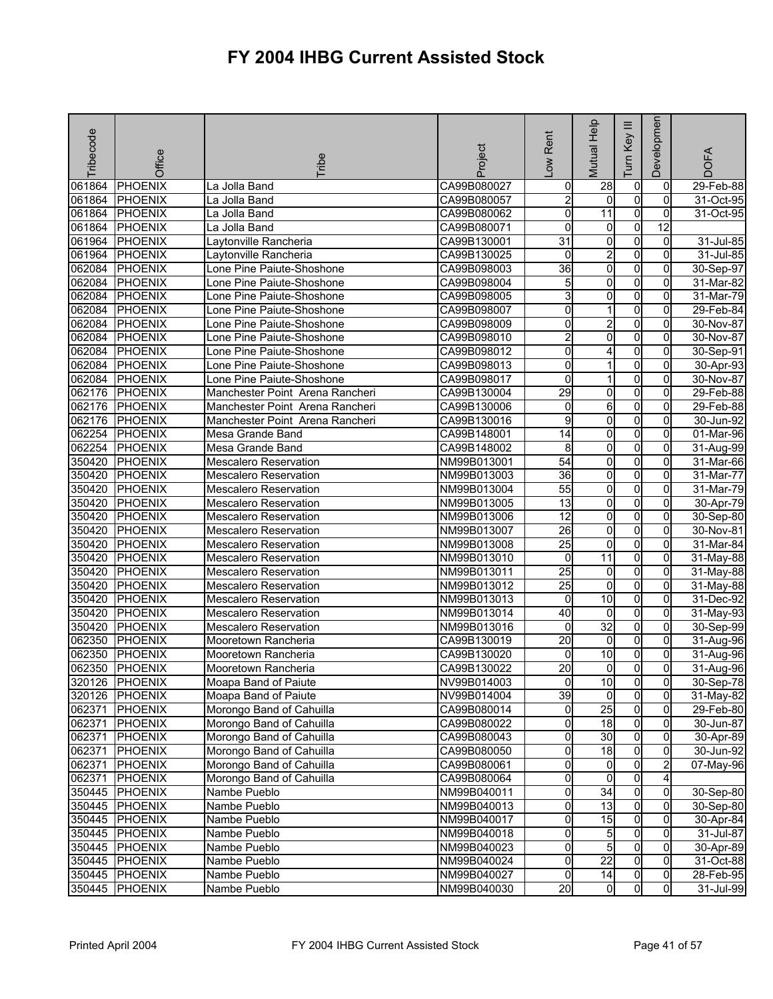| Tribecode | Office         | <b>Tribe</b>                    | Project     | -ow Rent            | Mutual Help     | Ξ<br>Key<br>Tum | Developmen      | <b>DOFA</b> |
|-----------|----------------|---------------------------------|-------------|---------------------|-----------------|-----------------|-----------------|-------------|
| 061864    | <b>PHOENIX</b> | La Jolla Band                   | CA99B080027 | 0                   | 28              | $\mathbf 0$     | 0               | 29-Feb-88   |
| 061864    | <b>PHOENIX</b> | La Jolla Band                   | CA99B080057 | $\overline{2}$      | $\mathbf 0$     | $\overline{0}$  | $\mathbf 0$     | 31-Oct-95   |
| 061864    | <b>PHOENIX</b> | La Jolla Band                   | CA99B080062 | 0                   | 11              | $\overline{0}$  | 0               | 31-Oct-95   |
| 061864    | <b>PHOENIX</b> | La Jolla Band                   | CA99B080071 | 0                   | 0               | $\overline{0}$  | $\overline{12}$ |             |
| 061964    | <b>PHOENIX</b> | Laytonville Rancheria           | CA99B130001 | 31                  | 0               | $\overline{0}$  | $\mathbf 0$     | 31-Jul-85   |
| 061964    | <b>PHOENIX</b> | Laytonville Rancheria           | CA99B130025 | 0                   | $\overline{2}$  | $\overline{0}$  | 0               | 31-Jul-85   |
| 062084    | <b>PHOENIX</b> | Lone Pine Paiute-Shoshone       | CA99B098003 | 36                  | $\overline{0}$  | $\overline{0}$  | 0               | 30-Sep-97   |
| 062084    | <b>PHOENIX</b> | Lone Pine Paiute-Shoshone       | CA99B098004 | 5                   | o               | $\overline{0}$  | 0               | 31-Mar-82   |
| 062084    | <b>PHOENIX</b> | Lone Pine Paiute-Shoshone       | CA99B098005 | 3                   | 0               | 0               | 0               | 31-Mar-79   |
| 062084    | <b>PHOENIX</b> | Lone Pine Paiute-Shoshone       | CA99B098007 | 0                   | 1               | $\overline{0}$  | 0               | 29-Feb-84   |
| 062084    | <b>PHOENIX</b> | Lone Pine Paiute-Shoshone       | CA99B098009 | 0                   | $\overline{c}$  | $\overline{0}$  | 0               | 30-Nov-87   |
| 062084    | <b>PHOENIX</b> | Lone Pine Paiute-Shoshone       | CA99B098010 | $\overline{2}$      | 0               | $\overline{0}$  | 0               | 30-Nov-87   |
| 062084    | <b>PHOENIX</b> | Lone Pine Paiute-Shoshone       | CA99B098012 | 0                   | 4               | 0               | $\Omega$        | 30-Sep-91   |
| 062084    | <b>PHOENIX</b> | Lone Pine Paiute-Shoshone       | CA99B098013 | 0                   | 1               | 0               | 0               | 30-Apr-93   |
| 062084    | <b>PHOENIX</b> | Lone Pine Paiute-Shoshone       | CA99B098017 | 0                   | 1               | $\overline{0}$  | 0               | 30-Nov-87   |
| 062176    | <b>PHOENIX</b> | Manchester Point Arena Rancheri | CA99B130004 | 29                  | 0               | $\overline{0}$  | 0               | 29-Feb-88   |
| 062176    | <b>PHOENIX</b> | Manchester Point Arena Rancheri | CA99B130006 | 0                   | 6               | $\overline{0}$  | $\overline{0}$  | 29-Feb-88   |
| 062176    | <b>PHOENIX</b> | Manchester Point Arena Rancheri | CA99B130016 | $\overline{9}$      | 0               | $\overline{0}$  | 0               | 30-Jun-92   |
| 062254    | <b>PHOENIX</b> | Mesa Grande Band                | CA99B148001 | $\overline{14}$     | o               | $\overline{0}$  | $\overline{0}$  | 01-Mar-96   |
| 062254    | <b>PHOENIX</b> | Mesa Grande Band                | CA99B148002 | 8                   | 0               | $\overline{0}$  | 0               | 31-Aug-99   |
| 350420    | <b>PHOENIX</b> | <b>Mescalero Reservation</b>    | NM99B013001 | 54                  | 0               | $\overline{0}$  | 0               | 31-Mar-66   |
| 350420    | <b>PHOENIX</b> | <b>Mescalero Reservation</b>    | NM99B013003 | 36                  | 0               | $\overline{0}$  | $\overline{0}$  | 31-Mar-77   |
| 350420    | <b>PHOENIX</b> | <b>Mescalero Reservation</b>    | NM99B013004 | 55                  | 0               | O               | 0               | 31-Mar-79   |
| 350420    | <b>PHOENIX</b> | <b>Mescalero Reservation</b>    | NM99B013005 | 13                  | 0               | $\overline{0}$  | 0               | 30-Apr-79   |
| 350420    | <b>PHOENIX</b> | <b>Mescalero Reservation</b>    | NM99B013006 | 12                  | o               | $\overline{0}$  | 0               | 30-Sep-80   |
| 350420    | <b>PHOENIX</b> | <b>Mescalero Reservation</b>    | NM99B013007 | $\overline{26}$     | 0               | $\overline{0}$  | 0               | 30-Nov-81   |
| 350420    | <b>PHOENIX</b> | <b>Mescalero Reservation</b>    | NM99B013008 | 25                  | 0               | $\overline{0}$  | 0               | 31-Mar-84   |
| 350420    | <b>PHOENIX</b> | <b>Mescalero Reservation</b>    | NM99B013010 | 0                   | $\overline{11}$ | $\overline{0}$  | 0               | 31-May-88   |
| 350420    | <b>PHOENIX</b> | <b>Mescalero Reservation</b>    | NM99B013011 | 25                  | 0               | 0               | 0               | 31-May-88   |
| 350420    | <b>PHOENIX</b> | <b>Mescalero Reservation</b>    | NM99B013012 | $\overline{25}$     | 0               | 0               | 0               | 31-May-88   |
| 350420    | PHOENIX        | <b>Mescalero Reservation</b>    | NM99B013013 | 0                   | $\overline{10}$ | $\overline{0}$  | $\overline{0}$  | 31-Dec-92   |
| 350420    | PHOENIX        | <b>Mescalero Reservation</b>    | NM99B013014 | 40                  | 0               | $\overline{0}$  | 0               | 31-May-93   |
| 350420    | <b>PHOENIX</b> | <b>Mescalero Reservation</b>    | NM99B013016 | 0                   | 32              | $\overline{0}$  | 0               | 30-Sep-99   |
| 062350    | <b>PHOENIX</b> | Mooretown Rancheria             | CA99B130019 | $\overline{20}$     | $\mathbf 0$     | O               | 0               | 31-Aug-96   |
| 062350    | PHOENIX        | Mooretown Rancheria             | CA99B130020 | 0                   | 10              | 0               | 0               | 31-Aug-96   |
| 062350    | <b>PHOENIX</b> | Mooretown Rancheria             | CA99B130022 | $\overline{20}$     | 0               | 0               | $\overline{0}$  | 31-Aug-96   |
|           | 320126 PHOENIX | Moapa Band of Paiute            | NV99B014003 | 0                   | 10              | 01              | $\overline{0}$  | 30-Sep-78   |
|           | 320126 PHOENIX | Moapa Band of Paiute            | NV99B014004 | 39                  | ō               | $\overline{0}$  | $\overline{0}$  | 31-May-82   |
| 062371    | PHOENIX        | Morongo Band of Cahuilla        | CA99B080014 | 0                   | 25              | $\overline{0}$  | $\mathbf{0}$    | 29-Feb-80   |
| 062371    | <b>PHOENIX</b> | Morongo Band of Cahuilla        | CA99B080022 | 0                   | 18              | $\overline{0}$  | 0               | 30-Jun-87   |
| 062371    | <b>PHOENIX</b> | Morongo Band of Cahuilla        | CA99B080043 | 0                   | 30              | $\overline{0}$  | $\Omega$        | 30-Apr-89   |
| 062371    | <b>PHOENIX</b> | Morongo Band of Cahuilla        | CA99B080050 | 0                   | 18              | $\overline{0}$  | $\mathbf{0}$    | 30-Jun-92   |
| 062371    | PHOENIX        | Morongo Band of Cahuilla        | CA99B080061 | 0                   | $\overline{0}$  | $\overline{0}$  | $\overline{2}$  | 07-May-96   |
| 062371    | PHOENIX        | Morongo Band of Cahuilla        | CA99B080064 | $\mathsf{O}\xspace$ | $\overline{0}$  | $\overline{0}$  | 4               |             |
|           | 350445 PHOENIX | Nambe Pueblo                    | NM99B040011 | 0                   | 34              | $\overline{0}$  | $\overline{0}$  | 30-Sep-80   |
|           | 350445 PHOENIX | Nambe Pueblo                    | NM99B040013 | 0                   | 13              | $\overline{0}$  | 0               | 30-Sep-80   |
|           | 350445 PHOENIX | Nambe Pueblo                    | NM99B040017 | 0                   | 15              | $\overline{0}$  | $\Omega$        | 30-Apr-84   |
| 350445    | <b>PHOENIX</b> | Nambe Pueblo                    | NM99B040018 | 0                   | $5\overline{)}$ | $\overline{0}$  | 0               | 31-Jul-87   |
|           | 350445 PHOENIX | Nambe Pueblo                    | NM99B040023 | $\mathsf{O}\xspace$ | 5               | $\overline{0}$  | $\overline{0}$  | 30-Apr-89   |
|           | 350445 PHOENIX | Nambe Pueblo                    | NM99B040024 | 0                   | $\overline{22}$ | $\overline{0}$  | 0               | 31-Oct-88   |
|           | 350445 PHOENIX | Nambe Pueblo                    | NM99B040027 | 0                   | 14              | 0               | $\overline{0}$  | 28-Feb-95   |
| 350445    | <b>PHOENIX</b> | Nambe Pueblo                    | NM99B040030 | 20                  | 0               | 0               | $\overline{0}$  | 31-Jul-99   |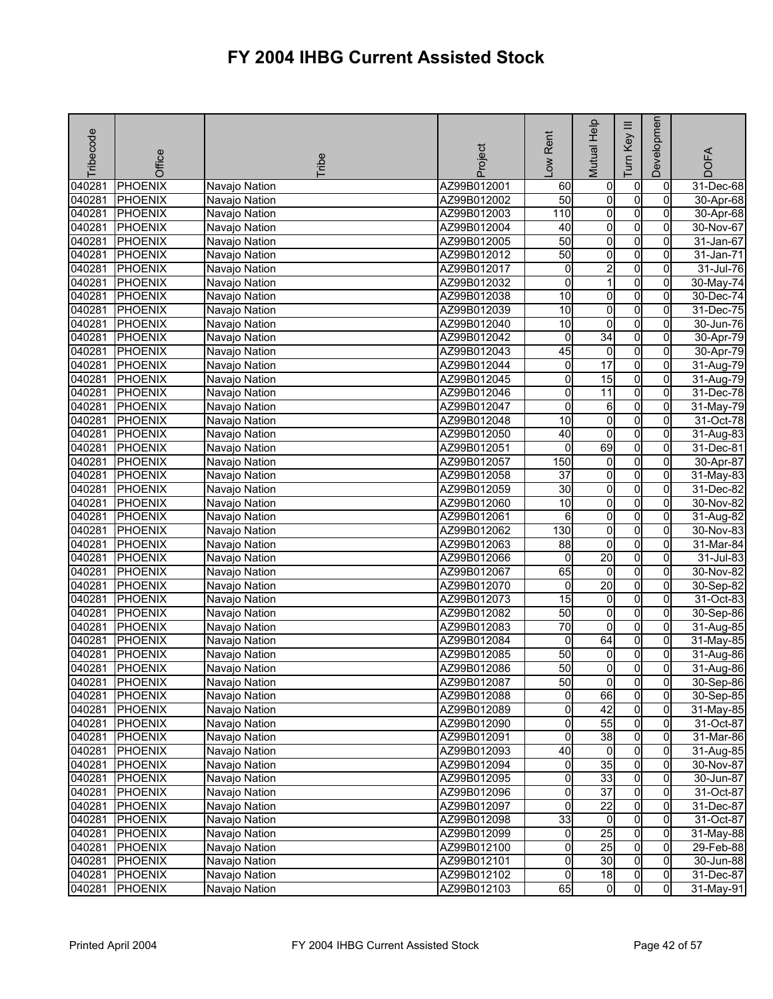| Tribecode        | Office                           | Tribe                          | Project                    | -ow Rent        | Mutual Help             | Ξ<br>Key<br>lum                  | Developmen     | <b>DOFA</b>            |
|------------------|----------------------------------|--------------------------------|----------------------------|-----------------|-------------------------|----------------------------------|----------------|------------------------|
|                  |                                  |                                |                            |                 |                         |                                  |                |                        |
| 040281           | <b>PHOENIX</b>                   | Navajo Nation                  | AZ99B012001                | 60              | 0                       | $\overline{0}$                   | 0              | 31-Dec-68              |
| 040281           | <b>PHOENIX</b>                   | Navajo Nation                  | AZ99B012002                | 50              | o                       | $\overline{0}$                   | $\Omega$       | 30-Apr-68              |
| 040281           | <b>PHOENIX</b>                   | Navajo Nation                  | AZ99B012003                | 110             | $\overline{\mathbf{0}}$ | $\overline{0}$                   | $\overline{0}$ | 30-Apr-68              |
| 040281           | <b>PHOENIX</b>                   | Navajo Nation                  | AZ99B012004                | 40              | o                       | $\overline{0}$                   | 0              | 30-Nov-67              |
| 040281           | <b>PHOENIX</b>                   | Navajo Nation                  | AZ99B012005                | 50              | $\overline{0}$          | $\overline{0}$                   | 0              | 31-Jan-67              |
| 040281           | <b>PHOENIX</b>                   | Navajo Nation                  | AZ99B012012                | 50              | $\overline{\mathbf{0}}$ | $\overline{0}$                   | $\overline{0}$ | 31-Jan-71              |
| 040281           | <b>PHOENIX</b>                   | Navajo Nation                  | AZ99B012017                | 0               | $\overline{2}$          | $\overline{0}$                   | 0              | $31$ -Jul-76           |
| 040281           | <b>PHOENIX</b>                   | Navajo Nation                  | AZ99B012032                | o               | $\mathbf{1}$            | $\overline{0}$                   | $\overline{0}$ | 30-May-74              |
| 040281           | <b>PHOENIX</b>                   | Navajo Nation                  | AZ99B012038                | 10              | 0                       | $\overline{0}$                   | $\overline{0}$ | 30-Dec-74              |
| 040281           | <b>PHOENIX</b>                   | Navajo Nation                  | AZ99B012039                | 10              | 0                       | $\overline{0}$                   | 0              | $31$ -Dec-75           |
| 040281           | <b>PHOENIX</b>                   | Navajo Nation                  | AZ99B012040                | 10              | ō                       | $\overline{0}$                   | 0              | 30-Jun-76              |
| 040281           | <b>PHOENIX</b>                   | Navajo Nation                  | AZ99B012042                | 0               | 34                      | $\overline{0}$                   | 0              | 30-Apr-79              |
| 040281           | <b>PHOENIX</b>                   | Navajo Nation                  | AZ99B012043                | 45              | $\mathbf 0$             | 0                                | 0              | 30-Apr-79              |
| 040281           | <b>PHOENIX</b>                   | Navajo Nation                  | AZ99B012044                | 0               | $\overline{17}$         | 0                                | $\overline{0}$ | 31-Aug-79              |
| 040281           | <b>PHOENIX</b>                   | Navajo Nation                  | AZ99B012045                | 0               | 15                      | $\overline{0}$                   | 0              | 31-Aug-79              |
| 040281           | <b>PHOENIX</b>                   | Navajo Nation                  | AZ99B012046                | 0               | $\overline{11}$         | $\overline{0}$                   | 0              | 31-Dec-78              |
| 040281           | PHOENIX                          | Navajo Nation                  | AZ99B012047                | 0               | $\,6$                   | $\overline{0}$                   | $\overline{0}$ | 31-May-79              |
| 040281           | <b>PHOENIX</b>                   | Navajo Nation                  | AZ99B012048                | 10              | o                       | $\overline{0}$                   | 0              | 31-Oct-78              |
| 040281           | <b>PHOENIX</b>                   | Navajo Nation                  | AZ99B012050                | 40              | ō<br>69                 | $\overline{0}$                   | $\overline{0}$ | 31-Aug-83              |
| 040281           | <b>PHOENIX</b>                   | Navajo Nation                  | AZ99B012051                | 0               |                         | $\overline{0}$                   | $\overline{0}$ | 31-Dec-81              |
| 040281<br>040281 | <b>PHOENIX</b>                   | Navajo Nation                  | AZ99B012057                | 150             | $\overline{0}$          | $\overline{0}$                   | 0              | 30-Apr-87              |
|                  | <b>PHOENIX</b>                   | Navajo Nation                  | AZ99B012058                | 37              | $\overline{0}$          | $\overline{0}$                   | 0              | 31-May-83              |
| 040281           | <b>PHOENIX</b>                   | Navajo Nation                  | AZ99B012059                | 30              | $\overline{0}$          | O                                | 0              | 31-Dec-82              |
| 040281           | <b>PHOENIX</b>                   | Navajo Nation                  | AZ99B012060                | 10              | 0                       | $\overline{0}$<br>O              | 0              | 30-Nov-82              |
| 040281           | <b>PHOENIX</b>                   | Navajo Nation                  | AZ99B012061                | $\overline{6}$  | o                       |                                  | 0              | 31-Aug-82              |
| 040281           | <b>PHOENIX</b>                   | Navajo Nation                  | AZ99B012062                | 130             | $\mathsf{O}\xspace$     | $\overline{0}$<br>$\overline{0}$ | 0              | 30-Nov-83              |
| 040281           | <b>PHOENIX</b>                   | Navajo Nation                  | AZ99B012063                | 88              | 0<br>20                 | $\overline{0}$                   | 0<br>0         | 31-Mar-84              |
| 040281<br>040281 | <b>PHOENIX</b>                   | Navajo Nation                  | AZ99B012066                | $\pmb{0}$<br>65 | ō                       | $\overline{0}$                   |                | 31-Jul-83              |
| 040281           | <b>PHOENIX</b><br><b>PHOENIX</b> | Navajo Nation                  | AZ99B012067<br>AZ99B012070 | 0               | 20                      | 0                                | 0<br>0         | 30-Nov-82<br>30-Sep-82 |
|                  |                                  | Navajo Nation                  |                            |                 |                         | $\overline{0}$                   | $\overline{0}$ |                        |
| 040281<br>040281 | <b>PHOENIX</b>                   | Navajo Nation                  | AZ99B012073                | 15<br>50        | $\overline{0}$<br>0     | $\overline{0}$                   | 0              | 31-Oct-83              |
|                  | <b>PHOENIX</b>                   | Navajo Nation                  | AZ99B012082                | 70              | ō                       | $\overline{0}$                   | $\overline{0}$ | 30-Sep-86              |
| 040281<br>040281 | PHOENIX<br><b>PHOENIX</b>        | Navajo Nation                  | AZ99B012083                | 0               | 64                      | O                                | $\overline{0}$ | 31-Aug-85              |
| 040281           | <b>PHOENIX</b>                   | Navajo Nation                  | AZ99B012084<br>AZ99B012085 | 50              | 0                       | 0                                | 0              | 31-May-85              |
| 040281           | <b>PHOENIX</b>                   | Navajo Nation                  | AZ99B012086                | 50              | 0                       | $\overline{0}$                   | $\overline{0}$ | 31-Aug-86<br>31-Aug-86 |
| 040281           | PHOENIX                          | Navajo Nation<br>Navajo Nation | AZ99B012087                | 50              |                         |                                  | $\overline{0}$ | 30-Sep-86              |
| 040281           | <b>PHOENIX</b>                   | Navajo Nation                  | AZ99B012088                | 0               | 01<br>66                | 01<br>$\overline{0}$             | $\mathbf{0}$   | 30-Sep-85              |
|                  |                                  | Navajo Nation                  |                            |                 | 42                      | $\overline{0}$                   | $\mathbf{0}$   |                        |
| 040281           | <b>PHOENIX</b><br><b>PHOENIX</b> |                                | AZ99B012089                | 0<br>0          | 55                      | $\overline{0}$                   | 0              | 31-May-85              |
| 040281<br>040281 | <b>PHOENIX</b>                   | Navajo Nation<br>Navajo Nation | AZ99B012090                | 0               | 38                      | 0                                | 0              | 31-Oct-87              |
| 040281           | <b>PHOENIX</b>                   |                                | AZ99B012091                | 40              | $\overline{0}$          | $\overline{0}$                   | $\mathbf{0}$   | 31-Mar-86              |
| 040281           | <b>PHOENIX</b>                   | Navajo Nation<br>Navajo Nation | AZ99B012093<br>AZ99B012094 | 0               | 35                      | $\overline{0}$                   | 0              | 31-Aug-85<br>30-Nov-87 |
| 040281           |                                  |                                |                            |                 | 33                      | $\overline{0}$                   | 0              |                        |
| 040281           | PHOENIX<br>PHOENIX               | Navajo Nation<br>Navajo Nation | AZ99B012095<br>AZ99B012096 | 0<br>0          | $\overline{37}$         | $\overline{0}$                   | $\overline{0}$ | 30-Jun-87<br>31-Oct-87 |
| 040281           | PHOENIX                          | Navajo Nation                  | AZ99B012097                | 0               | $\overline{22}$         | $\overline{0}$                   | $\overline{0}$ | 31-Dec-87              |
| 040281           | <b>PHOENIX</b>                   | Navajo Nation                  | AZ99B012098                | 33              | $\overline{0}$          | $\overline{0}$                   | $\Omega$       | 31-Oct-87              |
| 040281           | <b>PHOENIX</b>                   | Navajo Nation                  | AZ99B012099                | 0               | $\overline{25}$         | 0                                | 0              | 31-May-88              |
| 040281           | <b>PHOENIX</b>                   | Navajo Nation                  | AZ99B012100                | 0               | 25                      | $\overline{0}$                   | 0              | 29-Feb-88              |
| 040281           | <b>PHOENIX</b>                   | Navajo Nation                  | AZ99B012101                | 0               | 30                      | $\overline{0}$                   | $\overline{0}$ | 30-Jun-88              |
| 040281           | <b>PHOENIX</b>                   | Navajo Nation                  | AZ99B012102                | 0               | 18                      | 0                                | $\overline{0}$ | 31-Dec-87              |
| 040281           | <b>PHOENIX</b>                   | Navajo Nation                  | AZ99B012103                | 65              | $\mathbf{0}$            | 0                                | $\overline{0}$ | 31-May-91              |
|                  |                                  |                                |                            |                 |                         |                                  |                |                        |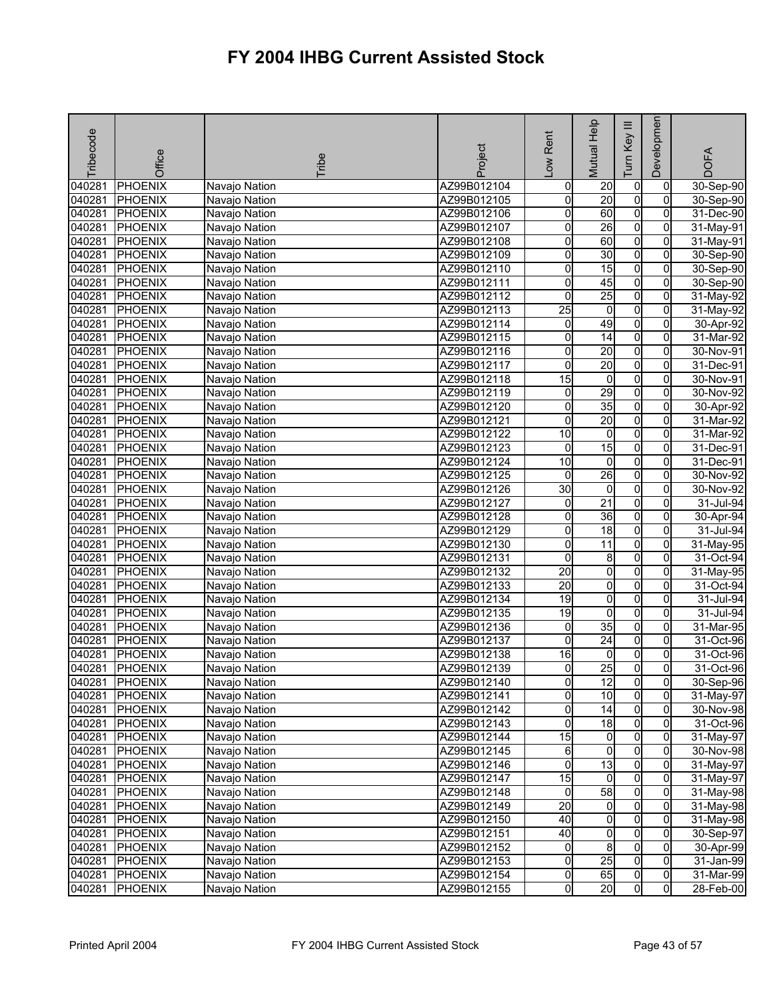| <b>PHOENIX</b><br>o<br>040281<br>Navajo Nation<br>AZ99B012104<br>$\overline{20}$<br>$\pmb{0}$<br>0<br>20<br>$\overline{0}$<br>o<br>040281<br><b>PHOENIX</b><br>AZ99B012105<br>$\overline{0}$<br>Navajo Nation<br>Ō<br>60<br>O<br>040281<br>0<br><b>PHOENIX</b><br>AZ99B012106<br>Navajo Nation<br>$\overline{0}$<br>26<br>040281<br><b>PHOENIX</b><br>0<br>Navajo Nation<br>AZ99B012107<br>0<br>60<br>$\overline{0}$<br>040281<br><b>PHOENIX</b><br>AZ99B012108<br>0<br>$\mathbf{0}$<br>Navajo Nation<br>30<br>$\overline{0}$<br>040281<br><b>PHOENIX</b><br>AZ99B012109<br>0<br>0<br>Navajo Nation<br>15<br>$\overline{0}$<br>040281<br><b>PHOENIX</b><br>AZ99B012110<br>0<br>0<br>Navajo Nation<br>$\overline{0}$<br>040281<br>$\overline{0}$<br>45<br>$\overline{0}$<br><b>PHOENIX</b><br>AZ99B012111<br>Navajo Nation<br>25<br>$\overline{0}$<br>040281<br>0<br>$\overline{0}$<br><b>PHOENIX</b><br>AZ99B012112<br>Navajo Nation<br>$\overline{0}$<br>$\mathbf 0$<br>040281<br><b>PHOENIX</b><br>$\overline{25}$<br>AZ99B012113<br>0<br>Navajo Nation<br>49<br>$\overline{0}$<br>040281<br>$\mathsf{O}\xspace$<br>$\overline{0}$<br><b>PHOENIX</b><br>AZ99B012114<br>Navajo Nation<br>14<br>040281<br>$\overline{0}$<br><b>PHOENIX</b><br>AZ99B012115<br>0<br>0<br>Navajo Nation<br>0<br>040281<br>0<br>20<br><b>PHOENIX</b><br>AZ99B012116<br>$\Omega$<br>Navajo Nation<br>20<br>$\overline{0}$<br>040281<br>0<br>$\overline{0}$<br><b>PHOENIX</b><br>AZ99B012117<br>Navajo Nation<br>$\overline{0}$<br>040281<br>15<br>O<br><b>PHOENIX</b><br>0<br>Navajo Nation<br>AZ99B012118<br>29<br>$\overline{0}$<br>040281<br>0<br><b>PHOENIX</b><br>AZ99B012119<br>0<br>Navajo Nation<br>35<br>$\overline{0}$<br>Ō<br>040281<br><b>PHOENIX</b><br>0<br>Navajo Nation<br>AZ99B012120<br>20<br>$\overline{0}$<br>040281<br><b>PHOENIX</b><br>AZ99B012121<br>0<br>0<br>Navajo Nation<br>O<br>040281<br>10<br>o<br>$\overline{0}$<br><b>PHOENIX</b><br>AZ99B012122<br>Navajo Nation<br>15<br>0<br>040281<br><b>PHOENIX</b><br>AZ99B012123<br>0<br>0<br>Navajo Nation<br>0<br>040281<br>10<br>$\mathbf 0$<br><b>PHOENIX</b><br>AZ99B012124<br>0<br>Navajo Nation<br>26<br>$\overline{0}$<br>040281<br>$\mathbf 0$<br>$\overline{0}$<br><b>PHOENIX</b><br>AZ99B012125<br>Navajo Nation<br>30<br>$\overline{0}$<br>040281<br><b>PHOENIX</b><br>$\overline{0}$<br>AZ99B012126<br>0<br>Navajo Nation | <b>DOFA</b>            |
|-------------------------------------------------------------------------------------------------------------------------------------------------------------------------------------------------------------------------------------------------------------------------------------------------------------------------------------------------------------------------------------------------------------------------------------------------------------------------------------------------------------------------------------------------------------------------------------------------------------------------------------------------------------------------------------------------------------------------------------------------------------------------------------------------------------------------------------------------------------------------------------------------------------------------------------------------------------------------------------------------------------------------------------------------------------------------------------------------------------------------------------------------------------------------------------------------------------------------------------------------------------------------------------------------------------------------------------------------------------------------------------------------------------------------------------------------------------------------------------------------------------------------------------------------------------------------------------------------------------------------------------------------------------------------------------------------------------------------------------------------------------------------------------------------------------------------------------------------------------------------------------------------------------------------------------------------------------------------------------------------------------------------------------------------------------------------------------------------------------------------------------------------------------------------------------------------------------------------------------------------------------------------------------------------------------------------------------------------------------------------------------------|------------------------|
|                                                                                                                                                                                                                                                                                                                                                                                                                                                                                                                                                                                                                                                                                                                                                                                                                                                                                                                                                                                                                                                                                                                                                                                                                                                                                                                                                                                                                                                                                                                                                                                                                                                                                                                                                                                                                                                                                                                                                                                                                                                                                                                                                                                                                                                                                                                                                                                           | 30-Sep-90              |
|                                                                                                                                                                                                                                                                                                                                                                                                                                                                                                                                                                                                                                                                                                                                                                                                                                                                                                                                                                                                                                                                                                                                                                                                                                                                                                                                                                                                                                                                                                                                                                                                                                                                                                                                                                                                                                                                                                                                                                                                                                                                                                                                                                                                                                                                                                                                                                                           | 30-Sep-90              |
|                                                                                                                                                                                                                                                                                                                                                                                                                                                                                                                                                                                                                                                                                                                                                                                                                                                                                                                                                                                                                                                                                                                                                                                                                                                                                                                                                                                                                                                                                                                                                                                                                                                                                                                                                                                                                                                                                                                                                                                                                                                                                                                                                                                                                                                                                                                                                                                           | 31-Dec-90              |
|                                                                                                                                                                                                                                                                                                                                                                                                                                                                                                                                                                                                                                                                                                                                                                                                                                                                                                                                                                                                                                                                                                                                                                                                                                                                                                                                                                                                                                                                                                                                                                                                                                                                                                                                                                                                                                                                                                                                                                                                                                                                                                                                                                                                                                                                                                                                                                                           | 31-May-91              |
|                                                                                                                                                                                                                                                                                                                                                                                                                                                                                                                                                                                                                                                                                                                                                                                                                                                                                                                                                                                                                                                                                                                                                                                                                                                                                                                                                                                                                                                                                                                                                                                                                                                                                                                                                                                                                                                                                                                                                                                                                                                                                                                                                                                                                                                                                                                                                                                           | 31-May-91              |
|                                                                                                                                                                                                                                                                                                                                                                                                                                                                                                                                                                                                                                                                                                                                                                                                                                                                                                                                                                                                                                                                                                                                                                                                                                                                                                                                                                                                                                                                                                                                                                                                                                                                                                                                                                                                                                                                                                                                                                                                                                                                                                                                                                                                                                                                                                                                                                                           | 30-Sep-90              |
|                                                                                                                                                                                                                                                                                                                                                                                                                                                                                                                                                                                                                                                                                                                                                                                                                                                                                                                                                                                                                                                                                                                                                                                                                                                                                                                                                                                                                                                                                                                                                                                                                                                                                                                                                                                                                                                                                                                                                                                                                                                                                                                                                                                                                                                                                                                                                                                           | 30-Sep-90              |
|                                                                                                                                                                                                                                                                                                                                                                                                                                                                                                                                                                                                                                                                                                                                                                                                                                                                                                                                                                                                                                                                                                                                                                                                                                                                                                                                                                                                                                                                                                                                                                                                                                                                                                                                                                                                                                                                                                                                                                                                                                                                                                                                                                                                                                                                                                                                                                                           | 30-Sep-90              |
|                                                                                                                                                                                                                                                                                                                                                                                                                                                                                                                                                                                                                                                                                                                                                                                                                                                                                                                                                                                                                                                                                                                                                                                                                                                                                                                                                                                                                                                                                                                                                                                                                                                                                                                                                                                                                                                                                                                                                                                                                                                                                                                                                                                                                                                                                                                                                                                           | 31-May-92              |
|                                                                                                                                                                                                                                                                                                                                                                                                                                                                                                                                                                                                                                                                                                                                                                                                                                                                                                                                                                                                                                                                                                                                                                                                                                                                                                                                                                                                                                                                                                                                                                                                                                                                                                                                                                                                                                                                                                                                                                                                                                                                                                                                                                                                                                                                                                                                                                                           | 31-May-92              |
|                                                                                                                                                                                                                                                                                                                                                                                                                                                                                                                                                                                                                                                                                                                                                                                                                                                                                                                                                                                                                                                                                                                                                                                                                                                                                                                                                                                                                                                                                                                                                                                                                                                                                                                                                                                                                                                                                                                                                                                                                                                                                                                                                                                                                                                                                                                                                                                           | 30-Apr-92              |
|                                                                                                                                                                                                                                                                                                                                                                                                                                                                                                                                                                                                                                                                                                                                                                                                                                                                                                                                                                                                                                                                                                                                                                                                                                                                                                                                                                                                                                                                                                                                                                                                                                                                                                                                                                                                                                                                                                                                                                                                                                                                                                                                                                                                                                                                                                                                                                                           | 31-Mar-92              |
|                                                                                                                                                                                                                                                                                                                                                                                                                                                                                                                                                                                                                                                                                                                                                                                                                                                                                                                                                                                                                                                                                                                                                                                                                                                                                                                                                                                                                                                                                                                                                                                                                                                                                                                                                                                                                                                                                                                                                                                                                                                                                                                                                                                                                                                                                                                                                                                           | 30-Nov-91              |
|                                                                                                                                                                                                                                                                                                                                                                                                                                                                                                                                                                                                                                                                                                                                                                                                                                                                                                                                                                                                                                                                                                                                                                                                                                                                                                                                                                                                                                                                                                                                                                                                                                                                                                                                                                                                                                                                                                                                                                                                                                                                                                                                                                                                                                                                                                                                                                                           | 31-Dec-91              |
|                                                                                                                                                                                                                                                                                                                                                                                                                                                                                                                                                                                                                                                                                                                                                                                                                                                                                                                                                                                                                                                                                                                                                                                                                                                                                                                                                                                                                                                                                                                                                                                                                                                                                                                                                                                                                                                                                                                                                                                                                                                                                                                                                                                                                                                                                                                                                                                           | 30-Nov-91              |
|                                                                                                                                                                                                                                                                                                                                                                                                                                                                                                                                                                                                                                                                                                                                                                                                                                                                                                                                                                                                                                                                                                                                                                                                                                                                                                                                                                                                                                                                                                                                                                                                                                                                                                                                                                                                                                                                                                                                                                                                                                                                                                                                                                                                                                                                                                                                                                                           | 30-Nov-92              |
|                                                                                                                                                                                                                                                                                                                                                                                                                                                                                                                                                                                                                                                                                                                                                                                                                                                                                                                                                                                                                                                                                                                                                                                                                                                                                                                                                                                                                                                                                                                                                                                                                                                                                                                                                                                                                                                                                                                                                                                                                                                                                                                                                                                                                                                                                                                                                                                           | 30-Apr-92              |
|                                                                                                                                                                                                                                                                                                                                                                                                                                                                                                                                                                                                                                                                                                                                                                                                                                                                                                                                                                                                                                                                                                                                                                                                                                                                                                                                                                                                                                                                                                                                                                                                                                                                                                                                                                                                                                                                                                                                                                                                                                                                                                                                                                                                                                                                                                                                                                                           | 31-Mar-92              |
|                                                                                                                                                                                                                                                                                                                                                                                                                                                                                                                                                                                                                                                                                                                                                                                                                                                                                                                                                                                                                                                                                                                                                                                                                                                                                                                                                                                                                                                                                                                                                                                                                                                                                                                                                                                                                                                                                                                                                                                                                                                                                                                                                                                                                                                                                                                                                                                           | 31-Mar-92              |
|                                                                                                                                                                                                                                                                                                                                                                                                                                                                                                                                                                                                                                                                                                                                                                                                                                                                                                                                                                                                                                                                                                                                                                                                                                                                                                                                                                                                                                                                                                                                                                                                                                                                                                                                                                                                                                                                                                                                                                                                                                                                                                                                                                                                                                                                                                                                                                                           | 31-Dec-91              |
|                                                                                                                                                                                                                                                                                                                                                                                                                                                                                                                                                                                                                                                                                                                                                                                                                                                                                                                                                                                                                                                                                                                                                                                                                                                                                                                                                                                                                                                                                                                                                                                                                                                                                                                                                                                                                                                                                                                                                                                                                                                                                                                                                                                                                                                                                                                                                                                           | 31-Dec-91              |
|                                                                                                                                                                                                                                                                                                                                                                                                                                                                                                                                                                                                                                                                                                                                                                                                                                                                                                                                                                                                                                                                                                                                                                                                                                                                                                                                                                                                                                                                                                                                                                                                                                                                                                                                                                                                                                                                                                                                                                                                                                                                                                                                                                                                                                                                                                                                                                                           | 30-Nov-92              |
|                                                                                                                                                                                                                                                                                                                                                                                                                                                                                                                                                                                                                                                                                                                                                                                                                                                                                                                                                                                                                                                                                                                                                                                                                                                                                                                                                                                                                                                                                                                                                                                                                                                                                                                                                                                                                                                                                                                                                                                                                                                                                                                                                                                                                                                                                                                                                                                           | 30-Nov-92              |
| $\overline{0}$<br>$\overline{21}$<br>040281<br><b>PHOENIX</b><br>AZ99B012127<br>0<br>$\Omega$<br>Navajo Nation                                                                                                                                                                                                                                                                                                                                                                                                                                                                                                                                                                                                                                                                                                                                                                                                                                                                                                                                                                                                                                                                                                                                                                                                                                                                                                                                                                                                                                                                                                                                                                                                                                                                                                                                                                                                                                                                                                                                                                                                                                                                                                                                                                                                                                                                            | 31-Jul-94              |
| $\overline{0}$<br>040281<br>0<br>36<br>$\overline{0}$<br><b>PHOENIX</b><br>AZ99B012128<br>Navajo Nation                                                                                                                                                                                                                                                                                                                                                                                                                                                                                                                                                                                                                                                                                                                                                                                                                                                                                                                                                                                                                                                                                                                                                                                                                                                                                                                                                                                                                                                                                                                                                                                                                                                                                                                                                                                                                                                                                                                                                                                                                                                                                                                                                                                                                                                                                   | 30-Apr-94              |
| $\overline{0}$<br>18<br>040281<br><b>PHOENIX</b><br>0<br>0<br>AZ99B012129<br>Navajo Nation                                                                                                                                                                                                                                                                                                                                                                                                                                                                                                                                                                                                                                                                                                                                                                                                                                                                                                                                                                                                                                                                                                                                                                                                                                                                                                                                                                                                                                                                                                                                                                                                                                                                                                                                                                                                                                                                                                                                                                                                                                                                                                                                                                                                                                                                                                | 31-Jul-94              |
| $\overline{0}$<br>040281<br>0<br>$\overline{11}$<br><b>PHOENIX</b><br>AZ99B012130<br>$\overline{0}$<br>Navajo Nation                                                                                                                                                                                                                                                                                                                                                                                                                                                                                                                                                                                                                                                                                                                                                                                                                                                                                                                                                                                                                                                                                                                                                                                                                                                                                                                                                                                                                                                                                                                                                                                                                                                                                                                                                                                                                                                                                                                                                                                                                                                                                                                                                                                                                                                                      | 31-May-95              |
| $\overline{0}$<br>040281<br><b>PHOENIX</b><br>0<br>8<br>0<br>AZ99B012131<br>Navajo Nation                                                                                                                                                                                                                                                                                                                                                                                                                                                                                                                                                                                                                                                                                                                                                                                                                                                                                                                                                                                                                                                                                                                                                                                                                                                                                                                                                                                                                                                                                                                                                                                                                                                                                                                                                                                                                                                                                                                                                                                                                                                                                                                                                                                                                                                                                                 | 31-Oct-94              |
| 040281<br>0<br>0<br><b>PHOENIX</b><br>AZ99B012132<br>20<br>0<br>Navajo Nation                                                                                                                                                                                                                                                                                                                                                                                                                                                                                                                                                                                                                                                                                                                                                                                                                                                                                                                                                                                                                                                                                                                                                                                                                                                                                                                                                                                                                                                                                                                                                                                                                                                                                                                                                                                                                                                                                                                                                                                                                                                                                                                                                                                                                                                                                                             | 31-May-95              |
| 040281<br>20<br>O<br>$\overline{0}$<br><b>PHOENIX</b><br>AZ99B012133<br>$\Omega$<br>Navajo Nation                                                                                                                                                                                                                                                                                                                                                                                                                                                                                                                                                                                                                                                                                                                                                                                                                                                                                                                                                                                                                                                                                                                                                                                                                                                                                                                                                                                                                                                                                                                                                                                                                                                                                                                                                                                                                                                                                                                                                                                                                                                                                                                                                                                                                                                                                         | 31-Oct-94              |
| 0<br>040281<br>AZ99B012134<br>19<br>0<br><b>PHOENIX</b><br>0<br>Navajo Nation                                                                                                                                                                                                                                                                                                                                                                                                                                                                                                                                                                                                                                                                                                                                                                                                                                                                                                                                                                                                                                                                                                                                                                                                                                                                                                                                                                                                                                                                                                                                                                                                                                                                                                                                                                                                                                                                                                                                                                                                                                                                                                                                                                                                                                                                                                             | 31-Jul-94              |
| $\overline{0}$<br>040281<br><b>PHOENIX</b><br>19<br>0<br>AZ99B012135<br>Navajo Nation<br>0<br>35                                                                                                                                                                                                                                                                                                                                                                                                                                                                                                                                                                                                                                                                                                                                                                                                                                                                                                                                                                                                                                                                                                                                                                                                                                                                                                                                                                                                                                                                                                                                                                                                                                                                                                                                                                                                                                                                                                                                                                                                                                                                                                                                                                                                                                                                                          | 31-Jul-94              |
| $\overline{0}$<br>0<br>0<br>040281<br>PHOENIX<br>AZ99B012136<br>Navajo Nation<br>$\overline{24}$                                                                                                                                                                                                                                                                                                                                                                                                                                                                                                                                                                                                                                                                                                                                                                                                                                                                                                                                                                                                                                                                                                                                                                                                                                                                                                                                                                                                                                                                                                                                                                                                                                                                                                                                                                                                                                                                                                                                                                                                                                                                                                                                                                                                                                                                                          | $31$ -Mar-95           |
| $\overline{0}$<br>$\overline{0}$<br>040281<br><b>PHOENIX</b><br>AZ99B012137<br>0<br>Navajo Nation                                                                                                                                                                                                                                                                                                                                                                                                                                                                                                                                                                                                                                                                                                                                                                                                                                                                                                                                                                                                                                                                                                                                                                                                                                                                                                                                                                                                                                                                                                                                                                                                                                                                                                                                                                                                                                                                                                                                                                                                                                                                                                                                                                                                                                                                                         | 31-Oct-96              |
| O<br>040281<br>16<br>0<br><b>PHOENIX</b><br>AZ99B012138<br>0<br>Navajo Nation<br>25<br>0l<br>040281<br>0<br>Οl                                                                                                                                                                                                                                                                                                                                                                                                                                                                                                                                                                                                                                                                                                                                                                                                                                                                                                                                                                                                                                                                                                                                                                                                                                                                                                                                                                                                                                                                                                                                                                                                                                                                                                                                                                                                                                                                                                                                                                                                                                                                                                                                                                                                                                                                            | 31-Oct-96<br>31-Oct-96 |
| <b>PHOENIX</b><br>AZ99B012139<br>Navajo Nation<br>Navajo Nation                                                                                                                                                                                                                                                                                                                                                                                                                                                                                                                                                                                                                                                                                                                                                                                                                                                                                                                                                                                                                                                                                                                                                                                                                                                                                                                                                                                                                                                                                                                                                                                                                                                                                                                                                                                                                                                                                                                                                                                                                                                                                                                                                                                                                                                                                                                           |                        |
| 040281 PHOENIX<br>AZ99B012140<br>0<br>$\overline{0}$<br>$\overline{0}$<br>12<br>$\overline{0}$<br>0<br>10<br>$\mathbf{0}$<br>040281                                                                                                                                                                                                                                                                                                                                                                                                                                                                                                                                                                                                                                                                                                                                                                                                                                                                                                                                                                                                                                                                                                                                                                                                                                                                                                                                                                                                                                                                                                                                                                                                                                                                                                                                                                                                                                                                                                                                                                                                                                                                                                                                                                                                                                                       | 30-Sep-96              |
| <b>PHOENIX</b><br>Navajo Nation<br>AZ99B012141<br>$\overline{0}$<br>14<br>$\overline{0}$<br>AZ99B012142                                                                                                                                                                                                                                                                                                                                                                                                                                                                                                                                                                                                                                                                                                                                                                                                                                                                                                                                                                                                                                                                                                                                                                                                                                                                                                                                                                                                                                                                                                                                                                                                                                                                                                                                                                                                                                                                                                                                                                                                                                                                                                                                                                                                                                                                                   | 31-May-97              |
| $\overline{0}$<br>040281<br><b>PHOENIX</b><br>Navajo Nation<br>o<br>$\overline{0}$<br>040281<br>18<br>0<br>PHOENIX<br>Navajo Nation<br>AZ99B012143                                                                                                                                                                                                                                                                                                                                                                                                                                                                                                                                                                                                                                                                                                                                                                                                                                                                                                                                                                                                                                                                                                                                                                                                                                                                                                                                                                                                                                                                                                                                                                                                                                                                                                                                                                                                                                                                                                                                                                                                                                                                                                                                                                                                                                        | 30-Nov-98<br>31-Oct-96 |
| 15<br>$\overline{0}$<br>$\overline{0}$<br>$\overline{0}$<br>040281<br><b>PHOENIX</b><br>AZ99B012144<br>Navajo Nation                                                                                                                                                                                                                                                                                                                                                                                                                                                                                                                                                                                                                                                                                                                                                                                                                                                                                                                                                                                                                                                                                                                                                                                                                                                                                                                                                                                                                                                                                                                                                                                                                                                                                                                                                                                                                                                                                                                                                                                                                                                                                                                                                                                                                                                                      | $31-May-97$            |
| $\overline{0}$<br>040281<br><b>PHOENIX</b><br>Navajo Nation<br>6<br>0<br>0<br>AZ99B012145                                                                                                                                                                                                                                                                                                                                                                                                                                                                                                                                                                                                                                                                                                                                                                                                                                                                                                                                                                                                                                                                                                                                                                                                                                                                                                                                                                                                                                                                                                                                                                                                                                                                                                                                                                                                                                                                                                                                                                                                                                                                                                                                                                                                                                                                                                 | 30-Nov-98              |
| $\overline{0}$<br>13<br>040281 PHOENIX<br>0<br>$\mathbf{0}$<br>Navajo Nation<br>AZ99B012146                                                                                                                                                                                                                                                                                                                                                                                                                                                                                                                                                                                                                                                                                                                                                                                                                                                                                                                                                                                                                                                                                                                                                                                                                                                                                                                                                                                                                                                                                                                                                                                                                                                                                                                                                                                                                                                                                                                                                                                                                                                                                                                                                                                                                                                                                               | 31-May-97              |
| 15<br>$\overline{0}$<br>$\overline{0}$<br>PHOENIX<br>$\mathbf{0}$<br>040281<br>Navajo Nation<br>AZ99B012147                                                                                                                                                                                                                                                                                                                                                                                                                                                                                                                                                                                                                                                                                                                                                                                                                                                                                                                                                                                                                                                                                                                                                                                                                                                                                                                                                                                                                                                                                                                                                                                                                                                                                                                                                                                                                                                                                                                                                                                                                                                                                                                                                                                                                                                                               | 31-May-97              |
| $\mathbf 0$<br>58<br>040281<br>PHOENIX<br>$\overline{0}$<br>$\overline{0}$<br>Navajo Nation<br>AZ99B012148                                                                                                                                                                                                                                                                                                                                                                                                                                                                                                                                                                                                                                                                                                                                                                                                                                                                                                                                                                                                                                                                                                                                                                                                                                                                                                                                                                                                                                                                                                                                                                                                                                                                                                                                                                                                                                                                                                                                                                                                                                                                                                                                                                                                                                                                                | 31-May-98              |
| 20<br>0<br>040281<br><b>PHOENIX</b><br>Navajo Nation<br>0<br>0<br>AZ99B012149                                                                                                                                                                                                                                                                                                                                                                                                                                                                                                                                                                                                                                                                                                                                                                                                                                                                                                                                                                                                                                                                                                                                                                                                                                                                                                                                                                                                                                                                                                                                                                                                                                                                                                                                                                                                                                                                                                                                                                                                                                                                                                                                                                                                                                                                                                             | 31-May-98              |
| $\overline{0}$<br>040281<br>40<br>$\overline{0}$<br>$\overline{0}$<br><b>PHOENIX</b><br>Navajo Nation<br>AZ99B012150                                                                                                                                                                                                                                                                                                                                                                                                                                                                                                                                                                                                                                                                                                                                                                                                                                                                                                                                                                                                                                                                                                                                                                                                                                                                                                                                                                                                                                                                                                                                                                                                                                                                                                                                                                                                                                                                                                                                                                                                                                                                                                                                                                                                                                                                      | 31-May-98              |
| $\overline{0}$<br>040281<br><b>PHOENIX</b><br>AZ99B012151<br>40<br>0<br>$\mathbf{0}$<br>Navajo Nation                                                                                                                                                                                                                                                                                                                                                                                                                                                                                                                                                                                                                                                                                                                                                                                                                                                                                                                                                                                                                                                                                                                                                                                                                                                                                                                                                                                                                                                                                                                                                                                                                                                                                                                                                                                                                                                                                                                                                                                                                                                                                                                                                                                                                                                                                     | 30-Sep-97              |
| $\overline{0}$<br>8<br>040281<br><b>PHOENIX</b><br>Navajo Nation<br>AZ99B012152<br>0<br>$\overline{0}$                                                                                                                                                                                                                                                                                                                                                                                                                                                                                                                                                                                                                                                                                                                                                                                                                                                                                                                                                                                                                                                                                                                                                                                                                                                                                                                                                                                                                                                                                                                                                                                                                                                                                                                                                                                                                                                                                                                                                                                                                                                                                                                                                                                                                                                                                    | 30-Apr-99              |
| 25<br>$\overline{0}$<br>$\overline{0}$<br>$\overline{0}$<br>040281<br><b>PHOENIX</b><br>Navajo Nation<br>AZ99B012153                                                                                                                                                                                                                                                                                                                                                                                                                                                                                                                                                                                                                                                                                                                                                                                                                                                                                                                                                                                                                                                                                                                                                                                                                                                                                                                                                                                                                                                                                                                                                                                                                                                                                                                                                                                                                                                                                                                                                                                                                                                                                                                                                                                                                                                                      | 31-Jan-99              |
| 0<br>65<br>$\overline{0}$<br>040281<br><b>PHOENIX</b><br>Navajo Nation<br>AZ99B012154<br>0                                                                                                                                                                                                                                                                                                                                                                                                                                                                                                                                                                                                                                                                                                                                                                                                                                                                                                                                                                                                                                                                                                                                                                                                                                                                                                                                                                                                                                                                                                                                                                                                                                                                                                                                                                                                                                                                                                                                                                                                                                                                                                                                                                                                                                                                                                | 31-Mar-99              |
| $\overline{0}$<br>20<br>$\overline{0}$<br>$\overline{0}$<br>040281<br><b>PHOENIX</b><br>AZ99B012155<br>Navajo Nation                                                                                                                                                                                                                                                                                                                                                                                                                                                                                                                                                                                                                                                                                                                                                                                                                                                                                                                                                                                                                                                                                                                                                                                                                                                                                                                                                                                                                                                                                                                                                                                                                                                                                                                                                                                                                                                                                                                                                                                                                                                                                                                                                                                                                                                                      | 28-Feb-00              |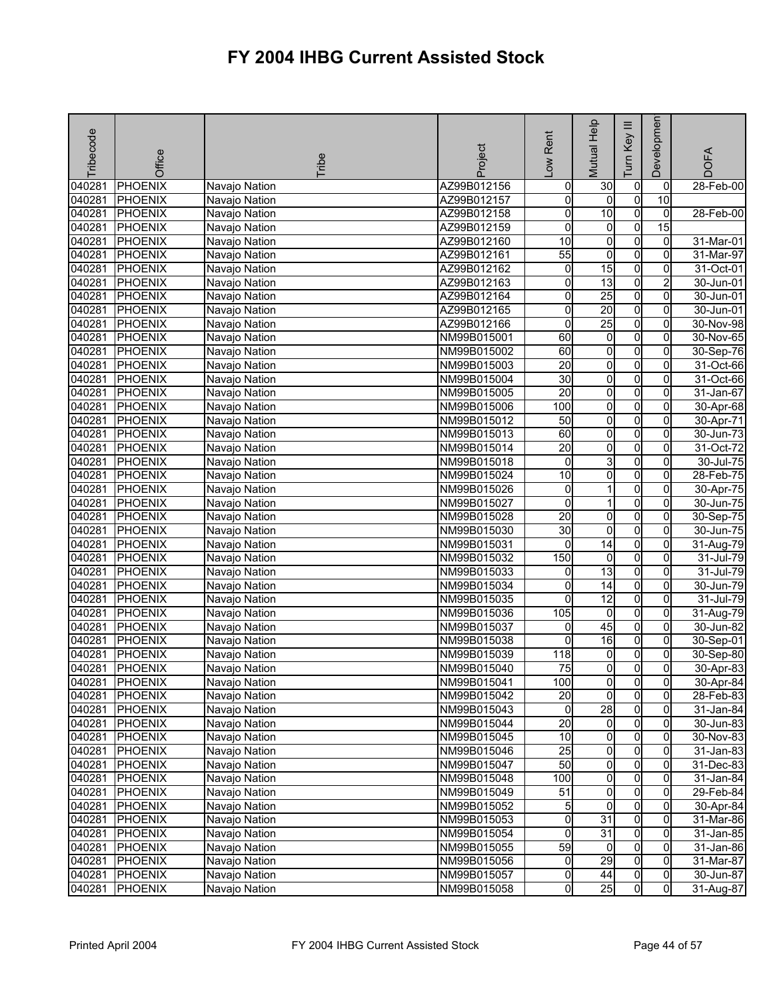| Tribecode | Office         | Tribe         | Project     | Low Rent        | <b>Mutual Help</b>  | $\equiv$<br>Key<br>Tum | Developmen     | <b>DOFA</b> |
|-----------|----------------|---------------|-------------|-----------------|---------------------|------------------------|----------------|-------------|
| 040281    | <b>PHOENIX</b> | Navajo Nation | AZ99B012156 | $\pmb{0}$       | 30                  | $\pmb{0}$              | 0              | 28-Feb-00   |
| 040281    | <b>PHOENIX</b> | Navajo Nation | AZ99B012157 | o               | $\mathbf 0$         | $\overline{0}$         | 10             |             |
| 040281    | <b>PHOENIX</b> | Navajo Nation | AZ99B012158 | 0               | $\overline{10}$     | $\overline{0}$         | $\overline{0}$ | 28-Feb-00   |
| 040281    | <b>PHOENIX</b> | Navajo Nation | AZ99B012159 | 0               | $\overline{0}$      | O                      | 15             |             |
| 040281    | <b>PHOENIX</b> | Navajo Nation | AZ99B012160 | 10              | $\overline{0}$      | $\overline{0}$         | $\overline{0}$ | 31-Mar-01   |
| 040281    | <b>PHOENIX</b> | Navajo Nation | AZ99B012161 | 55              | $\overline{0}$      | $\overline{0}$         | $\overline{0}$ | 31-Mar-97   |
| 040281    | <b>PHOENIX</b> | Navajo Nation | AZ99B012162 | o               | 15                  | o                      | 0              | 31-Oct-01   |
| 040281    | <b>PHOENIX</b> | Navajo Nation | AZ99B012163 | 0               | 13                  | $\overline{0}$         | 2              | 30-Jun-01   |
| 040281    | <b>PHOENIX</b> | Navajo Nation | AZ99B012164 | 0               | 25                  | $\overline{0}$         | $\overline{0}$ | 30-Jun-01   |
| 040281    | <b>PHOENIX</b> | Navajo Nation | AZ99B012165 | 0               | 20                  | $\overline{0}$         | 0              | 30-Jun-01   |
| 040281    | <b>PHOENIX</b> | Navajo Nation | AZ99B012166 | 0               | 25                  | $\overline{0}$         | $\overline{0}$ | 30-Nov-98   |
| 040281    | <b>PHOENIX</b> | Navajo Nation | NM99B015001 | 60              | $\overline{0}$      | o                      | 0              | 30-Nov-65   |
| 040281    | <b>PHOENIX</b> | Navajo Nation | NM99B015002 | 60              | 0                   | $\overline{0}$         | 0              | 30-Sep-76   |
| 040281    | <b>PHOENIX</b> | Navajo Nation | NM99B015003 | $\overline{20}$ | O                   | $\overline{0}$         | 0              | 31-Oct-66   |
| 040281    | <b>PHOENIX</b> | Navajo Nation | NM99B015004 | $\overline{30}$ | $\overline{0}$      | $\overline{0}$         | 0              | 31-Oct-66   |
| 040281    | <b>PHOENIX</b> | Navajo Nation | NM99B015005 | $\overline{20}$ | 0                   | o                      | 0              | 31-Jan-67   |
| 040281    | <b>PHOENIX</b> | Navajo Nation | NM99B015006 | 100             | $\overline{0}$      | $\overline{0}$         | $\overline{0}$ | 30-Apr-68   |
| 040281    | <b>PHOENIX</b> | Navajo Nation | NM99B015012 | 50              | 0                   | o                      | 0              | 30-Apr-71   |
| 040281    | <b>PHOENIX</b> | Navajo Nation | NM99B015013 | 60              | O                   | $\overline{0}$         | $\overline{0}$ | 30-Jun-73   |
| 040281    | <b>PHOENIX</b> | Navajo Nation | NM99B015014 | $\overline{20}$ | $\overline{0}$      | $\overline{0}$         | 0              | $31-Oct-72$ |
| 040281    | <b>PHOENIX</b> | Navajo Nation | NM99B015018 | 0               | 3                   | $\overline{0}$         | 0              | 30-Jul-75   |
| 040281    | <b>PHOENIX</b> | Navajo Nation | NM99B015024 | 10              | $\overline{0}$      | $\overline{0}$         | 0              | 28-Feb-75   |
| 040281    | <b>PHOENIX</b> | Navajo Nation | NM99B015026 | 0               | 1                   | o                      | 0              | 30-Apr-75   |
| 040281    | <b>PHOENIX</b> | Navajo Nation | NM99B015027 | 0               |                     | o                      | 0              | 30-Jun-75   |
| 040281    | <b>PHOENIX</b> | Navajo Nation | NM99B015028 | $\overline{20}$ | 0                   | $\overline{0}$         | $\overline{0}$ | 30-Sep-75   |
| 040281    | <b>PHOENIX</b> | Navajo Nation | NM99B015030 | 30              | $\mathsf{O}\xspace$ | $\overline{0}$         | 0              | 30-Jun-75   |
| 040281    | <b>PHOENIX</b> | Navajo Nation | NM99B015031 | 0               | $\overline{14}$     | o                      | 0              | 31-Aug-79   |
| 040281    | <b>PHOENIX</b> | Navajo Nation | NM99B015032 | 150             | $\overline{0}$      | $\overline{0}$         | $\overline{0}$ | 31-Jul-79   |
| 040281    | <b>PHOENIX</b> | Navajo Nation | NM99B015033 | 0               | 13                  | O                      | 0              | 31-Jul-79   |
| 040281    | <b>PHOENIX</b> | Navajo Nation | NM99B015034 | 0               | 14                  | 0                      | 0              | 30-Jun-79   |
| 040281    | <b>PHOENIX</b> | Navajo Nation | NM99B015035 | 0               | $\overline{12}$     | $\overline{0}$         | $\overline{0}$ | 31-Jul-79   |
| 040281    | <b>PHOENIX</b> | Navajo Nation | NM99B015036 | 105             | $\overline{0}$      | o                      | 0              | 31-Aug-79   |
| 040281    | <b>PHOENIX</b> | Navajo Nation | NM99B015037 | 0               | 45                  | $\overline{0}$         | 0              | 30-Jun-82   |
| 040281    | <b>PHOENIX</b> | Navajo Nation | NM99B015038 | 0               | 16                  | $\overline{0}$         | $\overline{0}$ | 30-Sep-01   |
| 040281    | <b>PHOENIX</b> | Navajo Nation | NM99B015039 | 118             | 0                   | 0                      | 0              | 30-Sep-80   |
| 040281    | <b>PHOENIX</b> | Navajo Nation | NM99B015040 | 75              | O                   | $\overline{0}$         | $\mathbf 0$    | 30-Apr-83   |
| 040281    | PHOENIX        | Navajo Nation | NM99B015041 | 100             | $\overline{0}$      | $\mathbf{0}$           | $\overline{0}$ | 30-Apr-84   |
| 040281    | PHOENIX        | Navajo Nation | NM99B015042 | 20              | $\overline{0}$      | $\overline{0}$         | $\overline{0}$ | 28-Feb-83   |
| 040281    | <b>PHOENIX</b> | Navajo Nation | NM99B015043 | $\overline{0}$  | 28                  | $\mathbf 0$            | $\mathbf{0}$   | 31-Jan-84   |
| 040281    | <b>PHOENIX</b> | Navajo Nation | NM99B015044 | $\overline{20}$ | $\overline{0}$      | 0                      | 0              | 30-Jun-83   |
| 040281    | <b>PHOENIX</b> | Navajo Nation | NM99B015045 | $\overline{10}$ | $\overline{0}$      | 0                      | 0              | 30-Nov-83   |
| 040281    | <b>PHOENIX</b> | Navajo Nation | NM99B015046 | $\overline{25}$ | $\overline{0}$      | $\overline{0}$         | $\mathbf{0}$   | 31-Jan-83   |
| 040281    | <b>PHOENIX</b> | Navajo Nation | NM99B015047 | 50              | 0                   | $\mathbf 0$            | 0              | 31-Dec-83   |
| 040281    | <b>PHOENIX</b> | Navajo Nation | NM99B015048 | 100             | $\overline{0}$      | $\mathbf 0$            | 0              | 31-Jan-84   |
| 040281    | <b>PHOENIX</b> | Navajo Nation | NM99B015049 | $\overline{51}$ | $\overline{0}$      | $\mathbf 0$            | $\overline{0}$ | 29-Feb-84   |
| 040281    | <b>PHOENIX</b> | Navajo Nation | NM99B015052 | 5               | 0                   | $\mathbf 0$            | 0              | 30-Apr-84   |
| 040281    | <b>PHOENIX</b> | Navajo Nation | NM99B015053 | 0               | 31                  | $\mathbf 0$            | $\mathbf{0}$   | 31-Mar-86   |
| 040281    | <b>PHOENIX</b> | Navajo Nation | NM99B015054 | 0               | 31                  | $\mathbf 0$            | 0              | 31-Jan-85   |
| 040281    | <b>PHOENIX</b> | Navajo Nation | NM99B015055 | 59              | $\overline{0}$      | $\overline{0}$         | $\overline{0}$ | 31-Jan-86   |
| 040281    | PHOENIX        | Navajo Nation | NM99B015056 | 0               | 29                  | o                      | $\overline{0}$ | 31-Mar-87   |
| 040281    | PHOENIX        | Navajo Nation | NM99B015057 | 0               | 44                  | 0                      | $\overline{0}$ | 30-Jun-87   |
| 040281    | <b>PHOENIX</b> | Navajo Nation | NM99B015058 | 0               | 25                  | $\overline{0}$         | $\overline{0}$ | 31-Aug-87   |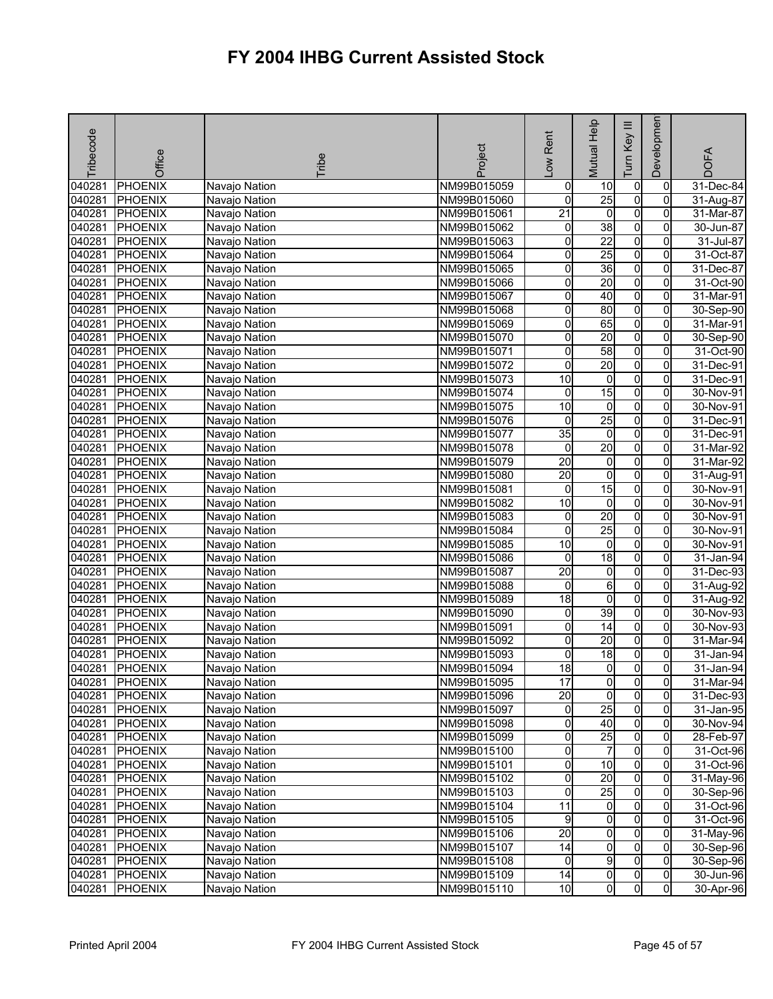| <b>PHOENIX</b><br>040281<br>Navajo Nation<br>NM99B015059<br>$\mathbf 0$<br>$\pmb{0}$<br>10<br>0<br>31-Dec-84<br>$\overline{25}$<br>$\overline{0}$<br>$\overline{0}$<br>040281<br><b>PHOENIX</b><br>NM99B015060<br>0<br>31-Aug-87<br>Navajo Nation<br>O<br>040281<br>$\overline{21}$<br>$\mathbf 0$<br>0<br><b>PHOENIX</b><br>NM99B015061<br>$31-Mar-87$<br>Navajo Nation<br>$\overline{0}$<br>38<br>040281<br><b>PHOENIX</b><br>0<br>Navajo Nation<br>NM99B015062<br>30-Jun-87<br>0<br>22<br>$\overline{0}$<br>040281<br><b>PHOENIX</b><br>0<br>0<br>$31$ -Jul-87<br>Navajo Nation<br>NM99B015063<br>25<br>O<br>040281<br><b>PHOENIX</b><br>0<br>Navajo Nation<br>NM99B015064<br>0<br>31-Oct-87<br>36<br>0<br>040281<br><b>PHOENIX</b><br>0<br>0<br>31-Dec-87<br>NM99B015065<br>Navajo Nation<br>20<br>$\overline{0}$<br>040281<br>Ō<br>$\overline{0}$<br><b>PHOENIX</b><br>31-Oct-90<br>Navajo Nation<br>NM99B015066<br>$\overline{0}$<br>040281<br>0<br>$\overline{40}$<br><b>PHOENIX</b><br>NM99B015067<br>0<br>31-Mar-91<br>Navajo Nation<br>80<br>O<br>040281<br><b>PHOENIX</b><br>0<br>0<br>30-Sep-90<br>Navajo Nation<br>NM99B015068<br>$\overline{0}$<br>65<br>040281<br>0<br>$\overline{0}$<br><b>PHOENIX</b><br>31-Mar-91<br>Navajo Nation<br>NM99B015069<br>20<br>040281<br>$\overline{0}$<br><b>PHOENIX</b><br>NM99B015070<br>0<br>0<br>Navajo Nation<br>30-Sep-90<br>0<br>040281<br>58<br><b>PHOENIX</b><br>NM99B015071<br>0<br>$\Omega$<br>31-Oct-90<br>Navajo Nation<br>$\overline{0}$<br>040281<br>0<br>20<br>$\overline{0}$<br><b>PHOENIX</b><br>NM99B015072<br>31-Dec-91<br>Navajo Nation<br>$\overline{0}$<br>040281<br>o<br><b>PHOENIX</b><br>10<br>0<br>Navajo Nation<br>NM99B015073<br>31-Dec-91<br>15<br>$\overline{0}$<br>040281<br><b>PHOENIX</b><br>0<br>0<br>30-Nov-91<br>Navajo Nation<br>NM99B015074<br>10<br>O<br>040281<br><b>PHOENIX</b><br>$\overline{0}$<br>0<br>Navajo Nation<br>NM99B015075<br>30-Nov-91<br>$\overline{25}$<br>$\overline{0}$<br>040281<br><b>PHOENIX</b><br>0<br>0<br>NM99B015076<br>31-Dec-91<br>Navajo Nation<br>$\overline{0}$<br>$\overline{0}$<br>040281<br>35<br>$\overline{0}$<br><b>PHOENIX</b><br>NM99B015077<br>31-Dec-91<br>Navajo Nation<br>20<br>0<br>040281<br><b>PHOENIX</b><br>NM99B015078<br>0<br>0<br>31-Mar-92<br>Navajo Nation<br>$\overline{0}$<br>040281<br>$\overline{20}$<br>0<br><b>PHOENIX</b><br>NM99B015079<br>0<br>31-Mar-92<br>Navajo Nation<br>$\overline{0}$<br>20<br>O<br>040281<br>$\overline{0}$<br><b>PHOENIX</b><br>Navajo Nation<br>NM99B015080<br>31-Aug-91<br>15<br>$\overline{0}$<br>040281<br><b>PHOENIX</b><br>0<br>NM99B015081<br>0<br>30-Nov-91<br>Navajo Nation<br>O<br>10<br>040281<br><b>PHOENIX</b><br>NM99B015082<br>$\mathbf 0$<br>$\Omega$<br>30-Nov-91<br>Navajo Nation<br>20<br>$\overline{0}$<br>040281<br>0<br>$\overline{0}$<br><b>PHOENIX</b><br>NM99B015083<br>30-Nov-91<br>Navajo Nation<br>25<br>$\overline{0}$<br>040281<br><b>PHOENIX</b><br>0<br>0<br>NM99B015084<br>30-Nov-91<br>Navajo Nation<br>$\overline{0}$<br>040281<br>10<br>$\overline{0}$<br><b>PHOENIX</b><br>$\overline{0}$<br>Navajo Nation<br>NM99B015085<br>30-Nov-91<br>18<br>$\overline{0}$<br>040281<br><b>PHOENIX</b><br>$\mathbf 0$<br>$\overline{0}$<br>NM99B015086<br>Navajo Nation<br>31-Jan-94<br>040281<br>0<br><b>PHOENIX</b><br>20<br>0<br>0<br>31-Dec-93<br>NM99B015087<br>Navajo Nation<br>040281<br>6<br>$\overline{0}$<br><b>PHOENIX</b><br>0<br>$\overline{0}$<br>31-Aug-92<br>NM99B015088<br>Navajo Nation<br>0<br>040281<br>$\overline{18}$<br>0<br><b>PHOENIX</b><br>NM99B015089<br>0<br>31-Aug-92<br>Navajo Nation<br>39<br>$\overline{0}$<br>040281<br><b>PHOENIX</b><br>NM99B015090<br>0<br>0<br>30-Nov-93<br>Navajo Nation<br>14<br>$\overline{0}$<br>$\overline{0}$<br>0<br>040281<br>PHOENIX<br>Navajo Nation<br>NM99B015091<br>30-Nov-93<br>$\overline{0}$<br>20<br>$\overline{0}$<br>040281<br><b>PHOENIX</b><br>NM99B015092<br>0<br>31-Mar-94<br>Navajo Nation<br>O<br>040281<br>0<br>$\frac{1}{8}$<br><b>PHOENIX</b><br>NM99B015093<br>0<br>31-Jan-94<br>Navajo Nation<br>$\overline{0}$<br>040281<br>$\overline{18}$<br>$\overline{0}$<br>Οl<br><b>PHOENIX</b><br>31-Jan-94<br>Navajo Nation<br>NM99B015094<br>040281 PHOENIX<br>Navajo Nation<br>NM99B015095<br>17<br>$\overline{0}$<br>31-Mar-94<br>01<br>$\mathbf{0}$<br>$\overline{0}$<br>20<br>$\overline{0}$<br>$\mathbf{0}$<br>040281<br><b>PHOENIX</b><br>Navajo Nation<br>NM99B015096<br>31-Dec-93<br>25<br>$\overline{0}$<br>$\overline{0}$<br>040281<br><b>PHOENIX</b><br>Navajo Nation<br>01<br>NM99B015097<br>31-Jan-95<br>040281<br>0<br>40<br>$\overline{0}$<br>PHOENIX<br>Navajo Nation<br>NM99B015098<br>0<br>30-Nov-94<br>o<br>25<br>$\overline{0}$<br>$\overline{0}$<br>040281<br><b>PHOENIX</b><br>28-Feb-97<br>Navajo Nation<br>NM99B015099<br>0<br>$\overline{7}$<br>$\overline{0}$<br>040281<br><b>PHOENIX</b><br>Navajo Nation<br>0<br>NM99B015100<br>31-Oct-96<br>$\overline{0}$<br><b>PHOENIX</b><br>0<br>10<br>040281<br>Navajo Nation<br>NM99B015101<br>$\overline{0}$<br>31-Oct-96<br>20<br>$\overline{0}$<br>0<br>$\mathbf{0}$<br>040281<br><b>PHOENIX</b><br>Navajo Nation<br>NM99B015102<br>31-May-96<br>25<br>0<br><b>PHOENIX</b><br>$\overline{0}$<br>0<br>040281<br>Navajo Nation<br>NM99B015103<br>30-Sep-96<br>0<br>040281<br><b>PHOENIX</b><br>11<br>$\overline{0}$<br>$\Omega$<br>31-Oct-96<br>Navajo Nation<br>NM99B015104<br>$\overline{0}$<br>040281<br>$\overline{0}$<br>$\Omega$<br><b>PHOENIX</b><br>9<br>31-Oct-96<br>Navajo Nation<br>NM99B015105<br>$\overline{20}$<br>$\overline{0}$<br>040281<br><b>PHOENIX</b><br>0<br>31-May-96<br>Navajo Nation<br>NM99B015106<br>$\overline{0}$<br>$\overline{0}$<br>14<br>0<br>30-Sep-96<br>040281<br><b>PHOENIX</b><br>Navajo Nation<br>NM99B015107<br>$\overline{0}$<br>9<br>$\overline{0}$<br>0<br>$\overline{0}$<br>040281<br><b>PHOENIX</b><br>Navajo Nation<br>30-Sep-96<br>NM99B015108<br>$\overline{0}$<br>$\overline{0}$<br>040281<br><b>PHOENIX</b><br>Navajo Nation<br>14<br>0<br>30-Jun-96<br>NM99B015109<br>$\overline{0}$<br>$\overline{0}$<br>10<br>$\overline{0}$<br>040281<br><b>PHOENIX</b><br>NM99B015110<br>30-Apr-96<br>Navajo Nation | Tribecode | Office | Tribe | Project | Rent<br>Low | Mutual Help | Tum Key III | Developmen | <b>DOFA</b> |
|----------------------------------------------------------------------------------------------------------------------------------------------------------------------------------------------------------------------------------------------------------------------------------------------------------------------------------------------------------------------------------------------------------------------------------------------------------------------------------------------------------------------------------------------------------------------------------------------------------------------------------------------------------------------------------------------------------------------------------------------------------------------------------------------------------------------------------------------------------------------------------------------------------------------------------------------------------------------------------------------------------------------------------------------------------------------------------------------------------------------------------------------------------------------------------------------------------------------------------------------------------------------------------------------------------------------------------------------------------------------------------------------------------------------------------------------------------------------------------------------------------------------------------------------------------------------------------------------------------------------------------------------------------------------------------------------------------------------------------------------------------------------------------------------------------------------------------------------------------------------------------------------------------------------------------------------------------------------------------------------------------------------------------------------------------------------------------------------------------------------------------------------------------------------------------------------------------------------------------------------------------------------------------------------------------------------------------------------------------------------------------------------------------------------------------------------------------------------------------------------------------------------------------------------------------------------------------------------------------------------------------------------------------------------------------------------------------------------------------------------------------------------------------------------------------------------------------------------------------------------------------------------------------------------------------------------------------------------------------------------------------------------------------------------------------------------------------------------------------------------------------------------------------------------------------------------------------------------------------------------------------------------------------------------------------------------------------------------------------------------------------------------------------------------------------------------------------------------------------------------------------------------------------------------------------------------------------------------------------------------------------------------------------------------------------------------------------------------------------------------------------------------------------------------------------------------------------------------------------------------------------------------------------------------------------------------------------------------------------------------------------------------------------------------------------------------------------------------------------------------------------------------------------------------------------------------------------------------------------------------------------------------------------------------------------------------------------------------------------------------------------------------------------------------------------------------------------------------------------------------------------------------------------------------------------------------------------------------------------------------------------------------------------------------------------------------------------------------------------------------------------------------------------------------------------------------------------------------------------------------------------------------------------------------------------------------------------------------------------------------------------------------------------------------------------------------------------------------------------------------------------------------------------------------------------------------------------------------------------------------------------------------------------------------------------------------------------------------------------------------------------------------------------------------------------------------------------------------------------------------------------------------------------------------------------------------------------------------------------------------------------------------------------------------------------------------------------------------------------------------------------------------------------------------------------------------------------------------------------------------------------------------------------------------------------------------------------------------------------------------------------------------------------------------------------------------------------------------------------------------------------------------------------------------------------------------------------------------|-----------|--------|-------|---------|-------------|-------------|-------------|------------|-------------|
|                                                                                                                                                                                                                                                                                                                                                                                                                                                                                                                                                                                                                                                                                                                                                                                                                                                                                                                                                                                                                                                                                                                                                                                                                                                                                                                                                                                                                                                                                                                                                                                                                                                                                                                                                                                                                                                                                                                                                                                                                                                                                                                                                                                                                                                                                                                                                                                                                                                                                                                                                                                                                                                                                                                                                                                                                                                                                                                                                                                                                                                                                                                                                                                                                                                                                                                                                                                                                                                                                                                                                                                                                                                                                                                                                                                                                                                                                                                                                                                                                                                                                                                                                                                                                                                                                                                                                                                                                                                                                                                                                                                                                                                                                                                                                                                                                                                                                                                                                                                                                                                                                                                                                                                                                                                                                                                                                                                                                                                                                                                                                                                                                                                                                                                                                                                                                                                                                                                                                                                                                                                                                                                                                                                                                      |           |        |       |         |             |             |             |            |             |
|                                                                                                                                                                                                                                                                                                                                                                                                                                                                                                                                                                                                                                                                                                                                                                                                                                                                                                                                                                                                                                                                                                                                                                                                                                                                                                                                                                                                                                                                                                                                                                                                                                                                                                                                                                                                                                                                                                                                                                                                                                                                                                                                                                                                                                                                                                                                                                                                                                                                                                                                                                                                                                                                                                                                                                                                                                                                                                                                                                                                                                                                                                                                                                                                                                                                                                                                                                                                                                                                                                                                                                                                                                                                                                                                                                                                                                                                                                                                                                                                                                                                                                                                                                                                                                                                                                                                                                                                                                                                                                                                                                                                                                                                                                                                                                                                                                                                                                                                                                                                                                                                                                                                                                                                                                                                                                                                                                                                                                                                                                                                                                                                                                                                                                                                                                                                                                                                                                                                                                                                                                                                                                                                                                                                                      |           |        |       |         |             |             |             |            |             |
|                                                                                                                                                                                                                                                                                                                                                                                                                                                                                                                                                                                                                                                                                                                                                                                                                                                                                                                                                                                                                                                                                                                                                                                                                                                                                                                                                                                                                                                                                                                                                                                                                                                                                                                                                                                                                                                                                                                                                                                                                                                                                                                                                                                                                                                                                                                                                                                                                                                                                                                                                                                                                                                                                                                                                                                                                                                                                                                                                                                                                                                                                                                                                                                                                                                                                                                                                                                                                                                                                                                                                                                                                                                                                                                                                                                                                                                                                                                                                                                                                                                                                                                                                                                                                                                                                                                                                                                                                                                                                                                                                                                                                                                                                                                                                                                                                                                                                                                                                                                                                                                                                                                                                                                                                                                                                                                                                                                                                                                                                                                                                                                                                                                                                                                                                                                                                                                                                                                                                                                                                                                                                                                                                                                                                      |           |        |       |         |             |             |             |            |             |
|                                                                                                                                                                                                                                                                                                                                                                                                                                                                                                                                                                                                                                                                                                                                                                                                                                                                                                                                                                                                                                                                                                                                                                                                                                                                                                                                                                                                                                                                                                                                                                                                                                                                                                                                                                                                                                                                                                                                                                                                                                                                                                                                                                                                                                                                                                                                                                                                                                                                                                                                                                                                                                                                                                                                                                                                                                                                                                                                                                                                                                                                                                                                                                                                                                                                                                                                                                                                                                                                                                                                                                                                                                                                                                                                                                                                                                                                                                                                                                                                                                                                                                                                                                                                                                                                                                                                                                                                                                                                                                                                                                                                                                                                                                                                                                                                                                                                                                                                                                                                                                                                                                                                                                                                                                                                                                                                                                                                                                                                                                                                                                                                                                                                                                                                                                                                                                                                                                                                                                                                                                                                                                                                                                                                                      |           |        |       |         |             |             |             |            |             |
|                                                                                                                                                                                                                                                                                                                                                                                                                                                                                                                                                                                                                                                                                                                                                                                                                                                                                                                                                                                                                                                                                                                                                                                                                                                                                                                                                                                                                                                                                                                                                                                                                                                                                                                                                                                                                                                                                                                                                                                                                                                                                                                                                                                                                                                                                                                                                                                                                                                                                                                                                                                                                                                                                                                                                                                                                                                                                                                                                                                                                                                                                                                                                                                                                                                                                                                                                                                                                                                                                                                                                                                                                                                                                                                                                                                                                                                                                                                                                                                                                                                                                                                                                                                                                                                                                                                                                                                                                                                                                                                                                                                                                                                                                                                                                                                                                                                                                                                                                                                                                                                                                                                                                                                                                                                                                                                                                                                                                                                                                                                                                                                                                                                                                                                                                                                                                                                                                                                                                                                                                                                                                                                                                                                                                      |           |        |       |         |             |             |             |            |             |
|                                                                                                                                                                                                                                                                                                                                                                                                                                                                                                                                                                                                                                                                                                                                                                                                                                                                                                                                                                                                                                                                                                                                                                                                                                                                                                                                                                                                                                                                                                                                                                                                                                                                                                                                                                                                                                                                                                                                                                                                                                                                                                                                                                                                                                                                                                                                                                                                                                                                                                                                                                                                                                                                                                                                                                                                                                                                                                                                                                                                                                                                                                                                                                                                                                                                                                                                                                                                                                                                                                                                                                                                                                                                                                                                                                                                                                                                                                                                                                                                                                                                                                                                                                                                                                                                                                                                                                                                                                                                                                                                                                                                                                                                                                                                                                                                                                                                                                                                                                                                                                                                                                                                                                                                                                                                                                                                                                                                                                                                                                                                                                                                                                                                                                                                                                                                                                                                                                                                                                                                                                                                                                                                                                                                                      |           |        |       |         |             |             |             |            |             |
|                                                                                                                                                                                                                                                                                                                                                                                                                                                                                                                                                                                                                                                                                                                                                                                                                                                                                                                                                                                                                                                                                                                                                                                                                                                                                                                                                                                                                                                                                                                                                                                                                                                                                                                                                                                                                                                                                                                                                                                                                                                                                                                                                                                                                                                                                                                                                                                                                                                                                                                                                                                                                                                                                                                                                                                                                                                                                                                                                                                                                                                                                                                                                                                                                                                                                                                                                                                                                                                                                                                                                                                                                                                                                                                                                                                                                                                                                                                                                                                                                                                                                                                                                                                                                                                                                                                                                                                                                                                                                                                                                                                                                                                                                                                                                                                                                                                                                                                                                                                                                                                                                                                                                                                                                                                                                                                                                                                                                                                                                                                                                                                                                                                                                                                                                                                                                                                                                                                                                                                                                                                                                                                                                                                                                      |           |        |       |         |             |             |             |            |             |
|                                                                                                                                                                                                                                                                                                                                                                                                                                                                                                                                                                                                                                                                                                                                                                                                                                                                                                                                                                                                                                                                                                                                                                                                                                                                                                                                                                                                                                                                                                                                                                                                                                                                                                                                                                                                                                                                                                                                                                                                                                                                                                                                                                                                                                                                                                                                                                                                                                                                                                                                                                                                                                                                                                                                                                                                                                                                                                                                                                                                                                                                                                                                                                                                                                                                                                                                                                                                                                                                                                                                                                                                                                                                                                                                                                                                                                                                                                                                                                                                                                                                                                                                                                                                                                                                                                                                                                                                                                                                                                                                                                                                                                                                                                                                                                                                                                                                                                                                                                                                                                                                                                                                                                                                                                                                                                                                                                                                                                                                                                                                                                                                                                                                                                                                                                                                                                                                                                                                                                                                                                                                                                                                                                                                                      |           |        |       |         |             |             |             |            |             |
|                                                                                                                                                                                                                                                                                                                                                                                                                                                                                                                                                                                                                                                                                                                                                                                                                                                                                                                                                                                                                                                                                                                                                                                                                                                                                                                                                                                                                                                                                                                                                                                                                                                                                                                                                                                                                                                                                                                                                                                                                                                                                                                                                                                                                                                                                                                                                                                                                                                                                                                                                                                                                                                                                                                                                                                                                                                                                                                                                                                                                                                                                                                                                                                                                                                                                                                                                                                                                                                                                                                                                                                                                                                                                                                                                                                                                                                                                                                                                                                                                                                                                                                                                                                                                                                                                                                                                                                                                                                                                                                                                                                                                                                                                                                                                                                                                                                                                                                                                                                                                                                                                                                                                                                                                                                                                                                                                                                                                                                                                                                                                                                                                                                                                                                                                                                                                                                                                                                                                                                                                                                                                                                                                                                                                      |           |        |       |         |             |             |             |            |             |
|                                                                                                                                                                                                                                                                                                                                                                                                                                                                                                                                                                                                                                                                                                                                                                                                                                                                                                                                                                                                                                                                                                                                                                                                                                                                                                                                                                                                                                                                                                                                                                                                                                                                                                                                                                                                                                                                                                                                                                                                                                                                                                                                                                                                                                                                                                                                                                                                                                                                                                                                                                                                                                                                                                                                                                                                                                                                                                                                                                                                                                                                                                                                                                                                                                                                                                                                                                                                                                                                                                                                                                                                                                                                                                                                                                                                                                                                                                                                                                                                                                                                                                                                                                                                                                                                                                                                                                                                                                                                                                                                                                                                                                                                                                                                                                                                                                                                                                                                                                                                                                                                                                                                                                                                                                                                                                                                                                                                                                                                                                                                                                                                                                                                                                                                                                                                                                                                                                                                                                                                                                                                                                                                                                                                                      |           |        |       |         |             |             |             |            |             |
|                                                                                                                                                                                                                                                                                                                                                                                                                                                                                                                                                                                                                                                                                                                                                                                                                                                                                                                                                                                                                                                                                                                                                                                                                                                                                                                                                                                                                                                                                                                                                                                                                                                                                                                                                                                                                                                                                                                                                                                                                                                                                                                                                                                                                                                                                                                                                                                                                                                                                                                                                                                                                                                                                                                                                                                                                                                                                                                                                                                                                                                                                                                                                                                                                                                                                                                                                                                                                                                                                                                                                                                                                                                                                                                                                                                                                                                                                                                                                                                                                                                                                                                                                                                                                                                                                                                                                                                                                                                                                                                                                                                                                                                                                                                                                                                                                                                                                                                                                                                                                                                                                                                                                                                                                                                                                                                                                                                                                                                                                                                                                                                                                                                                                                                                                                                                                                                                                                                                                                                                                                                                                                                                                                                                                      |           |        |       |         |             |             |             |            |             |
|                                                                                                                                                                                                                                                                                                                                                                                                                                                                                                                                                                                                                                                                                                                                                                                                                                                                                                                                                                                                                                                                                                                                                                                                                                                                                                                                                                                                                                                                                                                                                                                                                                                                                                                                                                                                                                                                                                                                                                                                                                                                                                                                                                                                                                                                                                                                                                                                                                                                                                                                                                                                                                                                                                                                                                                                                                                                                                                                                                                                                                                                                                                                                                                                                                                                                                                                                                                                                                                                                                                                                                                                                                                                                                                                                                                                                                                                                                                                                                                                                                                                                                                                                                                                                                                                                                                                                                                                                                                                                                                                                                                                                                                                                                                                                                                                                                                                                                                                                                                                                                                                                                                                                                                                                                                                                                                                                                                                                                                                                                                                                                                                                                                                                                                                                                                                                                                                                                                                                                                                                                                                                                                                                                                                                      |           |        |       |         |             |             |             |            |             |
|                                                                                                                                                                                                                                                                                                                                                                                                                                                                                                                                                                                                                                                                                                                                                                                                                                                                                                                                                                                                                                                                                                                                                                                                                                                                                                                                                                                                                                                                                                                                                                                                                                                                                                                                                                                                                                                                                                                                                                                                                                                                                                                                                                                                                                                                                                                                                                                                                                                                                                                                                                                                                                                                                                                                                                                                                                                                                                                                                                                                                                                                                                                                                                                                                                                                                                                                                                                                                                                                                                                                                                                                                                                                                                                                                                                                                                                                                                                                                                                                                                                                                                                                                                                                                                                                                                                                                                                                                                                                                                                                                                                                                                                                                                                                                                                                                                                                                                                                                                                                                                                                                                                                                                                                                                                                                                                                                                                                                                                                                                                                                                                                                                                                                                                                                                                                                                                                                                                                                                                                                                                                                                                                                                                                                      |           |        |       |         |             |             |             |            |             |
|                                                                                                                                                                                                                                                                                                                                                                                                                                                                                                                                                                                                                                                                                                                                                                                                                                                                                                                                                                                                                                                                                                                                                                                                                                                                                                                                                                                                                                                                                                                                                                                                                                                                                                                                                                                                                                                                                                                                                                                                                                                                                                                                                                                                                                                                                                                                                                                                                                                                                                                                                                                                                                                                                                                                                                                                                                                                                                                                                                                                                                                                                                                                                                                                                                                                                                                                                                                                                                                                                                                                                                                                                                                                                                                                                                                                                                                                                                                                                                                                                                                                                                                                                                                                                                                                                                                                                                                                                                                                                                                                                                                                                                                                                                                                                                                                                                                                                                                                                                                                                                                                                                                                                                                                                                                                                                                                                                                                                                                                                                                                                                                                                                                                                                                                                                                                                                                                                                                                                                                                                                                                                                                                                                                                                      |           |        |       |         |             |             |             |            |             |
|                                                                                                                                                                                                                                                                                                                                                                                                                                                                                                                                                                                                                                                                                                                                                                                                                                                                                                                                                                                                                                                                                                                                                                                                                                                                                                                                                                                                                                                                                                                                                                                                                                                                                                                                                                                                                                                                                                                                                                                                                                                                                                                                                                                                                                                                                                                                                                                                                                                                                                                                                                                                                                                                                                                                                                                                                                                                                                                                                                                                                                                                                                                                                                                                                                                                                                                                                                                                                                                                                                                                                                                                                                                                                                                                                                                                                                                                                                                                                                                                                                                                                                                                                                                                                                                                                                                                                                                                                                                                                                                                                                                                                                                                                                                                                                                                                                                                                                                                                                                                                                                                                                                                                                                                                                                                                                                                                                                                                                                                                                                                                                                                                                                                                                                                                                                                                                                                                                                                                                                                                                                                                                                                                                                                                      |           |        |       |         |             |             |             |            |             |
|                                                                                                                                                                                                                                                                                                                                                                                                                                                                                                                                                                                                                                                                                                                                                                                                                                                                                                                                                                                                                                                                                                                                                                                                                                                                                                                                                                                                                                                                                                                                                                                                                                                                                                                                                                                                                                                                                                                                                                                                                                                                                                                                                                                                                                                                                                                                                                                                                                                                                                                                                                                                                                                                                                                                                                                                                                                                                                                                                                                                                                                                                                                                                                                                                                                                                                                                                                                                                                                                                                                                                                                                                                                                                                                                                                                                                                                                                                                                                                                                                                                                                                                                                                                                                                                                                                                                                                                                                                                                                                                                                                                                                                                                                                                                                                                                                                                                                                                                                                                                                                                                                                                                                                                                                                                                                                                                                                                                                                                                                                                                                                                                                                                                                                                                                                                                                                                                                                                                                                                                                                                                                                                                                                                                                      |           |        |       |         |             |             |             |            |             |
|                                                                                                                                                                                                                                                                                                                                                                                                                                                                                                                                                                                                                                                                                                                                                                                                                                                                                                                                                                                                                                                                                                                                                                                                                                                                                                                                                                                                                                                                                                                                                                                                                                                                                                                                                                                                                                                                                                                                                                                                                                                                                                                                                                                                                                                                                                                                                                                                                                                                                                                                                                                                                                                                                                                                                                                                                                                                                                                                                                                                                                                                                                                                                                                                                                                                                                                                                                                                                                                                                                                                                                                                                                                                                                                                                                                                                                                                                                                                                                                                                                                                                                                                                                                                                                                                                                                                                                                                                                                                                                                                                                                                                                                                                                                                                                                                                                                                                                                                                                                                                                                                                                                                                                                                                                                                                                                                                                                                                                                                                                                                                                                                                                                                                                                                                                                                                                                                                                                                                                                                                                                                                                                                                                                                                      |           |        |       |         |             |             |             |            |             |
|                                                                                                                                                                                                                                                                                                                                                                                                                                                                                                                                                                                                                                                                                                                                                                                                                                                                                                                                                                                                                                                                                                                                                                                                                                                                                                                                                                                                                                                                                                                                                                                                                                                                                                                                                                                                                                                                                                                                                                                                                                                                                                                                                                                                                                                                                                                                                                                                                                                                                                                                                                                                                                                                                                                                                                                                                                                                                                                                                                                                                                                                                                                                                                                                                                                                                                                                                                                                                                                                                                                                                                                                                                                                                                                                                                                                                                                                                                                                                                                                                                                                                                                                                                                                                                                                                                                                                                                                                                                                                                                                                                                                                                                                                                                                                                                                                                                                                                                                                                                                                                                                                                                                                                                                                                                                                                                                                                                                                                                                                                                                                                                                                                                                                                                                                                                                                                                                                                                                                                                                                                                                                                                                                                                                                      |           |        |       |         |             |             |             |            |             |
|                                                                                                                                                                                                                                                                                                                                                                                                                                                                                                                                                                                                                                                                                                                                                                                                                                                                                                                                                                                                                                                                                                                                                                                                                                                                                                                                                                                                                                                                                                                                                                                                                                                                                                                                                                                                                                                                                                                                                                                                                                                                                                                                                                                                                                                                                                                                                                                                                                                                                                                                                                                                                                                                                                                                                                                                                                                                                                                                                                                                                                                                                                                                                                                                                                                                                                                                                                                                                                                                                                                                                                                                                                                                                                                                                                                                                                                                                                                                                                                                                                                                                                                                                                                                                                                                                                                                                                                                                                                                                                                                                                                                                                                                                                                                                                                                                                                                                                                                                                                                                                                                                                                                                                                                                                                                                                                                                                                                                                                                                                                                                                                                                                                                                                                                                                                                                                                                                                                                                                                                                                                                                                                                                                                                                      |           |        |       |         |             |             |             |            |             |
|                                                                                                                                                                                                                                                                                                                                                                                                                                                                                                                                                                                                                                                                                                                                                                                                                                                                                                                                                                                                                                                                                                                                                                                                                                                                                                                                                                                                                                                                                                                                                                                                                                                                                                                                                                                                                                                                                                                                                                                                                                                                                                                                                                                                                                                                                                                                                                                                                                                                                                                                                                                                                                                                                                                                                                                                                                                                                                                                                                                                                                                                                                                                                                                                                                                                                                                                                                                                                                                                                                                                                                                                                                                                                                                                                                                                                                                                                                                                                                                                                                                                                                                                                                                                                                                                                                                                                                                                                                                                                                                                                                                                                                                                                                                                                                                                                                                                                                                                                                                                                                                                                                                                                                                                                                                                                                                                                                                                                                                                                                                                                                                                                                                                                                                                                                                                                                                                                                                                                                                                                                                                                                                                                                                                                      |           |        |       |         |             |             |             |            |             |
|                                                                                                                                                                                                                                                                                                                                                                                                                                                                                                                                                                                                                                                                                                                                                                                                                                                                                                                                                                                                                                                                                                                                                                                                                                                                                                                                                                                                                                                                                                                                                                                                                                                                                                                                                                                                                                                                                                                                                                                                                                                                                                                                                                                                                                                                                                                                                                                                                                                                                                                                                                                                                                                                                                                                                                                                                                                                                                                                                                                                                                                                                                                                                                                                                                                                                                                                                                                                                                                                                                                                                                                                                                                                                                                                                                                                                                                                                                                                                                                                                                                                                                                                                                                                                                                                                                                                                                                                                                                                                                                                                                                                                                                                                                                                                                                                                                                                                                                                                                                                                                                                                                                                                                                                                                                                                                                                                                                                                                                                                                                                                                                                                                                                                                                                                                                                                                                                                                                                                                                                                                                                                                                                                                                                                      |           |        |       |         |             |             |             |            |             |
|                                                                                                                                                                                                                                                                                                                                                                                                                                                                                                                                                                                                                                                                                                                                                                                                                                                                                                                                                                                                                                                                                                                                                                                                                                                                                                                                                                                                                                                                                                                                                                                                                                                                                                                                                                                                                                                                                                                                                                                                                                                                                                                                                                                                                                                                                                                                                                                                                                                                                                                                                                                                                                                                                                                                                                                                                                                                                                                                                                                                                                                                                                                                                                                                                                                                                                                                                                                                                                                                                                                                                                                                                                                                                                                                                                                                                                                                                                                                                                                                                                                                                                                                                                                                                                                                                                                                                                                                                                                                                                                                                                                                                                                                                                                                                                                                                                                                                                                                                                                                                                                                                                                                                                                                                                                                                                                                                                                                                                                                                                                                                                                                                                                                                                                                                                                                                                                                                                                                                                                                                                                                                                                                                                                                                      |           |        |       |         |             |             |             |            |             |
|                                                                                                                                                                                                                                                                                                                                                                                                                                                                                                                                                                                                                                                                                                                                                                                                                                                                                                                                                                                                                                                                                                                                                                                                                                                                                                                                                                                                                                                                                                                                                                                                                                                                                                                                                                                                                                                                                                                                                                                                                                                                                                                                                                                                                                                                                                                                                                                                                                                                                                                                                                                                                                                                                                                                                                                                                                                                                                                                                                                                                                                                                                                                                                                                                                                                                                                                                                                                                                                                                                                                                                                                                                                                                                                                                                                                                                                                                                                                                                                                                                                                                                                                                                                                                                                                                                                                                                                                                                                                                                                                                                                                                                                                                                                                                                                                                                                                                                                                                                                                                                                                                                                                                                                                                                                                                                                                                                                                                                                                                                                                                                                                                                                                                                                                                                                                                                                                                                                                                                                                                                                                                                                                                                                                                      |           |        |       |         |             |             |             |            |             |
|                                                                                                                                                                                                                                                                                                                                                                                                                                                                                                                                                                                                                                                                                                                                                                                                                                                                                                                                                                                                                                                                                                                                                                                                                                                                                                                                                                                                                                                                                                                                                                                                                                                                                                                                                                                                                                                                                                                                                                                                                                                                                                                                                                                                                                                                                                                                                                                                                                                                                                                                                                                                                                                                                                                                                                                                                                                                                                                                                                                                                                                                                                                                                                                                                                                                                                                                                                                                                                                                                                                                                                                                                                                                                                                                                                                                                                                                                                                                                                                                                                                                                                                                                                                                                                                                                                                                                                                                                                                                                                                                                                                                                                                                                                                                                                                                                                                                                                                                                                                                                                                                                                                                                                                                                                                                                                                                                                                                                                                                                                                                                                                                                                                                                                                                                                                                                                                                                                                                                                                                                                                                                                                                                                                                                      |           |        |       |         |             |             |             |            |             |
|                                                                                                                                                                                                                                                                                                                                                                                                                                                                                                                                                                                                                                                                                                                                                                                                                                                                                                                                                                                                                                                                                                                                                                                                                                                                                                                                                                                                                                                                                                                                                                                                                                                                                                                                                                                                                                                                                                                                                                                                                                                                                                                                                                                                                                                                                                                                                                                                                                                                                                                                                                                                                                                                                                                                                                                                                                                                                                                                                                                                                                                                                                                                                                                                                                                                                                                                                                                                                                                                                                                                                                                                                                                                                                                                                                                                                                                                                                                                                                                                                                                                                                                                                                                                                                                                                                                                                                                                                                                                                                                                                                                                                                                                                                                                                                                                                                                                                                                                                                                                                                                                                                                                                                                                                                                                                                                                                                                                                                                                                                                                                                                                                                                                                                                                                                                                                                                                                                                                                                                                                                                                                                                                                                                                                      |           |        |       |         |             |             |             |            |             |
|                                                                                                                                                                                                                                                                                                                                                                                                                                                                                                                                                                                                                                                                                                                                                                                                                                                                                                                                                                                                                                                                                                                                                                                                                                                                                                                                                                                                                                                                                                                                                                                                                                                                                                                                                                                                                                                                                                                                                                                                                                                                                                                                                                                                                                                                                                                                                                                                                                                                                                                                                                                                                                                                                                                                                                                                                                                                                                                                                                                                                                                                                                                                                                                                                                                                                                                                                                                                                                                                                                                                                                                                                                                                                                                                                                                                                                                                                                                                                                                                                                                                                                                                                                                                                                                                                                                                                                                                                                                                                                                                                                                                                                                                                                                                                                                                                                                                                                                                                                                                                                                                                                                                                                                                                                                                                                                                                                                                                                                                                                                                                                                                                                                                                                                                                                                                                                                                                                                                                                                                                                                                                                                                                                                                                      |           |        |       |         |             |             |             |            |             |
|                                                                                                                                                                                                                                                                                                                                                                                                                                                                                                                                                                                                                                                                                                                                                                                                                                                                                                                                                                                                                                                                                                                                                                                                                                                                                                                                                                                                                                                                                                                                                                                                                                                                                                                                                                                                                                                                                                                                                                                                                                                                                                                                                                                                                                                                                                                                                                                                                                                                                                                                                                                                                                                                                                                                                                                                                                                                                                                                                                                                                                                                                                                                                                                                                                                                                                                                                                                                                                                                                                                                                                                                                                                                                                                                                                                                                                                                                                                                                                                                                                                                                                                                                                                                                                                                                                                                                                                                                                                                                                                                                                                                                                                                                                                                                                                                                                                                                                                                                                                                                                                                                                                                                                                                                                                                                                                                                                                                                                                                                                                                                                                                                                                                                                                                                                                                                                                                                                                                                                                                                                                                                                                                                                                                                      |           |        |       |         |             |             |             |            |             |
|                                                                                                                                                                                                                                                                                                                                                                                                                                                                                                                                                                                                                                                                                                                                                                                                                                                                                                                                                                                                                                                                                                                                                                                                                                                                                                                                                                                                                                                                                                                                                                                                                                                                                                                                                                                                                                                                                                                                                                                                                                                                                                                                                                                                                                                                                                                                                                                                                                                                                                                                                                                                                                                                                                                                                                                                                                                                                                                                                                                                                                                                                                                                                                                                                                                                                                                                                                                                                                                                                                                                                                                                                                                                                                                                                                                                                                                                                                                                                                                                                                                                                                                                                                                                                                                                                                                                                                                                                                                                                                                                                                                                                                                                                                                                                                                                                                                                                                                                                                                                                                                                                                                                                                                                                                                                                                                                                                                                                                                                                                                                                                                                                                                                                                                                                                                                                                                                                                                                                                                                                                                                                                                                                                                                                      |           |        |       |         |             |             |             |            |             |
|                                                                                                                                                                                                                                                                                                                                                                                                                                                                                                                                                                                                                                                                                                                                                                                                                                                                                                                                                                                                                                                                                                                                                                                                                                                                                                                                                                                                                                                                                                                                                                                                                                                                                                                                                                                                                                                                                                                                                                                                                                                                                                                                                                                                                                                                                                                                                                                                                                                                                                                                                                                                                                                                                                                                                                                                                                                                                                                                                                                                                                                                                                                                                                                                                                                                                                                                                                                                                                                                                                                                                                                                                                                                                                                                                                                                                                                                                                                                                                                                                                                                                                                                                                                                                                                                                                                                                                                                                                                                                                                                                                                                                                                                                                                                                                                                                                                                                                                                                                                                                                                                                                                                                                                                                                                                                                                                                                                                                                                                                                                                                                                                                                                                                                                                                                                                                                                                                                                                                                                                                                                                                                                                                                                                                      |           |        |       |         |             |             |             |            |             |
|                                                                                                                                                                                                                                                                                                                                                                                                                                                                                                                                                                                                                                                                                                                                                                                                                                                                                                                                                                                                                                                                                                                                                                                                                                                                                                                                                                                                                                                                                                                                                                                                                                                                                                                                                                                                                                                                                                                                                                                                                                                                                                                                                                                                                                                                                                                                                                                                                                                                                                                                                                                                                                                                                                                                                                                                                                                                                                                                                                                                                                                                                                                                                                                                                                                                                                                                                                                                                                                                                                                                                                                                                                                                                                                                                                                                                                                                                                                                                                                                                                                                                                                                                                                                                                                                                                                                                                                                                                                                                                                                                                                                                                                                                                                                                                                                                                                                                                                                                                                                                                                                                                                                                                                                                                                                                                                                                                                                                                                                                                                                                                                                                                                                                                                                                                                                                                                                                                                                                                                                                                                                                                                                                                                                                      |           |        |       |         |             |             |             |            |             |
|                                                                                                                                                                                                                                                                                                                                                                                                                                                                                                                                                                                                                                                                                                                                                                                                                                                                                                                                                                                                                                                                                                                                                                                                                                                                                                                                                                                                                                                                                                                                                                                                                                                                                                                                                                                                                                                                                                                                                                                                                                                                                                                                                                                                                                                                                                                                                                                                                                                                                                                                                                                                                                                                                                                                                                                                                                                                                                                                                                                                                                                                                                                                                                                                                                                                                                                                                                                                                                                                                                                                                                                                                                                                                                                                                                                                                                                                                                                                                                                                                                                                                                                                                                                                                                                                                                                                                                                                                                                                                                                                                                                                                                                                                                                                                                                                                                                                                                                                                                                                                                                                                                                                                                                                                                                                                                                                                                                                                                                                                                                                                                                                                                                                                                                                                                                                                                                                                                                                                                                                                                                                                                                                                                                                                      |           |        |       |         |             |             |             |            |             |
|                                                                                                                                                                                                                                                                                                                                                                                                                                                                                                                                                                                                                                                                                                                                                                                                                                                                                                                                                                                                                                                                                                                                                                                                                                                                                                                                                                                                                                                                                                                                                                                                                                                                                                                                                                                                                                                                                                                                                                                                                                                                                                                                                                                                                                                                                                                                                                                                                                                                                                                                                                                                                                                                                                                                                                                                                                                                                                                                                                                                                                                                                                                                                                                                                                                                                                                                                                                                                                                                                                                                                                                                                                                                                                                                                                                                                                                                                                                                                                                                                                                                                                                                                                                                                                                                                                                                                                                                                                                                                                                                                                                                                                                                                                                                                                                                                                                                                                                                                                                                                                                                                                                                                                                                                                                                                                                                                                                                                                                                                                                                                                                                                                                                                                                                                                                                                                                                                                                                                                                                                                                                                                                                                                                                                      |           |        |       |         |             |             |             |            |             |
|                                                                                                                                                                                                                                                                                                                                                                                                                                                                                                                                                                                                                                                                                                                                                                                                                                                                                                                                                                                                                                                                                                                                                                                                                                                                                                                                                                                                                                                                                                                                                                                                                                                                                                                                                                                                                                                                                                                                                                                                                                                                                                                                                                                                                                                                                                                                                                                                                                                                                                                                                                                                                                                                                                                                                                                                                                                                                                                                                                                                                                                                                                                                                                                                                                                                                                                                                                                                                                                                                                                                                                                                                                                                                                                                                                                                                                                                                                                                                                                                                                                                                                                                                                                                                                                                                                                                                                                                                                                                                                                                                                                                                                                                                                                                                                                                                                                                                                                                                                                                                                                                                                                                                                                                                                                                                                                                                                                                                                                                                                                                                                                                                                                                                                                                                                                                                                                                                                                                                                                                                                                                                                                                                                                                                      |           |        |       |         |             |             |             |            |             |
|                                                                                                                                                                                                                                                                                                                                                                                                                                                                                                                                                                                                                                                                                                                                                                                                                                                                                                                                                                                                                                                                                                                                                                                                                                                                                                                                                                                                                                                                                                                                                                                                                                                                                                                                                                                                                                                                                                                                                                                                                                                                                                                                                                                                                                                                                                                                                                                                                                                                                                                                                                                                                                                                                                                                                                                                                                                                                                                                                                                                                                                                                                                                                                                                                                                                                                                                                                                                                                                                                                                                                                                                                                                                                                                                                                                                                                                                                                                                                                                                                                                                                                                                                                                                                                                                                                                                                                                                                                                                                                                                                                                                                                                                                                                                                                                                                                                                                                                                                                                                                                                                                                                                                                                                                                                                                                                                                                                                                                                                                                                                                                                                                                                                                                                                                                                                                                                                                                                                                                                                                                                                                                                                                                                                                      |           |        |       |         |             |             |             |            |             |
|                                                                                                                                                                                                                                                                                                                                                                                                                                                                                                                                                                                                                                                                                                                                                                                                                                                                                                                                                                                                                                                                                                                                                                                                                                                                                                                                                                                                                                                                                                                                                                                                                                                                                                                                                                                                                                                                                                                                                                                                                                                                                                                                                                                                                                                                                                                                                                                                                                                                                                                                                                                                                                                                                                                                                                                                                                                                                                                                                                                                                                                                                                                                                                                                                                                                                                                                                                                                                                                                                                                                                                                                                                                                                                                                                                                                                                                                                                                                                                                                                                                                                                                                                                                                                                                                                                                                                                                                                                                                                                                                                                                                                                                                                                                                                                                                                                                                                                                                                                                                                                                                                                                                                                                                                                                                                                                                                                                                                                                                                                                                                                                                                                                                                                                                                                                                                                                                                                                                                                                                                                                                                                                                                                                                                      |           |        |       |         |             |             |             |            |             |
|                                                                                                                                                                                                                                                                                                                                                                                                                                                                                                                                                                                                                                                                                                                                                                                                                                                                                                                                                                                                                                                                                                                                                                                                                                                                                                                                                                                                                                                                                                                                                                                                                                                                                                                                                                                                                                                                                                                                                                                                                                                                                                                                                                                                                                                                                                                                                                                                                                                                                                                                                                                                                                                                                                                                                                                                                                                                                                                                                                                                                                                                                                                                                                                                                                                                                                                                                                                                                                                                                                                                                                                                                                                                                                                                                                                                                                                                                                                                                                                                                                                                                                                                                                                                                                                                                                                                                                                                                                                                                                                                                                                                                                                                                                                                                                                                                                                                                                                                                                                                                                                                                                                                                                                                                                                                                                                                                                                                                                                                                                                                                                                                                                                                                                                                                                                                                                                                                                                                                                                                                                                                                                                                                                                                                      |           |        |       |         |             |             |             |            |             |
|                                                                                                                                                                                                                                                                                                                                                                                                                                                                                                                                                                                                                                                                                                                                                                                                                                                                                                                                                                                                                                                                                                                                                                                                                                                                                                                                                                                                                                                                                                                                                                                                                                                                                                                                                                                                                                                                                                                                                                                                                                                                                                                                                                                                                                                                                                                                                                                                                                                                                                                                                                                                                                                                                                                                                                                                                                                                                                                                                                                                                                                                                                                                                                                                                                                                                                                                                                                                                                                                                                                                                                                                                                                                                                                                                                                                                                                                                                                                                                                                                                                                                                                                                                                                                                                                                                                                                                                                                                                                                                                                                                                                                                                                                                                                                                                                                                                                                                                                                                                                                                                                                                                                                                                                                                                                                                                                                                                                                                                                                                                                                                                                                                                                                                                                                                                                                                                                                                                                                                                                                                                                                                                                                                                                                      |           |        |       |         |             |             |             |            |             |
|                                                                                                                                                                                                                                                                                                                                                                                                                                                                                                                                                                                                                                                                                                                                                                                                                                                                                                                                                                                                                                                                                                                                                                                                                                                                                                                                                                                                                                                                                                                                                                                                                                                                                                                                                                                                                                                                                                                                                                                                                                                                                                                                                                                                                                                                                                                                                                                                                                                                                                                                                                                                                                                                                                                                                                                                                                                                                                                                                                                                                                                                                                                                                                                                                                                                                                                                                                                                                                                                                                                                                                                                                                                                                                                                                                                                                                                                                                                                                                                                                                                                                                                                                                                                                                                                                                                                                                                                                                                                                                                                                                                                                                                                                                                                                                                                                                                                                                                                                                                                                                                                                                                                                                                                                                                                                                                                                                                                                                                                                                                                                                                                                                                                                                                                                                                                                                                                                                                                                                                                                                                                                                                                                                                                                      |           |        |       |         |             |             |             |            |             |
|                                                                                                                                                                                                                                                                                                                                                                                                                                                                                                                                                                                                                                                                                                                                                                                                                                                                                                                                                                                                                                                                                                                                                                                                                                                                                                                                                                                                                                                                                                                                                                                                                                                                                                                                                                                                                                                                                                                                                                                                                                                                                                                                                                                                                                                                                                                                                                                                                                                                                                                                                                                                                                                                                                                                                                                                                                                                                                                                                                                                                                                                                                                                                                                                                                                                                                                                                                                                                                                                                                                                                                                                                                                                                                                                                                                                                                                                                                                                                                                                                                                                                                                                                                                                                                                                                                                                                                                                                                                                                                                                                                                                                                                                                                                                                                                                                                                                                                                                                                                                                                                                                                                                                                                                                                                                                                                                                                                                                                                                                                                                                                                                                                                                                                                                                                                                                                                                                                                                                                                                                                                                                                                                                                                                                      |           |        |       |         |             |             |             |            |             |
|                                                                                                                                                                                                                                                                                                                                                                                                                                                                                                                                                                                                                                                                                                                                                                                                                                                                                                                                                                                                                                                                                                                                                                                                                                                                                                                                                                                                                                                                                                                                                                                                                                                                                                                                                                                                                                                                                                                                                                                                                                                                                                                                                                                                                                                                                                                                                                                                                                                                                                                                                                                                                                                                                                                                                                                                                                                                                                                                                                                                                                                                                                                                                                                                                                                                                                                                                                                                                                                                                                                                                                                                                                                                                                                                                                                                                                                                                                                                                                                                                                                                                                                                                                                                                                                                                                                                                                                                                                                                                                                                                                                                                                                                                                                                                                                                                                                                                                                                                                                                                                                                                                                                                                                                                                                                                                                                                                                                                                                                                                                                                                                                                                                                                                                                                                                                                                                                                                                                                                                                                                                                                                                                                                                                                      |           |        |       |         |             |             |             |            |             |
|                                                                                                                                                                                                                                                                                                                                                                                                                                                                                                                                                                                                                                                                                                                                                                                                                                                                                                                                                                                                                                                                                                                                                                                                                                                                                                                                                                                                                                                                                                                                                                                                                                                                                                                                                                                                                                                                                                                                                                                                                                                                                                                                                                                                                                                                                                                                                                                                                                                                                                                                                                                                                                                                                                                                                                                                                                                                                                                                                                                                                                                                                                                                                                                                                                                                                                                                                                                                                                                                                                                                                                                                                                                                                                                                                                                                                                                                                                                                                                                                                                                                                                                                                                                                                                                                                                                                                                                                                                                                                                                                                                                                                                                                                                                                                                                                                                                                                                                                                                                                                                                                                                                                                                                                                                                                                                                                                                                                                                                                                                                                                                                                                                                                                                                                                                                                                                                                                                                                                                                                                                                                                                                                                                                                                      |           |        |       |         |             |             |             |            |             |
|                                                                                                                                                                                                                                                                                                                                                                                                                                                                                                                                                                                                                                                                                                                                                                                                                                                                                                                                                                                                                                                                                                                                                                                                                                                                                                                                                                                                                                                                                                                                                                                                                                                                                                                                                                                                                                                                                                                                                                                                                                                                                                                                                                                                                                                                                                                                                                                                                                                                                                                                                                                                                                                                                                                                                                                                                                                                                                                                                                                                                                                                                                                                                                                                                                                                                                                                                                                                                                                                                                                                                                                                                                                                                                                                                                                                                                                                                                                                                                                                                                                                                                                                                                                                                                                                                                                                                                                                                                                                                                                                                                                                                                                                                                                                                                                                                                                                                                                                                                                                                                                                                                                                                                                                                                                                                                                                                                                                                                                                                                                                                                                                                                                                                                                                                                                                                                                                                                                                                                                                                                                                                                                                                                                                                      |           |        |       |         |             |             |             |            |             |
|                                                                                                                                                                                                                                                                                                                                                                                                                                                                                                                                                                                                                                                                                                                                                                                                                                                                                                                                                                                                                                                                                                                                                                                                                                                                                                                                                                                                                                                                                                                                                                                                                                                                                                                                                                                                                                                                                                                                                                                                                                                                                                                                                                                                                                                                                                                                                                                                                                                                                                                                                                                                                                                                                                                                                                                                                                                                                                                                                                                                                                                                                                                                                                                                                                                                                                                                                                                                                                                                                                                                                                                                                                                                                                                                                                                                                                                                                                                                                                                                                                                                                                                                                                                                                                                                                                                                                                                                                                                                                                                                                                                                                                                                                                                                                                                                                                                                                                                                                                                                                                                                                                                                                                                                                                                                                                                                                                                                                                                                                                                                                                                                                                                                                                                                                                                                                                                                                                                                                                                                                                                                                                                                                                                                                      |           |        |       |         |             |             |             |            |             |
|                                                                                                                                                                                                                                                                                                                                                                                                                                                                                                                                                                                                                                                                                                                                                                                                                                                                                                                                                                                                                                                                                                                                                                                                                                                                                                                                                                                                                                                                                                                                                                                                                                                                                                                                                                                                                                                                                                                                                                                                                                                                                                                                                                                                                                                                                                                                                                                                                                                                                                                                                                                                                                                                                                                                                                                                                                                                                                                                                                                                                                                                                                                                                                                                                                                                                                                                                                                                                                                                                                                                                                                                                                                                                                                                                                                                                                                                                                                                                                                                                                                                                                                                                                                                                                                                                                                                                                                                                                                                                                                                                                                                                                                                                                                                                                                                                                                                                                                                                                                                                                                                                                                                                                                                                                                                                                                                                                                                                                                                                                                                                                                                                                                                                                                                                                                                                                                                                                                                                                                                                                                                                                                                                                                                                      |           |        |       |         |             |             |             |            |             |
|                                                                                                                                                                                                                                                                                                                                                                                                                                                                                                                                                                                                                                                                                                                                                                                                                                                                                                                                                                                                                                                                                                                                                                                                                                                                                                                                                                                                                                                                                                                                                                                                                                                                                                                                                                                                                                                                                                                                                                                                                                                                                                                                                                                                                                                                                                                                                                                                                                                                                                                                                                                                                                                                                                                                                                                                                                                                                                                                                                                                                                                                                                                                                                                                                                                                                                                                                                                                                                                                                                                                                                                                                                                                                                                                                                                                                                                                                                                                                                                                                                                                                                                                                                                                                                                                                                                                                                                                                                                                                                                                                                                                                                                                                                                                                                                                                                                                                                                                                                                                                                                                                                                                                                                                                                                                                                                                                                                                                                                                                                                                                                                                                                                                                                                                                                                                                                                                                                                                                                                                                                                                                                                                                                                                                      |           |        |       |         |             |             |             |            |             |
|                                                                                                                                                                                                                                                                                                                                                                                                                                                                                                                                                                                                                                                                                                                                                                                                                                                                                                                                                                                                                                                                                                                                                                                                                                                                                                                                                                                                                                                                                                                                                                                                                                                                                                                                                                                                                                                                                                                                                                                                                                                                                                                                                                                                                                                                                                                                                                                                                                                                                                                                                                                                                                                                                                                                                                                                                                                                                                                                                                                                                                                                                                                                                                                                                                                                                                                                                                                                                                                                                                                                                                                                                                                                                                                                                                                                                                                                                                                                                                                                                                                                                                                                                                                                                                                                                                                                                                                                                                                                                                                                                                                                                                                                                                                                                                                                                                                                                                                                                                                                                                                                                                                                                                                                                                                                                                                                                                                                                                                                                                                                                                                                                                                                                                                                                                                                                                                                                                                                                                                                                                                                                                                                                                                                                      |           |        |       |         |             |             |             |            |             |
|                                                                                                                                                                                                                                                                                                                                                                                                                                                                                                                                                                                                                                                                                                                                                                                                                                                                                                                                                                                                                                                                                                                                                                                                                                                                                                                                                                                                                                                                                                                                                                                                                                                                                                                                                                                                                                                                                                                                                                                                                                                                                                                                                                                                                                                                                                                                                                                                                                                                                                                                                                                                                                                                                                                                                                                                                                                                                                                                                                                                                                                                                                                                                                                                                                                                                                                                                                                                                                                                                                                                                                                                                                                                                                                                                                                                                                                                                                                                                                                                                                                                                                                                                                                                                                                                                                                                                                                                                                                                                                                                                                                                                                                                                                                                                                                                                                                                                                                                                                                                                                                                                                                                                                                                                                                                                                                                                                                                                                                                                                                                                                                                                                                                                                                                                                                                                                                                                                                                                                                                                                                                                                                                                                                                                      |           |        |       |         |             |             |             |            |             |
|                                                                                                                                                                                                                                                                                                                                                                                                                                                                                                                                                                                                                                                                                                                                                                                                                                                                                                                                                                                                                                                                                                                                                                                                                                                                                                                                                                                                                                                                                                                                                                                                                                                                                                                                                                                                                                                                                                                                                                                                                                                                                                                                                                                                                                                                                                                                                                                                                                                                                                                                                                                                                                                                                                                                                                                                                                                                                                                                                                                                                                                                                                                                                                                                                                                                                                                                                                                                                                                                                                                                                                                                                                                                                                                                                                                                                                                                                                                                                                                                                                                                                                                                                                                                                                                                                                                                                                                                                                                                                                                                                                                                                                                                                                                                                                                                                                                                                                                                                                                                                                                                                                                                                                                                                                                                                                                                                                                                                                                                                                                                                                                                                                                                                                                                                                                                                                                                                                                                                                                                                                                                                                                                                                                                                      |           |        |       |         |             |             |             |            |             |
|                                                                                                                                                                                                                                                                                                                                                                                                                                                                                                                                                                                                                                                                                                                                                                                                                                                                                                                                                                                                                                                                                                                                                                                                                                                                                                                                                                                                                                                                                                                                                                                                                                                                                                                                                                                                                                                                                                                                                                                                                                                                                                                                                                                                                                                                                                                                                                                                                                                                                                                                                                                                                                                                                                                                                                                                                                                                                                                                                                                                                                                                                                                                                                                                                                                                                                                                                                                                                                                                                                                                                                                                                                                                                                                                                                                                                                                                                                                                                                                                                                                                                                                                                                                                                                                                                                                                                                                                                                                                                                                                                                                                                                                                                                                                                                                                                                                                                                                                                                                                                                                                                                                                                                                                                                                                                                                                                                                                                                                                                                                                                                                                                                                                                                                                                                                                                                                                                                                                                                                                                                                                                                                                                                                                                      |           |        |       |         |             |             |             |            |             |
|                                                                                                                                                                                                                                                                                                                                                                                                                                                                                                                                                                                                                                                                                                                                                                                                                                                                                                                                                                                                                                                                                                                                                                                                                                                                                                                                                                                                                                                                                                                                                                                                                                                                                                                                                                                                                                                                                                                                                                                                                                                                                                                                                                                                                                                                                                                                                                                                                                                                                                                                                                                                                                                                                                                                                                                                                                                                                                                                                                                                                                                                                                                                                                                                                                                                                                                                                                                                                                                                                                                                                                                                                                                                                                                                                                                                                                                                                                                                                                                                                                                                                                                                                                                                                                                                                                                                                                                                                                                                                                                                                                                                                                                                                                                                                                                                                                                                                                                                                                                                                                                                                                                                                                                                                                                                                                                                                                                                                                                                                                                                                                                                                                                                                                                                                                                                                                                                                                                                                                                                                                                                                                                                                                                                                      |           |        |       |         |             |             |             |            |             |
|                                                                                                                                                                                                                                                                                                                                                                                                                                                                                                                                                                                                                                                                                                                                                                                                                                                                                                                                                                                                                                                                                                                                                                                                                                                                                                                                                                                                                                                                                                                                                                                                                                                                                                                                                                                                                                                                                                                                                                                                                                                                                                                                                                                                                                                                                                                                                                                                                                                                                                                                                                                                                                                                                                                                                                                                                                                                                                                                                                                                                                                                                                                                                                                                                                                                                                                                                                                                                                                                                                                                                                                                                                                                                                                                                                                                                                                                                                                                                                                                                                                                                                                                                                                                                                                                                                                                                                                                                                                                                                                                                                                                                                                                                                                                                                                                                                                                                                                                                                                                                                                                                                                                                                                                                                                                                                                                                                                                                                                                                                                                                                                                                                                                                                                                                                                                                                                                                                                                                                                                                                                                                                                                                                                                                      |           |        |       |         |             |             |             |            |             |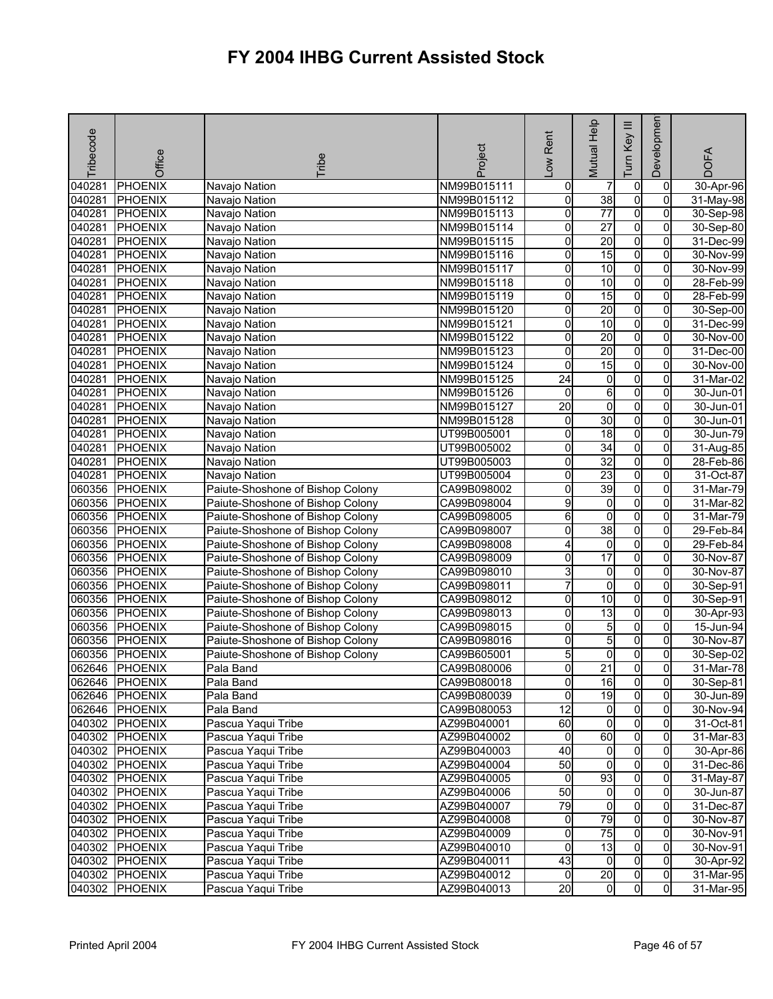| Tribecode | Office         | <b>Tribe</b>                             | Project     | -ow Rent        | Mutual Help          | $\equiv$<br>Key<br><u>I</u> | Developmen                       | <b>DOFA</b>              |
|-----------|----------------|------------------------------------------|-------------|-----------------|----------------------|-----------------------------|----------------------------------|--------------------------|
| 040281    | <b>PHOENIX</b> | Navajo Nation                            | NM99B015111 | 0               |                      |                             | 0                                | 30-Apr-96                |
| 040281    | <b>PHOENIX</b> | Navajo Nation                            | NM99B015112 | 0               | 38                   | 0<br>O                      | 0                                | 31-May-98                |
| 040281    | <b>PHOENIX</b> | Navajo Nation                            | NM99B015113 | 0               | $\overline{77}$      | $\overline{0}$              | $\overline{0}$                   | 30-Sep-98                |
| 040281    | <b>PHOENIX</b> | Navajo Nation                            | NM99B015114 | 0               | $\overline{27}$      | O                           | 0                                | 30-Sep-80                |
| 040281    | <b>PHOENIX</b> | Navajo Nation                            | NM99B015115 | 0               | 20                   | $\mathbf 0$                 | 0                                | 31-Dec-99                |
| 040281    | <b>PHOENIX</b> | Navajo Nation                            | NM99B015116 | 0               | 15                   | $\overline{0}$              | $\overline{0}$                   | 30-Nov-99                |
| 040281    | <b>PHOENIX</b> | Navajo Nation                            | NM99B015117 | 0               | 10                   | O                           | $\mathbf 0$                      | 30-Nov-99                |
| 040281    | <b>PHOENIX</b> | Navajo Nation                            | NM99B015118 | 0               | 10                   | $\overline{0}$              | $\overline{0}$                   | 28-Feb-99                |
| 040281    | <b>PHOENIX</b> | Navajo Nation                            | NM99B015119 | 0               | $\overline{15}$      | $\overline{0}$              | 0                                | 28-Feb-99                |
| 040281    | <b>PHOENIX</b> | Navajo Nation                            | NM99B015120 | 0               | 20                   | $\overline{0}$              | 0                                | 30-Sep-00                |
| 040281    | <b>PHOENIX</b> | Navajo Nation                            | NM99B015121 | 0               | 10                   | $\overline{0}$              | 0                                | 31-Dec-99                |
| 040281    | <b>PHOENIX</b> | Navajo Nation                            | NM99B015122 | 0               | 20                   | o                           | 0                                | 30-Nov-00                |
| 040281    | <b>PHOENIX</b> | Navajo Nation                            | NM99B015123 | 0               | 20                   | $\overline{0}$              | 0                                | 31-Dec-00                |
| 040281    | <b>PHOENIX</b> | Navajo Nation                            | NM99B015124 | 0               | 15                   | $\overline{0}$              | 0                                | 30-Nov-00                |
| 040281    | <b>PHOENIX</b> | Navajo Nation                            | NM99B015125 | $\overline{24}$ | $\overline{0}$       | $\pmb{0}$                   | 0                                | 31-Mar-02                |
| 040281    | <b>PHOENIX</b> | Navajo Nation                            | NM99B015126 | 0               | 6                    | O                           | 0                                | 30-Jun-01                |
| 040281    | <b>PHOENIX</b> | Navajo Nation                            | NM99B015127 | $\overline{20}$ | $\overline{0}$       | O                           | $\overline{0}$                   | 30-Jun-01                |
| 040281    | <b>PHOENIX</b> | Navajo Nation                            | NM99B015128 | 0               | 30                   | O                           | $\mathbf 0$                      | 30-Jun-01                |
| 040281    | <b>PHOENIX</b> | Navajo Nation                            | UT99B005001 | 0               | 18                   | $\overline{0}$              | $\overline{0}$                   | 30-Jun-79                |
| 040281    | <b>PHOENIX</b> | Navajo Nation                            | UT99B005002 | 0               | $\overline{34}$      | $\overline{0}$              | 0                                | 31-Aug-85                |
| 040281    | <b>PHOENIX</b> | Navajo Nation                            | UT99B005003 | 0               | $\overline{32}$      | $\overline{0}$              | 0                                | 28-Feb-86                |
| 040281    | <b>PHOENIX</b> | Navajo Nation                            | UT99B005004 | 0               | 23                   | $\overline{0}$              | 0                                | 31-Oct-87                |
| 060356    | <b>PHOENIX</b> | Paiute-Shoshone of Bishop Colony         | CA99B098002 | 0               | 39                   | o                           | 0                                | 31-Mar-79                |
| 060356    | PHOENIX        | Paiute-Shoshone of Bishop Colony         | CA99B098004 | 9               | 0                    | o                           | 0                                | 31-Mar-82                |
| 060356    | <b>PHOENIX</b> | Paiute-Shoshone of Bishop Colony         | CA99B098005 | 6               | $\overline{0}$       | $\overline{0}$              | $\overline{0}$                   | 31-Mar-79                |
| 060356    | <b>PHOENIX</b> | Paiute-Shoshone of Bishop Colony         | CA99B098007 | 0               | 38                   | $\pmb{0}$                   | 0                                | 29-Feb-84                |
| 060356    | <b>PHOENIX</b> | Paiute-Shoshone of Bishop Colony         | CA99B098008 | 4               | 0                    | o                           | 0                                | 29-Feb-84                |
| 060356    | <b>PHOENIX</b> | Paiute-Shoshone of Bishop Colony         | CA99B098009 | 0               | 17                   | $\overline{0}$              | 0                                | 30-Nov-87                |
| 060356    | <b>PHOENIX</b> | Paiute-Shoshone of Bishop Colony         | CA99B098010 | 3               | 0                    | $\mathbf 0$                 | 0                                | 30-Nov-87                |
| 060356    | <b>PHOENIX</b> | Paiute-Shoshone of Bishop Colony         | CA99B098011 | 7               | ō                    | $\overline{0}$              | $\Omega$                         | 30-Sep-91                |
| 060356    | <b>PHOENIX</b> | Paiute-Shoshone of Bishop Colony         | CA99B098012 | 0               | 10                   | $\overline{0}$              | $\overline{0}$                   | 30-Sep-91                |
| 060356    | <b>PHOENIX</b> | Paiute-Shoshone of Bishop Colony         | CA99B098013 | 0               | 13                   | o                           | 0                                | 30-Apr-93                |
| 060356    | <b>PHOENIX</b> | Paiute-Shoshone of Bishop Colony         | CA99B098015 | 0               | 5                    | o                           | 0                                | 15-Jun-94                |
| 060356    | <b>PHOENIX</b> | Paiute-Shoshone of Bishop Colony         | CA99B098016 | 0               | 5                    | o                           | 0                                | 30-Nov-87                |
| 060356    | <b>PHOENIX</b> | Paiute-Shoshone of Bishop Colony         | CA99B605001 | 5               | 0                    | 0                           | 0                                | 30-Sep-02                |
| 062646    | <b>PHOENIX</b> | Pala Band                                | CA99B080006 | 0               | $\overline{21}$      | $\mathbf 0$                 | $\mathbf 0$                      | 31-Mar-78                |
|           | 062646 PHOENIX | Pala Band                                | CA99B080018 | 이               | 16                   | $\overline{0}$              | $\overline{0}$                   | 30-Sep-81                |
|           | 062646 PHOENIX | Pala Band                                | CA99B080039 | 0               | 19                   | $\overline{0}$              | $\overline{0}$                   | 30-Jun-89                |
|           | 062646 PHOENIX | Pala Band                                | CA99B080053 | 12              | $\overline{0}$       | o                           | $\mathbf{0}$                     | 30-Nov-94                |
|           | 040302 PHOENIX | Pascua Yaqui Tribe                       | AZ99B040001 | 8               | $\overline{0}$       | 0                           | 0                                | 31-Oct-81                |
|           | 040302 PHOENIX | Pascua Yaqui Tribe                       | AZ99B040002 | 0               | 60                   | $\overline{0}$              | 0                                | 31-Mar-83                |
|           | 040302 PHOENIX | Pascua Yaqui Tribe                       | AZ99B040003 | $\overline{40}$ | $\overline{0}$       | $\overline{0}$              | $\overline{0}$                   | 30-Apr-86                |
|           | 040302 PHOENIX | Pascua Yaqui Tribe                       | AZ99B040004 | 50              | $\overline{0}$       | o                           | 0                                | 31-Dec-86                |
|           | 040302 PHOENIX | Pascua Yaqui Tribe                       | AZ99B040005 | $\overline{0}$  | 93                   | o                           | 0                                | 31-May-87                |
|           | 040302 PHOENIX | Pascua Yaqui Tribe                       | AZ99B040006 | 50              | $\overline{0}$       | $\overline{0}$              | $\overline{0}$                   | 30-Jun-87                |
|           | 040302 PHOENIX | Pascua Yaqui Tribe                       | AZ99B040007 | 79              | $\overline{0}$       | $\mathbf 0$                 | 0                                | 31-Dec-87                |
|           | 040302 PHOENIX | Pascua Yaqui Tribe                       | AZ99B040008 | $\overline{0}$  | 79                   | ō                           | $\mathbf{0}$                     | 30-Nov-87                |
|           | 040302 PHOENIX | Pascua Yaqui Tribe                       | AZ99B040009 | 0               | $\overline{75}$      | $\overline{0}$              | 0                                | 30-Nov-91                |
|           | 040302 PHOENIX | Pascua Yaqui Tribe                       | AZ99B040010 | 0               | 13<br>$\overline{0}$ | $\overline{0}$<br>o         | $\mathbf{0}$                     | 30-Nov-91                |
|           | 040302 PHOENIX | Pascua Yaqui Tribe                       | AZ99B040011 | 43<br>0         | 20                   |                             | 0                                | 30-Apr-92                |
| 040302    | 040302 PHOENIX | Pascua Yaqui Tribe<br>Pascua Yaqui Tribe | AZ99B040012 | $\overline{20}$ | $\overline{0}$       | 0<br>$\overline{0}$         | $\overline{0}$<br>$\overline{0}$ | 31-Mar-95<br>$31-Mar-95$ |
|           | <b>PHOENIX</b> |                                          | AZ99B040013 |                 |                      |                             |                                  |                          |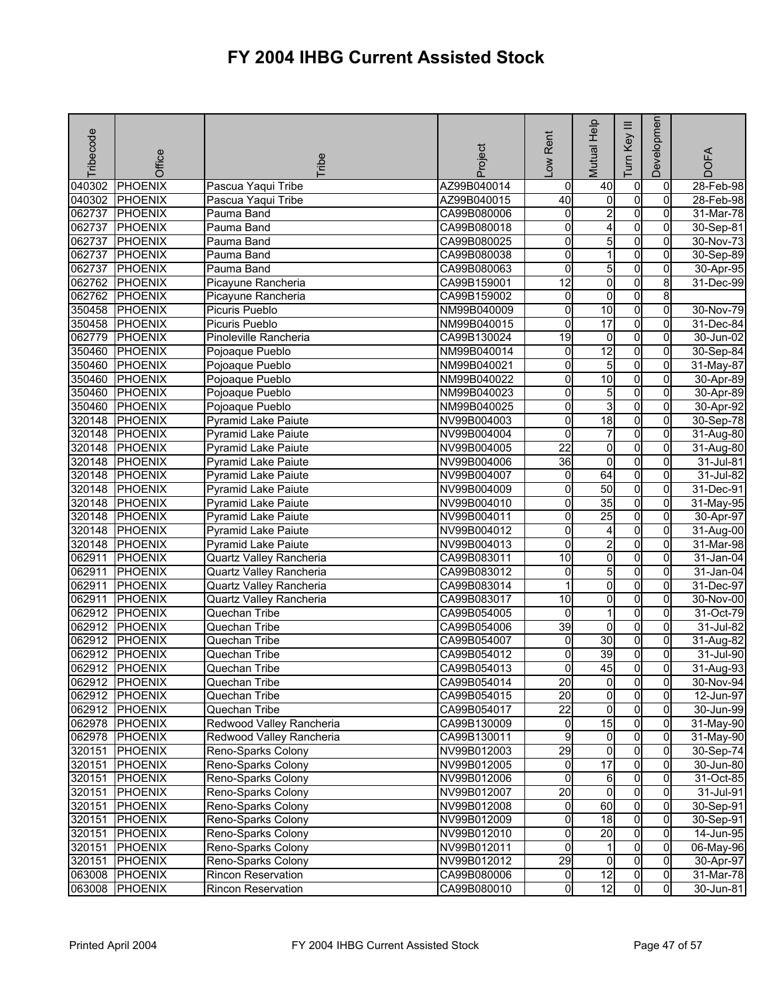| Tribecode | Office         | <b>Fribe</b>               | Project     | Rent<br>$\sum_{i=1}^{n}$ | Mutual Help             | Ξ<br>Key<br>Tum | Developmen     | <b>DOFA</b>  |
|-----------|----------------|----------------------------|-------------|--------------------------|-------------------------|-----------------|----------------|--------------|
| 040302    | PHOENIX        | Pascua Yaqui Tribe         | AZ99B040014 | $\mathbf 0$              | 40                      | $\pmb{0}$       | 0              | 28-Feb-98    |
| 040302    | PHOENIX        | Pascua Yaqui Tribe         | AZ99B040015 | 40                       | $\overline{0}$          | o               | 0              | 28-Feb-98    |
| 062737    | <b>PHOENIX</b> | Pauma Band                 | CA99B080006 | 0                        | $\overline{2}$          | $\overline{0}$  | $\overline{0}$ | $31$ -Mar-78 |
| 062737    | <b>PHOENIX</b> | Pauma Band                 | CA99B080018 | 0                        | 4                       | $\overline{0}$  | 0              | 30-Sep-81    |
| 062737    | <b>PHOENIX</b> | Pauma Band                 | CA99B080025 | 0                        | 5                       | $\overline{0}$  | 0              | 30-Nov-73    |
| 062737    | <b>PHOENIX</b> | Pauma Band                 | CA99B080038 | 0                        | 1                       | $\overline{0}$  | 0              | 30-Sep-89    |
| 062737    | <b>PHOENIX</b> | Pauma Band                 | CA99B080063 | o                        | 5                       | $\mathbf 0$     | 0              | 30-Apr-95    |
| 062762    | <b>PHOENIX</b> | Picayune Rancheria         | CA99B159001 | 12                       | o                       | $\overline{0}$  | 8              | 31-Dec-99    |
| 062762    | PHOENIX        | Picayune Rancheria         | CA99B159002 | $\overline{0}$           | $\overline{\mathbf{0}}$ | $\overline{0}$  | 8              |              |
| 350458    | <b>PHOENIX</b> | Picuris Pueblo             | NM99B040009 | 0                        | 10                      | $\overline{0}$  | $\overline{0}$ | 30-Nov-79    |
| 350458    | PHOENIX        | Picuris Pueblo             | NM99B040015 | 0                        | 17                      | o               | 0              | 31-Dec-84    |
| 062779    | <b>PHOENIX</b> | Pinoleville Rancheria      | CA99B130024 | $\overline{19}$          | $\overline{0}$          | $\overline{0}$  | $\mathbf{0}$   | 30-Jun-02    |
| 350460    | PHOENIX        | Pojoaque Pueblo            | NM99B040014 | 0                        | $\overline{12}$         | $\overline{0}$  | 0              | 30-Sep-84    |
| 350460    | <b>PHOENIX</b> | Pojoaque Pueblo            | NM99B040021 | 0                        | 5                       | $\overline{0}$  | $\overline{0}$ | 31-May-87    |
| 350460    | PHOENIX        | Pojoaque Pueblo            | NM99B040022 | 0                        | $\overline{10}$         | $\overline{0}$  | 0              | 30-Apr-89    |
| 350460    | <b>PHOENIX</b> | Pojoaque Pueblo            | NM99B040023 | 0                        | 5                       | $\overline{0}$  | 0              | 30-Apr-89    |
| 350460    | <b>PHOENIX</b> | Pojoaque Pueblo            | NM99B040025 | 0                        | 3                       | $\overline{0}$  | 0              | 30-Apr-92    |
| 320148    | <b>PHOENIX</b> | Pyramid Lake Paiute        | NV99B004003 | 0                        | 18                      | o               | 0              | 30-Sep-78    |
| 320148    | <b>PHOENIX</b> | <b>Pyramid Lake Paiute</b> | NV99B004004 | 0                        | $\overline{7}$          | $\overline{0}$  | 0              | 31-Aug-80    |
| 320148    | PHOENIX        | <b>Pyramid Lake Paiute</b> | NV99B004005 | $\overline{22}$          | $\overline{\mathbf{0}}$ | $\overline{0}$  | $\overline{0}$ | 31-Aug-80    |
| 320148    | <b>PHOENIX</b> | <b>Pyramid Lake Paiute</b> | NV99B004006 | 36                       | 0                       | $\mathbf 0$     | 0              | 31-Jul-81    |
| 320148    | <b>PHOENIX</b> | <b>Pyramid Lake Paiute</b> | NV99B004007 | 0                        | 64                      | $\overline{0}$  | 0              | 31-Jul-82    |
| 320148    | <b>PHOENIX</b> | Pyramid Lake Paiute        | NV99B004009 | 0                        | 50                      | $\overline{0}$  | $\overline{0}$ | 31-Dec-91    |
| 320148    | <b>PHOENIX</b> | <b>Pyramid Lake Paiute</b> | NV99B004010 | $\overline{0}$           | 35                      | $\overline{0}$  | 0              | 31-May-95    |
| 320148    | <b>PHOENIX</b> | Pyramid Lake Paiute        | NV99B004011 | 0                        | 25                      | $\overline{0}$  | $\Omega$       | 30-Apr-97    |
| 320148    | PHOENIX        | <b>Pyramid Lake Paiute</b> | NV99B004012 | 0                        | 4                       | $\overline{0}$  | 0              | 31-Aug-00    |
| 320148    | <b>PHOENIX</b> | <b>Pyramid Lake Paiute</b> | NV99B004013 | 0                        | $\overline{2}$          | $\overline{0}$  | 0              | 31-Mar-98    |
| 062911    | <b>PHOENIX</b> | Quartz Valley Rancheria    | CA99B083011 | $\overline{10}$          | O                       | $\overline{0}$  | $\overline{0}$ | 31-Jan-04    |
| 062911    | <b>PHOENIX</b> | Quartz Valley Rancheria    | CA99B083012 | 0                        | 5                       | $\overline{0}$  | 0              | 31-Jan-04    |
| 062911    | <b>PHOENIX</b> | Quartz Valley Rancheria    | CA99B083014 | 1                        | 0                       | 0               | 0              | 31-Dec-97    |
| 062911    | <b>PHOENIX</b> | Quartz Valley Rancheria    | CA99B083017 | 10                       | $\overline{\mathbf{0}}$ | $\overline{0}$  | $\overline{0}$ | 30-Nov-00    |
| 062912    | <b>PHOENIX</b> | Quechan Tribe              | CA99B054005 | 0                        | 1                       | $\mathbf 0$     | 0              | 31-Oct-79    |
| 062912    | <b>PHOENIX</b> | Quechan Tribe              | CA99B054006 | 39                       | 0                       | $\overline{0}$  | 0              | 31-Jul-82    |
| 062912    | PHOENIX        | Quechan Tribe              | CA99B054007 | 0                        | 30                      | $\overline{0}$  | $\overline{0}$ | 31-Aug-82    |
| 062912    | <b>PHOENIX</b> | Quechan Tribe              | CA99B054012 | 0                        | 39                      | o               | 0              | 31-Jul-90    |
| 062912    | <b>PHOENIX</b> | Quechan Tribe              | CA99B054013 | 0                        | 45                      | $\overline{0}$  | $\overline{0}$ | 31-Aug-93    |
|           | 062912 PHOENIX | Quechan Tribe              | CA99B054014 | 20                       | $\overline{0}$          | $\overline{0}$  | 01             | 30-Nov-94    |
|           | 062912 PHOENIX | Quechan Tribe              | CA99B054015 | 20                       | $\overline{0}$          | $\overline{0}$  | $\Omega$       | 12-Jun-97    |
|           | 062912 PHOENIX | Quechan Tribe              | CA99B054017 | $\overline{22}$          | $\overline{0}$          | $\overline{0}$  | $\overline{0}$ | 30-Jun-99    |
|           | 062978 PHOENIX | Redwood Valley Rancheria   | CA99B130009 | 0                        | 15                      | $\mathbf 0$     | $\overline{0}$ | 31-May-90    |
|           | 062978 PHOENIX | Redwood Valley Rancheria   | CA99B130011 | 9                        | $\overline{0}$          | 0               | 0              | 31-May-90    |
| 320151    | <b>PHOENIX</b> | Reno-Sparks Colony         | NV99B012003 | 29                       | $\overline{\mathbf{0}}$ | $\overline{0}$  | $\overline{0}$ | 30-Sep-74    |
| 320151    | <b>PHOENIX</b> | Reno-Sparks Colony         | NV99B012005 | 0                        | $\overline{17}$         | $\mathbf 0$     | 0              | 30-Jun-80    |
| 320151    | <b>PHOENIX</b> | Reno-Sparks Colony         | NV99B012006 | 0                        | 6                       | $\overline{0}$  | $\overline{0}$ | 31-Oct-85    |
| 320151    | PHOENIX        | Reno-Sparks Colony         | NV99B012007 | $\overline{20}$          | $\overline{0}$          | $\overline{0}$  | $\mathbf{0}$   | 31-Jul-91    |
| 320151    | PHOENIX        | Reno-Sparks Colony         | NV99B012008 | 0                        | 60                      | 0               | $\overline{0}$ | 30-Sep-91    |
| 320151    | <b>PHOENIX</b> | Reno-Sparks Colony         | NV99B012009 | 0                        | 18                      | 0               | 0              | 30-Sep-91    |
| 320151    | <b>PHOENIX</b> | Reno-Sparks Colony         | NV99B012010 | 0                        | 20                      | $\overline{0}$  | $\Omega$       | 14-Jun-95    |
| 320151    | <b>PHOENIX</b> | Reno-Sparks Colony         | NV99B012011 | 0                        | 1                       | $\mathbf 0$     | 0              | 06-May-96    |
| 320151    | <b>PHOENIX</b> | Reno-Sparks Colony         | NV99B012012 | 29                       | $\overline{0}$          | o               | $\overline{0}$ | 30-Apr-97    |
|           | 063008 PHOENIX | Rincon Reservation         | CA99B080006 | $\overline{0}$           | 12                      | $\mathbf 0$     | $\overline{0}$ | 31-Mar-78    |
|           | 063008 PHOENIX | Rincon Reservation         | CA99B080010 | 0                        | 12                      | 0               | $\overline{0}$ | 30-Jun-81    |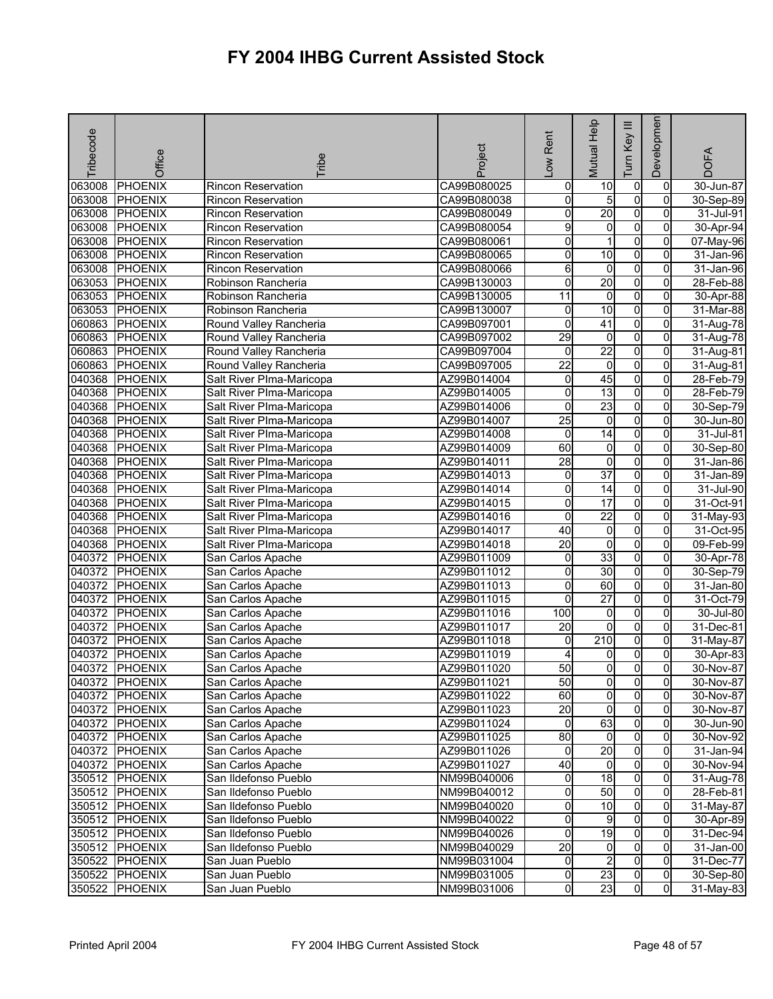| Tribecode | Office         | <b>Fribe</b>              | Project     | -ow Rent        | <b>Mutual Help</b>      | Ξ<br>Key<br>Tum  | Developmen     | <b>DOFA</b> |
|-----------|----------------|---------------------------|-------------|-----------------|-------------------------|------------------|----------------|-------------|
| 063008    | PHOENIX        | Rincon Reservation        | CA99B080025 | 0               | 10                      | $\pmb{0}$        | 0              | 30-Jun-87   |
| 063008    | PHOENIX        | <b>Rincon Reservation</b> | CA99B080038 | 0               | 5                       | o                | $\mathbf 0$    | 30-Sep-89   |
| 063008    | <b>PHOENIX</b> | Rincon Reservation        | CA99B080049 | 0               | 20                      | $\overline{0}$   | $\overline{0}$ | 31-Jul-91   |
| 063008    | <b>PHOENIX</b> | <b>Rincon Reservation</b> | CA99B080054 | 9               | $\overline{0}$          | $\overline{0}$   | 0              | 30-Apr-94   |
| 063008    | <b>PHOENIX</b> | <b>Rincon Reservation</b> | CA99B080061 | 0               | 1                       | $\overline{0}$   | 0              | 07-May-96   |
| 063008    | <b>PHOENIX</b> | <b>Rincon Reservation</b> | CA99B080065 | 0               | 10                      | $\overline{0}$   | 0              | 31-Jan-96   |
| 063008    | <b>PHOENIX</b> | Rincon Reservation        | CA99B080066 | 6               | $\overline{0}$          | o                | $\overline{0}$ | 31-Jan-96   |
| 063053    | <b>PHOENIX</b> | Robinson Rancheria        | CA99B130003 | $\overline{0}$  | 20                      | $\overline{0}$   | 0              | 28-Feb-88   |
| 063053    | <b>PHOENIX</b> | Robinson Rancheria        | CA99B130005 | $\overline{11}$ | $\overline{0}$          | $\overline{0}$   | $\overline{0}$ | 30-Apr-88   |
| 063053    | <b>PHOENIX</b> | Robinson Rancheria        | CA99B130007 | 0               | 10                      | o                | 0              | 31-Mar-88   |
| 060863    | <b>PHOENIX</b> | Round Valley Rancheria    | CA99B097001 | 0               | 41                      | $\overline{0}$   | 0              | 31-Aug-78   |
| 060863    | <b>PHOENIX</b> | Round Valley Rancheria    | CA99B097002 | 29              | $\overline{0}$          | $\overline{0}$   | $\overline{0}$ | 31-Aug-78   |
| 060863    | PHOENIX        | Round Valley Rancheria    | CA99B097004 | 0               | 22                      | $\overline{0}$   | 0              | 31-Aug-81   |
| 060863    | <b>PHOENIX</b> | Round Valley Rancheria    | CA99B097005 | $\overline{22}$ | ō                       | $\overline{0}$   | $\overline{0}$ | 31-Aug-81   |
| 040368    | <b>PHOENIX</b> | Salt River Plma-Maricopa  | AZ99B014004 | 0               | 45                      | $\overline{0}$   | 0              | 28-Feb-79   |
| 040368    | <b>PHOENIX</b> | Salt River Plma-Maricopa  | AZ99B014005 | 0               | 13                      | $\overline{0}$   | 0              | 28-Feb-79   |
| 040368    | <b>PHOENIX</b> | Salt River Plma-Maricopa  | AZ99B014006 | 0               | 23                      | $\overline{0}$   | 0              | 30-Sep-79   |
| 040368    | <b>PHOENIX</b> | Salt River PIma-Maricopa  | AZ99B014007 | $\overline{25}$ | $\overline{0}$          | o                | 0              | 30-Jun-80   |
| 040368    | <b>PHOENIX</b> | Salt River PIma-Maricopa  | AZ99B014008 | 0               | 14                      | $\overline{0}$   | $\Omega$       | 31-Jul-81   |
| 040368    | <b>PHOENIX</b> | Salt River Plma-Maricopa  | AZ99B014009 | 60              | $\overline{0}$          | $\overline{0}$   | $\overline{0}$ | 30-Sep-80   |
| 040368    | <b>PHOENIX</b> | Salt River Plma-Maricopa  | AZ99B014011 | 28              | 0                       | $\mathbf 0$      | 0              | 31-Jan-86   |
| 040368    | <b>PHOENIX</b> | Salt River Plma-Maricopa  | AZ99B014013 | 0               | 37                      | $\overline{0}$   | 0              | 31-Jan-89   |
| 040368    | PHOENIX        | Salt River Plma-Maricopa  | AZ99B014014 | 0               | $\overline{14}$         | $\overline{0}$   | 0              | 31-Jul-90   |
| 040368    | <b>PHOENIX</b> | Salt River PIma-Maricopa  | AZ99B014015 | $\overline{0}$  | 17                      | $\overline{0}$   | 0              | 31-Oct-91   |
| 040368    | <b>PHOENIX</b> | Salt River PIma-Maricopa  | AZ99B014016 | 0               | $\overline{22}$         | $\overline{0}$   | $\Omega$       | 31-May-93   |
| 040368    | <b>PHOENIX</b> | Salt River Plma-Maricopa  | AZ99B014017 | 40              | 0                       | $\overline{0}$   | 0              | 31-Oct-95   |
| 040368    | <b>PHOENIX</b> | Salt River Plma-Maricopa  | AZ99B014018 | $\overline{20}$ | o                       | $\overline{0}$   | 0              | 09-Feb-99   |
| 040372    | PHOENIX        | San Carlos Apache         | AZ99B011009 | $\mathbf 0$     | 33                      | $\overline{0}$   | 0              | 30-Apr-78   |
| 040372    | <b>PHOENIX</b> | San Carlos Apache         | AZ99B011012 | 0               | 30                      | $\overline{0}$   | 0              | 30-Sep-79   |
| 040372    | PHOENIX        | San Carlos Apache         | AZ99B011013 | 0               | 60                      | $\overline{0}$   | 0              | 31-Jan-80   |
| 040372    | <b>PHOENIX</b> | San Carlos Apache         | AZ99B011015 | 0               | $\overline{27}$         | $\overline{0}$   | $\overline{0}$ | 31-Oct-79   |
| 040372    | <b>PHOENIX</b> | San Carlos Apache         | AZ99B011016 | 100             | $\overline{0}$          | o                | 0              | 30-Jul-80   |
| 040372    | <b>PHOENIX</b> | San Carlos Apache         | AZ99B011017 | 20              | $\overline{0}$          | O                | 0              | 31-Dec-81   |
| 040372    | PHOENIX        | San Carlos Apache         | AZ99B011018 | 0               | 210                     | $\overline{0}$   | $\overline{0}$ | 31-May-87   |
| 040372    | <b>PHOENIX</b> | San Carlos Apache         | AZ99B011019 | 4               | 0                       | $\mathbf 0$      | 0              | 30-Apr-83   |
| 040372    | <b>PHOENIX</b> | San Carlos Apache         | AZ99B011020 | 50              | $\overline{\mathbf{0}}$ | $\overline{0}$   | $\overline{0}$ | 30-Nov-87   |
|           | 040372 PHOENIX | San Carlos Apache         | AZ99B011021 | 50              | 0I                      | $\mathbf{0}$     | 01             | 30-Nov-87   |
|           | 040372 PHOENIX | San Carlos Apache         | AZ99B011022 | 60              | $\overline{0}$          | $\overline{0}$   | $\mathbf{0}$   | 30-Nov-87   |
|           | 040372 PHOENIX | San Carlos Apache         | AZ99B011023 | 20              | $\overline{0}$          | $\overline{0}$   | $\mathbf{0}$   | 30-Nov-87   |
|           | 040372 PHOENIX | San Carlos Apache         | AZ99B011024 | $\overline{0}$  | 63                      | $\overline{0}$   | $\overline{0}$ | 30-Jun-90   |
|           | 040372 PHOENIX | San Carlos Apache         | AZ99B011025 | 80              | $\overline{0}$          | $\mathbf 0$      | 0              | 30-Nov-92   |
|           | 040372 PHOENIX | San Carlos Apache         | AZ99B011026 | 0               | 20                      | $\overline{0}$   | $\overline{0}$ | 31-Jan-94   |
|           | 040372 PHOENIX | San Carlos Apache         | AZ99B011027 | 40              | $\overline{0}$          | $\overline{0}$   | 0              | 30-Nov-94   |
|           | 350512 PHOENIX | San Ildefonso Pueblo      | NM99B040006 | 0               | 18                      | $\overline{0}$   | $\overline{0}$ | 31-Aug-78   |
|           | 350512 PHOENIX | San Ildefonso Pueblo      | NM99B040012 | $\overline{0}$  | 50                      | $\overline{0}$   | $\overline{0}$ | 28-Feb-81   |
|           | 350512 PHOENIX | San Ildefonso Pueblo      | NM99B040020 | 0               | 10                      | 0                | 0              | 31-May-87   |
|           | 350512 PHOENIX | San Ildefonso Pueblo      | NM99B040022 | 0               | 9                       | $\mathbf 0$      | 0              | 30-Apr-89   |
|           | 350512 PHOENIX | San Ildefonso Pueblo      | NM99B040026 | 0               | 19                      | $\overline{0}$   | $\overline{0}$ | 31-Dec-94   |
|           | 350512 PHOENIX | San Ildefonso Pueblo      | NM99B040029 | $\overline{20}$ | $\overline{0}$          | $\mathbf 0$<br>O | $\mathbf{0}$   | 31-Jan-00   |
| 350522    | <b>PHOENIX</b> | San Juan Pueblo           | NM99B031004 | 0               | $\overline{c}$<br>23    | $\mathbf 0$      | $\mathbf{0}$   | 31-Dec-77   |
| 350522    | PHOENIX        | San Juan Pueblo           | NM99B031005 | $\overline{0}$  |                         |                  | $\overline{0}$ | 30-Sep-80   |
| 350522    | PHOENIX        | San Juan Pueblo           | NM99B031006 | 0               | 23                      | $\overline{0}$   | $\overline{0}$ | 31-May-83   |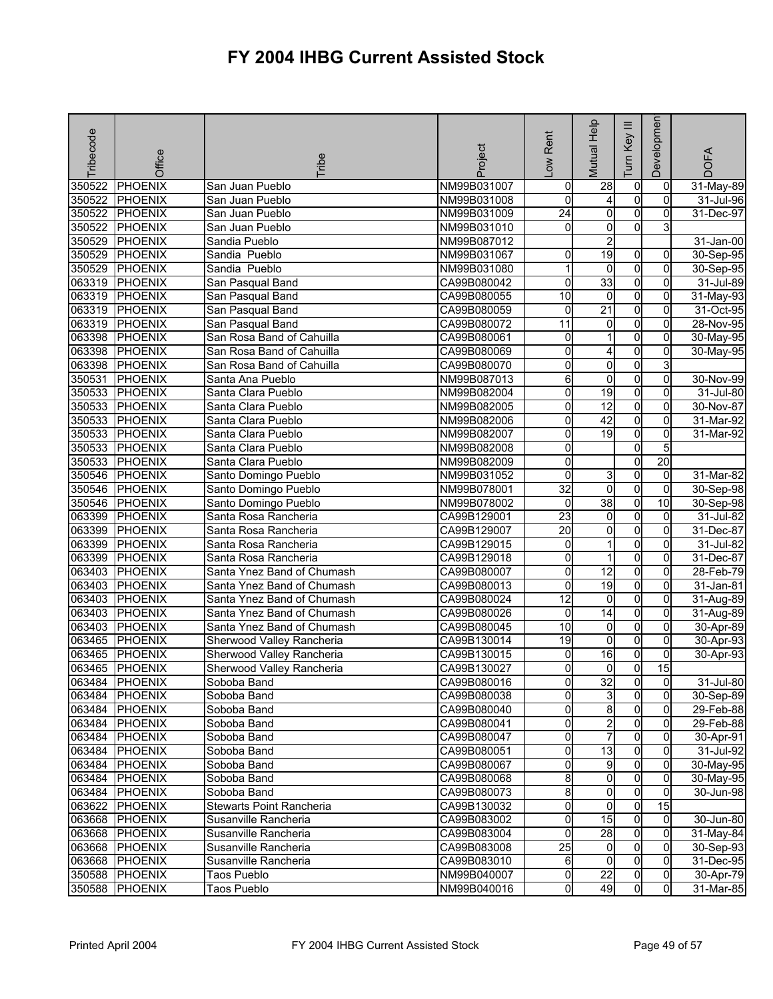| Tribecode | Office         | <b>Tribe</b>               | Project     | -ow Rent            | Mutual Help             | $\equiv$<br>Key<br>Tum | Developmen     | <b>DOFA</b> |
|-----------|----------------|----------------------------|-------------|---------------------|-------------------------|------------------------|----------------|-------------|
| 350522    | <b>PHOENIX</b> | San Juan Pueblo            | NM99B031007 | 0                   | $\overline{28}$         | $\overline{0}$         | 0              | 31-May-89   |
| 350522    | PHOENIX        | San Juan Pueblo            | NM99B031008 | 0                   | 4                       | $\overline{0}$         | $\Omega$       | 31-Jul-96   |
| 350522    | PHOENIX        | San Juan Pueblo            | NM99B031009 | $\overline{24}$     | 0                       | $\overline{0}$         | 0              | 31-Dec-97   |
| 350522    | <b>PHOENIX</b> | San Juan Pueblo            | NM99B031010 | 0                   | 0                       | 0                      | 3              |             |
| 350529    | <b>PHOENIX</b> | Sandia Pueblo              | NM99B087012 |                     | $\overline{2}$          |                        |                | 31-Jan-00   |
| 350529    | <b>PHOENIX</b> | Sandia Pueblo              | NM99B031067 | 0                   | 19                      | $\overline{0}$         | $\overline{0}$ | 30-Sep-95   |
| 350529    | <b>PHOENIX</b> | Sandia Pueblo              | NM99B031080 | 1                   | $\mathbf 0$             | $\overline{0}$         | 0              | 30-Sep-95   |
| 063319    | <b>PHOENIX</b> | San Pasqual Band           | CA99B080042 | 0                   | 33                      | $\overline{0}$         | $\overline{0}$ | 31-Jul-89   |
| 063319    | <b>PHOENIX</b> | San Pasqual Band           | CA99B080055 | $\overline{10}$     | 0                       | 0                      | 0              | 31-May-93   |
| 063319    | <b>PHOENIX</b> | San Pasqual Band           | CA99B080059 | 0                   | $\overline{21}$         | $\overline{0}$         | 0              | 31-Oct-95   |
| 063319    | <b>PHOENIX</b> | San Pasqual Band           | CA99B080072 | $\overline{11}$     | o                       | $\overline{0}$         | 0              | 28-Nov-95   |
| 063398    | <b>PHOENIX</b> | San Rosa Band of Cahuilla  | CA99B080061 | 0                   | 1                       | 0                      | 0              | 30-May-95   |
| 063398    | PHOENIX        | San Rosa Band of Cahuilla  | CA99B080069 | 0                   | 4                       | 0                      | 0              | 30-May-95   |
| 063398    | <b>PHOENIX</b> | San Rosa Band of Cahuilla  | CA99B080070 | 0                   | 0                       | 0                      | 3              |             |
| 350531    | <b>PHOENIX</b> | Santa Ana Pueblo           | NM99B087013 | 6                   | 0                       | $\overline{0}$         | 0              | 30-Nov-99   |
| 350533    | <b>PHOENIX</b> | Santa Clara Pueblo         | NM99B082004 | 0                   | $\overline{19}$         | $\overline{0}$         | 0              | 31-Jul-80   |
| 350533    | <b>PHOENIX</b> | Santa Clara Pueblo         | NM99B082005 | 0                   | 12                      | $\overline{0}$         | $\overline{0}$ | 30-Nov-87   |
| 350533    | <b>PHOENIX</b> | Santa Clara Pueblo         | NM99B082006 | 0                   | 42                      | $\overline{0}$         | 0              | 31-Mar-92   |
| 350533    | <b>PHOENIX</b> | Santa Clara Pueblo         | NM99B082007 | 0                   | 19                      | $\overline{0}$         | $\Omega$       | 31-Mar-92   |
| 350533    | <b>PHOENIX</b> | Santa Clara Pueblo         | NM99B082008 | 0                   |                         | O                      | 5              |             |
| 350533    | <b>PHOENIX</b> | Santa Clara Pueblo         | NM99B082009 | 0                   |                         | $\overline{0}$         | 20             |             |
| 350546    | <b>PHOENIX</b> | Santo Domingo Pueblo       | NM99B031052 | 0                   | 3                       | $\overline{0}$         | $\overline{0}$ | 31-Mar-82   |
| 350546    | <b>PHOENIX</b> | Santo Domingo Pueblo       | NM99B078001 | $\overline{32}$     | 0                       | O                      | 0              | 30-Sep-98   |
| 350546    | <b>PHOENIX</b> | Santo Domingo Pueblo       | NM99B078002 | 0                   | 38                      | $\overline{0}$         | 10             | 30-Sep-98   |
| 063399    | <b>PHOENIX</b> | Santa Rosa Rancheria       | CA99B129001 | 23                  | o                       | O                      | 0              | 31-Jul-82   |
| 063399    | <b>PHOENIX</b> | Santa Rosa Rancheria       | CA99B129007 | $\overline{20}$     | 0                       | $\overline{0}$         | 0              | 31-Dec-87   |
| 063399    | <b>PHOENIX</b> | Santa Rosa Rancheria       | CA99B129015 | 0                   | 1                       | $\overline{0}$         | 0              | 31-Jul-82   |
| 063399    | <b>PHOENIX</b> | Santa Rosa Rancheria       | CA99B129018 | $\mathsf{O}\xspace$ | 1                       | $\overline{0}$         | $\overline{0}$ | 31-Dec-87   |
| 063403    | <b>PHOENIX</b> | Santa Ynez Band of Chumash | CA99B080007 | 0                   | 12                      | $\overline{0}$         | 0              | 28-Feb-79   |
| 063403    | <b>PHOENIX</b> | Santa Ynez Band of Chumash | CA99B080013 | 0                   | 19                      | 0                      | $\Omega$       | 31-Jan-81   |
| 063403    | PHOENIX        | Santa Ynez Band of Chumash | CA99B080024 | $\overline{12}$     | $\overline{0}$          | $\overline{0}$         | $\overline{0}$ | 31-Aug-89   |
| 063403    | <b>PHOENIX</b> | Santa Ynez Band of Chumash | CA99B080026 | 0                   | 14                      | $\overline{0}$         | 0              | 31-Aug-89   |
| 063403    | PHOENIX        | Santa Ynez Band of Chumash | CA99B080045 | 10                  | 0                       | $\overline{0}$         | 0              | 30-Apr-89   |
| 063465    | <b>PHOENIX</b> | Sherwood Valley Rancheria  | CA99B130014 | 19                  | 0                       | O                      | 0              | 30-Apr-93   |
| 063465    | <b>PHOENIX</b> | Sherwood Valley Rancheria  | CA99B130015 | 0                   | 16                      | 0                      | 0              | 30-Apr-93   |
| 063465    | PHOENIX        | Sherwood Valley Rancheria  | CA99B130027 | 0                   | 0                       | O                      | 15             |             |
|           | 063484 PHOENIX | Soboba Band                | CA99B080016 | 01                  | $\overline{3}2$         | 01                     | 01             | 31-Jul-80   |
|           | 063484 PHOENIX | Soboba Band                | CA99B080038 | 0                   | 3                       | $\overline{0}$         | $\mathbf{0}$   | 30-Sep-89   |
|           | 063484 PHOENIX | Soboba Band                | CA99B080040 | 0                   | 8                       | $\overline{0}$         | $\mathbf{0}$   | 29-Feb-88   |
|           | 063484 PHOENIX | Soboba Band                | CA99B080041 | 0                   | $\overline{\mathbf{c}}$ | $\overline{0}$         | $\overline{0}$ | 29-Feb-88   |
| 063484    | <b>PHOENIX</b> | Soboba Band                | CA99B080047 | 0                   | $\overline{7}$          | 0                      | $\Omega$       | 30-Apr-91   |
| 063484    | <b>PHOENIX</b> | Soboba Band                | CA99B080051 | 0                   | 13                      | $\overline{0}$         | $\Omega$       | 31-Jul-92   |
|           | 063484 PHOENIX | Soboba Band                | CA99B080067 | 0                   | 9                       | $\overline{0}$         | $\Omega$       | 30-May-95   |
|           | 063484 PHOENIX | Soboba Band                | CA99B080068 | 8                   | $\overline{0}$          | $\overline{0}$         | $\overline{0}$ | 30-May-95   |
|           | 063484 PHOENIX | Soboba Band                | CA99B080073 | 8                   | $\overline{0}$          | $\overline{0}$         | $\mathbf{0}$   | 30-Jun-98   |
|           | 063622 PHOENIX | Stewarts Point Rancheria   | CA99B130032 | 0                   | 0                       | $\overline{0}$         | 15             |             |
|           | 063668 PHOENIX | Susanville Rancheria       | CA99B083002 | 0                   | 15                      | $\overline{0}$         | $\Omega$       | 30-Jun-80   |
|           | 063668 PHOENIX | Susanville Rancheria       | CA99B083004 | 0                   | 28                      | 0                      | 0              | 31-May-84   |
|           | 063668 PHOENIX | Susanville Rancheria       | CA99B083008 | 25                  | $\overline{0}$          | $\overline{0}$         | $\Omega$       | 30-Sep-93   |
|           | 063668 PHOENIX | Susanville Rancheria       | CA99B083010 | 6                   | $\overline{0}$          | $\overline{0}$         | $\mathbf{0}$   | 31-Dec-95   |
|           | 350588 PHOENIX | Taos Pueblo                | NM99B040007 | 0                   | $\overline{22}$         | 0                      | 0              | 30-Apr-79   |
| 350588    | <b>PHOENIX</b> | Taos Pueblo                | NM99B040016 | 0                   | 49                      | 0                      | $\overline{0}$ | 31-Mar-85   |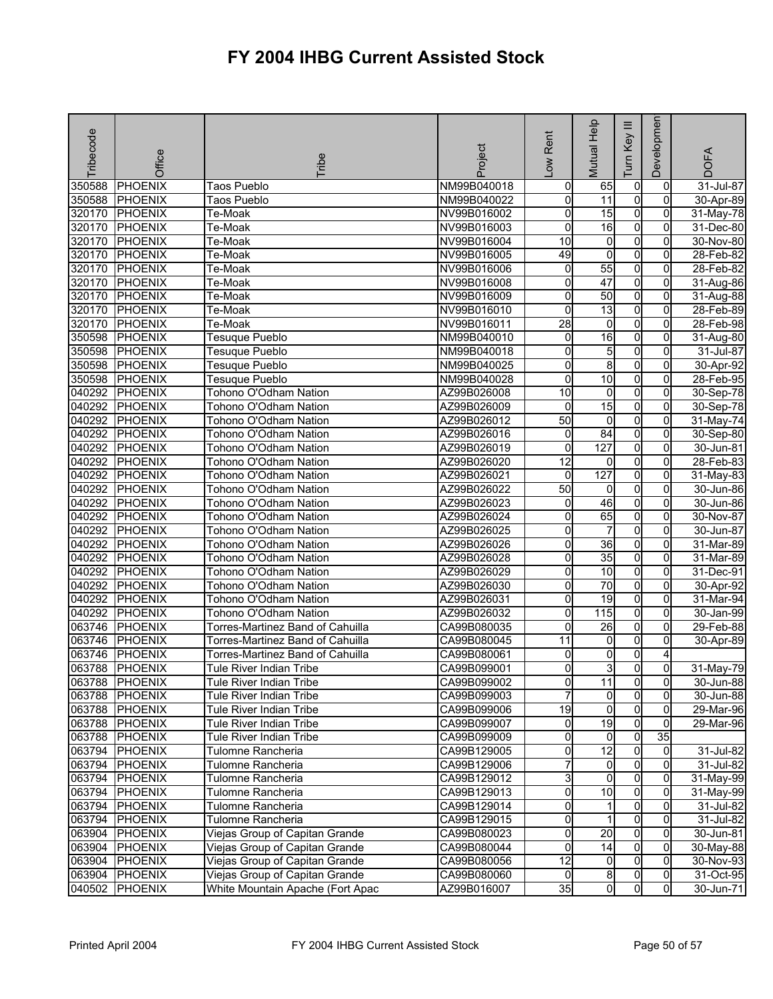| Tribecode | Office         | Tribe                            | Project     | Rent<br>$\sum_{i=1}^{n}$ | Mutual Help             | Ξ<br>Tum Key   | Developmen     | <b>DOFA</b>   |
|-----------|----------------|----------------------------------|-------------|--------------------------|-------------------------|----------------|----------------|---------------|
| 350588    | <b>PHOENIX</b> | <b>Taos Pueblo</b>               | NM99B040018 | 0                        | 65                      | $\pmb{0}$      | 0              | 31-Jul-87     |
| 350588    | <b>PHOENIX</b> | <b>Taos Pueblo</b>               | NM99B040022 | o                        | $\overline{11}$         | $\overline{0}$ | $\overline{0}$ | 30-Apr-89     |
| 320170    | PHOENIX        | Te-Moak                          | NV99B016002 | 0                        | $\overline{15}$         | $\overline{0}$ | $\mathbf{0}$   | 31-May-78     |
| 320170    | <b>PHOENIX</b> | Te-Moak                          | NV99B016003 | 0                        | 16                      | $\overline{0}$ | 0              | 31-Dec-80     |
| 320170    | <b>PHOENIX</b> | Te-Moak                          | NV99B016004 | 10                       | $\overline{0}$          | $\overline{0}$ | $\overline{0}$ | 30-Nov-80     |
| 320170    | <b>PHOENIX</b> | Te-Moak                          | NV99B016005 | 49                       | 0                       | $\overline{0}$ | 0              | 28-Feb-82     |
| 320170    | PHOENIX        | Te-Moak                          | NV99B016006 | 0                        | 55                      | $\overline{0}$ | 0              | 28-Feb-82     |
| 320170    | <b>PHOENIX</b> | Te-Moak                          | NV99B016008 | $\overline{0}$           | 47                      | $\overline{0}$ | 0              | 31-Aug-86     |
| 320170    | <b>PHOENIX</b> | Te-Moak                          | NV99B016009 | 0                        | 50                      | $\overline{0}$ | 0              | 31-Aug-88     |
| 320170    | <b>PHOENIX</b> | Te-Moak                          | NV99B016010 | 0                        | $\overline{13}$         | $\overline{0}$ | 0              | 28-Feb-89     |
| 320170    | <b>PHOENIX</b> | Te-Moak                          | NV99B016011 | $\overline{28}$          | $\overline{0}$          | $\overline{0}$ | $\overline{0}$ | 28-Feb-98     |
| 350598    | <b>PHOENIX</b> | Tesuque Pueblo                   | NM99B040010 | 0                        | 16                      | $\overline{0}$ | 0              | 31-Aug-80     |
| 350598    | <b>PHOENIX</b> | <b>Tesuque Pueblo</b>            | NM99B040018 | 0                        | 5                       | 0              | $\Omega$       | 31-Jul-87     |
| 350598    | <b>PHOENIX</b> | Tesuque Pueblo                   | NM99B040025 | 0                        | 8                       | $\overline{0}$ | $\mathbf{0}$   | 30-Apr-92     |
| 350598    | <b>PHOENIX</b> | Tesuque Pueblo                   | NM99B040028 | 0                        | 10                      | $\overline{0}$ | 0              | 28-Feb-95     |
| 040292    | <b>PHOENIX</b> | Tohono O'Odham Nation            | AZ99B026008 | 10                       | $\mathbf 0$             | $\overline{0}$ | $\overline{0}$ | 30-Sep-78     |
| 040292    | <b>PHOENIX</b> | Tohono O'Odham Nation            | AZ99B026009 | $\mathbf 0$              | 15                      | $\overline{0}$ | 0              | 30-Sep-78     |
| 040292    | PHOENIX        | Tohono O'Odham Nation            | AZ99B026012 | $\overline{50}$          | 0                       | $\overline{0}$ | 0              | 31-May-74     |
| 040292    | <b>PHOENIX</b> | Tohono O'Odham Nation            | AZ99B026016 | 0                        | $\overline{84}$         | $\overline{0}$ | $\overline{0}$ | 30-Sep-80     |
| 040292    | <b>PHOENIX</b> | Tohono O'Odham Nation            | AZ99B026019 | 0                        | 127                     | 0              | 0              | 30-Jun-81     |
| 040292    | <b>PHOENIX</b> | Tohono O'Odham Nation            | AZ99B026020 | $\overline{12}$          | 0                       | $\overline{0}$ | 0              | 28-Feb-83     |
| 040292    | <b>PHOENIX</b> | Tohono O'Odham Nation            | AZ99B026021 | 0                        | 127                     | $\overline{0}$ | $\overline{0}$ | 31-May-83     |
| 040292    | <b>PHOENIX</b> | Tohono O'Odham Nation            | AZ99B026022 | $\overline{50}$          | 0                       | $\overline{0}$ | 0              | 30-Jun-86     |
| 040292    | <b>PHOENIX</b> | Tohono O'Odham Nation            | AZ99B026023 | 0                        | 46                      | O              | $\Omega$       | 30-Jun-86     |
| 040292    | PHOENIX        | Tohono O'Odham Nation            | AZ99B026024 | 0                        | 65                      | $\overline{0}$ | $\overline{0}$ | 30-Nov-87     |
| 040292    | <b>PHOENIX</b> | Tohono O'Odham Nation            | AZ99B026025 | 0                        | 7                       | $\overline{0}$ | 0              | 30-Jun-87     |
| 040292    | <b>PHOENIX</b> | Tohono O'Odham Nation            | AZ99B026026 | 0                        | $\overline{36}$         | $\overline{0}$ | 0              | 31-Mar-89     |
| 040292    | <b>PHOENIX</b> | Tohono O'Odham Nation            | AZ99B026028 | 0                        | 35                      | $\overline{0}$ | 0              | 31-Mar-89     |
| 040292    | <b>PHOENIX</b> | Tohono O'Odham Nation            | AZ99B026029 | 0                        | $\overline{10}$         | $\overline{0}$ | $\Omega$       | 31-Dec-91     |
| 040292    | <b>PHOENIX</b> | Tohono O'Odham Nation            | AZ99B026030 | 0                        | 70                      | $\overline{0}$ | $\overline{0}$ | 30-Apr-92     |
| 040292    | PHOENIX        | Tohono O'Odham Nation            | AZ99B026031 | 0                        | 19                      | O              | 0              | 31-Mar-94     |
| 040292    | <b>PHOENIX</b> | Tohono O'Odham Nation            | AZ99B026032 | 0                        | 115                     | $\overline{0}$ | 0              | 30-Jan-99     |
| 063746    | <b>PHOENIX</b> | Torres-Martinez Band of Cahuilla | CA99B080035 | 0                        | 26                      | $\overline{0}$ | 0              | 29-Feb-88     |
| 063746    | <b>PHOENIX</b> | Torres-Martinez Band of Cahuilla | CA99B080045 | $\overline{11}$          | 0                       | $\overline{0}$ | 0              | 30-Apr-89     |
| 063746    | PHOENIX        | Torres-Martinez Band of Cahuilla | CA99B080061 | 0                        | 0                       | 0              | 4              |               |
| 063788    | PHOENIX        | Tule River Indian Tribe          | CA99B099001 | 0                        | ვ                       | 0l             | $\overline{0}$ | 31-May-79     |
|           | 063788 PHOENIX | Tule River Indian Tribe          | CA99B099002 | 0                        | 11                      | $\overline{0}$ | 0l             | 30-Jun-88     |
|           | 063788 PHOENIX | Tule River Indian Tribe          | CA99B099003 | 7                        | $\overline{0}$          | $\overline{0}$ | $\mathbf{0}$   | 30-Jun-88     |
|           | 063788 PHOENIX | Tule River Indian Tribe          | CA99B099006 | $\overline{19}$          | $\overline{0}$          | $\overline{0}$ | $\overline{0}$ | $29-Mar-96$   |
|           | 063788 PHOENIX | Tule River Indian Tribe          | CA99B099007 | $\mathbf 0$              | 19                      | $\overline{0}$ | 0              | 29-Mar-96     |
|           | 063788 PHOENIX | Tule River Indian Tribe          | CA99B099009 | o                        | $\overline{0}$          | $\overline{0}$ | 35             |               |
|           | 063794 PHOENIX | Tulomne Rancheria                | CA99B129005 | 0                        | $\overline{12}$         | $\overline{0}$ | $\overline{0}$ | 31-Jul-82     |
|           | 063794 PHOENIX | Tulomne Rancheria                | CA99B129006 | 7                        | $\overline{0}$          | $\overline{0}$ | 0              | 31-Jul-82     |
|           | 063794 PHOENIX | Tulomne Rancheria                | CA99B129012 | 3                        | $\overline{\mathbf{0}}$ | $\overline{0}$ | 0              | 31-May-99     |
|           | 063794 PHOENIX | Tulomne Rancheria                | CA99B129013 | o                        | 10                      | $\overline{0}$ | 0              | 31-May-99     |
| 063794    | <b>PHOENIX</b> | Tulomne Rancheria                | CA99B129014 | 0                        |                         | 0              | $\Omega$       | $31 -$ Jul-82 |
| 063794    | <b>PHOENIX</b> | Tulomne Rancheria                | CA99B129015 | 0                        | 1                       | $\overline{0}$ | $\Omega$       | 31-Jul-82     |
| 063904    | <b>PHOENIX</b> | Viejas Group of Capitan Grande   | CA99B080023 | 0                        | $\overline{20}$         | $\overline{0}$ | 0              | 30-Jun-81     |
| 063904    | <b>PHOENIX</b> | Viejas Group of Capitan Grande   | CA99B080044 | 0                        | 14                      | $\overline{0}$ | $\overline{0}$ | 30-May-88     |
| 063904    | <b>PHOENIX</b> | Viejas Group of Capitan Grande   | CA99B080056 | $\overline{12}$          | $\overline{0}$          | $\overline{0}$ | $\overline{0}$ | 30-Nov-93     |
| 063904    | <b>PHOENIX</b> | Viejas Group of Capitan Grande   | CA99B080060 | $\Omega$                 | 8                       | $\overline{0}$ | $\overline{0}$ | 31-Oct-95     |
| 040502    | <b>PHOENIX</b> | White Mountain Apache (Fort Apac | AZ99B016007 | 35                       | $\overline{0}$          | $\overline{0}$ | $\overline{0}$ | 30-Jun-71     |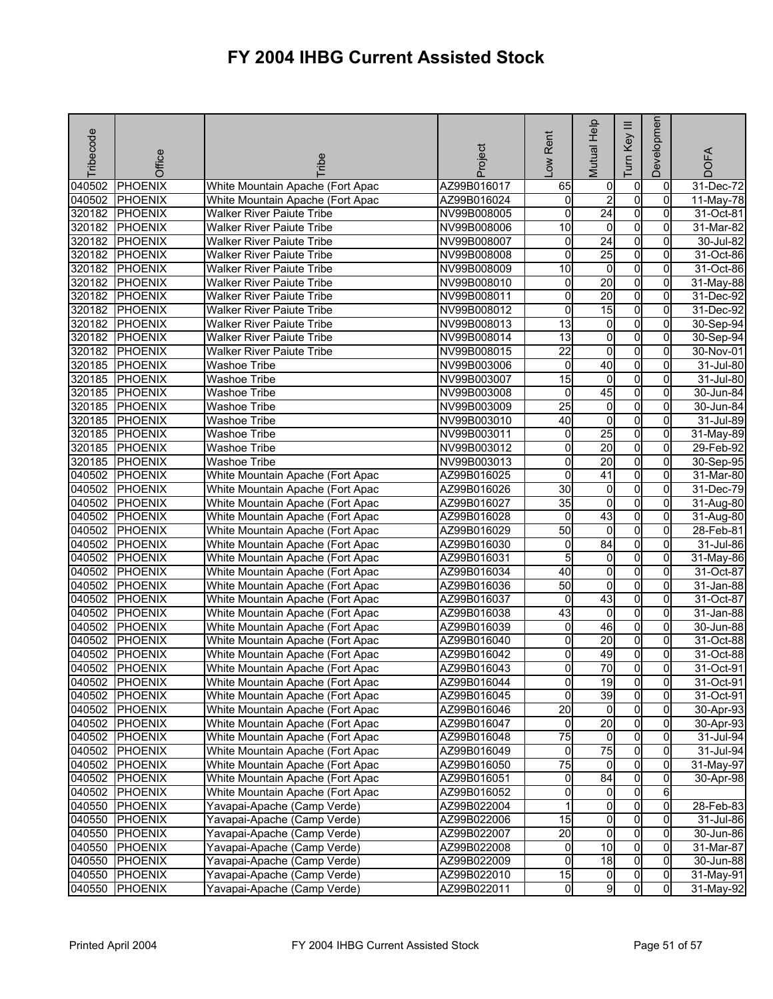| Tribecode | Office         | ribe                             | Project     | Rent<br>Low         | Mutual Help     | Ξ<br>Key<br>Tum | Developmen     | <b>DOFA</b> |
|-----------|----------------|----------------------------------|-------------|---------------------|-----------------|-----------------|----------------|-------------|
| 040502    | <b>PHOENIX</b> | White Mountain Apache (Fort Apac | AZ99B016017 | 65                  | 0               | $\overline{0}$  | $\mathbf 0$    | 31-Dec-72   |
|           | 040502 PHOENIX | White Mountain Apache (Fort Apac | AZ99B016024 | 0                   | $\overline{2}$  | $\overline{0}$  | $\Omega$       | 11-May-78   |
| 320182    | <b>PHOENIX</b> | <b>Walker River Paiute Tribe</b> | NV99B008005 | 0                   | 24              | $\overline{0}$  | $\Omega$       | 31-Oct-81   |
|           | 320182 PHOENIX | <b>Walker River Paiute Tribe</b> | NV99B008006 | 10                  | $\overline{0}$  | $\overline{0}$  | 0              | 31-Mar-82   |
| 320182    | <b>PHOENIX</b> | Walker River Paiute Tribe        | NV99B008007 | 0                   | 24              | $\overline{0}$  | $\overline{0}$ | 30-Jul-82   |
| 320182    | <b>PHOENIX</b> | <b>Walker River Paiute Tribe</b> | NV99B008008 | 0                   | 25              | $\overline{0}$  | 0              | 31-Oct-86   |
| 320182    | <b>PHOENIX</b> | <b>Walker River Paiute Tribe</b> | NV99B008009 | 10                  | $\overline{0}$  | $\overline{0}$  | 0              | 31-Oct-86   |
| 320182    | <b>PHOENIX</b> | <b>Walker River Paiute Tribe</b> | NV99B008010 | 0                   | 20              | $\overline{0}$  | $\Omega$       | 31-May-88   |
| 320182    | PHOENIX        | <b>Walker River Paiute Tribe</b> | NV99B008011 | 0                   | $\overline{20}$ | $\overline{0}$  | $\overline{0}$ | 31-Dec-92   |
| 320182    | <b>PHOENIX</b> | <b>Walker River Paiute Tribe</b> | NV99B008012 | 0                   | 15              | $\overline{0}$  | 0              | 31-Dec-92   |
| 320182    | <b>PHOENIX</b> | Walker River Paiute Tribe        | NV99B008013 | 13                  | $\overline{0}$  | $\overline{0}$  | 0              | 30-Sep-94   |
|           | 320182 PHOENIX | <b>Walker River Paiute Tribe</b> | NV99B008014 | $\overline{13}$     | $\overline{0}$  | $\overline{0}$  | $\overline{0}$ | 30-Sep-94   |
|           | 320182 PHOENIX | <b>Walker River Paiute Tribe</b> | NV99B008015 | $\overline{22}$     | 0               | $\overline{0}$  | $\Omega$       | 30-Nov-01   |
| 320185    | PHOENIX        | <b>Washoe Tribe</b>              | NV99B003006 | $\mathbf 0$         | 40              | $\overline{0}$  | $\Omega$       | 31-Jul-80   |
| 320185    | PHOENIX        | <b>Washoe Tribe</b>              | NV99B003007 | 15                  | 0               | O               | 0              | 31-Jul-80   |
|           | 320185 PHOENIX | <b>Washoe Tribe</b>              | NV99B003008 | 0                   | 45              | $\overline{0}$  | 0              | 30-Jun-84   |
| 320185    | <b>PHOENIX</b> | <b>Washoe Tribe</b>              | NV99B003009 | $\overline{25}$     | $\overline{0}$  | $\overline{0}$  | 0              | 30-Jun-84   |
| 320185    | <b>PHOENIX</b> | <b>Washoe Tribe</b>              | NV99B003010 | 40                  | $\mathbf 0$     | $\overline{0}$  | 0              | 31-Jul-89   |
| 320185    | <b>PHOENIX</b> | <b>Washoe Tribe</b>              | NV99B003011 | 0                   | 25              | $\overline{0}$  | 0              | 31-May-89   |
| 320185    | PHOENIX        | <b>Washoe Tribe</b>              | NV99B003012 | 0                   | $\overline{20}$ | $\overline{0}$  | $\overline{0}$ | 29-Feb-92   |
| 320185    | <b>PHOENIX</b> | <b>Washoe Tribe</b>              | NV99B003013 | 0                   | 20              | $\overline{0}$  | 0              | 30-Sep-95   |
| 040502    | <b>PHOENIX</b> | White Mountain Apache (Fort Apac | AZ99B016025 | 0                   | 41              | $\overline{0}$  | 0              | 31-Mar-80   |
| 040502    | PHOENIX        | White Mountain Apache (Fort Apac | AZ99B016026 | 30                  | $\overline{0}$  | $\overline{0}$  | $\overline{0}$ | 31-Dec-79   |
| 040502    | <b>PHOENIX</b> | White Mountain Apache (Fort Apac | AZ99B016027 | 35                  | 0               | $\overline{0}$  | 0              | 31-Aug-80   |
| 040502    | PHOENIX        | White Mountain Apache (Fort Apac | AZ99B016028 | $\mathbf 0$         | 43              | $\overline{0}$  | $\Omega$       | 31-Aug-80   |
| 040502    | PHOENIX        | White Mountain Apache (Fort Apac | AZ99B016029 | 50                  | 0               | O               | 0              | 28-Feb-81   |
| 040502    | <b>PHOENIX</b> | White Mountain Apache (Fort Apac | AZ99B016030 | 0                   | $\overline{84}$ | $\overline{0}$  | 0              | 31-Jul-86   |
| 040502    | <b>PHOENIX</b> | White Mountain Apache (Fort Apac | AZ99B016031 | 5                   | $\overline{0}$  | $\overline{0}$  | $\mathbf{0}$   | 31-May-86   |
| 040502    | PHOENIX        | White Mountain Apache (Fort Apac | AZ99B016034 | 40                  | $\overline{0}$  | O               | 0              | 31-Oct-87   |
| 040502    | <b>PHOENIX</b> | White Mountain Apache (Fort Apac | AZ99B016036 | 50                  | 0               | 0               | 0              | 31-Jan-88   |
| 040502    | <b>PHOENIX</b> | White Mountain Apache (Fort Apac | AZ99B016037 | $\mathbf 0$         | 43              | $\overline{0}$  | 0              | 31-Oct-87   |
| 040502    | <b>PHOENIX</b> | White Mountain Apache (Fort Apac | AZ99B016038 | 43                  | 0               | $\overline{0}$  | 0              | 31-Jan-88   |
| 040502    | <b>PHOENIX</b> | White Mountain Apache (Fort Apac | AZ99B016039 | 0                   | 46              | $\overline{0}$  | 0              | 30-Jun-88   |
| 040502    | PHOENIX        | White Mountain Apache (Fort Apac | AZ99B016040 | 0                   | 20              | $\overline{0}$  | $\mathbf{0}$   | 31-Oct-88   |
| 040502    | <b>PHOENIX</b> | White Mountain Apache (Fort Apac | AZ99B016042 | 0                   | 49              | $\overline{0}$  | 0              | 31-Oct-88   |
| 040502    | PHOENIX        | White Mountain Apache (Fort Apac | AZ99B016043 | 0                   | 70              | $\mathsf{o}$    | $\Omega$       | 31-Oct-91   |
|           | 040502 PHOENIX | White Mountain Apache (Fort Apac | AZ99B016044 | 0                   | 19              | 01              | 01             | 31-Oct-91   |
|           | 040502 PHOENIX | White Mountain Apache (Fort Apac | AZ99B016045 | 0                   | 39              | $\overline{0}$  | $\Omega$       | 31-Oct-91   |
|           | 040502 PHOENIX | White Mountain Apache (Fort Apac | AZ99B016046 | $\overline{20}$     | $\overline{0}$  | $\overline{0}$  | $\mathbf{0}$   | 30-Apr-93   |
|           | 040502 PHOENIX | White Mountain Apache (Fort Apac | AZ99B016047 | $\mathbf 0$         | 20              | $\overline{0}$  | 0              | 30-Apr-93   |
|           | 040502 PHOENIX | White Mountain Apache (Fort Apac | AZ99B016048 | 75                  | $\overline{0}$  | $\overline{0}$  | 0              | 31-Jul-94   |
|           | 040502 PHOENIX | White Mountain Apache (Fort Apac | AZ99B016049 | $\overline{0}$      | 75              | $\overline{0}$  | $\Omega$       | 31-Jul-94   |
|           | 040502 PHOENIX | White Mountain Apache (Fort Apac | AZ99B016050 | $\overline{75}$     | $\overline{0}$  | $\overline{0}$  | 0              | 31-May-97   |
|           | 040502 PHOENIX | White Mountain Apache (Fort Apac | AZ99B016051 | 0                   | 84              | $\overline{0}$  | 0              | 30-Apr-98   |
|           | 040502 PHOENIX | White Mountain Apache (Fort Apac | AZ99B016052 | $\mathsf{O}\xspace$ | $\overline{0}$  | $\overline{0}$  | 6              |             |
|           | 040550 PHOENIX | Yavapai-Apache (Camp Verde)      | AZ99B022004 |                     | 0               | $\overline{0}$  | $\overline{0}$ | 28-Feb-83   |
|           | 040550 PHOENIX | Yavapai-Apache (Camp Verde)      | AZ99B022006 | $\overline{15}$     | $\overline{0}$  | $\overline{0}$  | 0              | 31-Jul-86   |
| 040550    | <b>PHOENIX</b> | Yavapai-Apache (Camp Verde)      | AZ99B022007 | $\overline{20}$     | $\overline{0}$  | $\overline{0}$  | $\mathbf{0}$   | 30-Jun-86   |
|           | 040550 PHOENIX | Yavapai-Apache (Camp Verde)      | AZ99B022008 | 0                   | 10              | $\overline{0}$  | 0              | 31-Mar-87   |
|           | 040550 PHOENIX | Yavapai-Apache (Camp Verde)      | AZ99B022009 | 0                   | 18              | $\overline{0}$  | $\mathbf{0}$   | 30-Jun-88   |
|           | 040550 PHOENIX | Yavapai-Apache (Camp Verde)      | AZ99B022010 | $\overline{15}$     | $\overline{0}$  | $\overline{0}$  | $\overline{0}$ | 31-May-91   |
| 040550    | <b>PHOENIX</b> | Yavapai-Apache (Camp Verde)      | AZ99B022011 | $\overline{0}$      | 9               | 0               | $\overline{0}$ | 31-May-92   |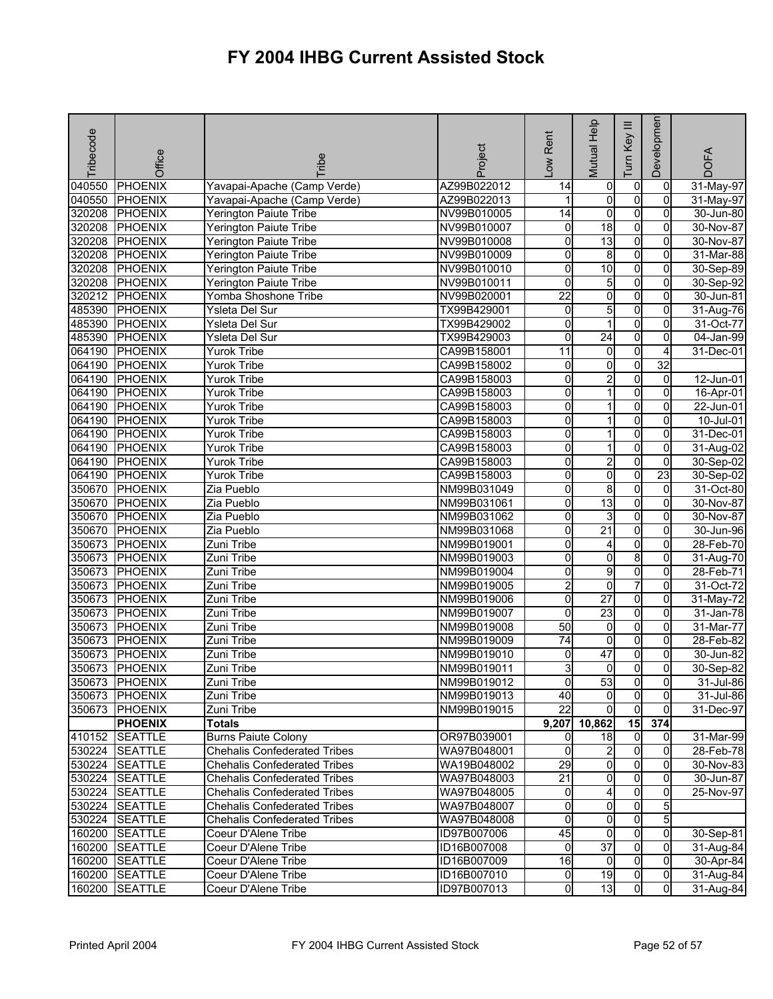| Tribecode | Office         | <b>Tribe</b>                        | Project     | -ow Rent        | Mutual Help     | Ξ<br>Key<br>Tum | Developmen     | <b>DOFA</b>   |
|-----------|----------------|-------------------------------------|-------------|-----------------|-----------------|-----------------|----------------|---------------|
| 040550    | PHOENIX        | Yavapai-Apache (Camp Verde)         | AZ99B022012 | 14              | 0               | $\overline{0}$  | $\overline{0}$ | 31-May-97     |
| 040550    | <b>PHOENIX</b> | Yavapai-Apache (Camp Verde)         | AZ99B022013 |                 | o               | $\overline{0}$  | 0              | $31$ -May-97  |
| 320208    | <b>PHOENIX</b> | <b>Yerington Paiute Tribe</b>       | NV99B010005 | $\overline{14}$ | ō               | $\overline{0}$  | $\Omega$       | 30-Jun-80     |
| 320208    | <b>PHOENIX</b> | <b>Yerington Paiute Tribe</b>       | NV99B010007 | 0               | 18              | $\overline{0}$  | $\overline{0}$ | 30-Nov-87     |
| 320208    | <b>PHOENIX</b> | <b>Yerington Paiute Tribe</b>       | NV99B010008 | 0               | 13              | $\overline{0}$  | 0              | 30-Nov-87     |
| 320208    | <b>PHOENIX</b> | Yerington Paiute Tribe              | NV99B010009 | 0               | 8               | $\overline{0}$  | $\overline{0}$ | 31-Mar-88     |
| 320208    | <b>PHOENIX</b> | Yerington Paiute Tribe              | NV99B010010 | 0               | 10              | $\overline{0}$  | 0              | 30-Sep-89     |
|           | 320208 PHOENIX | Yerington Paiute Tribe              | NV99B010011 | 0               | 5               | $\overline{0}$  | 0              | 30-Sep-92     |
| 320212    | <b>PHOENIX</b> | Yomba Shoshone Tribe                | NV99B020001 | $\overline{22}$ | o               | $\overline{0}$  | $\overline{0}$ | 30-Jun-81     |
| 485390    | <b>PHOENIX</b> | Ysleta Del Sur                      | TX99B429001 | 0               | 5               | $\overline{0}$  | 0              | 31-Aug-76     |
| 485390    | <b>PHOENIX</b> | Ysleta Del Sur                      | TX99B429002 | 0               | 1               | $\overline{0}$  | 0              | 31-Oct-77     |
| 485390    | <b>PHOENIX</b> | Ysleta Del Sur                      | TX99B429003 | 0               | $\overline{24}$ | $\overline{0}$  | 0              | 04-Jan-99     |
| 064190    | <b>PHOENIX</b> | <b>Yurok Tribe</b>                  | CA99B158001 | 11              | 0               | 0               | 4              | 31-Dec-01     |
| 064190    | <b>PHOENIX</b> | <b>Yurok Tribe</b>                  | CA99B158002 | 0               | 0               | 0               | 32             |               |
| 064190    | <b>PHOENIX</b> | <b>Yurok Tribe</b>                  | CA99B158003 | 0               | $\overline{2}$  | $\overline{0}$  | $\overline{0}$ | 12-Jun-01     |
| 064190    | <b>PHOENIX</b> | <b>Yurok Tribe</b>                  | CA99B158003 | 0               | 1               | $\overline{0}$  | 0              | $16 - Apr-01$ |
| 064190    | <b>PHOENIX</b> | <b>Yurok Tribe</b>                  | CA99B158003 | 0               | 1               | $\overline{0}$  | $\overline{0}$ | 22-Jun-01     |
| 064190    | <b>PHOENIX</b> | <b>Yurok Tribe</b>                  | CA99B158003 | 0               | 1               | O               | 0              | 10-Jul-01     |
| 064190    | <b>PHOENIX</b> | <b>Yurok Tribe</b>                  | CA99B158003 | 0               |                 | $\overline{0}$  | 0              | 31-Dec-01     |
| 064190    | <b>PHOENIX</b> | <b>Yurok Tribe</b>                  | CA99B158003 | 0               | 1               | $\overline{0}$  | $\overline{0}$ | 31-Aug-02     |
| 064190    | <b>PHOENIX</b> | <b>Yurok Tribe</b>                  | CA99B158003 | 0               | $\overline{2}$  | 0               | 0              | 30-Sep-02     |
| 064190    | <b>PHOENIX</b> | <b>Yurok Tribe</b>                  | CA99B158003 | 0               | 0               | $\overline{0}$  | 23             | 30-Sep-02     |
| 350670    | <b>PHOENIX</b> | Zia Pueblo                          | NM99B031049 | o               | 8               | $\overline{0}$  | $\overline{0}$ | 31-Oct-80     |
| 350670    | <b>PHOENIX</b> | Zia Pueblo                          | NM99B031061 | Ō               | 13              | $\overline{0}$  | 0              | 30-Nov-87     |
| 350670    | <b>PHOENIX</b> | Zia Pueblo                          | NM99B031062 | 0               | 3               | $\mathsf{o}$    | $\mathbf 0$    | 30-Nov-87     |
| 350670    | <b>PHOENIX</b> | Zia Pueblo                          | NM99B031068 | 0               | $\overline{21}$ | $\overline{0}$  | $\overline{0}$ | 30-Jun-96     |
| 350673    | <b>PHOENIX</b> | Zuni Tribe                          | NM99B019001 | 0               | 4               | $\overline{0}$  | 0              | 28-Feb-70     |
| 350673    | <b>PHOENIX</b> | Zuni Tribe                          | NM99B019003 | 0               | o               | 8               | $\overline{0}$ | 31-Aug-70     |
| 350673    | <b>PHOENIX</b> | Zuni Tribe                          | NM99B019004 | 0               | 9               | $\overline{0}$  | $\overline{0}$ | 28-Feb-71     |
| 350673    | <b>PHOENIX</b> | Zuni Tribe                          | NM99B019005 | $\overline{2}$  | ō               | 7               | $\overline{0}$ | 31-Oct-72     |
| 350673    | <b>PHOENIX</b> | Zuni Tribe                          | NM99B019006 | $\overline{0}$  | $\overline{27}$ | $\overline{0}$  | $\mathbf 0$    | $31-May-72$   |
| 350673    | <b>PHOENIX</b> | Zuni Tribe                          | NM99B019007 | 0               | $\overline{23}$ | O               | 0              | 31-Jan-78     |
| 350673    | <b>PHOENIX</b> | Zuni Tribe                          | NM99B019008 | 50              | $\overline{0}$  | $\overline{0}$  | 0              | 31-Mar-77     |
| 350673    | <b>PHOENIX</b> | Zuni Tribe                          | NM99B019009 | 74              | $\overline{0}$  | $\overline{0}$  | $\mathbf 0$    | 28-Feb-82     |
| 350673    | <b>PHOENIX</b> | Zuni Tribe                          | NM99B019010 | 0               | 47              | $\overline{0}$  | 0              | 30-Jun-82     |
| 350673    | PHOENIX        | Zuni Tribe                          | NM99B019011 | 3               | 0               | 0               | 0              | 30-Sep-82     |
|           | 350673 PHOENIX | Zuni Tribe                          | NM99B019012 | $\overline{0}$  | 53              | $\overline{0}$  | 01             | 31-Jul-86     |
|           | 350673 PHOENIX | Zuni Tribe                          | NM99B019013 | 40              | $\Omega$        | $\Omega$        | $\Omega$       | 31-Jul-86     |
| 350673    | <b>PHOENIX</b> | Zuni Tribe                          | NM99B019015 | 22              | $\overline{0}$  | $\overline{0}$  | $\mathbf{0}$   | 31-Dec-97     |
|           | <b>PHOENIX</b> | <b>Totals</b>                       |             | 9,207           | 10,862          | 15              | 374            |               |
| 410152    | <b>SEATTLE</b> | <b>Burns Paiute Colony</b>          | OR97B039001 | 0               | 18              | $\overline{0}$  | $\overline{0}$ | 31-Mar-99     |
|           | 530224 SEATTLE | <b>Chehalis Confederated Tribes</b> | WA97B048001 | 0               | $\overline{a}$  | $\overline{0}$  | $\Omega$       | 28-Feb-78     |
|           | 530224 SEATTLE | <b>Chehalis Confederated Tribes</b> | WA19B048002 | 29              | 0               | $\overline{0}$  | 0              | 30-Nov-83     |
| 530224    | <b>SEATTLE</b> | <b>Chehalis Confederated Tribes</b> | WA97B048003 | 21              | 0               | $\overline{0}$  | $\overline{0}$ | 30-Jun-87     |
| 530224    | <b>SEATTLE</b> | <b>Chehalis Confederated Tribes</b> | WA97B048005 | 0               | 4               | $\overline{0}$  | $\overline{0}$ | 25-Nov-97     |
|           | 530224 SEATTLE | <b>Chehalis Confederated Tribes</b> | WA97B048007 | 0               | $\overline{0}$  | $\overline{0}$  | 5              |               |
| 530224    | <b>SEATTLE</b> | <b>Chehalis Confederated Tribes</b> | WA97B048008 | 0               | 0               | $\overline{0}$  | 5              |               |
|           | 160200 SEATTLE | Coeur D'Alene Tribe                 | ID97B007006 | 45              | 0               | $\overline{0}$  | $\overline{0}$ | 30-Sep-81     |
|           | 160200 SEATTLE | Coeur D'Alene Tribe                 | ID16B007008 | 0               | $\overline{37}$ | $\overline{0}$  | 0              | 31-Aug-84     |
|           | 160200 SEATTLE | Coeur D'Alene Tribe                 | ID16B007009 | $\overline{6}$  | 0               | $\overline{0}$  | $\Omega$       | 30-Apr-84     |
| 160200    | <b>SEATTLE</b> | Coeur D'Alene Tribe                 | ID16B007010 | $\overline{0}$  | 19              | $\overline{0}$  | $\overline{0}$ | 31-Aug-84     |
|           | 160200 SEATTLE | Coeur D'Alene Tribe                 | ID97B007013 | 0               | 13              | $\overline{0}$  | $\overline{0}$ | 31-Aug-84     |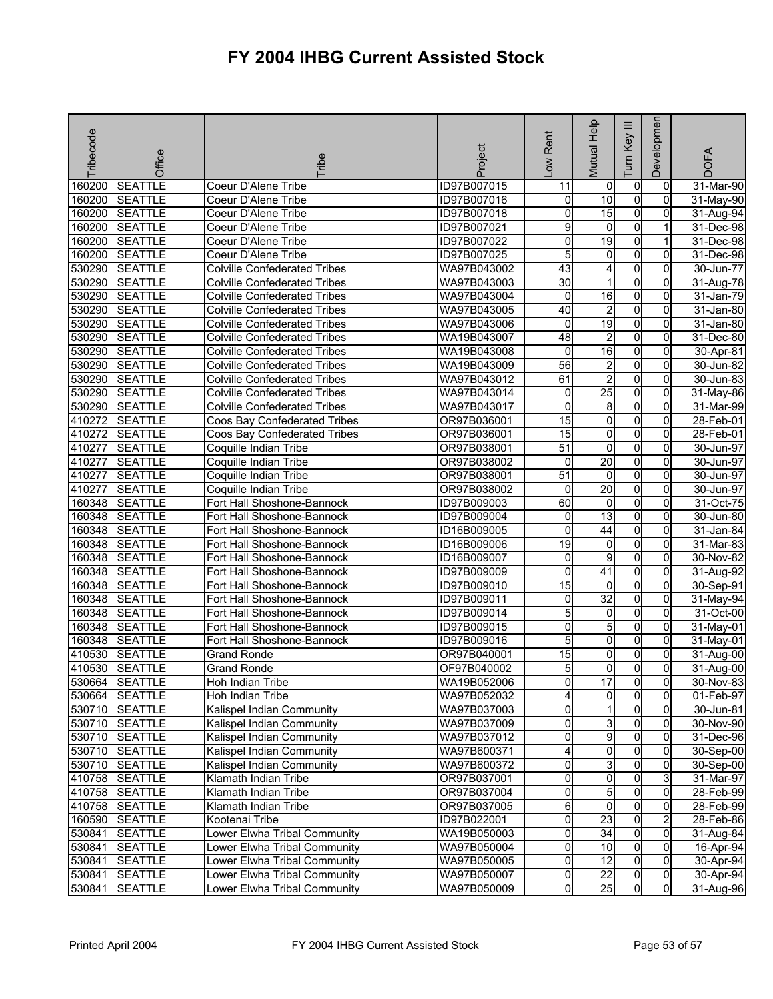| Tribecode | Office         | <b>Fribe</b>                        | Project     | Low Rent            | Mutual Help     | Ξ<br>Key<br>Tum | Developmen     | <b>DOFA</b>   |
|-----------|----------------|-------------------------------------|-------------|---------------------|-----------------|-----------------|----------------|---------------|
| 160200    | <b>SEATTLE</b> | Coeur D'Alene Tribe                 | ID97B007015 | 11                  | $\overline{0}$  | $\mathbf 0$     | 0              | 31-Mar-90     |
| 160200    | <b>SEATTLE</b> | Coeur D'Alene Tribe                 | ID97B007016 | 0                   | $\overline{10}$ | $\overline{0}$  | 0              | $31-May-90$   |
| 160200    | <b>SEATTLE</b> | Coeur D'Alene Tribe                 | ID97B007018 | 0                   | 15              | $\overline{0}$  | $\overline{0}$ | 31-Aug-94     |
| 160200    | <b>SEATTLE</b> | Coeur D'Alene Tribe                 | ID97B007021 | 9                   | 0               | O               |                | 31-Dec-98     |
| 160200    | <b>SEATTLE</b> | Coeur D'Alene Tribe                 | ID97B007022 | 0                   | 19              | $\mathbf 0$     |                | 31-Dec-98     |
| 160200    | <b>SEATTLE</b> | Coeur D'Alene Tribe                 | ID97B007025 | 5                   | $\overline{0}$  | $\overline{0}$  | 0              | 31-Dec-98     |
| 530290    | <b>SEATTLE</b> | <b>Colville Confederated Tribes</b> | WA97B043002 | 43                  | 4               | o               | 0              | 30-Jun-77     |
| 530290    | <b>SEATTLE</b> | <b>Colville Confederated Tribes</b> | WA97B043003 | 30                  | $\mathbf 1$     | $\overline{0}$  | 0              | 31-Aug-78     |
| 530290    | <b>SEATTLE</b> | <b>Colville Confederated Tribes</b> | WA97B043004 | 0                   | 16              | $\overline{0}$  | 0              | 31-Jan-79     |
| 530290    | <b>SEATTLE</b> | <b>Colville Confederated Tribes</b> | WA97B043005 | 40                  | $\overline{2}$  | o               | 0              | 31-Jan-80     |
| 530290    | <b>SEATTLE</b> | <b>Colville Confederated Tribes</b> | WA97B043006 | 0                   | 19              | $\overline{0}$  | 0              | 31-Jan-80     |
| 530290    | <b>SEATTLE</b> | <b>Colville Confederated Tribes</b> | WA19B043007 | 48                  | $\overline{2}$  | $\mathbf 0$     | 0              | $31 - Dec-80$ |
| 530290    | <b>SEATTLE</b> | <b>Colville Confederated Tribes</b> | WA19B043008 | 0                   | 16              | $\overline{0}$  | $\Omega$       | 30-Apr-81     |
| 530290    | <b>SEATTLE</b> | <b>Colville Confederated Tribes</b> | WA19B043009 | 56                  | $\overline{2}$  | $\overline{0}$  | 0              | 30-Jun-82     |
| 530290    | <b>SEATTLE</b> | <b>Colville Confederated Tribes</b> | WA97B043012 | 61                  | $\overline{2}$  | $\overline{0}$  | 0              | 30-Jun-83     |
| 530290    | <b>SEATTLE</b> | <b>Colville Confederated Tribes</b> | WA97B043014 | 0                   | 25              | o               | 0              | 31-May-86     |
| 530290    | <b>SEATTLE</b> | <b>Colville Confederated Tribes</b> | WA97B043017 | 0                   | 8               | $\overline{0}$  | $\overline{0}$ | 31-Mar-99     |
| 410272    | <b>SEATTLE</b> | Coos Bay Confederated Tribes        | OR97B036001 | 15                  | o               | o               | 0              | 28-Feb-01     |
| 410272    | <b>SEATTLE</b> | Coos Bay Confederated Tribes        | OR97B036001 | 15                  | $\overline{0}$  | $\overline{0}$  | 0              | 28-Feb-01     |
| 410277    | <b>SEATTLE</b> | Coquille Indian Tribe               | OR97B038001 | $\overline{51}$     | $\overline{0}$  | $\overline{0}$  | 0              | 30-Jun-97     |
| 410277    | <b>SEATTLE</b> | Coquille Indian Tribe               | OR97B038002 | 0                   | 20              | $\overline{0}$  | 0              | 30-Jun-97     |
| 410277    | <b>SEATTLE</b> | Coquille Indian Tribe               | OR97B038001 | $\overline{51}$     | $\overline{0}$  | $\mathbf 0$     | 0              | 30-Jun-97     |
| 410277    | <b>SEATTLE</b> | Coquille Indian Tribe               | OR97B038002 | 0                   | 20              | $\overline{0}$  | 0              | 30-Jun-97     |
| 160348    | <b>SEATTLE</b> | Fort Hall Shoshone-Bannock          | ID97B009003 | 60                  | $\overline{0}$  | $\overline{0}$  | $\Omega$       | 31-Oct-75     |
| 160348    | <b>SEATTLE</b> | Fort Hall Shoshone-Bannock          | ID97B009004 | 0                   | $\overline{13}$ | o               | 0              | 30-Jun-80     |
| 160348    | <b>SEATTLE</b> | Fort Hall Shoshone-Bannock          | ID16B009005 | 0                   | 44              | $\overline{0}$  | 0              | 31-Jan-84     |
| 160348    | <b>SEATTLE</b> | Fort Hall Shoshone-Bannock          | ID16B009006 | 19                  | 0               | o               | 0              | 31-Mar-83     |
| 160348    | <b>SEATTLE</b> | Fort Hall Shoshone-Bannock          | ID16B009007 | $\mathsf{O}\xspace$ | g               | $\overline{0}$  | $\overline{0}$ | 30-Nov-82     |
| 160348    | <b>SEATTLE</b> | Fort Hall Shoshone-Bannock          | ID97B009009 | 0                   | 41              | $\mathbf 0$     | 0              | 31-Aug-92     |
| 160348    | <b>SEATTLE</b> | Fort Hall Shoshone-Bannock          | ID97B009010 | 15                  | $\overline{0}$  | $\overline{0}$  | 0              | 30-Sep-91     |
| 160348    | <b>SEATTLE</b> | Fort Hall Shoshone-Bannock          | ID97B009011 | 0                   | $\overline{32}$ | $\overline{0}$  | $\overline{0}$ | 31-May-94     |
| 160348    | <b>SEATTLE</b> | Fort Hall Shoshone-Bannock          | ID97B009014 | 5                   | 0               | o               | 0              | 31-Oct-00     |
| 160348    | <b>SEATTLE</b> | Fort Hall Shoshone-Bannock          | ID97B009015 | 0                   | 5               | o               | 0              | 31-May-01     |
| 160348    | <b>SEATTLE</b> | Fort Hall Shoshone-Bannock          | ID97B009016 | 5                   | $\overline{0}$  | $\overline{0}$  | $\overline{0}$ | 31-May-01     |
| 410530    | <b>SEATTLE</b> | <b>Grand Ronde</b>                  | OR97B040001 | 15                  | 0               | 0               | 0              | 31-Aug-00     |
| 410530    | <b>SEATTLE</b> | <b>Grand Ronde</b>                  | OF97B040002 | 5                   | 0               | $\overline{0}$  | $\mathbf 0$    | 31-Aug-00     |
|           | 530664 SEATTLE | Hoh Indian Tribe                    | WA19B052006 | 이                   | 17              | <sub>0</sub>    | $\overline{0}$ | 30-Nov-83     |
|           | 530664 SEATTLE | Hoh Indian Tribe                    | WA97B052032 | 4                   | ō               | $\overline{0}$  | $\overline{0}$ | 01-Feb-97     |
|           | 530710 SEATTLE | Kalispel Indian Community           | WA97B037003 | 0                   | 1               | $\mathbf 0$     | $\mathbf{0}$   | 30-Jun-81     |
|           | 530710 SEATTLE | Kalispel Indian Community           | WA97B037009 | 0                   | 3               | 0               | 0              | 30-Nov-90     |
|           | 530710 SEATTLE | Kalispel Indian Community           | WA97B037012 | 0                   | 9               | 0               | 0              | 31-Dec-96     |
|           | 530710 SEATTLE | Kalispel Indian Community           | WA97B600371 | 4                   | $\overline{0}$  | $\overline{0}$  | $\overline{0}$ | 30-Sep-00     |
|           | 530710 SEATTLE | Kalispel Indian Community           | WA97B600372 | 0                   | 3               | $\mathbf 0$     | $\Omega$       | $30 - Sep-00$ |
|           | 410758 SEATTLE | Klamath Indian Tribe                | OR97B037001 | 0                   | $\overline{0}$  | $\mathbf 0$     | 3              | 31-Mar-97     |
|           | 410758 SEATTLE | Klamath Indian Tribe                | OR97B037004 | 0                   | 5               | $\mathbf 0$     | $\overline{0}$ | 28-Feb-99     |
|           | 410758 SEATTLE | Klamath Indian Tribe                | OR97B037005 | 6                   | 0               | $\mathbf 0$     | 0              | 28-Feb-99     |
|           | 160590 SEATTLE | Kootenai Tribe                      | ID97B022001 | 0                   | 23              | ō               | $\overline{2}$ | 28-Feb-86     |
| 530841    | <b>SEATTLE</b> | Lower Elwha Tribal Community        | WA19B050003 | 0                   | 34              | $\overline{0}$  | 0              | 31-Aug-84     |
| 530841    | <b>SEATTLE</b> | Lower Elwha Tribal Community        | WA97B050004 | 0                   | 10              | $\overline{0}$  | $\Omega$       | 16-Apr-94     |
| 530841    | <b>SEATTLE</b> | Lower Elwha Tribal Community        | WA97B050005 | 0                   | 12              | O               | 0              | 30-Apr-94     |
| 530841    | <b>SEATTLE</b> | Lower Elwha Tribal Community        | WA97B050007 | 0                   | $\overline{22}$ | 0               | $\overline{0}$ | 30-Apr-94     |
| 530841    | <b>SEATTLE</b> | Lower Elwha Tribal Community        | WA97B050009 | O                   | 25              | $\overline{0}$  | $\overline{0}$ | 31-Aug-96     |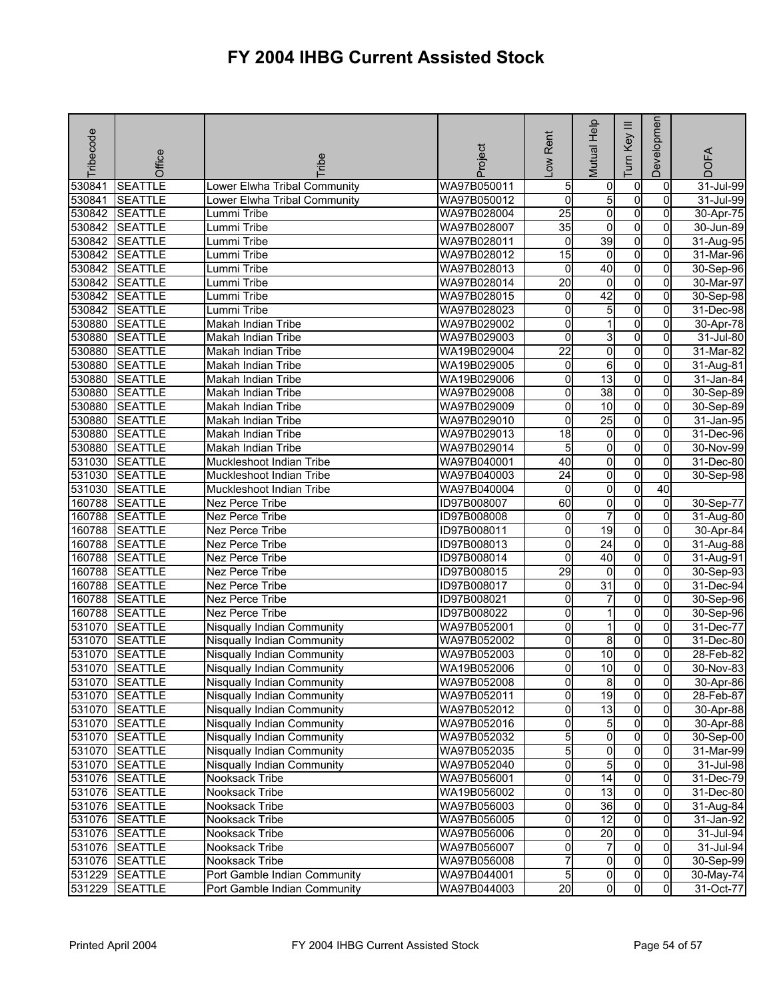| Tribecode | Office         | <b>Fribe</b>                      | Project     | Rent<br>Low         | Mutual Help             | Ξ<br>Key<br>Tum | Developmen     | <b>DOFA</b>             |
|-----------|----------------|-----------------------------------|-------------|---------------------|-------------------------|-----------------|----------------|-------------------------|
| 530841    | <b>SEATTLE</b> | Lower Elwha Tribal Community      | WA97B050011 | 5                   | 0                       | $\overline{0}$  | $\mathbf 0$    | $\overline{31}$ -Jul-99 |
| 530841    | <b>SEATTLE</b> | Lower Elwha Tribal Community      | WA97B050012 | $\mathbf 0$         | 5                       | $\overline{0}$  | $\Omega$       | 31-Jul-99               |
| 530842    | <b>SEATTLE</b> | Lummi Tribe                       | WA97B028004 | $\overline{25}$     | $\overline{\mathbf{0}}$ | $\overline{0}$  | $\overline{0}$ | 30-Apr-75               |
|           | 530842 SEATTLE | Lummi Tribe                       | WA97B028007 | 35                  | 0                       | O               | 0              | 30-Jun-89               |
| 530842    | <b>SEATTLE</b> | Lummi Tribe                       | WA97B028011 | 0                   | 39                      | $\overline{0}$  | 0              | 31-Aug-95               |
| 530842    | <b>SEATTLE</b> | Lummi Tribe                       | WA97B028012 | 15                  | $\overline{0}$          | $\overline{0}$  | $\mathbf{0}$   | 31-Mar-96               |
| 530842    | <b>SEATTLE</b> | Lummi Tribe                       | WA97B028013 | 0                   | $\overline{40}$         | $\overline{0}$  | 0              | 30-Sep-96               |
| 530842    | <b>SEATTLE</b> | Lummi Tribe                       | WA97B028014 | $\overline{20}$     | $\mathbf 0$             | O               | 0              | 30-Mar-97               |
| 530842    | <b>SEATTLE</b> | Lummi Tribe                       | WA97B028015 | 0                   | 42                      | $\overline{0}$  | $\overline{0}$ | 30-Sep-98               |
| 530842    | <b>SEATTLE</b> | Lummi Tribe                       | WA97B028023 | 0                   | 5                       | $\overline{0}$  | 0              | 31-Dec-98               |
| 530880    | <b>SEATTLE</b> | Makah Indian Tribe                | WA97B029002 | 0                   | 1                       | $\overline{0}$  | $\overline{0}$ | 30-Apr-78               |
| 530880    | <b>SEATTLE</b> | Makah Indian Tribe                | WA97B029003 | 0                   | 3                       | $\overline{0}$  | 0              | $\overline{31}$ -Jul-80 |
| 530880    | <b>SEATTLE</b> | Makah Indian Tribe                | WA19B029004 | $\overline{22}$     | $\overline{0}$          | $\overline{0}$  | $\Omega$       | 31-Mar-82               |
| 530880    | <b>SEATTLE</b> | <b>Makah Indian Tribe</b>         | WA19B029005 | 0                   | 6                       | $\overline{0}$  | $\Omega$       | 31-Aug-81               |
| 530880    | <b>SEATTLE</b> | Makah Indian Tribe                | WA19B029006 | 0                   | 13                      | O               | 0              | 31-Jan-84               |
| 530880    | <b>SEATTLE</b> | Makah Indian Tribe                | WA97B029008 | 0                   | 38                      | $\overline{0}$  | 0              | 30-Sep-89               |
| 530880    | <b>SEATTLE</b> | Makah Indian Tribe                | WA97B029009 | 0                   | 10                      | $\overline{0}$  | $\mathbf{0}$   | 30-Sep-89               |
| 530880    | <b>SEATTLE</b> | Makah Indian Tribe                | WA97B029010 | 0                   | 25                      | $\overline{0}$  | 0              | 31-Jan-95               |
| 530880    | <b>SEATTLE</b> | Makah Indian Tribe                | WA97B029013 | $\overline{18}$     | 0                       | O               | $\Omega$       | 31-Dec-96               |
| 530880    | <b>SEATTLE</b> | Makah Indian Tribe                | WA97B029014 | 5                   | $\overline{0}$          | $\overline{0}$  | $\overline{0}$ | 30-Nov-99               |
| 531030    | <b>SEATTLE</b> | Muckleshoot Indian Tribe          | WA97B040001 | 40                  | 0                       | $\overline{0}$  | 0              | 31-Dec-80               |
| 531030    | <b>SEATTLE</b> | Muckleshoot Indian Tribe          | WA97B040003 | 24                  | 0                       | $\overline{0}$  | $\overline{0}$ | 30-Sep-98               |
| 531030    | <b>SEATTLE</b> | Muckleshoot Indian Tribe          | WA97B040004 | 0                   | $\overline{0}$          | $\overline{0}$  | 40             |                         |
| 160788    | <b>SEATTLE</b> | Nez Perce Tribe                   | ID97B008007 | 60                  | 0                       | $\overline{0}$  | $\mathbf 0$    | 30-Sep-77               |
| 160788    | <b>SEATTLE</b> | Nez Perce Tribe                   | ID97B008008 | 0                   | $\overline{7}$          | $\overline{0}$  | $\overline{0}$ | 31-Aug-80               |
| 160788    | <b>SEATTLE</b> | Nez Perce Tribe                   | ID97B008011 | 0                   | $\overline{19}$         | O               | 0              | 30-Apr-84               |
| 160788    | <b>SEATTLE</b> | Nez Perce Tribe                   | ID97B008013 | 0                   | $\overline{24}$         | $\overline{0}$  | $\mathbf{0}$   | 31-Aug-88               |
| 160788    | <b>SEATTLE</b> | Nez Perce Tribe                   | ID97B008014 | 0                   | 40                      | $\overline{0}$  | $\overline{0}$ | $\overline{3}$ 1-Aug-91 |
| 160788    | <b>SEATTLE</b> | Nez Perce Tribe                   | ID97B008015 | 29                  | 0                       | O               | 0              | 30-Sep-93               |
| 160788    | <b>SEATTLE</b> | Nez Perce Tribe                   | ID97B008017 | 0                   | 31                      | 0               | 0              | 31-Dec-94               |
| 160788    | <b>SEATTLE</b> | Nez Perce Tribe                   | ID97B008021 | 0                   | $\overline{7}$          | O               | $\overline{0}$ | 30-Sep-96               |
| 160788    | <b>SEATTLE</b> | Nez Perce Tribe                   | ID97B008022 | 0                   | 1                       | $\overline{0}$  | 0              | 30-Sep-96               |
| 531070    | <b>SEATTLE</b> | Nisqually Indian Community        | WA97B052001 | 0                   | 1                       | $\overline{0}$  | 0              | 31-Dec-77               |
| 531070    | <b>SEATTLE</b> | Nisqually Indian Community        | WA97B052002 | 0                   | 8                       | $\overline{0}$  | $\overline{0}$ | 31-Dec-80               |
| 531070    | <b>SEATTLE</b> | Nisqually Indian Community        | WA97B052003 | 0                   | $\overline{10}$         | $\overline{0}$  | 0              | 28-Feb-82               |
| 531070    | <b>SEATTLE</b> | Nisqually Indian Community        | WA19B052006 | 0                   | 10                      | 0l              | $\overline{0}$ | 30-Nov-83               |
|           | 531070 SEATTLE | <b>Nisqually Indian Community</b> | WA97B052008 | 0                   | 81                      | $\overline{0}$  | 01             | 30-Apr-86               |
|           | 531070 SEATTLE | <b>Nisqually Indian Community</b> | WA97B052011 | 0                   | 19                      | $\overline{0}$  | $\Omega$       | 28-Feb-87               |
|           | 531070 SEATTLE | Nisqually Indian Community        | WA97B052012 | 0                   | 13                      | $\overline{0}$  | $\overline{0}$ | 30-Apr-88               |
|           | 531070 SEATTLE | Nisqually Indian Community        | WA97B052016 | 0                   | $5\overline{)}$         | $\overline{0}$  | 0              | 30-Apr-88               |
|           | 531070 SEATTLE | Nisqually Indian Community        | WA97B052032 | 5                   | 0                       | $\overline{0}$  | 0              | 30-Sep-00               |
|           | 531070 SEATTLE | <b>Nisqually Indian Community</b> | WA97B052035 | 5                   | o                       | $\overline{0}$  | 0              | 31-Mar-99               |
|           | 531070 SEATTLE | Nisqually Indian Community        | WA97B052040 | 0                   | 5                       | $\overline{0}$  | 0              | 31-Jul-98               |
|           | 531076 SEATTLE | Nooksack Tribe                    | WA97B056001 | 0                   | 14                      | $\overline{0}$  | $\overline{0}$ | 31-Dec-79               |
|           | 531076 SEATTLE | Nooksack Tribe                    | WA19B056002 | $\mathsf{O}\xspace$ | 13                      | $\overline{0}$  | $\mathbf{0}$   | 31-Dec-80               |
|           | 531076 SEATTLE | Nooksack Tribe                    | WA97B056003 | 0                   | 36                      | 0               | 0              | 31-Aug-84               |
|           | 531076 SEATTLE | Nooksack Tribe                    | WA97B056005 | 0                   | 12                      | 0               | $\Omega$       | 31-Jan-92               |
|           | 531076 SEATTLE | Nooksack Tribe                    | WA97B056006 | 0                   | $\overline{20}$         | $\overline{0}$  | $\Omega$       | 31-Jul-94               |
|           | 531076 SEATTLE | Nooksack Tribe                    | WA97B056007 | 0                   | 7                       | $\overline{0}$  | $\Omega$       | 31-Jul-94               |
|           | 531076 SEATTLE | Nooksack Tribe                    | WA97B056008 | 7                   | $\overline{0}$          | $\overline{0}$  | $\overline{0}$ | 30-Sep-99               |
|           | 531229 SEATTLE | Port Gamble Indian Community      | WA97B044001 | 5                   | 0                       | $\overline{0}$  | $\overline{0}$ | 30-May-74               |
| 531229    | <b>SEATTLE</b> | Port Gamble Indian Community      | WA97B044003 | $\overline{20}$     | 0                       | 0               | $\overline{0}$ | 31-Oct-77               |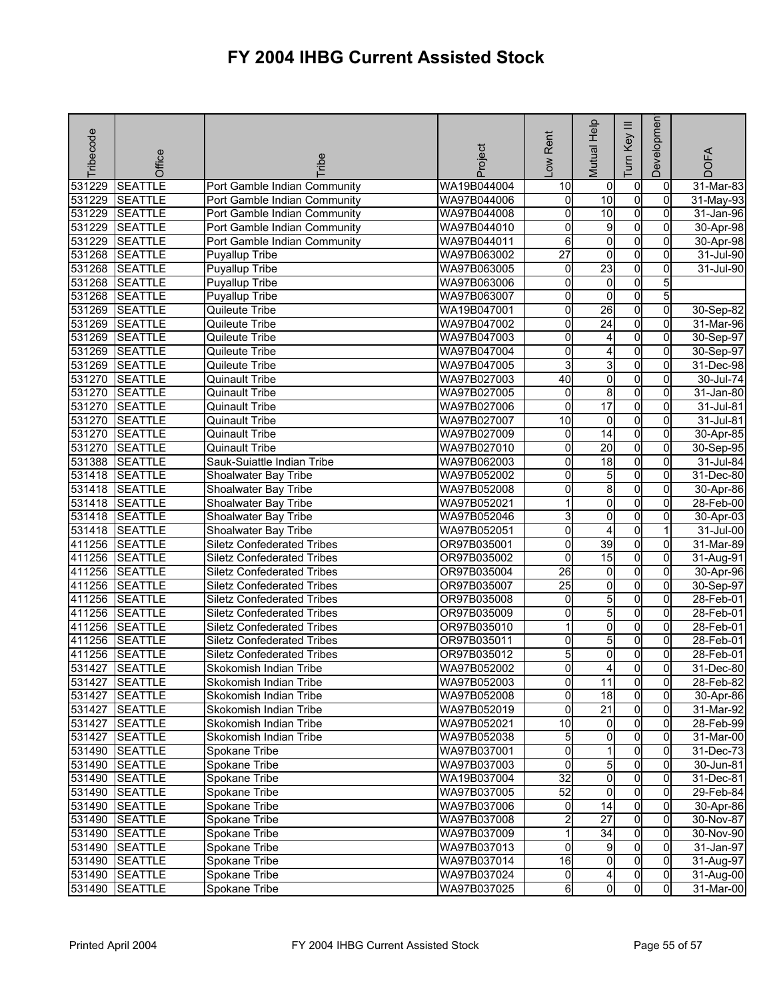| Tribecode | Office         | <b>Fribe</b>                      | Project     | -ow Rent        | Mutual Help             | $\equiv$<br>Key<br>Tum | Developmen     | <b>DOFA</b>             |
|-----------|----------------|-----------------------------------|-------------|-----------------|-------------------------|------------------------|----------------|-------------------------|
| 531229    | <b>SEATTLE</b> | Port Gamble Indian Community      | WA19B044004 | 10              | 0                       | $\overline{0}$         | 0              | $31$ -Mar-83            |
| 531229    | <b>SEATTLE</b> | Port Gamble Indian Community      | WA97B044006 | 0               | 10                      | $\overline{0}$         | $\Omega$       | $31-May-93$             |
| 531229    | <b>SEATTLE</b> | Port Gamble Indian Community      | WA97B044008 | 0               | $\overline{10}$         | $\overline{0}$         | $\overline{0}$ | 31-Jan-96               |
| 531229    | <b>SEATTLE</b> | Port Gamble Indian Community      | WA97B044010 | 0               | G                       | $\overline{0}$         | 0              | 30-Apr-98               |
| 531229    | <b>SEATTLE</b> | Port Gamble Indian Community      | WA97B044011 | 6               | 0                       | $\overline{0}$         | 0              | 30-Apr-98               |
| 531268    | <b>SEATTLE</b> | <b>Puyallup Tribe</b>             | WA97B063002 | $\overline{27}$ | $\overline{\mathbf{0}}$ | $\overline{0}$         | $\overline{0}$ | 31-Jul-90               |
| 531268    | <b>SEATTLE</b> | <b>Puyallup Tribe</b>             | WA97B063005 | 0               | 23                      | $\overline{0}$         | 0              | 31-Jul-90               |
| 531268    | <b>SEATTLE</b> | <b>Puyallup Tribe</b>             | WA97B063006 | $\overline{0}$  | $\overline{0}$          | $\overline{0}$         | 5              |                         |
| 531268    | <b>SEATTLE</b> | <b>Puyallup Tribe</b>             | WA97B063007 | 0               | 0                       | $\overline{0}$         | 5 <sub>l</sub> |                         |
| 531269    | <b>SEATTLE</b> | Quileute Tribe                    | WA19B047001 | 0               | $\overline{26}$         | $\overline{0}$         | 0              | 30-Sep-82               |
| 531269    | <b>SEATTLE</b> | Quileute Tribe                    | WA97B047002 | 0               | 24                      | $\overline{0}$         | 0              | 31-Mar-96               |
| 531269    | <b>SEATTLE</b> | Quileute Tribe                    | WA97B047003 | 0               | 4                       | $\overline{0}$         | 0              | 30-Sep-97               |
| 531269    | <b>SEATTLE</b> | Quileute Tribe                    | WA97B047004 | 0               | 4                       | $\overline{0}$         | 0              | 30-Sep-97               |
| 531269    | <b>SEATTLE</b> | Quileute Tribe                    | WA97B047005 | 3               | $\overline{3}$          | 0                      | 0              | 31-Dec-98               |
| 531270    | <b>SEATTLE</b> | <b>Quinault Tribe</b>             | WA97B027003 | 40              | 0                       | $\overline{0}$         | 0              | 30-Jul-74               |
| 531270    | <b>SEATTLE</b> | <b>Quinault Tribe</b>             | WA97B027005 | 0               | 8                       | $\overline{0}$         | 0              | 31-Jan-80               |
| 531270    | <b>SEATTLE</b> | <b>Quinault Tribe</b>             | WA97B027006 | 0               | 17                      | $\overline{0}$         | 0              | 31-Jul-81               |
| 531270    | <b>SEATTLE</b> | <b>Quinault Tribe</b>             | WA97B027007 | 10              | $\mathbf 0$             | $\overline{0}$         | 0              | 31-Jul-81               |
| 531270    | <b>SEATTLE</b> | <b>Quinault Tribe</b>             | WA97B027009 | o               | 14                      | $\overline{0}$         | $\overline{0}$ | 30-Apr-85               |
| 531270    | <b>SEATTLE</b> | <b>Quinault Tribe</b>             | WA97B027010 | 0               | $\overline{20}$         | $\overline{0}$         | $\overline{0}$ | 30-Sep-95               |
| 531388    | <b>SEATTLE</b> | Sauk-Suiattle Indian Tribe        | WA97B062003 | 0               | 18                      | $\overline{0}$         | 0              | $31$ -Jul-84            |
| 531418    | <b>SEATTLE</b> | Shoalwater Bay Tribe              | WA97B052002 | 0               | 5                       | $\overline{0}$         | $\overline{0}$ | 31-Dec-80               |
| 531418    | <b>SEATTLE</b> | Shoalwater Bay Tribe              | WA97B052008 | 0               | 8                       | O                      | 0              | 30-Apr-86               |
| 531418    | <b>SEATTLE</b> | Shoalwater Bay Tribe              | WA97B052021 | 1               | 0                       | $\overline{0}$         | 0              | 28-Feb-00               |
| 531418    | <b>SEATTLE</b> | Shoalwater Bay Tribe              | WA97B052046 | 3               | $\overline{0}$          | $\overline{0}$         | $\overline{0}$ | 30-Apr-03               |
|           | 531418 SEATTLE | Shoalwater Bay Tribe              | WA97B052051 | 0               | 4                       | $\overline{0}$         |                | $\overline{31}$ -Jul-00 |
| 411256    | <b>SEATTLE</b> | <b>Siletz Confederated Tribes</b> | OR97B035001 | 0               | 39                      | $\overline{0}$         | 0              | 31-Mar-89               |
| 411256    | <b>SEATTLE</b> | <b>Siletz Confederated Tribes</b> | OR97B035002 | 0               | 15                      | $\overline{0}$         | $\overline{0}$ | 31-Aug-91               |
| 411256    | <b>SEATTLE</b> | <b>Siletz Confederated Tribes</b> | OR97B035004 | 26              | 0                       | $\overline{0}$         | 0              | 30-Apr-96               |
| 411256    | <b>SEATTLE</b> | <b>Siletz Confederated Tribes</b> | OR97B035007 | $\overline{25}$ | o                       | 0                      | $\Omega$       | 30-Sep-97               |
| 411256    | <b>SEATTLE</b> | <b>Siletz Confederated Tribes</b> | OR97B035008 | 0               | 5                       | $\overline{0}$         | $\overline{0}$ | 28-Feb-01               |
| 411256    | <b>SEATTLE</b> | <b>Siletz Confederated Tribes</b> | OR97B035009 | 0               | 5                       | $\overline{0}$         | 0              | 28-Feb-01               |
| 411256    | <b>SEATTLE</b> | <b>Siletz Confederated Tribes</b> | OR97B035010 | 1               | o                       | $\overline{0}$         | $\overline{0}$ | 28-Feb-01               |
| 411256    | <b>SEATTLE</b> | <b>Siletz Confederated Tribes</b> | OR97B035011 | 0               | 5                       | O                      | 0              | 28-Feb-01               |
| 411256    | <b>SEATTLE</b> | <b>Siletz Confederated Tribes</b> | OR97B035012 | 5               | 0                       | 0                      | 0              | 28-Feb-01               |
| 531427    | <b>SEATTLE</b> | Skokomish Indian Tribe            | WA97B052002 | 0               | 4                       | 0                      | $\overline{0}$ | 31-Dec-80               |
|           | 531427 SEATTLE | Skokomish Indian Tribe            | WA97B052003 | $\overline{0}$  | 11                      | $\overline{0}$         | $\overline{0}$ | 28-Feb-82               |
|           | 531427 SEATTLE | Skokomish Indian Tribe            | WA97B052008 | 0               | 18                      | $\overline{0}$         | $\overline{0}$ | 30-Apr-86               |
|           | 531427 SEATTLE | Skokomish Indian Tribe            | WA97B052019 | 0               | 21                      | $\overline{0}$         | $\mathbf{0}$   | 31-Mar-92               |
| 531427    | <b>SEATTLE</b> | Skokomish Indian Tribe            | WA97B052021 | $\overline{10}$ | $\overline{0}$          | $\overline{0}$         | 0              | 28-Feb-99               |
|           | 531427 SEATTLE | Skokomish Indian Tribe            | WA97B052038 | 5               | 0                       | 0                      | $\Omega$       | 31-Mar-00               |
|           | 531490 SEATTLE | Spokane Tribe                     | WA97B037001 | 0               | 1                       | $\overline{0}$         | $\mathbf{0}$   | 31-Dec-73               |
|           | 531490 SEATTLE | Spokane Tribe                     | WA97B037003 | $\Omega$        | $5\overline{)}$         | $\overline{0}$         | $\Omega$       | 30-Jun-81               |
|           | 531490 SEATTLE | Spokane Tribe                     | WA19B037004 | $\overline{32}$ | $\overline{0}$          | $\overline{0}$         | $\overline{0}$ | 31-Dec-81               |
|           | 531490 SEATTLE | Spokane Tribe                     | WA97B037005 | 52              | $\overline{0}$          | $\overline{0}$         | $\mathbf{0}$   | 29-Feb-84               |
|           | 531490 SEATTLE | Spokane Tribe                     | WA97B037006 | o               | 14                      | $\overline{0}$         | 0              | 30-Apr-86               |
|           | 531490 SEATTLE | Spokane Tribe                     | WA97B037008 | $\overline{2}$  | $\overline{27}$         | $\overline{0}$         | $\mathbf{0}$   | 30-Nov-87               |
|           | 531490 SEATTLE | Spokane Tribe                     | WA97B037009 |                 | 34                      | $\overline{0}$         | 0              | 30-Nov-90               |
|           | 531490 SEATTLE | Spokane Tribe                     | WA97B037013 | 0               | g                       | $\overline{0}$         | $\Omega$       | 31-Jan-97               |
|           | 531490 SEATTLE | Spokane Tribe                     | WA97B037014 | $\overline{16}$ | $\overline{0}$          | $\overline{0}$         | $\mathbf{0}$   | 31-Aug-97               |
|           | 531490 SEATTLE | Spokane Tribe                     | WA97B037024 | 0               | 4                       | 0                      | $\overline{0}$ | 31-Aug-00               |
| 531490    | <b>SEATTLE</b> | Spokane Tribe                     | WA97B037025 | 6               | 0                       | 0                      | $\overline{0}$ | 31-Mar-00               |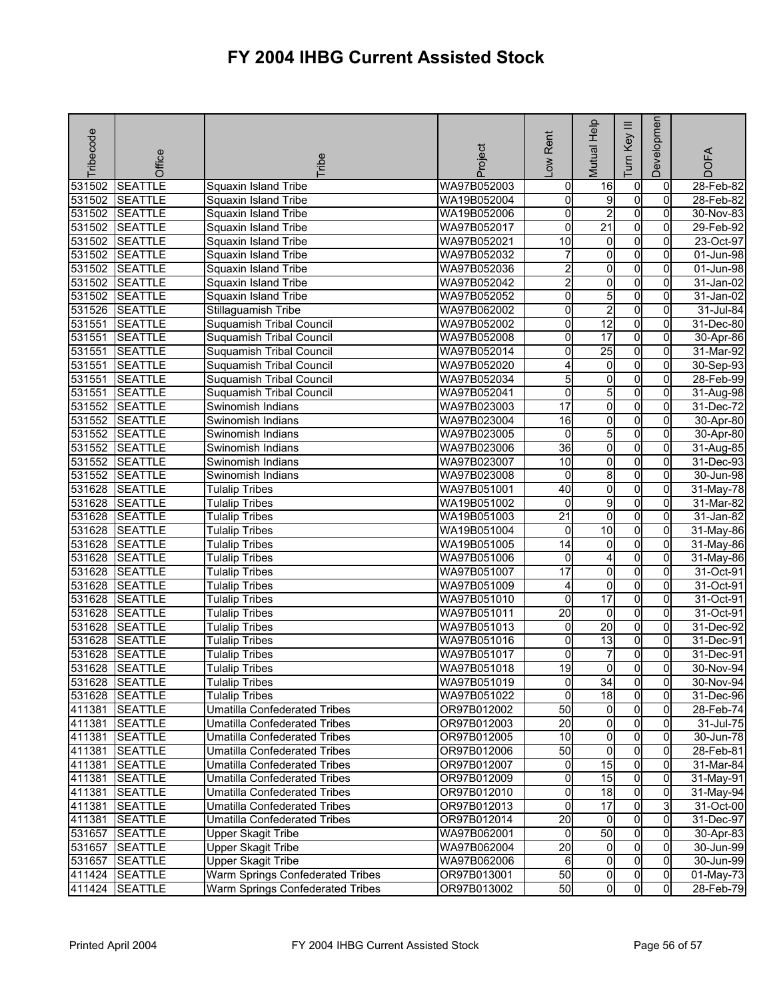| Tribecode | Office         | <b>Fribe</b>                        | Project     | Low Rent                | Mutual Help             | $\equiv$<br>Key<br>Tum | Developmen     | <b>DOFA</b>  |
|-----------|----------------|-------------------------------------|-------------|-------------------------|-------------------------|------------------------|----------------|--------------|
|           |                |                                     |             |                         |                         |                        |                |              |
| 531502    | <b>SEATTLE</b> | Squaxin Island Tribe                | WA97B052003 | $\mathbf 0$             | 16                      | $\mathbf 0$            | 0              | $28$ -Feb-82 |
| 531502    | <b>SEATTLE</b> | Squaxin Island Tribe                | WA19B052004 | o                       | 9                       | $\overline{0}$         | $\Omega$       | 28-Feb-82    |
| 531502    | <b>SEATTLE</b> | Squaxin Island Tribe                | WA19B052006 | 0                       | $\overline{2}$          | $\overline{0}$         | $\overline{0}$ | 30-Nov-83    |
| 531502    | <b>SEATTLE</b> | <b>Squaxin Island Tribe</b>         | WA97B052017 | 0                       | $\overline{21}$         | $\mathbf 0$            | 0              | 29-Feb-92    |
| 531502    | <b>SEATTLE</b> | Squaxin Island Tribe                | WA97B052021 | 10                      | $\overline{0}$          | $\overline{0}$         | 0              | 23-Oct-97    |
| 531502    | <b>SEATTLE</b> | Squaxin Island Tribe                | WA97B052032 | 7                       | $\overline{0}$          | $\overline{0}$         | $\overline{0}$ | 01-Jun-98    |
| 531502    | <b>SEATTLE</b> | Squaxin Island Tribe                | WA97B052036 | $\overline{2}$          | $\overline{0}$          | o                      | 0              | 01-Jun-98    |
| 531502    | <b>SEATTLE</b> | Squaxin Island Tribe                | WA97B052042 | $\overline{2}$          | $\overline{0}$          | $\overline{0}$         | $\overline{0}$ | 31-Jan-02    |
| 531502    | <b>SEATTLE</b> | Squaxin Island Tribe                | WA97B052052 | 0                       | 5                       | $\overline{0}$         | 0              | 31-Jan-02    |
| 531526    | <b>SEATTLE</b> | Stillaguamish Tribe                 | WA97B062002 | 0                       | $\overline{\mathbf{c}}$ | $\overline{0}$         | 0              | 31-Jul-84    |
| 531551    | <b>SEATTLE</b> | Suquamish Tribal Council            | WA97B052002 | o                       | $\overline{12}$         | $\overline{0}$         | $\overline{0}$ | 31-Dec-80    |
| 531551    | <b>SEATTLE</b> | Suquamish Tribal Council            | WA97B052008 | 0                       | 17                      | $\overline{0}$         | 0              | 30-Apr-86    |
| 531551    | <b>SEATTLE</b> | <b>Suquamish Tribal Council</b>     | WA97B052014 | 0                       | 25                      | $\overline{0}$         | 0              | 31-Mar-92    |
| 531551    | <b>SEATTLE</b> | Suquamish Tribal Council            | WA97B052020 | 4                       | $\overline{0}$          | $\overline{0}$         | $\overline{0}$ | 30-Sep-93    |
| 531551    | <b>SEATTLE</b> | Suquamish Tribal Council            | WA97B052034 | 5                       | $\overline{0}$          | $\overline{0}$         | 0              | $28$ -Feb-99 |
| 531551    | <b>SEATTLE</b> | Suquamish Tribal Council            | WA97B052041 | 0                       | 5                       | o                      | 0              | 31-Aug-98    |
| 531552    | <b>SEATTLE</b> | Swinomish Indians                   | WA97B023003 | $\overline{17}$         | $\overline{0}$          | $\overline{0}$         | $\overline{0}$ | 31-Dec-72    |
| 531552    | <b>SEATTLE</b> | Swinomish Indians                   | WA97B023004 | 16                      | $\overline{0}$          | o                      | $\overline{0}$ | 30-Apr-80    |
| 531552    | <b>SEATTLE</b> | Swinomish Indians                   | WA97B023005 | o                       | 5                       | $\overline{0}$         | $\overline{0}$ | 30-Apr-80    |
| 531552    | <b>SEATTLE</b> | Swinomish Indians                   | WA97B023006 | $\overline{36}$         | $\overline{0}$          | $\overline{0}$         | $\overline{0}$ | 31-Aug-85    |
| 531552    | <b>SEATTLE</b> | Swinomish Indians                   | WA97B023007 | 10                      | O                       | $\overline{0}$         | 0              | 31-Dec-93    |
| 531552    | <b>SEATTLE</b> | Swinomish Indians                   | WA97B023008 | 0                       | 8                       | $\overline{0}$         | $\overline{0}$ | 30-Jun-98    |
| 531628    | <b>SEATTLE</b> | <b>Tulalip Tribes</b>               | WA97B051001 | 40                      | $\overline{\mathbf{0}}$ | $\overline{0}$         | $\overline{0}$ | 31-May-78    |
| 531628    | <b>SEATTLE</b> | <b>Tulalip Tribes</b>               | WA19B051002 | 0                       | 9                       | $\overline{0}$         | 0              | 31-Mar-82    |
| 531628    | <b>SEATTLE</b> | <b>Tulalip Tribes</b>               | WA19B051003 | $\overline{21}$         | o                       | $\overline{0}$         | $\overline{0}$ | 31-Jan-82    |
| 531628    | <b>SEATTLE</b> | <b>Tulalip Tribes</b>               | WA19B051004 | 0                       | $\overline{10}$         | $\overline{0}$         | $\mathbf{0}$   | 31-May-86    |
| 531628    | <b>SEATTLE</b> | <b>Tulalip Tribes</b>               | WA19B051005 | 14                      | 0                       | $\overline{0}$         | 0              | 31-May-86    |
| 531628    | <b>SEATTLE</b> | <b>Tulalip Tribes</b>               | WA97B051006 | 0                       | 4                       | $\overline{0}$         | $\overline{0}$ | 31-May-86    |
| 531628    | <b>SEATTLE</b> | <b>Tulalip Tribes</b>               | WA97B051007 | 17                      | 0                       | $\mathbf 0$            | 0              | 31-Oct-91    |
| 531628    | <b>SEATTLE</b> | <b>Tulalip Tribes</b>               | WA97B051009 | 4                       | O                       | $\overline{0}$         | $\Omega$       | 31-Oct-91    |
| 531628    | <b>SEATTLE</b> | <b>Tulalip Tribes</b>               | WA97B051010 | 0                       | 17                      | $\overline{0}$         | $\overline{0}$ | 31-Oct-91    |
| 531628    | <b>SEATTLE</b> | <b>Tulalip Tribes</b>               | WA97B051011 | $\overline{20}$         | $\mathbf 0$             | o                      | 0              | 31-Oct-91    |
| 531628    | <b>SEATTLE</b> | <b>Tulalip Tribes</b>               | WA97B051013 | 0                       | 20                      | $\overline{0}$         | $\overline{0}$ | 31-Dec-92    |
| 531628    | <b>SEATTLE</b> | <b>Tulalip Tribes</b>               | WA97B051016 | 0                       | 13                      | $\overline{0}$         | $\overline{0}$ | 31-Dec-91    |
| 531628    | <b>SEATTLE</b> | <b>Tulalip Tribes</b>               | WA97B051017 | 0                       | 7                       | $\overline{0}$         | 0              | $31$ -Dec-91 |
| 531628    | <b>SEATTLE</b> | <b>Tulalip Tribes</b>               | WA97B051018 | 19                      | O                       | $\overline{0}$         | $\mathbf 0$    | 30-Nov-94    |
|           | 531628 SEATTLE | <b>Tulalip Tribes</b>               | WA97B051019 | $\overline{0}$          | 34                      | $\overline{0}$         | 01             | 30-Nov-94    |
|           | 531628 SEATTLE | <b>Tulalip Tribes</b>               | WA97B051022 | O                       | 18                      | $\overline{0}$         | $\overline{0}$ | 31-Dec-96    |
| 411381    | <b>SEATTLE</b> | Umatilla Confederated Tribes        | OR97B012002 | 50                      | $\overline{0}$          | o                      | $\mathbf{0}$   | 28-Feb-74    |
| 411381    | <b>SEATTLE</b> | Umatilla Confederated Tribes        | OR97B012003 | $\overline{20}$         | $\overline{0}$          | 0                      | 0              | 31-Jul-75    |
| 411381    | <b>SEATTLE</b> | <b>Umatilla Confederated Tribes</b> | OR97B012005 | $\overline{10}$         | $\overline{0}$          | $\mathbf 0$            | $\Omega$       | 30-Jun-78    |
| 411381    | <b>SEATTLE</b> | Umatilla Confederated Tribes        | OR97B012006 | 50                      | $\overline{0}$          | $\overline{0}$         | $\mathbf{0}$   | 28-Feb-81    |
| 411381    | <b>SEATTLE</b> | <b>Umatilla Confederated Tribes</b> | OR97B012007 | 0                       | 15                      | $\mathbf 0$            | 0              | 31-Mar-84    |
| 411381    | <b>SEATTLE</b> | Umatilla Confederated Tribes        | OR97B012009 | 0                       | 15                      | $\mathbf 0$            | 0              | 31-May-91    |
| 411381    | <b>SEATTLE</b> | Umatilla Confederated Tribes        | OR97B012010 | $\overline{\mathbf{0}}$ | 18                      | $\overline{0}$         | $\overline{0}$ | 31-May-94    |
| 411381    | <b>SEATTLE</b> | <b>Umatilla Confederated Tribes</b> | OR97B012013 | 0                       | 17                      | $\overline{0}$         | 3              | 31-Oct-00    |
| 411381    | <b>SEATTLE</b> | <b>Umatilla Confederated Tribes</b> | OR97B012014 | 20                      | $\overline{0}$          | ō                      | $\overline{0}$ | 31-Dec-97    |
| 531657    | <b>SEATTLE</b> | <b>Upper Skagit Tribe</b>           | WA97B062001 | 0                       | 50                      | $\overline{0}$         | 0              | 30-Apr-83    |
| 531657    | <b>SEATTLE</b> | <b>Upper Skagit Tribe</b>           | WA97B062004 | 20                      | $\overline{0}$          | $\overline{0}$         | $\mathbf{0}$   | 30-Jun-99    |
| 531657    | <b>SEATTLE</b> | <b>Upper Skagit Tribe</b>           | WA97B062006 | 6                       | $\overline{0}$          | o                      | $\overline{0}$ | 30-Jun-99    |
| 411424    | <b>SEATTLE</b> | Warm Springs Confederated Tribes    | OR97B013001 | 50                      | $\overline{0}$          | 0                      | $\overline{0}$ | 01-May-73    |
| 411424    | <b>SEATTLE</b> | Warm Springs Confederated Tribes    | OR97B013002 | 50                      | $\overline{0}$          | $\overline{0}$         | $\overline{0}$ | 28-Feb-79    |
|           |                |                                     |             |                         |                         |                        |                |              |